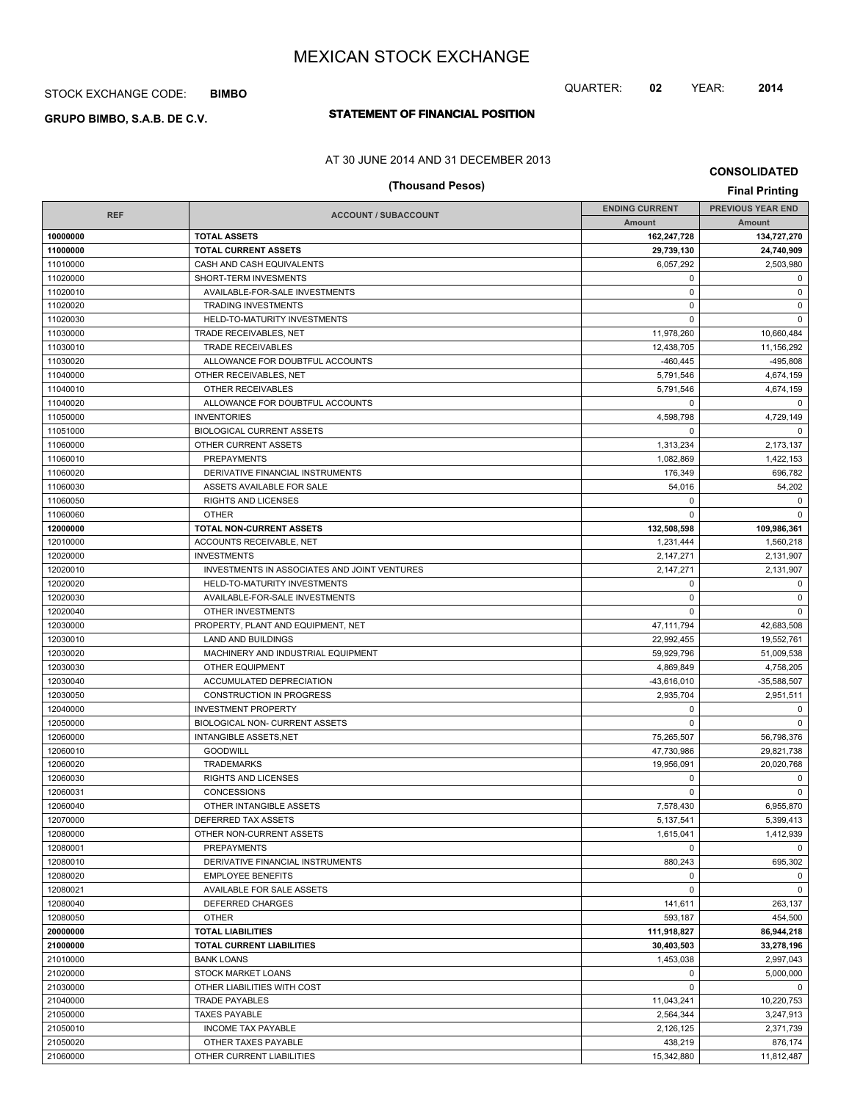## STOCK EXCHANGE CODE: **BIMBO**

# **STATEMENT OF FINANCIAL POSITION GRUPO BIMBO, S.A.B. DE C.V.**

## AT 30 JUNE 2014 AND 31 DECEMBER 2013

# **(Thousand Pesos) Final Printing**

**CONSOLIDATED**

QUARTER: **02** YEAR: **2014**

|            |                                              | <b>ENDING CURRENT</b> | <b>PREVIOUS YEAR END</b> |
|------------|----------------------------------------------|-----------------------|--------------------------|
| <b>REF</b> | <b>ACCOUNT / SUBACCOUNT</b>                  | Amount                | Amount                   |
| 10000000   | <b>TOTAL ASSETS</b>                          | 162,247,728           | 134,727,270              |
| 11000000   | <b>TOTAL CURRENT ASSETS</b>                  | 29,739,130            | 24,740,909               |
| 11010000   | CASH AND CASH EQUIVALENTS                    | 6,057,292             | 2,503,980                |
| 11020000   | SHORT-TERM INVESMENTS                        | 0                     | $\mathbf 0$              |
| 11020010   | AVAILABLE-FOR-SALE INVESTMENTS               | $\mathbf 0$           | $\mathbf 0$              |
| 11020020   | <b>TRADING INVESTMENTS</b>                   | $\mathbf 0$           | $\mathbf 0$              |
| 11020030   | HELD-TO-MATURITY INVESTMENTS                 | $\mathbf 0$           | $\mathbf 0$              |
| 11030000   | TRADE RECEIVABLES, NET                       | 11,978,260            | 10,660,484               |
| 11030010   | <b>TRADE RECEIVABLES</b>                     | 12,438,705            | 11,156,292               |
| 11030020   | ALLOWANCE FOR DOUBTFUL ACCOUNTS              | $-460, 445$           | $-495,808$               |
| 11040000   | OTHER RECEIVABLES, NET                       | 5,791,546             | 4,674,159                |
| 11040010   | OTHER RECEIVABLES                            | 5,791,546             | 4,674,159                |
| 11040020   | ALLOWANCE FOR DOUBTFUL ACCOUNTS              | $\mathbf 0$           | 0                        |
| 11050000   | <b>INVENTORIES</b>                           | 4,598,798             | 4,729,149                |
| 11051000   | <b>BIOLOGICAL CURRENT ASSETS</b>             | $\mathbf 0$           | $\mathbf 0$              |
| 11060000   | OTHER CURRENT ASSETS                         | 1,313,234             | 2,173,137                |
| 11060010   | <b>PREPAYMENTS</b>                           | 1,082,869             | 1,422,153                |
| 11060020   | DERIVATIVE FINANCIAL INSTRUMENTS             | 176,349               | 696,782                  |
| 11060030   | ASSETS AVAILABLE FOR SALE                    | 54,016                | 54,202                   |
| 11060050   | RIGHTS AND LICENSES                          | 0                     | $\mathbf 0$              |
| 11060060   | <b>OTHER</b>                                 | $\Omega$              | $\Omega$                 |
| 12000000   | <b>TOTAL NON-CURRENT ASSETS</b>              | 132,508,598           | 109,986,361              |
| 12010000   | ACCOUNTS RECEIVABLE, NET                     | 1,231,444             | 1,560,218                |
| 12020000   | <b>INVESTMENTS</b>                           | 2,147,271             | 2,131,907                |
| 12020010   | INVESTMENTS IN ASSOCIATES AND JOINT VENTURES | 2,147,271             | 2,131,907                |
| 12020020   | HELD-TO-MATURITY INVESTMENTS                 | 0                     | $\mathbf 0$              |
| 12020030   | AVAILABLE-FOR-SALE INVESTMENTS               | $\mathbf 0$           | $\mathsf 0$              |
| 12020040   | OTHER INVESTMENTS                            | $\mathbf 0$           | $\mathbf 0$              |
| 12030000   | PROPERTY, PLANT AND EQUIPMENT, NET           | 47,111,794            | 42,683,508               |
| 12030010   | LAND AND BUILDINGS                           | 22,992,455            | 19,552,761               |
| 12030020   | MACHINERY AND INDUSTRIAL EQUIPMENT           | 59,929,796            | 51,009,538               |
| 12030030   | <b>OTHER EQUIPMENT</b>                       | 4,869,849             | 4,758,205                |
| 12030040   | ACCUMULATED DEPRECIATION                     | -43,616,010           | $-35,588,507$            |
| 12030050   | <b>CONSTRUCTION IN PROGRESS</b>              | 2,935,704             | 2,951,511                |
| 12040000   | <b>INVESTMENT PROPERTY</b>                   | $\mathbf 0$           | $\mathbf 0$              |
| 12050000   | BIOLOGICAL NON- CURRENT ASSETS               | $\mathbf 0$           | $\mathbf 0$              |
| 12060000   | <b>INTANGIBLE ASSETS, NET</b>                | 75,265,507            | 56,798,376               |
| 12060010   | <b>GOODWILL</b>                              | 47,730,986            | 29,821,738               |
| 12060020   | <b>TRADEMARKS</b>                            | 19,956,091            | 20,020,768               |
| 12060030   | <b>RIGHTS AND LICENSES</b>                   | 0                     | 0                        |
| 12060031   | CONCESSIONS                                  | 0                     | $\mathbf 0$              |
| 12060040   | OTHER INTANGIBLE ASSETS                      | 7,578,430             | 6,955,870                |
| 12070000   | DEFERRED TAX ASSETS                          | 5,137,541             | 5,399,413                |
| 12080000   | OTHER NON-CURRENT ASSETS                     | 1,615,041             | 1,412,939                |
| 12080001   | <b>PREPAYMENTS</b>                           | $\Omega$              | $\mathbf 0$              |
| 12080010   | DERIVATIVE FINANCIAL INSTRUMENTS             | 880,243               | 695,302                  |
| 12080020   | <b>EMPLOYEE BENEFITS</b>                     | 0                     | $\mathbf 0$              |
| 12080021   | AVAILABLE FOR SALE ASSETS                    | $\mathbf 0$           | $\mathbf 0$              |
| 12080040   | <b>DEFERRED CHARGES</b>                      | 141,611               | 263,137                  |
| 12080050   | <b>OTHER</b>                                 | 593,187               | 454,500                  |
| 20000000   | <b>TOTAL LIABILITIES</b>                     | 111,918,827           | 86,944,218               |
| 21000000   | <b>TOTAL CURRENT LIABILITIES</b>             | 30,403,503            | 33,278,196               |
| 21010000   | <b>BANK LOANS</b>                            | 1,453,038             | 2,997,043                |
| 21020000   | STOCK MARKET LOANS                           | 0                     | 5,000,000                |
| 21030000   | OTHER LIABILITIES WITH COST                  | $\mathbf 0$           | $\mathbf 0$              |
| 21040000   | <b>TRADE PAYABLES</b>                        | 11,043,241            | 10,220,753               |
| 21050000   | <b>TAXES PAYABLE</b>                         | 2,564,344             | 3,247,913                |
| 21050010   | <b>INCOME TAX PAYABLE</b>                    | 2,126,125             | 2,371,739                |
| 21050020   | OTHER TAXES PAYABLE                          | 438,219               | 876,174                  |
| 21060000   | OTHER CURRENT LIABILITIES                    | 15,342,880            | 11,812,487               |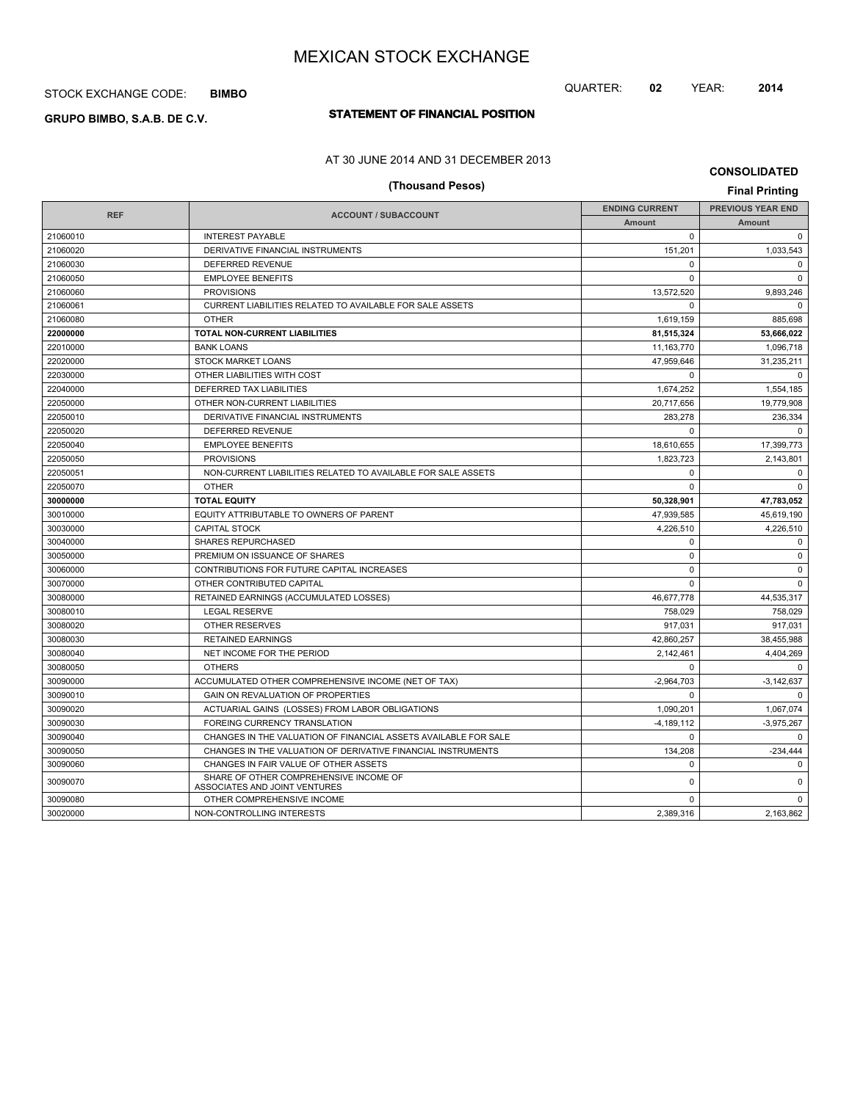## STOCK EXCHANGE CODE: **BIMBO**

# **STATEMENT OF FINANCIAL POSITION GRUPO BIMBO, S.A.B. DE C.V.**

## AT 30 JUNE 2014 AND 31 DECEMBER 2013

# **(Thousand Pesos) Final Printing**

**CONSOLIDATED**

| <b>REF</b> | <b>ACCOUNT / SUBACCOUNT</b>                                             | <b>ENDING CURRENT</b> | <b>PREVIOUS YEAR END</b> |
|------------|-------------------------------------------------------------------------|-----------------------|--------------------------|
|            |                                                                         | <b>Amount</b>         | <b>Amount</b>            |
| 21060010   | <b>INTEREST PAYABLE</b>                                                 | $\Omega$              | $\Omega$                 |
| 21060020   | DERIVATIVE FINANCIAL INSTRUMENTS                                        | 151,201               | 1,033,543                |
| 21060030   | <b>DEFERRED REVENUE</b>                                                 | $\Omega$              | $\mathbf 0$              |
| 21060050   | <b>EMPLOYEE BENEFITS</b>                                                | $\Omega$              | $\Omega$                 |
| 21060060   | <b>PROVISIONS</b>                                                       | 13,572,520            | 9,893,246                |
| 21060061   | CURRENT LIABILITIES RELATED TO AVAILABLE FOR SALE ASSETS                | $\Omega$              | $\Omega$                 |
| 21060080   | <b>OTHER</b>                                                            | 1,619,159             | 885,698                  |
| 22000000   | TOTAL NON-CURRENT LIABILITIES                                           | 81,515,324            | 53,666,022               |
| 22010000   | <b>BANK LOANS</b>                                                       | 11,163,770            | 1,096,718                |
| 22020000   | <b>STOCK MARKET LOANS</b>                                               | 47,959,646            | 31,235,211               |
| 22030000   | OTHER LIABILITIES WITH COST                                             | $\Omega$              | $\Omega$                 |
| 22040000   | <b>DEFERRED TAX LIABILITIES</b>                                         | 1,674,252             | 1,554,185                |
| 22050000   | OTHER NON-CURRENT LIABILITIES                                           | 20.717.656            | 19.779.908               |
| 22050010   | DERIVATIVE FINANCIAL INSTRUMENTS                                        | 283,278               | 236,334                  |
| 22050020   | DEFERRED REVENUE                                                        | $\Omega$              | $\Omega$                 |
| 22050040   | <b>EMPLOYEE BENEFITS</b>                                                | 18,610,655            | 17,399,773               |
| 22050050   | <b>PROVISIONS</b>                                                       | 1,823,723             | 2,143,801                |
| 22050051   | NON-CURRENT LIABILITIES RELATED TO AVAILABLE FOR SALE ASSETS            | $\mathbf 0$           | $\mathbf 0$              |
| 22050070   | <b>OTHER</b>                                                            | $\Omega$              | $\mathbf 0$              |
| 30000000   | <b>TOTAL EQUITY</b>                                                     | 50,328,901            | 47,783,052               |
| 30010000   | EQUITY ATTRIBUTABLE TO OWNERS OF PARENT                                 | 47,939,585            | 45,619,190               |
| 30030000   | <b>CAPITAL STOCK</b>                                                    | 4.226.510             | 4.226.510                |
| 30040000   | <b>SHARES REPURCHASED</b>                                               | $\Omega$              | $\mathbf 0$              |
| 30050000   | PREMIUM ON ISSUANCE OF SHARES                                           | $\mathbf 0$           | $\mathbf 0$              |
| 30060000   | CONTRIBUTIONS FOR FUTURE CAPITAL INCREASES                              | $\Omega$              | $\mathbf 0$              |
| 30070000   | OTHER CONTRIBUTED CAPITAL                                               | $\mathbf 0$           | $\Omega$                 |
| 30080000   | RETAINED EARNINGS (ACCUMULATED LOSSES)                                  | 46,677,778            | 44,535,317               |
| 30080010   | <b>LEGAL RESERVE</b>                                                    | 758,029               | 758,029                  |
| 30080020   | <b>OTHER RESERVES</b>                                                   | 917,031               | 917,031                  |
| 30080030   | <b>RETAINED EARNINGS</b>                                                | 42.860.257            | 38.455.988               |
| 30080040   | NET INCOME FOR THE PERIOD                                               | 2,142,461             | 4,404,269                |
| 30080050   | <b>OTHERS</b>                                                           | $\Omega$              | $\Omega$                 |
| 30090000   | ACCUMULATED OTHER COMPREHENSIVE INCOME (NET OF TAX)                     | $-2,964,703$          | $-3,142,637$             |
| 30090010   | GAIN ON REVALUATION OF PROPERTIES                                       | $\Omega$              | $\mathbf 0$              |
| 30090020   | ACTUARIAL GAINS (LOSSES) FROM LABOR OBLIGATIONS                         | 1,090,201             | 1,067,074                |
| 30090030   | FOREING CURRENCY TRANSLATION                                            | $-4,189,112$          | $-3,975,267$             |
| 30090040   | CHANGES IN THE VALUATION OF FINANCIAL ASSETS AVAILABLE FOR SALE         | $\Omega$              | $\Omega$                 |
| 30090050   | CHANGES IN THE VALUATION OF DERIVATIVE FINANCIAL INSTRUMENTS            | 134,208               | $-234,444$               |
| 30090060   | CHANGES IN FAIR VALUE OF OTHER ASSETS                                   | $\Omega$              | 0                        |
| 30090070   | SHARE OF OTHER COMPREHENSIVE INCOME OF<br>ASSOCIATES AND JOINT VENTURES | 0                     | 0                        |
| 30090080   | OTHER COMPREHENSIVE INCOME                                              | 0                     | 0                        |
| 30020000   | NON-CONTROLLING INTERESTS                                               | 2,389,316             | 2,163,862                |

QUARTER: **02** YEAR: **2014**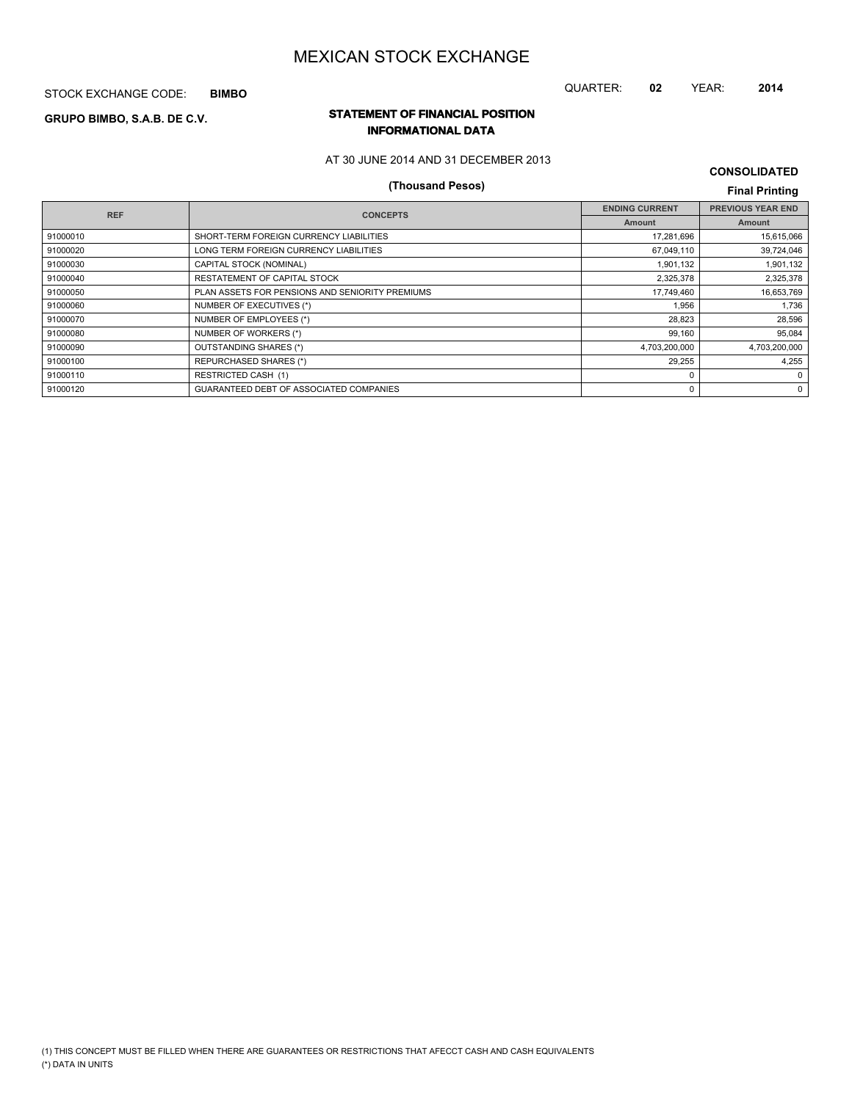STOCK EXCHANGE CODE: **BIMBO**

## QUARTER: **02** YEAR: **2014**

## **STATEMENT OF FINANCIAL POSITION GRUPO BIMBO, S.A.B. DE C.V. INFORMATIONAL DATA**

### AT 30 JUNE 2014 AND 31 DECEMBER 2013

# **(Thousand Pesos) Final Printing**

**CONSOLIDATED**

| <b>REF</b> | <b>CONCEPTS</b>                                 | <b>ENDING CURRENT</b> | <b>PREVIOUS YEAR END</b> |
|------------|-------------------------------------------------|-----------------------|--------------------------|
|            |                                                 | <b>Amount</b>         | Amount                   |
| 91000010   | SHORT-TERM FOREIGN CURRENCY LIABILITIES         | 17,281,696            | 15,615,066               |
| 91000020   | LONG TERM FOREIGN CURRENCY LIABILITIES          | 67,049,110            | 39,724,046               |
| 91000030   | CAPITAL STOCK (NOMINAL)                         | 1,901,132             | 1,901,132                |
| 91000040   | RESTATEMENT OF CAPITAL STOCK                    | 2,325,378             | 2,325,378                |
| 91000050   | PLAN ASSETS FOR PENSIONS AND SENIORITY PREMIUMS | 17,749,460            | 16,653,769               |
| 91000060   | NUMBER OF EXECUTIVES (*)                        | 1,956                 | 1,736                    |
| 91000070   | NUMBER OF EMPLOYEES (*)                         | 28,823                | 28,596                   |
| 91000080   | NUMBER OF WORKERS (*)                           | 99,160                | 95,084                   |
| 91000090   | OUTSTANDING SHARES (*)                          | 4,703,200,000         | 4,703,200,000            |
| 91000100   | REPURCHASED SHARES (*)                          | 29,255                | 4,255                    |
| 91000110   | <b>RESTRICTED CASH (1)</b>                      | 0                     | $\Omega$                 |
| 91000120   | GUARANTEED DEBT OF ASSOCIATED COMPANIES         | 0                     | 0                        |
|            |                                                 |                       |                          |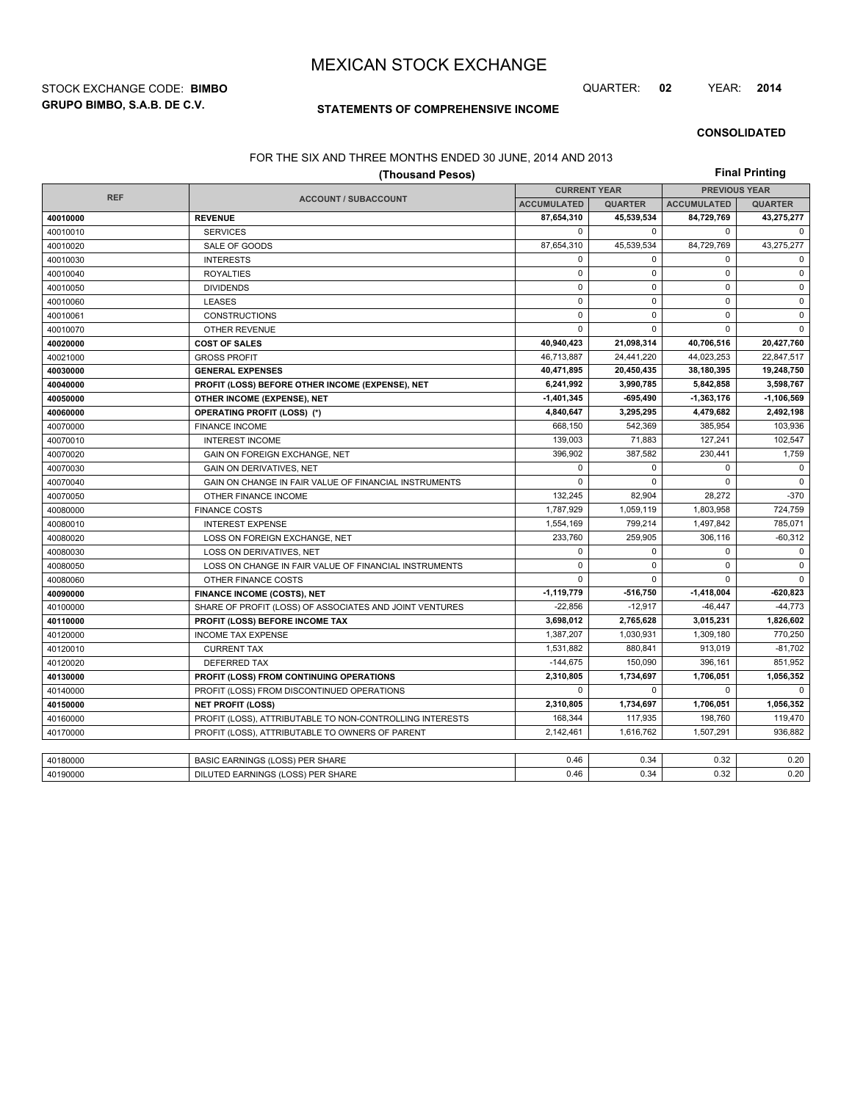**GRUPO BIMBO, S.A.B. DE C.V.** STOCK EXCHANGE CODE: **BIMBO** QUARTER: **02** YEAR: **2014**

## **STATEMENTS OF COMPREHENSIVE INCOME**

**CONSOLIDATED**

#### FOR THE SIX AND THREE MONTHS ENDED 30 JUNE, 2014 AND 2013

|            | <b>Final Printing</b>                                    |                     |                |                      |                |  |
|------------|----------------------------------------------------------|---------------------|----------------|----------------------|----------------|--|
|            |                                                          | <b>CURRENT YEAR</b> |                | <b>PREVIOUS YEAR</b> |                |  |
| <b>REF</b> | <b>ACCOUNT / SUBACCOUNT</b>                              | <b>ACCUMULATED</b>  | <b>QUARTER</b> | <b>ACCUMULATED</b>   | <b>QUARTER</b> |  |
| 40010000   | <b>REVENUE</b>                                           | 87,654,310          | 45,539,534     | 84,729,769           | 43,275,277     |  |
| 40010010   | <b>SERVICES</b>                                          | $\mathbf 0$         | $\mathbf 0$    | $\mathbf 0$          | 0              |  |
| 40010020   | SALE OF GOODS                                            | 87,654,310          | 45,539,534     | 84,729,769           | 43,275,277     |  |
| 40010030   | <b>INTERESTS</b>                                         | 0                   | $\mathbf 0$    | $\mathbf 0$          | $\mathbf 0$    |  |
| 40010040   | <b>ROYALTIES</b>                                         | $\mathsf 0$         | $\mathbf 0$    | $\mathbf 0$          | $\pmb{0}$      |  |
| 40010050   | <b>DIVIDENDS</b>                                         | $\mathbf 0$         | $\mathbf 0$    | 0                    | 0              |  |
| 40010060   | <b>LEASES</b>                                            | $\mathbf 0$         | $\mathbf 0$    | $\mathbf 0$          | $\mathbf{0}$   |  |
| 40010061   | <b>CONSTRUCTIONS</b>                                     | $\mathbf 0$         | $\mathbf 0$    | $\Omega$             | $\mathbf 0$    |  |
| 40010070   | <b>OTHER REVENUE</b>                                     | $\mathbf 0$         | $\mathbf 0$    | $\mathbf 0$          | $\mathbf 0$    |  |
| 40020000   | <b>COST OF SALES</b>                                     | 40,940,423          | 21,098,314     | 40,706,516           | 20,427,760     |  |
| 40021000   | <b>GROSS PROFIT</b>                                      | 46.713.887          | 24,441,220     | 44,023,253           | 22,847,517     |  |
| 40030000   | <b>GENERAL EXPENSES</b>                                  | 40,471,895          | 20,450,435     | 38,180,395           | 19,248,750     |  |
| 40040000   | PROFIT (LOSS) BEFORE OTHER INCOME (EXPENSE), NET         | 6,241,992           | 3,990,785      | 5,842,858            | 3,598,767      |  |
| 40050000   | OTHER INCOME (EXPENSE), NET                              | $-1,401,345$        | $-695.490$     | -1,363,176           | 1.106.569      |  |
| 40060000   | <b>OPERATING PROFIT (LOSS) (*)</b>                       | 4,840,647           | 3,295,295      | 4,479,682            | 2,492,198      |  |
| 40070000   | <b>FINANCE INCOME</b>                                    | 668,150             | 542,369        | 385,954              | 103,936        |  |
| 40070010   | <b>INTEREST INCOME</b>                                   | 139,003             | 71,883         | 127,241              | 102,547        |  |
| 40070020   | GAIN ON FOREIGN EXCHANGE, NET                            | 396,902             | 387,582        | 230,441              | 1,759          |  |
| 40070030   | <b>GAIN ON DERIVATIVES, NET</b>                          | $\mathbf 0$         | $\mathbf 0$    | 0                    | $\mathbf 0$    |  |
| 40070040   | GAIN ON CHANGE IN FAIR VALUE OF FINANCIAL INSTRUMENTS    | $\mathbf 0$         | $\mathbf 0$    | $\mathbf 0$          | $\mathbf 0$    |  |
| 40070050   | OTHER FINANCE INCOME                                     | 132,245             | 82,904         | 28,272               | $-370$         |  |
| 40080000   | <b>FINANCE COSTS</b>                                     | 1,787,929           | 1,059,119      | 1,803,958            | 724,759        |  |
| 40080010   | <b>INTEREST EXPENSE</b>                                  | 1,554,169           | 799,214        | 1,497,842            | 785,071        |  |
| 40080020   | LOSS ON FOREIGN EXCHANGE, NET                            | 233,760             | 259,905        | 306,116              | $-60,312$      |  |
| 40080030   | LOSS ON DERIVATIVES, NET                                 | $\mathbf 0$         | $\mathbf 0$    | $\mathbf 0$          | $\mathsf 0$    |  |
| 40080050   | LOSS ON CHANGE IN FAIR VALUE OF FINANCIAL INSTRUMENTS    | $\mathbf 0$         | $\mathbf 0$    | $\mathbf 0$          | 0              |  |
| 40080060   | OTHER FINANCE COSTS                                      | $\mathbf 0$         | $\mathbf 0$    | 0                    | $\mathbf 0$    |  |
| 40090000   | <b>FINANCE INCOME (COSTS), NET</b>                       | $-1,119,779$        | -516,750       | $-1,418,004$         | $-620,823$     |  |
| 40100000   | SHARE OF PROFIT (LOSS) OF ASSOCIATES AND JOINT VENTURES  | $-22,856$           | $-12,917$      | $-46, 447$           | $-44,773$      |  |
| 40110000   | PROFIT (LOSS) BEFORE INCOME TAX                          | 3,698,012           | 2,765,628      | 3,015,231            | 1,826,602      |  |
| 40120000   | <b>INCOME TAX EXPENSE</b>                                | 1,387,207           | 1,030,931      | 1,309,180            | 770.250        |  |
| 40120010   | <b>CURRENT TAX</b>                                       | 1,531,882           | 880,841        | 913,019              | $-81,702$      |  |
| 40120020   | <b>DEFERRED TAX</b>                                      | $-144,675$          | 150,090        | 396.161              | 851,952        |  |
| 40130000   | PROFIT (LOSS) FROM CONTINUING OPERATIONS                 | 2,310,805           | 1,734,697      | 1,706,051            | 1,056,352      |  |
| 40140000   | PROFIT (LOSS) FROM DISCONTINUED OPERATIONS               | $\mathbf 0$         | $\Omega$       | $\Omega$             | $\Omega$       |  |
| 40150000   | <b>NET PROFIT (LOSS)</b>                                 | 2,310,805           | 1,734,697      | 1,706,051            | 1,056,352      |  |
| 40160000   | PROFIT (LOSS), ATTRIBUTABLE TO NON-CONTROLLING INTERESTS | 168,344             | 117,935        | 198,760              | 119,470        |  |
| 40170000   | PROFIT (LOSS), ATTRIBUTABLE TO OWNERS OF PARENT          | 2,142,461           | 1,616,762      | 1,507,291            | 936.882        |  |
|            |                                                          |                     |                |                      |                |  |
| 40180000   | <b>BASIC EARNINGS (LOSS) PER SHARE</b>                   | 0.46                | 0.34           | 0.32                 | 0.20           |  |
| 40190000   | DILUTED EARNINGS (LOSS) PER SHARE                        | 0.46                | 0.34           | 0.32                 | 0.20           |  |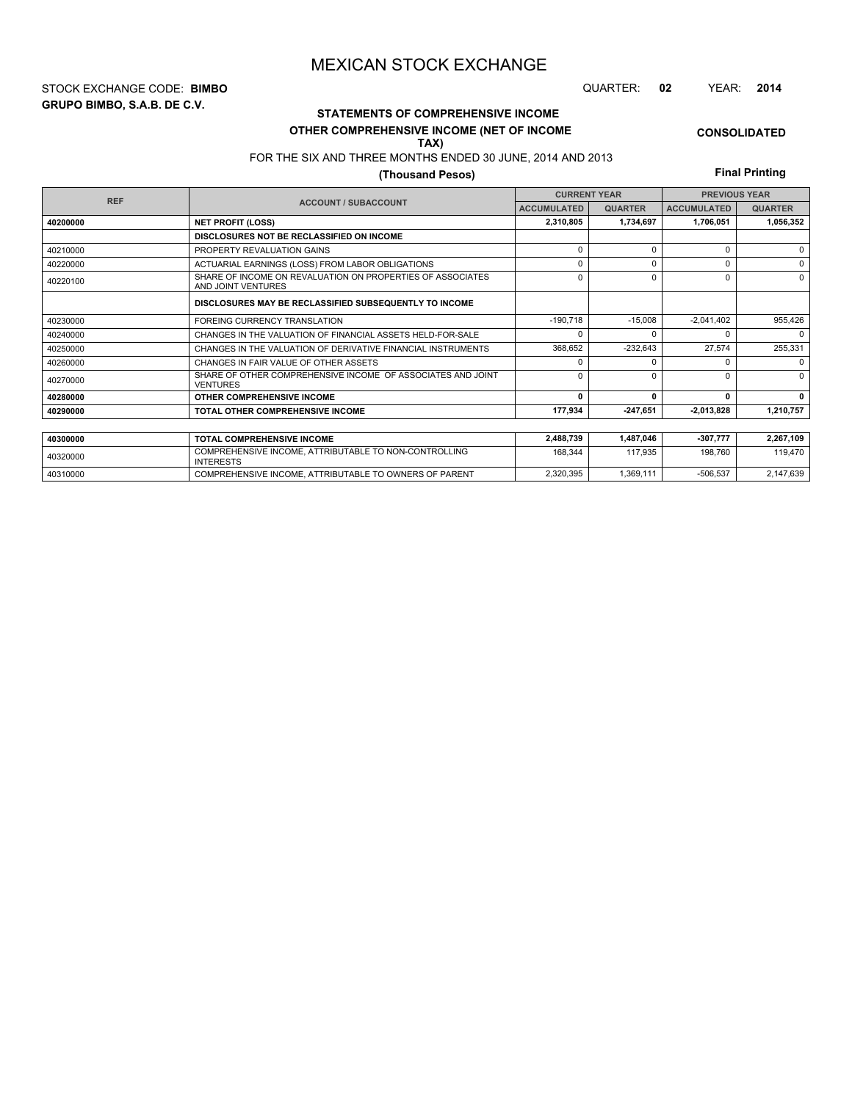**GRUPO BIMBO, S.A.B. DE C.V.** STOCK EXCHANGE CODE: **BIMBO** QUARTER: **02** YEAR: **2014**

# **STATEMENTS OF COMPREHENSIVE INCOME**

## **OTHER COMPREHENSIVE INCOME (NET OF INCOME**

#### FOR THE SIX AND THREE MONTHS ENDED 30 JUNE, 2014 AND 2013 **TAX)**

## **(Thousand Pesos)**

**Final Printing**

**CONSOLIDATED**

| <b>REF</b> |                                                                                  | <b>CURRENT YEAR</b> |                | <b>PREVIOUS YEAR</b> |                |  |
|------------|----------------------------------------------------------------------------------|---------------------|----------------|----------------------|----------------|--|
|            | <b>ACCOUNT / SUBACCOUNT</b>                                                      | <b>ACCUMULATED</b>  | <b>QUARTER</b> | <b>ACCUMULATED</b>   | <b>QUARTER</b> |  |
| 40200000   | <b>NET PROFIT (LOSS)</b>                                                         | 2,310,805           | 1,734,697      | 1,706,051            | 1,056,352      |  |
|            | DISCLOSURES NOT BE RECLASSIFIED ON INCOME                                        |                     |                |                      |                |  |
| 40210000   | PROPERTY REVALUATION GAINS                                                       | $\Omega$            | $\Omega$       | $\Omega$             | $\Omega$       |  |
| 40220000   | ACTUARIAL EARNINGS (LOSS) FROM LABOR OBLIGATIONS                                 | $\Omega$            | $\Omega$       | U                    | $\Omega$       |  |
| 40220100   | SHARE OF INCOME ON REVALUATION ON PROPERTIES OF ASSOCIATES<br>AND JOINT VENTURES | $\Omega$            | $\Omega$       | 0                    | $\Omega$       |  |
|            | DISCLOSURES MAY BE RECLASSIFIED SUBSEQUENTLY TO INCOME                           |                     |                |                      |                |  |
| 40230000   | <b>FOREING CURRENCY TRANSLATION</b>                                              | $-190,718$          | $-15.008$      | $-2,041,402$         | 955,426        |  |
| 40240000   | CHANGES IN THE VALUATION OF FINANCIAL ASSETS HELD-FOR-SALE                       | $\Omega$            |                |                      | $\Omega$       |  |
| 40250000   | CHANGES IN THE VALUATION OF DERIVATIVE FINANCIAL INSTRUMENTS                     | 368,652             | $-232,643$     | 27,574               | 255,331        |  |
| 40260000   | CHANGES IN FAIR VALUE OF OTHER ASSETS                                            | $\Omega$            |                |                      | $\Omega$       |  |
| 40270000   | SHARE OF OTHER COMPREHENSIVE INCOME OF ASSOCIATES AND JOINT<br><b>VENTURES</b>   | $\Omega$            | $\Omega$       | ŋ                    | $\Omega$       |  |
| 40280000   | OTHER COMPREHENSIVE INCOME                                                       | 0                   | $\Omega$       | 0                    | $\Omega$       |  |
| 40290000   | TOTAL OTHER COMPREHENSIVE INCOME                                                 | 177,934             | $-247,651$     | $-2,013,828$         | 1,210,757      |  |
|            |                                                                                  |                     |                |                      |                |  |
| 40300000   | <b>TOTAL COMPREHENSIVE INCOME</b>                                                | 2,488,739           | 1,487,046      | $-307,777$           | 2,267,109      |  |
| 40320000   | COMPREHENSIVE INCOME, ATTRIBUTABLE TO NON-CONTROLLING<br><b>INTERESTS</b>        | 168.344             | 117,935        | 198.760              | 119,470        |  |

40310000 COMPREHENSIVE INCOME, ATTRIBUTABLE TO OWNERS OF PARENT 2,320,395 1,369,111 -506,537 2,147,639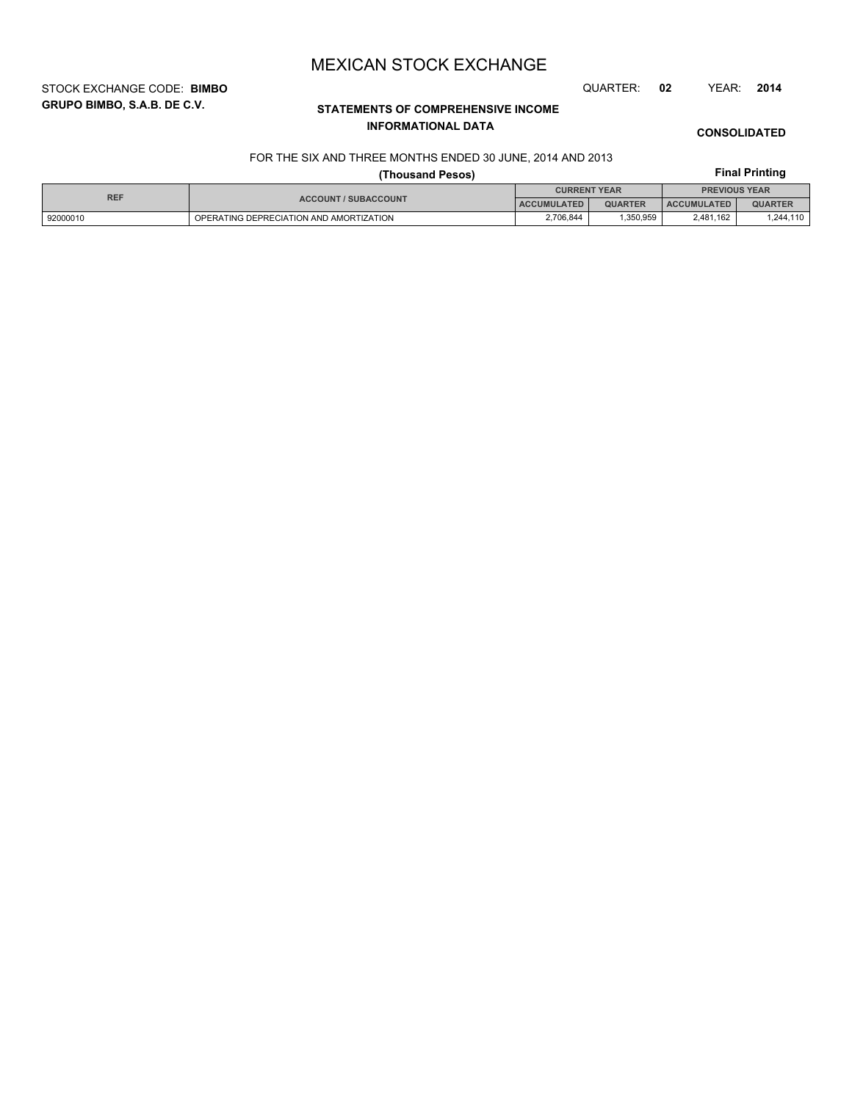STOCK EXCHANGE CODE: **BIMBO** QUARTER: **02** YEAR: **2014**

# **STATEMENTS OF COMPREHENSIVE INCOME INFORMATIONAL DATA**

## **CONSOLIDATED**

### FOR THE SIX AND THREE MONTHS ENDED 30 JUNE, 2014 AND 2013

# **Final Printing**

|            |                                         | <b>Final Printing</b> |                |                      |                |  |
|------------|-----------------------------------------|-----------------------|----------------|----------------------|----------------|--|
|            |                                         | <b>CURRENT YEAR</b>   |                | <b>PREVIOUS YEAR</b> |                |  |
| <b>REF</b> | <b>ACCOUNT / SUBACCOUNT</b>             | <b>ACCUMULATED</b>    | <b>QUARTER</b> | <b>ACCUMULATED</b>   | <b>QUARTER</b> |  |
| 92000010   | OPERATING DEPRECIATION AND AMORTIZATION | 2.706.844             | .350.959       | 2.481.162            | 1,244,110      |  |

# **GRUPO BIMBO, S.A.B. DE C.V.**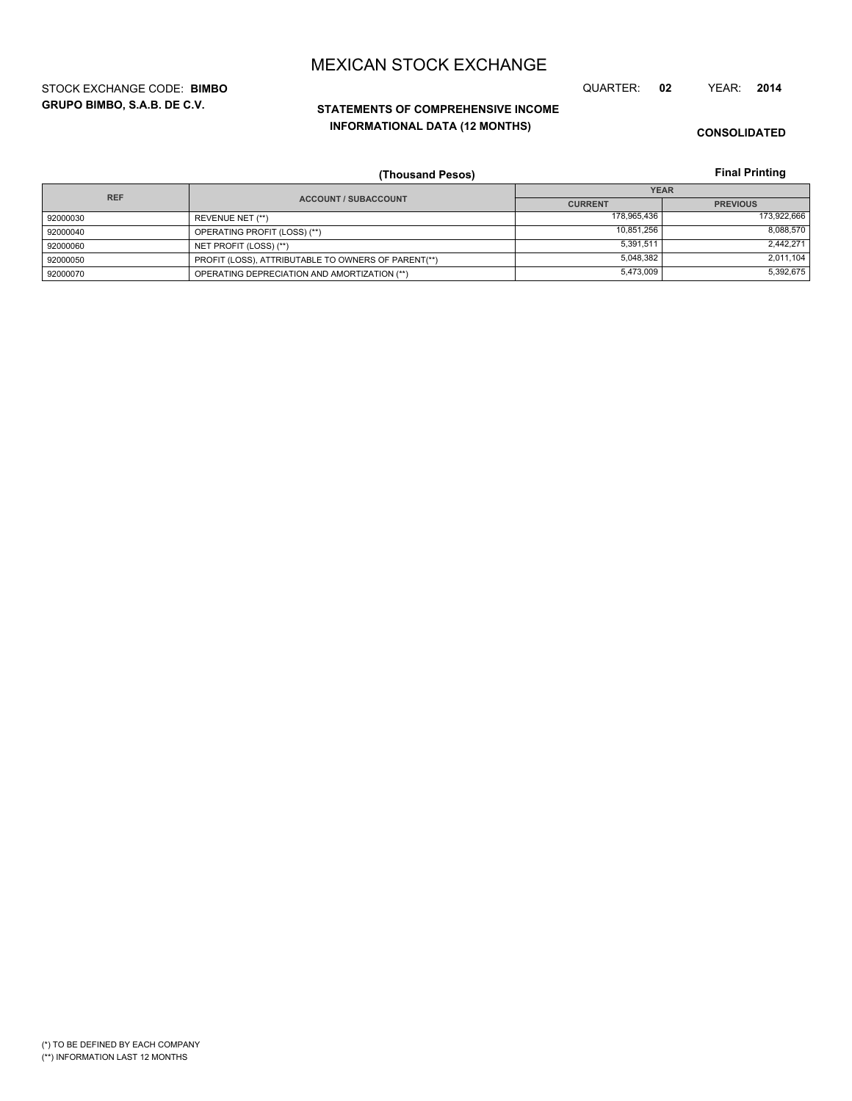**GRUPO BIMBO, S.A.B. DE C.V.** STOCK EXCHANGE CODE: **BIMBO** QUARTER: **02** YEAR: **2014**

# **STATEMENTS OF COMPREHENSIVE INCOME INFORMATIONAL DATA (12 MONTHS)**

**CONSOLIDATED**

**Final Printing**

|            | (Thousand Pesos)                                    |                | <b>Final Printing</b> |
|------------|-----------------------------------------------------|----------------|-----------------------|
| <b>REF</b> |                                                     |                | <b>YEAR</b>           |
|            | <b>ACCOUNT / SUBACCOUNT</b>                         | <b>CURRENT</b> | <b>PREVIOUS</b>       |
| 92000030   | REVENUE NET (**)                                    | 178,965,436    | 173,922,666           |
| 92000040   | OPERATING PROFIT (LOSS) (**)                        | 10.851.256     | 8,088,570             |
| 92000060   | NET PROFIT (LOSS) (**)                              | 5,391,511      | 2,442,271             |
| 92000050   | PROFIT (LOSS), ATTRIBUTABLE TO OWNERS OF PARENT(**) | 5.048.382      | 2,011,104             |
| 92000070   | OPERATING DEPRECIATION AND AMORTIZATION (**)        | 5,473,009      | 5,392,675             |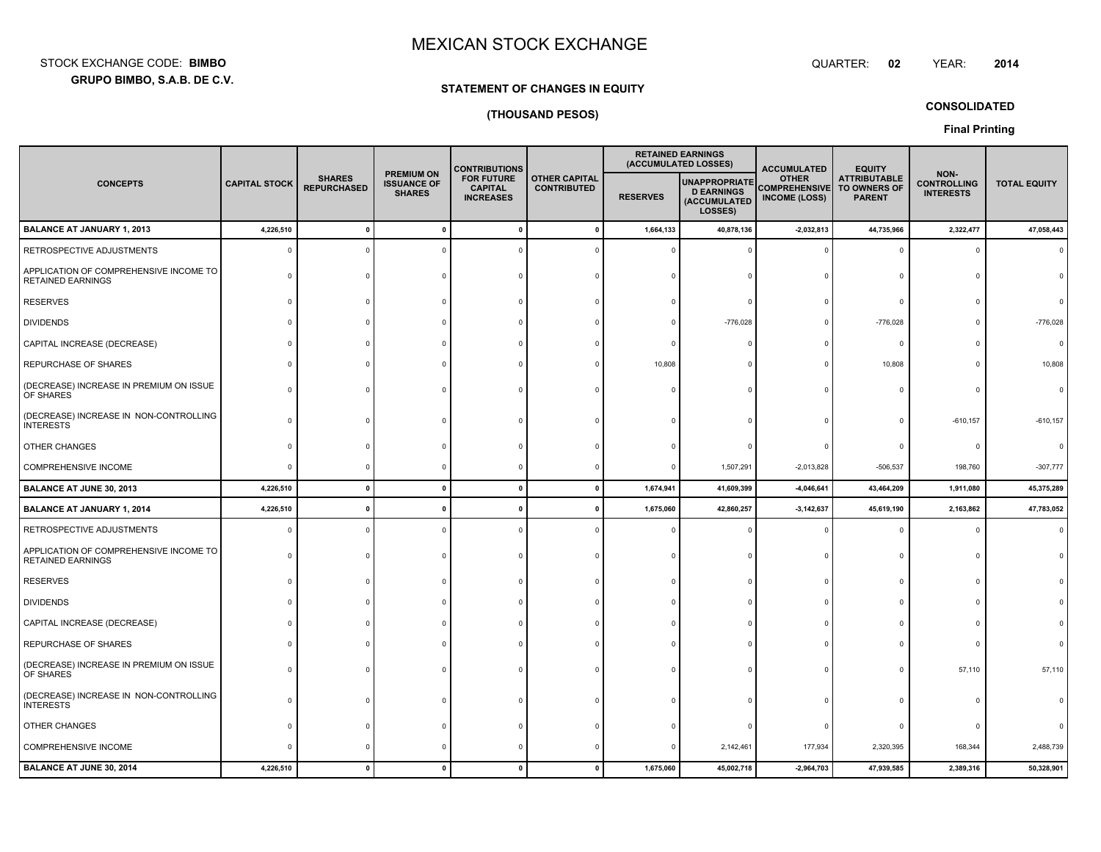**GRUPO BIMBO, S.A.B. DE C.V.** STOCK EXCHANGE CODE:**BIMBO**: BIMBO QUARTER:

**02**

**CONSOLIDATED**

# **STATEMENT OF CHANGES IN EQUITY(THOUSAND PESOS)**

**Final Printing**

|                                                                    |                      |                                     |                                                          | <b>CONTRIBUTIONS</b>                                    |                                            |                 | <b>RETAINED EARNINGS</b><br>(ACCUMULATED LOSSES)                     | <b>ACCUMULATED</b>                                                        | <b>EQUITY</b>                        |                                                |                     |
|--------------------------------------------------------------------|----------------------|-------------------------------------|----------------------------------------------------------|---------------------------------------------------------|--------------------------------------------|-----------------|----------------------------------------------------------------------|---------------------------------------------------------------------------|--------------------------------------|------------------------------------------------|---------------------|
| <b>CONCEPTS</b>                                                    | <b>CAPITAL STOCK</b> | <b>SHARES</b><br><b>REPURCHASED</b> | <b>PREMIUM ON</b><br><b>ISSUANCE OF</b><br><b>SHARES</b> | <b>FOR FUTURE</b><br><b>CAPITAL</b><br><b>INCREASES</b> | <b>OTHER CAPITAL</b><br><b>CONTRIBUTED</b> | <b>RESERVES</b> | <b>UNAPPROPRIATE</b><br><b>D EARNINGS</b><br>(ACCUMULATED<br>LOSSES) | <b>OTHER</b><br><b>COMPREHENSIVE</b> TO OWNERS OF<br><b>INCOME (LOSS)</b> | <b>ATTRIBUTABLE</b><br><b>PARENT</b> | NON-<br><b>CONTROLLING</b><br><b>INTERESTS</b> | <b>TOTAL EQUITY</b> |
| <b>BALANCE AT JANUARY 1, 2013</b>                                  | 4,226,510            |                                     | $\mathbf{0}$                                             |                                                         | - 0                                        | 1,664,133       | 40,878,136                                                           | $-2,032,813$                                                              | 44,735,966                           | 2,322,477                                      | 47,058,443          |
| RETROSPECTIVE ADJUSTMENTS                                          | $\Omega$             |                                     |                                                          |                                                         |                                            |                 |                                                                      |                                                                           |                                      |                                                |                     |
| APPLICATION OF COMPREHENSIVE INCOME TO<br><b>RETAINED EARNINGS</b> |                      |                                     |                                                          |                                                         |                                            |                 |                                                                      |                                                                           |                                      |                                                |                     |
| <b>RESERVES</b>                                                    |                      |                                     |                                                          |                                                         |                                            |                 |                                                                      |                                                                           |                                      |                                                |                     |
| <b>DIVIDENDS</b>                                                   |                      |                                     |                                                          |                                                         |                                            |                 | $-776,028$                                                           |                                                                           | $-776,028$                           |                                                | $-776,028$          |
| CAPITAL INCREASE (DECREASE)                                        |                      |                                     |                                                          |                                                         |                                            |                 |                                                                      |                                                                           | $\Omega$                             |                                                |                     |
| REPURCHASE OF SHARES                                               |                      |                                     |                                                          |                                                         |                                            | 10,808          |                                                                      |                                                                           | 10,808                               |                                                | 10,808              |
| (DECREASE) INCREASE IN PREMIUM ON ISSUE<br>OF SHARES               |                      |                                     |                                                          |                                                         |                                            |                 |                                                                      |                                                                           |                                      |                                                |                     |
| (DECREASE) INCREASE IN NON-CONTROLLING<br><b>INTERESTS</b>         |                      |                                     |                                                          |                                                         |                                            |                 |                                                                      |                                                                           |                                      | $-610, 157$                                    | $-610, 157$         |
| OTHER CHANGES                                                      |                      |                                     |                                                          |                                                         |                                            |                 |                                                                      |                                                                           |                                      |                                                |                     |
| COMPREHENSIVE INCOME                                               |                      |                                     |                                                          |                                                         |                                            |                 | 1,507,291                                                            | $-2,013,828$                                                              | $-506,537$                           | 198,760                                        | $-307,777$          |
| BALANCE AT JUNE 30, 2013                                           | 4,226,510            |                                     | $\mathbf{0}$                                             |                                                         |                                            | 1,674,941       | 41,609,399                                                           | $-4,046,641$                                                              | 43,464,209                           | 1,911,080                                      | 45,375,289          |
| <b>BALANCE AT JANUARY 1, 2014</b>                                  | 4,226,510            |                                     | $\mathbf{r}$                                             |                                                         |                                            | 1,675,060       | 42,860,257                                                           | $-3,142,637$                                                              | 45,619,190                           | 2,163,862                                      | 47,783,052          |
| RETROSPECTIVE ADJUSTMENTS                                          |                      |                                     |                                                          |                                                         |                                            |                 |                                                                      |                                                                           |                                      |                                                |                     |
| APPLICATION OF COMPREHENSIVE INCOME TO<br><b>RETAINED EARNINGS</b> |                      |                                     |                                                          |                                                         |                                            |                 |                                                                      |                                                                           |                                      |                                                |                     |
| <b>RESERVES</b>                                                    |                      |                                     |                                                          |                                                         |                                            |                 |                                                                      |                                                                           |                                      |                                                |                     |
| <b>DIVIDENDS</b>                                                   |                      |                                     |                                                          |                                                         |                                            |                 |                                                                      |                                                                           |                                      |                                                |                     |
| CAPITAL INCREASE (DECREASE)                                        |                      |                                     |                                                          |                                                         |                                            |                 |                                                                      |                                                                           |                                      |                                                |                     |
| REPURCHASE OF SHARES                                               |                      |                                     |                                                          |                                                         |                                            |                 |                                                                      |                                                                           |                                      |                                                |                     |
| (DECREASE) INCREASE IN PREMIUM ON ISSUE<br>OF SHARES               |                      |                                     |                                                          |                                                         |                                            |                 |                                                                      |                                                                           |                                      | 57,110                                         | 57,110              |
| (DECREASE) INCREASE IN NON-CONTROLLING<br><b>INTERESTS</b>         |                      |                                     |                                                          |                                                         |                                            |                 |                                                                      |                                                                           |                                      |                                                |                     |
| OTHER CHANGES                                                      |                      |                                     |                                                          |                                                         |                                            |                 |                                                                      |                                                                           |                                      |                                                |                     |
| COMPREHENSIVE INCOME                                               |                      |                                     |                                                          |                                                         |                                            |                 | 2,142,461                                                            | 177,934                                                                   | 2,320,395                            | 168,344                                        | 2,488,739           |
| <b>BALANCE AT JUNE 30, 2014</b>                                    | 4,226,510            |                                     |                                                          |                                                         |                                            | 1,675,060       | 45,002,718                                                           | $-2,964,703$                                                              | 47,939,585                           | 2,389,316                                      | 50,328,901          |

YEAR: **<sup>2014</sup>**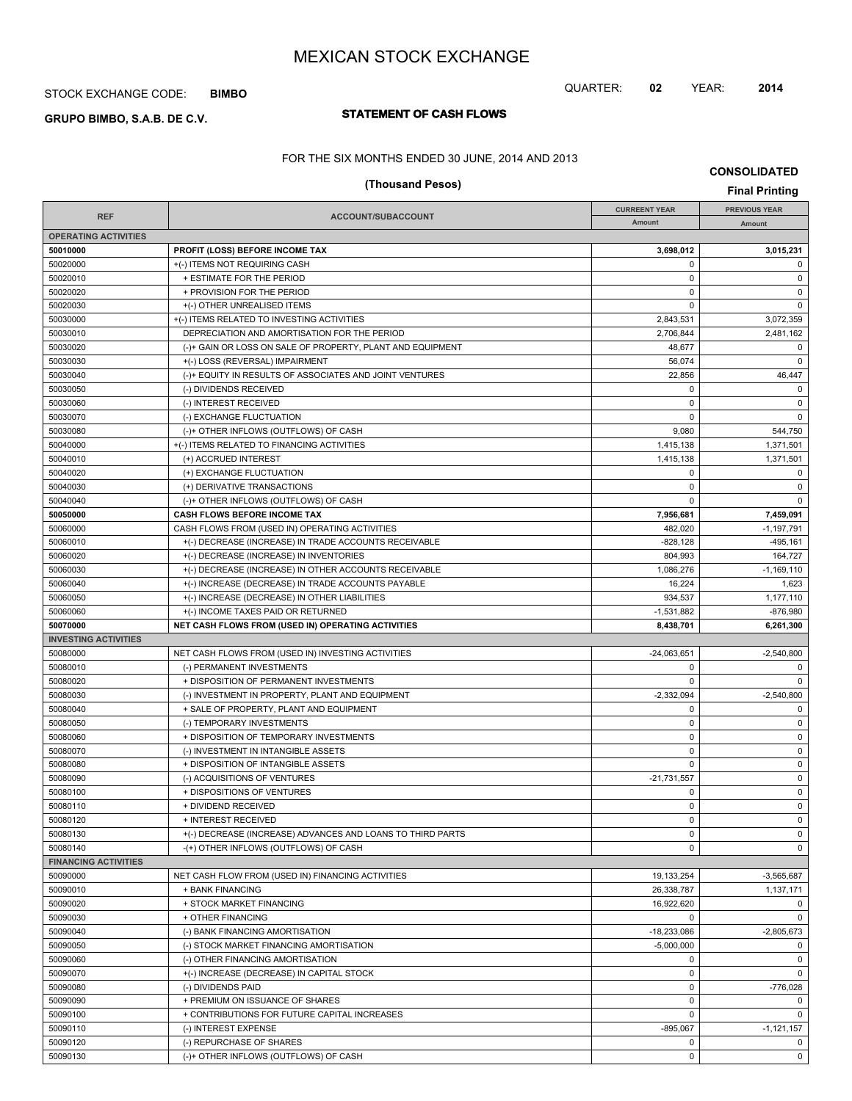## STOCK EXCHANGE CODE: **BIMBO**

# **STATEMENT OF CASH FLOWS GRUPO BIMBO, S.A.B. DE C.V.**

# QUARTER: **02** YEAR: **2014**

FOR THE SIX MONTHS ENDED 30 JUNE, 2014 AND 2013

**CONSOLIDATED**

| (Thousand Pesos)            |                                                            |                      |                                               |
|-----------------------------|------------------------------------------------------------|----------------------|-----------------------------------------------|
|                             |                                                            | <b>CURREENT YEAR</b> | <b>Final Printing</b><br><b>PREVIOUS YEAR</b> |
| <b>REF</b>                  | ACCOUNT/SUBACCOUNT                                         | Amount               | Amount                                        |
| <b>OPERATING ACTIVITIES</b> |                                                            |                      |                                               |
| 50010000                    | PROFIT (LOSS) BEFORE INCOME TAX                            | 3,698,012            | 3,015,231                                     |
| 50020000                    | +(-) ITEMS NOT REQUIRING CASH                              | $\mathbf 0$          | 0                                             |
| 50020010                    | + ESTIMATE FOR THE PERIOD                                  | $\mathbf 0$          | $\mathbf 0$                                   |
| 50020020                    | + PROVISION FOR THE PERIOD                                 | $\mathbf 0$          | $\mathbf 0$                                   |
| 50020030                    | +(-) OTHER UNREALISED ITEMS                                | 0                    | $\mathbf 0$                                   |
| 50030000                    | +(-) ITEMS RELATED TO INVESTING ACTIVITIES                 | 2,843,531            | 3,072,359                                     |
| 50030010                    | DEPRECIATION AND AMORTISATION FOR THE PERIOD               | 2,706,844            | 2,481,162                                     |
| 50030020                    | (-)+ GAIN OR LOSS ON SALE OF PROPERTY, PLANT AND EQUIPMENT | 48,677               | $\mathbf 0$                                   |
| 50030030                    | +(-) LOSS (REVERSAL) IMPAIRMENT                            | 56,074               | $\mathbf 0$                                   |
| 50030040                    | (-)+ EQUITY IN RESULTS OF ASSOCIATES AND JOINT VENTURES    | 22,856               | 46,447                                        |
| 50030050                    | (-) DIVIDENDS RECEIVED                                     | $\mathbf 0$          | $\mathbf 0$                                   |
| 50030060                    | (-) INTEREST RECEIVED                                      | $\mathbf 0$          | $\mathbf 0$                                   |
| 50030070                    | (-) EXCHANGE FLUCTUATION                                   | $\mathbf 0$          | $\mathbf 0$                                   |
| 50030080                    | (-)+ OTHER INFLOWS (OUTFLOWS) OF CASH                      | 9,080                | 544,750                                       |
| 50040000                    | +(-) ITEMS RELATED TO FINANCING ACTIVITIES                 | 1,415,138            | 1,371,501                                     |
| 50040010                    | (+) ACCRUED INTEREST                                       | 1,415,138            | 1,371,501                                     |
| 50040020                    | (+) EXCHANGE FLUCTUATION                                   | 0                    | $\mathbf 0$                                   |
| 50040030                    | (+) DERIVATIVE TRANSACTIONS                                | $\mathbf 0$          | $\mathbf 0$                                   |
| 50040040                    | (-)+ OTHER INFLOWS (OUTFLOWS) OF CASH                      | $\Omega$             | $\mathbf 0$                                   |
| 50050000                    | CASH FLOWS BEFORE INCOME TAX                               | 7,956,681            | 7,459,091                                     |
| 50060000                    | CASH FLOWS FROM (USED IN) OPERATING ACTIVITIES             | 482,020              | $-1,197,791$                                  |
| 50060010                    | +(-) DECREASE (INCREASE) IN TRADE ACCOUNTS RECEIVABLE      | $-828,128$           | $-495, 161$                                   |
| 50060020                    | +(-) DECREASE (INCREASE) IN INVENTORIES                    | 804,993              | 164,727                                       |
| 50060030                    | +(-) DECREASE (INCREASE) IN OTHER ACCOUNTS RECEIVABLE      | 1.086.276            | $-1,169,110$                                  |
| 50060040                    | +(-) INCREASE (DECREASE) IN TRADE ACCOUNTS PAYABLE         | 16,224               | 1,623                                         |
| 50060050                    | +(-) INCREASE (DECREASE) IN OTHER LIABILITIES              | 934,537              | 1,177,110                                     |
| 50060060                    | +(-) INCOME TAXES PAID OR RETURNED                         | $-1,531,882$         | $-876,980$                                    |
| 50070000                    | NET CASH FLOWS FROM (USED IN) OPERATING ACTIVITIES         | 8,438,701            | 6,261,300                                     |
| <b>INVESTING ACTIVITIES</b> |                                                            |                      |                                               |
| 50080000                    | NET CASH FLOWS FROM (USED IN) INVESTING ACTIVITIES         | $-24,063,651$        | $-2,540,800$                                  |
| 50080010                    | (-) PERMANENT INVESTMENTS                                  | $\mathbf 0$          | $\mathbf 0$                                   |
| 50080020                    | + DISPOSITION OF PERMANENT INVESTMENTS                     | $\mathbf 0$          | $\mathbf 0$                                   |
| 50080030                    | (-) INVESTMENT IN PROPERTY, PLANT AND EQUIPMENT            | $-2,332,094$         | $-2,540,800$                                  |
| 50080040                    | + SALE OF PROPERTY, PLANT AND EQUIPMENT                    | $\mathbf 0$          | $\mathbf 0$                                   |
| 50080050                    | (-) TEMPORARY INVESTMENTS                                  | $\mathbf 0$          | $\mathbf 0$                                   |
| 50080060                    | + DISPOSITION OF TEMPORARY INVESTMENTS                     | $\mathbf 0$          | $\mathbf 0$                                   |
| 50080070                    | (-) INVESTMENT IN INTANGIBLE ASSETS                        | $\mathbf 0$          | $\mathbf 0$                                   |
| 50080080                    | + DISPOSITION OF INTANGIBLE ASSETS                         | $\mathbf 0$          | $\mathbf 0$                                   |
| 50080090                    | (-) ACQUISITIONS OF VENTURES                               | $-21,731,557$        | $\mathbf 0$                                   |
| 50080100                    | + DISPOSITIONS OF VENTURES                                 | $\mathbf 0$          | $\mathbf 0$                                   |
| 50080110                    | + DIVIDEND RECEIVED                                        | 0                    | 0                                             |
| 50080120                    | + INTEREST RECEIVED                                        | $\mathbf 0$          | $\mathbf 0$                                   |
| 50080130                    | +(-) DECREASE (INCREASE) ADVANCES AND LOANS TO THIRD PARTS | $\mathbf 0$          | $\mathbf 0$                                   |
| 50080140                    | -(+) OTHER INFLOWS (OUTFLOWS) OF CASH                      | 0                    | $\mathbf 0$                                   |
| <b>FINANCING ACTIVITIES</b> |                                                            |                      |                                               |
| 50090000                    | NET CASH FLOW FROM (USED IN) FINANCING ACTIVITIES          | 19,133,254           | $-3,565,687$                                  |
| 50090010                    | + BANK FINANCING                                           | 26,338,787           | 1,137,171                                     |
| 50090020                    | + STOCK MARKET FINANCING                                   | 16,922,620           | $\mathbf 0$                                   |
| 50090030                    | + OTHER FINANCING                                          | 0                    | $\mathbf 0$                                   |
| 50090040                    | (-) BANK FINANCING AMORTISATION                            | -18,233,086          | $-2,805,673$                                  |
| 50090050                    | (-) STOCK MARKET FINANCING AMORTISATION                    | $-5,000,000$         | $\mathbf 0$                                   |
| 50090060                    | (-) OTHER FINANCING AMORTISATION                           | $\mathbf 0$          | $\mathbf 0$                                   |
| 50090070                    |                                                            | $\mathbf 0$          | $\mathbf 0$                                   |
|                             | +(-) INCREASE (DECREASE) IN CAPITAL STOCK                  | $\mathbf 0$          |                                               |
| 50090080                    | (-) DIVIDENDS PAID                                         |                      | $-776,028$                                    |
| 50090090                    | + PREMIUM ON ISSUANCE OF SHARES                            | $\mathbf 0$          | $\mathbf 0$                                   |
| 50090100                    | + CONTRIBUTIONS FOR FUTURE CAPITAL INCREASES               | $\mathbf 0$          | $\mathbf 0$                                   |
| 50090110                    | (-) INTEREST EXPENSE                                       | $-895,067$           | $-1, 121, 157$                                |
| 50090120                    | (-) REPURCHASE OF SHARES                                   | $\mathbf 0$          | 0                                             |
| 50090130                    | (-)+ OTHER INFLOWS (OUTFLOWS) OF CASH                      | $\mathsf 0$          | $\mathbf 0$                                   |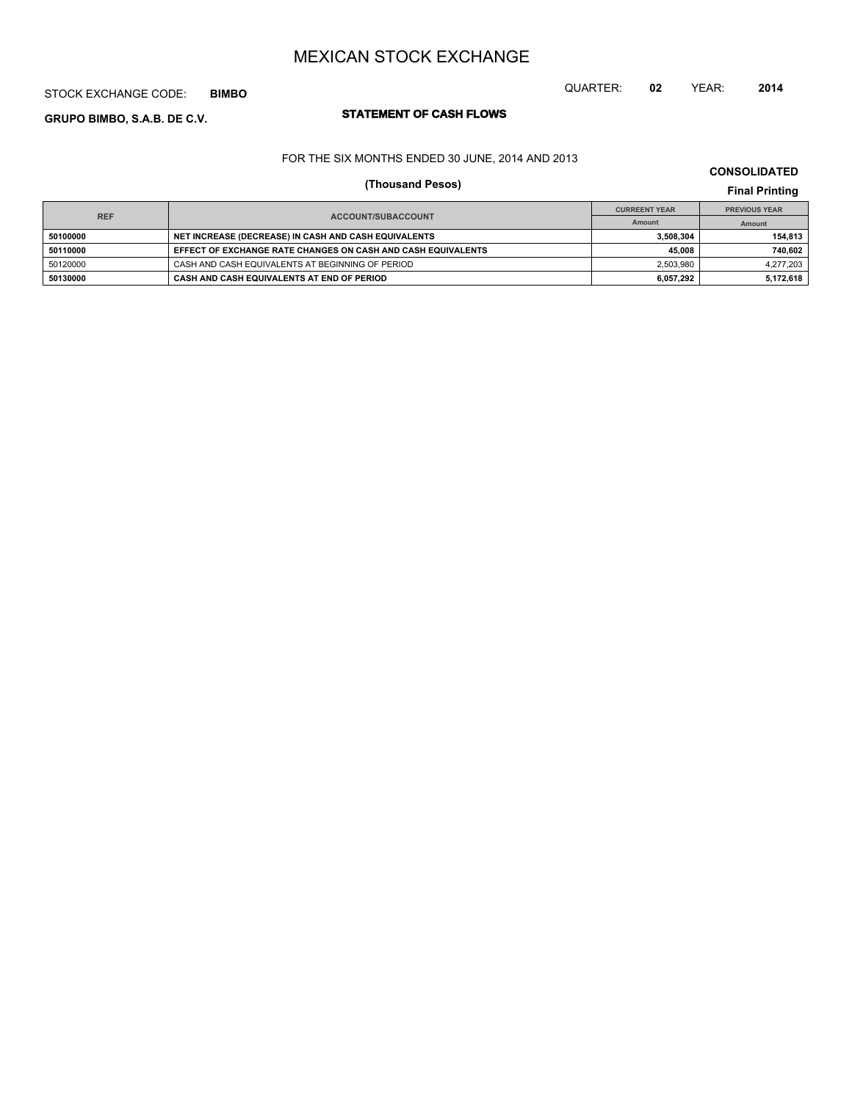## STOCK EXCHANGE CODE: **BIMBO**

# **STATEMENT OF CASH FLOWS GRUPO BIMBO, S.A.B. DE C.V.**

### FOR THE SIX MONTHS ENDED 30 JUNE, 2014 AND 2013

# **(Thousand Pesos) Final Printing**

|            |                                                              | <b>CURREENT YEAR</b> | <b>PREVIOUS YEAR</b> |  |
|------------|--------------------------------------------------------------|----------------------|----------------------|--|
| <b>REF</b> | <b>ACCOUNT/SUBACCOUNT</b>                                    | Amount               | Amount               |  |
| 50100000   | NET INCREASE (DECREASE) IN CASH AND CASH EQUIVALENTS         | 3.508.304            | 154.813              |  |
| 50110000   | EFFECT OF EXCHANGE RATE CHANGES ON CASH AND CASH EQUIVALENTS | 45.008               | 740,602              |  |
| 50120000   | CASH AND CASH EQUIVALENTS AT BEGINNING OF PERIOD             | 2,503,980            | 4.277.203            |  |
| 50130000   | CASH AND CASH EQUIVALENTS AT END OF PERIOD                   | 6.057.292            | 5,172,618            |  |

# **CONSOLIDATED**

QUARTER: **02** YEAR: **2014**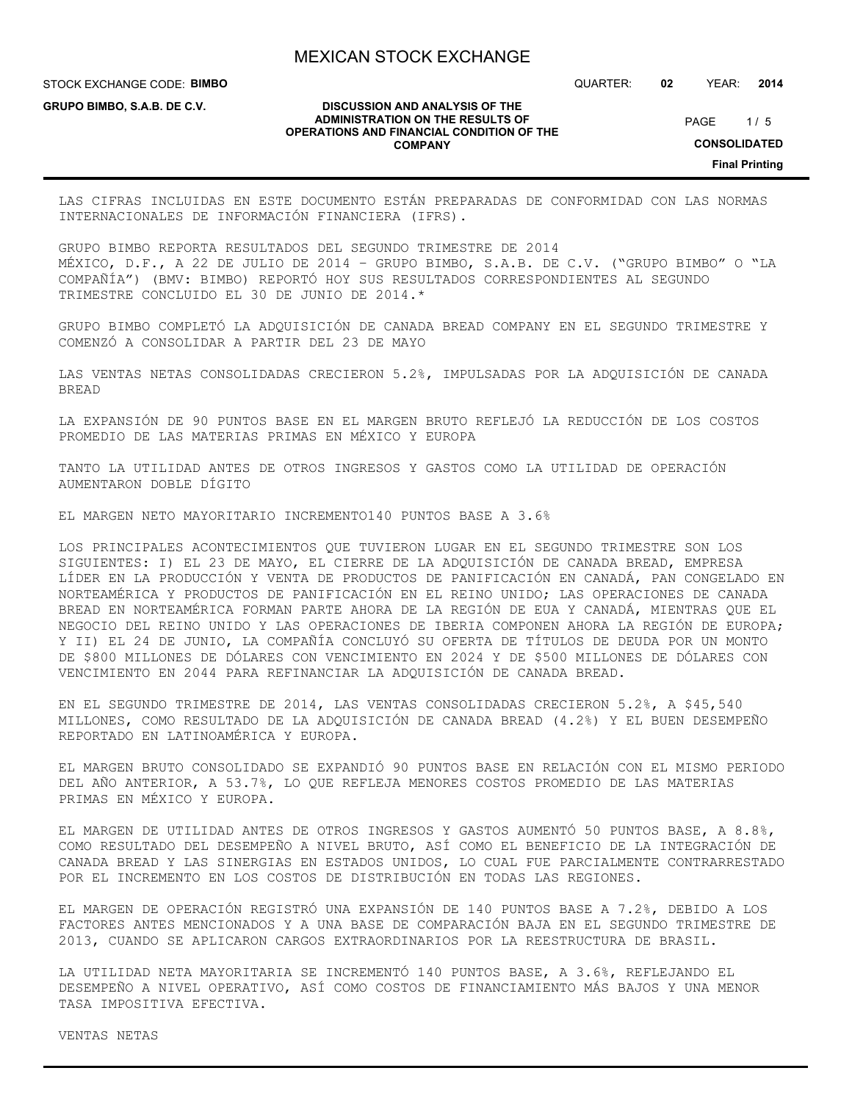**DISCUSSION AND ANALYSIS OF THE ADMINISTRATION ON THE RESULTS OF OPERATIONS AND FINANCIAL CONDITION OF THE COMPANY**

STOCK EXCHANGE CODE: **BIMBO**

**GRUPO BIMBO, S.A.B. DE C.V.**

QUARTER: **02** YEAR: **2014**

 $1/5$ PAGE

**CONSOLIDATED**

**Final Printing**

LAS CIFRAS INCLUIDAS EN ESTE DOCUMENTO ESTÁN PREPARADAS DE CONFORMIDAD CON LAS NORMAS INTERNACIONALES DE INFORMACIÓN FINANCIERA (IFRS).

GRUPO BIMBO REPORTA RESULTADOS DEL SEGUNDO TRIMESTRE DE 2014 MÉXICO, D.F., A 22 DE JULIO DE 2014 – GRUPO BIMBO, S.A.B. DE C.V. ("GRUPO BIMBO" O "LA COMPAÑÍA") (BMV: BIMBO) REPORTÓ HOY SUS RESULTADOS CORRESPONDIENTES AL SEGUNDO TRIMESTRE CONCLUIDO EL 30 DE JUNIO DE 2014.\*

GRUPO BIMBO COMPLETÓ LA ADQUISICIÓN DE CANADA BREAD COMPANY EN EL SEGUNDO TRIMESTRE Y COMENZÓ A CONSOLIDAR A PARTIR DEL 23 DE MAYO

LAS VENTAS NETAS CONSOLIDADAS CRECIERON 5.2%, IMPULSADAS POR LA ADQUISICIÓN DE CANADA BREAD

LA EXPANSIÓN DE 90 PUNTOS BASE EN EL MARGEN BRUTO REFLEJÓ LA REDUCCIÓN DE LOS COSTOS PROMEDIO DE LAS MATERIAS PRIMAS EN MÉXICO Y EUROPA

TANTO LA UTILIDAD ANTES DE OTROS INGRESOS Y GASTOS COMO LA UTILIDAD DE OPERACIÓN AUMENTARON DOBLE DÍGITO

EL MARGEN NETO MAYORITARIO INCREMENTO140 PUNTOS BASE A 3.6%

LOS PRINCIPALES ACONTECIMIENTOS QUE TUVIERON LUGAR EN EL SEGUNDO TRIMESTRE SON LOS SIGUIENTES: I) EL 23 DE MAYO, EL CIERRE DE LA ADQUISICIÓN DE CANADA BREAD, EMPRESA LÍDER EN LA PRODUCCIÓN Y VENTA DE PRODUCTOS DE PANIFICACIÓN EN CANADÁ, PAN CONGELADO EN NORTEAMÉRICA Y PRODUCTOS DE PANIFICACIÓN EN EL REINO UNIDO; LAS OPERACIONES DE CANADA BREAD EN NORTEAMÉRICA FORMAN PARTE AHORA DE LA REGIÓN DE EUA Y CANADÁ, MIENTRAS QUE EL NEGOCIO DEL REINO UNIDO Y LAS OPERACIONES DE IBERIA COMPONEN AHORA LA REGIÓN DE EUROPA; Y II) EL 24 DE JUNIO, LA COMPAÑÍA CONCLUYÓ SU OFERTA DE TÍTULOS DE DEUDA POR UN MONTO DE \$800 MILLONES DE DÓLARES CON VENCIMIENTO EN 2024 Y DE \$500 MILLONES DE DÓLARES CON VENCIMIENTO EN 2044 PARA REFINANCIAR LA ADQUISICIÓN DE CANADA BREAD.

EN EL SEGUNDO TRIMESTRE DE 2014, LAS VENTAS CONSOLIDADAS CRECIERON 5.2%, A \$45,540 MILLONES, COMO RESULTADO DE LA ADQUISICIÓN DE CANADA BREAD (4.2%) Y EL BUEN DESEMPEÑO REPORTADO EN LATINOAMÉRICA Y EUROPA.

EL MARGEN BRUTO CONSOLIDADO SE EXPANDIÓ 90 PUNTOS BASE EN RELACIÓN CON EL MISMO PERIODO DEL AÑO ANTERIOR, A 53.7%, LO QUE REFLEJA MENORES COSTOS PROMEDIO DE LAS MATERIAS PRIMAS EN MÉXICO Y EUROPA.

EL MARGEN DE UTILIDAD ANTES DE OTROS INGRESOS Y GASTOS AUMENTÓ 50 PUNTOS BASE, A 8.8%, COMO RESULTADO DEL DESEMPEÑO A NIVEL BRUTO, ASÍ COMO EL BENEFICIO DE LA INTEGRACIÓN DE CANADA BREAD Y LAS SINERGIAS EN ESTADOS UNIDOS, LO CUAL FUE PARCIALMENTE CONTRARRESTADO POR EL INCREMENTO EN LOS COSTOS DE DISTRIBUCIÓN EN TODAS LAS REGIONES.

EL MARGEN DE OPERACIÓN REGISTRÓ UNA EXPANSIÓN DE 140 PUNTOS BASE A 7.2%, DEBIDO A LOS FACTORES ANTES MENCIONADOS Y A UNA BASE DE COMPARACIÓN BAJA EN EL SEGUNDO TRIMESTRE DE 2013, CUANDO SE APLICARON CARGOS EXTRAORDINARIOS POR LA REESTRUCTURA DE BRASIL.

LA UTILIDAD NETA MAYORITARIA SE INCREMENTÓ 140 PUNTOS BASE, A 3.6%, REFLEJANDO EL DESEMPEÑO A NIVEL OPERATIVO, ASÍ COMO COSTOS DE FINANCIAMIENTO MÁS BAJOS Y UNA MENOR TASA IMPOSITIVA EFECTIVA.

VENTAS NETAS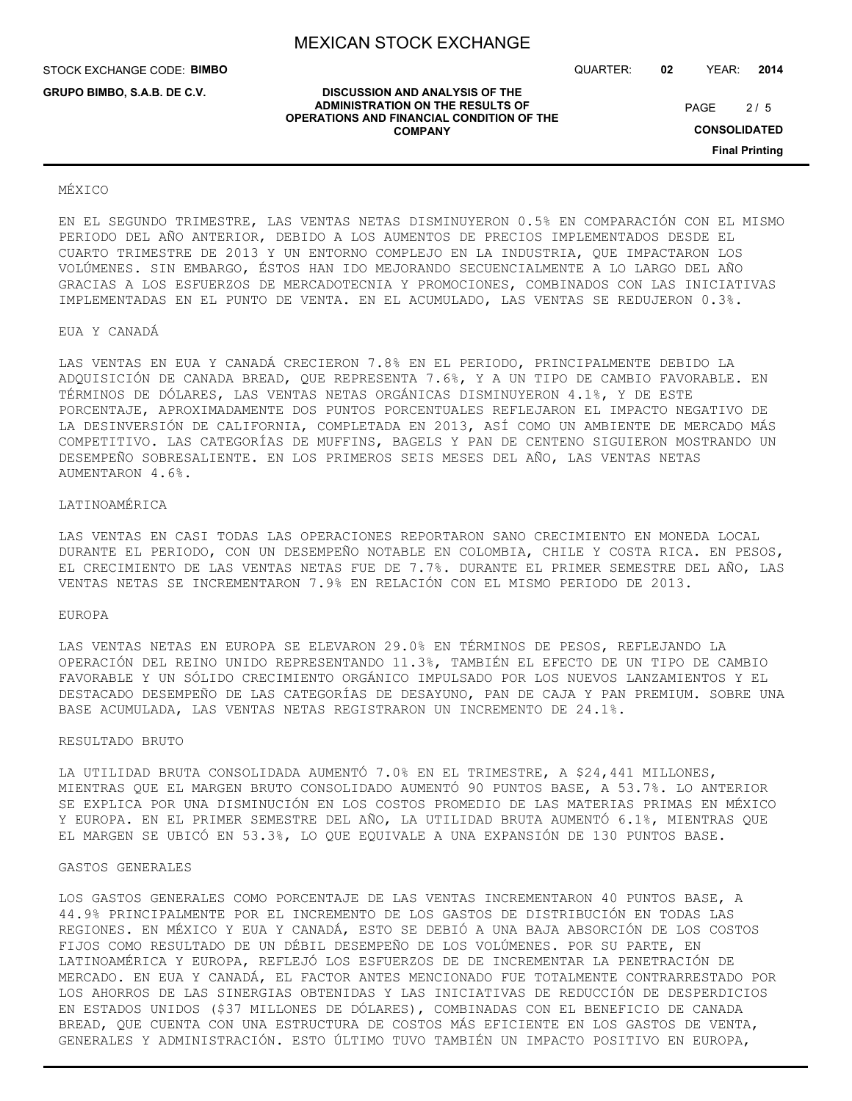**DISCUSSION AND ANALYSIS OF THE ADMINISTRATION ON THE RESULTS OF OPERATIONS AND FINANCIAL CONDITION OF THE COMPANY**

STOCK EXCHANGE CODE: **BIMBO**

**GRUPO BIMBO, S.A.B. DE C.V.**

QUARTER: **02** YEAR: **2014**

 $2/5$ PAGE

**CONSOLIDATED**

**Final Printing**

#### MÉXICO

EN EL SEGUNDO TRIMESTRE, LAS VENTAS NETAS DISMINUYERON 0.5% EN COMPARACIÓN CON EL MISMO PERIODO DEL AÑO ANTERIOR, DEBIDO A LOS AUMENTOS DE PRECIOS IMPLEMENTADOS DESDE EL CUARTO TRIMESTRE DE 2013 Y UN ENTORNO COMPLEJO EN LA INDUSTRIA, QUE IMPACTARON LOS VOLÚMENES. SIN EMBARGO, ÉSTOS HAN IDO MEJORANDO SECUENCIALMENTE A LO LARGO DEL AÑO GRACIAS A LOS ESFUERZOS DE MERCADOTECNIA Y PROMOCIONES, COMBINADOS CON LAS INICIATIVAS IMPLEMENTADAS EN EL PUNTO DE VENTA. EN EL ACUMULADO, LAS VENTAS SE REDUJERON 0.3%.

#### EUA Y CANADÁ

LAS VENTAS EN EUA Y CANADÁ CRECIERON 7.8% EN EL PERIODO, PRINCIPALMENTE DEBIDO LA ADQUISICIÓN DE CANADA BREAD, QUE REPRESENTA 7.6%, Y A UN TIPO DE CAMBIO FAVORABLE. EN TÉRMINOS DE DÓLARES, LAS VENTAS NETAS ORGÁNICAS DISMINUYERON 4.1%, Y DE ESTE PORCENTAJE, APROXIMADAMENTE DOS PUNTOS PORCENTUALES REFLEJARON EL IMPACTO NEGATIVO DE LA DESINVERSIÓN DE CALIFORNIA, COMPLETADA EN 2013, ASÍ COMO UN AMBIENTE DE MERCADO MÁS COMPETITIVO. LAS CATEGORÍAS DE MUFFINS, BAGELS Y PAN DE CENTENO SIGUIERON MOSTRANDO UN DESEMPEÑO SOBRESALIENTE. EN LOS PRIMEROS SEIS MESES DEL AÑO, LAS VENTAS NETAS AUMENTARON 4.6%.

#### LATINOAMÉRICA

LAS VENTAS EN CASI TODAS LAS OPERACIONES REPORTARON SANO CRECIMIENTO EN MONEDA LOCAL DURANTE EL PERIODO, CON UN DESEMPEÑO NOTABLE EN COLOMBIA, CHILE Y COSTA RICA. EN PESOS, EL CRECIMIENTO DE LAS VENTAS NETAS FUE DE 7.7%. DURANTE EL PRIMER SEMESTRE DEL AÑO, LAS VENTAS NETAS SE INCREMENTARON 7.9% EN RELACIÓN CON EL MISMO PERIODO DE 2013.

#### EUROPA

LAS VENTAS NETAS EN EUROPA SE ELEVARON 29.0% EN TÉRMINOS DE PESOS, REFLEJANDO LA OPERACIÓN DEL REINO UNIDO REPRESENTANDO 11.3%, TAMBIÉN EL EFECTO DE UN TIPO DE CAMBIO FAVORABLE Y UN SÓLIDO CRECIMIENTO ORGÁNICO IMPULSADO POR LOS NUEVOS LANZAMIENTOS Y EL DESTACADO DESEMPEÑO DE LAS CATEGORÍAS DE DESAYUNO, PAN DE CAJA Y PAN PREMIUM. SOBRE UNA BASE ACUMULADA, LAS VENTAS NETAS REGISTRARON UN INCREMENTO DE 24.1%.

#### RESULTADO BRUTO

LA UTILIDAD BRUTA CONSOLIDADA AUMENTÓ 7.0% EN EL TRIMESTRE, A \$24,441 MILLONES, MIENTRAS QUE EL MARGEN BRUTO CONSOLIDADO AUMENTÓ 90 PUNTOS BASE, A 53.7%. LO ANTERIOR SE EXPLICA POR UNA DISMINUCIÓN EN LOS COSTOS PROMEDIO DE LAS MATERIAS PRIMAS EN MÉXICO Y EUROPA. EN EL PRIMER SEMESTRE DEL AÑO, LA UTILIDAD BRUTA AUMENTÓ 6.1%, MIENTRAS QUE EL MARGEN SE UBICÓ EN 53.3%, LO QUE EQUIVALE A UNA EXPANSIÓN DE 130 PUNTOS BASE.

#### GASTOS GENERALES

LOS GASTOS GENERALES COMO PORCENTAJE DE LAS VENTAS INCREMENTARON 40 PUNTOS BASE, A 44.9% PRINCIPALMENTE POR EL INCREMENTO DE LOS GASTOS DE DISTRIBUCIÓN EN TODAS LAS REGIONES. EN MÉXICO Y EUA Y CANADÁ, ESTO SE DEBIÓ A UNA BAJA ABSORCIÓN DE LOS COSTOS FIJOS COMO RESULTADO DE UN DÉBIL DESEMPEÑO DE LOS VOLÚMENES. POR SU PARTE, EN LATINOAMÉRICA Y EUROPA, REFLEJÓ LOS ESFUERZOS DE DE INCREMENTAR LA PENETRACIÓN DE MERCADO. EN EUA Y CANADÁ, EL FACTOR ANTES MENCIONADO FUE TOTALMENTE CONTRARRESTADO POR LOS AHORROS DE LAS SINERGIAS OBTENIDAS Y LAS INICIATIVAS DE REDUCCIÓN DE DESPERDICIOS EN ESTADOS UNIDOS (\$37 MILLONES DE DÓLARES), COMBINADAS CON EL BENEFICIO DE CANADA BREAD, QUE CUENTA CON UNA ESTRUCTURA DE COSTOS MÁS EFICIENTE EN LOS GASTOS DE VENTA, GENERALES Y ADMINISTRACIÓN. ESTO ÚLTIMO TUVO TAMBIÉN UN IMPACTO POSITIVO EN EUROPA,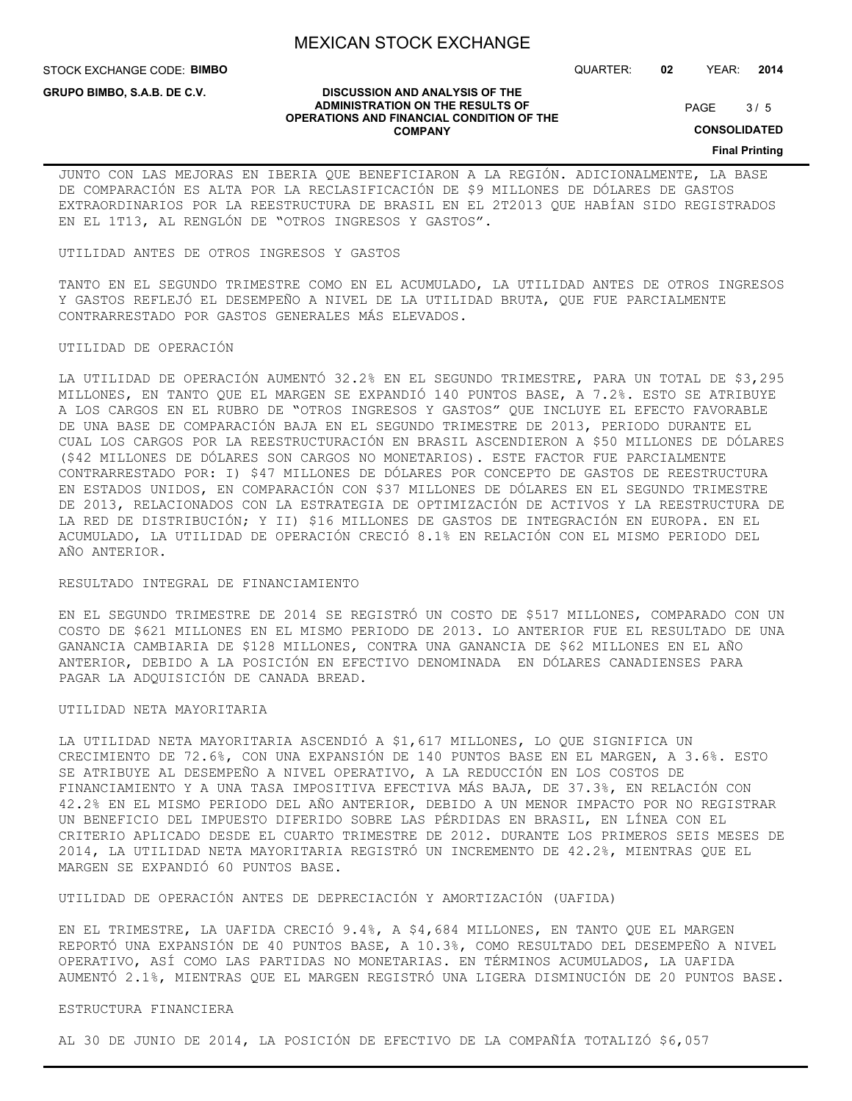**DISCUSSION AND ANALYSIS OF THE ADMINISTRATION ON THE RESULTS OF OPERATIONS AND FINANCIAL CONDITION OF THE COMPANY**

STOCK EXCHANGE CODE: **BIMBO**

**GRUPO BIMBO, S.A.B. DE C.V.**

QUARTER: **02** YEAR: **2014**

#### $3/5$ PAGE

**CONSOLIDATED**

## **Final Printing**

JUNTO CON LAS MEJORAS EN IBERIA QUE BENEFICIARON A LA REGIÓN. ADICIONALMENTE, LA BASE DE COMPARACIÓN ES ALTA POR LA RECLASIFICACIÓN DE \$9 MILLONES DE DÓLARES DE GASTOS EXTRAORDINARIOS POR LA REESTRUCTURA DE BRASIL EN EL 2T2013 QUE HABÍAN SIDO REGISTRADOS EN EL 1T13, AL RENGLÓN DE "OTROS INGRESOS Y GASTOS".

#### UTILIDAD ANTES DE OTROS INGRESOS Y GASTOS

TANTO EN EL SEGUNDO TRIMESTRE COMO EN EL ACUMULADO, LA UTILIDAD ANTES DE OTROS INGRESOS Y GASTOS REFLEJÓ EL DESEMPEÑO A NIVEL DE LA UTILIDAD BRUTA, QUE FUE PARCIALMENTE CONTRARRESTADO POR GASTOS GENERALES MÁS ELEVADOS.

#### UTILIDAD DE OPERACIÓN

LA UTILIDAD DE OPERACIÓN AUMENTÓ 32.2% EN EL SEGUNDO TRIMESTRE, PARA UN TOTAL DE \$3,295 MILLONES, EN TANTO QUE EL MARGEN SE EXPANDIÓ 140 PUNTOS BASE, A 7.2%. ESTO SE ATRIBUYE A LOS CARGOS EN EL RUBRO DE "OTROS INGRESOS Y GASTOS" QUE INCLUYE EL EFECTO FAVORABLE DE UNA BASE DE COMPARACIÓN BAJA EN EL SEGUNDO TRIMESTRE DE 2013, PERIODO DURANTE EL CUAL LOS CARGOS POR LA REESTRUCTURACIÓN EN BRASIL ASCENDIERON A \$50 MILLONES DE DÓLARES (\$42 MILLONES DE DÓLARES SON CARGOS NO MONETARIOS). ESTE FACTOR FUE PARCIALMENTE CONTRARRESTADO POR: I) \$47 MILLONES DE DÓLARES POR CONCEPTO DE GASTOS DE REESTRUCTURA EN ESTADOS UNIDOS, EN COMPARACIÓN CON \$37 MILLONES DE DÓLARES EN EL SEGUNDO TRIMESTRE DE 2013, RELACIONADOS CON LA ESTRATEGIA DE OPTIMIZACIÓN DE ACTIVOS Y LA REESTRUCTURA DE LA RED DE DISTRIBUCIÓN; Y II) \$16 MILLONES DE GASTOS DE INTEGRACIÓN EN EUROPA. EN EL ACUMULADO, LA UTILIDAD DE OPERACIÓN CRECIÓ 8.1% EN RELACIÓN CON EL MISMO PERIODO DEL AÑO ANTERIOR.

#### RESULTADO INTEGRAL DE FINANCIAMIENTO

EN EL SEGUNDO TRIMESTRE DE 2014 SE REGISTRÓ UN COSTO DE \$517 MILLONES, COMPARADO CON UN COSTO DE \$621 MILLONES EN EL MISMO PERIODO DE 2013. LO ANTERIOR FUE EL RESULTADO DE UNA GANANCIA CAMBIARIA DE \$128 MILLONES, CONTRA UNA GANANCIA DE \$62 MILLONES EN EL AÑO ANTERIOR, DEBIDO A LA POSICIÓN EN EFECTIVO DENOMINADA EN DÓLARES CANADIENSES PARA PAGAR LA ADQUISICIÓN DE CANADA BREAD.

#### UTILIDAD NETA MAYORITARIA

LA UTILIDAD NETA MAYORITARIA ASCENDIÓ A \$1,617 MILLONES, LO QUE SIGNIFICA UN CRECIMIENTO DE 72.6%, CON UNA EXPANSIÓN DE 140 PUNTOS BASE EN EL MARGEN, A 3.6%. ESTO SE ATRIBUYE AL DESEMPEÑO A NIVEL OPERATIVO, A LA REDUCCIÓN EN LOS COSTOS DE FINANCIAMIENTO Y A UNA TASA IMPOSITIVA EFECTIVA MÁS BAJA, DE 37.3%, EN RELACIÓN CON 42.2% EN EL MISMO PERIODO DEL AÑO ANTERIOR, DEBIDO A UN MENOR IMPACTO POR NO REGISTRAR UN BENEFICIO DEL IMPUESTO DIFERIDO SOBRE LAS PÉRDIDAS EN BRASIL, EN LÍNEA CON EL CRITERIO APLICADO DESDE EL CUARTO TRIMESTRE DE 2012. DURANTE LOS PRIMEROS SEIS MESES DE 2014, LA UTILIDAD NETA MAYORITARIA REGISTRÓ UN INCREMENTO DE 42.2%, MIENTRAS QUE EL MARGEN SE EXPANDIÓ 60 PUNTOS BASE.

UTILIDAD DE OPERACIÓN ANTES DE DEPRECIACIÓN Y AMORTIZACIÓN (UAFIDA)

EN EL TRIMESTRE, LA UAFIDA CRECIÓ 9.4%, A \$4,684 MILLONES, EN TANTO QUE EL MARGEN REPORTÓ UNA EXPANSIÓN DE 40 PUNTOS BASE, A 10.3%, COMO RESULTADO DEL DESEMPEÑO A NIVEL OPERATIVO, ASÍ COMO LAS PARTIDAS NO MONETARIAS. EN TÉRMINOS ACUMULADOS, LA UAFIDA AUMENTÓ 2.1%, MIENTRAS QUE EL MARGEN REGISTRÓ UNA LIGERA DISMINUCIÓN DE 20 PUNTOS BASE.

#### ESTRUCTURA FINANCIERA

AL 30 DE JUNIO DE 2014, LA POSICIÓN DE EFECTIVO DE LA COMPAÑÍA TOTALIZÓ \$6,057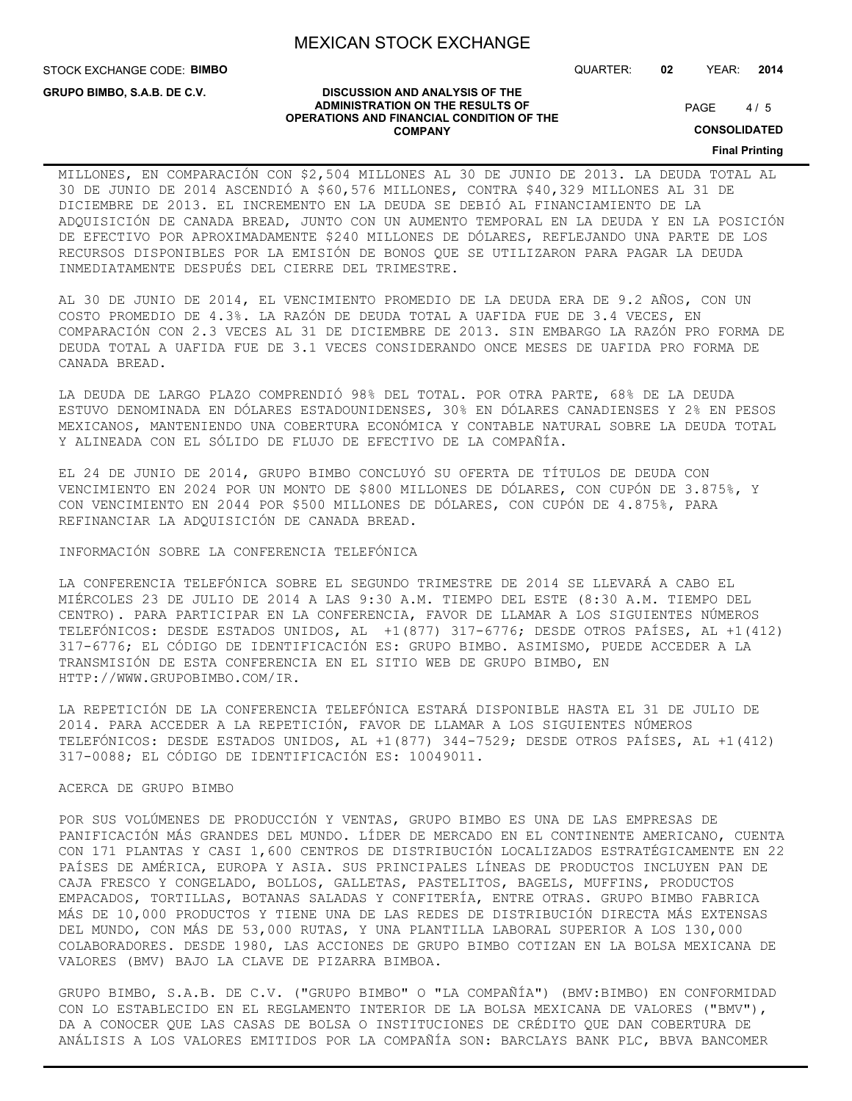STOCK EXCHANGE CODE: **BIMBO**

**GRUPO BIMBO, S.A.B. DE C.V.**

QUARTER: **02** YEAR: **2014**

#### **DISCUSSION AND ANALYSIS OF THE ADMINISTRATION ON THE RESULTS OF OPERATIONS AND FINANCIAL CONDITION OF THE COMPANY**

 $4/5$ PAGE

**CONSOLIDATED**

**Final Printing**

## MILLONES, EN COMPARACIÓN CON \$2,504 MILLONES AL 30 DE JUNIO DE 2013. LA DEUDA TOTAL AL 30 DE JUNIO DE 2014 ASCENDIÓ A \$60,576 MILLONES, CONTRA \$40,329 MILLONES AL 31 DE DICIEMBRE DE 2013. EL INCREMENTO EN LA DEUDA SE DEBIÓ AL FINANCIAMIENTO DE LA ADQUISICIÓN DE CANADA BREAD, JUNTO CON UN AUMENTO TEMPORAL EN LA DEUDA Y EN LA POSICIÓN DE EFECTIVO POR APROXIMADAMENTE \$240 MILLONES DE DÓLARES, REFLEJANDO UNA PARTE DE LOS RECURSOS DISPONIBLES POR LA EMISIÓN DE BONOS QUE SE UTILIZARON PARA PAGAR LA DEUDA INMEDIATAMENTE DESPUÉS DEL CIERRE DEL TRIMESTRE.

AL 30 DE JUNIO DE 2014, EL VENCIMIENTO PROMEDIO DE LA DEUDA ERA DE 9.2 AÑOS, CON UN COSTO PROMEDIO DE 4.3%. LA RAZÓN DE DEUDA TOTAL A UAFIDA FUE DE 3.4 VECES, EN COMPARACIÓN CON 2.3 VECES AL 31 DE DICIEMBRE DE 2013. SIN EMBARGO LA RAZÓN PRO FORMA DE DEUDA TOTAL A UAFIDA FUE DE 3.1 VECES CONSIDERANDO ONCE MESES DE UAFIDA PRO FORMA DE CANADA BREAD.

LA DEUDA DE LARGO PLAZO COMPRENDIÓ 98% DEL TOTAL. POR OTRA PARTE, 68% DE LA DEUDA ESTUVO DENOMINADA EN DÓLARES ESTADOUNIDENSES, 30% EN DÓLARES CANADIENSES Y 2% EN PESOS MEXICANOS, MANTENIENDO UNA COBERTURA ECONÓMICA Y CONTABLE NATURAL SOBRE LA DEUDA TOTAL Y ALINEADA CON EL SÓLIDO DE FLUJO DE EFECTIVO DE LA COMPAÑÍA.

EL 24 DE JUNIO DE 2014, GRUPO BIMBO CONCLUYÓ SU OFERTA DE TÍTULOS DE DEUDA CON VENCIMIENTO EN 2024 POR UN MONTO DE \$800 MILLONES DE DÓLARES, CON CUPÓN DE 3.875%, Y CON VENCIMIENTO EN 2044 POR \$500 MILLONES DE DÓLARES, CON CUPÓN DE 4.875%, PARA REFINANCIAR LA ADQUISICIÓN DE CANADA BREAD.

### INFORMACIÓN SOBRE LA CONFERENCIA TELEFÓNICA

LA CONFERENCIA TELEFÓNICA SOBRE EL SEGUNDO TRIMESTRE DE 2014 SE LLEVARÁ A CABO EL MIÉRCOLES 23 DE JULIO DE 2014 A LAS 9:30 A.M. TIEMPO DEL ESTE (8:30 A.M. TIEMPO DEL CENTRO). PARA PARTICIPAR EN LA CONFERENCIA, FAVOR DE LLAMAR A LOS SIGUIENTES NÚMEROS TELEFÓNICOS: DESDE ESTADOS UNIDOS, AL +1(877) 317-6776; DESDE OTROS PAÍSES, AL +1(412) 317-6776; EL CÓDIGO DE IDENTIFICACIÓN ES: GRUPO BIMBO. ASIMISMO, PUEDE ACCEDER A LA TRANSMISIÓN DE ESTA CONFERENCIA EN EL SITIO WEB DE GRUPO BIMBO, EN HTTP://WWW.GRUPOBIMBO.COM/IR.

LA REPETICIÓN DE LA CONFERENCIA TELEFÓNICA ESTARÁ DISPONIBLE HASTA EL 31 DE JULIO DE 2014. PARA ACCEDER A LA REPETICIÓN, FAVOR DE LLAMAR A LOS SIGUIENTES NÚMEROS TELEFÓNICOS: DESDE ESTADOS UNIDOS, AL +1(877) 344-7529; DESDE OTROS PAÍSES, AL +1(412) 317-0088; EL CÓDIGO DE IDENTIFICACIÓN ES: 10049011.

#### ACERCA DE GRUPO BIMBO

POR SUS VOLÚMENES DE PRODUCCIÓN Y VENTAS, GRUPO BIMBO ES UNA DE LAS EMPRESAS DE PANIFICACIÓN MÁS GRANDES DEL MUNDO. LÍDER DE MERCADO EN EL CONTINENTE AMERICANO, CUENTA CON 171 PLANTAS Y CASI 1,600 CENTROS DE DISTRIBUCIÓN LOCALIZADOS ESTRATÉGICAMENTE EN 22 PAÍSES DE AMÉRICA, EUROPA Y ASIA. SUS PRINCIPALES LÍNEAS DE PRODUCTOS INCLUYEN PAN DE CAJA FRESCO Y CONGELADO, BOLLOS, GALLETAS, PASTELITOS, BAGELS, MUFFINS, PRODUCTOS EMPACADOS, TORTILLAS, BOTANAS SALADAS Y CONFITERÍA, ENTRE OTRAS. GRUPO BIMBO FABRICA MÁS DE 10,000 PRODUCTOS Y TIENE UNA DE LAS REDES DE DISTRIBUCIÓN DIRECTA MÁS EXTENSAS DEL MUNDO, CON MÁS DE 53,000 RUTAS, Y UNA PLANTILLA LABORAL SUPERIOR A LOS 130,000 COLABORADORES. DESDE 1980, LAS ACCIONES DE GRUPO BIMBO COTIZAN EN LA BOLSA MEXICANA DE VALORES (BMV) BAJO LA CLAVE DE PIZARRA BIMBOA.

GRUPO BIMBO, S.A.B. DE C.V. ("GRUPO BIMBO" O "LA COMPAÑÍA") (BMV:BIMBO) EN CONFORMIDAD CON LO ESTABLECIDO EN EL REGLAMENTO INTERIOR DE LA BOLSA MEXICANA DE VALORES ("BMV"), DA A CONOCER QUE LAS CASAS DE BOLSA O INSTITUCIONES DE CRÉDITO QUE DAN COBERTURA DE ANÁLISIS A LOS VALORES EMITIDOS POR LA COMPAÑÍA SON: BARCLAYS BANK PLC, BBVA BANCOMER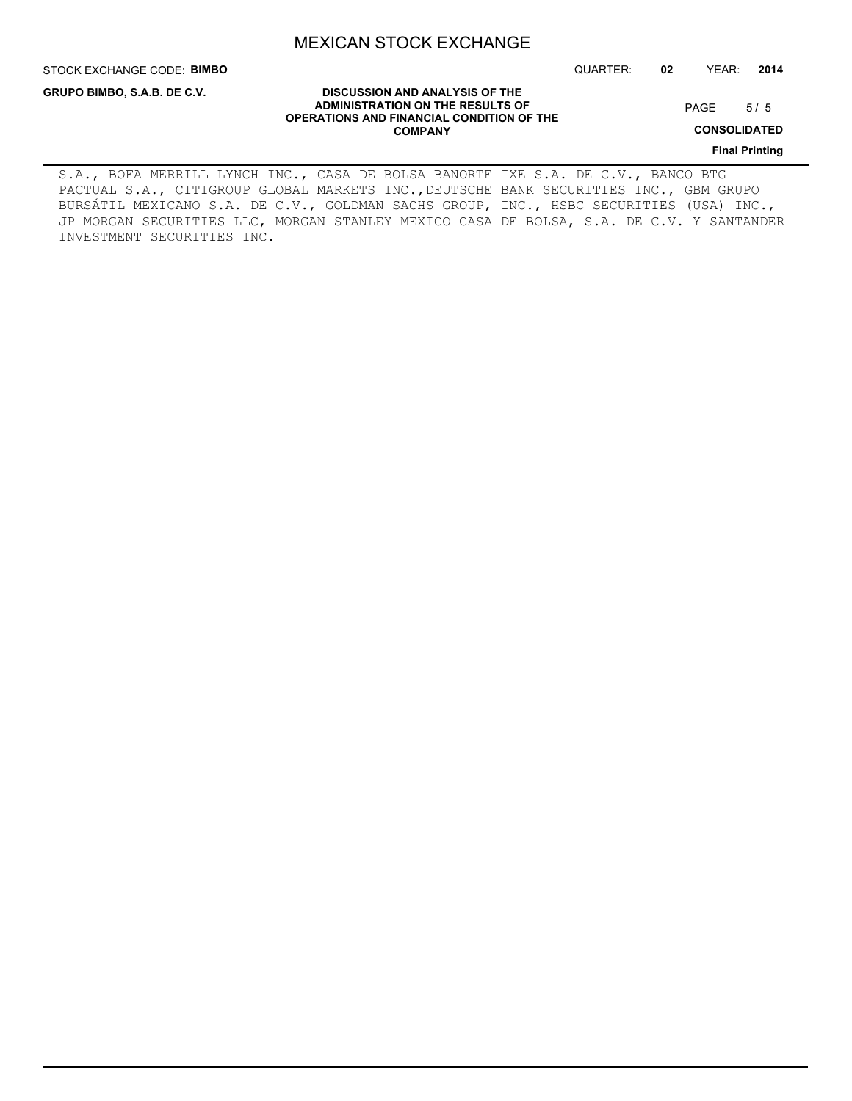STOCK EXCHANGE CODE: **BIMBO**

**GRUPO BIMBO, S.A.B. DE C.V.**

QUARTER: **02** YEAR: **2014**

**DISCUSSION AND ANALYSIS OF THE ADMINISTRATION ON THE RESULTS OF OPERATIONS AND FINANCIAL CONDITION OF THE COMPANY**

 $5/5$ PAGE

**CONSOLIDATED**

**Final Printing**

S.A., BOFA MERRILL LYNCH INC., CASA DE BOLSA BANORTE IXE S.A. DE C.V., BANCO BTG PACTUAL S.A., CITIGROUP GLOBAL MARKETS INC., DEUTSCHE BANK SECURITIES INC., GBM GRUPO BURSÁTIL MEXICANO S.A. DE C.V., GOLDMAN SACHS GROUP, INC., HSBC SECURITIES (USA) INC., JP MORGAN SECURITIES LLC, MORGAN STANLEY MEXICO CASA DE BOLSA, S.A. DE C.V. Y SANTANDER INVESTMENT SECURITIES INC.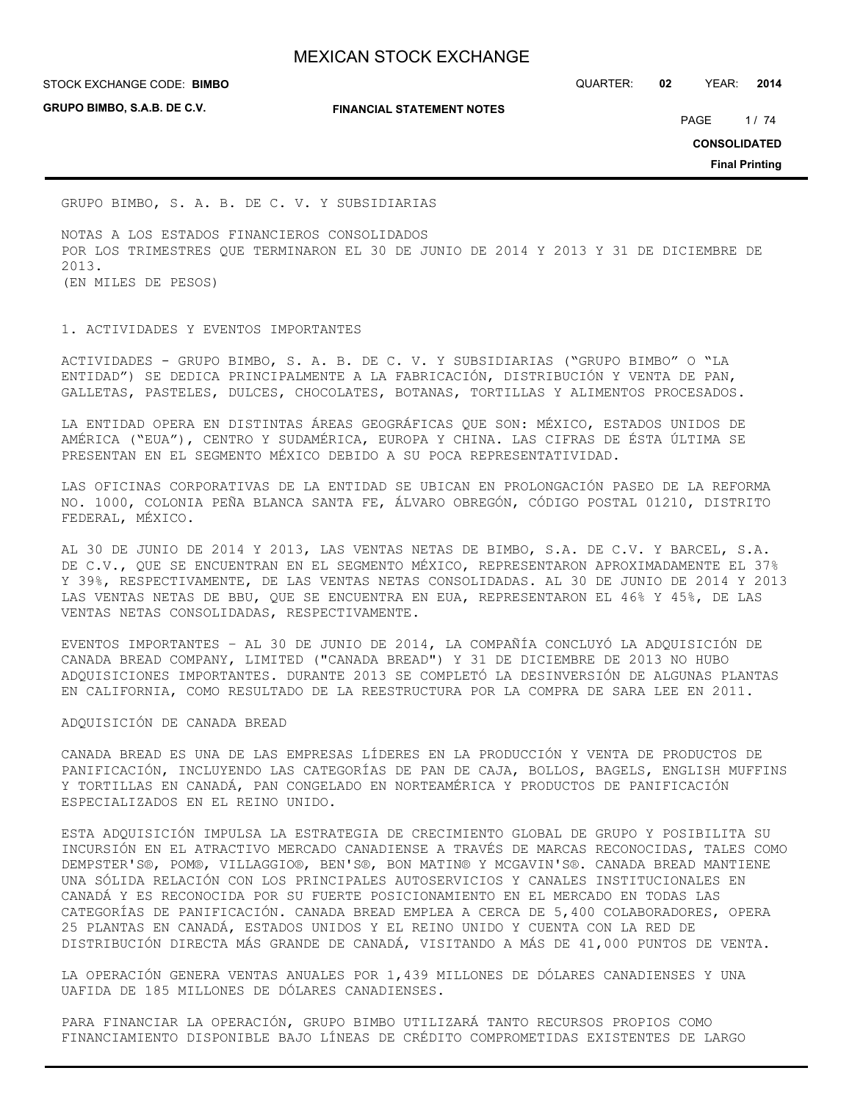**STOCK EXCHANGE CODE: BIMBO** 

**GRUPO BIMBO, S.A.B. DE C.V.**

**FINANCIAL STATEMENT NOTES**

STOCK EXCHANGE CODE: QUARTER: **02** YEAR: **2014**

PAGE 1/74

**CONSOLIDATED**

**Final Printing**

GRUPO BIMBO, S. A. B. DE C. V. Y SUBSIDIARIAS

NOTAS A LOS ESTADOS FINANCIEROS CONSOLIDADOS POR LOS TRIMESTRES QUE TERMINARON EL 30 DE JUNIO DE 2014 Y 2013 Y 31 DE DICIEMBRE DE 2013. (EN MILES DE PESOS)

1. ACTIVIDADES Y EVENTOS IMPORTANTES

ACTIVIDADES - GRUPO BIMBO, S. A. B. DE C. V. Y SUBSIDIARIAS ("GRUPO BIMBO" O "LA ENTIDAD") SE DEDICA PRINCIPALMENTE A LA FABRICACIÓN, DISTRIBUCIÓN Y VENTA DE PAN, GALLETAS, PASTELES, DULCES, CHOCOLATES, BOTANAS, TORTILLAS Y ALIMENTOS PROCESADOS.

LA ENTIDAD OPERA EN DISTINTAS ÁREAS GEOGRÁFICAS QUE SON: MÉXICO, ESTADOS UNIDOS DE AMÉRICA ("EUA"), CENTRO Y SUDAMÉRICA, EUROPA Y CHINA. LAS CIFRAS DE ÉSTA ÚLTIMA SE PRESENTAN EN EL SEGMENTO MÉXICO DEBIDO A SU POCA REPRESENTATIVIDAD.

LAS OFICINAS CORPORATIVAS DE LA ENTIDAD SE UBICAN EN PROLONGACIÓN PASEO DE LA REFORMA NO. 1000, COLONIA PEÑA BLANCA SANTA FE, ÁLVARO OBREGÓN, CÓDIGO POSTAL 01210, DISTRITO FEDERAL, MÉXICO.

AL 30 DE JUNIO DE 2014 Y 2013, LAS VENTAS NETAS DE BIMBO, S.A. DE C.V. Y BARCEL, S.A. DE C.V., QUE SE ENCUENTRAN EN EL SEGMENTO MÉXICO, REPRESENTARON APROXIMADAMENTE EL 37% Y 39%, RESPECTIVAMENTE, DE LAS VENTAS NETAS CONSOLIDADAS. AL 30 DE JUNIO DE 2014 Y 2013 LAS VENTAS NETAS DE BBU, QUE SE ENCUENTRA EN EUA, REPRESENTARON EL 46% Y 45%, DE LAS VENTAS NETAS CONSOLIDADAS, RESPECTIVAMENTE.

EVENTOS IMPORTANTES – AL 30 DE JUNIO DE 2014, LA COMPAÑÍA CONCLUYÓ LA ADQUISICIÓN DE CANADA BREAD COMPANY, LIMITED ("CANADA BREAD") Y 31 DE DICIEMBRE DE 2013 NO HUBO ADQUISICIONES IMPORTANTES. DURANTE 2013 SE COMPLETÓ LA DESINVERSIÓN DE ALGUNAS PLANTAS EN CALIFORNIA, COMO RESULTADO DE LA REESTRUCTURA POR LA COMPRA DE SARA LEE EN 2011.

### ADQUISICIÓN DE CANADA BREAD

CANADA BREAD ES UNA DE LAS EMPRESAS LÍDERES EN LA PRODUCCIÓN Y VENTA DE PRODUCTOS DE PANIFICACIÓN, INCLUYENDO LAS CATEGORÍAS DE PAN DE CAJA, BOLLOS, BAGELS, ENGLISH MUFFINS Y TORTILLAS EN CANADÁ, PAN CONGELADO EN NORTEAMÉRICA Y PRODUCTOS DE PANIFICACIÓN ESPECIALIZADOS EN EL REINO UNIDO.

ESTA ADQUISICIÓN IMPULSA LA ESTRATEGIA DE CRECIMIENTO GLOBAL DE GRUPO Y POSIBILITA SU INCURSIÓN EN EL ATRACTIVO MERCADO CANADIENSE A TRAVÉS DE MARCAS RECONOCIDAS, TALES COMO DEMPSTER'S®, POM®, VILLAGGIO®, BEN'S®, BON MATIN® Y MCGAVIN'S®. CANADA BREAD MANTIENE UNA SÓLIDA RELACIÓN CON LOS PRINCIPALES AUTOSERVICIOS Y CANALES INSTITUCIONALES EN CANADÁ Y ES RECONOCIDA POR SU FUERTE POSICIONAMIENTO EN EL MERCADO EN TODAS LAS CATEGORÍAS DE PANIFICACIÓN. CANADA BREAD EMPLEA A CERCA DE 5,400 COLABORADORES, OPERA 25 PLANTAS EN CANADÁ, ESTADOS UNIDOS Y EL REINO UNIDO Y CUENTA CON LA RED DE DISTRIBUCIÓN DIRECTA MÁS GRANDE DE CANADÁ, VISITANDO A MÁS DE 41,000 PUNTOS DE VENTA.

LA OPERACIÓN GENERA VENTAS ANUALES POR 1,439 MILLONES DE DÓLARES CANADIENSES Y UNA UAFIDA DE 185 MILLONES DE DÓLARES CANADIENSES.

PARA FINANCIAR LA OPERACIÓN, GRUPO BIMBO UTILIZARÁ TANTO RECURSOS PROPIOS COMO FINANCIAMIENTO DISPONIBLE BAJO LÍNEAS DE CRÉDITO COMPROMETIDAS EXISTENTES DE LARGO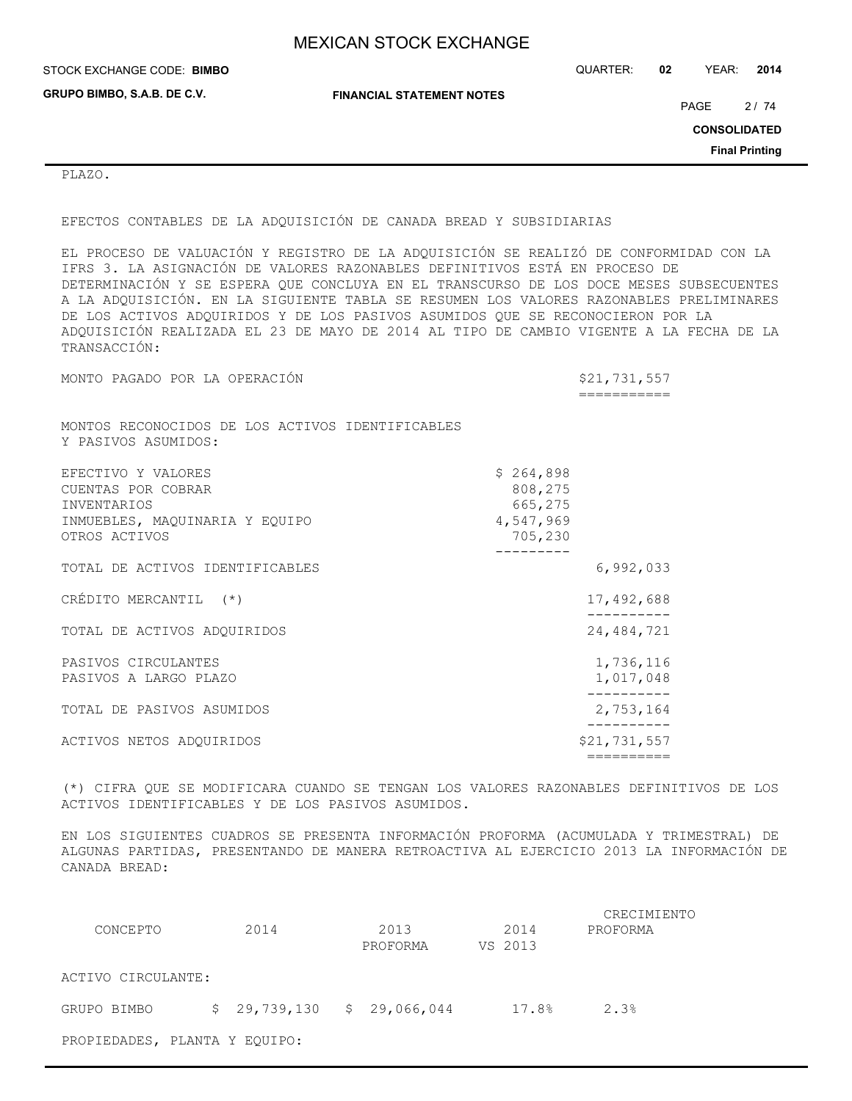| STOCK EXCHANGE CODE: BIMBO  |                                  | QUARTER: | 02 | YEAR:               | 2014                  |
|-----------------------------|----------------------------------|----------|----|---------------------|-----------------------|
| GRUPO BIMBO, S.A.B. DE C.V. | <b>FINANCIAL STATEMENT NOTES</b> |          |    | PAGE                | 2/74                  |
|                             |                                  |          |    | <b>CONSOLIDATED</b> |                       |
|                             |                                  |          |    |                     | <b>Final Printing</b> |
| PLAZO.                      |                                  |          |    |                     |                       |

EFECTOS CONTABLES DE LA ADQUISICIÓN DE CANADA BREAD Y SUBSIDIARIAS

EL PROCESO DE VALUACIÓN Y REGISTRO DE LA ADQUISICIÓN SE REALIZÓ DE CONFORMIDAD CON LA IFRS 3. LA ASIGNACIÓN DE VALORES RAZONABLES DEFINITIVOS ESTÁ EN PROCESO DE DETERMINACIÓN Y SE ESPERA QUE CONCLUYA EN EL TRANSCURSO DE LOS DOCE MESES SUBSECUENTES A LA ADQUISICIÓN. EN LA SIGUIENTE TABLA SE RESUMEN LOS VALORES RAZONABLES PRELIMINARES DE LOS ACTIVOS ADQUIRIDOS Y DE LOS PASIVOS ASUMIDOS QUE SE RECONOCIERON POR LA ADQUISICIÓN REALIZADA EL 23 DE MAYO DE 2014 AL TIPO DE CAMBIO VIGENTE A LA FECHA DE LA TRANSACCIÓN:

MONTO PAGADO POR LA OPERACIÓN **\$21,731,557**  =========== MONTOS RECONOCIDOS DE LOS ACTIVOS IDENTIFICABLES Y PASIVOS ASUMIDOS: EFECTIVO Y VALORES \$ 264,898 CUENTAS POR COBRAR 808,275<br>INVENTARIOS 665,275 INVENTARIOS INMUEBLES, MAQUINARIA Y EQUIPO 4,547,969 OTROS ACTIVOS 705,230 --------- TOTAL DE ACTIVOS IDENTIFICABLES 6,992,033 CRÉDITO MERCANTIL (\*) 17,492,688 ---------- TOTAL DE ACTIVOS ADQUIRIDOS 24,484,721 PASIVOS CIRCULANTES 1,736,116 PASIVOS A LARGO PLAZO 1,017,048 ---------- TOTAL DE PASIVOS ASUMIDOS 2,753,164 ---------- ACTIVOS NETOS ADQUIRIDOS  $$21,731,557$ ==========

(\*) CIFRA QUE SE MODIFICARA CUANDO SE TENGAN LOS VALORES RAZONABLES DEFINITIVOS DE LOS ACTIVOS IDENTIFICABLES Y DE LOS PASIVOS ASUMIDOS.

EN LOS SIGUIENTES CUADROS SE PRESENTA INFORMACIÓN PROFORMA (ACUMULADA Y TRIMESTRAL) DE ALGUNAS PARTIDAS, PRESENTANDO DE MANERA RETROACTIVA AL EJERCICIO 2013 LA INFORMACIÓN DE CANADA BREAD:

| CONCEPTO                      | 2014 | 2013<br>PROFORMA            |  | 2014<br>VS 2013 | CRECIMIENTO<br>PROFORMA |
|-------------------------------|------|-----------------------------|--|-----------------|-------------------------|
| ACTIVO CIRCULANTE:            |      |                             |  |                 |                         |
| GRUPO BIMBO                   |      | $$29,739,130$ $$29,066,044$ |  | 17.8%           | 2.3%                    |
| PROPIEDADES, PLANTA Y EQUIPO: |      |                             |  |                 |                         |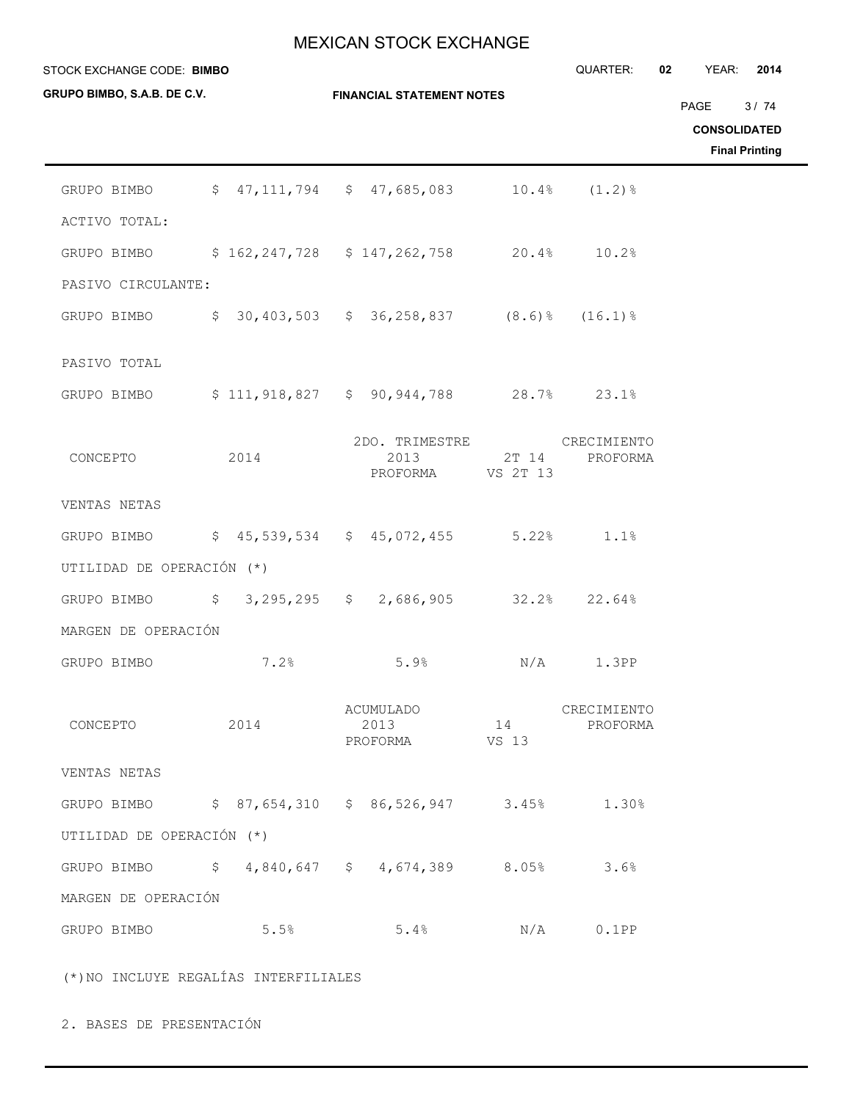| STOCK EXCHANGE CODE: BIMBO  |                                                     |  |                                                  |                   | QUARTER:                | 02<br>YEAR: | 2014                                                 |
|-----------------------------|-----------------------------------------------------|--|--------------------------------------------------|-------------------|-------------------------|-------------|------------------------------------------------------|
| GRUPO BIMBO, S.A.B. DE C.V. |                                                     |  | <b>FINANCIAL STATEMENT NOTES</b>                 |                   |                         | PAGE        | 3/74<br><b>CONSOLIDATED</b><br><b>Final Printing</b> |
| GRUPO BIMBO                 |                                                     |  | $$47,111,794$ $$47,685,083$                      | 10.4%             | $(1.2)$ $%$             |             |                                                      |
| ACTIVO TOTAL:               |                                                     |  |                                                  |                   |                         |             |                                                      |
| GRUPO BIMBO                 |                                                     |  | $$162, 247, 728$ $$147, 262, 758$ 20.4%          |                   | 10.2%                   |             |                                                      |
| PASIVO CIRCULANTE:          |                                                     |  |                                                  |                   |                         |             |                                                      |
| GRUPO BIMBO                 |                                                     |  | $$30,403,503$ $$36,258,837$ $(8.6)\%$ $(16.1)\%$ |                   |                         |             |                                                      |
| PASIVO TOTAL                |                                                     |  |                                                  |                   |                         |             |                                                      |
| GRUPO BIMBO                 |                                                     |  | $$111, 918, 827$ $$90, 944, 788$ 28.7%           |                   | 23.1%                   |             |                                                      |
| CONCEPTO                    | 2014                                                |  | 2DO. TRIMESTRE<br>2013<br>PROFORMA               | 2T 14<br>VS 2T 13 | CRECIMIENTO<br>PROFORMA |             |                                                      |
| VENTAS NETAS                |                                                     |  |                                                  |                   |                         |             |                                                      |
| GRUPO BIMBO                 |                                                     |  | $$45,539,534$ $$45,072,455$ $$5.22\$             |                   | 1.1%                    |             |                                                      |
| UTILIDAD DE OPERACIÓN (*)   |                                                     |  |                                                  |                   |                         |             |                                                      |
| GRUPO BIMBO                 |                                                     |  | $$3,295,295$ $$2,686,905$ $$32.2$                |                   | 22.64%                  |             |                                                      |
| MARGEN DE OPERACIÓN         |                                                     |  |                                                  |                   |                         |             |                                                      |
| GRUPO BIMBO                 | 7.2%                                                |  | 5.9%                                             | N/A               | 1.3PP                   |             |                                                      |
| CONCEPTO                    | 2014                                                |  | ACUMULADO<br>2013<br>PROFORMA VS 13              | 14                | CRECIMIENTO<br>PROFORMA |             |                                                      |
| VENTAS NETAS                |                                                     |  |                                                  |                   |                         |             |                                                      |
|                             | GRUPO BIMBO \$ 87,654,310 \$ 86,526,947 3.45% 1.30% |  |                                                  |                   |                         |             |                                                      |
| UTILIDAD DE OPERACIÓN (*)   |                                                     |  |                                                  |                   |                         |             |                                                      |
|                             | GRUPO BIMBO \$4,840,647 \$4,674,389 8.05% 3.6%      |  |                                                  |                   |                         |             |                                                      |
| MARGEN DE OPERACIÓN         |                                                     |  |                                                  |                   |                         |             |                                                      |
| GRUPO BIMBO                 | 5.5%                                                |  | 5.4%                                             |                   | $N/A$ 0.1PP             |             |                                                      |
|                             | (*) NO INCLUYE REGALÍAS INTERFILIALES               |  |                                                  |                   |                         |             |                                                      |

2. BASES DE PRESENTACIÓN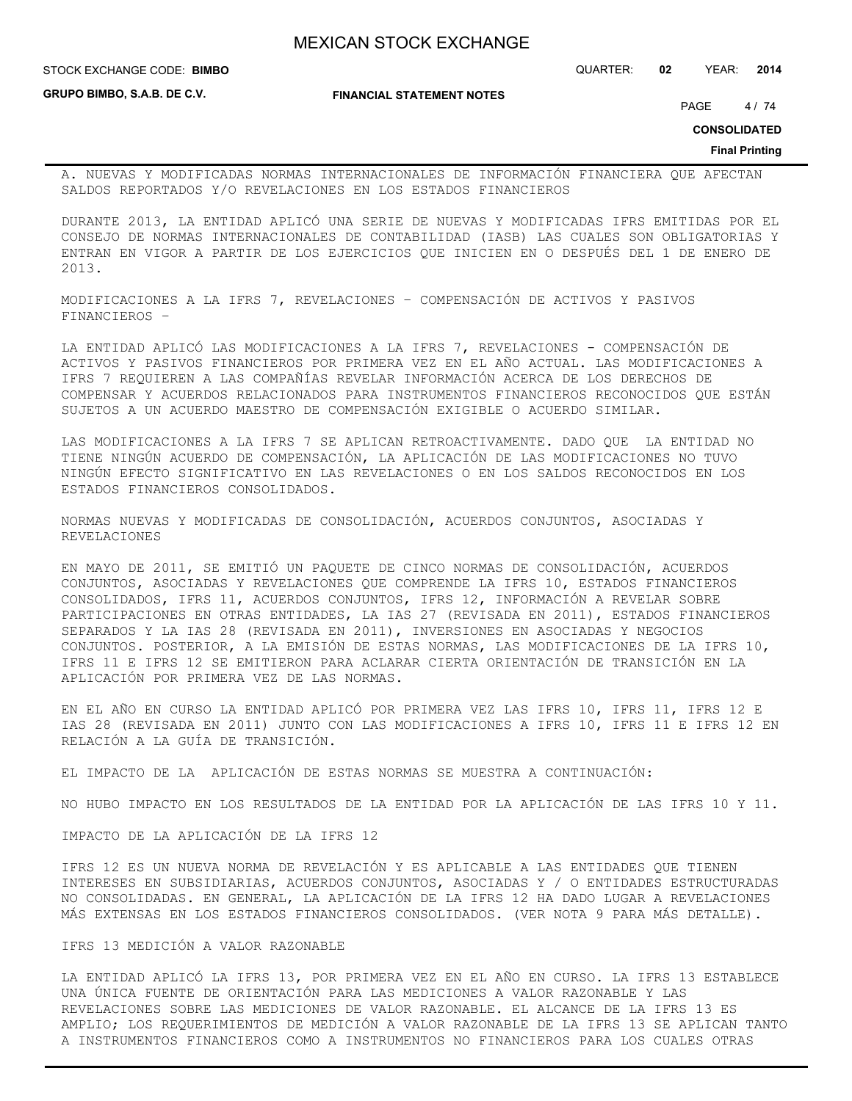**GRUPO BIMBO, S.A.B. DE C.V.**

STOCK EXCHANGE CODE: QUARTER: **02** YEAR: **2014 BIMBO**

**FINANCIAL STATEMENT NOTES**

PAGE 4/74

**CONSOLIDATED**

**Final Printing**

A. NUEVAS Y MODIFICADAS NORMAS INTERNACIONALES DE INFORMACIÓN FINANCIERA QUE AFECTAN SALDOS REPORTADOS Y/O REVELACIONES EN LOS ESTADOS FINANCIEROS

DURANTE 2013, LA ENTIDAD APLICÓ UNA SERIE DE NUEVAS Y MODIFICADAS IFRS EMITIDAS POR EL CONSEJO DE NORMAS INTERNACIONALES DE CONTABILIDAD (IASB) LAS CUALES SON OBLIGATORIAS Y ENTRAN EN VIGOR A PARTIR DE LOS EJERCICIOS QUE INICIEN EN O DESPUÉS DEL 1 DE ENERO DE 2013.

MODIFICACIONES A LA IFRS 7, REVELACIONES – COMPENSACIÓN DE ACTIVOS Y PASIVOS FINANCIEROS –

LA ENTIDAD APLICÓ LAS MODIFICACIONES A LA IFRS 7, REVELACIONES - COMPENSACIÓN DE ACTIVOS Y PASIVOS FINANCIEROS POR PRIMERA VEZ EN EL AÑO ACTUAL. LAS MODIFICACIONES A IFRS 7 REQUIEREN A LAS COMPAÑÍAS REVELAR INFORMACIÓN ACERCA DE LOS DERECHOS DE COMPENSAR Y ACUERDOS RELACIONADOS PARA INSTRUMENTOS FINANCIEROS RECONOCIDOS QUE ESTÁN SUJETOS A UN ACUERDO MAESTRO DE COMPENSACIÓN EXIGIBLE O ACUERDO SIMILAR.

LAS MODIFICACIONES A LA IFRS 7 SE APLICAN RETROACTIVAMENTE. DADO QUE LA ENTIDAD NO TIENE NINGÚN ACUERDO DE COMPENSACIÓN, LA APLICACIÓN DE LAS MODIFICACIONES NO TUVO NINGÚN EFECTO SIGNIFICATIVO EN LAS REVELACIONES O EN LOS SALDOS RECONOCIDOS EN LOS ESTADOS FINANCIEROS CONSOLIDADOS.

NORMAS NUEVAS Y MODIFICADAS DE CONSOLIDACIÓN, ACUERDOS CONJUNTOS, ASOCIADAS Y REVELACIONES

EN MAYO DE 2011, SE EMITIÓ UN PAQUETE DE CINCO NORMAS DE CONSOLIDACIÓN, ACUERDOS CONJUNTOS, ASOCIADAS Y REVELACIONES QUE COMPRENDE LA IFRS 10, ESTADOS FINANCIEROS CONSOLIDADOS, IFRS 11, ACUERDOS CONJUNTOS, IFRS 12, INFORMACIÓN A REVELAR SOBRE PARTICIPACIONES EN OTRAS ENTIDADES, LA IAS 27 (REVISADA EN 2011), ESTADOS FINANCIEROS SEPARADOS Y LA IAS 28 (REVISADA EN 2011), INVERSIONES EN ASOCIADAS Y NEGOCIOS CONJUNTOS. POSTERIOR, A LA EMISIÓN DE ESTAS NORMAS, LAS MODIFICACIONES DE LA IFRS 10, IFRS 11 E IFRS 12 SE EMITIERON PARA ACLARAR CIERTA ORIENTACIÓN DE TRANSICIÓN EN LA APLICACIÓN POR PRIMERA VEZ DE LAS NORMAS.

EN EL AÑO EN CURSO LA ENTIDAD APLICÓ POR PRIMERA VEZ LAS IFRS 10, IFRS 11, IFRS 12 E IAS 28 (REVISADA EN 2011) JUNTO CON LAS MODIFICACIONES A IFRS 10, IFRS 11 E IFRS 12 EN RELACIÓN A LA GUÍA DE TRANSICIÓN.

EL IMPACTO DE LA APLICACIÓN DE ESTAS NORMAS SE MUESTRA A CONTINUACIÓN:

NO HUBO IMPACTO EN LOS RESULTADOS DE LA ENTIDAD POR LA APLICACIÓN DE LAS IFRS 10 Y 11.

IMPACTO DE LA APLICACIÓN DE LA IFRS 12

IFRS 12 ES UN NUEVA NORMA DE REVELACIÓN Y ES APLICABLE A LAS ENTIDADES QUE TIENEN INTERESES EN SUBSIDIARIAS, ACUERDOS CONJUNTOS, ASOCIADAS Y / O ENTIDADES ESTRUCTURADAS NO CONSOLIDADAS. EN GENERAL, LA APLICACIÓN DE LA IFRS 12 HA DADO LUGAR A REVELACIONES MÁS EXTENSAS EN LOS ESTADOS FINANCIEROS CONSOLIDADOS. (VER NOTA 9 PARA MÁS DETALLE).

### IFRS 13 MEDICIÓN A VALOR RAZONABLE

LA ENTIDAD APLICÓ LA IFRS 13, POR PRIMERA VEZ EN EL AÑO EN CURSO. LA IFRS 13 ESTABLECE UNA ÚNICA FUENTE DE ORIENTACIÓN PARA LAS MEDICIONES A VALOR RAZONABLE Y LAS REVELACIONES SOBRE LAS MEDICIONES DE VALOR RAZONABLE. EL ALCANCE DE LA IFRS 13 ES AMPLIO; LOS REQUERIMIENTOS DE MEDICIÓN A VALOR RAZONABLE DE LA IFRS 13 SE APLICAN TANTO A INSTRUMENTOS FINANCIEROS COMO A INSTRUMENTOS NO FINANCIEROS PARA LOS CUALES OTRAS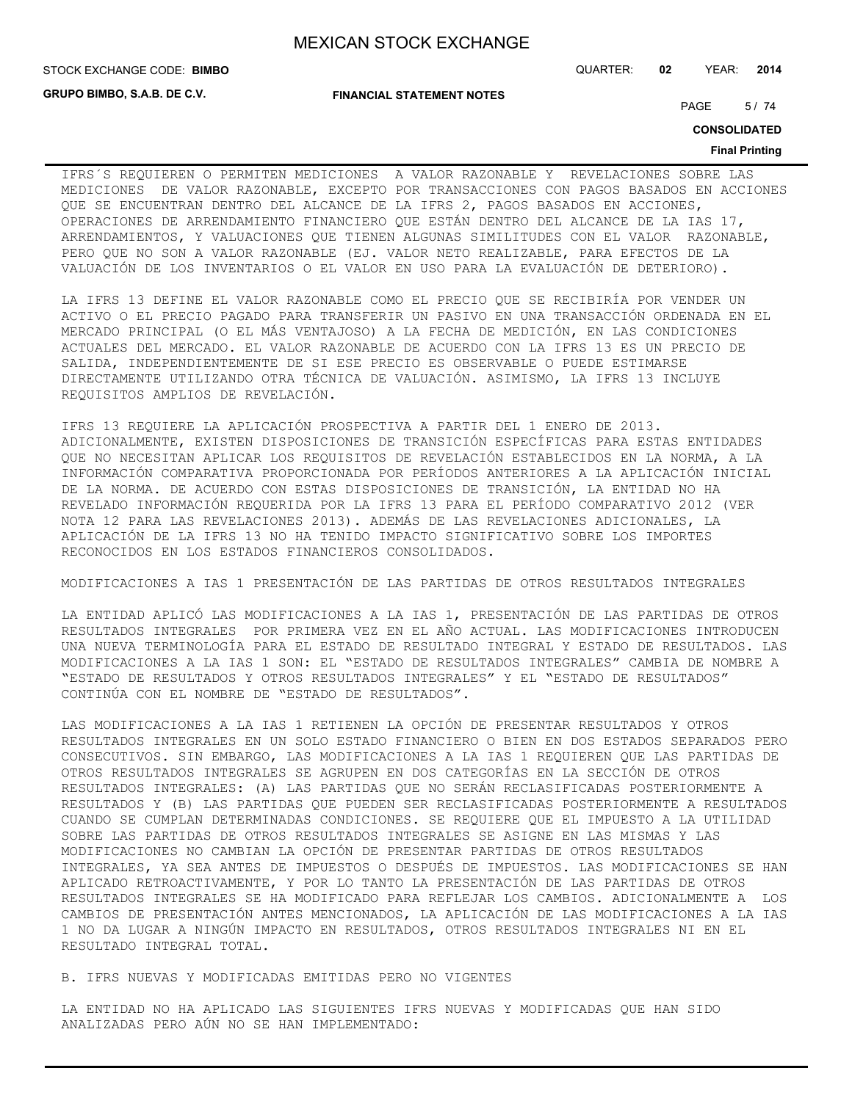**GRUPO BIMBO, S.A.B. DE C.V.**

**FINANCIAL STATEMENT NOTES**

STOCK EXCHANGE CODE: QUARTER: **02** YEAR: **2014 BIMBO**

PAGE 5/74

**CONSOLIDATED**

#### **Final Printing**

IFRS´S REQUIEREN O PERMITEN MEDICIONES A VALOR RAZONABLE Y REVELACIONES SOBRE LAS MEDICIONES DE VALOR RAZONABLE, EXCEPTO POR TRANSACCIONES CON PAGOS BASADOS EN ACCIONES QUE SE ENCUENTRAN DENTRO DEL ALCANCE DE LA IFRS 2, PAGOS BASADOS EN ACCIONES, OPERACIONES DE ARRENDAMIENTO FINANCIERO QUE ESTÁN DENTRO DEL ALCANCE DE LA IAS 17, ARRENDAMIENTOS, Y VALUACIONES QUE TIENEN ALGUNAS SIMILITUDES CON EL VALOR RAZONABLE, PERO QUE NO SON A VALOR RAZONABLE (EJ. VALOR NETO REALIZABLE, PARA EFECTOS DE LA VALUACIÓN DE LOS INVENTARIOS O EL VALOR EN USO PARA LA EVALUACIÓN DE DETERIORO).

LA IFRS 13 DEFINE EL VALOR RAZONABLE COMO EL PRECIO QUE SE RECIBIRÍA POR VENDER UN ACTIVO O EL PRECIO PAGADO PARA TRANSFERIR UN PASIVO EN UNA TRANSACCIÓN ORDENADA EN EL MERCADO PRINCIPAL (O EL MÁS VENTAJOSO) A LA FECHA DE MEDICIÓN, EN LAS CONDICIONES ACTUALES DEL MERCADO. EL VALOR RAZONABLE DE ACUERDO CON LA IFRS 13 ES UN PRECIO DE SALIDA, INDEPENDIENTEMENTE DE SI ESE PRECIO ES OBSERVABLE O PUEDE ESTIMARSE DIRECTAMENTE UTILIZANDO OTRA TÉCNICA DE VALUACIÓN. ASIMISMO, LA IFRS 13 INCLUYE REQUISITOS AMPLIOS DE REVELACIÓN.

IFRS 13 REQUIERE LA APLICACIÓN PROSPECTIVA A PARTIR DEL 1 ENERO DE 2013. ADICIONALMENTE, EXISTEN DISPOSICIONES DE TRANSICIÓN ESPECÍFICAS PARA ESTAS ENTIDADES QUE NO NECESITAN APLICAR LOS REQUISITOS DE REVELACIÓN ESTABLECIDOS EN LA NORMA, A LA INFORMACIÓN COMPARATIVA PROPORCIONADA POR PERÍODOS ANTERIORES A LA APLICACIÓN INICIAL DE LA NORMA. DE ACUERDO CON ESTAS DISPOSICIONES DE TRANSICIÓN, LA ENTIDAD NO HA REVELADO INFORMACIÓN REQUERIDA POR LA IFRS 13 PARA EL PERÍODO COMPARATIVO 2012 (VER NOTA 12 PARA LAS REVELACIONES 2013). ADEMÁS DE LAS REVELACIONES ADICIONALES, LA APLICACIÓN DE LA IFRS 13 NO HA TENIDO IMPACTO SIGNIFICATIVO SOBRE LOS IMPORTES RECONOCIDOS EN LOS ESTADOS FINANCIEROS CONSOLIDADOS.

MODIFICACIONES A IAS 1 PRESENTACIÓN DE LAS PARTIDAS DE OTROS RESULTADOS INTEGRALES

LA ENTIDAD APLICÓ LAS MODIFICACIONES A LA IAS 1, PRESENTACIÓN DE LAS PARTIDAS DE OTROS RESULTADOS INTEGRALES POR PRIMERA VEZ EN EL AÑO ACTUAL. LAS MODIFICACIONES INTRODUCEN UNA NUEVA TERMINOLOGÍA PARA EL ESTADO DE RESULTADO INTEGRAL Y ESTADO DE RESULTADOS. LAS MODIFICACIONES A LA IAS 1 SON: EL "ESTADO DE RESULTADOS INTEGRALES" CAMBIA DE NOMBRE A "ESTADO DE RESULTADOS Y OTROS RESULTADOS INTEGRALES" Y EL "ESTADO DE RESULTADOS" CONTINÚA CON EL NOMBRE DE "ESTADO DE RESULTADOS".

LAS MODIFICACIONES A LA IAS 1 RETIENEN LA OPCIÓN DE PRESENTAR RESULTADOS Y OTROS RESULTADOS INTEGRALES EN UN SOLO ESTADO FINANCIERO O BIEN EN DOS ESTADOS SEPARADOS PERO CONSECUTIVOS. SIN EMBARGO, LAS MODIFICACIONES A LA IAS 1 REQUIEREN QUE LAS PARTIDAS DE OTROS RESULTADOS INTEGRALES SE AGRUPEN EN DOS CATEGORÍAS EN LA SECCIÓN DE OTROS RESULTADOS INTEGRALES: (A) LAS PARTIDAS QUE NO SERÁN RECLASIFICADAS POSTERIORMENTE A RESULTADOS Y (B) LAS PARTIDAS QUE PUEDEN SER RECLASIFICADAS POSTERIORMENTE A RESULTADOS CUANDO SE CUMPLAN DETERMINADAS CONDICIONES. SE REQUIERE QUE EL IMPUESTO A LA UTILIDAD SOBRE LAS PARTIDAS DE OTROS RESULTADOS INTEGRALES SE ASIGNE EN LAS MISMAS Y LAS MODIFICACIONES NO CAMBIAN LA OPCIÓN DE PRESENTAR PARTIDAS DE OTROS RESULTADOS INTEGRALES, YA SEA ANTES DE IMPUESTOS O DESPUÉS DE IMPUESTOS. LAS MODIFICACIONES SE HAN APLICADO RETROACTIVAMENTE, Y POR LO TANTO LA PRESENTACIÓN DE LAS PARTIDAS DE OTROS RESULTADOS INTEGRALES SE HA MODIFICADO PARA REFLEJAR LOS CAMBIOS. ADICIONALMENTE A LOS CAMBIOS DE PRESENTACIÓN ANTES MENCIONADOS, LA APLICACIÓN DE LAS MODIFICACIONES A LA IAS 1 NO DA LUGAR A NINGÚN IMPACTO EN RESULTADOS, OTROS RESULTADOS INTEGRALES NI EN EL RESULTADO INTEGRAL TOTAL.

B. IFRS NUEVAS Y MODIFICADAS EMITIDAS PERO NO VIGENTES

LA ENTIDAD NO HA APLICADO LAS SIGUIENTES IFRS NUEVAS Y MODIFICADAS QUE HAN SIDO ANALIZADAS PERO AÚN NO SE HAN IMPLEMENTADO: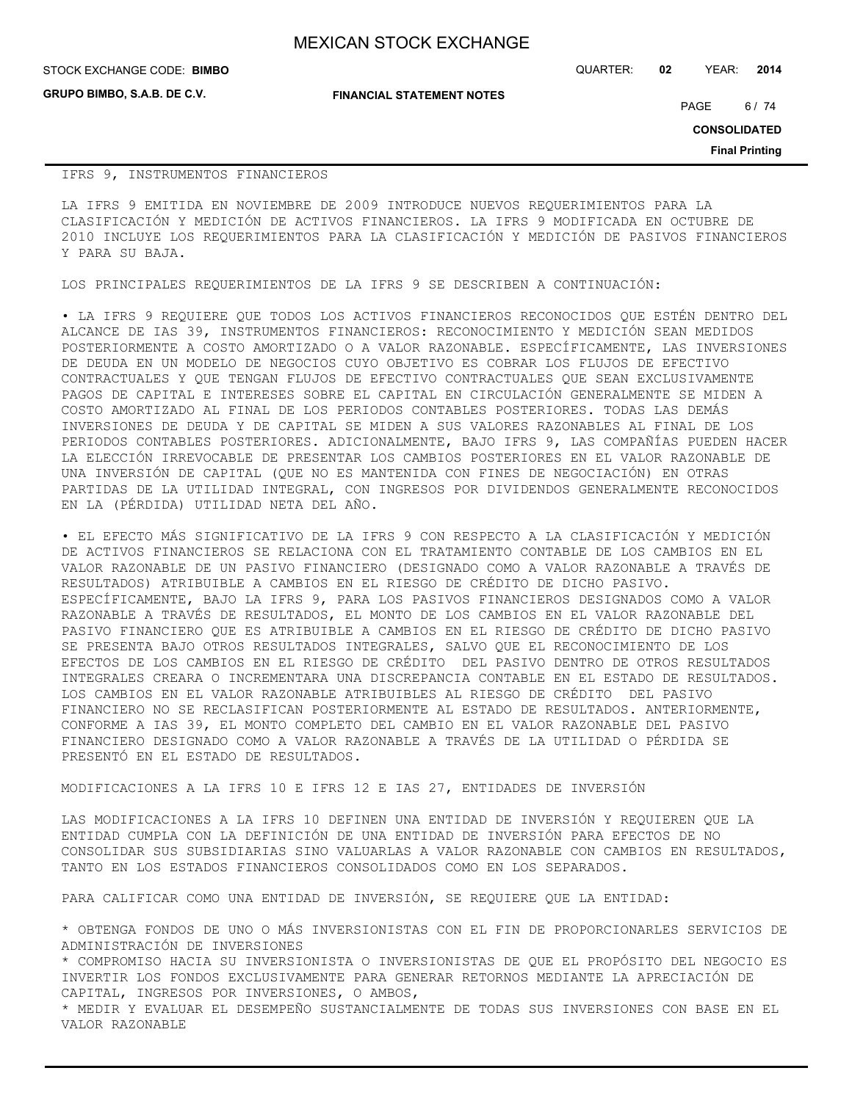| <b>MEXICAN STOCK EXCHANGE</b> |  |  |  |
|-------------------------------|--|--|--|
|-------------------------------|--|--|--|

**GRUPO BIMBO, S.A.B. DE C.V.**

STOCK EXCHANGE CODE: QUARTER: **02** YEAR: **2014 BIMBO**

**FINANCIAL STATEMENT NOTES**

PAGE 6/74

**CONSOLIDATED**

**Final Printing**

#### IFRS 9, INSTRUMENTOS FINANCIEROS

LA IFRS 9 EMITIDA EN NOVIEMBRE DE 2009 INTRODUCE NUEVOS REQUERIMIENTOS PARA LA CLASIFICACIÓN Y MEDICIÓN DE ACTIVOS FINANCIEROS. LA IFRS 9 MODIFICADA EN OCTUBRE DE 2010 INCLUYE LOS REQUERIMIENTOS PARA LA CLASIFICACIÓN Y MEDICIÓN DE PASIVOS FINANCIEROS Y PARA SU BAJA.

LOS PRINCIPALES REQUERIMIENTOS DE LA IFRS 9 SE DESCRIBEN A CONTINUACIÓN:

• LA IFRS 9 REQUIERE QUE TODOS LOS ACTIVOS FINANCIEROS RECONOCIDOS QUE ESTÉN DENTRO DEL ALCANCE DE IAS 39, INSTRUMENTOS FINANCIEROS: RECONOCIMIENTO Y MEDICIÓN SEAN MEDIDOS POSTERIORMENTE A COSTO AMORTIZADO O A VALOR RAZONABLE. ESPECÍFICAMENTE, LAS INVERSIONES DE DEUDA EN UN MODELO DE NEGOCIOS CUYO OBJETIVO ES COBRAR LOS FLUJOS DE EFECTIVO CONTRACTUALES Y QUE TENGAN FLUJOS DE EFECTIVO CONTRACTUALES QUE SEAN EXCLUSIVAMENTE PAGOS DE CAPITAL E INTERESES SOBRE EL CAPITAL EN CIRCULACIÓN GENERALMENTE SE MIDEN A COSTO AMORTIZADO AL FINAL DE LOS PERIODOS CONTABLES POSTERIORES. TODAS LAS DEMÁS INVERSIONES DE DEUDA Y DE CAPITAL SE MIDEN A SUS VALORES RAZONABLES AL FINAL DE LOS PERIODOS CONTABLES POSTERIORES. ADICIONALMENTE, BAJO IFRS 9, LAS COMPAÑÍAS PUEDEN HACER LA ELECCIÓN IRREVOCABLE DE PRESENTAR LOS CAMBIOS POSTERIORES EN EL VALOR RAZONABLE DE UNA INVERSIÓN DE CAPITAL (QUE NO ES MANTENIDA CON FINES DE NEGOCIACIÓN) EN OTRAS PARTIDAS DE LA UTILIDAD INTEGRAL, CON INGRESOS POR DIVIDENDOS GENERALMENTE RECONOCIDOS EN LA (PÉRDIDA) UTILIDAD NETA DEL AÑO.

• EL EFECTO MÁS SIGNIFICATIVO DE LA IFRS 9 CON RESPECTO A LA CLASIFICACIÓN Y MEDICIÓN DE ACTIVOS FINANCIEROS SE RELACIONA CON EL TRATAMIENTO CONTABLE DE LOS CAMBIOS EN EL VALOR RAZONABLE DE UN PASIVO FINANCIERO (DESIGNADO COMO A VALOR RAZONABLE A TRAVÉS DE RESULTADOS) ATRIBUIBLE A CAMBIOS EN EL RIESGO DE CRÉDITO DE DICHO PASIVO. ESPECÍFICAMENTE, BAJO LA IFRS 9, PARA LOS PASIVOS FINANCIEROS DESIGNADOS COMO A VALOR RAZONABLE A TRAVÉS DE RESULTADOS, EL MONTO DE LOS CAMBIOS EN EL VALOR RAZONABLE DEL PASIVO FINANCIERO QUE ES ATRIBUIBLE A CAMBIOS EN EL RIESGO DE CRÉDITO DE DICHO PASIVO SE PRESENTA BAJO OTROS RESULTADOS INTEGRALES, SALVO QUE EL RECONOCIMIENTO DE LOS EFECTOS DE LOS CAMBIOS EN EL RIESGO DE CRÉDITO DEL PASIVO DENTRO DE OTROS RESULTADOS INTEGRALES CREARA O INCREMENTARA UNA DISCREPANCIA CONTABLE EN EL ESTADO DE RESULTADOS. LOS CAMBIOS EN EL VALOR RAZONABLE ATRIBUIBLES AL RIESGO DE CRÉDITO DEL PASIVO FINANCIERO NO SE RECLASIFICAN POSTERIORMENTE AL ESTADO DE RESULTADOS. ANTERIORMENTE, CONFORME A IAS 39, EL MONTO COMPLETO DEL CAMBIO EN EL VALOR RAZONABLE DEL PASIVO FINANCIERO DESIGNADO COMO A VALOR RAZONABLE A TRAVÉS DE LA UTILIDAD O PÉRDIDA SE PRESENTÓ EN EL ESTADO DE RESULTADOS.

MODIFICACIONES A LA IFRS 10 E IFRS 12 E IAS 27, ENTIDADES DE INVERSIÓN

LAS MODIFICACIONES A LA IFRS 10 DEFINEN UNA ENTIDAD DE INVERSIÓN Y REQUIEREN QUE LA ENTIDAD CUMPLA CON LA DEFINICIÓN DE UNA ENTIDAD DE INVERSIÓN PARA EFECTOS DE NO CONSOLIDAR SUS SUBSIDIARIAS SINO VALUARLAS A VALOR RAZONABLE CON CAMBIOS EN RESULTADOS, TANTO EN LOS ESTADOS FINANCIEROS CONSOLIDADOS COMO EN LOS SEPARADOS.

PARA CALIFICAR COMO UNA ENTIDAD DE INVERSIÓN, SE REQUIERE QUE LA ENTIDAD:

\* OBTENGA FONDOS DE UNO O MÁS INVERSIONISTAS CON EL FIN DE PROPORCIONARLES SERVICIOS DE ADMINISTRACIÓN DE INVERSIONES

\* COMPROMISO HACIA SU INVERSIONISTA O INVERSIONISTAS DE QUE EL PROPÓSITO DEL NEGOCIO ES INVERTIR LOS FONDOS EXCLUSIVAMENTE PARA GENERAR RETORNOS MEDIANTE LA APRECIACIÓN DE CAPITAL, INGRESOS POR INVERSIONES, O AMBOS,

\* MEDIR Y EVALUAR EL DESEMPEÑO SUSTANCIALMENTE DE TODAS SUS INVERSIONES CON BASE EN EL VALOR RAZONABLE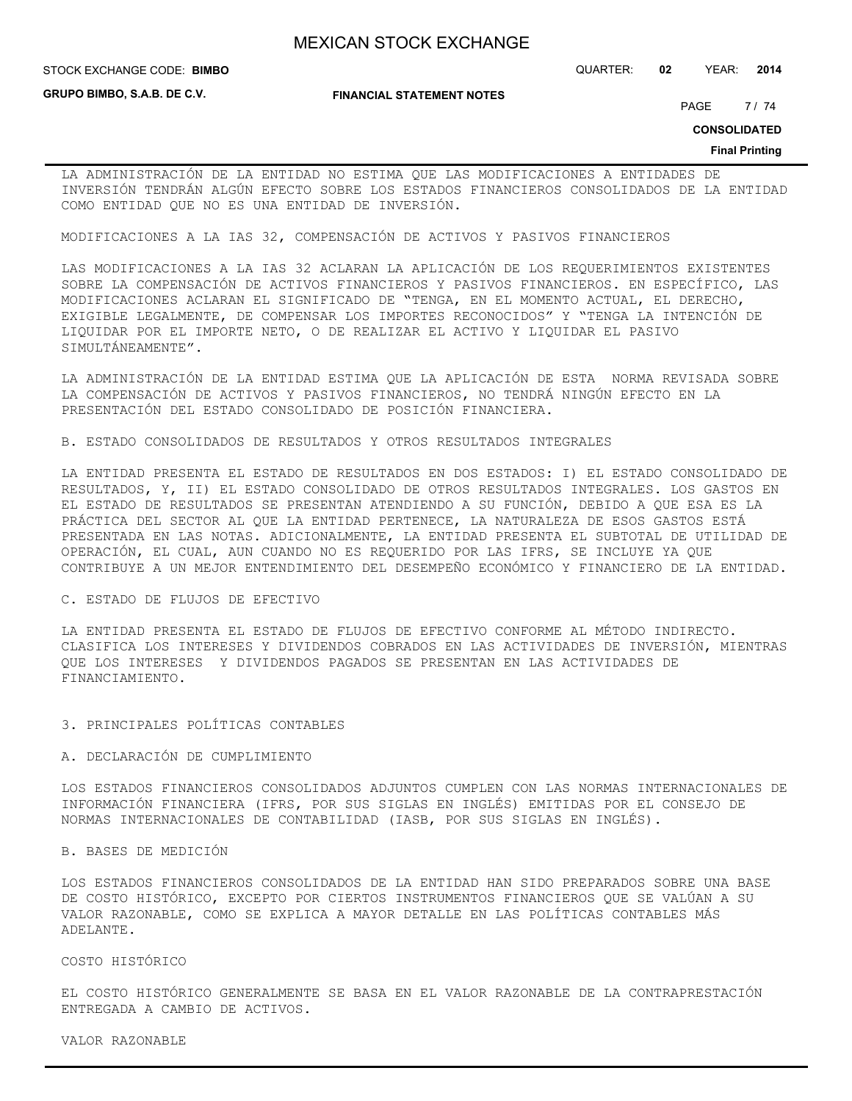STOCK EXCHANGE CODE: QUARTER: **02** YEAR: **2014 BIMBO**

**GRUPO BIMBO, S.A.B. DE C.V.**

**FINANCIAL STATEMENT NOTES**

PAGE 7/74

**CONSOLIDATED**

#### **Final Printing**

LA ADMINISTRACIÓN DE LA ENTIDAD NO ESTIMA QUE LAS MODIFICACIONES A ENTIDADES DE INVERSIÓN TENDRÁN ALGÚN EFECTO SOBRE LOS ESTADOS FINANCIEROS CONSOLIDADOS DE LA ENTIDAD COMO ENTIDAD QUE NO ES UNA ENTIDAD DE INVERSIÓN.

MODIFICACIONES A LA IAS 32, COMPENSACIÓN DE ACTIVOS Y PASIVOS FINANCIEROS

LAS MODIFICACIONES A LA IAS 32 ACLARAN LA APLICACIÓN DE LOS REQUERIMIENTOS EXISTENTES SOBRE LA COMPENSACIÓN DE ACTIVOS FINANCIEROS Y PASIVOS FINANCIEROS. EN ESPECÍFICO, LAS MODIFICACIONES ACLARAN EL SIGNIFICADO DE "TENGA, EN EL MOMENTO ACTUAL, EL DERECHO, EXIGIBLE LEGALMENTE, DE COMPENSAR LOS IMPORTES RECONOCIDOS" Y "TENGA LA INTENCIÓN DE LIQUIDAR POR EL IMPORTE NETO, O DE REALIZAR EL ACTIVO Y LIQUIDAR EL PASIVO SIMULTÁNEAMENTE".

LA ADMINISTRACIÓN DE LA ENTIDAD ESTIMA QUE LA APLICACIÓN DE ESTA NORMA REVISADA SOBRE LA COMPENSACIÓN DE ACTIVOS Y PASIVOS FINANCIEROS, NO TENDRÁ NINGÚN EFECTO EN LA PRESENTACIÓN DEL ESTADO CONSOLIDADO DE POSICIÓN FINANCIERA.

B. ESTADO CONSOLIDADOS DE RESULTADOS Y OTROS RESULTADOS INTEGRALES

LA ENTIDAD PRESENTA EL ESTADO DE RESULTADOS EN DOS ESTADOS: I) EL ESTADO CONSOLIDADO DE RESULTADOS, Y, II) EL ESTADO CONSOLIDADO DE OTROS RESULTADOS INTEGRALES. LOS GASTOS EN EL ESTADO DE RESULTADOS SE PRESENTAN ATENDIENDO A SU FUNCIÓN, DEBIDO A QUE ESA ES LA PRÁCTICA DEL SECTOR AL QUE LA ENTIDAD PERTENECE, LA NATURALEZA DE ESOS GASTOS ESTÁ PRESENTADA EN LAS NOTAS. ADICIONALMENTE, LA ENTIDAD PRESENTA EL SUBTOTAL DE UTILIDAD DE OPERACIÓN, EL CUAL, AUN CUANDO NO ES REQUERIDO POR LAS IFRS, SE INCLUYE YA QUE CONTRIBUYE A UN MEJOR ENTENDIMIENTO DEL DESEMPEÑO ECONÓMICO Y FINANCIERO DE LA ENTIDAD.

### C. ESTADO DE FLUJOS DE EFECTIVO

LA ENTIDAD PRESENTA EL ESTADO DE FLUJOS DE EFECTIVO CONFORME AL MÉTODO INDIRECTO. CLASIFICA LOS INTERESES Y DIVIDENDOS COBRADOS EN LAS ACTIVIDADES DE INVERSIÓN, MIENTRAS QUE LOS INTERESES Y DIVIDENDOS PAGADOS SE PRESENTAN EN LAS ACTIVIDADES DE FINANCIAMIENTO.

#### 3. PRINCIPALES POLÍTICAS CONTABLES

#### A. DECLARACIÓN DE CUMPLIMIENTO

LOS ESTADOS FINANCIEROS CONSOLIDADOS ADJUNTOS CUMPLEN CON LAS NORMAS INTERNACIONALES DE INFORMACIÓN FINANCIERA (IFRS, POR SUS SIGLAS EN INGLÉS) EMITIDAS POR EL CONSEJO DE NORMAS INTERNACIONALES DE CONTABILIDAD (IASB, POR SUS SIGLAS EN INGLÉS).

#### B. BASES DE MEDICIÓN

LOS ESTADOS FINANCIEROS CONSOLIDADOS DE LA ENTIDAD HAN SIDO PREPARADOS SOBRE UNA BASE DE COSTO HISTÓRICO, EXCEPTO POR CIERTOS INSTRUMENTOS FINANCIEROS QUE SE VALÚAN A SU VALOR RAZONABLE, COMO SE EXPLICA A MAYOR DETALLE EN LAS POLÍTICAS CONTABLES MÁS ADELANTE.

#### COSTO HISTÓRICO

EL COSTO HISTÓRICO GENERALMENTE SE BASA EN EL VALOR RAZONABLE DE LA CONTRAPRESTACIÓN ENTREGADA A CAMBIO DE ACTIVOS.

VALOR RAZONABLE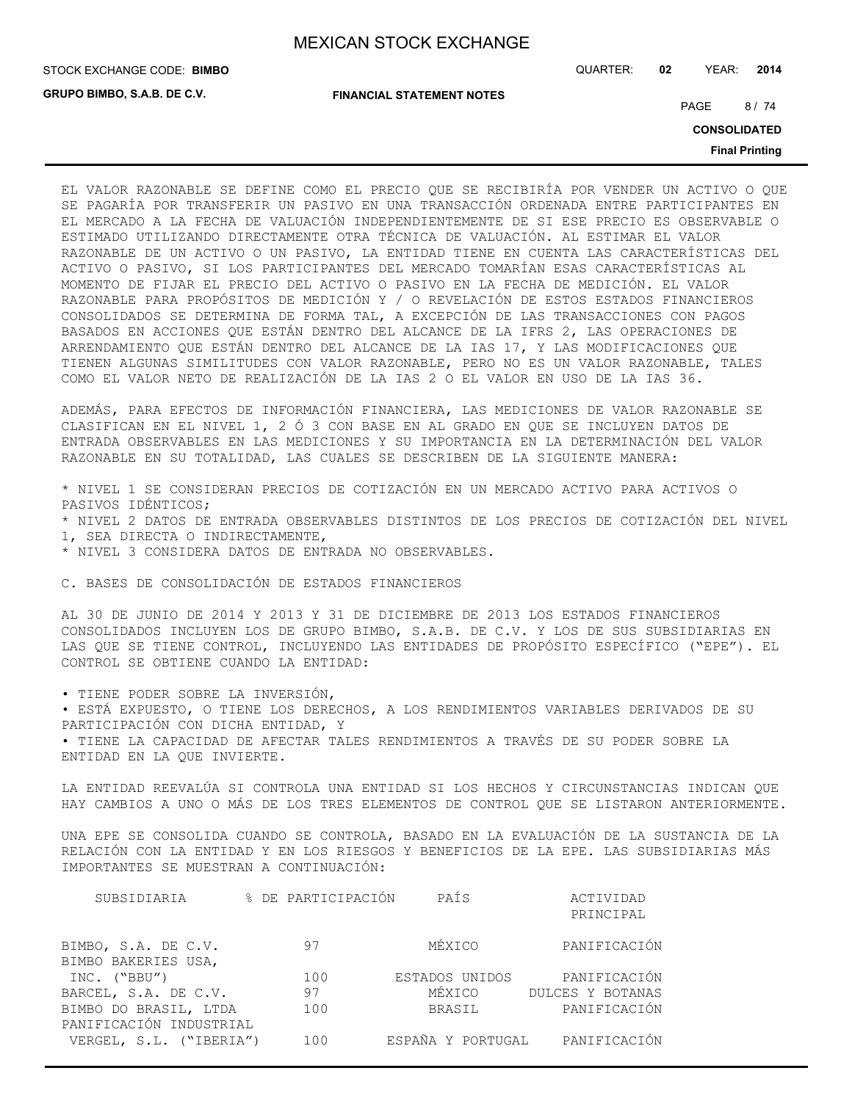**GRUPO BIMBO, S.A.B. DE C.V.**

STOCK EXCHANGE CODE: QUARTER: **02** YEAR: **2014 BIMBO**

**FINANCIAL STATEMENT NOTES**

PAGE 8/74

**CONSOLIDATED**

**Final Printing**

EL VALOR RAZONABLE SE DEFINE COMO EL PRECIO QUE SE RECIBIRÍA POR VENDER UN ACTIVO O QUE SE PAGARÍA POR TRANSFERIR UN PASIVO EN UNA TRANSACCIÓN ORDENADA ENTRE PARTICIPANTES EN EL MERCADO A LA FECHA DE VALUACIÓN INDEPENDIENTEMENTE DE SI ESE PRECIO ES OBSERVABLE O ESTIMADO UTILIZANDO DIRECTAMENTE OTRA TÉCNICA DE VALUACIÓN. AL ESTIMAR EL VALOR RAZONABLE DE UN ACTIVO O UN PASIVO, LA ENTIDAD TIENE EN CUENTA LAS CARACTERÍSTICAS DEL ACTIVO O PASIVO, SI LOS PARTICIPANTES DEL MERCADO TOMARÍAN ESAS CARACTERÍSTICAS AL MOMENTO DE FIJAR EL PRECIO DEL ACTIVO O PASIVO EN LA FECHA DE MEDICIÓN. EL VALOR RAZONABLE PARA PROPÓSITOS DE MEDICIÓN Y / O REVELACIÓN DE ESTOS ESTADOS FINANCIEROS CONSOLIDADOS SE DETERMINA DE FORMA TAL, A EXCEPCIÓN DE LAS TRANSACCIONES CON PAGOS BASADOS EN ACCIONES QUE ESTÁN DENTRO DEL ALCANCE DE LA IFRS 2, LAS OPERACIONES DE ARRENDAMIENTO QUE ESTÁN DENTRO DEL ALCANCE DE LA IAS 17, Y LAS MODIFICACIONES QUE TIENEN ALGUNAS SIMILITUDES CON VALOR RAZONABLE, PERO NO ES UN VALOR RAZONABLE, TALES COMO EL VALOR NETO DE REALIZACIÓN DE LA IAS 2 O EL VALOR EN USO DE LA IAS 36.

ADEMÁS, PARA EFECTOS DE INFORMACIÓN FINANCIERA, LAS MEDICIONES DE VALOR RAZONABLE SE CLASIFICAN EN EL NIVEL 1, 2 Ó 3 CON BASE EN AL GRADO EN QUE SE INCLUYEN DATOS DE ENTRADA OBSERVABLES EN LAS MEDICIONES Y SU IMPORTANCIA EN LA DETERMINACIÓN DEL VALOR RAZONABLE EN SU TOTALIDAD, LAS CUALES SE DESCRIBEN DE LA SIGUIENTE MANERA:

\* NIVEL 1 SE CONSIDERAN PRECIOS DE COTIZACIÓN EN UN MERCADO ACTIVO PARA ACTIVOS O PASIVOS IDÉNTICOS; \* NIVEL 2 DATOS DE ENTRADA OBSERVABLES DISTINTOS DE LOS PRECIOS DE COTIZACIÓN DEL NIVEL 1, SEA DIRECTA O INDIRECTAMENTE, \* NIVEL 3 CONSIDERA DATOS DE ENTRADA NO OBSERVABLES.

C. BASES DE CONSOLIDACIÓN DE ESTADOS FINANCIEROS

AL 30 DE JUNIO DE 2014 Y 2013 Y 31 DE DICIEMBRE DE 2013 LOS ESTADOS FINANCIEROS CONSOLIDADOS INCLUYEN LOS DE GRUPO BIMBO, S.A.B. DE C.V. Y LOS DE SUS SUBSIDIARIAS EN LAS QUE SE TIENE CONTROL, INCLUYENDO LAS ENTIDADES DE PROPÓSITO ESPECÍFICO ("EPE"). EL CONTROL SE OBTIENE CUANDO LA ENTIDAD:

• TIENE PODER SOBRE LA INVERSIÓN,

• ESTÁ EXPUESTO, O TIENE LOS DERECHOS, A LOS RENDIMIENTOS VARIABLES DERIVADOS DE SU PARTICIPACIÓN CON DICHA ENTIDAD, Y • TIENE LA CAPACIDAD DE AFECTAR TALES RENDIMIENTOS A TRAVÉS DE SU PODER SOBRE LA

ENTIDAD EN LA QUE INVIERTE.

LA ENTIDAD REEVALÚA SI CONTROLA UNA ENTIDAD SI LOS HECHOS Y CIRCUNSTANCIAS INDICAN QUE HAY CAMBIOS A UNO O MÁS DE LOS TRES ELEMENTOS DE CONTROL QUE SE LISTARON ANTERIORMENTE.

UNA EPE SE CONSOLIDA CUANDO SE CONTROLA, BASADO EN LA EVALUACIÓN DE LA SUSTANCIA DE LA RELACIÓN CON LA ENTIDAD Y EN LOS RIESGOS Y BENEFICIOS DE LA EPE. LAS SUBSIDIARIAS MÁS IMPORTANTES SE MUESTRAN A CONTINUACIÓN:

| SUBSIDIARIA             | % DE PARTICIPACIÓN | PAÍS              | ACTIVIDAD        |
|-------------------------|--------------------|-------------------|------------------|
|                         |                    |                   | PRINCIPAL        |
|                         | 97                 | MÉXICO            | PANIFICACIÓN     |
| BIMBO, S.A. DE C.V.     |                    |                   |                  |
| BIMBO BAKERIES USA,     |                    |                   |                  |
| INC. ("BBU")            | 100                | ESTADOS UNIDOS    | PANIFICACIÓN     |
| BARCEL, S.A. DE C.V.    | 97                 | MÉXICO            | DULCES Y BOTANAS |
| BIMBO DO BRASIL, LTDA   | 100                | BRASIL            | PANIFICACIÓN     |
| PANIFICACIÓN INDUSTRIAL |                    |                   |                  |
| VERGEL, S.L. ("IBERIA") | 100                | ESPAÑA Y PORTUGAL | PANIFICACIÓN     |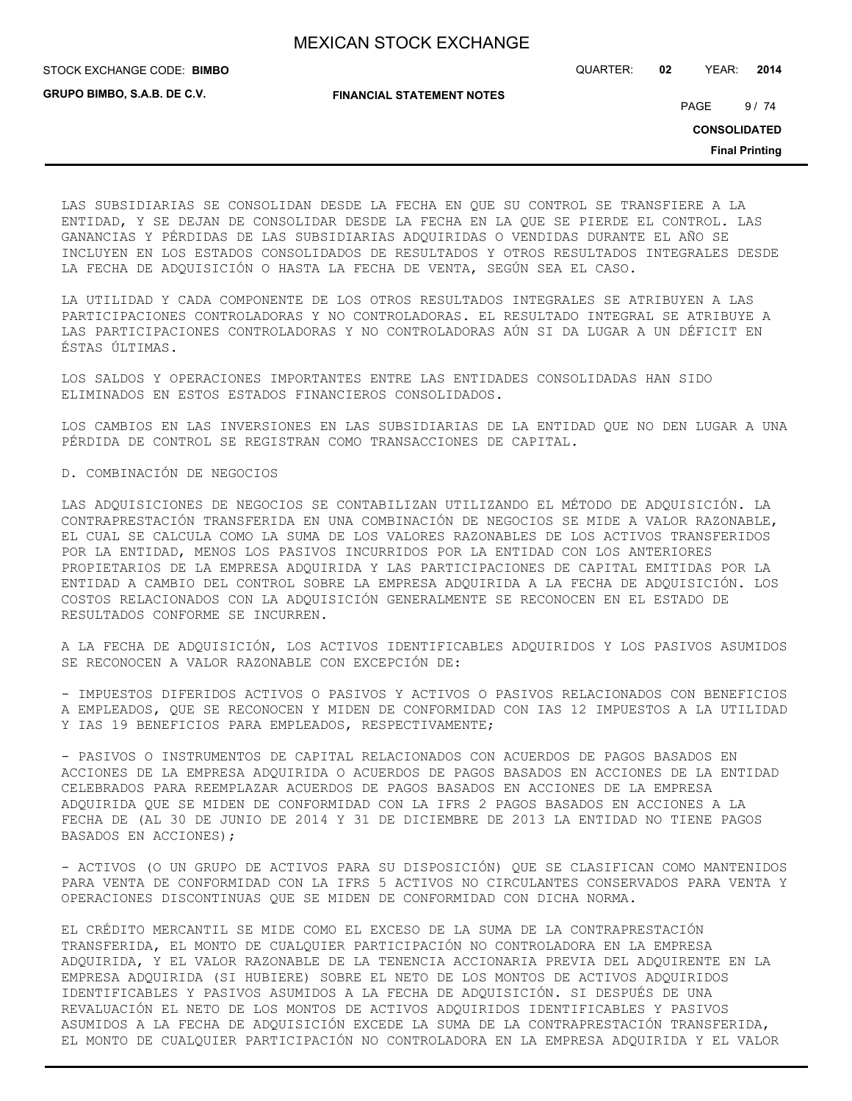**GRUPO BIMBO, S.A.B. DE C.V.**

STOCK EXCHANGE CODE: QUARTER: **02** YEAR: **2014 BIMBO**

**FINANCIAL STATEMENT NOTES**

PAGE 9/74

**CONSOLIDATED**

**Final Printing**

LAS SUBSIDIARIAS SE CONSOLIDAN DESDE LA FECHA EN QUE SU CONTROL SE TRANSFIERE A LA ENTIDAD, Y SE DEJAN DE CONSOLIDAR DESDE LA FECHA EN LA QUE SE PIERDE EL CONTROL. LAS GANANCIAS Y PÉRDIDAS DE LAS SUBSIDIARIAS ADQUIRIDAS O VENDIDAS DURANTE EL AÑO SE INCLUYEN EN LOS ESTADOS CONSOLIDADOS DE RESULTADOS Y OTROS RESULTADOS INTEGRALES DESDE LA FECHA DE ADQUISICIÓN O HASTA LA FECHA DE VENTA, SEGÚN SEA EL CASO.

LA UTILIDAD Y CADA COMPONENTE DE LOS OTROS RESULTADOS INTEGRALES SE ATRIBUYEN A LAS PARTICIPACIONES CONTROLADORAS Y NO CONTROLADORAS. EL RESULTADO INTEGRAL SE ATRIBUYE A LAS PARTICIPACIONES CONTROLADORAS Y NO CONTROLADORAS AÚN SI DA LUGAR A UN DÉFICIT EN ÉSTAS ÚLTIMAS.

LOS SALDOS Y OPERACIONES IMPORTANTES ENTRE LAS ENTIDADES CONSOLIDADAS HAN SIDO ELIMINADOS EN ESTOS ESTADOS FINANCIEROS CONSOLIDADOS.

LOS CAMBIOS EN LAS INVERSIONES EN LAS SUBSIDIARIAS DE LA ENTIDAD QUE NO DEN LUGAR A UNA PÉRDIDA DE CONTROL SE REGISTRAN COMO TRANSACCIONES DE CAPITAL.

### D. COMBINACIÓN DE NEGOCIOS

LAS ADQUISICIONES DE NEGOCIOS SE CONTABILIZAN UTILIZANDO EL MÉTODO DE ADQUISICIÓN. LA CONTRAPRESTACIÓN TRANSFERIDA EN UNA COMBINACIÓN DE NEGOCIOS SE MIDE A VALOR RAZONABLE, EL CUAL SE CALCULA COMO LA SUMA DE LOS VALORES RAZONABLES DE LOS ACTIVOS TRANSFERIDOS POR LA ENTIDAD, MENOS LOS PASIVOS INCURRIDOS POR LA ENTIDAD CON LOS ANTERIORES PROPIETARIOS DE LA EMPRESA ADQUIRIDA Y LAS PARTICIPACIONES DE CAPITAL EMITIDAS POR LA ENTIDAD A CAMBIO DEL CONTROL SOBRE LA EMPRESA ADQUIRIDA A LA FECHA DE ADQUISICIÓN. LOS COSTOS RELACIONADOS CON LA ADQUISICIÓN GENERALMENTE SE RECONOCEN EN EL ESTADO DE RESULTADOS CONFORME SE INCURREN.

A LA FECHA DE ADQUISICIÓN, LOS ACTIVOS IDENTIFICABLES ADQUIRIDOS Y LOS PASIVOS ASUMIDOS SE RECONOCEN A VALOR RAZONABLE CON EXCEPCIÓN DE:

- IMPUESTOS DIFERIDOS ACTIVOS O PASIVOS Y ACTIVOS O PASIVOS RELACIONADOS CON BENEFICIOS A EMPLEADOS, QUE SE RECONOCEN Y MIDEN DE CONFORMIDAD CON IAS 12 IMPUESTOS A LA UTILIDAD Y IAS 19 BENEFICIOS PARA EMPLEADOS, RESPECTIVAMENTE;

- PASIVOS O INSTRUMENTOS DE CAPITAL RELACIONADOS CON ACUERDOS DE PAGOS BASADOS EN ACCIONES DE LA EMPRESA ADQUIRIDA O ACUERDOS DE PAGOS BASADOS EN ACCIONES DE LA ENTIDAD CELEBRADOS PARA REEMPLAZAR ACUERDOS DE PAGOS BASADOS EN ACCIONES DE LA EMPRESA ADQUIRIDA QUE SE MIDEN DE CONFORMIDAD CON LA IFRS 2 PAGOS BASADOS EN ACCIONES A LA FECHA DE (AL 30 DE JUNIO DE 2014 Y 31 DE DICIEMBRE DE 2013 LA ENTIDAD NO TIENE PAGOS BASADOS EN ACCIONES);

- ACTIVOS (O UN GRUPO DE ACTIVOS PARA SU DISPOSICIÓN) QUE SE CLASIFICAN COMO MANTENIDOS PARA VENTA DE CONFORMIDAD CON LA IFRS 5 ACTIVOS NO CIRCULANTES CONSERVADOS PARA VENTA Y OPERACIONES DISCONTINUAS QUE SE MIDEN DE CONFORMIDAD CON DICHA NORMA.

EL CRÉDITO MERCANTIL SE MIDE COMO EL EXCESO DE LA SUMA DE LA CONTRAPRESTACIÓN TRANSFERIDA, EL MONTO DE CUALQUIER PARTICIPACIÓN NO CONTROLADORA EN LA EMPRESA ADQUIRIDA, Y EL VALOR RAZONABLE DE LA TENENCIA ACCIONARIA PREVIA DEL ADQUIRENTE EN LA EMPRESA ADQUIRIDA (SI HUBIERE) SOBRE EL NETO DE LOS MONTOS DE ACTIVOS ADQUIRIDOS IDENTIFICABLES Y PASIVOS ASUMIDOS A LA FECHA DE ADQUISICIÓN. SI DESPUÉS DE UNA REVALUACIÓN EL NETO DE LOS MONTOS DE ACTIVOS ADQUIRIDOS IDENTIFICABLES Y PASIVOS ASUMIDOS A LA FECHA DE ADQUISICIÓN EXCEDE LA SUMA DE LA CONTRAPRESTACIÓN TRANSFERIDA, EL MONTO DE CUALQUIER PARTICIPACIÓN NO CONTROLADORA EN LA EMPRESA ADQUIRIDA Y EL VALOR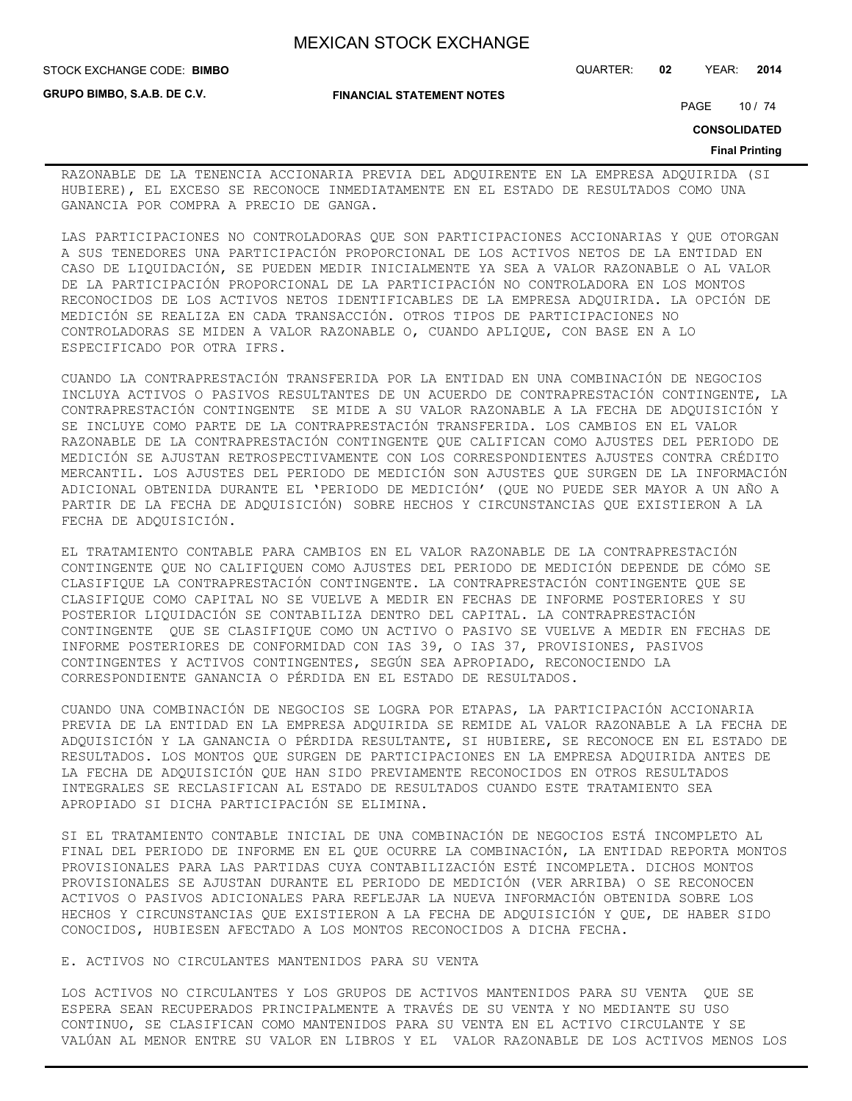**FINANCIAL STATEMENT NOTES**

**GRUPO BIMBO, S.A.B. DE C.V.**

STOCK EXCHANGE CODE: QUARTER: **02** YEAR: **2014 BIMBO**

PAGE 10 / 74

**CONSOLIDATED**

#### **Final Printing**

RAZONABLE DE LA TENENCIA ACCIONARIA PREVIA DEL ADQUIRENTE EN LA EMPRESA ADQUIRIDA (SI HUBIERE), EL EXCESO SE RECONOCE INMEDIATAMENTE EN EL ESTADO DE RESULTADOS COMO UNA GANANCIA POR COMPRA A PRECIO DE GANGA.

LAS PARTICIPACIONES NO CONTROLADORAS QUE SON PARTICIPACIONES ACCIONARIAS Y QUE OTORGAN A SUS TENEDORES UNA PARTICIPACIÓN PROPORCIONAL DE LOS ACTIVOS NETOS DE LA ENTIDAD EN CASO DE LIQUIDACIÓN, SE PUEDEN MEDIR INICIALMENTE YA SEA A VALOR RAZONABLE O AL VALOR DE LA PARTICIPACIÓN PROPORCIONAL DE LA PARTICIPACIÓN NO CONTROLADORA EN LOS MONTOS RECONOCIDOS DE LOS ACTIVOS NETOS IDENTIFICABLES DE LA EMPRESA ADQUIRIDA. LA OPCIÓN DE MEDICIÓN SE REALIZA EN CADA TRANSACCIÓN. OTROS TIPOS DE PARTICIPACIONES NO CONTROLADORAS SE MIDEN A VALOR RAZONABLE O, CUANDO APLIQUE, CON BASE EN A LO ESPECIFICADO POR OTRA IFRS.

CUANDO LA CONTRAPRESTACIÓN TRANSFERIDA POR LA ENTIDAD EN UNA COMBINACIÓN DE NEGOCIOS INCLUYA ACTIVOS O PASIVOS RESULTANTES DE UN ACUERDO DE CONTRAPRESTACIÓN CONTINGENTE, LA CONTRAPRESTACIÓN CONTINGENTE SE MIDE A SU VALOR RAZONABLE A LA FECHA DE ADQUISICIÓN Y SE INCLUYE COMO PARTE DE LA CONTRAPRESTACIÓN TRANSFERIDA. LOS CAMBIOS EN EL VALOR RAZONABLE DE LA CONTRAPRESTACIÓN CONTINGENTE QUE CALIFICAN COMO AJUSTES DEL PERIODO DE MEDICIÓN SE AJUSTAN RETROSPECTIVAMENTE CON LOS CORRESPONDIENTES AJUSTES CONTRA CRÉDITO MERCANTIL. LOS AJUSTES DEL PERIODO DE MEDICIÓN SON AJUSTES QUE SURGEN DE LA INFORMACIÓN ADICIONAL OBTENIDA DURANTE EL 'PERIODO DE MEDICIÓN' (QUE NO PUEDE SER MAYOR A UN AÑO A PARTIR DE LA FECHA DE ADQUISICIÓN) SOBRE HECHOS Y CIRCUNSTANCIAS QUE EXISTIERON A LA FECHA DE ADQUISICIÓN.

EL TRATAMIENTO CONTABLE PARA CAMBIOS EN EL VALOR RAZONABLE DE LA CONTRAPRESTACIÓN CONTINGENTE QUE NO CALIFIQUEN COMO AJUSTES DEL PERIODO DE MEDICIÓN DEPENDE DE CÓMO SE CLASIFIQUE LA CONTRAPRESTACIÓN CONTINGENTE. LA CONTRAPRESTACIÓN CONTINGENTE QUE SE CLASIFIQUE COMO CAPITAL NO SE VUELVE A MEDIR EN FECHAS DE INFORME POSTERIORES Y SU POSTERIOR LIQUIDACIÓN SE CONTABILIZA DENTRO DEL CAPITAL. LA CONTRAPRESTACIÓN CONTINGENTE QUE SE CLASIFIQUE COMO UN ACTIVO O PASIVO SE VUELVE A MEDIR EN FECHAS DE INFORME POSTERIORES DE CONFORMIDAD CON IAS 39, O IAS 37, PROVISIONES, PASIVOS CONTINGENTES Y ACTIVOS CONTINGENTES, SEGÚN SEA APROPIADO, RECONOCIENDO LA CORRESPONDIENTE GANANCIA O PÉRDIDA EN EL ESTADO DE RESULTADOS.

CUANDO UNA COMBINACIÓN DE NEGOCIOS SE LOGRA POR ETAPAS, LA PARTICIPACIÓN ACCIONARIA PREVIA DE LA ENTIDAD EN LA EMPRESA ADQUIRIDA SE REMIDE AL VALOR RAZONABLE A LA FECHA DE ADQUISICIÓN Y LA GANANCIA O PÉRDIDA RESULTANTE, SI HUBIERE, SE RECONOCE EN EL ESTADO DE RESULTADOS. LOS MONTOS QUE SURGEN DE PARTICIPACIONES EN LA EMPRESA ADQUIRIDA ANTES DE LA FECHA DE ADQUISICIÓN QUE HAN SIDO PREVIAMENTE RECONOCIDOS EN OTROS RESULTADOS INTEGRALES SE RECLASIFICAN AL ESTADO DE RESULTADOS CUANDO ESTE TRATAMIENTO SEA APROPIADO SI DICHA PARTICIPACIÓN SE ELIMINA.

SI EL TRATAMIENTO CONTABLE INICIAL DE UNA COMBINACIÓN DE NEGOCIOS ESTÁ INCOMPLETO AL FINAL DEL PERIODO DE INFORME EN EL QUE OCURRE LA COMBINACIÓN, LA ENTIDAD REPORTA MONTOS PROVISIONALES PARA LAS PARTIDAS CUYA CONTABILIZACIÓN ESTÉ INCOMPLETA. DICHOS MONTOS PROVISIONALES SE AJUSTAN DURANTE EL PERIODO DE MEDICIÓN (VER ARRIBA) O SE RECONOCEN ACTIVOS O PASIVOS ADICIONALES PARA REFLEJAR LA NUEVA INFORMACIÓN OBTENIDA SOBRE LOS HECHOS Y CIRCUNSTANCIAS QUE EXISTIERON A LA FECHA DE ADQUISICIÓN Y QUE, DE HABER SIDO CONOCIDOS, HUBIESEN AFECTADO A LOS MONTOS RECONOCIDOS A DICHA FECHA.

### E. ACTIVOS NO CIRCULANTES MANTENIDOS PARA SU VENTA

LOS ACTIVOS NO CIRCULANTES Y LOS GRUPOS DE ACTIVOS MANTENIDOS PARA SU VENTA QUE SE ESPERA SEAN RECUPERADOS PRINCIPALMENTE A TRAVÉS DE SU VENTA Y NO MEDIANTE SU USO CONTINUO, SE CLASIFICAN COMO MANTENIDOS PARA SU VENTA EN EL ACTIVO CIRCULANTE Y SE VALÚAN AL MENOR ENTRE SU VALOR EN LIBROS Y EL VALOR RAZONABLE DE LOS ACTIVOS MENOS LOS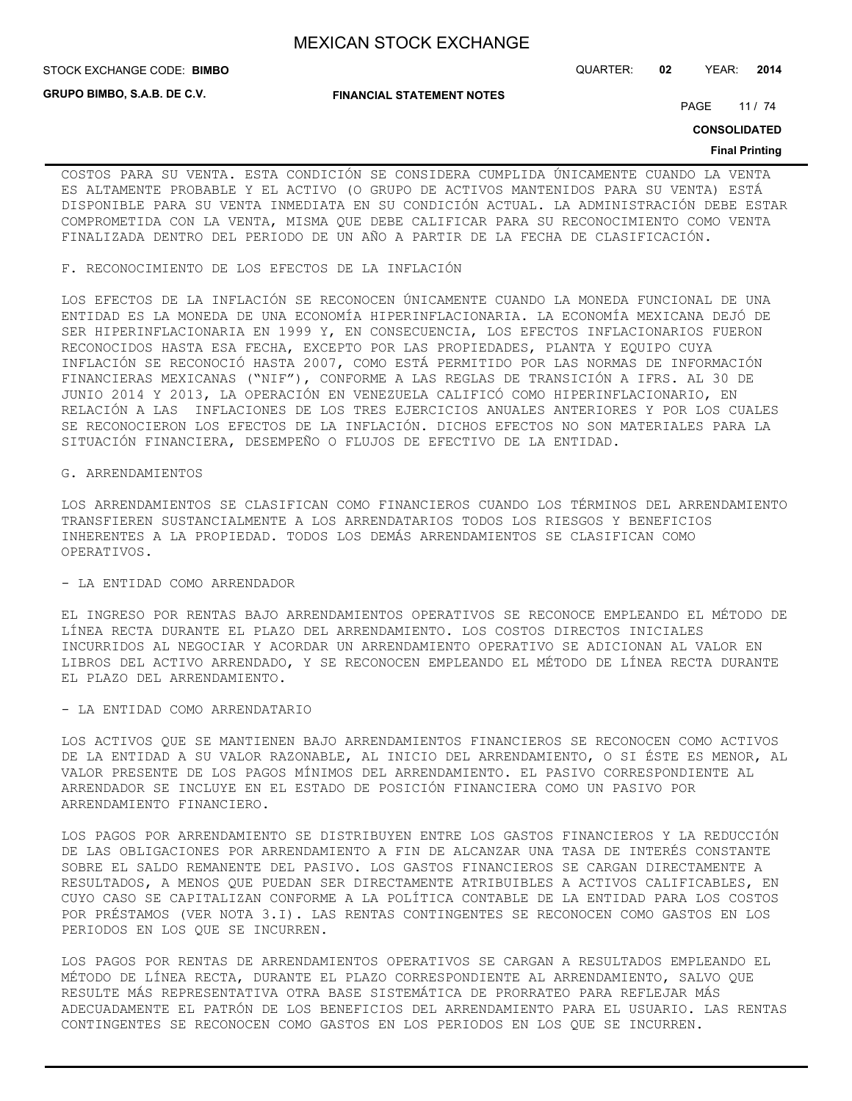**GRUPO BIMBO, S.A.B. DE C.V.**

**FINANCIAL STATEMENT NOTES**

STOCK EXCHANGE CODE: QUARTER: **02** YEAR: **2014 BIMBO**

PAGE 11 / 74

**CONSOLIDATED**

#### **Final Printing**

COSTOS PARA SU VENTA. ESTA CONDICIÓN SE CONSIDERA CUMPLIDA ÚNICAMENTE CUANDO LA VENTA ES ALTAMENTE PROBABLE Y EL ACTIVO (O GRUPO DE ACTIVOS MANTENIDOS PARA SU VENTA) ESTÁ DISPONIBLE PARA SU VENTA INMEDIATA EN SU CONDICIÓN ACTUAL. LA ADMINISTRACIÓN DEBE ESTAR COMPROMETIDA CON LA VENTA, MISMA QUE DEBE CALIFICAR PARA SU RECONOCIMIENTO COMO VENTA FINALIZADA DENTRO DEL PERIODO DE UN AÑO A PARTIR DE LA FECHA DE CLASIFICACIÓN.

#### F. RECONOCIMIENTO DE LOS EFECTOS DE LA INFLACIÓN

LOS EFECTOS DE LA INFLACIÓN SE RECONOCEN ÚNICAMENTE CUANDO LA MONEDA FUNCIONAL DE UNA ENTIDAD ES LA MONEDA DE UNA ECONOMÍA HIPERINFLACIONARIA. LA ECONOMÍA MEXICANA DEJÓ DE SER HIPERINFLACIONARIA EN 1999 Y, EN CONSECUENCIA, LOS EFECTOS INFLACIONARIOS FUERON RECONOCIDOS HASTA ESA FECHA, EXCEPTO POR LAS PROPIEDADES, PLANTA Y EQUIPO CUYA INFLACIÓN SE RECONOCIÓ HASTA 2007, COMO ESTÁ PERMITIDO POR LAS NORMAS DE INFORMACIÓN FINANCIERAS MEXICANAS ("NIF"), CONFORME A LAS REGLAS DE TRANSICIÓN A IFRS. AL 30 DE JUNIO 2014 Y 2013, LA OPERACIÓN EN VENEZUELA CALIFICÓ COMO HIPERINFLACIONARIO, EN RELACIÓN A LAS INFLACIONES DE LOS TRES EJERCICIOS ANUALES ANTERIORES Y POR LOS CUALES SE RECONOCIERON LOS EFECTOS DE LA INFLACIÓN. DICHOS EFECTOS NO SON MATERIALES PARA LA SITUACIÓN FINANCIERA, DESEMPEÑO O FLUJOS DE EFECTIVO DE LA ENTIDAD.

#### G. ARRENDAMIENTOS

LOS ARRENDAMIENTOS SE CLASIFICAN COMO FINANCIEROS CUANDO LOS TÉRMINOS DEL ARRENDAMIENTO TRANSFIEREN SUSTANCIALMENTE A LOS ARRENDATARIOS TODOS LOS RIESGOS Y BENEFICIOS INHERENTES A LA PROPIEDAD. TODOS LOS DEMÁS ARRENDAMIENTOS SE CLASIFICAN COMO OPERATIVOS.

### - LA ENTIDAD COMO ARRENDADOR

EL INGRESO POR RENTAS BAJO ARRENDAMIENTOS OPERATIVOS SE RECONOCE EMPLEANDO EL MÉTODO DE LÍNEA RECTA DURANTE EL PLAZO DEL ARRENDAMIENTO. LOS COSTOS DIRECTOS INICIALES INCURRIDOS AL NEGOCIAR Y ACORDAR UN ARRENDAMIENTO OPERATIVO SE ADICIONAN AL VALOR EN LIBROS DEL ACTIVO ARRENDADO, Y SE RECONOCEN EMPLEANDO EL MÉTODO DE LÍNEA RECTA DURANTE EL PLAZO DEL ARRENDAMIENTO.

### - LA ENTIDAD COMO ARRENDATARIO

LOS ACTIVOS QUE SE MANTIENEN BAJO ARRENDAMIENTOS FINANCIEROS SE RECONOCEN COMO ACTIVOS DE LA ENTIDAD A SU VALOR RAZONABLE, AL INICIO DEL ARRENDAMIENTO, O SI ÉSTE ES MENOR, AL VALOR PRESENTE DE LOS PAGOS MÍNIMOS DEL ARRENDAMIENTO. EL PASIVO CORRESPONDIENTE AL ARRENDADOR SE INCLUYE EN EL ESTADO DE POSICIÓN FINANCIERA COMO UN PASIVO POR ARRENDAMIENTO FINANCIERO.

LOS PAGOS POR ARRENDAMIENTO SE DISTRIBUYEN ENTRE LOS GASTOS FINANCIEROS Y LA REDUCCIÓN DE LAS OBLIGACIONES POR ARRENDAMIENTO A FIN DE ALCANZAR UNA TASA DE INTERÉS CONSTANTE SOBRE EL SALDO REMANENTE DEL PASIVO. LOS GASTOS FINANCIEROS SE CARGAN DIRECTAMENTE A RESULTADOS, A MENOS QUE PUEDAN SER DIRECTAMENTE ATRIBUIBLES A ACTIVOS CALIFICABLES, EN CUYO CASO SE CAPITALIZAN CONFORME A LA POLÍTICA CONTABLE DE LA ENTIDAD PARA LOS COSTOS POR PRÉSTAMOS (VER NOTA 3.I). LAS RENTAS CONTINGENTES SE RECONOCEN COMO GASTOS EN LOS PERIODOS EN LOS QUE SE INCURREN.

LOS PAGOS POR RENTAS DE ARRENDAMIENTOS OPERATIVOS SE CARGAN A RESULTADOS EMPLEANDO EL MÉTODO DE LÍNEA RECTA, DURANTE EL PLAZO CORRESPONDIENTE AL ARRENDAMIENTO, SALVO QUE RESULTE MÁS REPRESENTATIVA OTRA BASE SISTEMÁTICA DE PRORRATEO PARA REFLEJAR MÁS ADECUADAMENTE EL PATRÓN DE LOS BENEFICIOS DEL ARRENDAMIENTO PARA EL USUARIO. LAS RENTAS CONTINGENTES SE RECONOCEN COMO GASTOS EN LOS PERIODOS EN LOS QUE SE INCURREN.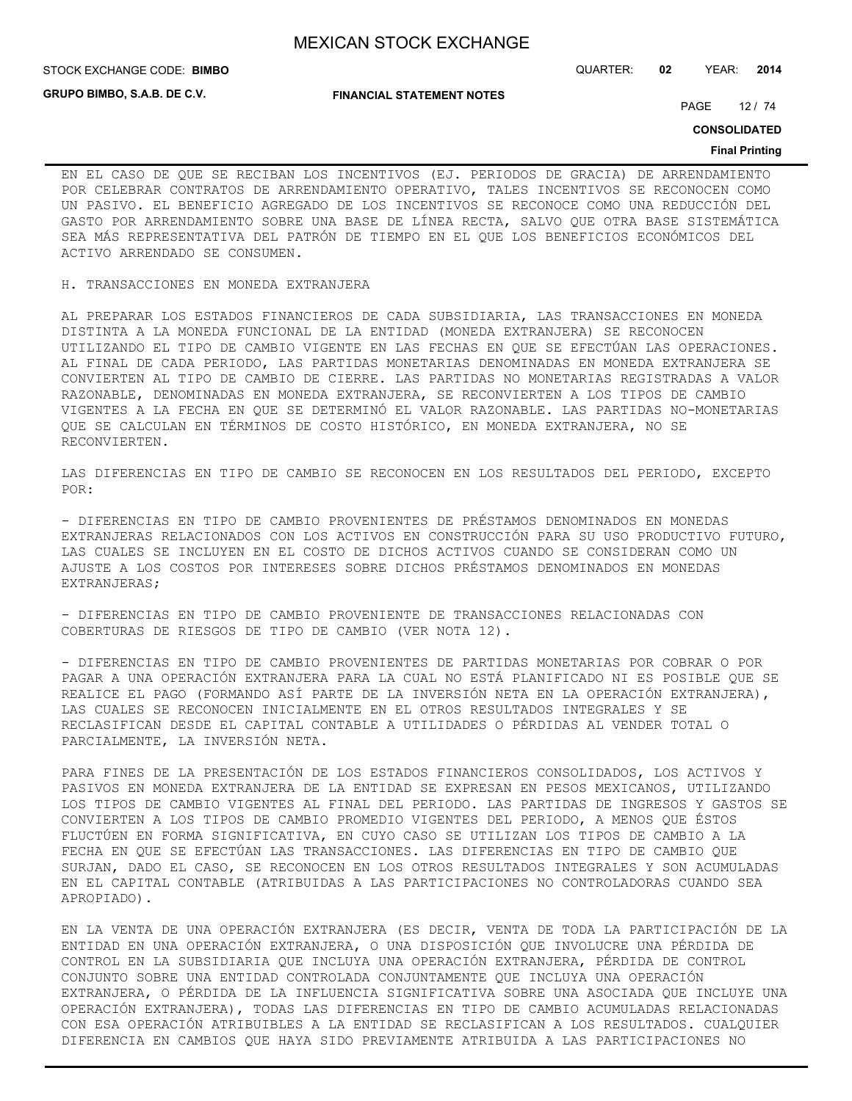**STOCK EXCHANGE CODE: BIMBO** 

**GRUPO BIMBO, S.A.B. DE C.V.**

**FINANCIAL STATEMENT NOTES**

STOCK EXCHANGE CODE: QUARTER: **02** YEAR: **2014**

PAGE 12 / 74

**CONSOLIDATED**

#### **Final Printing**

EN EL CASO DE QUE SE RECIBAN LOS INCENTIVOS (EJ. PERIODOS DE GRACIA) DE ARRENDAMIENTO POR CELEBRAR CONTRATOS DE ARRENDAMIENTO OPERATIVO, TALES INCENTIVOS SE RECONOCEN COMO UN PASIVO. EL BENEFICIO AGREGADO DE LOS INCENTIVOS SE RECONOCE COMO UNA REDUCCIÓN DEL GASTO POR ARRENDAMIENTO SOBRE UNA BASE DE LÍNEA RECTA, SALVO QUE OTRA BASE SISTEMÁTICA SEA MÁS REPRESENTATIVA DEL PATRÓN DE TIEMPO EN EL QUE LOS BENEFICIOS ECONÓMICOS DEL ACTIVO ARRENDADO SE CONSUMEN.

H. TRANSACCIONES EN MONEDA EXTRANJERA

AL PREPARAR LOS ESTADOS FINANCIEROS DE CADA SUBSIDIARIA, LAS TRANSACCIONES EN MONEDA DISTINTA A LA MONEDA FUNCIONAL DE LA ENTIDAD (MONEDA EXTRANJERA) SE RECONOCEN UTILIZANDO EL TIPO DE CAMBIO VIGENTE EN LAS FECHAS EN QUE SE EFECTÚAN LAS OPERACIONES. AL FINAL DE CADA PERIODO, LAS PARTIDAS MONETARIAS DENOMINADAS EN MONEDA EXTRANJERA SE CONVIERTEN AL TIPO DE CAMBIO DE CIERRE. LAS PARTIDAS NO MONETARIAS REGISTRADAS A VALOR RAZONABLE, DENOMINADAS EN MONEDA EXTRANJERA, SE RECONVIERTEN A LOS TIPOS DE CAMBIO VIGENTES A LA FECHA EN QUE SE DETERMINÓ EL VALOR RAZONABLE. LAS PARTIDAS NO-MONETARIAS QUE SE CALCULAN EN TÉRMINOS DE COSTO HISTÓRICO, EN MONEDA EXTRANJERA, NO SE RECONVIERTEN.

LAS DIFERENCIAS EN TIPO DE CAMBIO SE RECONOCEN EN LOS RESULTADOS DEL PERIODO, EXCEPTO POR:

- DIFERENCIAS EN TIPO DE CAMBIO PROVENIENTES DE PRÉSTAMOS DENOMINADOS EN MONEDAS EXTRANJERAS RELACIONADOS CON LOS ACTIVOS EN CONSTRUCCIÓN PARA SU USO PRODUCTIVO FUTURO, LAS CUALES SE INCLUYEN EN EL COSTO DE DICHOS ACTIVOS CUANDO SE CONSIDERAN COMO UN AJUSTE A LOS COSTOS POR INTERESES SOBRE DICHOS PRÉSTAMOS DENOMINADOS EN MONEDAS EXTRANJERAS;

- DIFERENCIAS EN TIPO DE CAMBIO PROVENIENTE DE TRANSACCIONES RELACIONADAS CON COBERTURAS DE RIESGOS DE TIPO DE CAMBIO (VER NOTA 12).

- DIFERENCIAS EN TIPO DE CAMBIO PROVENIENTES DE PARTIDAS MONETARIAS POR COBRAR O POR PAGAR A UNA OPERACIÓN EXTRANJERA PARA LA CUAL NO ESTÁ PLANIFICADO NI ES POSIBLE QUE SE REALICE EL PAGO (FORMANDO ASÍ PARTE DE LA INVERSIÓN NETA EN LA OPERACIÓN EXTRANJERA), LAS CUALES SE RECONOCEN INICIALMENTE EN EL OTROS RESULTADOS INTEGRALES Y SE RECLASIFICAN DESDE EL CAPITAL CONTABLE A UTILIDADES O PÉRDIDAS AL VENDER TOTAL O PARCIALMENTE, LA INVERSIÓN NETA.

PARA FINES DE LA PRESENTACIÓN DE LOS ESTADOS FINANCIEROS CONSOLIDADOS, LOS ACTIVOS Y PASIVOS EN MONEDA EXTRANJERA DE LA ENTIDAD SE EXPRESAN EN PESOS MEXICANOS, UTILIZANDO LOS TIPOS DE CAMBIO VIGENTES AL FINAL DEL PERIODO. LAS PARTIDAS DE INGRESOS Y GASTOS SE CONVIERTEN A LOS TIPOS DE CAMBIO PROMEDIO VIGENTES DEL PERIODO, A MENOS QUE ÉSTOS FLUCTÚEN EN FORMA SIGNIFICATIVA, EN CUYO CASO SE UTILIZAN LOS TIPOS DE CAMBIO A LA FECHA EN QUE SE EFECTÚAN LAS TRANSACCIONES. LAS DIFERENCIAS EN TIPO DE CAMBIO QUE SURJAN, DADO EL CASO, SE RECONOCEN EN LOS OTROS RESULTADOS INTEGRALES Y SON ACUMULADAS EN EL CAPITAL CONTABLE (ATRIBUIDAS A LAS PARTICIPACIONES NO CONTROLADORAS CUANDO SEA APROPIADO).

EN LA VENTA DE UNA OPERACIÓN EXTRANJERA (ES DECIR, VENTA DE TODA LA PARTICIPACIÓN DE LA ENTIDAD EN UNA OPERACIÓN EXTRANJERA, O UNA DISPOSICIÓN QUE INVOLUCRE UNA PÉRDIDA DE CONTROL EN LA SUBSIDIARIA QUE INCLUYA UNA OPERACIÓN EXTRANJERA, PÉRDIDA DE CONTROL CONJUNTO SOBRE UNA ENTIDAD CONTROLADA CONJUNTAMENTE QUE INCLUYA UNA OPERACIÓN EXTRANJERA, O PÉRDIDA DE LA INFLUENCIA SIGNIFICATIVA SOBRE UNA ASOCIADA QUE INCLUYE UNA OPERACIÓN EXTRANJERA), TODAS LAS DIFERENCIAS EN TIPO DE CAMBIO ACUMULADAS RELACIONADAS CON ESA OPERACIÓN ATRIBUIBLES A LA ENTIDAD SE RECLASIFICAN A LOS RESULTADOS. CUALQUIER DIFERENCIA EN CAMBIOS QUE HAYA SIDO PREVIAMENTE ATRIBUIDA A LAS PARTICIPACIONES NO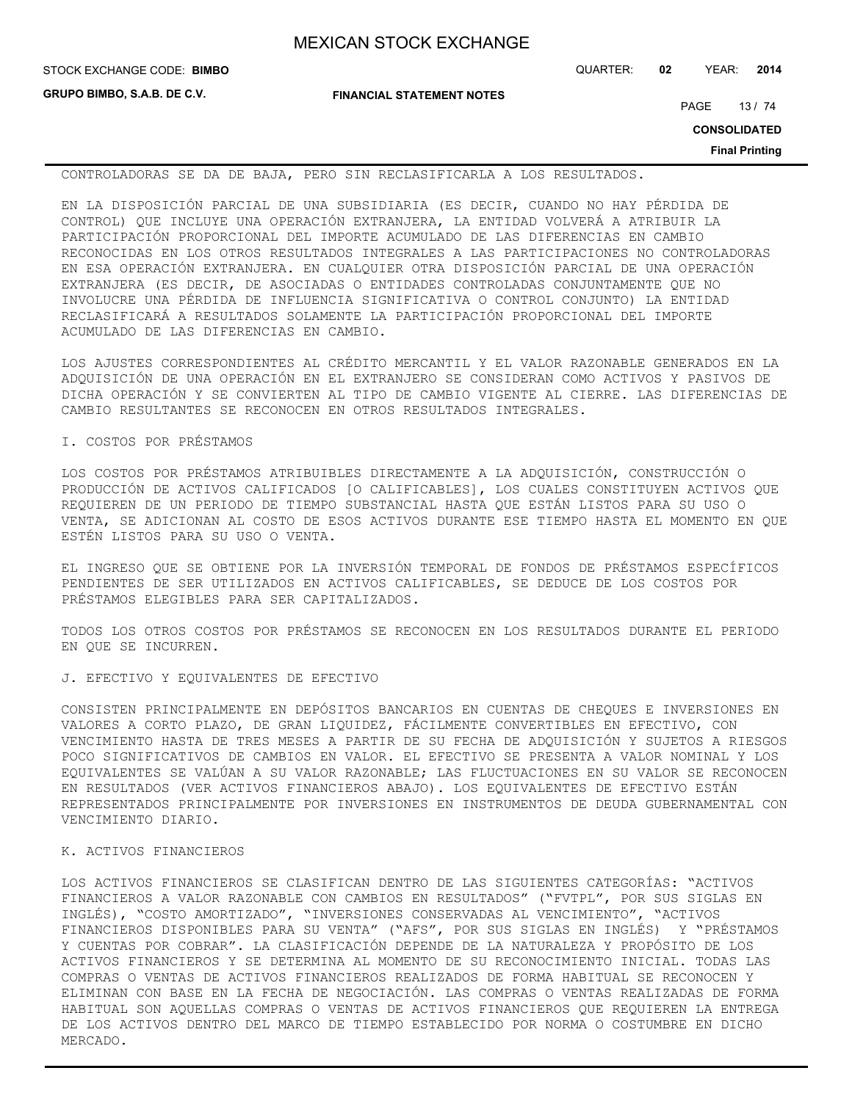**GRUPO BIMBO, S.A.B. DE C.V.**

**FINANCIAL STATEMENT NOTES**

STOCK EXCHANGE CODE: QUARTER: **02** YEAR: **2014 BIMBO**

PAGE 13 / 74

**CONSOLIDATED**

**Final Printing**

CONTROLADORAS SE DA DE BAJA, PERO SIN RECLASIFICARLA A LOS RESULTADOS.

EN LA DISPOSICIÓN PARCIAL DE UNA SUBSIDIARIA (ES DECIR, CUANDO NO HAY PÉRDIDA DE CONTROL) QUE INCLUYE UNA OPERACIÓN EXTRANJERA, LA ENTIDAD VOLVERÁ A ATRIBUIR LA PARTICIPACIÓN PROPORCIONAL DEL IMPORTE ACUMULADO DE LAS DIFERENCIAS EN CAMBIO RECONOCIDAS EN LOS OTROS RESULTADOS INTEGRALES A LAS PARTICIPACIONES NO CONTROLADORAS EN ESA OPERACIÓN EXTRANJERA. EN CUALQUIER OTRA DISPOSICIÓN PARCIAL DE UNA OPERACIÓN EXTRANJERA (ES DECIR, DE ASOCIADAS O ENTIDADES CONTROLADAS CONJUNTAMENTE QUE NO INVOLUCRE UNA PÉRDIDA DE INFLUENCIA SIGNIFICATIVA O CONTROL CONJUNTO) LA ENTIDAD RECLASIFICARÁ A RESULTADOS SOLAMENTE LA PARTICIPACIÓN PROPORCIONAL DEL IMPORTE ACUMULADO DE LAS DIFERENCIAS EN CAMBIO.

LOS AJUSTES CORRESPONDIENTES AL CRÉDITO MERCANTIL Y EL VALOR RAZONABLE GENERADOS EN LA ADQUISICIÓN DE UNA OPERACIÓN EN EL EXTRANJERO SE CONSIDERAN COMO ACTIVOS Y PASIVOS DE DICHA OPERACIÓN Y SE CONVIERTEN AL TIPO DE CAMBIO VIGENTE AL CIERRE. LAS DIFERENCIAS DE CAMBIO RESULTANTES SE RECONOCEN EN OTROS RESULTADOS INTEGRALES.

I. COSTOS POR PRÉSTAMOS

LOS COSTOS POR PRÉSTAMOS ATRIBUIBLES DIRECTAMENTE A LA ADQUISICIÓN, CONSTRUCCIÓN O PRODUCCIÓN DE ACTIVOS CALIFICADOS [O CALIFICABLES], LOS CUALES CONSTITUYEN ACTIVOS QUE REQUIEREN DE UN PERIODO DE TIEMPO SUBSTANCIAL HASTA QUE ESTÁN LISTOS PARA SU USO O VENTA, SE ADICIONAN AL COSTO DE ESOS ACTIVOS DURANTE ESE TIEMPO HASTA EL MOMENTO EN QUE ESTÉN LISTOS PARA SU USO O VENTA.

EL INGRESO QUE SE OBTIENE POR LA INVERSIÓN TEMPORAL DE FONDOS DE PRÉSTAMOS ESPECÍFICOS PENDIENTES DE SER UTILIZADOS EN ACTIVOS CALIFICABLES, SE DEDUCE DE LOS COSTOS POR PRÉSTAMOS ELEGIBLES PARA SER CAPITALIZADOS.

TODOS LOS OTROS COSTOS POR PRÉSTAMOS SE RECONOCEN EN LOS RESULTADOS DURANTE EL PERIODO EN QUE SE INCURREN.

J. EFECTIVO Y EQUIVALENTES DE EFECTIVO

CONSISTEN PRINCIPALMENTE EN DEPÓSITOS BANCARIOS EN CUENTAS DE CHEQUES E INVERSIONES EN VALORES A CORTO PLAZO, DE GRAN LIQUIDEZ, FÁCILMENTE CONVERTIBLES EN EFECTIVO, CON VENCIMIENTO HASTA DE TRES MESES A PARTIR DE SU FECHA DE ADQUISICIÓN Y SUJETOS A RIESGOS POCO SIGNIFICATIVOS DE CAMBIOS EN VALOR. EL EFECTIVO SE PRESENTA A VALOR NOMINAL Y LOS EQUIVALENTES SE VALÚAN A SU VALOR RAZONABLE; LAS FLUCTUACIONES EN SU VALOR SE RECONOCEN EN RESULTADOS (VER ACTIVOS FINANCIEROS ABAJO). LOS EQUIVALENTES DE EFECTIVO ESTÁN REPRESENTADOS PRINCIPALMENTE POR INVERSIONES EN INSTRUMENTOS DE DEUDA GUBERNAMENTAL CON VENCIMIENTO DIARIO.

#### K. ACTIVOS FINANCIEROS

LOS ACTIVOS FINANCIEROS SE CLASIFICAN DENTRO DE LAS SIGUIENTES CATEGORÍAS: "ACTIVOS FINANCIEROS A VALOR RAZONABLE CON CAMBIOS EN RESULTADOS" ("FVTPL", POR SUS SIGLAS EN INGLÉS), "COSTO AMORTIZADO", "INVERSIONES CONSERVADAS AL VENCIMIENTO", "ACTIVOS FINANCIEROS DISPONIBLES PARA SU VENTA" ("AFS", POR SUS SIGLAS EN INGLÉS) Y "PRÉSTAMOS Y CUENTAS POR COBRAR". LA CLASIFICACIÓN DEPENDE DE LA NATURALEZA Y PROPÓSITO DE LOS ACTIVOS FINANCIEROS Y SE DETERMINA AL MOMENTO DE SU RECONOCIMIENTO INICIAL. TODAS LAS COMPRAS O VENTAS DE ACTIVOS FINANCIEROS REALIZADOS DE FORMA HABITUAL SE RECONOCEN Y ELIMINAN CON BASE EN LA FECHA DE NEGOCIACIÓN. LAS COMPRAS O VENTAS REALIZADAS DE FORMA HABITUAL SON AQUELLAS COMPRAS O VENTAS DE ACTIVOS FINANCIEROS QUE REQUIEREN LA ENTREGA DE LOS ACTIVOS DENTRO DEL MARCO DE TIEMPO ESTABLECIDO POR NORMA O COSTUMBRE EN DICHO MERCADO.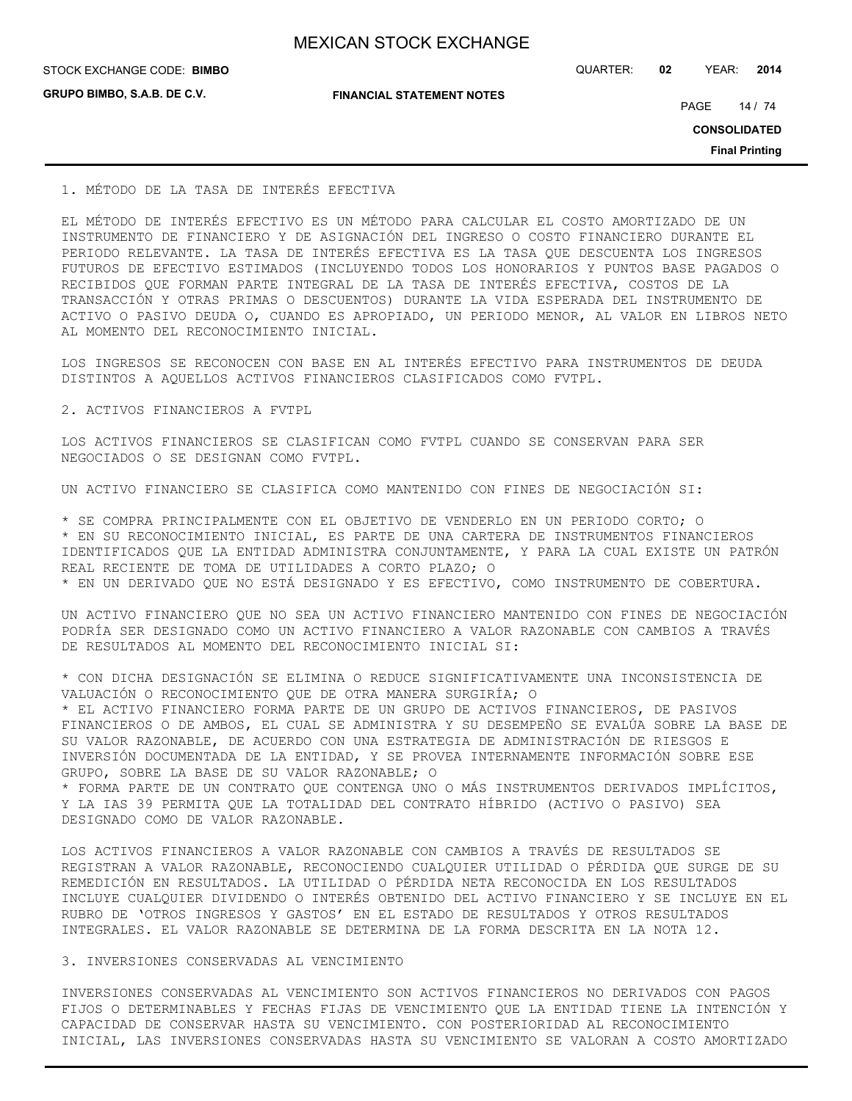**GRUPO BIMBO, S.A.B. DE C.V.**

**FINANCIAL STATEMENT NOTES**

STOCK EXCHANGE CODE: QUARTER: **02** YEAR: **2014 BIMBO**

PAGE 14 / 74

**CONSOLIDATED**

**Final Printing**

#### 1. MÉTODO DE LA TASA DE INTERÉS EFECTIVA

EL MÉTODO DE INTERÉS EFECTIVO ES UN MÉTODO PARA CALCULAR EL COSTO AMORTIZADO DE UN INSTRUMENTO DE FINANCIERO Y DE ASIGNACIÓN DEL INGRESO O COSTO FINANCIERO DURANTE EL PERIODO RELEVANTE. LA TASA DE INTERÉS EFECTIVA ES LA TASA QUE DESCUENTA LOS INGRESOS FUTUROS DE EFECTIVO ESTIMADOS (INCLUYENDO TODOS LOS HONORARIOS Y PUNTOS BASE PAGADOS O RECIBIDOS QUE FORMAN PARTE INTEGRAL DE LA TASA DE INTERÉS EFECTIVA, COSTOS DE LA TRANSACCIÓN Y OTRAS PRIMAS O DESCUENTOS) DURANTE LA VIDA ESPERADA DEL INSTRUMENTO DE ACTIVO O PASIVO DEUDA O, CUANDO ES APROPIADO, UN PERIODO MENOR, AL VALOR EN LIBROS NETO AL MOMENTO DEL RECONOCIMIENTO INICIAL.

LOS INGRESOS SE RECONOCEN CON BASE EN AL INTERÉS EFECTIVO PARA INSTRUMENTOS DE DEUDA DISTINTOS A AQUELLOS ACTIVOS FINANCIEROS CLASIFICADOS COMO FVTPL.

2. ACTIVOS FINANCIEROS A FVTPL

LOS ACTIVOS FINANCIEROS SE CLASIFICAN COMO FVTPL CUANDO SE CONSERVAN PARA SER NEGOCIADOS O SE DESIGNAN COMO FVTPL.

UN ACTIVO FINANCIERO SE CLASIFICA COMO MANTENIDO CON FINES DE NEGOCIACIÓN SI:

\* SE COMPRA PRINCIPALMENTE CON EL OBJETIVO DE VENDERLO EN UN PERIODO CORTO; O

\* EN SU RECONOCIMIENTO INICIAL, ES PARTE DE UNA CARTERA DE INSTRUMENTOS FINANCIEROS IDENTIFICADOS QUE LA ENTIDAD ADMINISTRA CONJUNTAMENTE, Y PARA LA CUAL EXISTE UN PATRÓN REAL RECIENTE DE TOMA DE UTILIDADES A CORTO PLAZO; O \* EN UN DERIVADO QUE NO ESTÁ DESIGNADO Y ES EFECTIVO, COMO INSTRUMENTO DE COBERTURA.

UN ACTIVO FINANCIERO QUE NO SEA UN ACTIVO FINANCIERO MANTENIDO CON FINES DE NEGOCIACIÓN PODRÍA SER DESIGNADO COMO UN ACTIVO FINANCIERO A VALOR RAZONABLE CON CAMBIOS A TRAVÉS DE RESULTADOS AL MOMENTO DEL RECONOCIMIENTO INICIAL SI:

\* CON DICHA DESIGNACIÓN SE ELIMINA O REDUCE SIGNIFICATIVAMENTE UNA INCONSISTENCIA DE VALUACIÓN O RECONOCIMIENTO QUE DE OTRA MANERA SURGIRÍA; O

\* EL ACTIVO FINANCIERO FORMA PARTE DE UN GRUPO DE ACTIVOS FINANCIEROS, DE PASIVOS FINANCIEROS O DE AMBOS, EL CUAL SE ADMINISTRA Y SU DESEMPEÑO SE EVALÚA SOBRE LA BASE DE SU VALOR RAZONABLE, DE ACUERDO CON UNA ESTRATEGIA DE ADMINISTRACIÓN DE RIESGOS E INVERSIÓN DOCUMENTADA DE LA ENTIDAD, Y SE PROVEA INTERNAMENTE INFORMACIÓN SOBRE ESE GRUPO, SOBRE LA BASE DE SU VALOR RAZONABLE; O

\* FORMA PARTE DE UN CONTRATO QUE CONTENGA UNO O MÁS INSTRUMENTOS DERIVADOS IMPLÍCITOS, Y LA IAS 39 PERMITA QUE LA TOTALIDAD DEL CONTRATO HÍBRIDO (ACTIVO O PASIVO) SEA DESIGNADO COMO DE VALOR RAZONABLE.

LOS ACTIVOS FINANCIEROS A VALOR RAZONABLE CON CAMBIOS A TRAVÉS DE RESULTADOS SE REGISTRAN A VALOR RAZONABLE, RECONOCIENDO CUALQUIER UTILIDAD O PÉRDIDA QUE SURGE DE SU REMEDICIÓN EN RESULTADOS. LA UTILIDAD O PÉRDIDA NETA RECONOCIDA EN LOS RESULTADOS INCLUYE CUALQUIER DIVIDENDO O INTERÉS OBTENIDO DEL ACTIVO FINANCIERO Y SE INCLUYE EN EL RUBRO DE 'OTROS INGRESOS Y GASTOS' EN EL ESTADO DE RESULTADOS Y OTROS RESULTADOS INTEGRALES. EL VALOR RAZONABLE SE DETERMINA DE LA FORMA DESCRITA EN LA NOTA 12.

### 3. INVERSIONES CONSERVADAS AL VENCIMIENTO

INVERSIONES CONSERVADAS AL VENCIMIENTO SON ACTIVOS FINANCIEROS NO DERIVADOS CON PAGOS FIJOS O DETERMINABLES Y FECHAS FIJAS DE VENCIMIENTO QUE LA ENTIDAD TIENE LA INTENCIÓN Y CAPACIDAD DE CONSERVAR HASTA SU VENCIMIENTO. CON POSTERIORIDAD AL RECONOCIMIENTO INICIAL, LAS INVERSIONES CONSERVADAS HASTA SU VENCIMIENTO SE VALORAN A COSTO AMORTIZADO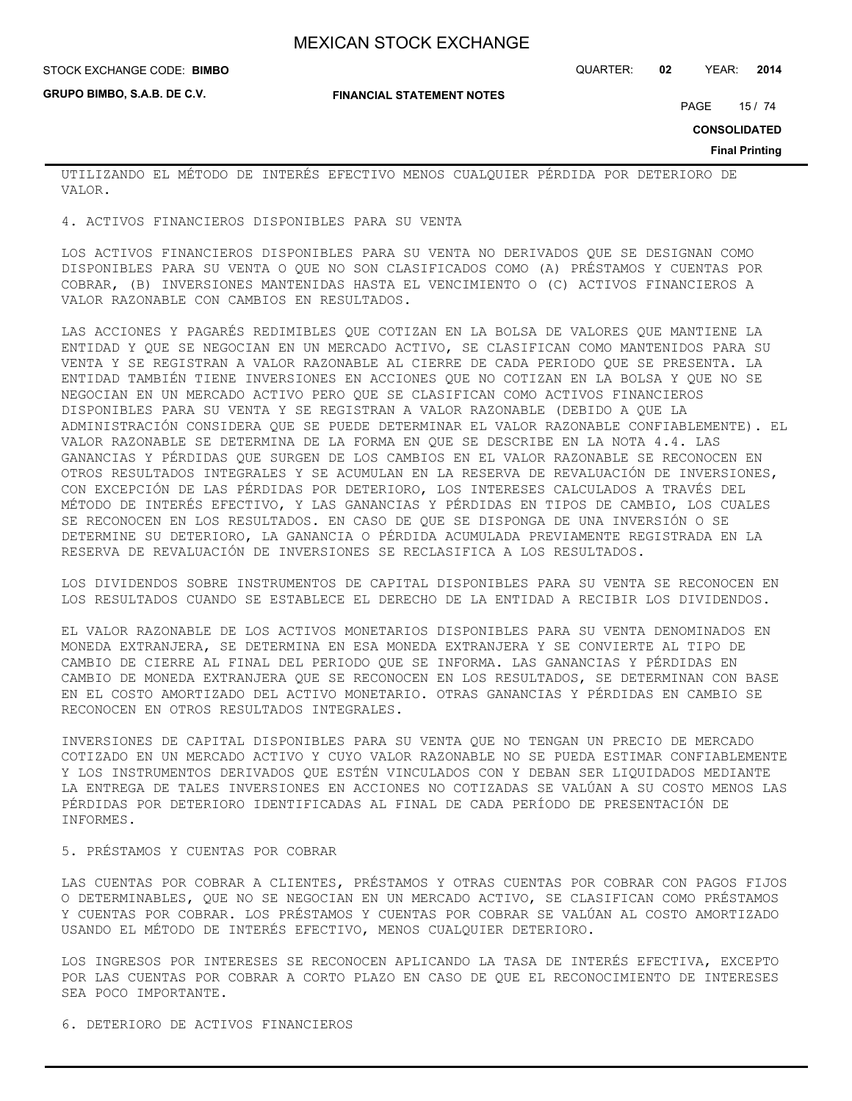**FINANCIAL STATEMENT NOTES**

STOCK EXCHANGE CODE: QUARTER: **02** YEAR: **2014 BIMBO**

**GRUPO BIMBO, S.A.B. DE C.V.**

PAGE 15 / 74

**CONSOLIDATED**

**Final Printing**

UTILIZANDO EL MÉTODO DE INTERÉS EFECTIVO MENOS CUALQUIER PÉRDIDA POR DETERIORO DE VALOR.

4. ACTIVOS FINANCIEROS DISPONIBLES PARA SU VENTA

LOS ACTIVOS FINANCIEROS DISPONIBLES PARA SU VENTA NO DERIVADOS QUE SE DESIGNAN COMO DISPONIBLES PARA SU VENTA O QUE NO SON CLASIFICADOS COMO (A) PRÉSTAMOS Y CUENTAS POR COBRAR, (B) INVERSIONES MANTENIDAS HASTA EL VENCIMIENTO O (C) ACTIVOS FINANCIEROS A VALOR RAZONABLE CON CAMBIOS EN RESULTADOS.

LAS ACCIONES Y PAGARÉS REDIMIBLES QUE COTIZAN EN LA BOLSA DE VALORES QUE MANTIENE LA ENTIDAD Y QUE SE NEGOCIAN EN UN MERCADO ACTIVO, SE CLASIFICAN COMO MANTENIDOS PARA SU VENTA Y SE REGISTRAN A VALOR RAZONABLE AL CIERRE DE CADA PERIODO QUE SE PRESENTA. LA ENTIDAD TAMBIÉN TIENE INVERSIONES EN ACCIONES QUE NO COTIZAN EN LA BOLSA Y QUE NO SE NEGOCIAN EN UN MERCADO ACTIVO PERO QUE SE CLASIFICAN COMO ACTIVOS FINANCIEROS DISPONIBLES PARA SU VENTA Y SE REGISTRAN A VALOR RAZONABLE (DEBIDO A QUE LA ADMINISTRACIÓN CONSIDERA QUE SE PUEDE DETERMINAR EL VALOR RAZONABLE CONFIABLEMENTE). EL VALOR RAZONABLE SE DETERMINA DE LA FORMA EN QUE SE DESCRIBE EN LA NOTA 4.4. LAS GANANCIAS Y PÉRDIDAS QUE SURGEN DE LOS CAMBIOS EN EL VALOR RAZONABLE SE RECONOCEN EN OTROS RESULTADOS INTEGRALES Y SE ACUMULAN EN LA RESERVA DE REVALUACIÓN DE INVERSIONES, CON EXCEPCIÓN DE LAS PÉRDIDAS POR DETERIORO, LOS INTERESES CALCULADOS A TRAVÉS DEL MÉTODO DE INTERÉS EFECTIVO, Y LAS GANANCIAS Y PÉRDIDAS EN TIPOS DE CAMBIO, LOS CUALES SE RECONOCEN EN LOS RESULTADOS. EN CASO DE QUE SE DISPONGA DE UNA INVERSIÓN O SE DETERMINE SU DETERIORO, LA GANANCIA O PÉRDIDA ACUMULADA PREVIAMENTE REGISTRADA EN LA RESERVA DE REVALUACIÓN DE INVERSIONES SE RECLASIFICA A LOS RESULTADOS.

LOS DIVIDENDOS SOBRE INSTRUMENTOS DE CAPITAL DISPONIBLES PARA SU VENTA SE RECONOCEN EN LOS RESULTADOS CUANDO SE ESTABLECE EL DERECHO DE LA ENTIDAD A RECIBIR LOS DIVIDENDOS.

EL VALOR RAZONABLE DE LOS ACTIVOS MONETARIOS DISPONIBLES PARA SU VENTA DENOMINADOS EN MONEDA EXTRANJERA, SE DETERMINA EN ESA MONEDA EXTRANJERA Y SE CONVIERTE AL TIPO DE CAMBIO DE CIERRE AL FINAL DEL PERIODO QUE SE INFORMA. LAS GANANCIAS Y PÉRDIDAS EN CAMBIO DE MONEDA EXTRANJERA QUE SE RECONOCEN EN LOS RESULTADOS, SE DETERMINAN CON BASE EN EL COSTO AMORTIZADO DEL ACTIVO MONETARIO. OTRAS GANANCIAS Y PÉRDIDAS EN CAMBIO SE RECONOCEN EN OTROS RESULTADOS INTEGRALES.

INVERSIONES DE CAPITAL DISPONIBLES PARA SU VENTA QUE NO TENGAN UN PRECIO DE MERCADO COTIZADO EN UN MERCADO ACTIVO Y CUYO VALOR RAZONABLE NO SE PUEDA ESTIMAR CONFIABLEMENTE Y LOS INSTRUMENTOS DERIVADOS QUE ESTÉN VINCULADOS CON Y DEBAN SER LIQUIDADOS MEDIANTE LA ENTREGA DE TALES INVERSIONES EN ACCIONES NO COTIZADAS SE VALÚAN A SU COSTO MENOS LAS PÉRDIDAS POR DETERIORO IDENTIFICADAS AL FINAL DE CADA PERÍODO DE PRESENTACIÓN DE INFORMES.

#### 5. PRÉSTAMOS Y CUENTAS POR COBRAR

LAS CUENTAS POR COBRAR A CLIENTES, PRÉSTAMOS Y OTRAS CUENTAS POR COBRAR CON PAGOS FIJOS O DETERMINABLES, QUE NO SE NEGOCIAN EN UN MERCADO ACTIVO, SE CLASIFICAN COMO PRÉSTAMOS Y CUENTAS POR COBRAR. LOS PRÉSTAMOS Y CUENTAS POR COBRAR SE VALÚAN AL COSTO AMORTIZADO USANDO EL MÉTODO DE INTERÉS EFECTIVO, MENOS CUALQUIER DETERIORO.

LOS INGRESOS POR INTERESES SE RECONOCEN APLICANDO LA TASA DE INTERÉS EFECTIVA, EXCEPTO POR LAS CUENTAS POR COBRAR A CORTO PLAZO EN CASO DE QUE EL RECONOCIMIENTO DE INTERESES SEA POCO IMPORTANTE.

6. DETERIORO DE ACTIVOS FINANCIEROS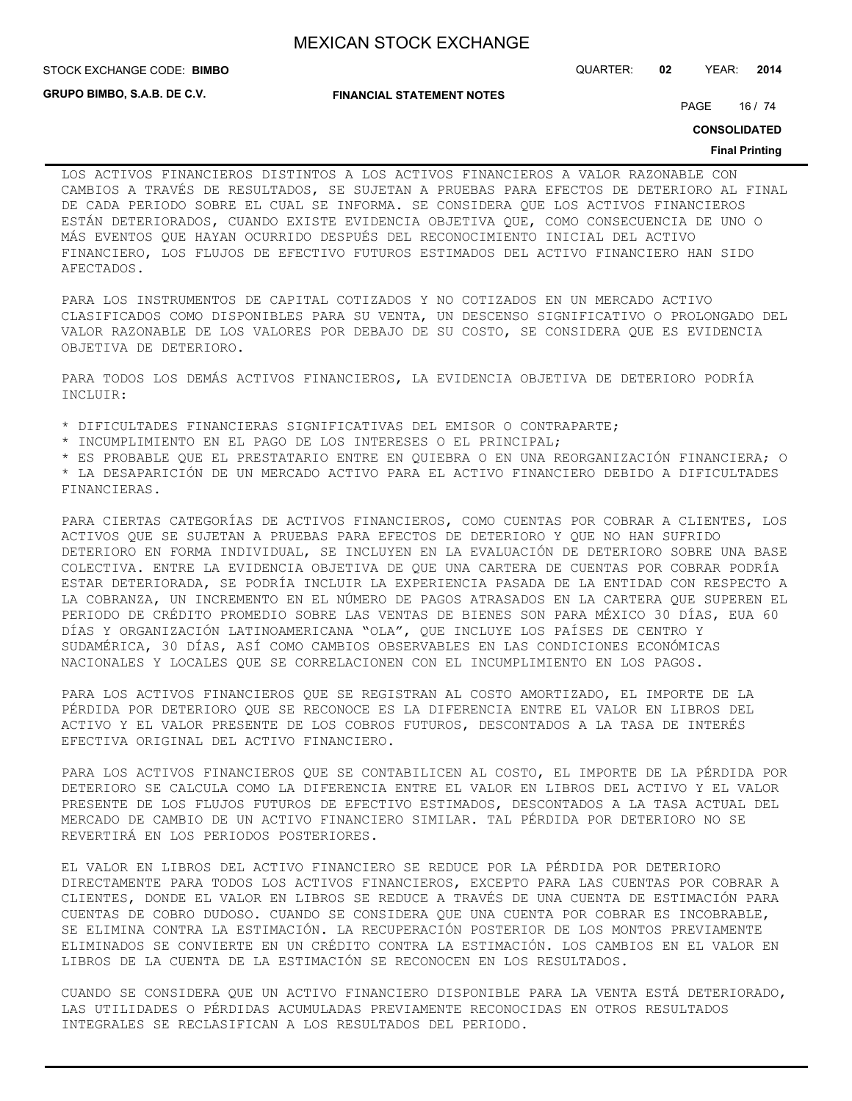STOCK EXCHANGE CODE: QUARTER: **02** YEAR: **2014 BIMBO**

**GRUPO BIMBO, S.A.B. DE C.V.**

**FINANCIAL STATEMENT NOTES**

PAGE 16 / 74

**CONSOLIDATED**

#### **Final Printing**

LOS ACTIVOS FINANCIEROS DISTINTOS A LOS ACTIVOS FINANCIEROS A VALOR RAZONABLE CON CAMBIOS A TRAVÉS DE RESULTADOS, SE SUJETAN A PRUEBAS PARA EFECTOS DE DETERIORO AL FINAL DE CADA PERIODO SOBRE EL CUAL SE INFORMA. SE CONSIDERA QUE LOS ACTIVOS FINANCIEROS ESTÁN DETERIORADOS, CUANDO EXISTE EVIDENCIA OBJETIVA QUE, COMO CONSECUENCIA DE UNO O MÁS EVENTOS QUE HAYAN OCURRIDO DESPUÉS DEL RECONOCIMIENTO INICIAL DEL ACTIVO FINANCIERO, LOS FLUJOS DE EFECTIVO FUTUROS ESTIMADOS DEL ACTIVO FINANCIERO HAN SIDO AFECTADOS.

PARA LOS INSTRUMENTOS DE CAPITAL COTIZADOS Y NO COTIZADOS EN UN MERCADO ACTIVO CLASIFICADOS COMO DISPONIBLES PARA SU VENTA, UN DESCENSO SIGNIFICATIVO O PROLONGADO DEL VALOR RAZONABLE DE LOS VALORES POR DEBAJO DE SU COSTO, SE CONSIDERA QUE ES EVIDENCIA OBJETIVA DE DETERIORO.

PARA TODOS LOS DEMÁS ACTIVOS FINANCIEROS, LA EVIDENCIA OBJETIVA DE DETERIORO PODRÍA INCLUIR:

\* DIFICULTADES FINANCIERAS SIGNIFICATIVAS DEL EMISOR O CONTRAPARTE;

\* INCUMPLIMIENTO EN EL PAGO DE LOS INTERESES O EL PRINCIPAL;

\* ES PROBABLE QUE EL PRESTATARIO ENTRE EN QUIEBRA O EN UNA REORGANIZACIÓN FINANCIERA; O

\* LA DESAPARICIÓN DE UN MERCADO ACTIVO PARA EL ACTIVO FINANCIERO DEBIDO A DIFICULTADES FINANCIERAS.

PARA CIERTAS CATEGORÍAS DE ACTIVOS FINANCIEROS, COMO CUENTAS POR COBRAR A CLIENTES, LOS ACTIVOS QUE SE SUJETAN A PRUEBAS PARA EFECTOS DE DETERIORO Y QUE NO HAN SUFRIDO DETERIORO EN FORMA INDIVIDUAL, SE INCLUYEN EN LA EVALUACIÓN DE DETERIORO SOBRE UNA BASE COLECTIVA. ENTRE LA EVIDENCIA OBJETIVA DE QUE UNA CARTERA DE CUENTAS POR COBRAR PODRÍA ESTAR DETERIORADA, SE PODRÍA INCLUIR LA EXPERIENCIA PASADA DE LA ENTIDAD CON RESPECTO A LA COBRANZA, UN INCREMENTO EN EL NÚMERO DE PAGOS ATRASADOS EN LA CARTERA QUE SUPEREN EL PERIODO DE CRÉDITO PROMEDIO SOBRE LAS VENTAS DE BIENES SON PARA MÉXICO 30 DÍAS, EUA 60 DÍAS Y ORGANIZACIÓN LATINOAMERICANA "OLA", QUE INCLUYE LOS PAÍSES DE CENTRO Y SUDAMÉRICA, 30 DÍAS, ASÍ COMO CAMBIOS OBSERVABLES EN LAS CONDICIONES ECONÓMICAS NACIONALES Y LOCALES QUE SE CORRELACIONEN CON EL INCUMPLIMIENTO EN LOS PAGOS.

PARA LOS ACTIVOS FINANCIEROS QUE SE REGISTRAN AL COSTO AMORTIZADO, EL IMPORTE DE LA PÉRDIDA POR DETERIORO QUE SE RECONOCE ES LA DIFERENCIA ENTRE EL VALOR EN LIBROS DEL ACTIVO Y EL VALOR PRESENTE DE LOS COBROS FUTUROS, DESCONTADOS A LA TASA DE INTERÉS EFECTIVA ORIGINAL DEL ACTIVO FINANCIERO.

PARA LOS ACTIVOS FINANCIEROS QUE SE CONTABILICEN AL COSTO, EL IMPORTE DE LA PÉRDIDA POR DETERIORO SE CALCULA COMO LA DIFERENCIA ENTRE EL VALOR EN LIBROS DEL ACTIVO Y EL VALOR PRESENTE DE LOS FLUJOS FUTUROS DE EFECTIVO ESTIMADOS, DESCONTADOS A LA TASA ACTUAL DEL MERCADO DE CAMBIO DE UN ACTIVO FINANCIERO SIMILAR. TAL PÉRDIDA POR DETERIORO NO SE REVERTIRÁ EN LOS PERIODOS POSTERIORES.

EL VALOR EN LIBROS DEL ACTIVO FINANCIERO SE REDUCE POR LA PÉRDIDA POR DETERIORO DIRECTAMENTE PARA TODOS LOS ACTIVOS FINANCIEROS, EXCEPTO PARA LAS CUENTAS POR COBRAR A CLIENTES, DONDE EL VALOR EN LIBROS SE REDUCE A TRAVÉS DE UNA CUENTA DE ESTIMACIÓN PARA CUENTAS DE COBRO DUDOSO. CUANDO SE CONSIDERA QUE UNA CUENTA POR COBRAR ES INCOBRABLE, SE ELIMINA CONTRA LA ESTIMACIÓN. LA RECUPERACIÓN POSTERIOR DE LOS MONTOS PREVIAMENTE ELIMINADOS SE CONVIERTE EN UN CRÉDITO CONTRA LA ESTIMACIÓN. LOS CAMBIOS EN EL VALOR EN LIBROS DE LA CUENTA DE LA ESTIMACIÓN SE RECONOCEN EN LOS RESULTADOS.

CUANDO SE CONSIDERA QUE UN ACTIVO FINANCIERO DISPONIBLE PARA LA VENTA ESTÁ DETERIORADO, LAS UTILIDADES O PÉRDIDAS ACUMULADAS PREVIAMENTE RECONOCIDAS EN OTROS RESULTADOS INTEGRALES SE RECLASIFICAN A LOS RESULTADOS DEL PERIODO.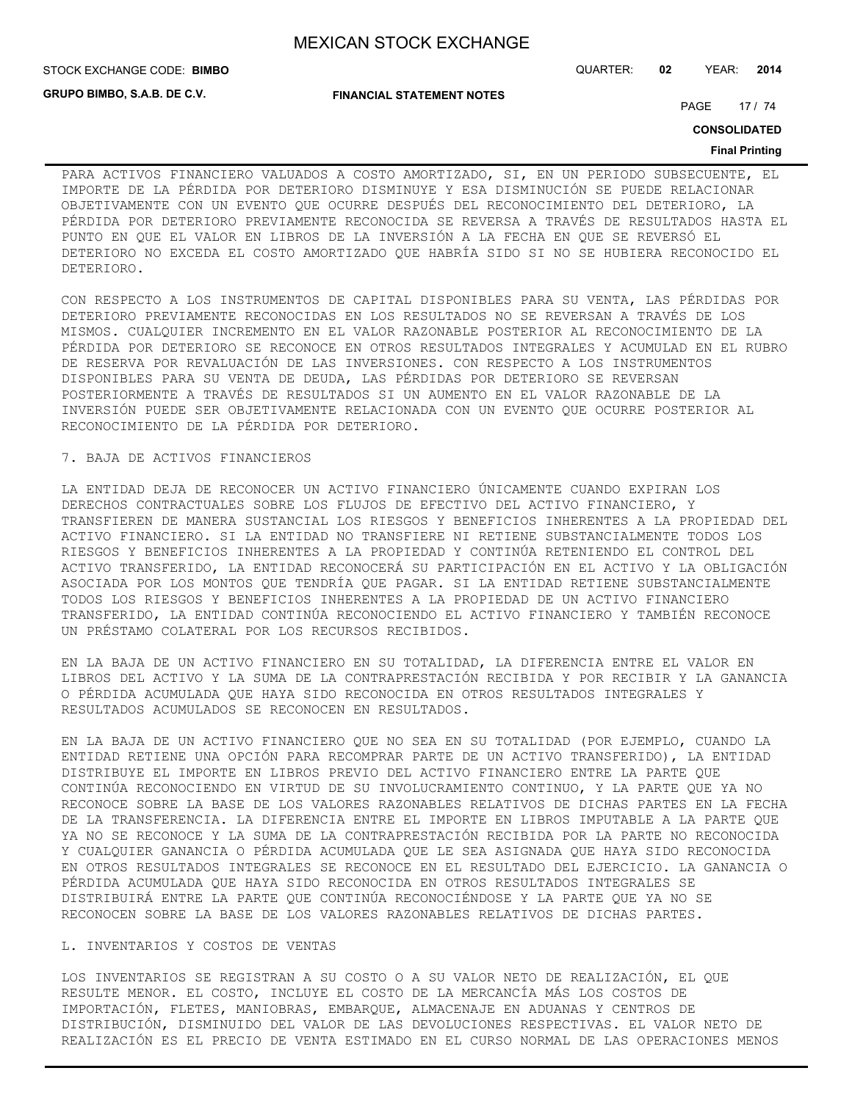**GRUPO BIMBO, S.A.B. DE C.V.**

STOCK EXCHANGE CODE: QUARTER: **02** YEAR: **2014 BIMBO**

**FINANCIAL STATEMENT NOTES**

PAGE 17 / 74

**CONSOLIDATED**

#### **Final Printing**

PARA ACTIVOS FINANCIERO VALUADOS A COSTO AMORTIZADO, SI, EN UN PERIODO SUBSECUENTE, EL IMPORTE DE LA PÉRDIDA POR DETERIORO DISMINUYE Y ESA DISMINUCIÓN SE PUEDE RELACIONAR OBJETIVAMENTE CON UN EVENTO QUE OCURRE DESPUÉS DEL RECONOCIMIENTO DEL DETERIORO, LA PÉRDIDA POR DETERIORO PREVIAMENTE RECONOCIDA SE REVERSA A TRAVÉS DE RESULTADOS HASTA EL PUNTO EN QUE EL VALOR EN LIBROS DE LA INVERSIÓN A LA FECHA EN QUE SE REVERSÓ EL DETERIORO NO EXCEDA EL COSTO AMORTIZADO QUE HABRÍA SIDO SI NO SE HUBIERA RECONOCIDO EL DETERIORO.

CON RESPECTO A LOS INSTRUMENTOS DE CAPITAL DISPONIBLES PARA SU VENTA, LAS PÉRDIDAS POR DETERIORO PREVIAMENTE RECONOCIDAS EN LOS RESULTADOS NO SE REVERSAN A TRAVÉS DE LOS MISMOS. CUALQUIER INCREMENTO EN EL VALOR RAZONABLE POSTERIOR AL RECONOCIMIENTO DE LA PÉRDIDA POR DETERIORO SE RECONOCE EN OTROS RESULTADOS INTEGRALES Y ACUMULAD EN EL RUBRO DE RESERVA POR REVALUACIÓN DE LAS INVERSIONES. CON RESPECTO A LOS INSTRUMENTOS DISPONIBLES PARA SU VENTA DE DEUDA, LAS PÉRDIDAS POR DETERIORO SE REVERSAN POSTERIORMENTE A TRAVÉS DE RESULTADOS SI UN AUMENTO EN EL VALOR RAZONABLE DE LA INVERSIÓN PUEDE SER OBJETIVAMENTE RELACIONADA CON UN EVENTO QUE OCURRE POSTERIOR AL RECONOCIMIENTO DE LA PÉRDIDA POR DETERIORO.

### 7. BAJA DE ACTIVOS FINANCIEROS

LA ENTIDAD DEJA DE RECONOCER UN ACTIVO FINANCIERO ÚNICAMENTE CUANDO EXPIRAN LOS DERECHOS CONTRACTUALES SOBRE LOS FLUJOS DE EFECTIVO DEL ACTIVO FINANCIERO, Y TRANSFIEREN DE MANERA SUSTANCIAL LOS RIESGOS Y BENEFICIOS INHERENTES A LA PROPIEDAD DEL ACTIVO FINANCIERO. SI LA ENTIDAD NO TRANSFIERE NI RETIENE SUBSTANCIALMENTE TODOS LOS RIESGOS Y BENEFICIOS INHERENTES A LA PROPIEDAD Y CONTINÚA RETENIENDO EL CONTROL DEL ACTIVO TRANSFERIDO, LA ENTIDAD RECONOCERÁ SU PARTICIPACIÓN EN EL ACTIVO Y LA OBLIGACIÓN ASOCIADA POR LOS MONTOS QUE TENDRÍA QUE PAGAR. SI LA ENTIDAD RETIENE SUBSTANCIALMENTE TODOS LOS RIESGOS Y BENEFICIOS INHERENTES A LA PROPIEDAD DE UN ACTIVO FINANCIERO TRANSFERIDO, LA ENTIDAD CONTINÚA RECONOCIENDO EL ACTIVO FINANCIERO Y TAMBIÉN RECONOCE UN PRÉSTAMO COLATERAL POR LOS RECURSOS RECIBIDOS.

EN LA BAJA DE UN ACTIVO FINANCIERO EN SU TOTALIDAD, LA DIFERENCIA ENTRE EL VALOR EN LIBROS DEL ACTIVO Y LA SUMA DE LA CONTRAPRESTACIÓN RECIBIDA Y POR RECIBIR Y LA GANANCIA O PÉRDIDA ACUMULADA QUE HAYA SIDO RECONOCIDA EN OTROS RESULTADOS INTEGRALES Y RESULTADOS ACUMULADOS SE RECONOCEN EN RESULTADOS.

EN LA BAJA DE UN ACTIVO FINANCIERO QUE NO SEA EN SU TOTALIDAD (POR EJEMPLO, CUANDO LA ENTIDAD RETIENE UNA OPCIÓN PARA RECOMPRAR PARTE DE UN ACTIVO TRANSFERIDO), LA ENTIDAD DISTRIBUYE EL IMPORTE EN LIBROS PREVIO DEL ACTIVO FINANCIERO ENTRE LA PARTE QUE CONTINÚA RECONOCIENDO EN VIRTUD DE SU INVOLUCRAMIENTO CONTINUO, Y LA PARTE QUE YA NO RECONOCE SOBRE LA BASE DE LOS VALORES RAZONABLES RELATIVOS DE DICHAS PARTES EN LA FECHA DE LA TRANSFERENCIA. LA DIFERENCIA ENTRE EL IMPORTE EN LIBROS IMPUTABLE A LA PARTE QUE YA NO SE RECONOCE Y LA SUMA DE LA CONTRAPRESTACIÓN RECIBIDA POR LA PARTE NO RECONOCIDA Y CUALQUIER GANANCIA O PÉRDIDA ACUMULADA QUE LE SEA ASIGNADA QUE HAYA SIDO RECONOCIDA EN OTROS RESULTADOS INTEGRALES SE RECONOCE EN EL RESULTADO DEL EJERCICIO. LA GANANCIA O PÉRDIDA ACUMULADA QUE HAYA SIDO RECONOCIDA EN OTROS RESULTADOS INTEGRALES SE DISTRIBUIRÁ ENTRE LA PARTE QUE CONTINÚA RECONOCIÉNDOSE Y LA PARTE QUE YA NO SE RECONOCEN SOBRE LA BASE DE LOS VALORES RAZONABLES RELATIVOS DE DICHAS PARTES.

#### L. INVENTARIOS Y COSTOS DE VENTAS

LOS INVENTARIOS SE REGISTRAN A SU COSTO O A SU VALOR NETO DE REALIZACIÓN, EL QUE RESULTE MENOR. EL COSTO, INCLUYE EL COSTO DE LA MERCANCÍA MÁS LOS COSTOS DE IMPORTACIÓN, FLETES, MANIOBRAS, EMBARQUE, ALMACENAJE EN ADUANAS Y CENTROS DE DISTRIBUCIÓN, DISMINUIDO DEL VALOR DE LAS DEVOLUCIONES RESPECTIVAS. EL VALOR NETO DE REALIZACIÓN ES EL PRECIO DE VENTA ESTIMADO EN EL CURSO NORMAL DE LAS OPERACIONES MENOS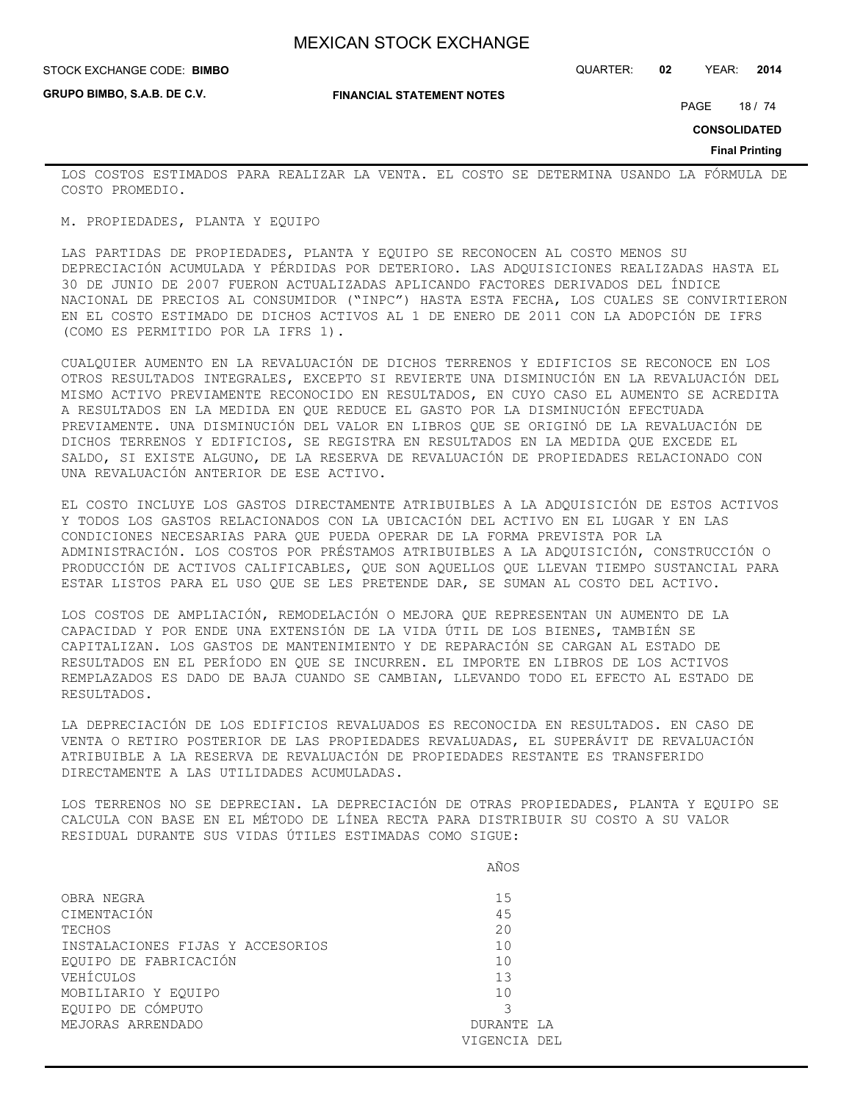**GRUPO BIMBO, S.A.B. DE C.V.**

STOCK EXCHANGE CODE: QUARTER: **02** YEAR: **2014 BIMBO**

**FINANCIAL STATEMENT NOTES**

PAGE 18 / 74

**CONSOLIDATED**

**Final Printing**

LOS COSTOS ESTIMADOS PARA REALIZAR LA VENTA. EL COSTO SE DETERMINA USANDO LA FÓRMULA DE COSTO PROMEDIO.

M. PROPIEDADES, PLANTA Y EQUIPO

LAS PARTIDAS DE PROPIEDADES, PLANTA Y EQUIPO SE RECONOCEN AL COSTO MENOS SU DEPRECIACIÓN ACUMULADA Y PÉRDIDAS POR DETERIORO. LAS ADQUISICIONES REALIZADAS HASTA EL 30 DE JUNIO DE 2007 FUERON ACTUALIZADAS APLICANDO FACTORES DERIVADOS DEL ÍNDICE NACIONAL DE PRECIOS AL CONSUMIDOR ("INPC") HASTA ESTA FECHA, LOS CUALES SE CONVIRTIERON EN EL COSTO ESTIMADO DE DICHOS ACTIVOS AL 1 DE ENERO DE 2011 CON LA ADOPCIÓN DE IFRS (COMO ES PERMITIDO POR LA IFRS 1).

CUALQUIER AUMENTO EN LA REVALUACIÓN DE DICHOS TERRENOS Y EDIFICIOS SE RECONOCE EN LOS OTROS RESULTADOS INTEGRALES, EXCEPTO SI REVIERTE UNA DISMINUCIÓN EN LA REVALUACIÓN DEL MISMO ACTIVO PREVIAMENTE RECONOCIDO EN RESULTADOS, EN CUYO CASO EL AUMENTO SE ACREDITA A RESULTADOS EN LA MEDIDA EN QUE REDUCE EL GASTO POR LA DISMINUCIÓN EFECTUADA PREVIAMENTE. UNA DISMINUCIÓN DEL VALOR EN LIBROS QUE SE ORIGINÓ DE LA REVALUACIÓN DE DICHOS TERRENOS Y EDIFICIOS, SE REGISTRA EN RESULTADOS EN LA MEDIDA QUE EXCEDE EL SALDO, SI EXISTE ALGUNO, DE LA RESERVA DE REVALUACIÓN DE PROPIEDADES RELACIONADO CON UNA REVALUACIÓN ANTERIOR DE ESE ACTIVO.

EL COSTO INCLUYE LOS GASTOS DIRECTAMENTE ATRIBUIBLES A LA ADQUISICIÓN DE ESTOS ACTIVOS Y TODOS LOS GASTOS RELACIONADOS CON LA UBICACIÓN DEL ACTIVO EN EL LUGAR Y EN LAS CONDICIONES NECESARIAS PARA QUE PUEDA OPERAR DE LA FORMA PREVISTA POR LA ADMINISTRACIÓN. LOS COSTOS POR PRÉSTAMOS ATRIBUIBLES A LA ADQUISICIÓN, CONSTRUCCIÓN O PRODUCCIÓN DE ACTIVOS CALIFICABLES, QUE SON AQUELLOS QUE LLEVAN TIEMPO SUSTANCIAL PARA ESTAR LISTOS PARA EL USO QUE SE LES PRETENDE DAR, SE SUMAN AL COSTO DEL ACTIVO.

LOS COSTOS DE AMPLIACIÓN, REMODELACIÓN O MEJORA QUE REPRESENTAN UN AUMENTO DE LA CAPACIDAD Y POR ENDE UNA EXTENSIÓN DE LA VIDA ÚTIL DE LOS BIENES, TAMBIÉN SE CAPITALIZAN. LOS GASTOS DE MANTENIMIENTO Y DE REPARACIÓN SE CARGAN AL ESTADO DE RESULTADOS EN EL PERÍODO EN QUE SE INCURREN. EL IMPORTE EN LIBROS DE LOS ACTIVOS REMPLAZADOS ES DADO DE BAJA CUANDO SE CAMBIAN, LLEVANDO TODO EL EFECTO AL ESTADO DE RESULTADOS.

LA DEPRECIACIÓN DE LOS EDIFICIOS REVALUADOS ES RECONOCIDA EN RESULTADOS. EN CASO DE VENTA O RETIRO POSTERIOR DE LAS PROPIEDADES REVALUADAS, EL SUPERÁVIT DE REVALUACIÓN ATRIBUIBLE A LA RESERVA DE REVALUACIÓN DE PROPIEDADES RESTANTE ES TRANSFERIDO DIRECTAMENTE A LAS UTILIDADES ACUMULADAS.

LOS TERRENOS NO SE DEPRECIAN. LA DEPRECIACIÓN DE OTRAS PROPIEDADES, PLANTA Y EQUIPO SE CALCULA CON BASE EN EL MÉTODO DE LÍNEA RECTA PARA DISTRIBUIR SU COSTO A SU VALOR RESIDUAL DURANTE SUS VIDAS ÚTILES ESTIMADAS COMO SIGUE:

|                                  | AÑOS         |
|----------------------------------|--------------|
| OBRA NEGRA                       | 1.5          |
| CIMENTACIÓN                      | 45           |
| TECHOS                           | 20           |
| INSTALACIONES FIJAS Y ACCESORIOS | 10           |
| EQUIPO DE FABRICACIÓN            | 10           |
| VEHÍCULOS                        | 13           |
| MOBILIARIO Y EQUIPO              | 10           |
| EQUIPO DE CÓMPUTO                |              |
| MEJORAS ARRENDADO                | DURANTE LA   |
|                                  | VIGENCIA DEL |
|                                  |              |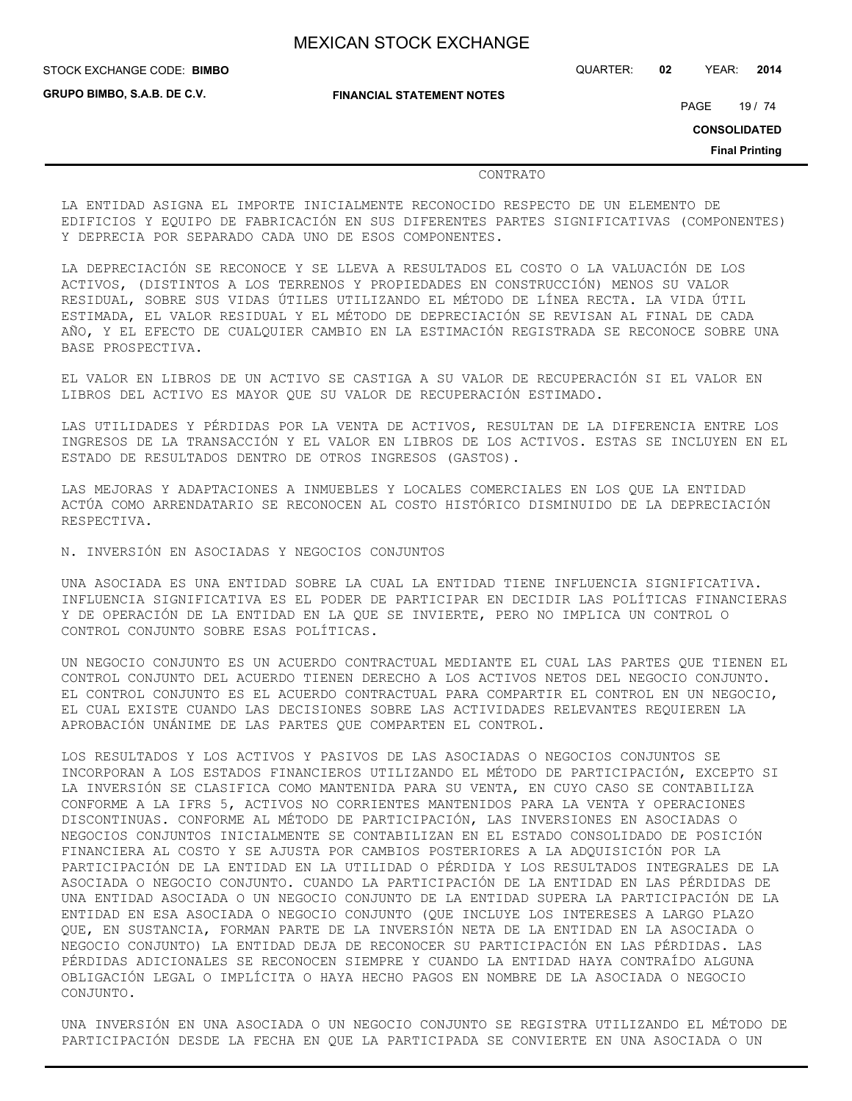**FINANCIAL STATEMENT NOTES**

STOCK EXCHANGE CODE: QUARTER: **02** YEAR: **2014 BIMBO**

**GRUPO BIMBO, S.A.B. DE C.V.**

PAGE 19 / 74

**CONSOLIDATED**

**Final Printing**

#### CONTRATO

LA ENTIDAD ASIGNA EL IMPORTE INICIALMENTE RECONOCIDO RESPECTO DE UN ELEMENTO DE EDIFICIOS Y EQUIPO DE FABRICACIÓN EN SUS DIFERENTES PARTES SIGNIFICATIVAS (COMPONENTES) Y DEPRECIA POR SEPARADO CADA UNO DE ESOS COMPONENTES.

LA DEPRECIACIÓN SE RECONOCE Y SE LLEVA A RESULTADOS EL COSTO O LA VALUACIÓN DE LOS ACTIVOS, (DISTINTOS A LOS TERRENOS Y PROPIEDADES EN CONSTRUCCIÓN) MENOS SU VALOR RESIDUAL, SOBRE SUS VIDAS ÚTILES UTILIZANDO EL MÉTODO DE LÍNEA RECTA. LA VIDA ÚTIL ESTIMADA, EL VALOR RESIDUAL Y EL MÉTODO DE DEPRECIACIÓN SE REVISAN AL FINAL DE CADA AÑO, Y EL EFECTO DE CUALQUIER CAMBIO EN LA ESTIMACIÓN REGISTRADA SE RECONOCE SOBRE UNA BASE PROSPECTIVA.

EL VALOR EN LIBROS DE UN ACTIVO SE CASTIGA A SU VALOR DE RECUPERACIÓN SI EL VALOR EN LIBROS DEL ACTIVO ES MAYOR QUE SU VALOR DE RECUPERACIÓN ESTIMADO.

LAS UTILIDADES Y PÉRDIDAS POR LA VENTA DE ACTIVOS, RESULTAN DE LA DIFERENCIA ENTRE LOS INGRESOS DE LA TRANSACCIÓN Y EL VALOR EN LIBROS DE LOS ACTIVOS. ESTAS SE INCLUYEN EN EL ESTADO DE RESULTADOS DENTRO DE OTROS INGRESOS (GASTOS).

LAS MEJORAS Y ADAPTACIONES A INMUEBLES Y LOCALES COMERCIALES EN LOS QUE LA ENTIDAD ACTÚA COMO ARRENDATARIO SE RECONOCEN AL COSTO HISTÓRICO DISMINUIDO DE LA DEPRECIACIÓN RESPECTIVA.

N. INVERSIÓN EN ASOCIADAS Y NEGOCIOS CONJUNTOS

UNA ASOCIADA ES UNA ENTIDAD SOBRE LA CUAL LA ENTIDAD TIENE INFLUENCIA SIGNIFICATIVA. INFLUENCIA SIGNIFICATIVA ES EL PODER DE PARTICIPAR EN DECIDIR LAS POLÍTICAS FINANCIERAS Y DE OPERACIÓN DE LA ENTIDAD EN LA QUE SE INVIERTE, PERO NO IMPLICA UN CONTROL O CONTROL CONJUNTO SOBRE ESAS POLÍTICAS.

UN NEGOCIO CONJUNTO ES UN ACUERDO CONTRACTUAL MEDIANTE EL CUAL LAS PARTES QUE TIENEN EL CONTROL CONJUNTO DEL ACUERDO TIENEN DERECHO A LOS ACTIVOS NETOS DEL NEGOCIO CONJUNTO. EL CONTROL CONJUNTO ES EL ACUERDO CONTRACTUAL PARA COMPARTIR EL CONTROL EN UN NEGOCIO, EL CUAL EXISTE CUANDO LAS DECISIONES SOBRE LAS ACTIVIDADES RELEVANTES REQUIEREN LA APROBACIÓN UNÁNIME DE LAS PARTES QUE COMPARTEN EL CONTROL.

LOS RESULTADOS Y LOS ACTIVOS Y PASIVOS DE LAS ASOCIADAS O NEGOCIOS CONJUNTOS SE INCORPORAN A LOS ESTADOS FINANCIEROS UTILIZANDO EL MÉTODO DE PARTICIPACIÓN, EXCEPTO SI LA INVERSIÓN SE CLASIFICA COMO MANTENIDA PARA SU VENTA, EN CUYO CASO SE CONTABILIZA CONFORME A LA IFRS 5, ACTIVOS NO CORRIENTES MANTENIDOS PARA LA VENTA Y OPERACIONES DISCONTINUAS. CONFORME AL MÉTODO DE PARTICIPACIÓN, LAS INVERSIONES EN ASOCIADAS O NEGOCIOS CONJUNTOS INICIALMENTE SE CONTABILIZAN EN EL ESTADO CONSOLIDADO DE POSICIÓN FINANCIERA AL COSTO Y SE AJUSTA POR CAMBIOS POSTERIORES A LA ADQUISICIÓN POR LA PARTICIPACIÓN DE LA ENTIDAD EN LA UTILIDAD O PÉRDIDA Y LOS RESULTADOS INTEGRALES DE LA ASOCIADA O NEGOCIO CONJUNTO. CUANDO LA PARTICIPACIÓN DE LA ENTIDAD EN LAS PÉRDIDAS DE UNA ENTIDAD ASOCIADA O UN NEGOCIO CONJUNTO DE LA ENTIDAD SUPERA LA PARTICIPACIÓN DE LA ENTIDAD EN ESA ASOCIADA O NEGOCIO CONJUNTO (QUE INCLUYE LOS INTERESES A LARGO PLAZO QUE, EN SUSTANCIA, FORMAN PARTE DE LA INVERSIÓN NETA DE LA ENTIDAD EN LA ASOCIADA O NEGOCIO CONJUNTO) LA ENTIDAD DEJA DE RECONOCER SU PARTICIPACIÓN EN LAS PÉRDIDAS. LAS PÉRDIDAS ADICIONALES SE RECONOCEN SIEMPRE Y CUANDO LA ENTIDAD HAYA CONTRAÍDO ALGUNA OBLIGACIÓN LEGAL O IMPLÍCITA O HAYA HECHO PAGOS EN NOMBRE DE LA ASOCIADA O NEGOCIO CONJUNTO.

UNA INVERSIÓN EN UNA ASOCIADA O UN NEGOCIO CONJUNTO SE REGISTRA UTILIZANDO EL MÉTODO DE PARTICIPACIÓN DESDE LA FECHA EN QUE LA PARTICIPADA SE CONVIERTE EN UNA ASOCIADA O UN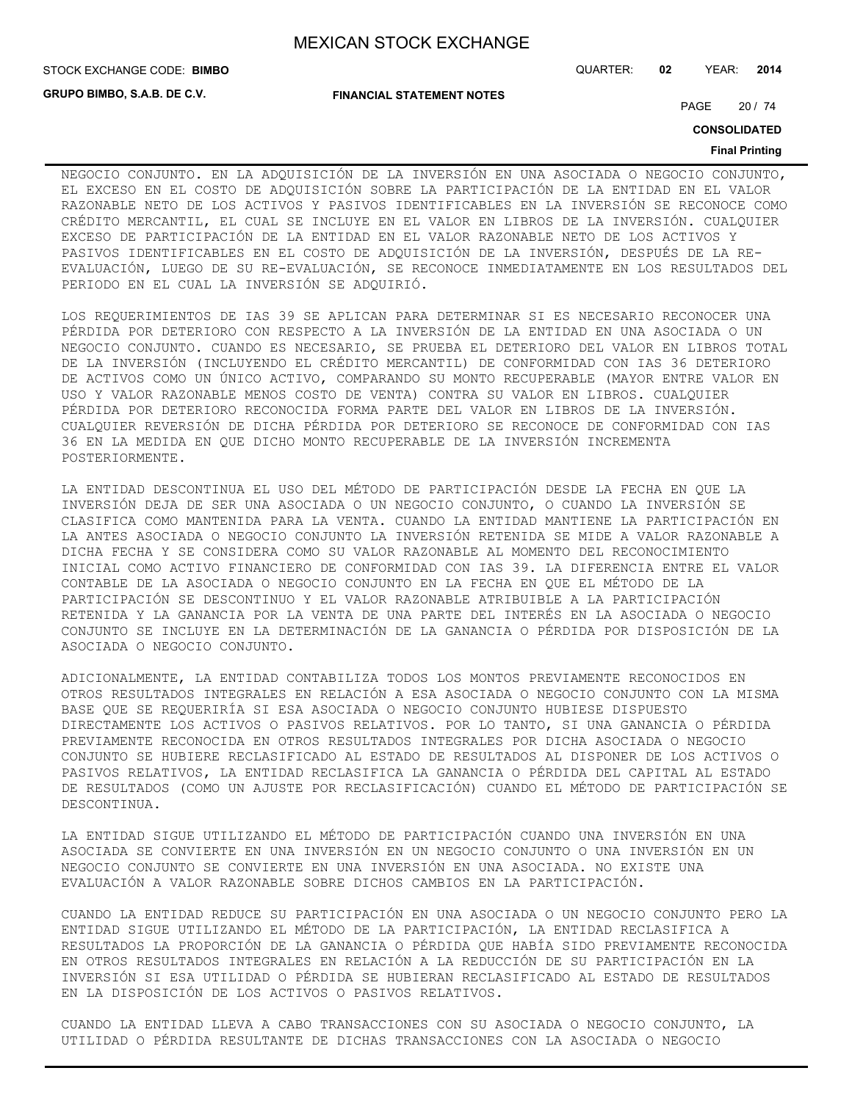**GRUPO BIMBO, S.A.B. DE C.V.**

**FINANCIAL STATEMENT NOTES**

PAGE 20 / 74

**CONSOLIDATED**

#### **Final Printing**

NEGOCIO CONJUNTO. EN LA ADQUISICIÓN DE LA INVERSIÓN EN UNA ASOCIADA O NEGOCIO CONJUNTO, EL EXCESO EN EL COSTO DE ADQUISICIÓN SOBRE LA PARTICIPACIÓN DE LA ENTIDAD EN EL VALOR RAZONABLE NETO DE LOS ACTIVOS Y PASIVOS IDENTIFICABLES EN LA INVERSIÓN SE RECONOCE COMO CRÉDITO MERCANTIL, EL CUAL SE INCLUYE EN EL VALOR EN LIBROS DE LA INVERSIÓN. CUALQUIER EXCESO DE PARTICIPACIÓN DE LA ENTIDAD EN EL VALOR RAZONABLE NETO DE LOS ACTIVOS Y PASIVOS IDENTIFICABLES EN EL COSTO DE ADQUISICIÓN DE LA INVERSIÓN, DESPUÉS DE LA RE-EVALUACIÓN, LUEGO DE SU RE-EVALUACIÓN, SE RECONOCE INMEDIATAMENTE EN LOS RESULTADOS DEL PERIODO EN EL CUAL LA INVERSIÓN SE ADQUIRIÓ.

LOS REQUERIMIENTOS DE IAS 39 SE APLICAN PARA DETERMINAR SI ES NECESARIO RECONOCER UNA PÉRDIDA POR DETERIORO CON RESPECTO A LA INVERSIÓN DE LA ENTIDAD EN UNA ASOCIADA O UN NEGOCIO CONJUNTO. CUANDO ES NECESARIO, SE PRUEBA EL DETERIORO DEL VALOR EN LIBROS TOTAL DE LA INVERSIÓN (INCLUYENDO EL CRÉDITO MERCANTIL) DE CONFORMIDAD CON IAS 36 DETERIORO DE ACTIVOS COMO UN ÚNICO ACTIVO, COMPARANDO SU MONTO RECUPERABLE (MAYOR ENTRE VALOR EN USO Y VALOR RAZONABLE MENOS COSTO DE VENTA) CONTRA SU VALOR EN LIBROS. CUALQUIER PÉRDIDA POR DETERIORO RECONOCIDA FORMA PARTE DEL VALOR EN LIBROS DE LA INVERSIÓN. CUALQUIER REVERSIÓN DE DICHA PÉRDIDA POR DETERIORO SE RECONOCE DE CONFORMIDAD CON IAS 36 EN LA MEDIDA EN QUE DICHO MONTO RECUPERABLE DE LA INVERSIÓN INCREMENTA POSTERIORMENTE.

LA ENTIDAD DESCONTINUA EL USO DEL MÉTODO DE PARTICIPACIÓN DESDE LA FECHA EN QUE LA INVERSIÓN DEJA DE SER UNA ASOCIADA O UN NEGOCIO CONJUNTO, O CUANDO LA INVERSIÓN SE CLASIFICA COMO MANTENIDA PARA LA VENTA. CUANDO LA ENTIDAD MANTIENE LA PARTICIPACIÓN EN LA ANTES ASOCIADA O NEGOCIO CONJUNTO LA INVERSIÓN RETENIDA SE MIDE A VALOR RAZONABLE A DICHA FECHA Y SE CONSIDERA COMO SU VALOR RAZONABLE AL MOMENTO DEL RECONOCIMIENTO INICIAL COMO ACTIVO FINANCIERO DE CONFORMIDAD CON IAS 39. LA DIFERENCIA ENTRE EL VALOR CONTABLE DE LA ASOCIADA O NEGOCIO CONJUNTO EN LA FECHA EN QUE EL MÉTODO DE LA PARTICIPACIÓN SE DESCONTINUO Y EL VALOR RAZONABLE ATRIBUIBLE A LA PARTICIPACIÓN RETENIDA Y LA GANANCIA POR LA VENTA DE UNA PARTE DEL INTERÉS EN LA ASOCIADA O NEGOCIO CONJUNTO SE INCLUYE EN LA DETERMINACIÓN DE LA GANANCIA O PÉRDIDA POR DISPOSICIÓN DE LA ASOCIADA O NEGOCIO CONJUNTO.

ADICIONALMENTE, LA ENTIDAD CONTABILIZA TODOS LOS MONTOS PREVIAMENTE RECONOCIDOS EN OTROS RESULTADOS INTEGRALES EN RELACIÓN A ESA ASOCIADA O NEGOCIO CONJUNTO CON LA MISMA BASE QUE SE REQUERIRÍA SI ESA ASOCIADA O NEGOCIO CONJUNTO HUBIESE DISPUESTO DIRECTAMENTE LOS ACTIVOS O PASIVOS RELATIVOS. POR LO TANTO, SI UNA GANANCIA O PÉRDIDA PREVIAMENTE RECONOCIDA EN OTROS RESULTADOS INTEGRALES POR DICHA ASOCIADA O NEGOCIO CONJUNTO SE HUBIERE RECLASIFICADO AL ESTADO DE RESULTADOS AL DISPONER DE LOS ACTIVOS O PASIVOS RELATIVOS, LA ENTIDAD RECLASIFICA LA GANANCIA O PÉRDIDA DEL CAPITAL AL ESTADO DE RESULTADOS (COMO UN AJUSTE POR RECLASIFICACIÓN) CUANDO EL MÉTODO DE PARTICIPACIÓN SE DESCONTINUA.

LA ENTIDAD SIGUE UTILIZANDO EL MÉTODO DE PARTICIPACIÓN CUANDO UNA INVERSIÓN EN UNA ASOCIADA SE CONVIERTE EN UNA INVERSIÓN EN UN NEGOCIO CONJUNTO O UNA INVERSIÓN EN UN NEGOCIO CONJUNTO SE CONVIERTE EN UNA INVERSIÓN EN UNA ASOCIADA. NO EXISTE UNA EVALUACIÓN A VALOR RAZONABLE SOBRE DICHOS CAMBIOS EN LA PARTICIPACIÓN.

CUANDO LA ENTIDAD REDUCE SU PARTICIPACIÓN EN UNA ASOCIADA O UN NEGOCIO CONJUNTO PERO LA ENTIDAD SIGUE UTILIZANDO EL MÉTODO DE LA PARTICIPACIÓN, LA ENTIDAD RECLASIFICA A RESULTADOS LA PROPORCIÓN DE LA GANANCIA O PÉRDIDA QUE HABÍA SIDO PREVIAMENTE RECONOCIDA EN OTROS RESULTADOS INTEGRALES EN RELACIÓN A LA REDUCCIÓN DE SU PARTICIPACIÓN EN LA INVERSIÓN SI ESA UTILIDAD O PÉRDIDA SE HUBIERAN RECLASIFICADO AL ESTADO DE RESULTADOS EN LA DISPOSICIÓN DE LOS ACTIVOS O PASIVOS RELATIVOS.

CUANDO LA ENTIDAD LLEVA A CABO TRANSACCIONES CON SU ASOCIADA O NEGOCIO CONJUNTO, LA UTILIDAD O PÉRDIDA RESULTANTE DE DICHAS TRANSACCIONES CON LA ASOCIADA O NEGOCIO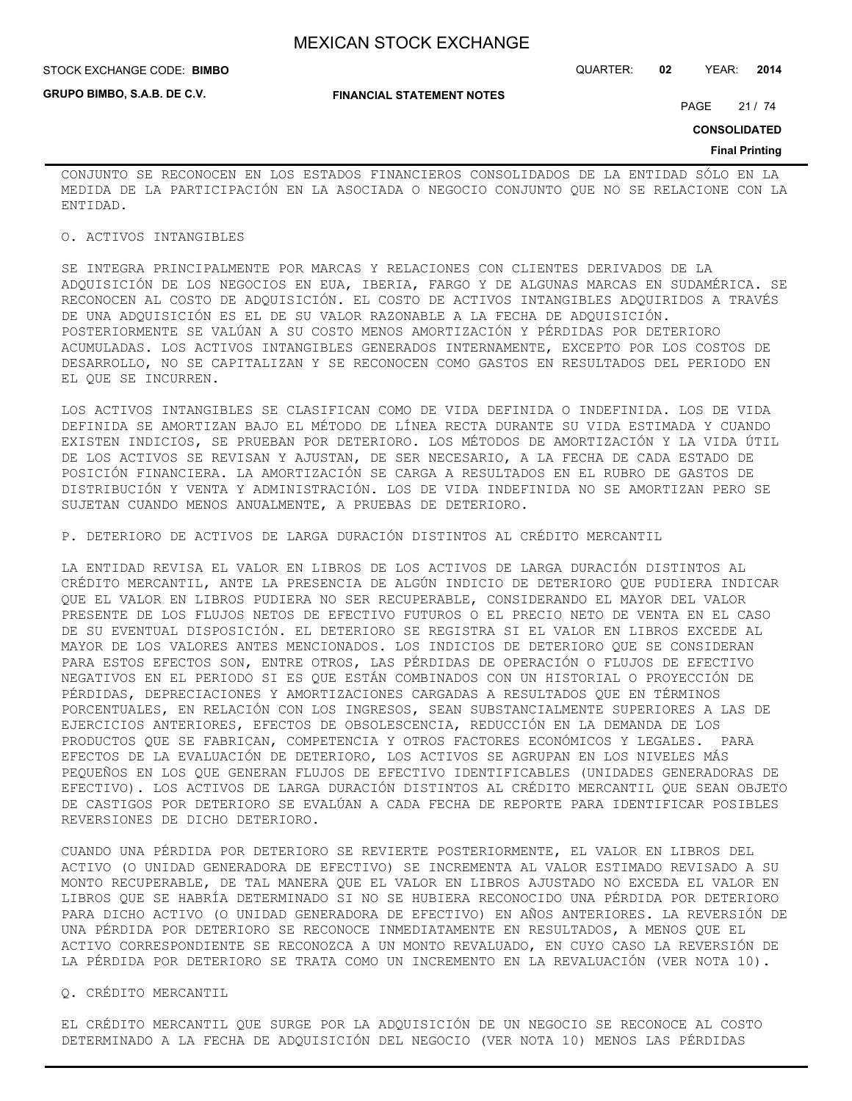**GRUPO BIMBO, S.A.B. DE C.V.**

#### STOCK EXCHANGE CODE: QUARTER: **02** YEAR: **2014 BIMBO**

**FINANCIAL STATEMENT NOTES**

PAGE 21 / 74

**CONSOLIDATED**

#### **Final Printing**

CONJUNTO SE RECONOCEN EN LOS ESTADOS FINANCIEROS CONSOLIDADOS DE LA ENTIDAD SÓLO EN LA MEDIDA DE LA PARTICIPACIÓN EN LA ASOCIADA O NEGOCIO CONJUNTO QUE NO SE RELACIONE CON LA ENTIDAD.

### O. ACTIVOS INTANGIBLES

SE INTEGRA PRINCIPALMENTE POR MARCAS Y RELACIONES CON CLIENTES DERIVADOS DE LA ADQUISICIÓN DE LOS NEGOCIOS EN EUA, IBERIA, FARGO Y DE ALGUNAS MARCAS EN SUDAMÉRICA. SE RECONOCEN AL COSTO DE ADQUISICIÓN. EL COSTO DE ACTIVOS INTANGIBLES ADQUIRIDOS A TRAVÉS DE UNA ADQUISICIÓN ES EL DE SU VALOR RAZONABLE A LA FECHA DE ADQUISICIÓN. POSTERIORMENTE SE VALÚAN A SU COSTO MENOS AMORTIZACIÓN Y PÉRDIDAS POR DETERIORO ACUMULADAS. LOS ACTIVOS INTANGIBLES GENERADOS INTERNAMENTE, EXCEPTO POR LOS COSTOS DE DESARROLLO, NO SE CAPITALIZAN Y SE RECONOCEN COMO GASTOS EN RESULTADOS DEL PERIODO EN EL QUE SE INCURREN.

LOS ACTIVOS INTANGIBLES SE CLASIFICAN COMO DE VIDA DEFINIDA O INDEFINIDA. LOS DE VIDA DEFINIDA SE AMORTIZAN BAJO EL MÉTODO DE LÍNEA RECTA DURANTE SU VIDA ESTIMADA Y CUANDO EXISTEN INDICIOS, SE PRUEBAN POR DETERIORO. LOS MÉTODOS DE AMORTIZACIÓN Y LA VIDA ÚTIL DE LOS ACTIVOS SE REVISAN Y AJUSTAN, DE SER NECESARIO, A LA FECHA DE CADA ESTADO DE POSICIÓN FINANCIERA. LA AMORTIZACIÓN SE CARGA A RESULTADOS EN EL RUBRO DE GASTOS DE DISTRIBUCIÓN Y VENTA Y ADMINISTRACIÓN. LOS DE VIDA INDEFINIDA NO SE AMORTIZAN PERO SE SUJETAN CUANDO MENOS ANUALMENTE, A PRUEBAS DE DETERIORO.

P. DETERIORO DE ACTIVOS DE LARGA DURACIÓN DISTINTOS AL CRÉDITO MERCANTIL

LA ENTIDAD REVISA EL VALOR EN LIBROS DE LOS ACTIVOS DE LARGA DURACIÓN DISTINTOS AL CRÉDITO MERCANTIL, ANTE LA PRESENCIA DE ALGÚN INDICIO DE DETERIORO QUE PUDIERA INDICAR QUE EL VALOR EN LIBROS PUDIERA NO SER RECUPERABLE, CONSIDERANDO EL MAYOR DEL VALOR PRESENTE DE LOS FLUJOS NETOS DE EFECTIVO FUTUROS O EL PRECIO NETO DE VENTA EN EL CASO DE SU EVENTUAL DISPOSICIÓN. EL DETERIORO SE REGISTRA SI EL VALOR EN LIBROS EXCEDE AL MAYOR DE LOS VALORES ANTES MENCIONADOS. LOS INDICIOS DE DETERIORO QUE SE CONSIDERAN PARA ESTOS EFECTOS SON, ENTRE OTROS, LAS PÉRDIDAS DE OPERACIÓN O FLUJOS DE EFECTIVO NEGATIVOS EN EL PERIODO SI ES QUE ESTÁN COMBINADOS CON UN HISTORIAL O PROYECCIÓN DE PÉRDIDAS, DEPRECIACIONES Y AMORTIZACIONES CARGADAS A RESULTADOS QUE EN TÉRMINOS PORCENTUALES, EN RELACIÓN CON LOS INGRESOS, SEAN SUBSTANCIALMENTE SUPERIORES A LAS DE EJERCICIOS ANTERIORES, EFECTOS DE OBSOLESCENCIA, REDUCCIÓN EN LA DEMANDA DE LOS PRODUCTOS QUE SE FABRICAN, COMPETENCIA Y OTROS FACTORES ECONÓMICOS Y LEGALES. PARA EFECTOS DE LA EVALUACIÓN DE DETERIORO, LOS ACTIVOS SE AGRUPAN EN LOS NIVELES MÁS PEQUEÑOS EN LOS QUE GENERAN FLUJOS DE EFECTIVO IDENTIFICABLES (UNIDADES GENERADORAS DE EFECTIVO). LOS ACTIVOS DE LARGA DURACIÓN DISTINTOS AL CRÉDITO MERCANTIL QUE SEAN OBJETO DE CASTIGOS POR DETERIORO SE EVALÚAN A CADA FECHA DE REPORTE PARA IDENTIFICAR POSIBLES REVERSIONES DE DICHO DETERIORO.

CUANDO UNA PÉRDIDA POR DETERIORO SE REVIERTE POSTERIORMENTE, EL VALOR EN LIBROS DEL ACTIVO (O UNIDAD GENERADORA DE EFECTIVO) SE INCREMENTA AL VALOR ESTIMADO REVISADO A SU MONTO RECUPERABLE, DE TAL MANERA QUE EL VALOR EN LIBROS AJUSTADO NO EXCEDA EL VALOR EN LIBROS QUE SE HABRÍA DETERMINADO SI NO SE HUBIERA RECONOCIDO UNA PÉRDIDA POR DETERIORO PARA DICHO ACTIVO (O UNIDAD GENERADORA DE EFECTIVO) EN AÑOS ANTERIORES. LA REVERSIÓN DE UNA PÉRDIDA POR DETERIORO SE RECONOCE INMEDIATAMENTE EN RESULTADOS, A MENOS QUE EL ACTIVO CORRESPONDIENTE SE RECONOZCA A UN MONTO REVALUADO, EN CUYO CASO LA REVERSIÓN DE LA PÉRDIDA POR DETERIORO SE TRATA COMO UN INCREMENTO EN LA REVALUACIÓN (VER NOTA 10).

### Q. CRÉDITO MERCANTIL

EL CRÉDITO MERCANTIL QUE SURGE POR LA ADQUISICIÓN DE UN NEGOCIO SE RECONOCE AL COSTO DETERMINADO A LA FECHA DE ADQUISICIÓN DEL NEGOCIO (VER NOTA 10) MENOS LAS PÉRDIDAS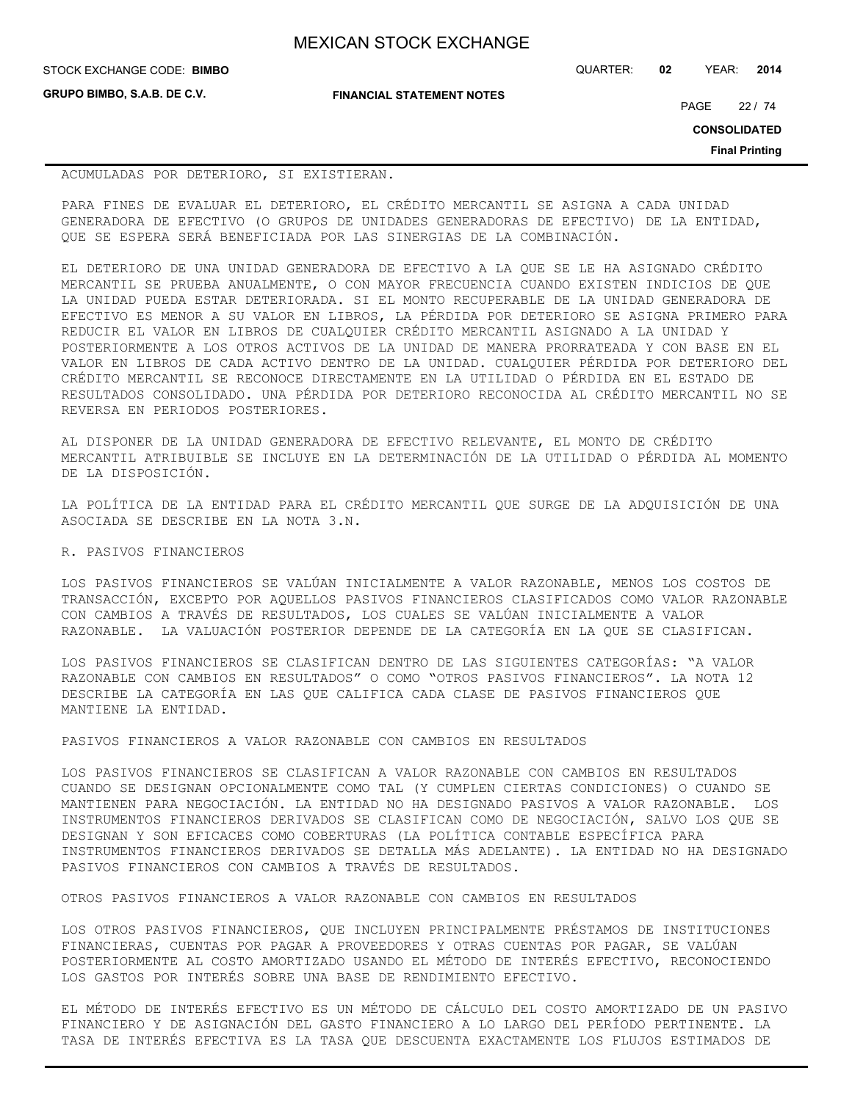**GRUPO BIMBO, S.A.B. DE C.V.**

**FINANCIAL STATEMENT NOTES**

STOCK EXCHANGE CODE: QUARTER: **02** YEAR: **2014 BIMBO**

PAGE 22 / 74

**CONSOLIDATED**

**Final Printing**

## ACUMULADAS POR DETERIORO, SI EXISTIERAN.

PARA FINES DE EVALUAR EL DETERIORO, EL CRÉDITO MERCANTIL SE ASIGNA A CADA UNIDAD GENERADORA DE EFECTIVO (O GRUPOS DE UNIDADES GENERADORAS DE EFECTIVO) DE LA ENTIDAD, QUE SE ESPERA SERÁ BENEFICIADA POR LAS SINERGIAS DE LA COMBINACIÓN.

EL DETERIORO DE UNA UNIDAD GENERADORA DE EFECTIVO A LA QUE SE LE HA ASIGNADO CRÉDITO MERCANTIL SE PRUEBA ANUALMENTE, O CON MAYOR FRECUENCIA CUANDO EXISTEN INDICIOS DE QUE LA UNIDAD PUEDA ESTAR DETERIORADA. SI EL MONTO RECUPERABLE DE LA UNIDAD GENERADORA DE EFECTIVO ES MENOR A SU VALOR EN LIBROS, LA PÉRDIDA POR DETERIORO SE ASIGNA PRIMERO PARA REDUCIR EL VALOR EN LIBROS DE CUALQUIER CRÉDITO MERCANTIL ASIGNADO A LA UNIDAD Y POSTERIORMENTE A LOS OTROS ACTIVOS DE LA UNIDAD DE MANERA PRORRATEADA Y CON BASE EN EL VALOR EN LIBROS DE CADA ACTIVO DENTRO DE LA UNIDAD. CUALQUIER PÉRDIDA POR DETERIORO DEL CRÉDITO MERCANTIL SE RECONOCE DIRECTAMENTE EN LA UTILIDAD O PÉRDIDA EN EL ESTADO DE RESULTADOS CONSOLIDADO. UNA PÉRDIDA POR DETERIORO RECONOCIDA AL CRÉDITO MERCANTIL NO SE REVERSA EN PERIODOS POSTERIORES.

AL DISPONER DE LA UNIDAD GENERADORA DE EFECTIVO RELEVANTE, EL MONTO DE CRÉDITO MERCANTIL ATRIBUIBLE SE INCLUYE EN LA DETERMINACIÓN DE LA UTILIDAD O PÉRDIDA AL MOMENTO DE LA DISPOSICIÓN.

LA POLÍTICA DE LA ENTIDAD PARA EL CRÉDITO MERCANTIL QUE SURGE DE LA ADQUISICIÓN DE UNA ASOCIADA SE DESCRIBE EN LA NOTA 3.N.

## R. PASIVOS FINANCIEROS

LOS PASIVOS FINANCIEROS SE VALÚAN INICIALMENTE A VALOR RAZONABLE, MENOS LOS COSTOS DE TRANSACCIÓN, EXCEPTO POR AQUELLOS PASIVOS FINANCIEROS CLASIFICADOS COMO VALOR RAZONABLE CON CAMBIOS A TRAVÉS DE RESULTADOS, LOS CUALES SE VALÚAN INICIALMENTE A VALOR RAZONABLE. LA VALUACIÓN POSTERIOR DEPENDE DE LA CATEGORÍA EN LA QUE SE CLASIFICAN.

LOS PASIVOS FINANCIEROS SE CLASIFICAN DENTRO DE LAS SIGUIENTES CATEGORÍAS: "A VALOR RAZONABLE CON CAMBIOS EN RESULTADOS" O COMO "OTROS PASIVOS FINANCIEROS". LA NOTA 12 DESCRIBE LA CATEGORÍA EN LAS QUE CALIFICA CADA CLASE DE PASIVOS FINANCIEROS QUE MANTIENE LA ENTIDAD.

PASIVOS FINANCIEROS A VALOR RAZONABLE CON CAMBIOS EN RESULTADOS

LOS PASIVOS FINANCIEROS SE CLASIFICAN A VALOR RAZONABLE CON CAMBIOS EN RESULTADOS CUANDO SE DESIGNAN OPCIONALMENTE COMO TAL (Y CUMPLEN CIERTAS CONDICIONES) O CUANDO SE MANTIENEN PARA NEGOCIACIÓN. LA ENTIDAD NO HA DESIGNADO PASIVOS A VALOR RAZONABLE. LOS INSTRUMENTOS FINANCIEROS DERIVADOS SE CLASIFICAN COMO DE NEGOCIACIÓN, SALVO LOS QUE SE DESIGNAN Y SON EFICACES COMO COBERTURAS (LA POLÍTICA CONTABLE ESPECÍFICA PARA INSTRUMENTOS FINANCIEROS DERIVADOS SE DETALLA MÁS ADELANTE). LA ENTIDAD NO HA DESIGNADO PASIVOS FINANCIEROS CON CAMBIOS A TRAVÉS DE RESULTADOS.

OTROS PASIVOS FINANCIEROS A VALOR RAZONABLE CON CAMBIOS EN RESULTADOS

LOS OTROS PASIVOS FINANCIEROS, QUE INCLUYEN PRINCIPALMENTE PRÉSTAMOS DE INSTITUCIONES FINANCIERAS, CUENTAS POR PAGAR A PROVEEDORES Y OTRAS CUENTAS POR PAGAR, SE VALÚAN POSTERIORMENTE AL COSTO AMORTIZADO USANDO EL MÉTODO DE INTERÉS EFECTIVO, RECONOCIENDO LOS GASTOS POR INTERÉS SOBRE UNA BASE DE RENDIMIENTO EFECTIVO.

EL MÉTODO DE INTERÉS EFECTIVO ES UN MÉTODO DE CÁLCULO DEL COSTO AMORTIZADO DE UN PASIVO FINANCIERO Y DE ASIGNACIÓN DEL GASTO FINANCIERO A LO LARGO DEL PERÍODO PERTINENTE. LA TASA DE INTERÉS EFECTIVA ES LA TASA QUE DESCUENTA EXACTAMENTE LOS FLUJOS ESTIMADOS DE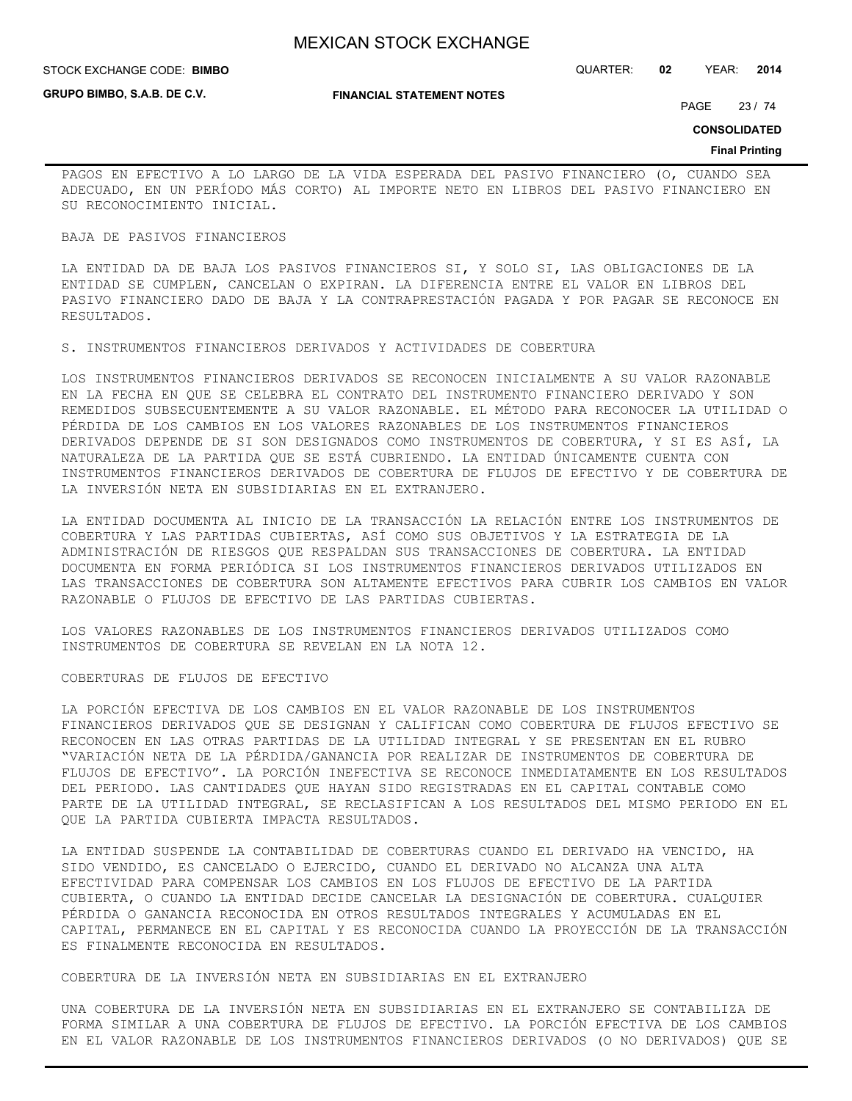## **STOCK EXCHANGE CODE: BIMBO**

**GRUPO BIMBO, S.A.B. DE C.V.**

#### **FINANCIAL STATEMENT NOTES**

STOCK EXCHANGE CODE: QUARTER: **02** YEAR: **2014**

PAGE 23 / 74

**CONSOLIDATED**

#### **Final Printing**

PAGOS EN EFECTIVO A LO LARGO DE LA VIDA ESPERADA DEL PASIVO FINANCIERO (O, CUANDO SEA ADECUADO, EN UN PERÍODO MÁS CORTO) AL IMPORTE NETO EN LIBROS DEL PASIVO FINANCIERO EN SU RECONOCIMIENTO INICIAL.

## BAJA DE PASIVOS FINANCIEROS

LA ENTIDAD DA DE BAJA LOS PASIVOS FINANCIEROS SI, Y SOLO SI, LAS OBLIGACIONES DE LA ENTIDAD SE CUMPLEN, CANCELAN O EXPIRAN. LA DIFERENCIA ENTRE EL VALOR EN LIBROS DEL PASIVO FINANCIERO DADO DE BAJA Y LA CONTRAPRESTACIÓN PAGADA Y POR PAGAR SE RECONOCE EN RESULTADOS.

S. INSTRUMENTOS FINANCIEROS DERIVADOS Y ACTIVIDADES DE COBERTURA

LOS INSTRUMENTOS FINANCIEROS DERIVADOS SE RECONOCEN INICIALMENTE A SU VALOR RAZONABLE EN LA FECHA EN QUE SE CELEBRA EL CONTRATO DEL INSTRUMENTO FINANCIERO DERIVADO Y SON REMEDIDOS SUBSECUENTEMENTE A SU VALOR RAZONABLE. EL MÉTODO PARA RECONOCER LA UTILIDAD O PÉRDIDA DE LOS CAMBIOS EN LOS VALORES RAZONABLES DE LOS INSTRUMENTOS FINANCIEROS DERIVADOS DEPENDE DE SI SON DESIGNADOS COMO INSTRUMENTOS DE COBERTURA, Y SI ES ASÍ, LA NATURALEZA DE LA PARTIDA QUE SE ESTÁ CUBRIENDO. LA ENTIDAD ÚNICAMENTE CUENTA CON INSTRUMENTOS FINANCIEROS DERIVADOS DE COBERTURA DE FLUJOS DE EFECTIVO Y DE COBERTURA DE LA INVERSIÓN NETA EN SUBSIDIARIAS EN EL EXTRANJERO.

LA ENTIDAD DOCUMENTA AL INICIO DE LA TRANSACCIÓN LA RELACIÓN ENTRE LOS INSTRUMENTOS DE COBERTURA Y LAS PARTIDAS CUBIERTAS, ASÍ COMO SUS OBJETIVOS Y LA ESTRATEGIA DE LA ADMINISTRACIÓN DE RIESGOS QUE RESPALDAN SUS TRANSACCIONES DE COBERTURA. LA ENTIDAD DOCUMENTA EN FORMA PERIÓDICA SI LOS INSTRUMENTOS FINANCIEROS DERIVADOS UTILIZADOS EN LAS TRANSACCIONES DE COBERTURA SON ALTAMENTE EFECTIVOS PARA CUBRIR LOS CAMBIOS EN VALOR RAZONABLE O FLUJOS DE EFECTIVO DE LAS PARTIDAS CUBIERTAS.

LOS VALORES RAZONABLES DE LOS INSTRUMENTOS FINANCIEROS DERIVADOS UTILIZADOS COMO INSTRUMENTOS DE COBERTURA SE REVELAN EN LA NOTA 12.

## COBERTURAS DE FLUJOS DE EFECTIVO

LA PORCIÓN EFECTIVA DE LOS CAMBIOS EN EL VALOR RAZONABLE DE LOS INSTRUMENTOS FINANCIEROS DERIVADOS QUE SE DESIGNAN Y CALIFICAN COMO COBERTURA DE FLUJOS EFECTIVO SE RECONOCEN EN LAS OTRAS PARTIDAS DE LA UTILIDAD INTEGRAL Y SE PRESENTAN EN EL RUBRO "VARIACIÓN NETA DE LA PÉRDIDA/GANANCIA POR REALIZAR DE INSTRUMENTOS DE COBERTURA DE FLUJOS DE EFECTIVO". LA PORCIÓN INEFECTIVA SE RECONOCE INMEDIATAMENTE EN LOS RESULTADOS DEL PERIODO. LAS CANTIDADES QUE HAYAN SIDO REGISTRADAS EN EL CAPITAL CONTABLE COMO PARTE DE LA UTILIDAD INTEGRAL, SE RECLASIFICAN A LOS RESULTADOS DEL MISMO PERIODO EN EL QUE LA PARTIDA CUBIERTA IMPACTA RESULTADOS.

LA ENTIDAD SUSPENDE LA CONTABILIDAD DE COBERTURAS CUANDO EL DERIVADO HA VENCIDO, HA SIDO VENDIDO, ES CANCELADO O EJERCIDO, CUANDO EL DERIVADO NO ALCANZA UNA ALTA EFECTIVIDAD PARA COMPENSAR LOS CAMBIOS EN LOS FLUJOS DE EFECTIVO DE LA PARTIDA CUBIERTA, O CUANDO LA ENTIDAD DECIDE CANCELAR LA DESIGNACIÓN DE COBERTURA. CUALQUIER PÉRDIDA O GANANCIA RECONOCIDA EN OTROS RESULTADOS INTEGRALES Y ACUMULADAS EN EL CAPITAL, PERMANECE EN EL CAPITAL Y ES RECONOCIDA CUANDO LA PROYECCIÓN DE LA TRANSACCIÓN ES FINALMENTE RECONOCIDA EN RESULTADOS.

COBERTURA DE LA INVERSIÓN NETA EN SUBSIDIARIAS EN EL EXTRANJERO

UNA COBERTURA DE LA INVERSIÓN NETA EN SUBSIDIARIAS EN EL EXTRANJERO SE CONTABILIZA DE FORMA SIMILAR A UNA COBERTURA DE FLUJOS DE EFECTIVO. LA PORCIÓN EFECTIVA DE LOS CAMBIOS EN EL VALOR RAZONABLE DE LOS INSTRUMENTOS FINANCIEROS DERIVADOS (O NO DERIVADOS) QUE SE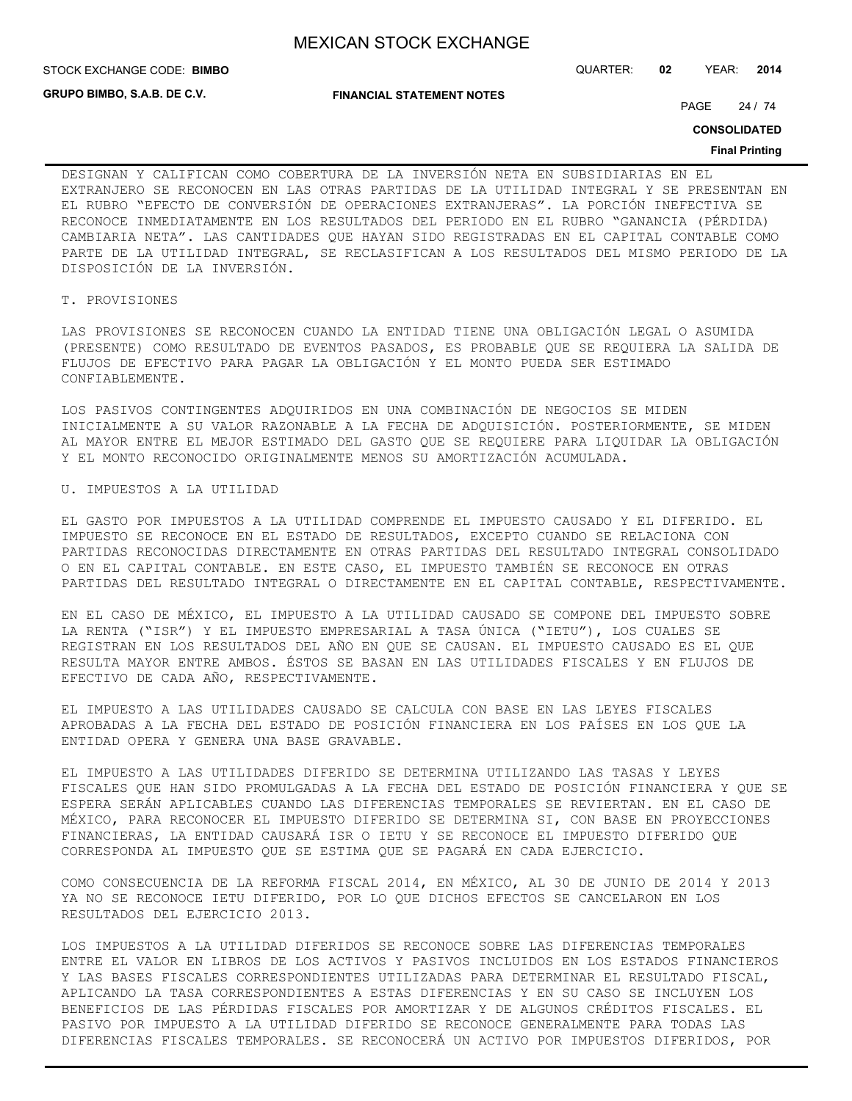**STOCK EXCHANGE CODE: BIMBO** 

**GRUPO BIMBO, S.A.B. DE C.V.**

**FINANCIAL STATEMENT NOTES**

STOCK EXCHANGE CODE: QUARTER: **02** YEAR: **2014**

PAGE 24 / 74

**CONSOLIDATED**

#### **Final Printing**

DESIGNAN Y CALIFICAN COMO COBERTURA DE LA INVERSIÓN NETA EN SUBSIDIARIAS EN EL EXTRANJERO SE RECONOCEN EN LAS OTRAS PARTIDAS DE LA UTILIDAD INTEGRAL Y SE PRESENTAN EN EL RUBRO "EFECTO DE CONVERSIÓN DE OPERACIONES EXTRANJERAS". LA PORCIÓN INEFECTIVA SE RECONOCE INMEDIATAMENTE EN LOS RESULTADOS DEL PERIODO EN EL RUBRO "GANANCIA (PÉRDIDA) CAMBIARIA NETA". LAS CANTIDADES QUE HAYAN SIDO REGISTRADAS EN EL CAPITAL CONTABLE COMO PARTE DE LA UTILIDAD INTEGRAL, SE RECLASIFICAN A LOS RESULTADOS DEL MISMO PERIODO DE LA DISPOSICIÓN DE LA INVERSIÓN.

## T. PROVISIONES

LAS PROVISIONES SE RECONOCEN CUANDO LA ENTIDAD TIENE UNA OBLIGACIÓN LEGAL O ASUMIDA (PRESENTE) COMO RESULTADO DE EVENTOS PASADOS, ES PROBABLE QUE SE REQUIERA LA SALIDA DE FLUJOS DE EFECTIVO PARA PAGAR LA OBLIGACIÓN Y EL MONTO PUEDA SER ESTIMADO CONFIABLEMENTE.

LOS PASIVOS CONTINGENTES ADQUIRIDOS EN UNA COMBINACIÓN DE NEGOCIOS SE MIDEN INICIALMENTE A SU VALOR RAZONABLE A LA FECHA DE ADQUISICIÓN. POSTERIORMENTE, SE MIDEN AL MAYOR ENTRE EL MEJOR ESTIMADO DEL GASTO QUE SE REQUIERE PARA LIQUIDAR LA OBLIGACIÓN Y EL MONTO RECONOCIDO ORIGINALMENTE MENOS SU AMORTIZACIÓN ACUMULADA.

## U. IMPUESTOS A LA UTILIDAD

EL GASTO POR IMPUESTOS A LA UTILIDAD COMPRENDE EL IMPUESTO CAUSADO Y EL DIFERIDO. EL IMPUESTO SE RECONOCE EN EL ESTADO DE RESULTADOS, EXCEPTO CUANDO SE RELACIONA CON PARTIDAS RECONOCIDAS DIRECTAMENTE EN OTRAS PARTIDAS DEL RESULTADO INTEGRAL CONSOLIDADO O EN EL CAPITAL CONTABLE. EN ESTE CASO, EL IMPUESTO TAMBIÉN SE RECONOCE EN OTRAS PARTIDAS DEL RESULTADO INTEGRAL O DIRECTAMENTE EN EL CAPITAL CONTABLE, RESPECTIVAMENTE.

EN EL CASO DE MÉXICO, EL IMPUESTO A LA UTILIDAD CAUSADO SE COMPONE DEL IMPUESTO SOBRE LA RENTA ("ISR") Y EL IMPUESTO EMPRESARIAL A TASA ÚNICA ("IETU"), LOS CUALES SE REGISTRAN EN LOS RESULTADOS DEL AÑO EN QUE SE CAUSAN. EL IMPUESTO CAUSADO ES EL QUE RESULTA MAYOR ENTRE AMBOS. ÉSTOS SE BASAN EN LAS UTILIDADES FISCALES Y EN FLUJOS DE EFECTIVO DE CADA AÑO, RESPECTIVAMENTE.

EL IMPUESTO A LAS UTILIDADES CAUSADO SE CALCULA CON BASE EN LAS LEYES FISCALES APROBADAS A LA FECHA DEL ESTADO DE POSICIÓN FINANCIERA EN LOS PAÍSES EN LOS QUE LA ENTIDAD OPERA Y GENERA UNA BASE GRAVABLE.

EL IMPUESTO A LAS UTILIDADES DIFERIDO SE DETERMINA UTILIZANDO LAS TASAS Y LEYES FISCALES QUE HAN SIDO PROMULGADAS A LA FECHA DEL ESTADO DE POSICIÓN FINANCIERA Y QUE SE ESPERA SERÁN APLICABLES CUANDO LAS DIFERENCIAS TEMPORALES SE REVIERTAN. EN EL CASO DE MÉXICO, PARA RECONOCER EL IMPUESTO DIFERIDO SE DETERMINA SI, CON BASE EN PROYECCIONES FINANCIERAS, LA ENTIDAD CAUSARÁ ISR O IETU Y SE RECONOCE EL IMPUESTO DIFERIDO QUE CORRESPONDA AL IMPUESTO QUE SE ESTIMA QUE SE PAGARÁ EN CADA EJERCICIO.

COMO CONSECUENCIA DE LA REFORMA FISCAL 2014, EN MÉXICO, AL 30 DE JUNIO DE 2014 Y 2013 YA NO SE RECONOCE IETU DIFERIDO, POR LO QUE DICHOS EFECTOS SE CANCELARON EN LOS RESULTADOS DEL EJERCICIO 2013.

LOS IMPUESTOS A LA UTILIDAD DIFERIDOS SE RECONOCE SOBRE LAS DIFERENCIAS TEMPORALES ENTRE EL VALOR EN LIBROS DE LOS ACTIVOS Y PASIVOS INCLUIDOS EN LOS ESTADOS FINANCIEROS Y LAS BASES FISCALES CORRESPONDIENTES UTILIZADAS PARA DETERMINAR EL RESULTADO FISCAL, APLICANDO LA TASA CORRESPONDIENTES A ESTAS DIFERENCIAS Y EN SU CASO SE INCLUYEN LOS BENEFICIOS DE LAS PÉRDIDAS FISCALES POR AMORTIZAR Y DE ALGUNOS CRÉDITOS FISCALES. EL PASIVO POR IMPUESTO A LA UTILIDAD DIFERIDO SE RECONOCE GENERALMENTE PARA TODAS LAS DIFERENCIAS FISCALES TEMPORALES. SE RECONOCERÁ UN ACTIVO POR IMPUESTOS DIFERIDOS, POR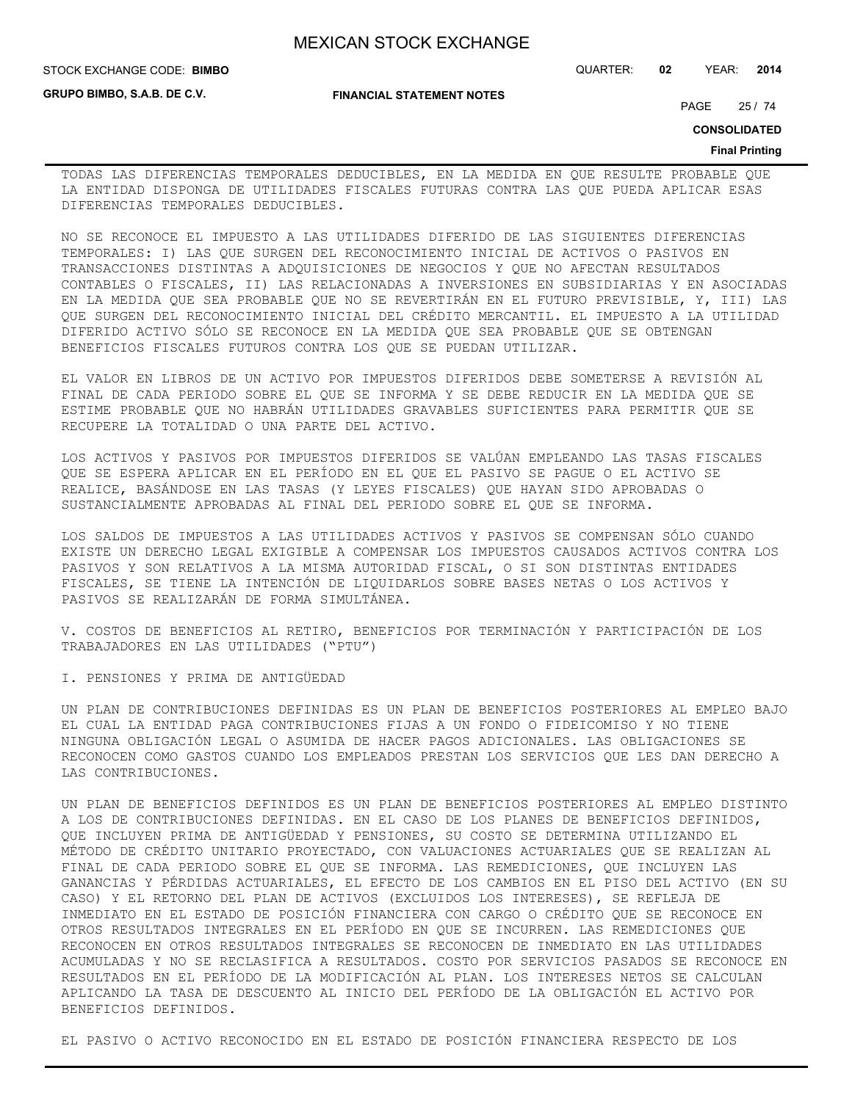**GRUPO BIMBO, S.A.B. DE C.V.**

### **FINANCIAL STATEMENT NOTES**

STOCK EXCHANGE CODE: QUARTER: **02** YEAR: **2014 BIMBO**

PAGE 25 / 74

**CONSOLIDATED**

#### **Final Printing**

TODAS LAS DIFERENCIAS TEMPORALES DEDUCIBLES, EN LA MEDIDA EN QUE RESULTE PROBABLE QUE LA ENTIDAD DISPONGA DE UTILIDADES FISCALES FUTURAS CONTRA LAS QUE PUEDA APLICAR ESAS DIFERENCIAS TEMPORALES DEDUCIBLES.

NO SE RECONOCE EL IMPUESTO A LAS UTILIDADES DIFERIDO DE LAS SIGUIENTES DIFERENCIAS TEMPORALES: I) LAS QUE SURGEN DEL RECONOCIMIENTO INICIAL DE ACTIVOS O PASIVOS EN TRANSACCIONES DISTINTAS A ADQUISICIONES DE NEGOCIOS Y QUE NO AFECTAN RESULTADOS CONTABLES O FISCALES, II) LAS RELACIONADAS A INVERSIONES EN SUBSIDIARIAS Y EN ASOCIADAS EN LA MEDIDA QUE SEA PROBABLE QUE NO SE REVERTIRÁN EN EL FUTURO PREVISIBLE, Y, III) LAS QUE SURGEN DEL RECONOCIMIENTO INICIAL DEL CRÉDITO MERCANTIL. EL IMPUESTO A LA UTILIDAD DIFERIDO ACTIVO SÓLO SE RECONOCE EN LA MEDIDA QUE SEA PROBABLE QUE SE OBTENGAN BENEFICIOS FISCALES FUTUROS CONTRA LOS QUE SE PUEDAN UTILIZAR.

EL VALOR EN LIBROS DE UN ACTIVO POR IMPUESTOS DIFERIDOS DEBE SOMETERSE A REVISIÓN AL FINAL DE CADA PERIODO SOBRE EL QUE SE INFORMA Y SE DEBE REDUCIR EN LA MEDIDA QUE SE ESTIME PROBABLE QUE NO HABRÁN UTILIDADES GRAVABLES SUFICIENTES PARA PERMITIR QUE SE RECUPERE LA TOTALIDAD O UNA PARTE DEL ACTIVO.

LOS ACTIVOS Y PASIVOS POR IMPUESTOS DIFERIDOS SE VALÚAN EMPLEANDO LAS TASAS FISCALES QUE SE ESPERA APLICAR EN EL PERÍODO EN EL QUE EL PASIVO SE PAGUE O EL ACTIVO SE REALICE, BASÁNDOSE EN LAS TASAS (Y LEYES FISCALES) QUE HAYAN SIDO APROBADAS O SUSTANCIALMENTE APROBADAS AL FINAL DEL PERIODO SOBRE EL QUE SE INFORMA.

LOS SALDOS DE IMPUESTOS A LAS UTILIDADES ACTIVOS Y PASIVOS SE COMPENSAN SÓLO CUANDO EXISTE UN DERECHO LEGAL EXIGIBLE A COMPENSAR LOS IMPUESTOS CAUSADOS ACTIVOS CONTRA LOS PASIVOS Y SON RELATIVOS A LA MISMA AUTORIDAD FISCAL, O SI SON DISTINTAS ENTIDADES FISCALES, SE TIENE LA INTENCIÓN DE LIQUIDARLOS SOBRE BASES NETAS O LOS ACTIVOS Y PASIVOS SE REALIZARÁN DE FORMA SIMULTÁNEA.

V. COSTOS DE BENEFICIOS AL RETIRO, BENEFICIOS POR TERMINACIÓN Y PARTICIPACIÓN DE LOS TRABAJADORES EN LAS UTILIDADES ("PTU")

I. PENSIONES Y PRIMA DE ANTIGÜEDAD

UN PLAN DE CONTRIBUCIONES DEFINIDAS ES UN PLAN DE BENEFICIOS POSTERIORES AL EMPLEO BAJO EL CUAL LA ENTIDAD PAGA CONTRIBUCIONES FIJAS A UN FONDO O FIDEICOMISO Y NO TIENE NINGUNA OBLIGACIÓN LEGAL O ASUMIDA DE HACER PAGOS ADICIONALES. LAS OBLIGACIONES SE RECONOCEN COMO GASTOS CUANDO LOS EMPLEADOS PRESTAN LOS SERVICIOS QUE LES DAN DERECHO A LAS CONTRIBUCIONES.

UN PLAN DE BENEFICIOS DEFINIDOS ES UN PLAN DE BENEFICIOS POSTERIORES AL EMPLEO DISTINTO A LOS DE CONTRIBUCIONES DEFINIDAS. EN EL CASO DE LOS PLANES DE BENEFICIOS DEFINIDOS, QUE INCLUYEN PRIMA DE ANTIGÜEDAD Y PENSIONES, SU COSTO SE DETERMINA UTILIZANDO EL MÉTODO DE CRÉDITO UNITARIO PROYECTADO, CON VALUACIONES ACTUARIALES QUE SE REALIZAN AL FINAL DE CADA PERIODO SOBRE EL QUE SE INFORMA. LAS REMEDICIONES, QUE INCLUYEN LAS GANANCIAS Y PÉRDIDAS ACTUARIALES, EL EFECTO DE LOS CAMBIOS EN EL PISO DEL ACTIVO (EN SU CASO) Y EL RETORNO DEL PLAN DE ACTIVOS (EXCLUIDOS LOS INTERESES), SE REFLEJA DE INMEDIATO EN EL ESTADO DE POSICIÓN FINANCIERA CON CARGO O CRÉDITO QUE SE RECONOCE EN OTROS RESULTADOS INTEGRALES EN EL PERÍODO EN QUE SE INCURREN. LAS REMEDICIONES QUE RECONOCEN EN OTROS RESULTADOS INTEGRALES SE RECONOCEN DE INMEDIATO EN LAS UTILIDADES ACUMULADAS Y NO SE RECLASIFICA A RESULTADOS. COSTO POR SERVICIOS PASADOS SE RECONOCE EN RESULTADOS EN EL PERÍODO DE LA MODIFICACIÓN AL PLAN. LOS INTERESES NETOS SE CALCULAN APLICANDO LA TASA DE DESCUENTO AL INICIO DEL PERÍODO DE LA OBLIGACIÓN EL ACTIVO POR BENEFICIOS DEFINIDOS.

EL PASIVO O ACTIVO RECONOCIDO EN EL ESTADO DE POSICIÓN FINANCIERA RESPECTO DE LOS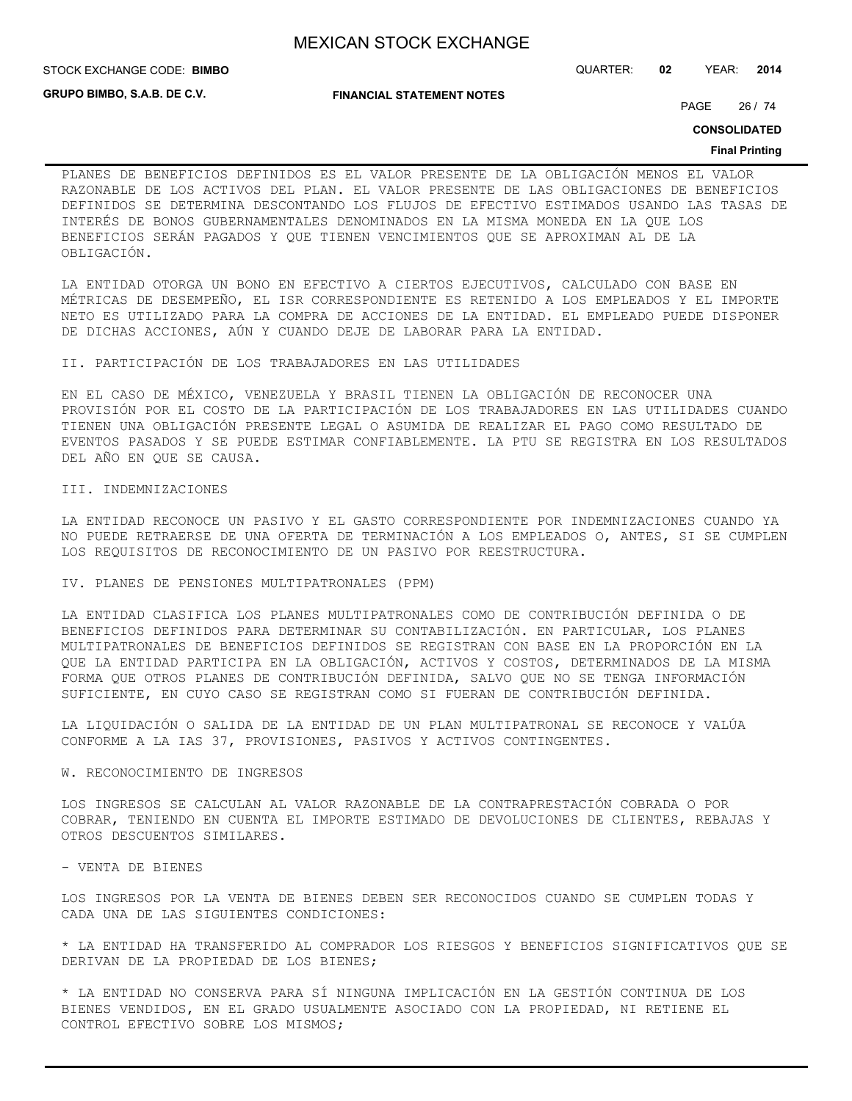STOCK EXCHANGE CODE: QUARTER: **02** YEAR: **2014 BIMBO**

**GRUPO BIMBO, S.A.B. DE C.V.**

**FINANCIAL STATEMENT NOTES**

PAGE 26 / 74

**CONSOLIDATED**

#### **Final Printing**

PLANES DE BENEFICIOS DEFINIDOS ES EL VALOR PRESENTE DE LA OBLIGACIÓN MENOS EL VALOR RAZONABLE DE LOS ACTIVOS DEL PLAN. EL VALOR PRESENTE DE LAS OBLIGACIONES DE BENEFICIOS DEFINIDOS SE DETERMINA DESCONTANDO LOS FLUJOS DE EFECTIVO ESTIMADOS USANDO LAS TASAS DE INTERÉS DE BONOS GUBERNAMENTALES DENOMINADOS EN LA MISMA MONEDA EN LA QUE LOS BENEFICIOS SERÁN PAGADOS Y QUE TIENEN VENCIMIENTOS QUE SE APROXIMAN AL DE LA OBLIGACIÓN.

LA ENTIDAD OTORGA UN BONO EN EFECTIVO A CIERTOS EJECUTIVOS, CALCULADO CON BASE EN MÉTRICAS DE DESEMPEÑO, EL ISR CORRESPONDIENTE ES RETENIDO A LOS EMPLEADOS Y EL IMPORTE NETO ES UTILIZADO PARA LA COMPRA DE ACCIONES DE LA ENTIDAD. EL EMPLEADO PUEDE DISPONER DE DICHAS ACCIONES, AÚN Y CUANDO DEJE DE LABORAR PARA LA ENTIDAD.

II. PARTICIPACIÓN DE LOS TRABAJADORES EN LAS UTILIDADES

EN EL CASO DE MÉXICO, VENEZUELA Y BRASIL TIENEN LA OBLIGACIÓN DE RECONOCER UNA PROVISIÓN POR EL COSTO DE LA PARTICIPACIÓN DE LOS TRABAJADORES EN LAS UTILIDADES CUANDO TIENEN UNA OBLIGACIÓN PRESENTE LEGAL O ASUMIDA DE REALIZAR EL PAGO COMO RESULTADO DE EVENTOS PASADOS Y SE PUEDE ESTIMAR CONFIABLEMENTE. LA PTU SE REGISTRA EN LOS RESULTADOS DEL AÑO EN QUE SE CAUSA.

## III. INDEMNIZACIONES

LA ENTIDAD RECONOCE UN PASIVO Y EL GASTO CORRESPONDIENTE POR INDEMNIZACIONES CUANDO YA NO PUEDE RETRAERSE DE UNA OFERTA DE TERMINACIÓN A LOS EMPLEADOS O, ANTES, SI SE CUMPLEN LOS REQUISITOS DE RECONOCIMIENTO DE UN PASIVO POR REESTRUCTURA.

IV. PLANES DE PENSIONES MULTIPATRONALES (PPM)

LA ENTIDAD CLASIFICA LOS PLANES MULTIPATRONALES COMO DE CONTRIBUCIÓN DEFINIDA O DE BENEFICIOS DEFINIDOS PARA DETERMINAR SU CONTABILIZACIÓN. EN PARTICULAR, LOS PLANES MULTIPATRONALES DE BENEFICIOS DEFINIDOS SE REGISTRAN CON BASE EN LA PROPORCIÓN EN LA QUE LA ENTIDAD PARTICIPA EN LA OBLIGACIÓN, ACTIVOS Y COSTOS, DETERMINADOS DE LA MISMA FORMA QUE OTROS PLANES DE CONTRIBUCIÓN DEFINIDA, SALVO QUE NO SE TENGA INFORMACIÓN SUFICIENTE, EN CUYO CASO SE REGISTRAN COMO SI FUERAN DE CONTRIBUCIÓN DEFINIDA.

LA LIQUIDACIÓN O SALIDA DE LA ENTIDAD DE UN PLAN MULTIPATRONAL SE RECONOCE Y VALÚA CONFORME A LA IAS 37, PROVISIONES, PASIVOS Y ACTIVOS CONTINGENTES.

## W. RECONOCIMIENTO DE INGRESOS

LOS INGRESOS SE CALCULAN AL VALOR RAZONABLE DE LA CONTRAPRESTACIÓN COBRADA O POR COBRAR, TENIENDO EN CUENTA EL IMPORTE ESTIMADO DE DEVOLUCIONES DE CLIENTES, REBAJAS Y OTROS DESCUENTOS SIMILARES.

- VENTA DE BIENES

LOS INGRESOS POR LA VENTA DE BIENES DEBEN SER RECONOCIDOS CUANDO SE CUMPLEN TODAS Y CADA UNA DE LAS SIGUIENTES CONDICIONES:

\* LA ENTIDAD HA TRANSFERIDO AL COMPRADOR LOS RIESGOS Y BENEFICIOS SIGNIFICATIVOS QUE SE DERIVAN DE LA PROPIEDAD DE LOS BIENES;

\* LA ENTIDAD NO CONSERVA PARA SÍ NINGUNA IMPLICACIÓN EN LA GESTIÓN CONTINUA DE LOS BIENES VENDIDOS, EN EL GRADO USUALMENTE ASOCIADO CON LA PROPIEDAD, NI RETIENE EL CONTROL EFECTIVO SOBRE LOS MISMOS;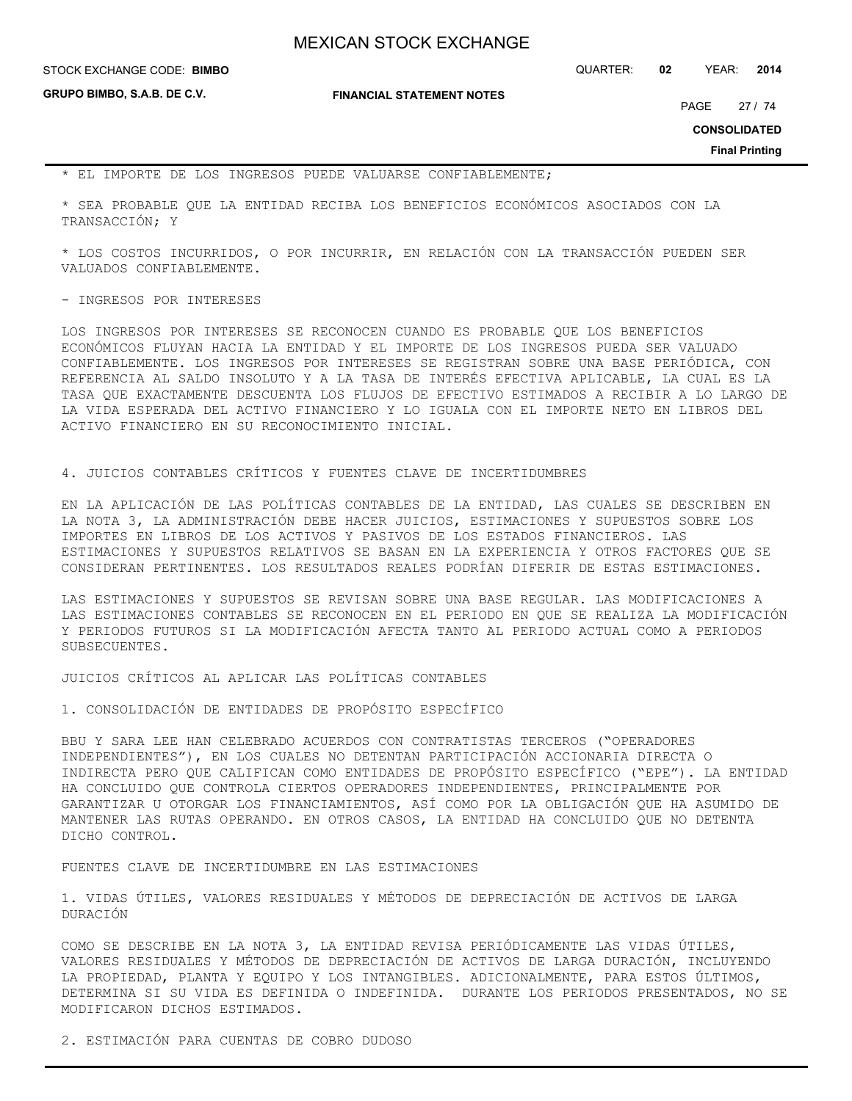**GRUPO BIMBO, S.A.B. DE C.V.**

## **FINANCIAL STATEMENT NOTES**

STOCK EXCHANGE CODE: QUARTER: **02** YEAR: **2014 BIMBO**

PAGE 27 / 74

**CONSOLIDATED**

**Final Printing**

\* EL IMPORTE DE LOS INGRESOS PUEDE VALUARSE CONFIABLEMENTE;

\* SEA PROBABLE QUE LA ENTIDAD RECIBA LOS BENEFICIOS ECONÓMICOS ASOCIADOS CON LA TRANSACCIÓN; Y

\* LOS COSTOS INCURRIDOS, O POR INCURRIR, EN RELACIÓN CON LA TRANSACCIÓN PUEDEN SER VALUADOS CONFIABLEMENTE.

### - INGRESOS POR INTERESES

LOS INGRESOS POR INTERESES SE RECONOCEN CUANDO ES PROBABLE QUE LOS BENEFICIOS ECONÓMICOS FLUYAN HACIA LA ENTIDAD Y EL IMPORTE DE LOS INGRESOS PUEDA SER VALUADO CONFIABLEMENTE. LOS INGRESOS POR INTERESES SE REGISTRAN SOBRE UNA BASE PERIÓDICA, CON REFERENCIA AL SALDO INSOLUTO Y A LA TASA DE INTERÉS EFECTIVA APLICABLE, LA CUAL ES LA TASA QUE EXACTAMENTE DESCUENTA LOS FLUJOS DE EFECTIVO ESTIMADOS A RECIBIR A LO LARGO DE LA VIDA ESPERADA DEL ACTIVO FINANCIERO Y LO IGUALA CON EL IMPORTE NETO EN LIBROS DEL ACTIVO FINANCIERO EN SU RECONOCIMIENTO INICIAL.

4. JUICIOS CONTABLES CRÍTICOS Y FUENTES CLAVE DE INCERTIDUMBRES

EN LA APLICACIÓN DE LAS POLÍTICAS CONTABLES DE LA ENTIDAD, LAS CUALES SE DESCRIBEN EN LA NOTA 3, LA ADMINISTRACIÓN DEBE HACER JUICIOS, ESTIMACIONES Y SUPUESTOS SOBRE LOS IMPORTES EN LIBROS DE LOS ACTIVOS Y PASIVOS DE LOS ESTADOS FINANCIEROS. LAS ESTIMACIONES Y SUPUESTOS RELATIVOS SE BASAN EN LA EXPERIENCIA Y OTROS FACTORES QUE SE CONSIDERAN PERTINENTES. LOS RESULTADOS REALES PODRÍAN DIFERIR DE ESTAS ESTIMACIONES.

LAS ESTIMACIONES Y SUPUESTOS SE REVISAN SOBRE UNA BASE REGULAR. LAS MODIFICACIONES A LAS ESTIMACIONES CONTABLES SE RECONOCEN EN EL PERIODO EN QUE SE REALIZA LA MODIFICACIÓN Y PERIODOS FUTUROS SI LA MODIFICACIÓN AFECTA TANTO AL PERIODO ACTUAL COMO A PERIODOS SUBSECUENTES.

JUICIOS CRÍTICOS AL APLICAR LAS POLÍTICAS CONTABLES

1. CONSOLIDACIÓN DE ENTIDADES DE PROPÓSITO ESPECÍFICO

BBU Y SARA LEE HAN CELEBRADO ACUERDOS CON CONTRATISTAS TERCEROS ("OPERADORES INDEPENDIENTES"), EN LOS CUALES NO DETENTAN PARTICIPACIÓN ACCIONARIA DIRECTA O INDIRECTA PERO QUE CALIFICAN COMO ENTIDADES DE PROPÓSITO ESPECÍFICO ("EPE"). LA ENTIDAD HA CONCLUIDO QUE CONTROLA CIERTOS OPERADORES INDEPENDIENTES, PRINCIPALMENTE POR GARANTIZAR U OTORGAR LOS FINANCIAMIENTOS, ASÍ COMO POR LA OBLIGACIÓN QUE HA ASUMIDO DE MANTENER LAS RUTAS OPERANDO. EN OTROS CASOS, LA ENTIDAD HA CONCLUIDO QUE NO DETENTA DICHO CONTROL.

## FUENTES CLAVE DE INCERTIDUMBRE EN LAS ESTIMACIONES

1. VIDAS ÚTILES, VALORES RESIDUALES Y MÉTODOS DE DEPRECIACIÓN DE ACTIVOS DE LARGA DURACIÓN

COMO SE DESCRIBE EN LA NOTA 3, LA ENTIDAD REVISA PERIÓDICAMENTE LAS VIDAS ÚTILES, VALORES RESIDUALES Y MÉTODOS DE DEPRECIACIÓN DE ACTIVOS DE LARGA DURACIÓN, INCLUYENDO LA PROPIEDAD, PLANTA Y EQUIPO Y LOS INTANGIBLES. ADICIONALMENTE, PARA ESTOS ÚLTIMOS, DETERMINA SI SU VIDA ES DEFINIDA O INDEFINIDA. DURANTE LOS PERIODOS PRESENTADOS, NO SE MODIFICARON DICHOS ESTIMADOS.

2. ESTIMACIÓN PARA CUENTAS DE COBRO DUDOSO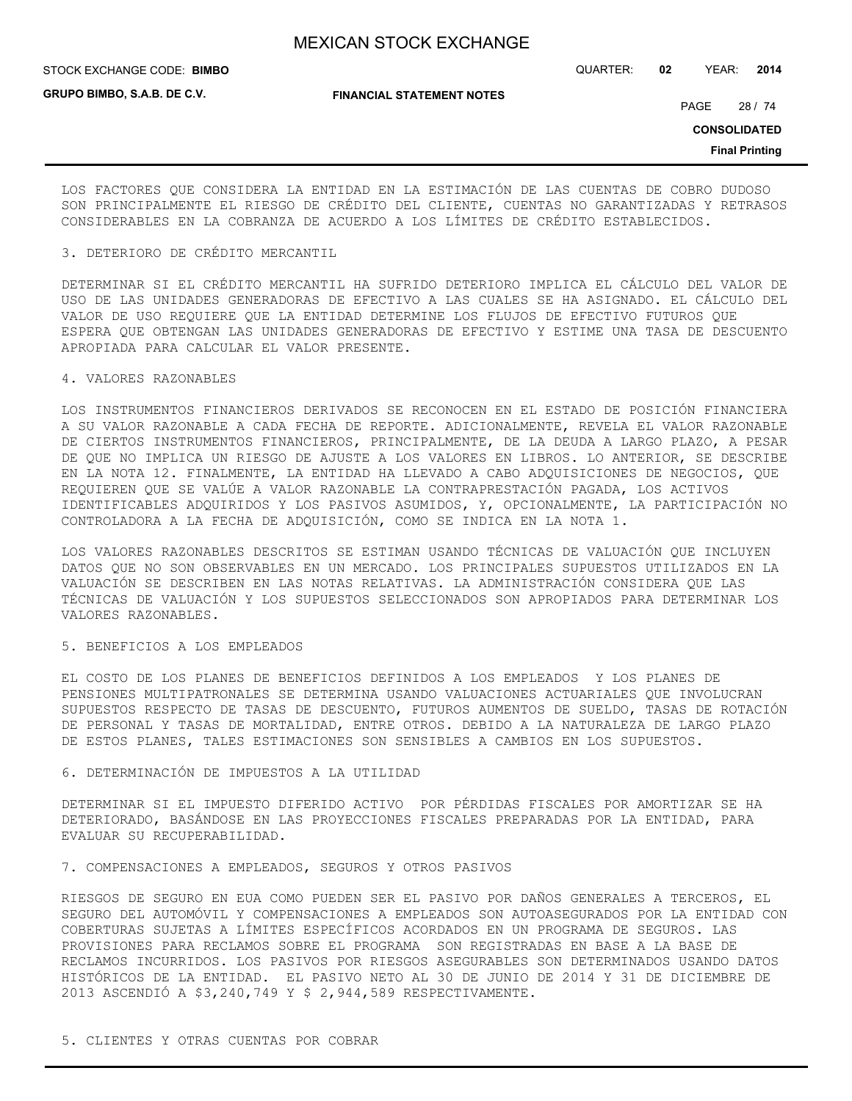STOCK EXCHANGE CODE: QUARTER: **02** YEAR: **2014 BIMBO**

**GRUPO BIMBO, S.A.B. DE C.V.**

**FINANCIAL STATEMENT NOTES**

PAGE 28 / 74

**CONSOLIDATED**

**Final Printing**

LOS FACTORES QUE CONSIDERA LA ENTIDAD EN LA ESTIMACIÓN DE LAS CUENTAS DE COBRO DUDOSO SON PRINCIPALMENTE EL RIESGO DE CRÉDITO DEL CLIENTE, CUENTAS NO GARANTIZADAS Y RETRASOS CONSIDERABLES EN LA COBRANZA DE ACUERDO A LOS LÍMITES DE CRÉDITO ESTABLECIDOS.

## 3. DETERIORO DE CRÉDITO MERCANTIL

DETERMINAR SI EL CRÉDITO MERCANTIL HA SUFRIDO DETERIORO IMPLICA EL CÁLCULO DEL VALOR DE USO DE LAS UNIDADES GENERADORAS DE EFECTIVO A LAS CUALES SE HA ASIGNADO. EL CÁLCULO DEL VALOR DE USO REQUIERE QUE LA ENTIDAD DETERMINE LOS FLUJOS DE EFECTIVO FUTUROS QUE ESPERA QUE OBTENGAN LAS UNIDADES GENERADORAS DE EFECTIVO Y ESTIME UNA TASA DE DESCUENTO APROPIADA PARA CALCULAR EL VALOR PRESENTE.

## 4. VALORES RAZONABLES

LOS INSTRUMENTOS FINANCIEROS DERIVADOS SE RECONOCEN EN EL ESTADO DE POSICIÓN FINANCIERA A SU VALOR RAZONABLE A CADA FECHA DE REPORTE. ADICIONALMENTE, REVELA EL VALOR RAZONABLE DE CIERTOS INSTRUMENTOS FINANCIEROS, PRINCIPALMENTE, DE LA DEUDA A LARGO PLAZO, A PESAR DE QUE NO IMPLICA UN RIESGO DE AJUSTE A LOS VALORES EN LIBROS. LO ANTERIOR, SE DESCRIBE EN LA NOTA 12. FINALMENTE, LA ENTIDAD HA LLEVADO A CABO ADQUISICIONES DE NEGOCIOS, QUE REQUIEREN QUE SE VALÚE A VALOR RAZONABLE LA CONTRAPRESTACIÓN PAGADA, LOS ACTIVOS IDENTIFICABLES ADQUIRIDOS Y LOS PASIVOS ASUMIDOS, Y, OPCIONALMENTE, LA PARTICIPACIÓN NO CONTROLADORA A LA FECHA DE ADQUISICIÓN, COMO SE INDICA EN LA NOTA 1.

LOS VALORES RAZONABLES DESCRITOS SE ESTIMAN USANDO TÉCNICAS DE VALUACIÓN QUE INCLUYEN DATOS QUE NO SON OBSERVABLES EN UN MERCADO. LOS PRINCIPALES SUPUESTOS UTILIZADOS EN LA VALUACIÓN SE DESCRIBEN EN LAS NOTAS RELATIVAS. LA ADMINISTRACIÓN CONSIDERA QUE LAS TÉCNICAS DE VALUACIÓN Y LOS SUPUESTOS SELECCIONADOS SON APROPIADOS PARA DETERMINAR LOS VALORES RAZONABLES.

## 5. BENEFICIOS A LOS EMPLEADOS

EL COSTO DE LOS PLANES DE BENEFICIOS DEFINIDOS A LOS EMPLEADOS Y LOS PLANES DE PENSIONES MULTIPATRONALES SE DETERMINA USANDO VALUACIONES ACTUARIALES QUE INVOLUCRAN SUPUESTOS RESPECTO DE TASAS DE DESCUENTO, FUTUROS AUMENTOS DE SUELDO, TASAS DE ROTACIÓN DE PERSONAL Y TASAS DE MORTALIDAD, ENTRE OTROS. DEBIDO A LA NATURALEZA DE LARGO PLAZO DE ESTOS PLANES, TALES ESTIMACIONES SON SENSIBLES A CAMBIOS EN LOS SUPUESTOS.

## 6. DETERMINACIÓN DE IMPUESTOS A LA UTILIDAD

DETERMINAR SI EL IMPUESTO DIFERIDO ACTIVO POR PÉRDIDAS FISCALES POR AMORTIZAR SE HA DETERIORADO, BASÁNDOSE EN LAS PROYECCIONES FISCALES PREPARADAS POR LA ENTIDAD, PARA EVALUAR SU RECUPERABILIDAD.

## 7. COMPENSACIONES A EMPLEADOS, SEGUROS Y OTROS PASIVOS

RIESGOS DE SEGURO EN EUA COMO PUEDEN SER EL PASIVO POR DAÑOS GENERALES A TERCEROS, EL SEGURO DEL AUTOMÓVIL Y COMPENSACIONES A EMPLEADOS SON AUTOASEGURADOS POR LA ENTIDAD CON COBERTURAS SUJETAS A LÍMITES ESPECÍFICOS ACORDADOS EN UN PROGRAMA DE SEGUROS. LAS PROVISIONES PARA RECLAMOS SOBRE EL PROGRAMA SON REGISTRADAS EN BASE A LA BASE DE RECLAMOS INCURRIDOS. LOS PASIVOS POR RIESGOS ASEGURABLES SON DETERMINADOS USANDO DATOS HISTÓRICOS DE LA ENTIDAD. EL PASIVO NETO AL 30 DE JUNIO DE 2014 Y 31 DE DICIEMBRE DE 2013 ASCENDIÓ A \$3,240,749 Y \$ 2,944,589 RESPECTIVAMENTE.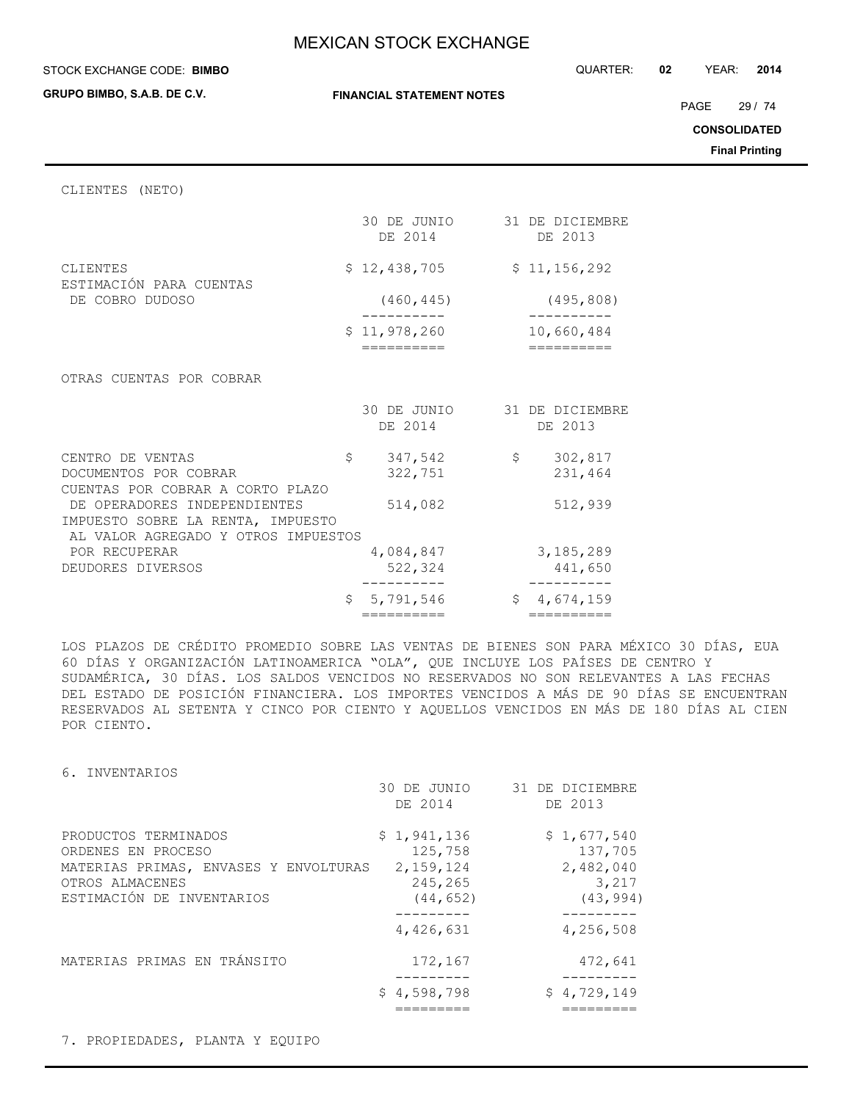STOCK EXCHANGE CODE: QUARTER: **02** YEAR: **2014**

| GRUPO BIMBO, S.A.B. DE C.V.                                                                              |    | <b>FINANCIAL STATEMENT NOTES</b>       |  |                                    |  |
|----------------------------------------------------------------------------------------------------------|----|----------------------------------------|--|------------------------------------|--|
|                                                                                                          |    |                                        |  |                                    |  |
| CLIENTES (NETO)                                                                                          |    |                                        |  |                                    |  |
|                                                                                                          |    | 30 DE JUNIO 31 DE DICIEMBRE<br>DE 2014 |  | DE 2013                            |  |
| <b>CLIENTES</b>                                                                                          |    | \$12,438,705                           |  | \$11,156,292                       |  |
| ESTIMACIÓN PARA CUENTAS<br>DE COBRO DUDOSO                                                               |    | (460, 445)                             |  | (495, 808)                         |  |
|                                                                                                          |    | \$11,978,260                           |  | 10,660,484                         |  |
| OTRAS CUENTAS POR COBRAR                                                                                 |    | ==========                             |  |                                    |  |
|                                                                                                          |    | 30 DE JUNIO<br>DE 2014                 |  | 31 DE DICIEMBRE<br>DE 2013         |  |
| CENTRO DE VENTAS<br>DOCUMENTOS POR COBRAR<br>CUENTAS POR COBRAR A CORTO PLAZO                            | \$ | 347,542<br>322,751                     |  | 302,817<br>$\mathsf{S}$<br>231,464 |  |
| DE OPERADORES INDEPENDIENTES<br>IMPUESTO SOBRE LA RENTA, IMPUESTO<br>AL VALOR AGREGADO Y OTROS IMPUESTOS |    | 514,082                                |  | 512,939                            |  |
| POR RECUPERAR<br>DEUDORES DIVERSOS                                                                       |    | 4,084,847<br>522,324                   |  | 3, 185, 289<br>441,650             |  |
|                                                                                                          | \$ | 5,791,546                              |  | \$4,674,159                        |  |

LOS PLAZOS DE CRÉDITO PROMEDIO SOBRE LAS VENTAS DE BIENES SON PARA MÉXICO 30 DÍAS, EUA 60 DÍAS Y ORGANIZACIÓN LATINOAMERICA "OLA", QUE INCLUYE LOS PAÍSES DE CENTRO Y SUDAMÉRICA, 30 DÍAS. LOS SALDOS VENCIDOS NO RESERVADOS NO SON RELEVANTES A LAS FECHAS DEL ESTADO DE POSICIÓN FINANCIERA. LOS IMPORTES VENCIDOS A MÁS DE 90 DÍAS SE ENCUENTRAN RESERVADOS AL SETENTA Y CINCO POR CIENTO Y AQUELLOS VENCIDOS EN MÁS DE 180 DÍAS AL CIEN POR CIENTO.

6. INVENTARIOS

|                                                                                                                                     | 30 DE JUNIO<br>DE 2014                                      | 31 DE DICIEMBRE<br>DE 2013                                            |
|-------------------------------------------------------------------------------------------------------------------------------------|-------------------------------------------------------------|-----------------------------------------------------------------------|
| PRODUCTOS TERMINADOS<br>ORDENES EN PROCESO<br>MATERIAS PRIMAS, ENVASES Y ENVOLTURAS<br>OTROS ALMACENES<br>ESTIMACIÓN DE INVENTARIOS | \$1,941,136<br>125,758<br>2,159,124<br>245,265<br>(44, 652) | \$1,677,540<br>137,705<br>2,482,040<br>3,217<br>(43, 994)<br>-------- |
|                                                                                                                                     | 4,426,631                                                   | 4,256,508                                                             |
| MATERIAS PRIMAS EN TRÁNSITO                                                                                                         | 172,167                                                     | 472,641                                                               |
|                                                                                                                                     | \$4,598,798                                                 | \$4,729,149                                                           |

7. PROPIEDADES, PLANTA Y EQUIPO

PAGE 29 / 74

**CONSOLIDATED**

**Final Printing**

**STOCK EXCHANGE CODE: BIMBO**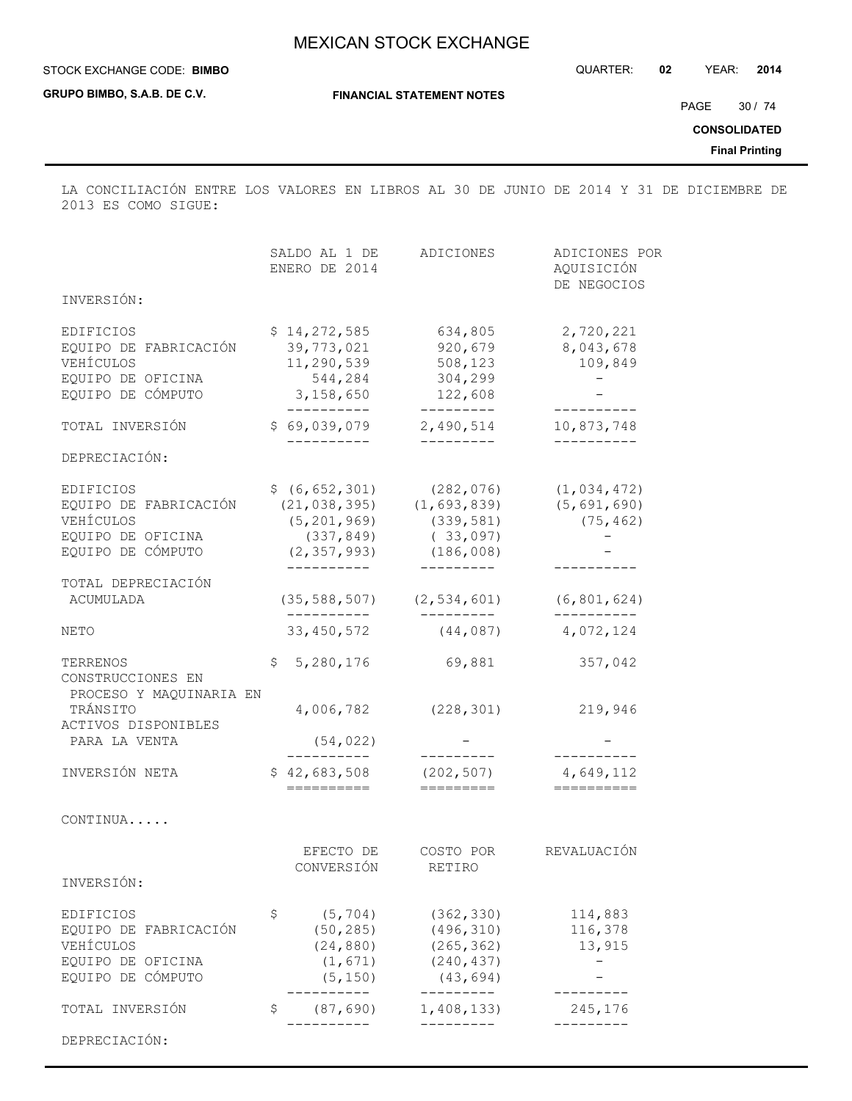## STOCK EXCHANGE CODE: QUARTER: **02** YEAR: **2014 BIMBO**

**GRUPO BIMBO, S.A.B. DE C.V.**

**FINANCIAL STATEMENT NOTES**

PAGE 30 / 74

**CONSOLIDATED**

**Final Printing**

LA CONCILIACIÓN ENTRE LOS VALORES EN LIBROS AL 30 DE JUNIO DE 2014 Y 31 DE DICIEMBRE DE 2013 ES COMO SIGUE:

|                                                                                           | SALDO AL 1 DE<br>ENERO DE 2014                                                                    | ADICIONES                                                                       | ADICIONES POR<br>AQUISICIÓN<br>DE NEGOCIOS  |
|-------------------------------------------------------------------------------------------|---------------------------------------------------------------------------------------------------|---------------------------------------------------------------------------------|---------------------------------------------|
| INVERSIÓN:                                                                                |                                                                                                   |                                                                                 |                                             |
| EDIFICIOS<br>EQUIPO DE FABRICACIÓN<br>VEHÍCULOS<br>EQUIPO DE OFICINA<br>EQUIPO DE CÓMPUTO | \$14,272,585<br>39,773,021<br>11,290,539<br>544,284<br>3,158,650<br>----------                    | 634,805<br>920,679<br>508,123<br>304,299<br>122,608<br>----------               | 2,720,221<br>8,043,678<br>109,849           |
| TOTAL INVERSIÓN                                                                           | \$69,039,079                                                                                      | 2,490,514                                                                       | 10,873,748                                  |
| DEPRECIACIÓN:                                                                             |                                                                                                   | ----------                                                                      |                                             |
| EDIFICIOS<br>EQUIPO DE FABRICACIÓN<br>VEHÍCULOS<br>EQUIPO DE OFICINA<br>EQUIPO DE CÓMPUTO | \$ (6, 652, 301)<br>(21, 038, 395)<br>(5, 201, 969)<br>(337, 849)<br>(2, 357, 993)<br>----------- | (282, 076)<br>(1, 693, 839)<br>(339, 581)<br>(33,097)<br>(186,008)<br>--------- | (1, 034, 472)<br>(5, 691, 690)<br>(75, 462) |
| TOTAL DEPRECIACIÓN<br>ACUMULADA                                                           | (35, 588, 507)<br>__________                                                                      | (2, 534, 601)<br>----------                                                     | (6, 801, 624)                               |
| NETO                                                                                      | 33, 450, 572                                                                                      | (44, 087)                                                                       | 4,072,124                                   |
| TERRENOS<br>CONSTRUCCIONES EN<br>PROCESO Y MAQUINARIA EN                                  | \$<br>5,280,176                                                                                   | 69,881                                                                          | 357,042                                     |
| TRÁNSITO<br>ACTIVOS DISPONIBLES<br>PARA LA VENTA                                          | 4,006,782<br>(54, 022)                                                                            | (228, 301)                                                                      | 219,946                                     |
| INVERSIÓN NETA                                                                            | __________<br>\$42,683,508<br>==========                                                          | ---------<br>(202, 507)<br>$=$ $=$ $=$ $=$ $=$ $=$ $=$ $=$                      | 4,649,112                                   |
| CONTINUA                                                                                  |                                                                                                   |                                                                                 |                                             |
| INVERSIÓN:                                                                                | EFECTO DE<br>CONVERSIÓN                                                                           | COSTO POR<br>RETIRO                                                             | REVALUACIÓN                                 |
| EDIFICIOS<br>EQUIPO DE FABRICACIÓN<br>VEHÍCULOS<br>EQUIPO DE OFICINA<br>EQUIPO DE CÓMPUTO | \$<br>(5, 704)<br>(50, 285)<br>(24, 880)<br>(1, 671)<br>(5, 150)<br>$------$                      | (362, 330)<br>(496, 310)<br>(265, 362)<br>(240, 437)<br>(43, 694)<br>---------  | 114,883<br>116,378<br>13,915                |
| TOTAL INVERSIÓN                                                                           | \$<br>(87, 690)                                                                                   | 1,408,133)                                                                      | 245,176                                     |
| DEPRECIACIÓN:                                                                             | ------                                                                                            | $- - - - -$                                                                     |                                             |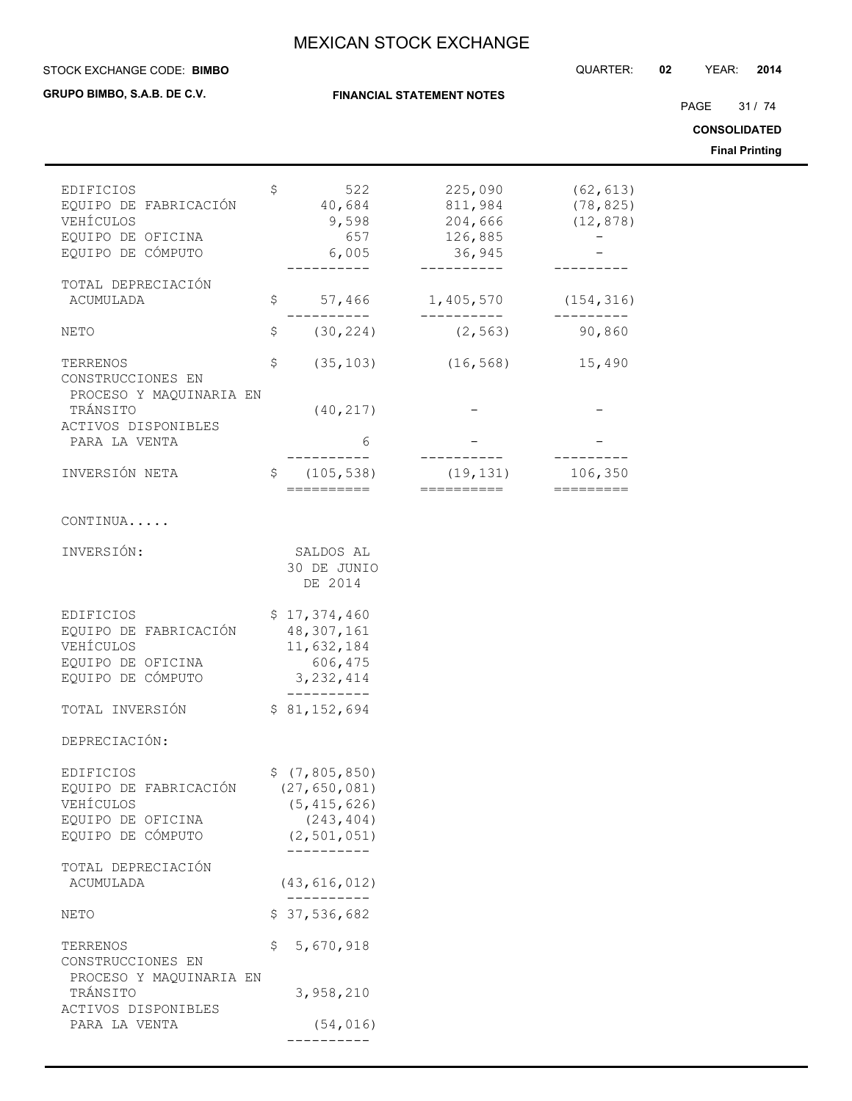**FINANCIAL STATEMENT NOTES**

### STOCK EXCHANGE CODE: QUARTER: **02** YEAR: **2014 BIMBO**

**GRUPO BIMBO, S.A.B. DE C.V.**

PAGE 31 / 74

**CONSOLIDATED**

**Final Printing**

| <b>EDIFICIOS</b>                             | \$<br>522                    | 225,090                 | (62, 613)                           |
|----------------------------------------------|------------------------------|-------------------------|-------------------------------------|
| EQUIPO DE FABRICACIÓN                        | 40,684                       | 811,984                 | (78, 825)                           |
| VEHÍCULOS                                    | 9,598                        | 204,666                 | (12, 878)                           |
| EQUIPO DE OFICINA<br>EQUIPO DE CÓMPUTO       | 657<br>6,005                 | 126,885<br>36,945       |                                     |
|                                              |                              |                         |                                     |
| TOTAL DEPRECIACIÓN                           |                              |                         |                                     |
| ACUMULADA                                    | \$<br>57,466                 | 1,405,570               | (154, 316)                          |
| <b>NETO</b>                                  | \$<br>(30, 224)              | (2, 563)                | 90,860                              |
| TERRENOS                                     | \$<br>(35, 103)              | (16, 568)               | 15,490                              |
| CONSTRUCCIONES EN                            |                              |                         |                                     |
| PROCESO Y MAQUINARIA EN<br>TRÁNSITO          | (40, 217)                    |                         |                                     |
| ACTIVOS DISPONIBLES<br>PARA LA VENTA         | 6                            |                         |                                     |
|                                              |                              |                         |                                     |
| INVERSIÓN NETA                               | \$<br>(105, 538)             | (19, 131)<br>========== | 106,350                             |
|                                              | ==========                   |                         | $=$ $=$ $=$ $=$ $=$ $=$ $=$ $=$ $=$ |
| CONTINUA                                     |                              |                         |                                     |
| INVERSIÓN:                                   | SALDOS AL                    |                         |                                     |
|                                              | 30 DE JUNIO                  |                         |                                     |
|                                              | DE 2014                      |                         |                                     |
| EDIFICIOS                                    | \$17,374,460                 |                         |                                     |
| EQUIPO DE FABRICACIÓN                        | 48, 307, 161                 |                         |                                     |
| VEHÍCULOS                                    | 11,632,184                   |                         |                                     |
| EQUIPO DE OFICINA                            | 606,475                      |                         |                                     |
| EQUIPO DE CÓMPUTO                            | 3, 232, 414<br>-----------   |                         |                                     |
| TOTAL INVERSIÓN                              | \$81,152,694                 |                         |                                     |
| DEPRECIACIÓN:                                |                              |                         |                                     |
| EDIFICIOS                                    | \$(7, 805, 850)              |                         |                                     |
| EQUIPO DE FABRICACIÓN                        | (27, 650, 081)               |                         |                                     |
| VEHÍCULOS                                    | (5, 415, 626)                |                         |                                     |
| EQUIPO DE OFICINA                            | (243, 404)                   |                         |                                     |
| EQUIPO DE CÓMPUTO                            | (2, 501, 051)<br>----------- |                         |                                     |
| TOTAL DEPRECIACIÓN                           |                              |                         |                                     |
| ACUMULADA                                    | (43, 616, 012)               |                         |                                     |
| NETO                                         | \$37,536,682                 |                         |                                     |
|                                              |                              |                         |                                     |
| TERRENOS                                     | \$<br>5,670,918              |                         |                                     |
| CONSTRUCCIONES EN<br>PROCESO Y MAQUINARIA EN |                              |                         |                                     |
| TRÁNSITO                                     | 3,958,210                    |                         |                                     |
| ACTIVOS DISPONIBLES                          |                              |                         |                                     |
| PARA LA VENTA                                | (54, 016)                    |                         |                                     |
|                                              |                              |                         |                                     |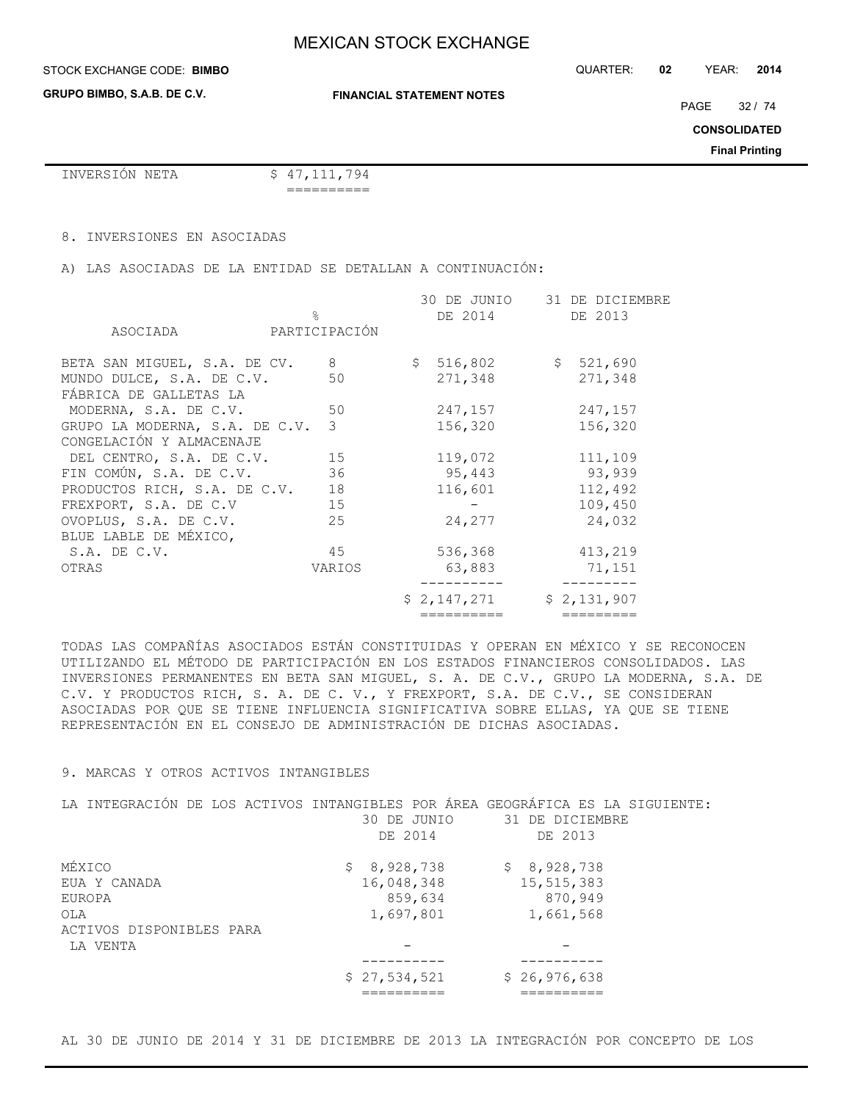## **STOCK EXCHANGE CODE: BIMBO**

**GRUPO BIMBO, S.A.B. DE C.V.**

**FINANCIAL STATEMENT NOTES**

PAGE 32 / 74

**CONSOLIDATED**

**Final Printing**

```
INVERSIÓN NETA $ 47,111,794
```
==========

## 8. INVERSIONES EN ASOCIADAS

A) LAS ASOCIADAS DE LA ENTIDAD SE DETALLAN A CONTINUACIÓN:

|                                                            | $\approx$      | 30 DE JUNIO<br>DE 2014 | 31 DE DICIEMBRE<br>DE 2013 |
|------------------------------------------------------------|----------------|------------------------|----------------------------|
| ASOCIADA                                                   | PARTICIPACIÓN  |                        |                            |
| BETA SAN MIGUEL, S.A. DE CV.                               | 8 <sup>8</sup> | \$516,802              | \$521,690                  |
| MUNDO DULCE, S.A. DE C.V.<br>FÁBRICA DE GALLETAS LA        | 50             | 271,348                | 271,348                    |
| MODERNA, S.A. DE C.V.                                      | 50             | 247,157                | 247,157                    |
| GRUPO LA MODERNA, S.A. DE C.V.<br>CONGELACIÓN Y ALMACENAJE | 3              | 156,320                | 156,320                    |
| DEL CENTRO, S.A. DE C.V. 15                                |                | 119,072                | 111,109                    |
| FIN COMÚN, S.A. DE C.V.                                    | 36             | 95,443                 | 93,939                     |
| PRODUCTOS RICH, S.A. DE C.V.                               | 18             | 116,601                | 112,492                    |
| FREXPORT, S.A. DE C.V                                      | 15             |                        | 109,450                    |
| OVOPLUS, S.A. DE C.V.<br>BLUE LABLE DE MÉXICO,             | 25             | 24,277                 | 24,032                     |
| S.A. DE C.V.                                               | 45             | 536,368                | 413,219                    |
| OTRAS                                                      | VARIOS         | 63,883                 | 71,151                     |
|                                                            |                | \$2,147,271            | \$2,131,907                |
|                                                            |                | ==========             | =========                  |

TODAS LAS COMPAÑÍAS ASOCIADOS ESTÁN CONSTITUIDAS Y OPERAN EN MÉXICO Y SE RECONOCEN UTILIZANDO EL MÉTODO DE PARTICIPACIÓN EN LOS ESTADOS FINANCIEROS CONSOLIDADOS. LAS INVERSIONES PERMANENTES EN BETA SAN MIGUEL, S. A. DE C.V., GRUPO LA MODERNA, S.A. DE C.V. Y PRODUCTOS RICH, S. A. DE C. V., Y FREXPORT, S.A. DE C.V., SE CONSIDERAN ASOCIADAS POR QUE SE TIENE INFLUENCIA SIGNIFICATIVA SOBRE ELLAS, YA QUE SE TIENE REPRESENTACIÓN EN EL CONSEJO DE ADMINISTRACIÓN DE DICHAS ASOCIADAS.

# 9. MARCAS Y OTROS ACTIVOS INTANGIBLES

| LA INTEGRACIÓN DE LOS ACTIVOS INTANGIBLES POR ÁREA GEOGRÁFICA ES LA SIGUIENTE: |              |                 |
|--------------------------------------------------------------------------------|--------------|-----------------|
|                                                                                | 30 DE JUNIO  | 31 DE DICIEMBRE |
|                                                                                | DE 2014      | DE 2013         |
| MÉXICO                                                                         | \$8,928,738  | \$8,928,738     |
| EUA Y CANADA                                                                   | 16,048,348   | 15, 515, 383    |
| EUROPA                                                                         | 859,634      | 870,949         |
| OLA                                                                            | 1,697,801    | 1,661,568       |
| ACTIVOS DISPONIBLES PARA                                                       |              |                 |
| LA VENTA                                                                       |              |                 |
|                                                                                |              |                 |
|                                                                                | \$27,534,521 | \$26,976,638    |
|                                                                                |              |                 |

AL 30 DE JUNIO DE 2014 Y 31 DE DICIEMBRE DE 2013 LA INTEGRACIÓN POR CONCEPTO DE LOS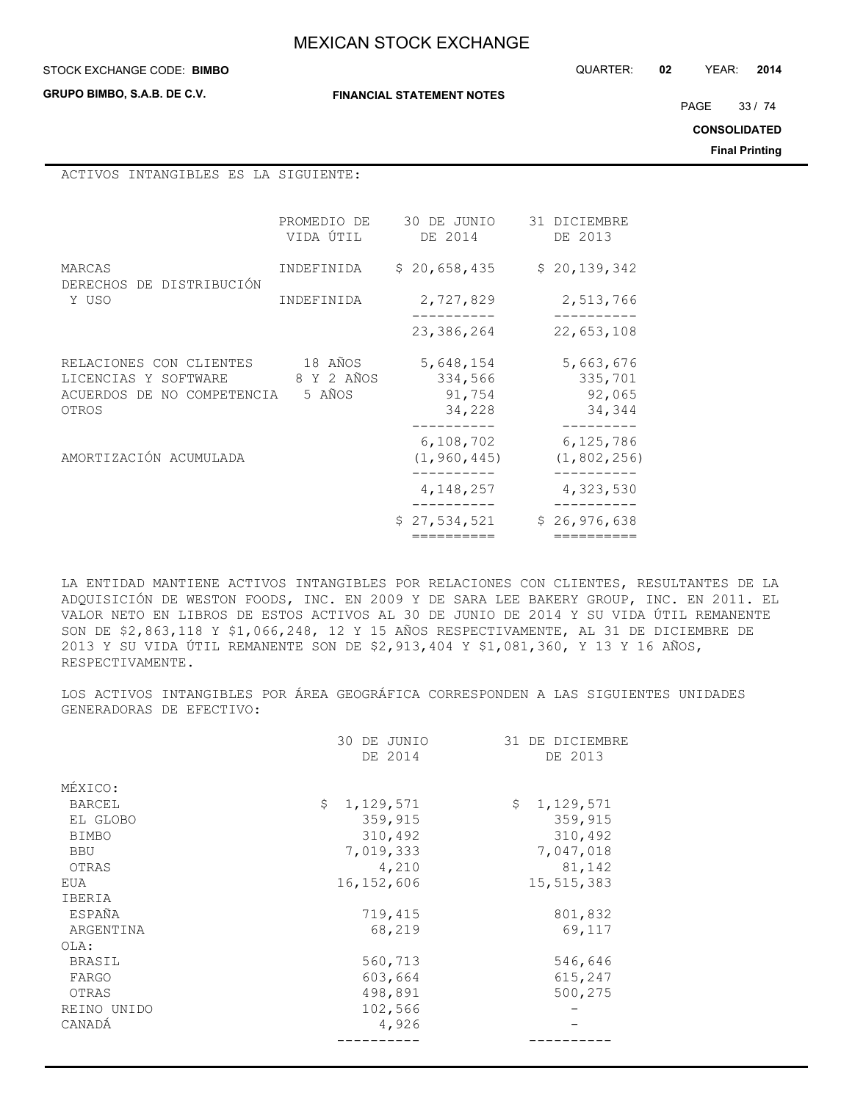**GRUPO BIMBO, S.A.B. DE C.V.**

**FINANCIAL STATEMENT NOTES**

STOCK EXCHANGE CODE: QUARTER: **02** YEAR: **2014 BIMBO**

PAGE 33 / 74

**CONSOLIDATED**

**Final Printing**

ACTIVOS INTANGIBLES ES LA SIGUIENTE:

|                                                                                        | PROMEDIO DE<br>VIDA ÚTIL        | 30 DE JUNIO<br>DE 2014                   | 31 DICIEMBRE<br>DE 2013                  |
|----------------------------------------------------------------------------------------|---------------------------------|------------------------------------------|------------------------------------------|
| MARCAS<br>DE DISTRIBUCIÓN<br><b>DERECHOS</b>                                           | INDEFINIDA                      | \$20,658,435                             | \$20, 139, 342                           |
| Y USO                                                                                  | <b>TNDEFTNTDA</b>               | 2,727,829                                | 2,513,766                                |
|                                                                                        |                                 | 23,386,264                               | 22,653,108                               |
| RELACIONES CON CLIENTES<br>LICENCIAS Y SOFTWARE<br>ACUERDOS DE NO COMPETENCIA<br>OTROS | 18 AÑOS<br>8 Y 2 AÑOS<br>5 AÑOS | 5,648,154<br>334,566<br>91,754<br>34,228 | 5,663,676<br>335,701<br>92,065<br>34,344 |
| AMORTIZACIÓN ACUMULADA                                                                 |                                 | 6,108,702<br>(1, 960, 445)               | 6,125,786<br>(1, 802, 256)               |
|                                                                                        |                                 | 4, 148, 257                              | 4,323,530                                |
|                                                                                        |                                 | \$27,534,521                             | \$26,976,638                             |
|                                                                                        |                                 | ========                                 | ---------                                |

LA ENTIDAD MANTIENE ACTIVOS INTANGIBLES POR RELACIONES CON CLIENTES, RESULTANTES DE LA ADQUISICIÓN DE WESTON FOODS, INC. EN 2009 Y DE SARA LEE BAKERY GROUP, INC. EN 2011. EL VALOR NETO EN LIBROS DE ESTOS ACTIVOS AL 30 DE JUNIO DE 2014 Y SU VIDA ÚTIL REMANENTE SON DE \$2,863,118 Y \$1,066,248, 12 Y 15 AÑOS RESPECTIVAMENTE, AL 31 DE DICIEMBRE DE 2013 Y SU VIDA ÚTIL REMANENTE SON DE \$2,913,404 Y \$1,081,360, Y 13 Y 16 AÑOS, RESPECTIVAMENTE.

LOS ACTIVOS INTANGIBLES POR ÁREA GEOGRÁFICA CORRESPONDEN A LAS SIGUIENTES UNIDADES GENERADORAS DE EFECTIVO:

|               | 30<br>DE JUNIO  | 31 DE DICIEMBRE |
|---------------|-----------------|-----------------|
|               | DE 2014         | DE 2013         |
| MÉXICO:       |                 |                 |
| <b>BARCEL</b> | Ŝ.<br>1,129,571 | \$<br>1,129,571 |
| EL GLOBO      | 359,915         | 359,915         |
| <b>BIMBO</b>  | 310,492         | 310,492         |
| <b>BBU</b>    | 7,019,333       | 7,047,018       |
| OTRAS         | 4,210           | 81,142          |
| EUA           | 16, 152, 606    | 15,515,383      |
| IBERIA        |                 |                 |
| ESPAÑA        | 719,415         | 801,832         |
| ARGENTINA     | 68,219          | 69,117          |
| OLA:          |                 |                 |
| BRASIL        | 560,713         | 546,646         |
| FARGO         | 603,664         | 615,247         |
| OTRAS         | 498,891         | 500,275         |
| REINO UNIDO   | 102,566         |                 |
| CANADÁ        | 4,926           |                 |
|               |                 |                 |
|               |                 |                 |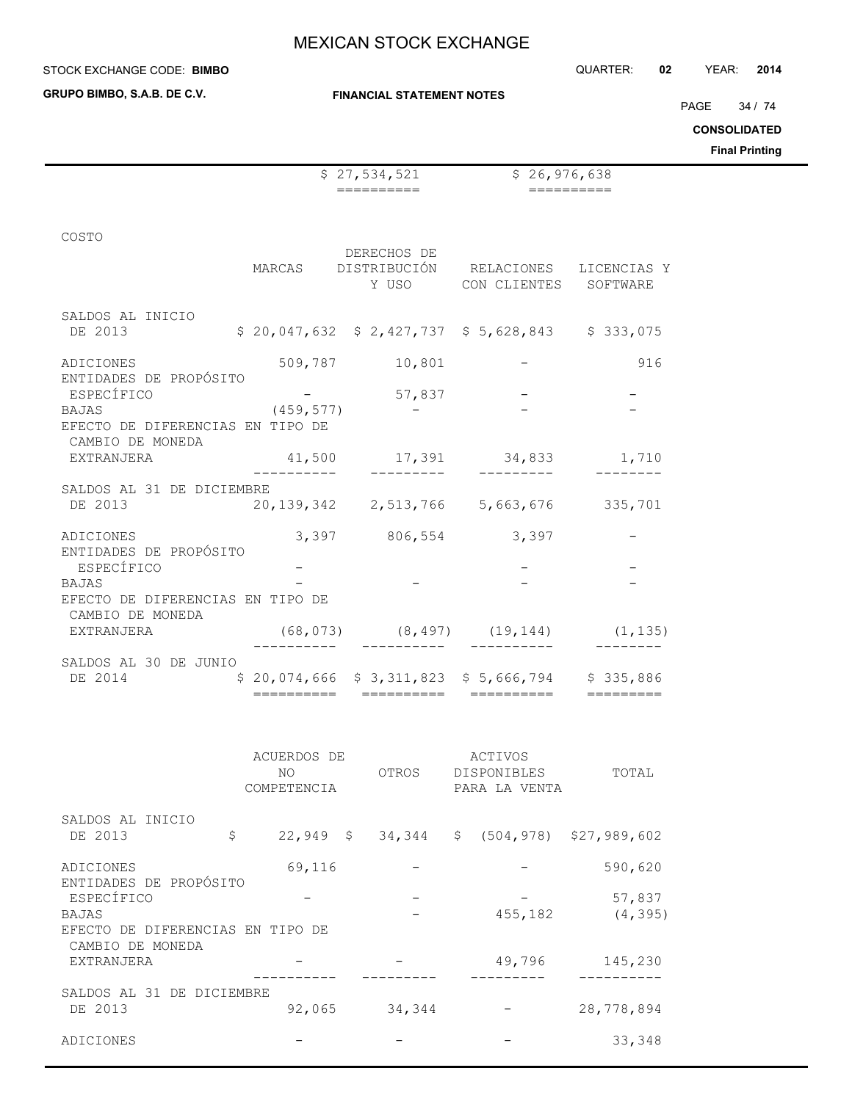**GRUPO BIMBO, S.A.B. DE C.V.**

 $\overline{a}$ 

**FINANCIAL STATEMENT NOTES**

PAGE 34 / 74

**CONSOLIDATED**

**Final Printing**

|                                      |             | \$27,534,521                                       | \$26,976,638                |               |  |
|--------------------------------------|-------------|----------------------------------------------------|-----------------------------|---------------|--|
|                                      |             | $=$ = = = = = = = = =                              |                             | $===========$ |  |
|                                      |             |                                                    |                             |               |  |
| COSTO                                |             |                                                    |                             |               |  |
|                                      | MARCAS      | DERECHOS DE<br>DISTRIBUCIÓN RELACIONES LICENCIAS Y |                             |               |  |
|                                      |             |                                                    | Y USO CON CLIENTES SOFTWARE |               |  |
|                                      |             |                                                    |                             |               |  |
| SALDOS AL INICIO<br>DE 2013          |             | $$20,047,632$ $$2,427,737$ $$5,628,843$ $$333,075$ |                             |               |  |
|                                      |             |                                                    |                             |               |  |
| ADICIONES                            |             | 509,787 10,801                                     |                             | 916           |  |
| ENTIDADES DE PROPÓSITO<br>ESPECÍFICO |             | 57,837                                             |                             |               |  |
| <b>BAJAS</b>                         | (459, 577)  |                                                    |                             |               |  |
| EFECTO DE DIFERENCIAS EN TIPO DE     |             |                                                    |                             |               |  |
| CAMBIO DE MONEDA<br>EXTRANJERA       |             | 41,500 17,391 34,833 1,710                         |                             |               |  |
|                                      |             |                                                    |                             |               |  |
| SALDOS AL 31 DE DICIEMBRE            |             |                                                    |                             |               |  |
| DE 2013                              |             | 20, 139, 342 2, 513, 766 5, 663, 676 335, 701      |                             |               |  |
| ADICIONES                            |             | 3,397 806,554 3,397                                |                             |               |  |
| ENTIDADES DE PROPÓSITO               |             |                                                    |                             |               |  |
| ESPECÍFICO<br><b>BAJAS</b>           |             |                                                    |                             |               |  |
| EFECTO DE DIFERENCIAS EN TIPO DE     |             |                                                    |                             |               |  |
| CAMBIO DE MONEDA                     |             |                                                    |                             |               |  |
| EXTRANJERA                           |             | $(68, 073)$ $(8, 497)$ $(19, 144)$ $(1, 135)$      |                             |               |  |
| SALDOS AL 30 DE JUNIO                |             |                                                    |                             |               |  |
| DE 2014                              |             | $$20,074,666$ $$3,311,823$ $$5,666,794$ $$335,886$ |                             |               |  |
|                                      |             |                                                    |                             |               |  |
|                                      |             |                                                    |                             |               |  |
|                                      | ACUERDOS DE |                                                    | <b>ACTIVOS</b>              |               |  |
|                                      |             |                                                    |                             |               |  |

|                                                      | NO.<br>COMPETENCIA | OTROS                  | <b>DISPONIBLES</b><br>PARA LA VENTA | TOTAL                         |
|------------------------------------------------------|--------------------|------------------------|-------------------------------------|-------------------------------|
| SALDOS AL INICIO                                     |                    |                        |                                     |                               |
| DE 2013                                              | \$                 | $22,949 \quad $34,344$ |                                     | $$(504, 978)$ $$27, 989, 602$ |
| ADICIONES                                            | 69,116             |                        |                                     | 590,620                       |
| ENTIDADES DE PROPÓSITO<br>ESPECÍFICO                 |                    |                        |                                     | 57,837                        |
| BAJAS                                                |                    |                        | 455,182                             | (4, 395)                      |
| EFECTO DE DIFERENCIAS EN TIPO DE<br>CAMBIO DE MONEDA |                    |                        |                                     |                               |
| EXTRANJERA                                           |                    |                        | 49,796                              | 145,230                       |
| SALDOS AL 31 DE DICIEMBRE                            |                    |                        |                                     |                               |
| DE 2013                                              | 92,065             | 34,344                 |                                     | 28,778,894                    |
| ADICIONES                                            |                    |                        |                                     | 33,348                        |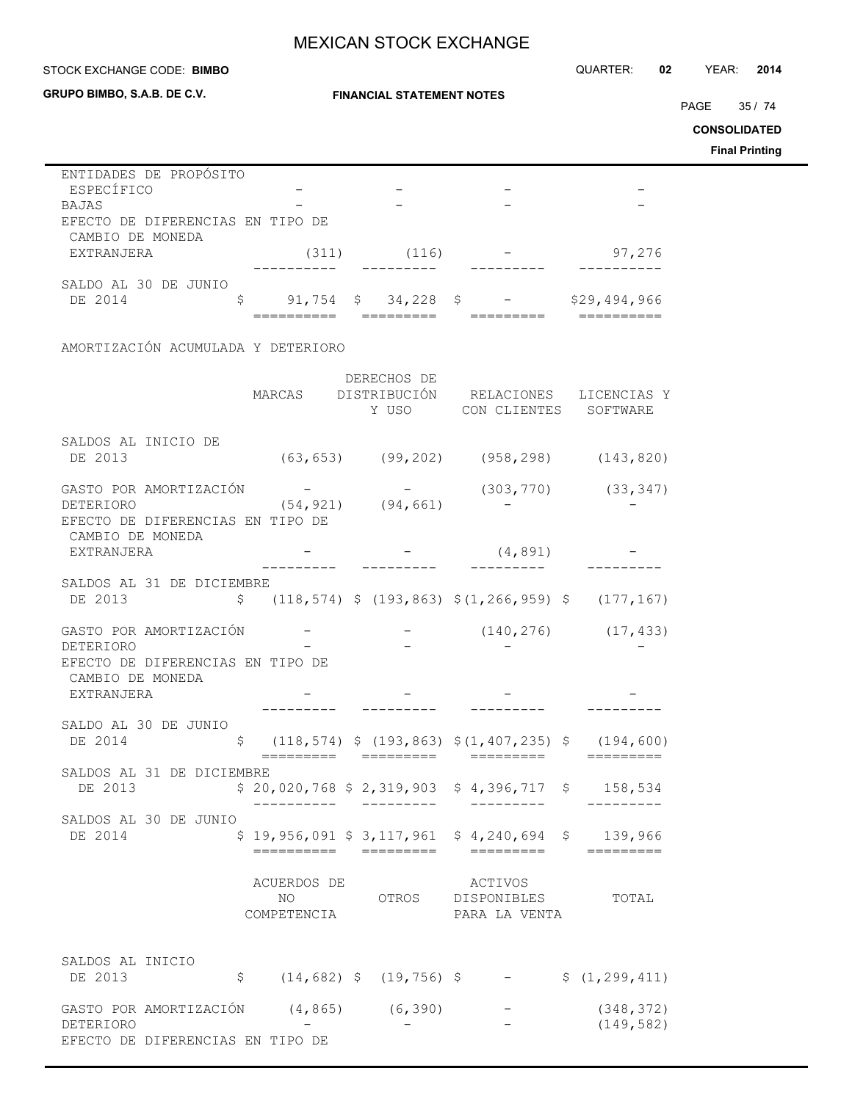**GRUPO BIMBO, S.A.B. DE C.V.**

## **FINANCIAL STATEMENT NOTES**

STOCK EXCHANGE CODE: QUARTER: **02** YEAR: **2014 BIMBO**

PAGE 35 / 74

**CONSOLIDATED**

**Final Printing**

| ENTIDADES DE PROPÓSITO           |   |       |                    |      |              |
|----------------------------------|---|-------|--------------------|------|--------------|
| ESPECÍFICO                       |   |       |                    |      |              |
| <b>BAJAS</b>                     |   |       |                    |      |              |
| EFECTO DE DIFERENCIAS EN TIPO DE |   |       |                    |      |              |
| CAMBIO DE MONEDA                 |   |       |                    |      |              |
| EXTRANJERA                       |   | (311) | (116)              |      | 97,276       |
|                                  |   |       |                    |      |              |
| SALDO AL 30 DE JUNIO             |   |       |                    |      |              |
| DE 2014                          | S |       | $91,754$ \$ 34,228 | - \$ | \$29,494,966 |
|                                  |   |       |                    |      |              |

## AMORTIZACIÓN ACUMULADA Y DETERIORO

|                                                      |                                   | DERECHOS DE                             |                                                                 |                          |
|------------------------------------------------------|-----------------------------------|-----------------------------------------|-----------------------------------------------------------------|--------------------------|
|                                                      | MARCAS                            | Y USO                                   | DISTRIBUCIÓN RELACIONES<br>CON CLIENTES                         | LICENCIAS Y<br>SOFTWARE  |
| SALDOS AL INICIO DE<br>DE 2013                       |                                   |                                         | $(63, 653)$ $(99, 202)$ $(958, 298)$ $(143, 820)$               |                          |
| GASTO POR AMORTIZACIÓN                               |                                   |                                         | (303, 770)                                                      | (33, 347)                |
| DETERIORO<br>EFECTO DE DIFERENCIAS EN TIPO DE        |                                   | $(54, 921)$ $(94, 661)$                 |                                                                 |                          |
| CAMBIO DE MONEDA<br>EXTRANJERA                       |                                   |                                         | (4, 891)                                                        |                          |
| SALDOS AL 31 DE DICIEMBRE<br>DE 2013                 |                                   |                                         | $$(118, 574) $ (193, 863) $ (1, 266, 959) $ (177, 167)$         |                          |
| GASTO POR AMORTIZACIÓN<br>DETERIORO                  |                                   |                                         |                                                                 | $(140, 276)$ $(17, 433)$ |
| EFECTO DE DIFERENCIAS EN TIPO DE<br>CAMBIO DE MONEDA |                                   |                                         |                                                                 |                          |
| EXTRANJERA                                           |                                   |                                         |                                                                 |                          |
| SALDO AL 30 DE JUNIO<br>DE 2014                      | \$                                |                                         | $(118, 574)$ \$ $(193, 863)$ \$ $(1, 407, 235)$ \$ $(194, 600)$ |                          |
| SALDOS AL 31 DE DICIEMBRE<br>DE 2013                 |                                   | ----------                              | $$20,020,768 $2,319,903 $4,396,717 $158,534$                    |                          |
| SALDOS AL 30 DE JUNIO<br>DE 2014                     | ==========                        | $$19,956,091$ $$3,117,961$<br>========= | $$4,240,694$ \$ 139,966<br>=========                            |                          |
|                                                      | ACUERDOS DE<br>NO.<br>COMPETENCIA |                                         | ACTIVOS<br>OTROS DISPONIBLES<br>PARA LA VENTA                   | TOTAL                    |
| SALDOS AL INICIO<br>DE 2013                          | $\mathsf{S}$                      | $(14, 682)$ \$ $(19, 756)$ \$           |                                                                 | \$(1, 299, 411)          |
| GASTO POR AMORTIZACIÓN (4,865) (6,390)<br>DETERIORO  |                                   |                                         |                                                                 | (348, 372)<br>(149, 582) |
| EFECTO DE DIFERENCIAS EN TIPO DE                     |                                   |                                         |                                                                 |                          |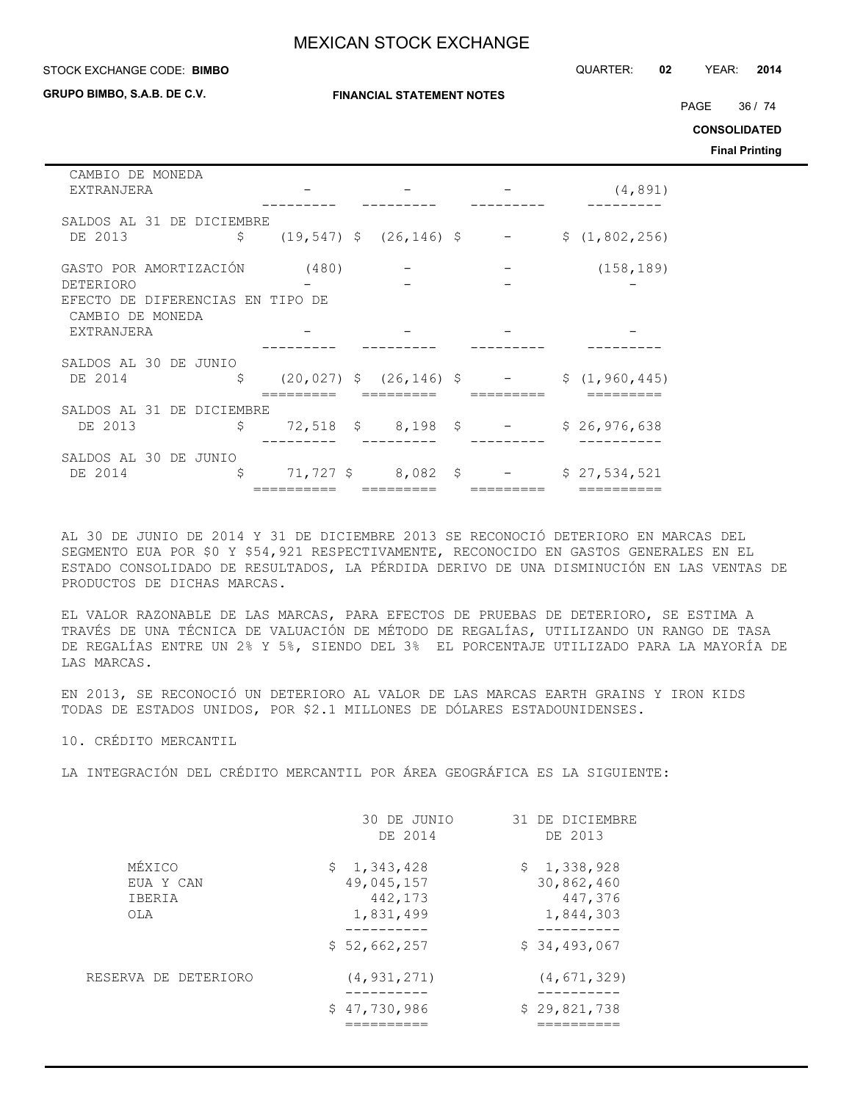#### STOCK EXCHANGE CODE: QUARTER: **02** YEAR: **2014 BIMBO**

**GRUPO BIMBO, S.A.B. DE C.V.**

**FINANCIAL STATEMENT NOTES**

PAGE 36 / 74

**CONSOLIDATED**

**Final Printing**

| CAMBIO DE MONEDA<br>EXTRANJERA   |       |                                           |                                 | (4, 891)        |
|----------------------------------|-------|-------------------------------------------|---------------------------------|-----------------|
|                                  |       |                                           |                                 |                 |
| SALDOS AL 31 DE DICIEMBRE        |       |                                           |                                 |                 |
| DE 2013                          |       | $\zeta$ (19,547) $\zeta$ (26,146) $\zeta$ |                                 | \$(1, 802, 256) |
| GASTO POR AMORTIZACIÓN           | (480) |                                           |                                 | (158, 189)      |
|                                  |       |                                           |                                 |                 |
| DETERIORO                        |       |                                           |                                 |                 |
| EFECTO DE DIFERENCIAS EN TIPO DE |       |                                           |                                 |                 |
| CAMBIO DE MONEDA                 |       |                                           |                                 |                 |
| EXTRANJERA                       |       |                                           |                                 |                 |
|                                  |       |                                           |                                 |                 |
| SALDOS AL 30 DE JUNIO            |       |                                           |                                 |                 |
| \$<br>DE 2014                    |       |                                           | $(20, 027)$ \$ $(26, 146)$ \$ - | \$(1, 960, 445) |
|                                  |       |                                           |                                 |                 |
|                                  |       |                                           |                                 |                 |
| SALDOS AL 31 DE DICIEMBRE        |       |                                           |                                 |                 |
| DE 2013                          |       |                                           | $$72,518$ \$ 8,198 \$ -         | \$26,976,638    |
|                                  |       |                                           |                                 |                 |
| SALDOS AL 30 DE JUNIO            |       |                                           |                                 |                 |
| \$<br>DE 2014                    |       |                                           | $71,727$ \$ 8,082 \$ -          | \$27,534,521    |
|                                  |       |                                           |                                 |                 |

AL 30 DE JUNIO DE 2014 Y 31 DE DICIEMBRE 2013 SE RECONOCIÓ DETERIORO EN MARCAS DEL SEGMENTO EUA POR \$0 Y \$54,921 RESPECTIVAMENTE, RECONOCIDO EN GASTOS GENERALES EN EL ESTADO CONSOLIDADO DE RESULTADOS, LA PÉRDIDA DERIVO DE UNA DISMINUCIÓN EN LAS VENTAS DE PRODUCTOS DE DICHAS MARCAS.

EL VALOR RAZONABLE DE LAS MARCAS, PARA EFECTOS DE PRUEBAS DE DETERIORO, SE ESTIMA A TRAVÉS DE UNA TÉCNICA DE VALUACIÓN DE MÉTODO DE REGALÍAS, UTILIZANDO UN RANGO DE TASA DE REGALÍAS ENTRE UN 2% Y 5%, SIENDO DEL 3% EL PORCENTAJE UTILIZADO PARA LA MAYORÍA DE LAS MARCAS.

EN 2013, SE RECONOCIÓ UN DETERIORO AL VALOR DE LAS MARCAS EARTH GRAINS Y IRON KIDS TODAS DE ESTADOS UNIDOS, POR \$2.1 MILLONES DE DÓLARES ESTADOUNIDENSES.

10. CRÉDITO MERCANTIL

LA INTEGRACIÓN DEL CRÉDITO MERCANTIL POR ÁREA GEOGRÁFICA ES LA SIGUIENTE:

|                                      | 30 DE JUNIO<br>DE 2014                            | 31 DE DICIEMBRE<br>DE 2013                        |
|--------------------------------------|---------------------------------------------------|---------------------------------------------------|
| MÉXICO<br>EUA Y CAN<br>IBERIA<br>OLA | \$1,343,428<br>49,045,157<br>442,173<br>1,831,499 | \$1,338,928<br>30,862,460<br>447,376<br>1,844,303 |
|                                      | \$52,662,257                                      | \$34,493,067                                      |
| RESERVA DE DETERIORO                 | (4, 931, 271)<br>\$47,730,986                     | (4, 671, 329)<br>\$29,821,738                     |
|                                      |                                                   |                                                   |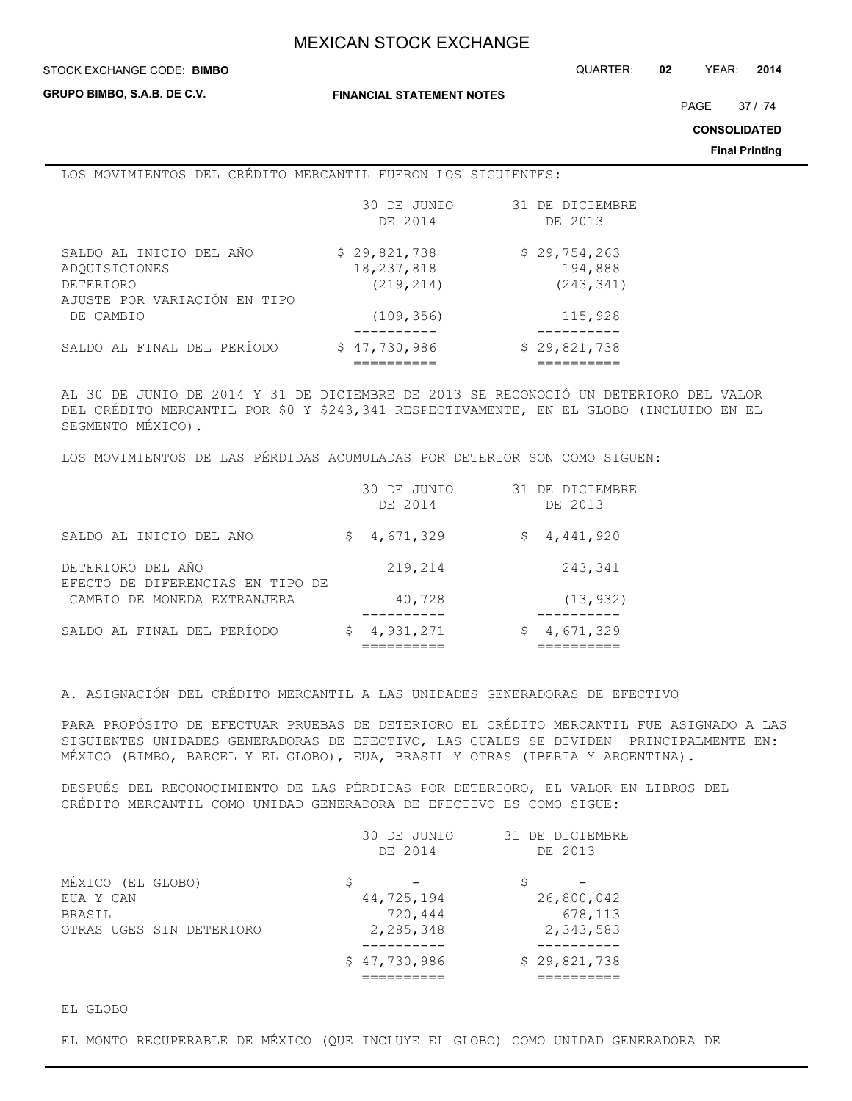#### STOCK EXCHANGE CODE: QUARTER: **02** YEAR: **2014 BIMBO**

**GRUPO BIMBO, S.A.B. DE C.V.**

**FINANCIAL STATEMENT NOTES**

PAGE 37 / 74

**CONSOLIDATED**

**Final Printing**

### LOS MOVIMIENTOS DEL CRÉDITO MERCANTIL FUERON LOS SIGUIENTES:

|                                                                                              | 30 DE JUNIO<br>DE 2014                   | 31 DE DICIEMBRE<br>DE 2013            |
|----------------------------------------------------------------------------------------------|------------------------------------------|---------------------------------------|
| SALDO AL INICIO DEL AÑO<br>ADOUISICIONES<br><b>DETERIORO</b><br>AJUSTE POR VARIACIÓN EN TIPO | \$29,821,738<br>18,237,818<br>(219, 214) | \$29,754,263<br>194,888<br>(243, 341) |
| DE CAMBIO                                                                                    | (109, 356)                               | 115,928                               |
| SALDO AL FINAL DEL PERÍODO                                                                   | \$47,730,986                             | \$29,821,738                          |

AL 30 DE JUNIO DE 2014 Y 31 DE DICIEMBRE DE 2013 SE RECONOCIÓ UN DETERIORO DEL VALOR DEL CRÉDITO MERCANTIL POR \$0 Y \$243,341 RESPECTIVAMENTE, EN EL GLOBO (INCLUIDO EN EL SEGMENTO MÉXICO).

LOS MOVIMIENTOS DE LAS PÉRDIDAS ACUMULADAS POR DETERIOR SON COMO SIGUEN:

|                                                       | 30 DE JUNIO<br>DE 2014 | 31 DE DICIEMBRE<br>DE 2013 |
|-------------------------------------------------------|------------------------|----------------------------|
| SALDO AL INICIO DEL AÑO                               | 4,671,329<br>\$.       | \$4,441,920                |
| DETERIORO DEL AÑO<br>EFECTO DE DIFERENCIAS EN TIPO DE | 219,214                | 243,341                    |
| CAMBIO DE MONEDA EXTRANJERA                           | 40,728                 | (13, 932)                  |
| SALDO AL FINAL DEL PERÍODO                            | 4,931,271<br>Ş.        | 4,671,329                  |

A. ASIGNACIÓN DEL CRÉDITO MERCANTIL A LAS UNIDADES GENERADORAS DE EFECTIVO

PARA PROPÓSITO DE EFECTUAR PRUEBAS DE DETERIORO EL CRÉDITO MERCANTIL FUE ASIGNADO A LAS SIGUIENTES UNIDADES GENERADORAS DE EFECTIVO, LAS CUALES SE DIVIDEN PRINCIPALMENTE EN: MÉXICO (BIMBO, BARCEL Y EL GLOBO), EUA, BRASIL Y OTRAS (IBERIA Y ARGENTINA).

DESPUÉS DEL RECONOCIMIENTO DE LAS PÉRDIDAS POR DETERIORO, EL VALOR EN LIBROS DEL CRÉDITO MERCANTIL COMO UNIDAD GENERADORA DE EFECTIVO ES COMO SIGUE:

|                          | 30 DE JUNIO  | 31 DE DICIEMBRE |
|--------------------------|--------------|-----------------|
|                          | DE 2014      | DE 2013         |
| MÉXICO (EL GLOBO)        |              |                 |
| EUA Y CAN                | 44,725,194   | 26,800,042      |
| BRASIL                   | 720,444      | 678,113         |
| OTRAS UGES SIN DETERIORO | 2,285,348    | 2,343,583       |
|                          | \$47,730,986 | \$29,821,738    |
|                          |              |                 |

EL GLOBO

EL MONTO RECUPERABLE DE MÉXICO (QUE INCLUYE EL GLOBO) COMO UNIDAD GENERADORA DE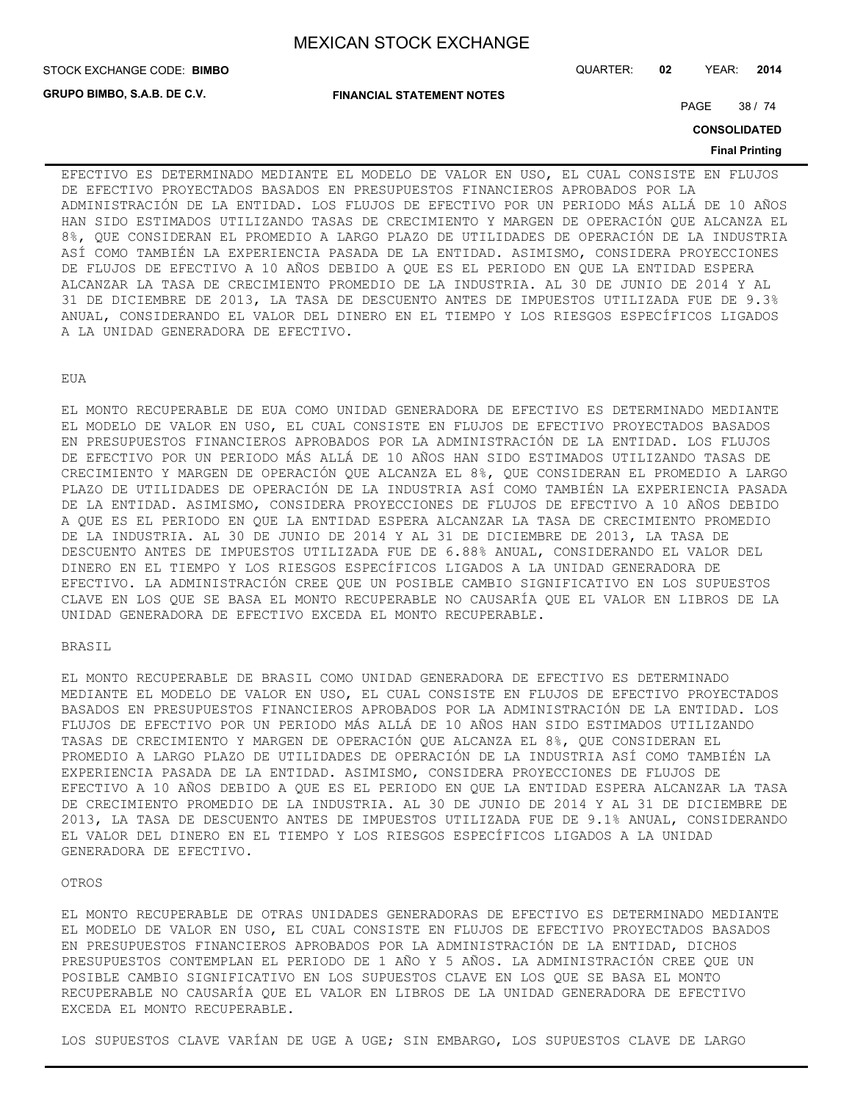STOCK EXCHANGE CODE: QUARTER: **02** YEAR: **2014 BIMBO**

**GRUPO BIMBO, S.A.B. DE C.V.**

**FINANCIAL STATEMENT NOTES**

PAGE 38 / 74

**CONSOLIDATED**

#### **Final Printing**

EFECTIVO ES DETERMINADO MEDIANTE EL MODELO DE VALOR EN USO, EL CUAL CONSISTE EN FLUJOS DE EFECTIVO PROYECTADOS BASADOS EN PRESUPUESTOS FINANCIEROS APROBADOS POR LA ADMINISTRACIÓN DE LA ENTIDAD. LOS FLUJOS DE EFECTIVO POR UN PERIODO MÁS ALLÁ DE 10 AÑOS HAN SIDO ESTIMADOS UTILIZANDO TASAS DE CRECIMIENTO Y MARGEN DE OPERACIÓN QUE ALCANZA EL 8%, QUE CONSIDERAN EL PROMEDIO A LARGO PLAZO DE UTILIDADES DE OPERACIÓN DE LA INDUSTRIA ASÍ COMO TAMBIÉN LA EXPERIENCIA PASADA DE LA ENTIDAD. ASIMISMO, CONSIDERA PROYECCIONES DE FLUJOS DE EFECTIVO A 10 AÑOS DEBIDO A QUE ES EL PERIODO EN QUE LA ENTIDAD ESPERA ALCANZAR LA TASA DE CRECIMIENTO PROMEDIO DE LA INDUSTRIA. AL 30 DE JUNIO DE 2014 Y AL 31 DE DICIEMBRE DE 2013, LA TASA DE DESCUENTO ANTES DE IMPUESTOS UTILIZADA FUE DE 9.3% ANUAL, CONSIDERANDO EL VALOR DEL DINERO EN EL TIEMPO Y LOS RIESGOS ESPECÍFICOS LIGADOS A LA UNIDAD GENERADORA DE EFECTIVO.

### EUA

EL MONTO RECUPERABLE DE EUA COMO UNIDAD GENERADORA DE EFECTIVO ES DETERMINADO MEDIANTE EL MODELO DE VALOR EN USO, EL CUAL CONSISTE EN FLUJOS DE EFECTIVO PROYECTADOS BASADOS EN PRESUPUESTOS FINANCIEROS APROBADOS POR LA ADMINISTRACIÓN DE LA ENTIDAD. LOS FLUJOS DE EFECTIVO POR UN PERIODO MÁS ALLÁ DE 10 AÑOS HAN SIDO ESTIMADOS UTILIZANDO TASAS DE CRECIMIENTO Y MARGEN DE OPERACIÓN QUE ALCANZA EL 8%, QUE CONSIDERAN EL PROMEDIO A LARGO PLAZO DE UTILIDADES DE OPERACIÓN DE LA INDUSTRIA ASÍ COMO TAMBIÉN LA EXPERIENCIA PASADA DE LA ENTIDAD. ASIMISMO, CONSIDERA PROYECCIONES DE FLUJOS DE EFECTIVO A 10 AÑOS DEBIDO A QUE ES EL PERIODO EN QUE LA ENTIDAD ESPERA ALCANZAR LA TASA DE CRECIMIENTO PROMEDIO DE LA INDUSTRIA. AL 30 DE JUNIO DE 2014 Y AL 31 DE DICIEMBRE DE 2013, LA TASA DE DESCUENTO ANTES DE IMPUESTOS UTILIZADA FUE DE 6.88% ANUAL, CONSIDERANDO EL VALOR DEL DINERO EN EL TIEMPO Y LOS RIESGOS ESPECÍFICOS LIGADOS A LA UNIDAD GENERADORA DE EFECTIVO. LA ADMINISTRACIÓN CREE QUE UN POSIBLE CAMBIO SIGNIFICATIVO EN LOS SUPUESTOS CLAVE EN LOS QUE SE BASA EL MONTO RECUPERABLE NO CAUSARÍA QUE EL VALOR EN LIBROS DE LA UNIDAD GENERADORA DE EFECTIVO EXCEDA EL MONTO RECUPERABLE.

## BRASIL

EL MONTO RECUPERABLE DE BRASIL COMO UNIDAD GENERADORA DE EFECTIVO ES DETERMINADO MEDIANTE EL MODELO DE VALOR EN USO, EL CUAL CONSISTE EN FLUJOS DE EFECTIVO PROYECTADOS BASADOS EN PRESUPUESTOS FINANCIEROS APROBADOS POR LA ADMINISTRACIÓN DE LA ENTIDAD. LOS FLUJOS DE EFECTIVO POR UN PERIODO MÁS ALLÁ DE 10 AÑOS HAN SIDO ESTIMADOS UTILIZANDO TASAS DE CRECIMIENTO Y MARGEN DE OPERACIÓN QUE ALCANZA EL 8%, QUE CONSIDERAN EL PROMEDIO A LARGO PLAZO DE UTILIDADES DE OPERACIÓN DE LA INDUSTRIA ASÍ COMO TAMBIÉN LA EXPERIENCIA PASADA DE LA ENTIDAD. ASIMISMO, CONSIDERA PROYECCIONES DE FLUJOS DE EFECTIVO A 10 AÑOS DEBIDO A QUE ES EL PERIODO EN QUE LA ENTIDAD ESPERA ALCANZAR LA TASA DE CRECIMIENTO PROMEDIO DE LA INDUSTRIA. AL 30 DE JUNIO DE 2014 Y AL 31 DE DICIEMBRE DE 2013, LA TASA DE DESCUENTO ANTES DE IMPUESTOS UTILIZADA FUE DE 9.1% ANUAL, CONSIDERANDO EL VALOR DEL DINERO EN EL TIEMPO Y LOS RIESGOS ESPECÍFICOS LIGADOS A LA UNIDAD GENERADORA DE EFECTIVO.

#### OTROS

EL MONTO RECUPERABLE DE OTRAS UNIDADES GENERADORAS DE EFECTIVO ES DETERMINADO MEDIANTE EL MODELO DE VALOR EN USO, EL CUAL CONSISTE EN FLUJOS DE EFECTIVO PROYECTADOS BASADOS EN PRESUPUESTOS FINANCIEROS APROBADOS POR LA ADMINISTRACIÓN DE LA ENTIDAD, DICHOS PRESUPUESTOS CONTEMPLAN EL PERIODO DE 1 AÑO Y 5 AÑOS. LA ADMINISTRACIÓN CREE QUE UN POSIBLE CAMBIO SIGNIFICATIVO EN LOS SUPUESTOS CLAVE EN LOS QUE SE BASA EL MONTO RECUPERABLE NO CAUSARÍA QUE EL VALOR EN LIBROS DE LA UNIDAD GENERADORA DE EFECTIVO EXCEDA EL MONTO RECUPERABLE.

LOS SUPUESTOS CLAVE VARÍAN DE UGE A UGE; SIN EMBARGO, LOS SUPUESTOS CLAVE DE LARGO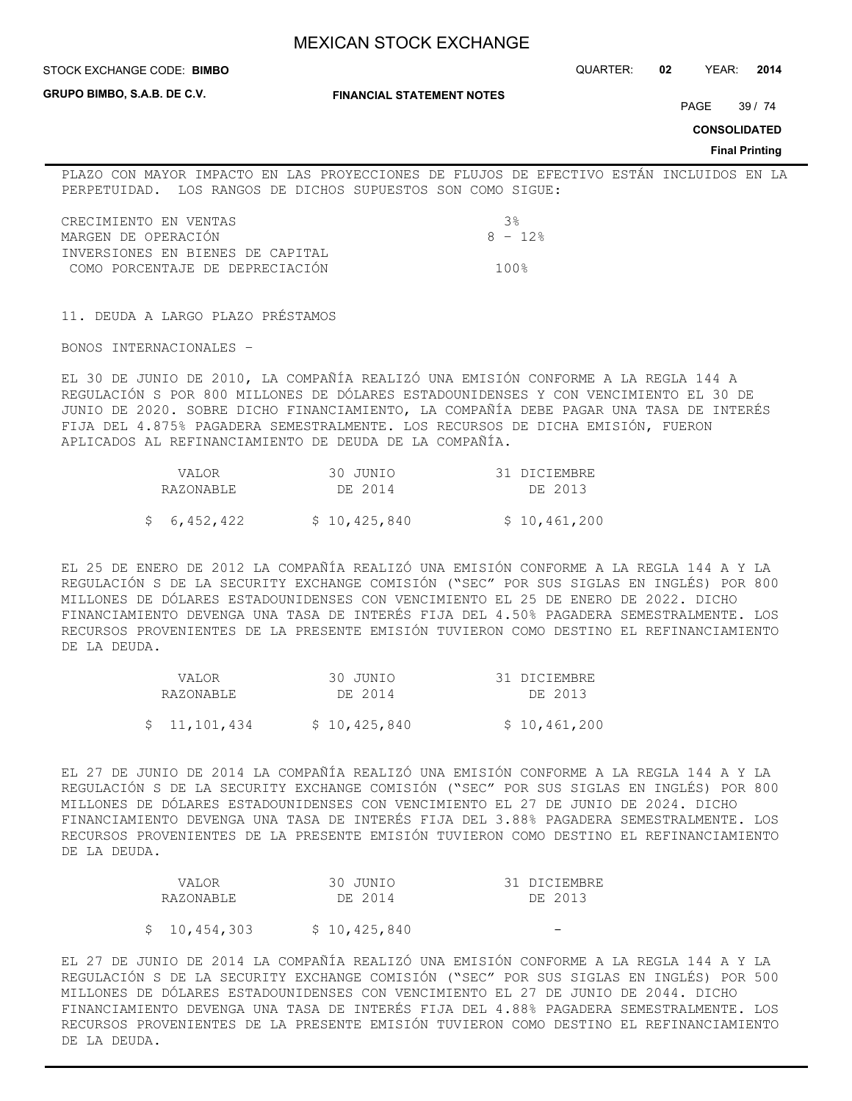#### STOCK EXCHANGE CODE: QUARTER: **02** YEAR: **2014 BIMBO**

**GRUPO BIMBO, S.A.B. DE C.V.**

### **FINANCIAL STATEMENT NOTES**

PAGE 39 / 74

**CONSOLIDATED**

### **Final Printing**

PLAZO CON MAYOR IMPACTO EN LAS PROYECCIONES DE FLUJOS DE EFECTIVO ESTÁN INCLUIDOS EN LA PERPETUIDAD. LOS RANGOS DE DICHOS SUPUESTOS SON COMO SIGUE:

| CRECIMIENTO EN VENTAS            | - રિક્ર  |
|----------------------------------|----------|
| MARGEN DE OPERACIÓN              | $8 - 12$ |
| INVERSIONES EN BIENES DE CAPITAL |          |
| COMO PORCENTAJE DE DEPRECIACIÓN  | 1 በ በ ዴ  |

11. DEUDA A LARGO PLAZO PRÉSTAMOS

BONOS INTERNACIONALES –

EL 30 DE JUNIO DE 2010, LA COMPAÑÍA REALIZÓ UNA EMISIÓN CONFORME A LA REGLA 144 A REGULACIÓN S POR 800 MILLONES DE DÓLARES ESTADOUNIDENSES Y CON VENCIMIENTO EL 30 DE JUNIO DE 2020. SOBRE DICHO FINANCIAMIENTO, LA COMPAÑÍA DEBE PAGAR UNA TASA DE INTERÉS FIJA DEL 4.875% PAGADERA SEMESTRALMENTE. LOS RECURSOS DE DICHA EMISIÓN, FUERON APLICADOS AL REFINANCIAMIENTO DE DEUDA DE LA COMPAÑÍA.

| VALOR.      | 30 JUNIO     | 31 DICIEMBRE |
|-------------|--------------|--------------|
| RAZONABLE   | DE 2014      | DE 2013      |
| \$6,452,422 | \$10,425,840 | \$10,461,200 |

EL 25 DE ENERO DE 2012 LA COMPAÑÍA REALIZÓ UNA EMISIÓN CONFORME A LA REGLA 144 A Y LA REGULACIÓN S DE LA SECURITY EXCHANGE COMISIÓN ("SEC" POR SUS SIGLAS EN INGLÉS) POR 800 MILLONES DE DÓLARES ESTADOUNIDENSES CON VENCIMIENTO EL 25 DE ENERO DE 2022. DICHO FINANCIAMIENTO DEVENGA UNA TASA DE INTERÉS FIJA DEL 4.50% PAGADERA SEMESTRALMENTE. LOS RECURSOS PROVENIENTES DE LA PRESENTE EMISIÓN TUVIERON COMO DESTINO EL REFINANCIAMIENTO DE LA DEUDA.

| <b>VALOR</b> | 30 JUNIO     | 31 DICIEMBRE |
|--------------|--------------|--------------|
| RAZONABLE    | DE 2014      | DE 2013      |
|              |              |              |
| \$11,101,434 | \$10,425,840 | \$10,461,200 |

EL 27 DE JUNIO DE 2014 LA COMPAÑÍA REALIZÓ UNA EMISIÓN CONFORME A LA REGLA 144 A Y LA REGULACIÓN S DE LA SECURITY EXCHANGE COMISIÓN ("SEC" POR SUS SIGLAS EN INGLÉS) POR 800 MILLONES DE DÓLARES ESTADOUNIDENSES CON VENCIMIENTO EL 27 DE JUNIO DE 2024. DICHO FINANCIAMIENTO DEVENGA UNA TASA DE INTERÉS FIJA DEL 3.88% PAGADERA SEMESTRALMENTE. LOS RECURSOS PROVENIENTES DE LA PRESENTE EMISIÓN TUVIERON COMO DESTINO EL REFINANCIAMIENTO DE LA DEUDA.

| <b>VALOR</b>  | 30 JUNIO     | 31 DICIEMBRE |
|---------------|--------------|--------------|
| RAZONABLE     | DE 2014      | DE 2013      |
|               |              |              |
| \$ 10,454,303 | \$10,425,840 |              |

EL 27 DE JUNIO DE 2014 LA COMPAÑÍA REALIZÓ UNA EMISIÓN CONFORME A LA REGLA 144 A Y LA REGULACIÓN S DE LA SECURITY EXCHANGE COMISIÓN ("SEC" POR SUS SIGLAS EN INGLÉS) POR 500 MILLONES DE DÓLARES ESTADOUNIDENSES CON VENCIMIENTO EL 27 DE JUNIO DE 2044. DICHO FINANCIAMIENTO DEVENGA UNA TASA DE INTERÉS FIJA DEL 4.88% PAGADERA SEMESTRALMENTE. LOS RECURSOS PROVENIENTES DE LA PRESENTE EMISIÓN TUVIERON COMO DESTINO EL REFINANCIAMIENTO DE LA DEUDA.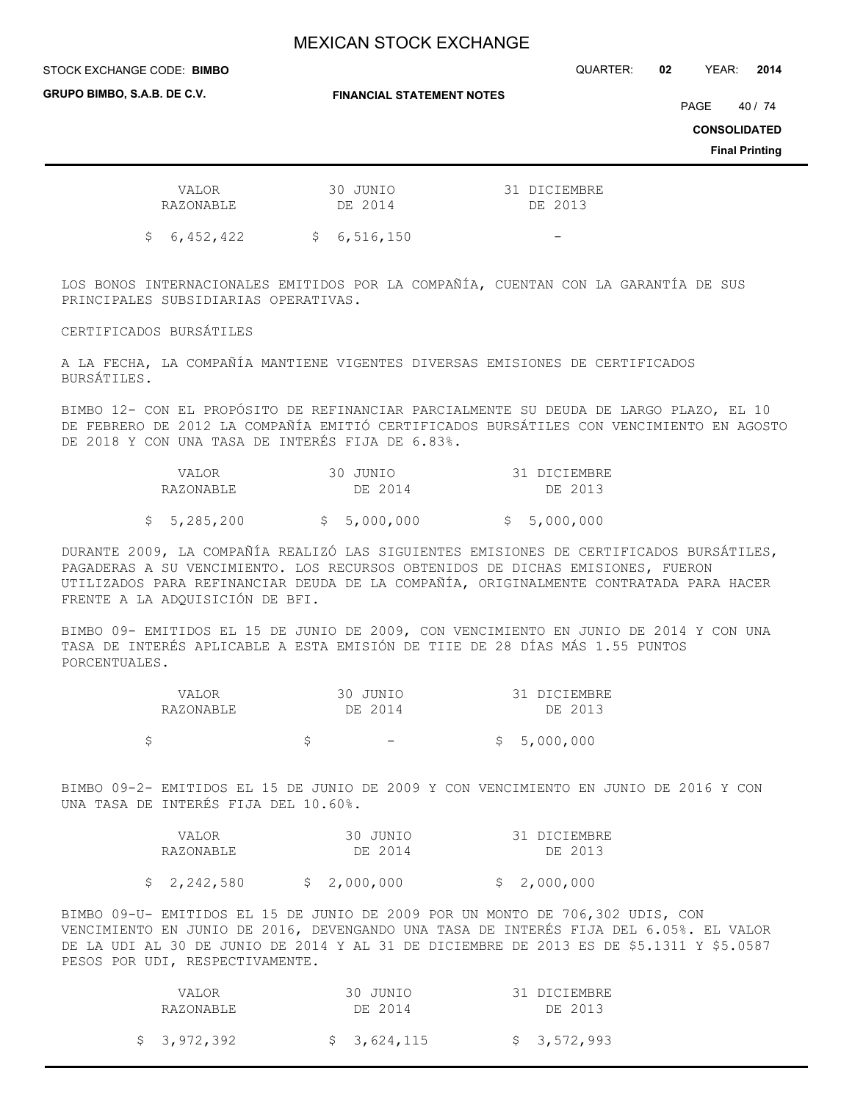#### STOCK EXCHANGE CODE: QUARTER: **02** YEAR: **2014 BIMBO**

**GRUPO BIMBO, S.A.B. DE C.V.**

**FINANCIAL STATEMENT NOTES**

PAGE 40 / 74

**CONSOLIDATED**

**Final Printing**

| VALOR<br>RAZONABLE | 30 JUNIO<br>DE 2014 | 31 DICIEMBRE<br>DE 2013 |
|--------------------|---------------------|-------------------------|
| \$6,452,422        | \$6,516,150         |                         |

LOS BONOS INTERNACIONALES EMITIDOS POR LA COMPAÑÍA, CUENTAN CON LA GARANTÍA DE SUS PRINCIPALES SUBSIDIARIAS OPERATIVAS.

CERTIFICADOS BURSÁTILES

A LA FECHA, LA COMPAÑÍA MANTIENE VIGENTES DIVERSAS EMISIONES DE CERTIFICADOS BURSÁTILES.

BIMBO 12- CON EL PROPÓSITO DE REFINANCIAR PARCIALMENTE SU DEUDA DE LARGO PLAZO, EL 10 DE FEBRERO DE 2012 LA COMPAÑÍA EMITIÓ CERTIFICADOS BURSÁTILES CON VENCIMIENTO EN AGOSTO DE 2018 Y CON UNA TASA DE INTERÉS FIJA DE 6.83%.

|  | VALOR       | 30 JUNIO    | 31 DICIEMBRE |
|--|-------------|-------------|--------------|
|  | RAZONABLE   | DE 2014     | DE 2013      |
|  | \$5,285,200 | \$5,000,000 | \$5,000,000  |

DURANTE 2009, LA COMPAÑÍA REALIZÓ LAS SIGUIENTES EMISIONES DE CERTIFICADOS BURSÁTILES, PAGADERAS A SU VENCIMIENTO. LOS RECURSOS OBTENIDOS DE DICHAS EMISIONES, FUERON UTILIZADOS PARA REFINANCIAR DEUDA DE LA COMPAÑÍA, ORIGINALMENTE CONTRATADA PARA HACER FRENTE A LA ADQUISICIÓN DE BFI.

BIMBO 09- EMITIDOS EL 15 DE JUNIO DE 2009, CON VENCIMIENTO EN JUNIO DE 2014 Y CON UNA TASA DE INTERÉS APLICABLE A ESTA EMISIÓN DE TIIE DE 28 DÍAS MÁS 1.55 PUNTOS PORCENTUALES.

| <b>VALOR</b> | 30 JUNIO |                          | 31 DICIEMBRE |
|--------------|----------|--------------------------|--------------|
| RAZONABLE    | DE 2014  |                          | DE 2013      |
|              |          |                          |              |
|              |          | $\overline{\phantom{0}}$ | \$5,000,000  |

BIMBO 09-2- EMITIDOS EL 15 DE JUNIO DE 2009 Y CON VENCIMIENTO EN JUNIO DE 2016 Y CON UNA TASA DE INTERÉS FIJA DEL 10.60%.

| VALOR       | 30 JUNIO    | 31 DICIEMBRE |
|-------------|-------------|--------------|
| RAZONABLE   | DE 2014     | DE 2013      |
| \$2,242,580 | \$2,000,000 | \$2,000,000  |

BIMBO 09-U- EMITIDOS EL 15 DE JUNIO DE 2009 POR UN MONTO DE 706,302 UDIS, CON VENCIMIENTO EN JUNIO DE 2016, DEVENGANDO UNA TASA DE INTERÉS FIJA DEL 6.05%. EL VALOR DE LA UDI AL 30 DE JUNIO DE 2014 Y AL 31 DE DICIEMBRE DE 2013 ES DE \$5.1311 Y \$5.0587 PESOS POR UDI, RESPECTIVAMENTE.

| VALOR<br>RAZONABLE | 30 JUNIO<br>DE 2014 | 31 DICIEMBRE<br>DE 2013 |
|--------------------|---------------------|-------------------------|
| \$3,972,392        | \$3,624,115         | \$3,572,993             |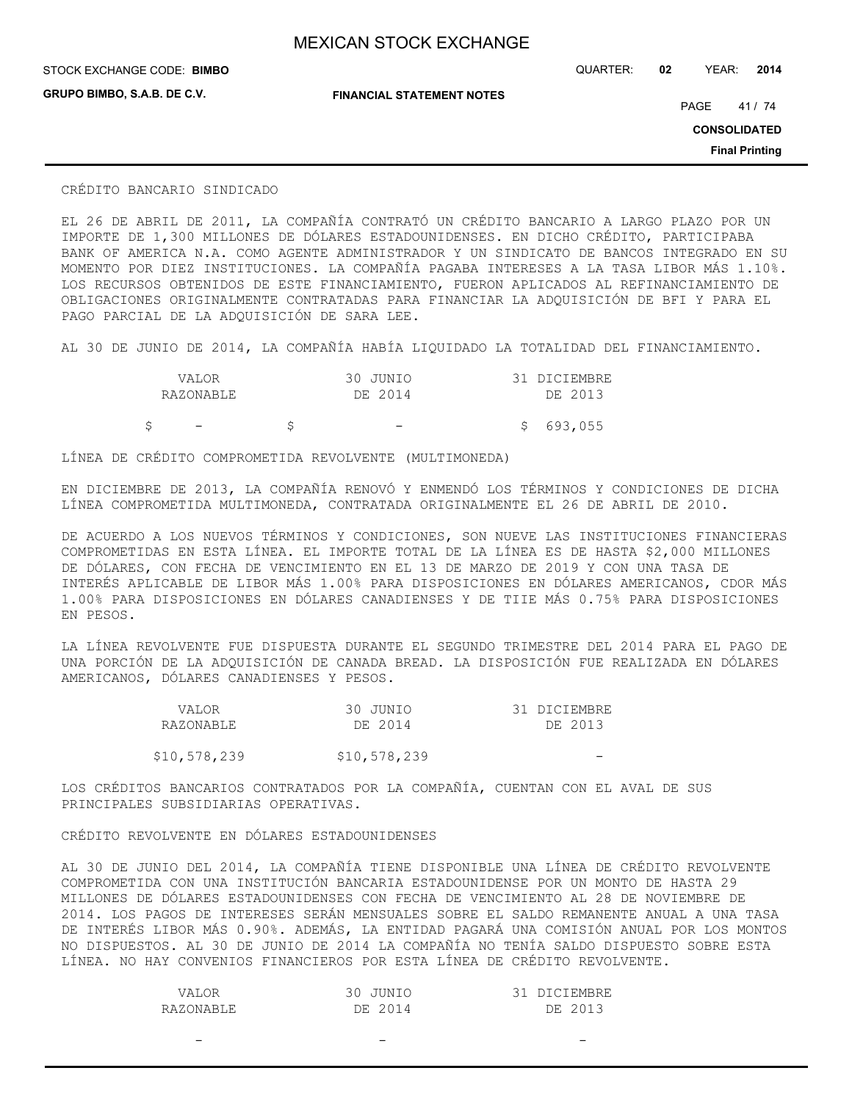**GRUPO BIMBO, S.A.B. DE C.V.**

STOCK EXCHANGE CODE: QUARTER: **02** YEAR: **2014 BIMBO**

**FINANCIAL STATEMENT NOTES**

PAGE 41/74

**CONSOLIDATED**

**Final Printing**

## CRÉDITO BANCARIO SINDICADO

EL 26 DE ABRIL DE 2011, LA COMPAÑÍA CONTRATÓ UN CRÉDITO BANCARIO A LARGO PLAZO POR UN IMPORTE DE 1,300 MILLONES DE DÓLARES ESTADOUNIDENSES. EN DICHO CRÉDITO, PARTICIPABA BANK OF AMERICA N.A. COMO AGENTE ADMINISTRADOR Y UN SINDICATO DE BANCOS INTEGRADO EN SU MOMENTO POR DIEZ INSTITUCIONES. LA COMPAÑÍA PAGABA INTERESES A LA TASA LIBOR MÁS 1.10%. LOS RECURSOS OBTENIDOS DE ESTE FINANCIAMIENTO, FUERON APLICADOS AL REFINANCIAMIENTO DE OBLIGACIONES ORIGINALMENTE CONTRATADAS PARA FINANCIAR LA ADQUISICIÓN DE BFI Y PARA EL PAGO PARCIAL DE LA ADQUISICIÓN DE SARA LEE.

AL 30 DE JUNIO DE 2014, LA COMPAÑÍA HABÍA LIQUIDADO LA TOTALIDAD DEL FINANCIAMIENTO.

|  | VALOR                    | 30 JUNIO | 31 DICIEMBRE |
|--|--------------------------|----------|--------------|
|  | RAZONABLE                | DE 2014  | DE 2013      |
|  | $\overline{\phantom{a}}$ |          | \$693,055    |

LÍNEA DE CRÉDITO COMPROMETIDA REVOLVENTE (MULTIMONEDA)

EN DICIEMBRE DE 2013, LA COMPAÑÍA RENOVÓ Y ENMENDÓ LOS TÉRMINOS Y CONDICIONES DE DICHA LÍNEA COMPROMETIDA MULTIMONEDA, CONTRATADA ORIGINALMENTE EL 26 DE ABRIL DE 2010.

DE ACUERDO A LOS NUEVOS TÉRMINOS Y CONDICIONES, SON NUEVE LAS INSTITUCIONES FINANCIERAS COMPROMETIDAS EN ESTA LÍNEA. EL IMPORTE TOTAL DE LA LÍNEA ES DE HASTA \$2,000 MILLONES DE DÓLARES, CON FECHA DE VENCIMIENTO EN EL 13 DE MARZO DE 2019 Y CON UNA TASA DE INTERÉS APLICABLE DE LIBOR MÁS 1.00% PARA DISPOSICIONES EN DÓLARES AMERICANOS, CDOR MÁS 1.00% PARA DISPOSICIONES EN DÓLARES CANADIENSES Y DE TIIE MÁS 0.75% PARA DISPOSICIONES EN PESOS.

LA LÍNEA REVOLVENTE FUE DISPUESTA DURANTE EL SEGUNDO TRIMESTRE DEL 2014 PARA EL PAGO DE UNA PORCIÓN DE LA ADQUISICIÓN DE CANADA BREAD. LA DISPOSICIÓN FUE REALIZADA EN DÓLARES AMERICANOS, DÓLARES CANADIENSES Y PESOS.

| VALOR        | 30 JUNIO     | 31 DICIEMBRE |
|--------------|--------------|--------------|
| RAZONABLE    | DE 2014      | DE 2013      |
|              |              |              |
| \$10,578,239 | \$10,578,239 |              |

LOS CRÉDITOS BANCARIOS CONTRATADOS POR LA COMPAÑÍA, CUENTAN CON EL AVAL DE SUS PRINCIPALES SUBSIDIARIAS OPERATIVAS.

CRÉDITO REVOLVENTE EN DÓLARES ESTADOUNIDENSES

AL 30 DE JUNIO DEL 2014, LA COMPAÑÍA TIENE DISPONIBLE UNA LÍNEA DE CRÉDITO REVOLVENTE COMPROMETIDA CON UNA INSTITUCIÓN BANCARIA ESTADOUNIDENSE POR UN MONTO DE HASTA 29 MILLONES DE DÓLARES ESTADOUNIDENSES CON FECHA DE VENCIMIENTO AL 28 DE NOVIEMBRE DE 2014. LOS PAGOS DE INTERESES SERÁN MENSUALES SOBRE EL SALDO REMANENTE ANUAL A UNA TASA DE INTERÉS LIBOR MÁS 0.90%. ADEMÁS, LA ENTIDAD PAGARÁ UNA COMISIÓN ANUAL POR LOS MONTOS NO DISPUESTOS. AL 30 DE JUNIO DE 2014 LA COMPAÑÍA NO TENÍA SALDO DISPUESTO SOBRE ESTA LÍNEA. NO HAY CONVENIOS FINANCIEROS POR ESTA LÍNEA DE CRÉDITO REVOLVENTE.

| VALOR     | 30 JUNIO | 31 DICIEMBRE |
|-----------|----------|--------------|
| RAZONABLE | DE 2014  | DE 2013      |

- - -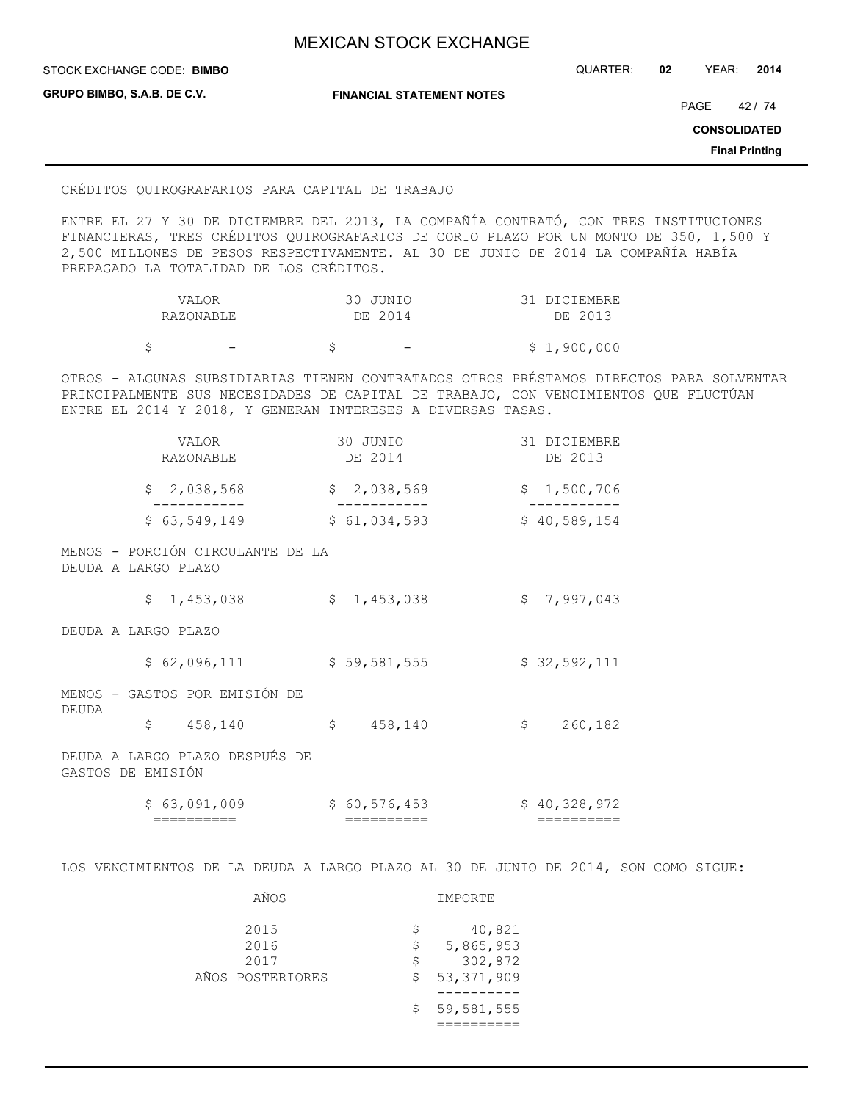**STOCK EXCHANGE CODE: BIMBO** 

STOCK EXCHANGE CODE: QUARTER: **02** YEAR: **2014**

**GRUPO BIMBO, S.A.B. DE C.V.**

**FINANCIAL STATEMENT NOTES**

PAGE 42 / 74

**CONSOLIDATED**

**Final Printing**

## CRÉDITOS QUIROGRAFARIOS PARA CAPITAL DE TRABAJO

ENTRE EL 27 Y 30 DE DICIEMBRE DEL 2013, LA COMPAÑÍA CONTRATÓ, CON TRES INSTITUCIONES FINANCIERAS, TRES CRÉDITOS QUIROGRAFARIOS DE CORTO PLAZO POR UN MONTO DE 350, 1,500 Y 2,500 MILLONES DE PESOS RESPECTIVAMENTE. AL 30 DE JUNIO DE 2014 LA COMPAÑÍA HABÍA PREPAGADO LA TOTALIDAD DE LOS CRÉDITOS.

| VALOR     | 30 JUNIO | 31 DICIEMBRE |
|-----------|----------|--------------|
| RAZONABLE | DE 2014  | DE 2013      |
|           |          |              |

 $\begin{array}{cccc} \xi & - & \xi & - & \xi & 1,900,000 \end{array}$ 

OTROS - ALGUNAS SUBSIDIARIAS TIENEN CONTRATADOS OTROS PRÉSTAMOS DIRECTOS PARA SOLVENTAR PRINCIPALMENTE SUS NECESIDADES DE CAPITAL DE TRABAJO, CON VENCIMIENTOS QUE FLUCTÚAN ENTRE EL 2014 Y 2018, Y GENERAN INTERESES A DIVERSAS TASAS.

|                     | <b>VALOR</b><br><b>RAZONABLE</b> | 30 JUNIO<br>DE 2014        |              | 31 DICIEMBRE<br>DE 2013    |
|---------------------|----------------------------------|----------------------------|--------------|----------------------------|
|                     | \$2,038,568                      | \$2,038,569                |              | \$1,500,706                |
|                     | \$63,549,149                     | \$61,034,593               |              | \$40,589,154               |
| DEUDA A LARGO PLAZO | MENOS - PORCIÓN CIRCULANTE DE LA |                            |              |                            |
|                     | \$1,453,038                      | \$1,453,038                | $\mathsf{S}$ | 7,997,043                  |
| DEUDA A LARGO PLAZO |                                  |                            |              |                            |
|                     | \$62,096,111                     | \$59,581,555               |              | \$32,592,111               |
| DEUDA               | MENOS - GASTOS POR EMISIÓN DE    |                            |              |                            |
|                     | \$ 458, 140                      | \$ 458, 140                | \$           | 260,182                    |
| GASTOS DE EMISIÓN   | DEUDA A LARGO PLAZO DESPUÉS DE   |                            |              |                            |
|                     | \$63,091,009<br>==========       | \$60,576,453<br>========== |              | \$40,328,972<br>========== |

LOS VENCIMIENTOS DE LA DEUDA A LARGO PLAZO AL 30 DE JUNIO DE 2014, SON COMO SIGUE:

| 2015<br>2016<br>2017 | S<br>Ŝ<br>S | 40,821<br>5,865,953<br>302,872 |
|----------------------|-------------|--------------------------------|
| AÑOS POSTERIORES     | S           | 53, 371, 909                   |
|                      |             | \$59,581,555                   |

AÑOS IMPORTE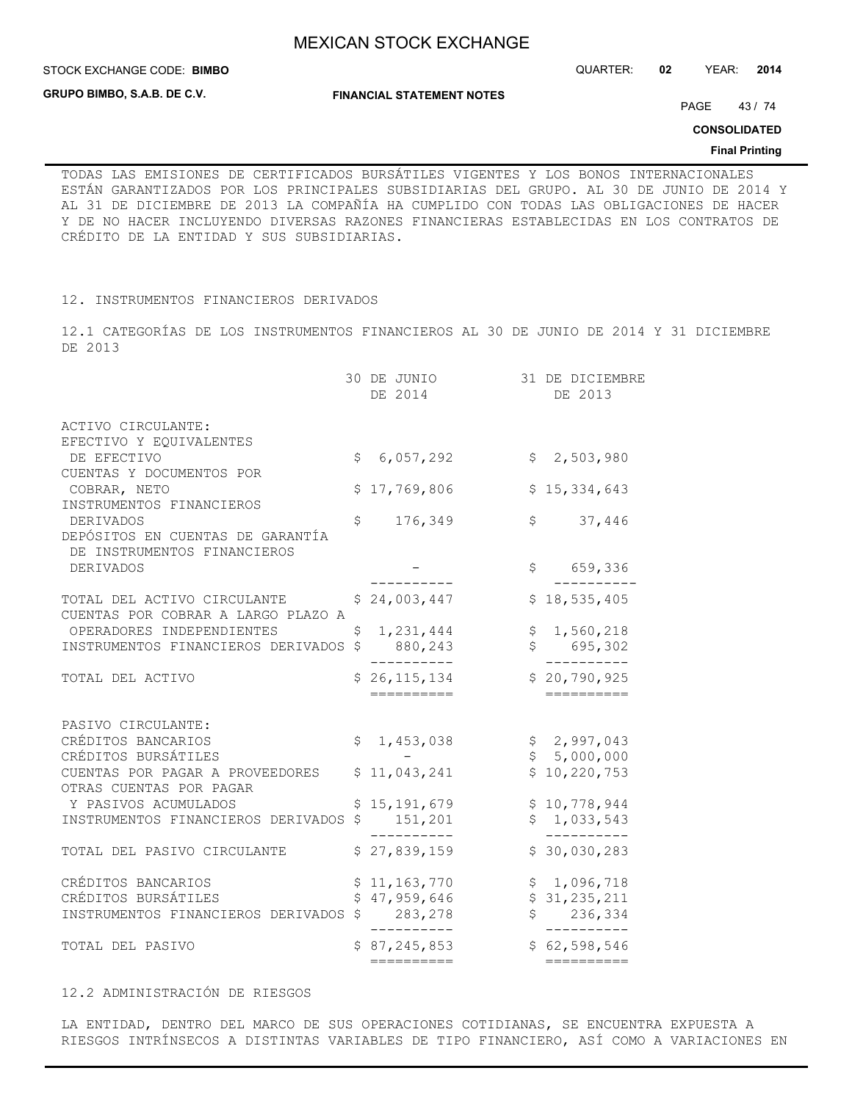**STOCK EXCHANGE CODE: BIMBO** 

**GRUPO BIMBO, S.A.B. DE C.V.**

STOCK EXCHANGE CODE: QUARTER: **02** YEAR: **2014**

**FINANCIAL STATEMENT NOTES**

PAGE 43/74

**CONSOLIDATED**

### **Final Printing**

TODAS LAS EMISIONES DE CERTIFICADOS BURSÁTILES VIGENTES Y LOS BONOS INTERNACIONALES ESTÁN GARANTIZADOS POR LOS PRINCIPALES SUBSIDIARIAS DEL GRUPO. AL 30 DE JUNIO DE 2014 Y AL 31 DE DICIEMBRE DE 2013 LA COMPAÑÍA HA CUMPLIDO CON TODAS LAS OBLIGACIONES DE HACER Y DE NO HACER INCLUYENDO DIVERSAS RAZONES FINANCIERAS ESTABLECIDAS EN LOS CONTRATOS DE CRÉDITO DE LA ENTIDAD Y SUS SUBSIDIARIAS.

12. INSTRUMENTOS FINANCIEROS DERIVADOS

12.1 CATEGORÍAS DE LOS INSTRUMENTOS FINANCIEROS AL 30 DE JUNIO DE 2014 Y 31 DICIEMBRE DE 2013

|                                                            | 30 DE JUNIO<br>DE 2014       | 31 DE DICIEMBRE<br>DE 2013 |
|------------------------------------------------------------|------------------------------|----------------------------|
| ACTIVO CIRCULANTE:                                         |                              |                            |
| EFECTIVO Y EQUIVALENTES                                    |                              |                            |
| DE EFECTIVO<br>CUENTAS Y DOCUMENTOS POR                    | \$<br>6,057,292              | \$2,503,980                |
| COBRAR, NETO                                               | \$17,769,806                 | \$15,334,643               |
| INSTRUMENTOS FINANCIEROS                                   |                              |                            |
| <b>DERIVADOS</b>                                           | \$<br>176,349                | \$<br>37,446               |
| DEPÓSITOS EN CUENTAS DE GARANTÍA                           |                              |                            |
| DE INSTRUMENTOS FINANCIEROS                                |                              |                            |
| <b>DERIVADOS</b>                                           |                              | \$ 659,336                 |
| TOTAL DEL ACTIVO CIRCULANTE                                | \$24,003,447                 | \$18,535,405               |
| CUENTAS POR COBRAR A LARGO PLAZO A                         |                              |                            |
| OPERADORES INDEPENDIENTES                                  | \$<br>1,231,444              | \$1,560,218                |
| INSTRUMENTOS FINANCIEROS DERIVADOS                         | \$<br>880,243                | \$695,302                  |
|                                                            | . <u>.</u>                   | ----------                 |
| TOTAL DEL ACTIVO                                           | \$26, 115, 134               | \$20,790,925               |
|                                                            | ==========                   | ==========                 |
| PASIVO CIRCULANTE:                                         |                              |                            |
| CRÉDITOS BANCARIOS                                         | \$<br>1,453,038              | \$2,997,043                |
| CRÉDITOS BURSÁTILES                                        |                              | \$5,000,000                |
| CUENTAS POR PAGAR A PROVEEDORES<br>OTRAS CUENTAS POR PAGAR | \$11,043,241                 | \$10, 220, 753             |
| Y PASIVOS ACUMULADOS                                       | 15, 191, 679                 | \$10,778,944               |
| INSTRUMENTOS FINANCIEROS DERIVADOS                         | \$<br>151,201                | \$1,033,543                |
|                                                            | ----------                   | --------                   |
| TOTAL DEL PASIVO CIRCULANTE                                | \$27,839,159                 | \$30,030,283               |
| CRÉDITOS BANCARIOS                                         | \$11, 163, 770               | \$1,096,718                |
| CRÉDITOS BURSÁTILES                                        | \$47,959,646                 | \$31, 235, 211             |
| INSTRUMENTOS FINANCIEROS DERIVADOS \$283,278               |                              | \$236,334                  |
| TOTAL DEL PASIVO                                           | ----------<br>\$87, 245, 853 | ----------<br>\$62,598,546 |
|                                                            | ==========                   | ==========                 |
|                                                            |                              |                            |

## 12.2 ADMINISTRACIÓN DE RIESGOS

LA ENTIDAD, DENTRO DEL MARCO DE SUS OPERACIONES COTIDIANAS, SE ENCUENTRA EXPUESTA A RIESGOS INTRÍNSECOS A DISTINTAS VARIABLES DE TIPO FINANCIERO, ASÍ COMO A VARIACIONES EN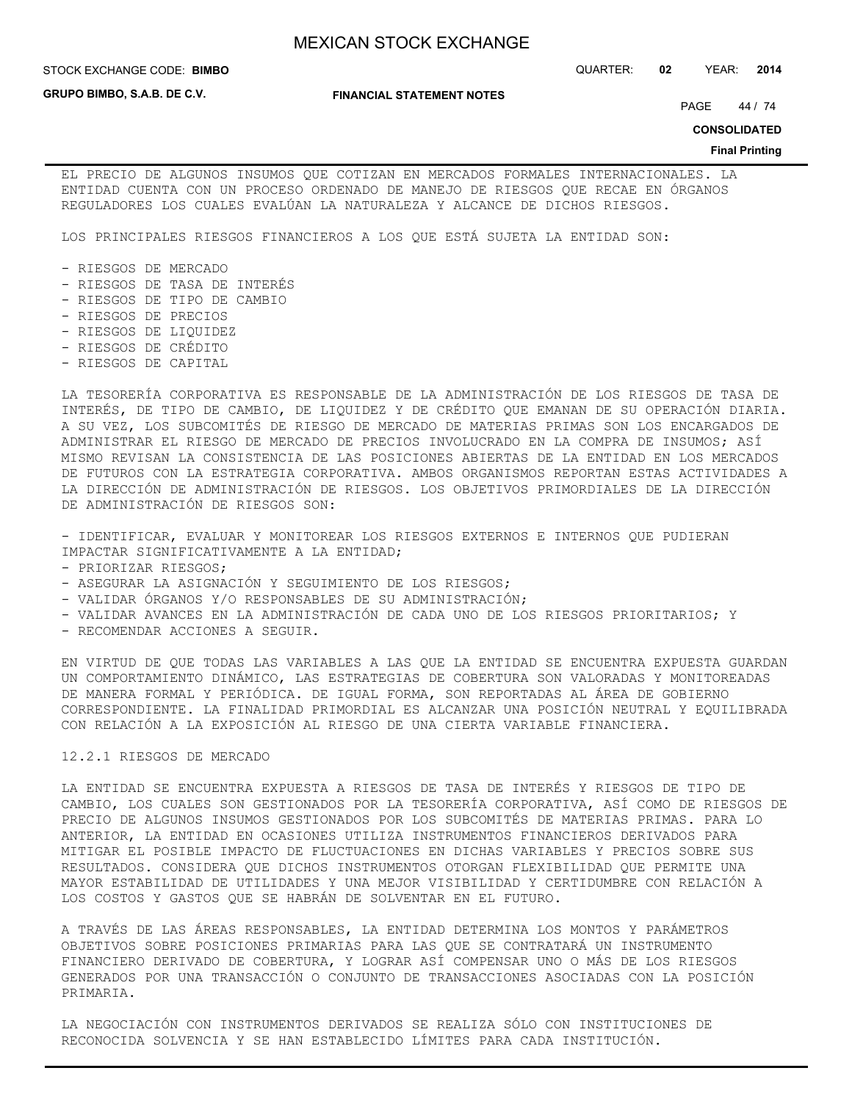STOCK EXCHANGE CODE: QUARTER: **02** YEAR: **2014 BIMBO**

**GRUPO BIMBO, S.A.B. DE C.V.**

**FINANCIAL STATEMENT NOTES**

PAGE 44 / 74

**CONSOLIDATED**

#### **Final Printing**

EL PRECIO DE ALGUNOS INSUMOS QUE COTIZAN EN MERCADOS FORMALES INTERNACIONALES. LA ENTIDAD CUENTA CON UN PROCESO ORDENADO DE MANEJO DE RIESGOS QUE RECAE EN ÓRGANOS REGULADORES LOS CUALES EVALÚAN LA NATURALEZA Y ALCANCE DE DICHOS RIESGOS.

LOS PRINCIPALES RIESGOS FINANCIEROS A LOS QUE ESTÁ SUJETA LA ENTIDAD SON:

- RIESGOS DE MERCADO
- RIESGOS DE TASA DE INTERÉS
- RIESGOS DE TIPO DE CAMBIO
- RIESGOS DE PRECIOS
- RIESGOS DE LIQUIDEZ
- RIESGOS DE CRÉDITO
- RIESGOS DE CAPITAL

LA TESORERÍA CORPORATIVA ES RESPONSABLE DE LA ADMINISTRACIÓN DE LOS RIESGOS DE TASA DE INTERÉS, DE TIPO DE CAMBIO, DE LIQUIDEZ Y DE CRÉDITO QUE EMANAN DE SU OPERACIÓN DIARIA. A SU VEZ, LOS SUBCOMITÉS DE RIESGO DE MERCADO DE MATERIAS PRIMAS SON LOS ENCARGADOS DE ADMINISTRAR EL RIESGO DE MERCADO DE PRECIOS INVOLUCRADO EN LA COMPRA DE INSUMOS; ASÍ MISMO REVISAN LA CONSISTENCIA DE LAS POSICIONES ABIERTAS DE LA ENTIDAD EN LOS MERCADOS DE FUTUROS CON LA ESTRATEGIA CORPORATIVA. AMBOS ORGANISMOS REPORTAN ESTAS ACTIVIDADES A LA DIRECCIÓN DE ADMINISTRACIÓN DE RIESGOS. LOS OBJETIVOS PRIMORDIALES DE LA DIRECCIÓN DE ADMINISTRACIÓN DE RIESGOS SON:

- IDENTIFICAR, EVALUAR Y MONITOREAR LOS RIESGOS EXTERNOS E INTERNOS QUE PUDIERAN IMPACTAR SIGNIFICATIVAMENTE A LA ENTIDAD;

- PRIORIZAR RIESGOS;
- ASEGURAR LA ASIGNACIÓN Y SEGUIMIENTO DE LOS RIESGOS;
- VALIDAR ÓRGANOS Y/O RESPONSABLES DE SU ADMINISTRACIÓN;
- VALIDAR AVANCES EN LA ADMINISTRACIÓN DE CADA UNO DE LOS RIESGOS PRIORITARIOS; Y
- RECOMENDAR ACCIONES A SEGUIR.

EN VIRTUD DE QUE TODAS LAS VARIABLES A LAS QUE LA ENTIDAD SE ENCUENTRA EXPUESTA GUARDAN UN COMPORTAMIENTO DINÁMICO, LAS ESTRATEGIAS DE COBERTURA SON VALORADAS Y MONITOREADAS DE MANERA FORMAL Y PERIÓDICA. DE IGUAL FORMA, SON REPORTADAS AL ÁREA DE GOBIERNO CORRESPONDIENTE. LA FINALIDAD PRIMORDIAL ES ALCANZAR UNA POSICIÓN NEUTRAL Y EQUILIBRADA CON RELACIÓN A LA EXPOSICIÓN AL RIESGO DE UNA CIERTA VARIABLE FINANCIERA.

## 12.2.1 RIESGOS DE MERCADO

LA ENTIDAD SE ENCUENTRA EXPUESTA A RIESGOS DE TASA DE INTERÉS Y RIESGOS DE TIPO DE CAMBIO, LOS CUALES SON GESTIONADOS POR LA TESORERÍA CORPORATIVA, ASÍ COMO DE RIESGOS DE PRECIO DE ALGUNOS INSUMOS GESTIONADOS POR LOS SUBCOMITÉS DE MATERIAS PRIMAS. PARA LO ANTERIOR, LA ENTIDAD EN OCASIONES UTILIZA INSTRUMENTOS FINANCIEROS DERIVADOS PARA MITIGAR EL POSIBLE IMPACTO DE FLUCTUACIONES EN DICHAS VARIABLES Y PRECIOS SOBRE SUS RESULTADOS. CONSIDERA QUE DICHOS INSTRUMENTOS OTORGAN FLEXIBILIDAD QUE PERMITE UNA MAYOR ESTABILIDAD DE UTILIDADES Y UNA MEJOR VISIBILIDAD Y CERTIDUMBRE CON RELACIÓN A LOS COSTOS Y GASTOS QUE SE HABRÁN DE SOLVENTAR EN EL FUTURO.

A TRAVÉS DE LAS ÁREAS RESPONSABLES, LA ENTIDAD DETERMINA LOS MONTOS Y PARÁMETROS OBJETIVOS SOBRE POSICIONES PRIMARIAS PARA LAS QUE SE CONTRATARÁ UN INSTRUMENTO FINANCIERO DERIVADO DE COBERTURA, Y LOGRAR ASÍ COMPENSAR UNO O MÁS DE LOS RIESGOS GENERADOS POR UNA TRANSACCIÓN O CONJUNTO DE TRANSACCIONES ASOCIADAS CON LA POSICIÓN PRIMARIA.

LA NEGOCIACIÓN CON INSTRUMENTOS DERIVADOS SE REALIZA SÓLO CON INSTITUCIONES DE RECONOCIDA SOLVENCIA Y SE HAN ESTABLECIDO LÍMITES PARA CADA INSTITUCIÓN.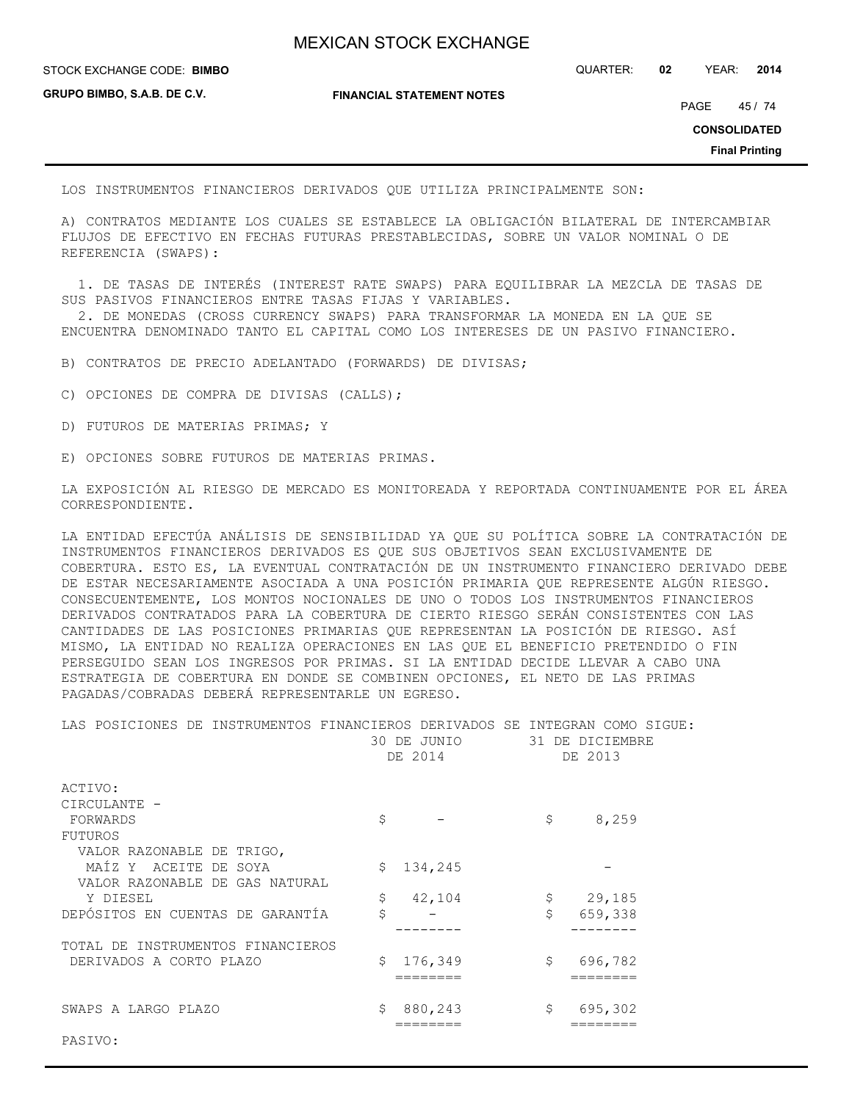STOCK EXCHANGE CODE: QUARTER: **02** YEAR: **2014 BIMBO**

**GRUPO BIMBO, S.A.B. DE C.V.**

**FINANCIAL STATEMENT NOTES**

PAGE 45 / 74

**CONSOLIDATED**

**Final Printing**

LOS INSTRUMENTOS FINANCIEROS DERIVADOS QUE UTILIZA PRINCIPALMENTE SON:

A) CONTRATOS MEDIANTE LOS CUALES SE ESTABLECE LA OBLIGACIÓN BILATERAL DE INTERCAMBIAR FLUJOS DE EFECTIVO EN FECHAS FUTURAS PRESTABLECIDAS, SOBRE UN VALOR NOMINAL O DE REFERENCIA (SWAPS):

 1. DE TASAS DE INTERÉS (INTEREST RATE SWAPS) PARA EQUILIBRAR LA MEZCLA DE TASAS DE SUS PASIVOS FINANCIEROS ENTRE TASAS FIJAS Y VARIABLES.

 2. DE MONEDAS (CROSS CURRENCY SWAPS) PARA TRANSFORMAR LA MONEDA EN LA QUE SE ENCUENTRA DENOMINADO TANTO EL CAPITAL COMO LOS INTERESES DE UN PASIVO FINANCIERO.

B) CONTRATOS DE PRECIO ADELANTADO (FORWARDS) DE DIVISAS;

C) OPCIONES DE COMPRA DE DIVISAS (CALLS);

D) FUTUROS DE MATERIAS PRIMAS; Y

E) OPCIONES SOBRE FUTUROS DE MATERIAS PRIMAS.

LA EXPOSICIÓN AL RIESGO DE MERCADO ES MONITOREADA Y REPORTADA CONTINUAMENTE POR EL ÁREA CORRESPONDIENTE.

LA ENTIDAD EFECTÚA ANÁLISIS DE SENSIBILIDAD YA QUE SU POLÍTICA SOBRE LA CONTRATACIÓN DE INSTRUMENTOS FINANCIEROS DERIVADOS ES QUE SUS OBJETIVOS SEAN EXCLUSIVAMENTE DE COBERTURA. ESTO ES, LA EVENTUAL CONTRATACIÓN DE UN INSTRUMENTO FINANCIERO DERIVADO DEBE DE ESTAR NECESARIAMENTE ASOCIADA A UNA POSICIÓN PRIMARIA QUE REPRESENTE ALGÚN RIESGO. CONSECUENTEMENTE, LOS MONTOS NOCIONALES DE UNO O TODOS LOS INSTRUMENTOS FINANCIEROS DERIVADOS CONTRATADOS PARA LA COBERTURA DE CIERTO RIESGO SERÁN CONSISTENTES CON LAS CANTIDADES DE LAS POSICIONES PRIMARIAS QUE REPRESENTAN LA POSICIÓN DE RIESGO. ASÍ MISMO, LA ENTIDAD NO REALIZA OPERACIONES EN LAS QUE EL BENEFICIO PRETENDIDO O FIN PERSEGUIDO SEAN LOS INGRESOS POR PRIMAS. SI LA ENTIDAD DECIDE LLEVAR A CABO UNA ESTRATEGIA DE COBERTURA EN DONDE SE COMBINEN OPCIONES, EL NETO DE LAS PRIMAS PAGADAS/COBRADAS DEBERÁ REPRESENTARLE UN EGRESO.

LAS POSICIONES DE INSTRUMENTOS FINANCIEROS DERIVADOS SE INTEGRAN COMO SIGUE:

|                                   | 30 DE JUNIO<br>DE 2014 | 31 DE DICIEMBRE<br>DE 2013 |
|-----------------------------------|------------------------|----------------------------|
| ACTIVO:                           |                        |                            |
| CIRCULANTE -                      |                        |                            |
| FORWARDS                          | \$                     | \$<br>8,259                |
| FUTUROS                           |                        |                            |
| VALOR RAZONABLE DE TRIGO,         |                        |                            |
| MAÍZ Y ACEITE DE SOYA             | Ŝ.<br>134,245          |                            |
| VALOR RAZONABLE DE GAS NATURAL    |                        |                            |
| Y DIESEL                          | \$<br>42,104           | 29,185<br>\$               |
| DEPÓSITOS EN CUENTAS DE GARANTÍA  | \$                     | \$<br>659,338              |
|                                   |                        |                            |
| TOTAL DE INSTRUMENTOS FINANCIEROS |                        |                            |
| DERIVADOS A CORTO PLAZO           | 176,349<br>Ŝ.          | \$<br>696,782              |
|                                   |                        |                            |
|                                   |                        |                            |
| SWAPS A LARGO PLAZO               | 880,243<br>Ŝ.          | \$<br>695,302              |
|                                   |                        |                            |
|                                   |                        |                            |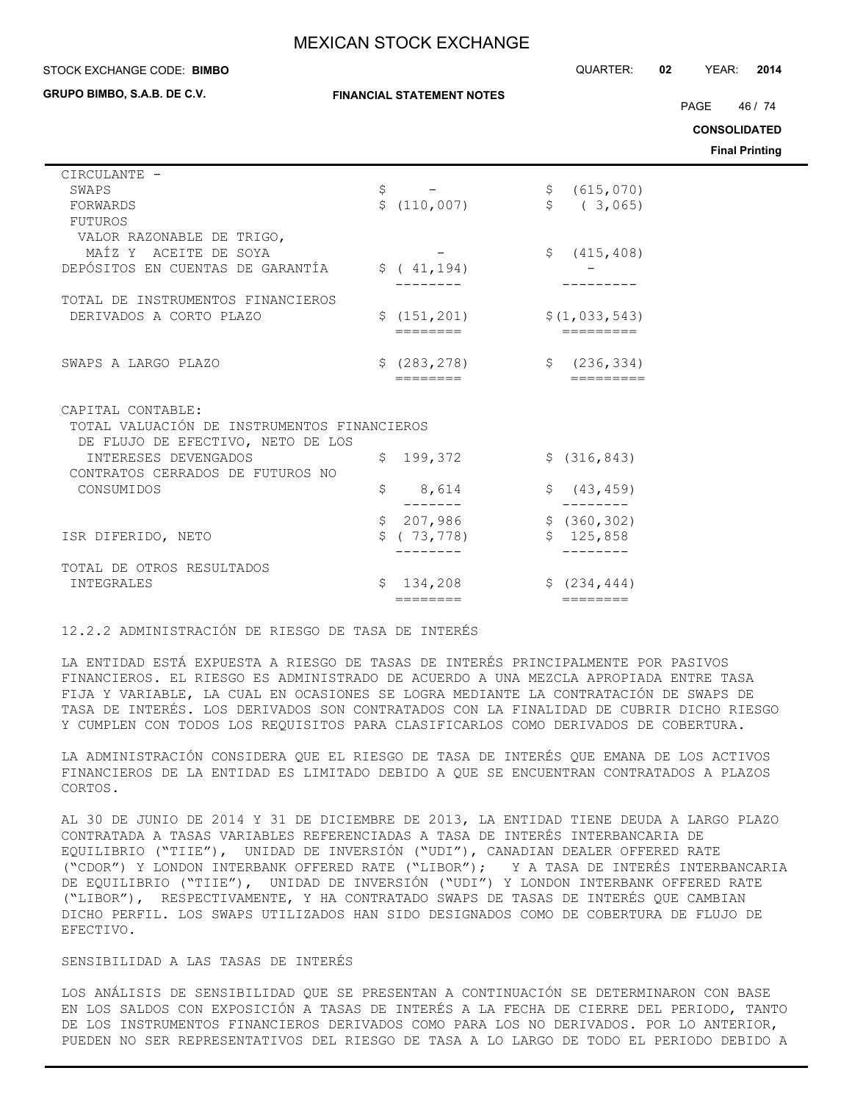**GRUPO BIMBO, S.A.B. DE C.V.**

STOCK EXCHANGE CODE: QUARTER: **02** YEAR: **2014 BIMBO**

| GRUPO BIMBO, S.A.B. DE C.V.                                                                           | <b>FINANCIAL STATEMENT NOTES</b>             | PAGE<br>46 / 74<br><b>CONSOLIDATED</b><br><b>Final Printing</b> |
|-------------------------------------------------------------------------------------------------------|----------------------------------------------|-----------------------------------------------------------------|
| CIRCULANTE -<br>SWAPS<br>FORWARDS<br>FUTUROS                                                          | \$<br>$\sim$ $  -$<br>\$(110,007)            | \$ (615, 070)<br>\$  ( 3, 065)                                  |
| VALOR RAZONABLE DE TRIGO,<br>MAÍZ Y ACEITE DE SOYA<br>DEPÓSITOS EN CUENTAS DE GARANTÍA                | \$ (41, 194)                                 | \$ (415, 408)                                                   |
| TOTAL DE INSTRUMENTOS FINANCIEROS<br>DERIVADOS A CORTO PLAZO                                          | \$(151, 201)<br>========                     | \$(1, 033, 543)                                                 |
| SWAPS A LARGO PLAZO                                                                                   | \$(283, 278)<br>========                     | \$ (236, 334)<br>$=$ = = = = = = = =                            |
| CAPITAL CONTABLE:<br>TOTAL VALUACIÓN DE INSTRUMENTOS FINANCIEROS<br>DE FLUJO DE EFECTIVO, NETO DE LOS |                                              |                                                                 |
| INTERESES DEVENGADOS<br>CONTRATOS CERRADOS DE FUTUROS NO                                              | \$199,372                                    | \$ (316, 843)                                                   |
| CONSUMIDOS                                                                                            | \$<br>8,614<br>\$                            | (43, 459)                                                       |
| ISR DIFERIDO, NETO                                                                                    | 207,986<br>\$<br>\$ (73, 778)                | \$(360, 302)<br>\$125,858                                       |
| TOTAL DE OTROS RESULTADOS<br>INTEGRALES                                                               | 134,208<br>Ŝ.<br>$=$ $=$ $=$ $=$ $=$ $=$ $=$ | \$ (234, 444)                                                   |

### 12.2.2 ADMINISTRACIÓN DE RIESGO DE TASA DE INTERÉS

LA ENTIDAD ESTÁ EXPUESTA A RIESGO DE TASAS DE INTERÉS PRINCIPALMENTE POR PASIVOS FINANCIEROS. EL RIESGO ES ADMINISTRADO DE ACUERDO A UNA MEZCLA APROPIADA ENTRE TASA FIJA Y VARIABLE, LA CUAL EN OCASIONES SE LOGRA MEDIANTE LA CONTRATACIÓN DE SWAPS DE TASA DE INTERÉS. LOS DERIVADOS SON CONTRATADOS CON LA FINALIDAD DE CUBRIR DICHO RIESGO Y CUMPLEN CON TODOS LOS REQUISITOS PARA CLASIFICARLOS COMO DERIVADOS DE COBERTURA.

LA ADMINISTRACIÓN CONSIDERA QUE EL RIESGO DE TASA DE INTERÉS QUE EMANA DE LOS ACTIVOS FINANCIEROS DE LA ENTIDAD ES LIMITADO DEBIDO A QUE SE ENCUENTRAN CONTRATADOS A PLAZOS CORTOS.

AL 30 DE JUNIO DE 2014 Y 31 DE DICIEMBRE DE 2013, LA ENTIDAD TIENE DEUDA A LARGO PLAZO CONTRATADA A TASAS VARIABLES REFERENCIADAS A TASA DE INTERÉS INTERBANCARIA DE EQUILIBRIO ("TIIE"), UNIDAD DE INVERSIÓN ("UDI"), CANADIAN DEALER OFFERED RATE ("CDOR") Y LONDON INTERBANK OFFERED RATE ("LIBOR"); Y A TASA DE INTERÉS INTERBANCARIA DE EQUILIBRIO ("TIIE"), UNIDAD DE INVERSIÓN ("UDI") Y LONDON INTERBANK OFFERED RATE ("LIBOR"), RESPECTIVAMENTE, Y HA CONTRATADO SWAPS DE TASAS DE INTERÉS QUE CAMBIAN DICHO PERFIL. LOS SWAPS UTILIZADOS HAN SIDO DESIGNADOS COMO DE COBERTURA DE FLUJO DE EFECTIVO.

## SENSIBILIDAD A LAS TASAS DE INTERÉS

LOS ANÁLISIS DE SENSIBILIDAD QUE SE PRESENTAN A CONTINUACIÓN SE DETERMINARON CON BASE EN LOS SALDOS CON EXPOSICIÓN A TASAS DE INTERÉS A LA FECHA DE CIERRE DEL PERIODO, TANTO DE LOS INSTRUMENTOS FINANCIEROS DERIVADOS COMO PARA LOS NO DERIVADOS. POR LO ANTERIOR, PUEDEN NO SER REPRESENTATIVOS DEL RIESGO DE TASA A LO LARGO DE TODO EL PERIODO DEBIDO A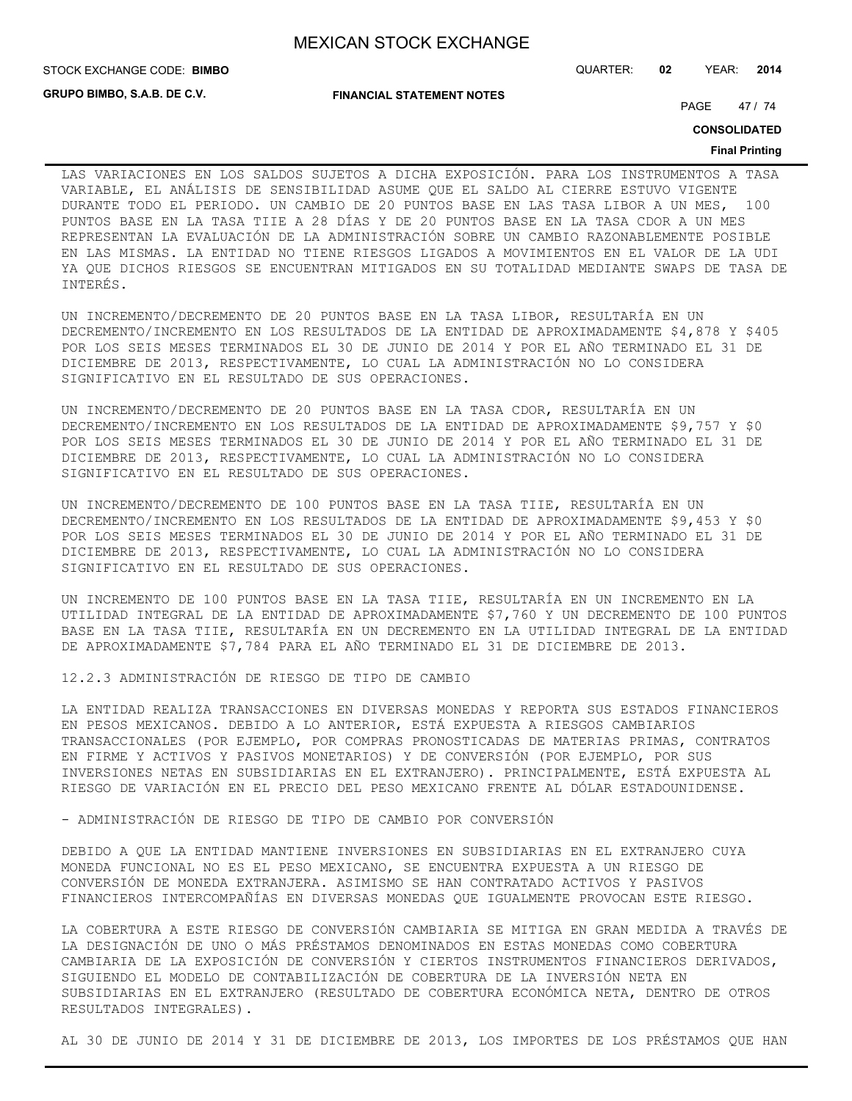**FINANCIAL STATEMENT NOTES**

STOCK EXCHANGE CODE: QUARTER: **02** YEAR: **2014 BIMBO**

**GRUPO BIMBO, S.A.B. DE C.V.**

PAGE 47 / 74

**CONSOLIDATED**

### **Final Printing**

LAS VARIACIONES EN LOS SALDOS SUJETOS A DICHA EXPOSICIÓN. PARA LOS INSTRUMENTOS A TASA VARIABLE, EL ANÁLISIS DE SENSIBILIDAD ASUME QUE EL SALDO AL CIERRE ESTUVO VIGENTE DURANTE TODO EL PERIODO. UN CAMBIO DE 20 PUNTOS BASE EN LAS TASA LIBOR A UN MES, 100 PUNTOS BASE EN LA TASA TIIE A 28 DÍAS Y DE 20 PUNTOS BASE EN LA TASA CDOR A UN MES REPRESENTAN LA EVALUACIÓN DE LA ADMINISTRACIÓN SOBRE UN CAMBIO RAZONABLEMENTE POSIBLE EN LAS MISMAS. LA ENTIDAD NO TIENE RIESGOS LIGADOS A MOVIMIENTOS EN EL VALOR DE LA UDI YA QUE DICHOS RIESGOS SE ENCUENTRAN MITIGADOS EN SU TOTALIDAD MEDIANTE SWAPS DE TASA DE INTERÉS.

UN INCREMENTO/DECREMENTO DE 20 PUNTOS BASE EN LA TASA LIBOR, RESULTARÍA EN UN DECREMENTO/INCREMENTO EN LOS RESULTADOS DE LA ENTIDAD DE APROXIMADAMENTE \$4,878 Y \$405 POR LOS SEIS MESES TERMINADOS EL 30 DE JUNIO DE 2014 Y POR EL AÑO TERMINADO EL 31 DE DICIEMBRE DE 2013, RESPECTIVAMENTE, LO CUAL LA ADMINISTRACIÓN NO LO CONSIDERA SIGNIFICATIVO EN EL RESULTADO DE SUS OPERACIONES.

UN INCREMENTO/DECREMENTO DE 20 PUNTOS BASE EN LA TASA CDOR, RESULTARÍA EN UN DECREMENTO/INCREMENTO EN LOS RESULTADOS DE LA ENTIDAD DE APROXIMADAMENTE \$9,757 Y \$0 POR LOS SEIS MESES TERMINADOS EL 30 DE JUNIO DE 2014 Y POR EL AÑO TERMINADO EL 31 DE DICIEMBRE DE 2013, RESPECTIVAMENTE, LO CUAL LA ADMINISTRACIÓN NO LO CONSIDERA SIGNIFICATIVO EN EL RESULTADO DE SUS OPERACIONES.

UN INCREMENTO/DECREMENTO DE 100 PUNTOS BASE EN LA TASA TIIE, RESULTARÍA EN UN DECREMENTO/INCREMENTO EN LOS RESULTADOS DE LA ENTIDAD DE APROXIMADAMENTE \$9,453 Y \$0 POR LOS SEIS MESES TERMINADOS EL 30 DE JUNIO DE 2014 Y POR EL AÑO TERMINADO EL 31 DE DICIEMBRE DE 2013, RESPECTIVAMENTE, LO CUAL LA ADMINISTRACIÓN NO LO CONSIDERA SIGNIFICATIVO EN EL RESULTADO DE SUS OPERACIONES.

UN INCREMENTO DE 100 PUNTOS BASE EN LA TASA TIIE, RESULTARÍA EN UN INCREMENTO EN LA UTILIDAD INTEGRAL DE LA ENTIDAD DE APROXIMADAMENTE \$7,760 Y UN DECREMENTO DE 100 PUNTOS BASE EN LA TASA TIIE, RESULTARÍA EN UN DECREMENTO EN LA UTILIDAD INTEGRAL DE LA ENTIDAD DE APROXIMADAMENTE \$7,784 PARA EL AÑO TERMINADO EL 31 DE DICIEMBRE DE 2013.

12.2.3 ADMINISTRACIÓN DE RIESGO DE TIPO DE CAMBIO

LA ENTIDAD REALIZA TRANSACCIONES EN DIVERSAS MONEDAS Y REPORTA SUS ESTADOS FINANCIEROS EN PESOS MEXICANOS. DEBIDO A LO ANTERIOR, ESTÁ EXPUESTA A RIESGOS CAMBIARIOS TRANSACCIONALES (POR EJEMPLO, POR COMPRAS PRONOSTICADAS DE MATERIAS PRIMAS, CONTRATOS EN FIRME Y ACTIVOS Y PASIVOS MONETARIOS) Y DE CONVERSIÓN (POR EJEMPLO, POR SUS INVERSIONES NETAS EN SUBSIDIARIAS EN EL EXTRANJERO). PRINCIPALMENTE, ESTÁ EXPUESTA AL RIESGO DE VARIACIÓN EN EL PRECIO DEL PESO MEXICANO FRENTE AL DÓLAR ESTADOUNIDENSE.

- ADMINISTRACIÓN DE RIESGO DE TIPO DE CAMBIO POR CONVERSIÓN

DEBIDO A QUE LA ENTIDAD MANTIENE INVERSIONES EN SUBSIDIARIAS EN EL EXTRANJERO CUYA MONEDA FUNCIONAL NO ES EL PESO MEXICANO, SE ENCUENTRA EXPUESTA A UN RIESGO DE CONVERSIÓN DE MONEDA EXTRANJERA. ASIMISMO SE HAN CONTRATADO ACTIVOS Y PASIVOS FINANCIEROS INTERCOMPAÑÍAS EN DIVERSAS MONEDAS QUE IGUALMENTE PROVOCAN ESTE RIESGO.

LA COBERTURA A ESTE RIESGO DE CONVERSIÓN CAMBIARIA SE MITIGA EN GRAN MEDIDA A TRAVÉS DE LA DESIGNACIÓN DE UNO O MÁS PRÉSTAMOS DENOMINADOS EN ESTAS MONEDAS COMO COBERTURA CAMBIARIA DE LA EXPOSICIÓN DE CONVERSIÓN Y CIERTOS INSTRUMENTOS FINANCIEROS DERIVADOS, SIGUIENDO EL MODELO DE CONTABILIZACIÓN DE COBERTURA DE LA INVERSIÓN NETA EN SUBSIDIARIAS EN EL EXTRANJERO (RESULTADO DE COBERTURA ECONÓMICA NETA, DENTRO DE OTROS RESULTADOS INTEGRALES).

AL 30 DE JUNIO DE 2014 Y 31 DE DICIEMBRE DE 2013, LOS IMPORTES DE LOS PRÉSTAMOS QUE HAN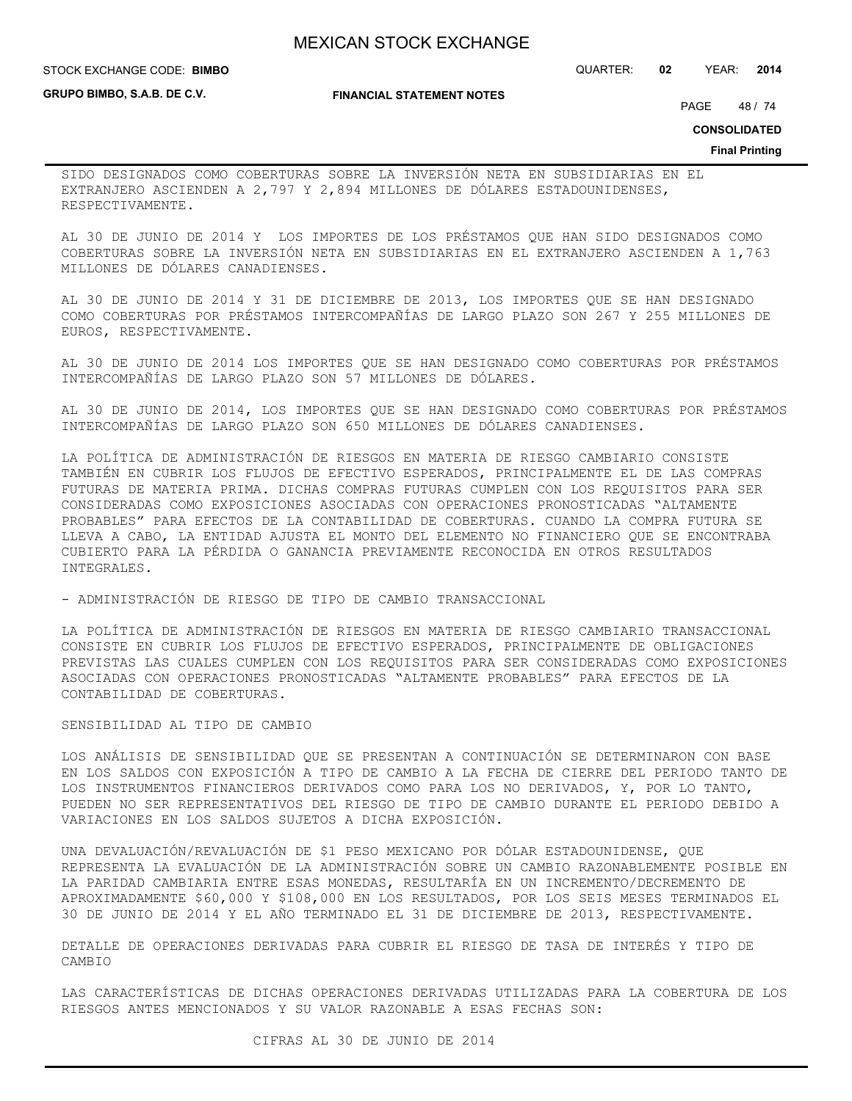**STOCK EXCHANGE CODE: BIMBO** 

**GRUPO BIMBO, S.A.B. DE C.V.**

**FINANCIAL STATEMENT NOTES**

STOCK EXCHANGE CODE: QUARTER: **02** YEAR: **2014**

PAGE 48 / 74

**CONSOLIDATED**

#### **Final Printing**

SIDO DESIGNADOS COMO COBERTURAS SOBRE LA INVERSIÓN NETA EN SUBSIDIARIAS EN EL EXTRANJERO ASCIENDEN A 2,797 Y 2,894 MILLONES DE DÓLARES ESTADOUNIDENSES, RESPECTIVAMENTE.

AL 30 DE JUNIO DE 2014 Y LOS IMPORTES DE LOS PRÉSTAMOS QUE HAN SIDO DESIGNADOS COMO COBERTURAS SOBRE LA INVERSIÓN NETA EN SUBSIDIARIAS EN EL EXTRANJERO ASCIENDEN A 1,763 MILLONES DE DÓLARES CANADIENSES.

AL 30 DE JUNIO DE 2014 Y 31 DE DICIEMBRE DE 2013, LOS IMPORTES QUE SE HAN DESIGNADO COMO COBERTURAS POR PRÉSTAMOS INTERCOMPAÑÍAS DE LARGO PLAZO SON 267 Y 255 MILLONES DE EUROS, RESPECTIVAMENTE.

AL 30 DE JUNIO DE 2014 LOS IMPORTES QUE SE HAN DESIGNADO COMO COBERTURAS POR PRÉSTAMOS INTERCOMPAÑÍAS DE LARGO PLAZO SON 57 MILLONES DE DÓLARES.

AL 30 DE JUNIO DE 2014, LOS IMPORTES QUE SE HAN DESIGNADO COMO COBERTURAS POR PRÉSTAMOS INTERCOMPAÑÍAS DE LARGO PLAZO SON 650 MILLONES DE DÓLARES CANADIENSES.

LA POLÍTICA DE ADMINISTRACIÓN DE RIESGOS EN MATERIA DE RIESGO CAMBIARIO CONSISTE TAMBIÉN EN CUBRIR LOS FLUJOS DE EFECTIVO ESPERADOS, PRINCIPALMENTE EL DE LAS COMPRAS FUTURAS DE MATERIA PRIMA. DICHAS COMPRAS FUTURAS CUMPLEN CON LOS REQUISITOS PARA SER CONSIDERADAS COMO EXPOSICIONES ASOCIADAS CON OPERACIONES PRONOSTICADAS "ALTAMENTE PROBABLES" PARA EFECTOS DE LA CONTABILIDAD DE COBERTURAS. CUANDO LA COMPRA FUTURA SE LLEVA A CABO, LA ENTIDAD AJUSTA EL MONTO DEL ELEMENTO NO FINANCIERO QUE SE ENCONTRABA CUBIERTO PARA LA PÉRDIDA O GANANCIA PREVIAMENTE RECONOCIDA EN OTROS RESULTADOS INTEGRALES.

- ADMINISTRACIÓN DE RIESGO DE TIPO DE CAMBIO TRANSACCIONAL

LA POLÍTICA DE ADMINISTRACIÓN DE RIESGOS EN MATERIA DE RIESGO CAMBIARIO TRANSACCIONAL CONSISTE EN CUBRIR LOS FLUJOS DE EFECTIVO ESPERADOS, PRINCIPALMENTE DE OBLIGACIONES PREVISTAS LAS CUALES CUMPLEN CON LOS REQUISITOS PARA SER CONSIDERADAS COMO EXPOSICIONES ASOCIADAS CON OPERACIONES PRONOSTICADAS "ALTAMENTE PROBABLES" PARA EFECTOS DE LA CONTABILIDAD DE COBERTURAS.

SENSIBILIDAD AL TIPO DE CAMBIO

LOS ANÁLISIS DE SENSIBILIDAD QUE SE PRESENTAN A CONTINUACIÓN SE DETERMINARON CON BASE EN LOS SALDOS CON EXPOSICIÓN A TIPO DE CAMBIO A LA FECHA DE CIERRE DEL PERIODO TANTO DE LOS INSTRUMENTOS FINANCIEROS DERIVADOS COMO PARA LOS NO DERIVADOS, Y, POR LO TANTO, PUEDEN NO SER REPRESENTATIVOS DEL RIESGO DE TIPO DE CAMBIO DURANTE EL PERIODO DEBIDO A VARIACIONES EN LOS SALDOS SUJETOS A DICHA EXPOSICIÓN.

UNA DEVALUACIÓN/REVALUACIÓN DE \$1 PESO MEXICANO POR DÓLAR ESTADOUNIDENSE, QUE REPRESENTA LA EVALUACIÓN DE LA ADMINISTRACIÓN SOBRE UN CAMBIO RAZONABLEMENTE POSIBLE EN LA PARIDAD CAMBIARIA ENTRE ESAS MONEDAS, RESULTARÍA EN UN INCREMENTO/DECREMENTO DE APROXIMADAMENTE \$60,000 Y \$108,000 EN LOS RESULTADOS, POR LOS SEIS MESES TERMINADOS EL 30 DE JUNIO DE 2014 Y EL AÑO TERMINADO EL 31 DE DICIEMBRE DE 2013, RESPECTIVAMENTE.

DETALLE DE OPERACIONES DERIVADAS PARA CUBRIR EL RIESGO DE TASA DE INTERÉS Y TIPO DE CAMBIO

LAS CARACTERÍSTICAS DE DICHAS OPERACIONES DERIVADAS UTILIZADAS PARA LA COBERTURA DE LOS RIESGOS ANTES MENCIONADOS Y SU VALOR RAZONABLE A ESAS FECHAS SON: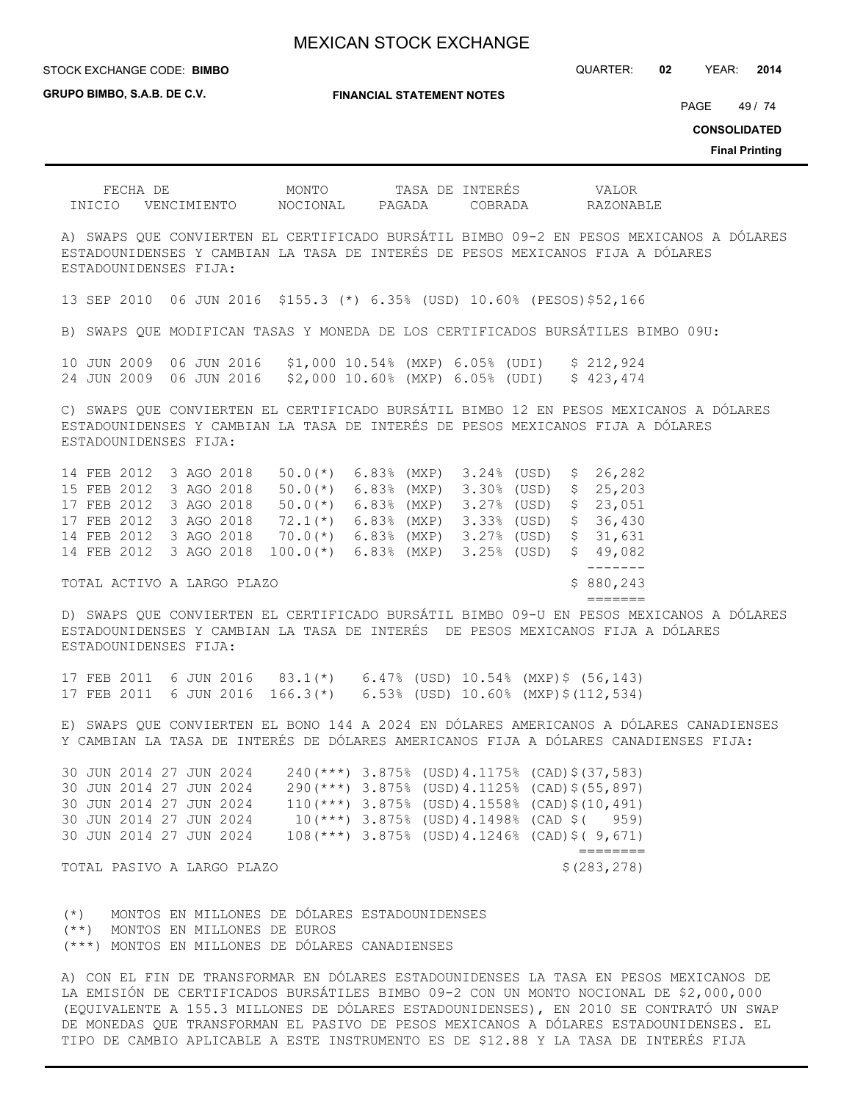STOCK EXCHANGE CODE: QUARTER: **02** YEAR: **2014 BIMBO**

**GRUPO BIMBO, S.A.B. DE C.V.**

**FINANCIAL STATEMENT NOTES**

PAGE 49 / 74

**CONSOLIDATED**

**Final Printing**

| INICIO VENCIMIENTO NOCIONAL PAGADA COBRADA RAZONABLE                                                                                                                                                                                                                                   |                                                                                                                                                    |                                       |
|----------------------------------------------------------------------------------------------------------------------------------------------------------------------------------------------------------------------------------------------------------------------------------------|----------------------------------------------------------------------------------------------------------------------------------------------------|---------------------------------------|
| A) SWAPS QUE CONVIERTEN EL CERTIFICADO BURSÁTIL BIMBO 09-2 EN PESOS MEXICANOS A DÓLARES<br>ESTADOUNIDENSES Y CAMBIAN LA TASA DE INTERÉS DE PESOS MEXICANOS FIJA A DÓLARES<br>ESTADOUNIDENSES FIJA:                                                                                     |                                                                                                                                                    |                                       |
| 13 SEP 2010 06 JUN 2016 \$155.3 (*) 6.35% (USD) 10.60% (PESOS) \$52,166                                                                                                                                                                                                                |                                                                                                                                                    |                                       |
| B) SWAPS QUE MODIFICAN TASAS Y MONEDA DE LOS CERTIFICADOS BURSÁTILES BIMBO 09U:                                                                                                                                                                                                        |                                                                                                                                                    |                                       |
| 10 JUN 2009 06 JUN 2016 \$1,000 10.54% (MXP) 6.05% (UDI) \$ 212,924<br>24 JUN 2009 06 JUN 2016 \$2,000 10.60% (MXP) 6.05% (UDI) \$ 423,474                                                                                                                                             |                                                                                                                                                    |                                       |
| C) SWAPS QUE CONVIERTEN EL CERTIFICADO BURSÁTIL BIMBO 12 EN PESOS MEXICANOS A DÓLARES<br>ESTADOUNIDENSES Y CAMBIAN LA TASA DE INTERÉS DE PESOS MEXICANOS FIJA A DÓLARES<br>ESTADOUNIDENSES FIJA:                                                                                       |                                                                                                                                                    |                                       |
| 14 FEB 2012 3 AGO 2018 50.0(*) 6.83% (MXP) 3.24% (USD) \$ 26,282<br>15 FEB 2012 3 AGO 2018<br>17 FEB 2012 3 AGO 2018<br>17 FEB 2012 3 AGO 2018 72.1(*) 6.83% (MXP) 3.33% (USD) \$ 36,430<br>14 FEB 2012 3 AGO 2018 70.0(*) 6.83% (MXP) 3.27% (USD) \$ 31,631<br>14 FEB 2012 3 AGO 2018 | $50.0$ (*) $6.83$ (MXP) $3.30$ (USD) $\frac{25}{203}$<br>50.0(*) 6.83% (MXP) 3.27% (USD) \$ 23,051<br>$100.0(*)$ 6.83% (MXP) 3.25% (USD) \$ 49,082 | --------                              |
| TOTAL ACTIVO A LARGO PLAZO                                                                                                                                                                                                                                                             |                                                                                                                                                    | \$880, 243<br>$=$ $=$ $=$ $=$ $=$ $=$ |
| D) SWAPS QUE CONVIERTEN EL CERTIFICADO BURSÁTIL BIMBO 09-U EN PESOS MEXICANOS A DÓLARES<br>ESTADOUNIDENSES Y CAMBIAN LA TASA DE INTERÉS DE PESOS MEXICANOS FIJA A DÓLARES<br>ESTADOUNIDENSES FIJA .                                                                                    |                                                                                                                                                    |                                       |

17 FEB 2011 6 JUN 2016 83.1(\*) 6.47% (USD) 10.54% (MXP)\$ (56,143) 17 FEB 2011 6 JUN 2016 166.3(\*) 6.53% (USD) 10.60% (MXP)\$(112,534)

E) SWAPS QUE CONVIERTEN EL BONO 144 A 2024 EN DÓLARES AMERICANOS A DÓLARES CANADIENSES Y CAMBIAN LA TASA DE INTERÉS DE DÓLARES AMERICANOS FIJA A DÓLARES CANADIENSES FIJA:

30 JUN 2014 27 JUN 2024 240(\*\*\*) 3.875% (USD)4.1175% (CAD)\$(37,583) 30 JUN 2014 27 JUN 2024 290(\*\*\*) 3.875% (USD)4.1125% (CAD)\$(55,897) 30 JUN 2014 27 JUN 2024 110(\*\*\*) 3.875% (USD)4.1558% (CAD)\$(10,491) 30 JUN 2014 27 JUN 2024 10(\*\*\*) 3.875% (USD)4.1498% (CAD \$( 959) 30 JUN 2014 27 JUN 2024 108(\*\*\*) 3.875% (USD)4.1246% (CAD)\$( 9,671) ========

TOTAL PASIVO A LARGO PLAZO **\$**(283,278)

(\*) MONTOS EN MILLONES DE DÓLARES ESTADOUNIDENSES (\*\*) MONTOS EN MILLONES DE EUROS (\*\*\*) MONTOS EN MILLONES DE DÓLARES CANADIENSES

A) CON EL FIN DE TRANSFORMAR EN DÓLARES ESTADOUNIDENSES LA TASA EN PESOS MEXICANOS DE LA EMISIÓN DE CERTIFICADOS BURSÁTILES BIMBO 09-2 CON UN MONTO NOCIONAL DE \$2,000,000 (EQUIVALENTE A 155.3 MILLONES DE DÓLARES ESTADOUNIDENSES), EN 2010 SE CONTRATÓ UN SWAP DE MONEDAS QUE TRANSFORMAN EL PASIVO DE PESOS MEXICANOS A DÓLARES ESTADOUNIDENSES. EL TIPO DE CAMBIO APLICABLE A ESTE INSTRUMENTO ES DE \$12.88 Y LA TASA DE INTERÉS FIJA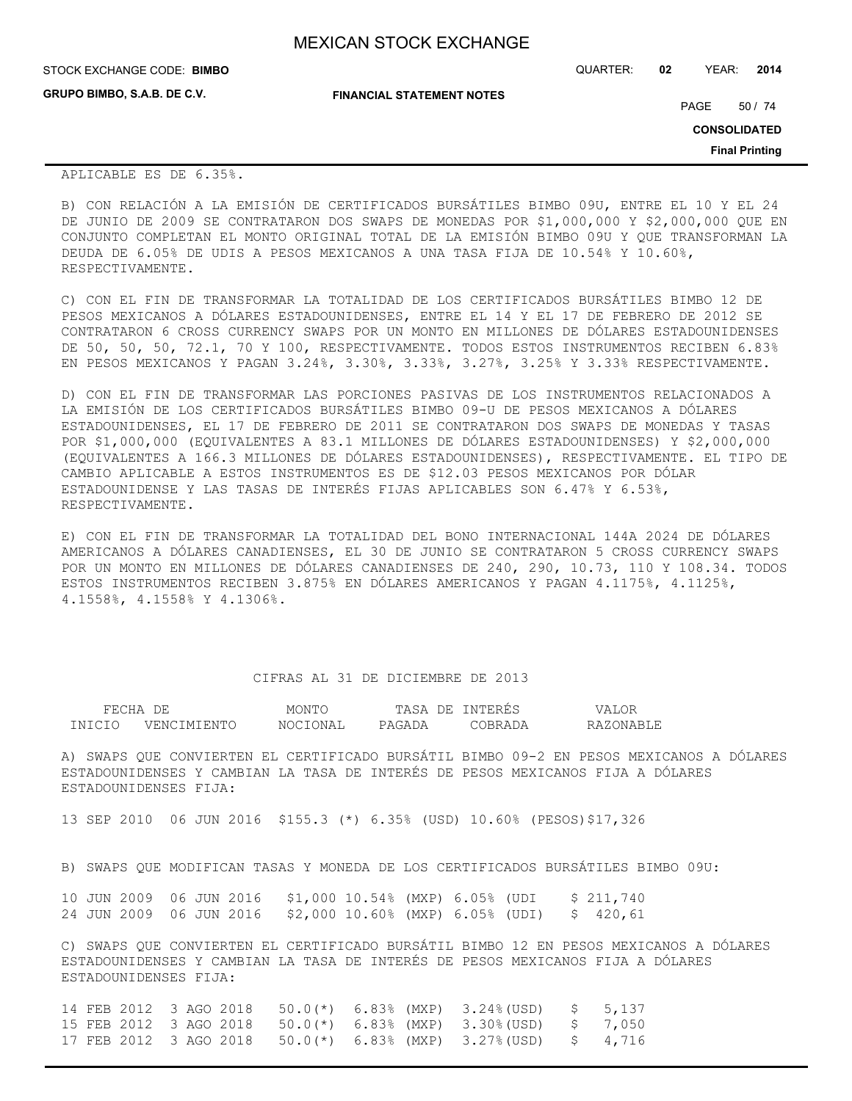| <b>MEXICAN STOCK EXCHANGE</b> |  |  |  |
|-------------------------------|--|--|--|
|-------------------------------|--|--|--|

**FINANCIAL STATEMENT NOTES** STOCK EXCHANGE CODE: QUARTER: **02** YEAR: **2014 BIMBO GRUPO BIMBO, S.A.B. DE C.V.** PAGE 50 / 74

**CONSOLIDATED**

**Final Printing**

## APLICABLE ES DE 6.35%.

B) CON RELACIÓN A LA EMISIÓN DE CERTIFICADOS BURSÁTILES BIMBO 09U, ENTRE EL 10 Y EL 24 DE JUNIO DE 2009 SE CONTRATARON DOS SWAPS DE MONEDAS POR \$1,000,000 Y \$2,000,000 QUE EN CONJUNTO COMPLETAN EL MONTO ORIGINAL TOTAL DE LA EMISIÓN BIMBO 09U Y QUE TRANSFORMAN LA DEUDA DE 6.05% DE UDIS A PESOS MEXICANOS A UNA TASA FIJA DE 10.54% Y 10.60%, RESPECTIVAMENTE.

C) CON EL FIN DE TRANSFORMAR LA TOTALIDAD DE LOS CERTIFICADOS BURSÁTILES BIMBO 12 DE PESOS MEXICANOS A DÓLARES ESTADOUNIDENSES, ENTRE EL 14 Y EL 17 DE FEBRERO DE 2012 SE CONTRATARON 6 CROSS CURRENCY SWAPS POR UN MONTO EN MILLONES DE DÓLARES ESTADOUNIDENSES DE 50, 50, 50, 72.1, 70 Y 100, RESPECTIVAMENTE. TODOS ESTOS INSTRUMENTOS RECIBEN 6.83% EN PESOS MEXICANOS Y PAGAN 3.24%, 3.30%, 3.33%, 3.27%, 3.25% Y 3.33% RESPECTIVAMENTE.

D) CON EL FIN DE TRANSFORMAR LAS PORCIONES PASIVAS DE LOS INSTRUMENTOS RELACIONADOS A LA EMISIÓN DE LOS CERTIFICADOS BURSÁTILES BIMBO 09-U DE PESOS MEXICANOS A DÓLARES ESTADOUNIDENSES, EL 17 DE FEBRERO DE 2011 SE CONTRATARON DOS SWAPS DE MONEDAS Y TASAS POR \$1,000,000 (EQUIVALENTES A 83.1 MILLONES DE DÓLARES ESTADOUNIDENSES) Y \$2,000,000 (EQUIVALENTES A 166.3 MILLONES DE DÓLARES ESTADOUNIDENSES), RESPECTIVAMENTE. EL TIPO DE CAMBIO APLICABLE A ESTOS INSTRUMENTOS ES DE \$12.03 PESOS MEXICANOS POR DÓLAR ESTADOUNIDENSE Y LAS TASAS DE INTERÉS FIJAS APLICABLES SON 6.47% Y 6.53%, RESPECTIVAMENTE.

E) CON EL FIN DE TRANSFORMAR LA TOTALIDAD DEL BONO INTERNACIONAL 144A 2024 DE DÓLARES AMERICANOS A DÓLARES CANADIENSES, EL 30 DE JUNIO SE CONTRATARON 5 CROSS CURRENCY SWAPS POR UN MONTO EN MILLONES DE DÓLARES CANADIENSES DE 240, 290, 10.73, 110 Y 108.34. TODOS ESTOS INSTRUMENTOS RECIBEN 3.875% EN DÓLARES AMERICANOS Y PAGAN 4.1175%, 4.1125%, 4.1558%, 4.1558% Y 4.1306%.

## CIFRAS AL 31 DE DICIEMBRE DE 2013

| FECHA  | DF.         | MONTO    | TASA<br>DE. | NTERES  | LOR       |
|--------|-------------|----------|-------------|---------|-----------|
| TNICIO | VENCIMIENTC | NOCIONAL | PAGADA      | ~ARR∆DA | RAZONABLE |

A) SWAPS QUE CONVIERTEN EL CERTIFICADO BURSÁTIL BIMBO 09-2 EN PESOS MEXICANOS A DÓLARES ESTADOUNIDENSES Y CAMBIAN LA TASA DE INTERÉS DE PESOS MEXICANOS FIJA A DÓLARES ESTADOUNIDENSES FIJA:

13 SEP 2010 06 JUN 2016 \$155.3 (\*) 6.35% (USD) 10.60% (PESOS)\$17,326

B) SWAPS QUE MODIFICAN TASAS Y MONEDA DE LOS CERTIFICADOS BURSÁTILES BIMBO 09U:

10 JUN 2009 06 JUN 2016 \$1,000 10.54% (MXP) 6.05% (UDI \$ 211,740 24 JUN 2009 06 JUN 2016 \$2,000 10.60% (MXP) 6.05% (UDI) \$ 420,61

C) SWAPS QUE CONVIERTEN EL CERTIFICADO BURSÁTIL BIMBO 12 EN PESOS MEXICANOS A DÓLARES ESTADOUNIDENSES Y CAMBIAN LA TASA DE INTERÉS DE PESOS MEXICANOS FIJA A DÓLARES ESTADOUNIDENSES FIJA:

14 FEB 2012 3 AGO 2018 50.0(\*) 6.83% (MXP) 3.24%(USD) \$ 5,137 15 FEB 2012 3 AGO 2018 50.0(\*) 6.83% (MXP) 3.30%(USD) \$ 7,050 17 FEB 2012 3 AGO 2018 50.0(\*) 6.83% (MXP) 3.27%(USD) \$ 4,716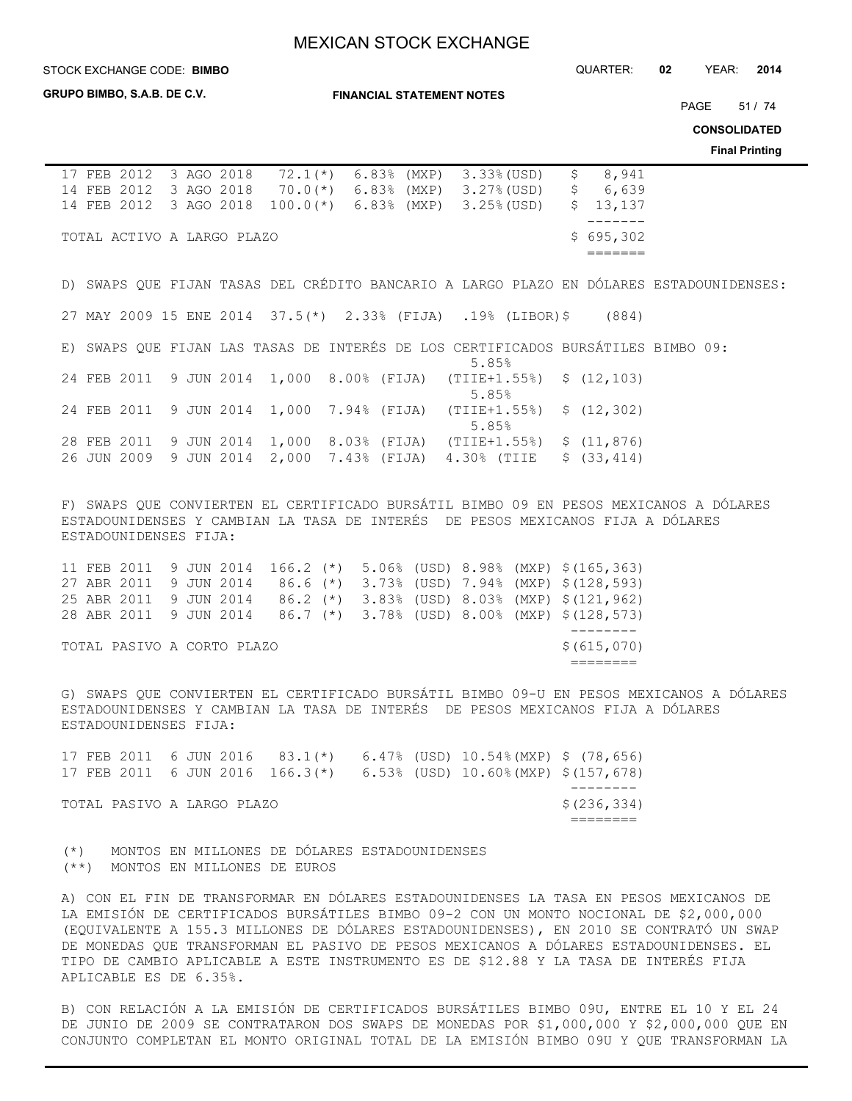**STOCK EXCHANGE CODE: BIMBO** 

**GRUPO BIMBO, S.A.B. DE C.V.**

**FINANCIAL STATEMENT NOTES**

STOCK EXCHANGE CODE: QUARTER: **02** YEAR: **2014**

PAGE 51 / 74

**CONSOLIDATED**

**Final Printing**

| \$8,941<br>17 FEB 2012 3 AGO 2018 72.1(*)<br>6.83% (MXP) 3.33%(USD)                                                                                                                                                                                                                                                                                                                                                                                                                                                                                                                                                     |  |
|-------------------------------------------------------------------------------------------------------------------------------------------------------------------------------------------------------------------------------------------------------------------------------------------------------------------------------------------------------------------------------------------------------------------------------------------------------------------------------------------------------------------------------------------------------------------------------------------------------------------------|--|
| 14 FEB 2012 3 AGO 2018 70.0(*) 6.83% (MXP) 3.27% (USD)<br>\$6,639                                                                                                                                                                                                                                                                                                                                                                                                                                                                                                                                                       |  |
| 14 FEB 2012 3 AGO 2018 100.0(*) 6.83% (MXP) 3.25% (USD)<br>\$13,137                                                                                                                                                                                                                                                                                                                                                                                                                                                                                                                                                     |  |
| $- - - - - - -$<br>\$695,302<br>TOTAL ACTIVO A LARGO PLAZO                                                                                                                                                                                                                                                                                                                                                                                                                                                                                                                                                              |  |
| =======                                                                                                                                                                                                                                                                                                                                                                                                                                                                                                                                                                                                                 |  |
|                                                                                                                                                                                                                                                                                                                                                                                                                                                                                                                                                                                                                         |  |
| D) SWAPS QUE FIJAN TASAS DEL CRÉDITO BANCARIO A LARGO PLAZO EN DÓLARES ESTADOUNIDENSES:                                                                                                                                                                                                                                                                                                                                                                                                                                                                                                                                 |  |
| 27 MAY 2009 15 ENE 2014 37.5(*) 2.33% (FIJA) .19% (LIBOR)\$ (884)                                                                                                                                                                                                                                                                                                                                                                                                                                                                                                                                                       |  |
|                                                                                                                                                                                                                                                                                                                                                                                                                                                                                                                                                                                                                         |  |
| E) SWAPS QUE FIJAN LAS TASAS DE INTERÉS DE LOS CERTIFICADOS BURSÁTILES BIMBO 09:<br>5.85%                                                                                                                                                                                                                                                                                                                                                                                                                                                                                                                               |  |
| 24 FEB 2011 9 JUN 2014 1,000 8.00% (FIJA)<br>\$(12, 103)<br>$(TIIE+1.55%)$<br>5.85%                                                                                                                                                                                                                                                                                                                                                                                                                                                                                                                                     |  |
| 24 FEB 2011<br>9 JUN 2014 1,000 7.94% (FIJA) (TIIE+1.55%)<br>\$(12, 302)<br>5.85%                                                                                                                                                                                                                                                                                                                                                                                                                                                                                                                                       |  |
| 28 FEB 2011 9 JUN 2014 1,000 8.03% (FIJA) (TIIE+1.55%) \$ (11,876)                                                                                                                                                                                                                                                                                                                                                                                                                                                                                                                                                      |  |
| 26 JUN 2009 9 JUN 2014 2,000 7.43% (FIJA) 4.30% (TIIE \$ (33,414)                                                                                                                                                                                                                                                                                                                                                                                                                                                                                                                                                       |  |
|                                                                                                                                                                                                                                                                                                                                                                                                                                                                                                                                                                                                                         |  |
|                                                                                                                                                                                                                                                                                                                                                                                                                                                                                                                                                                                                                         |  |
| F) SWAPS QUE CONVIERTEN EL CERTIFICADO BURSÁTIL BIMBO 09 EN PESOS MEXICANOS A DÓLARES                                                                                                                                                                                                                                                                                                                                                                                                                                                                                                                                   |  |
| ESTADOUNIDENSES Y CAMBIAN LA TASA DE INTERÉS DE PESOS MEXICANOS FIJA A DÓLARES                                                                                                                                                                                                                                                                                                                                                                                                                                                                                                                                          |  |
| ESTADOUNIDENSES FIJA:                                                                                                                                                                                                                                                                                                                                                                                                                                                                                                                                                                                                   |  |
| 11 FEB 2011 9 JUN 2014 166.2 (*) 5.06% (USD) 8.98% (MXP) \$ (165,363)                                                                                                                                                                                                                                                                                                                                                                                                                                                                                                                                                   |  |
| 27 ABR 2011 9 JUN 2014 86.6 (*) 3.73% (USD) 7.94% (MXP) \$ (128,593)                                                                                                                                                                                                                                                                                                                                                                                                                                                                                                                                                    |  |
| 25 ABR 2011 9 JUN 2014 86.2 (*) 3.83% (USD) 8.03% (MXP) \$ (121, 962)                                                                                                                                                                                                                                                                                                                                                                                                                                                                                                                                                   |  |
| 28 ABR 2011 9 JUN 2014 86.7 (*) 3.78% (USD) 8.00% (MXP) \$ (128,573)                                                                                                                                                                                                                                                                                                                                                                                                                                                                                                                                                    |  |
| _________                                                                                                                                                                                                                                                                                                                                                                                                                                                                                                                                                                                                               |  |
| \$ (615, 070)<br>TOTAL PASIVO A CORTO PLAZO<br>$\qquad \qquad \overline{\qquad \qquad }=\qquad \qquad \overline{\qquad \qquad }=\qquad \qquad \overline{\qquad \qquad }=\qquad \qquad \overline{\qquad \qquad }=\qquad \qquad \overline{\qquad \qquad }=\qquad \qquad \overline{\qquad \qquad }=\qquad \qquad \overline{\qquad \qquad }=\qquad \qquad \overline{\qquad \qquad }=\qquad \qquad \overline{\qquad \qquad }=\qquad \qquad \overline{\qquad \qquad }=\qquad \qquad \overline{\qquad \qquad }=\qquad \qquad \overline{\qquad \qquad }=\qquad \qquad \overline{\qquad \qquad }=\qquad \qquad \overline{\qquad$ |  |
|                                                                                                                                                                                                                                                                                                                                                                                                                                                                                                                                                                                                                         |  |
| G) SWAPS QUE CONVIERTEN EL CERTIFICADO BURSÁTIL BIMBO 09-U EN PESOS MEXICANOS A DÓLARES<br>ESTADOUNIDENSES Y CAMBIAN LA TASA DE INTERÉS DE PESOS MEXICANOS FIJA A DÓLARES                                                                                                                                                                                                                                                                                                                                                                                                                                               |  |
| ESTADOUNIDENSES FIJA:                                                                                                                                                                                                                                                                                                                                                                                                                                                                                                                                                                                                   |  |
|                                                                                                                                                                                                                                                                                                                                                                                                                                                                                                                                                                                                                         |  |
| 17 FEB 2011 6 JUN 2016 83.1(*) 6.47% (USD) 10.54% (MXP) \$ (78,656)                                                                                                                                                                                                                                                                                                                                                                                                                                                                                                                                                     |  |
| 17 FEB 2011 6 JUN 2016 166.3(*) 6.53% (USD) 10.60% (MXP) \$ (157,678)                                                                                                                                                                                                                                                                                                                                                                                                                                                                                                                                                   |  |
|                                                                                                                                                                                                                                                                                                                                                                                                                                                                                                                                                                                                                         |  |
| \$(236, 334)<br>TOTAL PASIVO A LARGO PLAZO                                                                                                                                                                                                                                                                                                                                                                                                                                                                                                                                                                              |  |
| ========                                                                                                                                                                                                                                                                                                                                                                                                                                                                                                                                                                                                                |  |
|                                                                                                                                                                                                                                                                                                                                                                                                                                                                                                                                                                                                                         |  |
| (*) MONTOS EN MILLONES DE DÓLARES ESTADOUNIDENSES<br>(**) MONTOS EN MILLONES DE EUROS                                                                                                                                                                                                                                                                                                                                                                                                                                                                                                                                   |  |
|                                                                                                                                                                                                                                                                                                                                                                                                                                                                                                                                                                                                                         |  |
| A) CON EL FIN DE TRANSFORMAR EN DÓLARES ESTADOUNIDENSES LA TASA EN PESOS MEXICANOS DE<br>$\alpha$ protetaznog punaźmi                                                                                                                                                                                                                                                                                                                                                                                                                                                                                                   |  |

LA EMISIÓN DE CERTIFICADOS BURSÁTILES BIMBO 09-2 CON UN MONTO NOCIONAL DE \$2,000,000 (EQUIVALENTE A 155.3 MILLONES DE DÓLARES ESTADOUNIDENSES), EN 2010 SE CONTRATÓ UN SWAP DE MONEDAS QUE TRANSFORMAN EL PASIVO DE PESOS MEXICANOS A DÓLARES ESTADOUNIDENSES. EL TIPO DE CAMBIO APLICABLE A ESTE INSTRUMENTO ES DE \$12.88 Y LA TASA DE INTERÉS FIJA APLICABLE ES DE 6.35%.

B) CON RELACIÓN A LA EMISIÓN DE CERTIFICADOS BURSÁTILES BIMBO 09U, ENTRE EL 10 Y EL 24 DE JUNIO DE 2009 SE CONTRATARON DOS SWAPS DE MONEDAS POR \$1,000,000 Y \$2,000,000 QUE EN CONJUNTO COMPLETAN EL MONTO ORIGINAL TOTAL DE LA EMISIÓN BIMBO 09U Y QUE TRANSFORMAN LA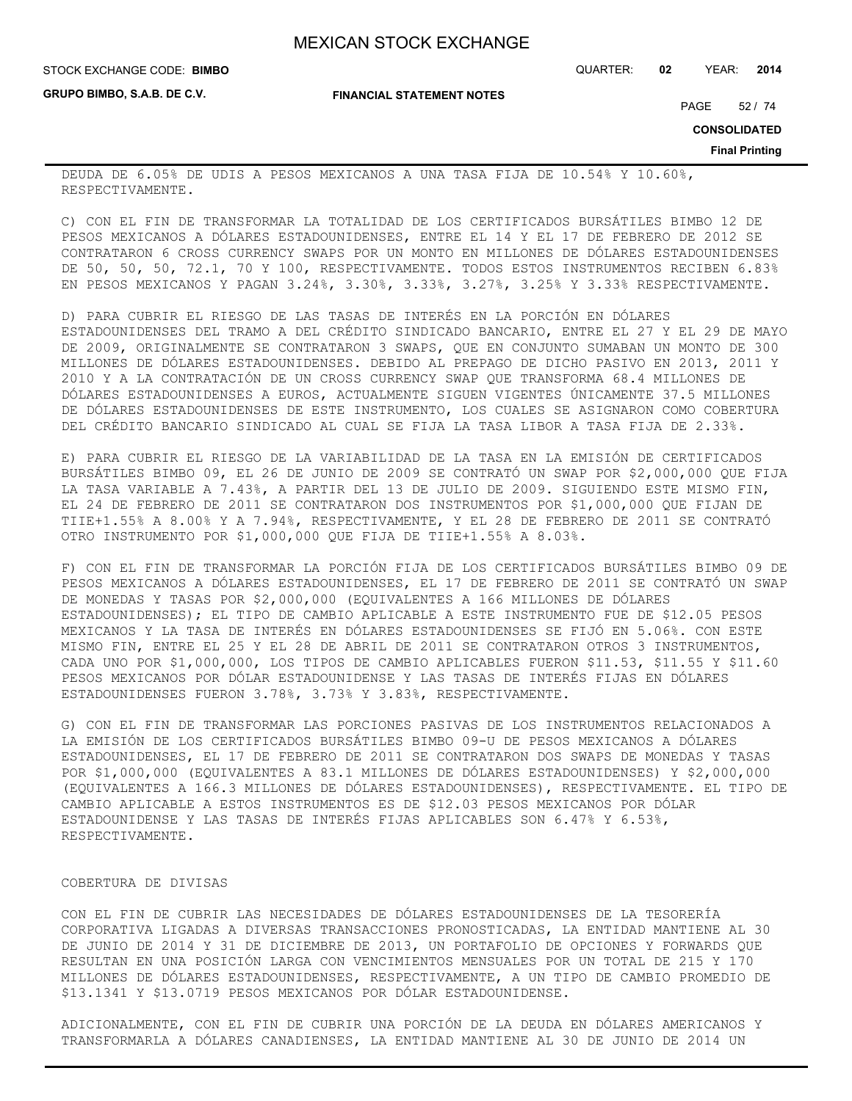**GRUPO BIMBO, S.A.B. DE C.V.**

STOCK EXCHANGE CODE: QUARTER: **02** YEAR: **2014 BIMBO**

**FINANCIAL STATEMENT NOTES**

PAGE 52 / 74

**CONSOLIDATED**

**Final Printing**

DEUDA DE 6.05% DE UDIS A PESOS MEXICANOS A UNA TASA FIJA DE 10.54% Y 10.60%, RESPECTIVAMENTE.

C) CON EL FIN DE TRANSFORMAR LA TOTALIDAD DE LOS CERTIFICADOS BURSÁTILES BIMBO 12 DE PESOS MEXICANOS A DÓLARES ESTADOUNIDENSES, ENTRE EL 14 Y EL 17 DE FEBRERO DE 2012 SE CONTRATARON 6 CROSS CURRENCY SWAPS POR UN MONTO EN MILLONES DE DÓLARES ESTADOUNIDENSES DE 50, 50, 50, 72.1, 70 Y 100, RESPECTIVAMENTE. TODOS ESTOS INSTRUMENTOS RECIBEN 6.83% EN PESOS MEXICANOS Y PAGAN 3.24%, 3.30%, 3.33%, 3.27%, 3.25% Y 3.33% RESPECTIVAMENTE.

D) PARA CUBRIR EL RIESGO DE LAS TASAS DE INTERÉS EN LA PORCIÓN EN DÓLARES ESTADOUNIDENSES DEL TRAMO A DEL CRÉDITO SINDICADO BANCARIO, ENTRE EL 27 Y EL 29 DE MAYO DE 2009, ORIGINALMENTE SE CONTRATARON 3 SWAPS, QUE EN CONJUNTO SUMABAN UN MONTO DE 300 MILLONES DE DÓLARES ESTADOUNIDENSES. DEBIDO AL PREPAGO DE DICHO PASIVO EN 2013, 2011 Y 2010 Y A LA CONTRATACIÓN DE UN CROSS CURRENCY SWAP QUE TRANSFORMA 68.4 MILLONES DE DÓLARES ESTADOUNIDENSES A EUROS, ACTUALMENTE SIGUEN VIGENTES ÚNICAMENTE 37.5 MILLONES DE DÓLARES ESTADOUNIDENSES DE ESTE INSTRUMENTO, LOS CUALES SE ASIGNARON COMO COBERTURA DEL CRÉDITO BANCARIO SINDICADO AL CUAL SE FIJA LA TASA LIBOR A TASA FIJA DE 2.33%.

E) PARA CUBRIR EL RIESGO DE LA VARIABILIDAD DE LA TASA EN LA EMISIÓN DE CERTIFICADOS BURSÁTILES BIMBO 09, EL 26 DE JUNIO DE 2009 SE CONTRATÓ UN SWAP POR \$2,000,000 QUE FIJA LA TASA VARIABLE A 7.43%, A PARTIR DEL 13 DE JULIO DE 2009. SIGUIENDO ESTE MISMO FIN, EL 24 DE FEBRERO DE 2011 SE CONTRATARON DOS INSTRUMENTOS POR \$1,000,000 QUE FIJAN DE TIIE+1.55% A 8.00% Y A 7.94%, RESPECTIVAMENTE, Y EL 28 DE FEBRERO DE 2011 SE CONTRATÓ OTRO INSTRUMENTO POR \$1,000,000 QUE FIJA DE TIIE+1.55% A 8.03%.

F) CON EL FIN DE TRANSFORMAR LA PORCIÓN FIJA DE LOS CERTIFICADOS BURSÁTILES BIMBO 09 DE PESOS MEXICANOS A DÓLARES ESTADOUNIDENSES, EL 17 DE FEBRERO DE 2011 SE CONTRATÓ UN SWAP DE MONEDAS Y TASAS POR \$2,000,000 (EQUIVALENTES A 166 MILLONES DE DÓLARES ESTADOUNIDENSES); EL TIPO DE CAMBIO APLICABLE A ESTE INSTRUMENTO FUE DE \$12.05 PESOS MEXICANOS Y LA TASA DE INTERÉS EN DÓLARES ESTADOUNIDENSES SE FIJÓ EN 5.06%. CON ESTE MISMO FIN, ENTRE EL 25 Y EL 28 DE ABRIL DE 2011 SE CONTRATARON OTROS 3 INSTRUMENTOS, CADA UNO POR \$1,000,000, LOS TIPOS DE CAMBIO APLICABLES FUERON \$11.53, \$11.55 Y \$11.60 PESOS MEXICANOS POR DÓLAR ESTADOUNIDENSE Y LAS TASAS DE INTERÉS FIJAS EN DÓLARES ESTADOUNIDENSES FUERON 3.78%, 3.73% Y 3.83%, RESPECTIVAMENTE.

G) CON EL FIN DE TRANSFORMAR LAS PORCIONES PASIVAS DE LOS INSTRUMENTOS RELACIONADOS A LA EMISIÓN DE LOS CERTIFICADOS BURSÁTILES BIMBO 09-U DE PESOS MEXICANOS A DÓLARES ESTADOUNIDENSES, EL 17 DE FEBRERO DE 2011 SE CONTRATARON DOS SWAPS DE MONEDAS Y TASAS POR \$1,000,000 (EQUIVALENTES A 83.1 MILLONES DE DÓLARES ESTADOUNIDENSES) Y \$2,000,000 (EQUIVALENTES A 166.3 MILLONES DE DÓLARES ESTADOUNIDENSES), RESPECTIVAMENTE. EL TIPO DE CAMBIO APLICABLE A ESTOS INSTRUMENTOS ES DE \$12.03 PESOS MEXICANOS POR DÓLAR ESTADOUNIDENSE Y LAS TASAS DE INTERÉS FIJAS APLICABLES SON 6.47% Y 6.53%, RESPECTIVAMENTE.

## COBERTURA DE DIVISAS

CON EL FIN DE CUBRIR LAS NECESIDADES DE DÓLARES ESTADOUNIDENSES DE LA TESORERÍA CORPORATIVA LIGADAS A DIVERSAS TRANSACCIONES PRONOSTICADAS, LA ENTIDAD MANTIENE AL 30 DE JUNIO DE 2014 Y 31 DE DICIEMBRE DE 2013, UN PORTAFOLIO DE OPCIONES Y FORWARDS QUE RESULTAN EN UNA POSICIÓN LARGA CON VENCIMIENTOS MENSUALES POR UN TOTAL DE 215 Y 170 MILLONES DE DÓLARES ESTADOUNIDENSES, RESPECTIVAMENTE, A UN TIPO DE CAMBIO PROMEDIO DE \$13.1341 Y \$13.0719 PESOS MEXICANOS POR DÓLAR ESTADOUNIDENSE.

ADICIONALMENTE, CON EL FIN DE CUBRIR UNA PORCIÓN DE LA DEUDA EN DÓLARES AMERICANOS Y TRANSFORMARLA A DÓLARES CANADIENSES, LA ENTIDAD MANTIENE AL 30 DE JUNIO DE 2014 UN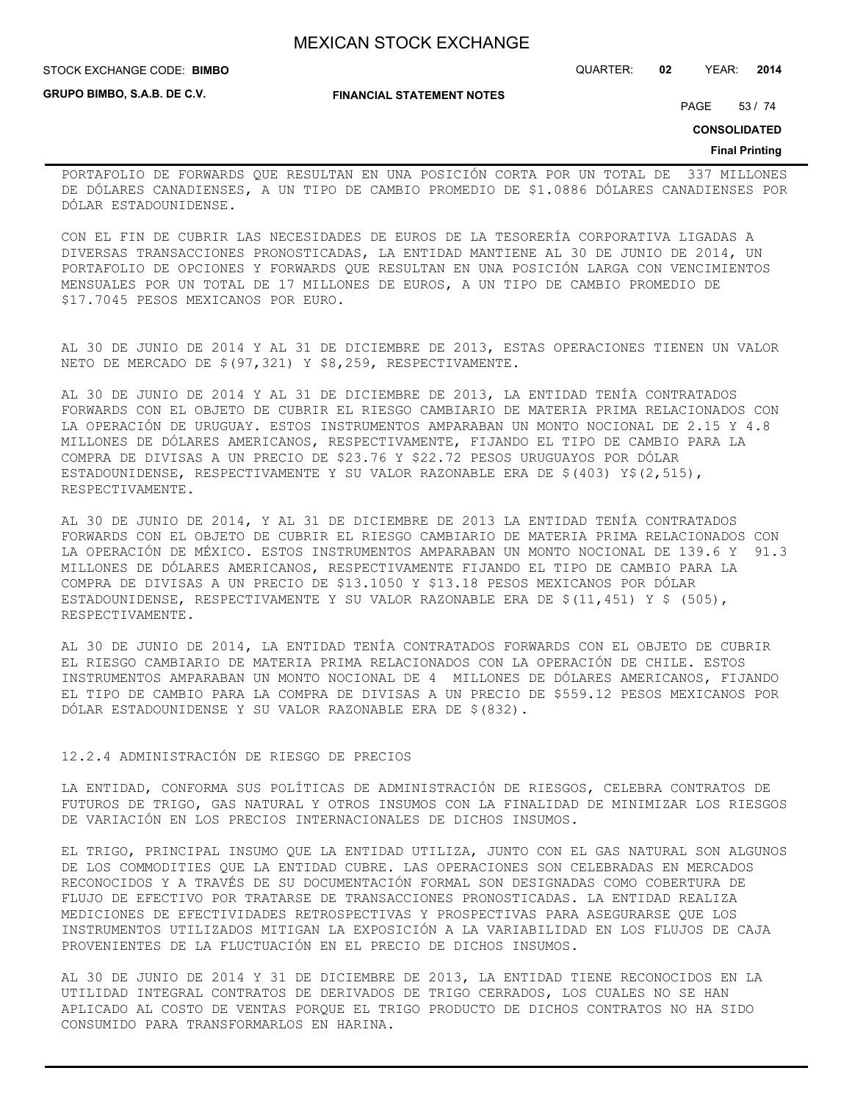**GRUPO BIMBO, S.A.B. DE C.V.**

**FINANCIAL STATEMENT NOTES**

STOCK EXCHANGE CODE: QUARTER: **02** YEAR: **2014 BIMBO**

PAGE 53 / 74

**CONSOLIDATED**

#### **Final Printing**

PORTAFOLIO DE FORWARDS QUE RESULTAN EN UNA POSICIÓN CORTA POR UN TOTAL DE 337 MILLONES DE DÓLARES CANADIENSES, A UN TIPO DE CAMBIO PROMEDIO DE \$1.0886 DÓLARES CANADIENSES POR DÓLAR ESTADOUNIDENSE.

CON EL FIN DE CUBRIR LAS NECESIDADES DE EUROS DE LA TESORERÍA CORPORATIVA LIGADAS A DIVERSAS TRANSACCIONES PRONOSTICADAS, LA ENTIDAD MANTIENE AL 30 DE JUNIO DE 2014, UN PORTAFOLIO DE OPCIONES Y FORWARDS QUE RESULTAN EN UNA POSICIÓN LARGA CON VENCIMIENTOS MENSUALES POR UN TOTAL DE 17 MILLONES DE EUROS, A UN TIPO DE CAMBIO PROMEDIO DE \$17.7045 PESOS MEXICANOS POR EURO.

AL 30 DE JUNIO DE 2014 Y AL 31 DE DICIEMBRE DE 2013, ESTAS OPERACIONES TIENEN UN VALOR NETO DE MERCADO DE \$(97,321) Y \$8,259, RESPECTIVAMENTE.

AL 30 DE JUNIO DE 2014 Y AL 31 DE DICIEMBRE DE 2013, LA ENTIDAD TENÍA CONTRATADOS FORWARDS CON EL OBJETO DE CUBRIR EL RIESGO CAMBIARIO DE MATERIA PRIMA RELACIONADOS CON LA OPERACIÓN DE URUGUAY. ESTOS INSTRUMENTOS AMPARABAN UN MONTO NOCIONAL DE 2.15 Y 4.8 MILLONES DE DÓLARES AMERICANOS, RESPECTIVAMENTE, FIJANDO EL TIPO DE CAMBIO PARA LA COMPRA DE DIVISAS A UN PRECIO DE \$23.76 Y \$22.72 PESOS URUGUAYOS POR DÓLAR ESTADOUNIDENSE, RESPECTIVAMENTE Y SU VALOR RAZONABLE ERA DE \$(403) Y\$(2,515), RESPECTIVAMENTE.

AL 30 DE JUNIO DE 2014, Y AL 31 DE DICIEMBRE DE 2013 LA ENTIDAD TENÍA CONTRATADOS FORWARDS CON EL OBJETO DE CUBRIR EL RIESGO CAMBIARIO DE MATERIA PRIMA RELACIONADOS CON LA OPERACIÓN DE MÉXICO. ESTOS INSTRUMENTOS AMPARABAN UN MONTO NOCIONAL DE 139.6 Y 91.3 MILLONES DE DÓLARES AMERICANOS, RESPECTIVAMENTE FIJANDO EL TIPO DE CAMBIO PARA LA COMPRA DE DIVISAS A UN PRECIO DE \$13.1050 Y \$13.18 PESOS MEXICANOS POR DÓLAR ESTADOUNIDENSE, RESPECTIVAMENTE Y SU VALOR RAZONABLE ERA DE \$(11,451) Y \$ (505), RESPECTIVAMENTE.

AL 30 DE JUNIO DE 2014, LA ENTIDAD TENÍA CONTRATADOS FORWARDS CON EL OBJETO DE CUBRIR EL RIESGO CAMBIARIO DE MATERIA PRIMA RELACIONADOS CON LA OPERACIÓN DE CHILE. ESTOS INSTRUMENTOS AMPARABAN UN MONTO NOCIONAL DE 4 MILLONES DE DÓLARES AMERICANOS, FIJANDO EL TIPO DE CAMBIO PARA LA COMPRA DE DIVISAS A UN PRECIO DE \$559.12 PESOS MEXICANOS POR DÓLAR ESTADOUNIDENSE Y SU VALOR RAZONABLE ERA DE \$(832).

## 12.2.4 ADMINISTRACIÓN DE RIESGO DE PRECIOS

LA ENTIDAD, CONFORMA SUS POLÍTICAS DE ADMINISTRACIÓN DE RIESGOS, CELEBRA CONTRATOS DE FUTUROS DE TRIGO, GAS NATURAL Y OTROS INSUMOS CON LA FINALIDAD DE MINIMIZAR LOS RIESGOS DE VARIACIÓN EN LOS PRECIOS INTERNACIONALES DE DICHOS INSUMOS.

EL TRIGO, PRINCIPAL INSUMO QUE LA ENTIDAD UTILIZA, JUNTO CON EL GAS NATURAL SON ALGUNOS DE LOS COMMODITIES QUE LA ENTIDAD CUBRE. LAS OPERACIONES SON CELEBRADAS EN MERCADOS RECONOCIDOS Y A TRAVÉS DE SU DOCUMENTACIÓN FORMAL SON DESIGNADAS COMO COBERTURA DE FLUJO DE EFECTIVO POR TRATARSE DE TRANSACCIONES PRONOSTICADAS. LA ENTIDAD REALIZA MEDICIONES DE EFECTIVIDADES RETROSPECTIVAS Y PROSPECTIVAS PARA ASEGURARSE QUE LOS INSTRUMENTOS UTILIZADOS MITIGAN LA EXPOSICIÓN A LA VARIABILIDAD EN LOS FLUJOS DE CAJA PROVENIENTES DE LA FLUCTUACIÓN EN EL PRECIO DE DICHOS INSUMOS.

AL 30 DE JUNIO DE 2014 Y 31 DE DICIEMBRE DE 2013, LA ENTIDAD TIENE RECONOCIDOS EN LA UTILIDAD INTEGRAL CONTRATOS DE DERIVADOS DE TRIGO CERRADOS, LOS CUALES NO SE HAN APLICADO AL COSTO DE VENTAS PORQUE EL TRIGO PRODUCTO DE DICHOS CONTRATOS NO HA SIDO CONSUMIDO PARA TRANSFORMARLOS EN HARINA.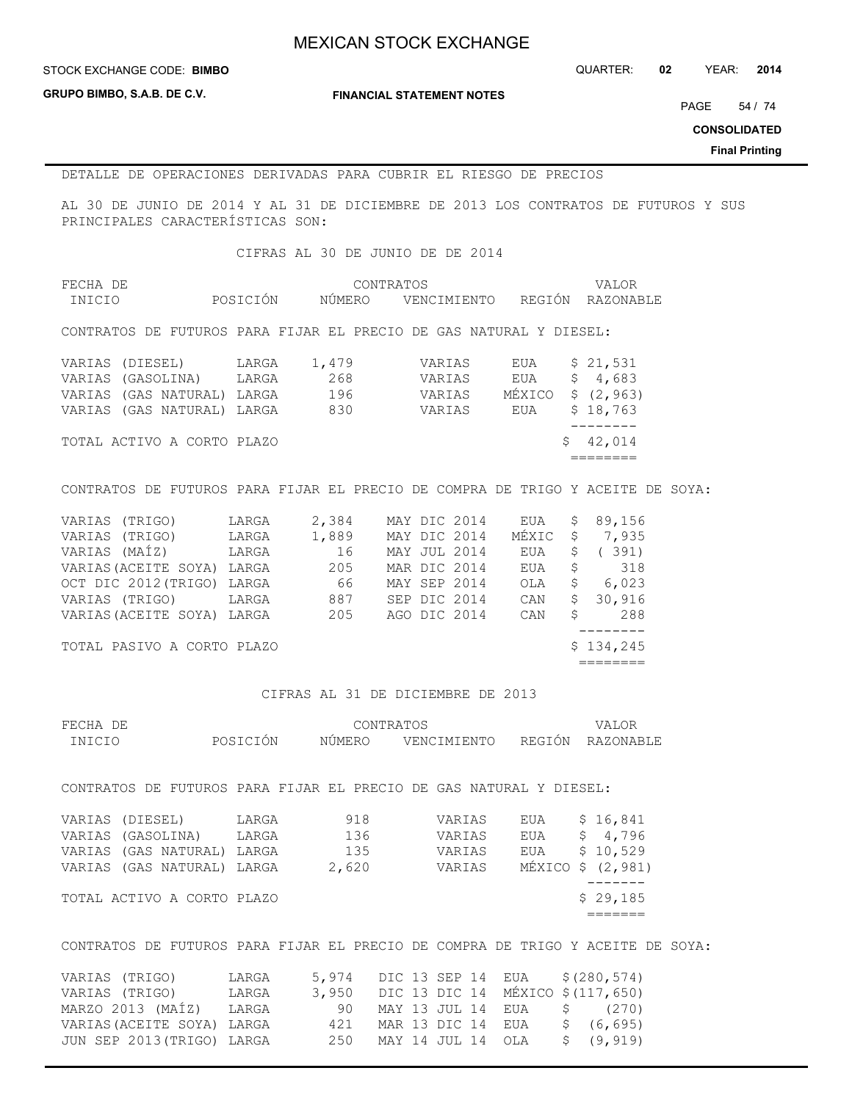**GRUPO BIMBO, S.A.B. DE C.V.**

**FINANCIAL STATEMENT NOTES**

PAGE 54 / 74

**CONSOLIDATED**

**Final Printing**

## DETALLE DE OPERACIONES DERIVADAS PARA CUBRIR EL RIESGO DE PRECIOS

AL 30 DE JUNIO DE 2014 Y AL 31 DE DICIEMBRE DE 2013 LOS CONTRATOS DE FUTUROS Y SUS PRINCIPALES CARACTERÍSTICAS SON:

CIFRAS AL 30 DE JUNIO DE DE 2014

| FECHA DE |          | CONTRATOS | VALOR                        |  |
|----------|----------|-----------|------------------------------|--|
| INICIO   | POSICIÓN | NÚMERO    | VENCIMIENTO REGIÓN RAZONABLE |  |

CONTRATOS DE FUTUROS PARA FIJAR EL PRECIO DE GAS NATURAL Y DIESEL:

| VARIAS (DIESEL)            | LARGA | 1,479 | VARIAS | EUA | \$21,531          |
|----------------------------|-------|-------|--------|-----|-------------------|
| VARIAS (GASOLINA)          | LARGA | 268   | VARIAS | EUA | \$4,683           |
| VARIAS (GAS NATURAL) LARGA |       | 196   | VARIAS |     | MÉXICO \$ (2,963) |
| VARIAS (GAS NATURAL) LARGA |       | 830   | VARIAS | EUA | \$18,763          |
|                            |       |       |        |     |                   |
| TOTAL ACTIVO A CORTO PLAZO |       |       |        |     | \$42,014          |
|                            |       |       |        |     |                   |

## CONTRATOS DE FUTUROS PARA FIJAR EL PRECIO DE COMPRA DE TRIGO Y ACEITE DE SOYA:

| VARIAS (TRIGO)             | LARGA | 2,384 |  | MAY DIC 2014 | EUA   | \$. | 89,156    |
|----------------------------|-------|-------|--|--------------|-------|-----|-----------|
| VARIAS (TRIGO)             | LARGA | 1,889 |  | MAY DIC 2014 | MÉXIC | \$  | 7,935     |
| VARIAS (MAÍZ)              | LARGA | 16    |  | MAY JUL 2014 | EUA   |     | 391)      |
| VARIAS (ACEITE SOYA)       | LARGA | 205   |  | MAR DIC 2014 | EUA   | \$. | 318       |
| OCT DIC 2012 (TRIGO)       | LARGA | 66    |  | MAY SEP 2014 | OLA   | \$  | 6,023     |
| VARIAS (TRIGO)             | LARGA | 887   |  | SEP DIC 2014 | CAN   | Ŝ.  | 30,916    |
| VARIAS (ACEITE SOYA) LARGA |       | 205   |  | AGO DIC 2014 | CAN   | S   | 288       |
|                            |       |       |  |              |       |     |           |
| TOTAL PASIVO A CORTO PLAZO |       |       |  |              |       |     | \$134,245 |
|                            |       |       |  |              |       |     |           |

### CIFRAS AL 31 DE DICIEMBRE DE 2013

| FECHA DE<br>INICIO |                                                                                                  | POSICIÓN       | NÚMERO                     | CONTRATOS | VENCIMIENTO                          | REGIÓN            | VALOR<br>RAZONABLE                                             |  |
|--------------------|--------------------------------------------------------------------------------------------------|----------------|----------------------------|-----------|--------------------------------------|-------------------|----------------------------------------------------------------|--|
|                    | CONTRATOS DE FUTUROS PARA FIJAR EL PRECIO DE GAS NATURAL Y DIESEL:                               |                |                            |           |                                      |                   |                                                                |  |
|                    | VARIAS (DIESEL)<br>VARIAS (GASOLINA) LARGA<br>VARIAS (GAS NATURAL) LARGA<br>VARIAS (GAS NATURAL) | LARGA<br>LARGA | 918<br>136<br>135<br>2,620 |           | VARIAS<br>VARIAS<br>VARIAS<br>VARIAS | EUA<br>EUA<br>EUA | \$16,841<br>\$4,796<br>\$10,529<br>MÉXICO \$ (2,981)<br>------ |  |
|                    | TOTAL ACTIVO A CORTO PLAZO                                                                       |                |                            |           |                                      |                   | \$29,185                                                       |  |
|                    | CONTRATOS DE FUTUROS PARA FIJAR EL PRECIO DE COMPRA DE TRIGO Y ACEITE DE SOYA:                   |                |                            |           |                                      |                   |                                                                |  |
|                    | גוות 1.4 תהם 1.2 חדרו ב-1.0 המתגד ב-1.4 חדרות המדרות המדר                                        |                |                            |           |                                      |                   | $0.1000$ $E T A V$                                             |  |

| VARIAS (TRIGO)             | LARGA | 5,974 DIC 13 SEP 14 EUA \$(280,574)    |  |  |  |                               |
|----------------------------|-------|----------------------------------------|--|--|--|-------------------------------|
| VARIAS (TRIGO)             | LARGA | 3,950 DIC 13 DIC 14 MÉXICO \$(117,650) |  |  |  |                               |
| MARZO 2013 (MAÍZ) LARGA    |       |                                        |  |  |  | 90 MAY 13 JUL 14 EUA \$ (270) |
| VARIAS (ACEITE SOYA) LARGA |       | 421 MAR 13 DIC 14 EUA                  |  |  |  | \$ (6,695)                    |
| JUN SEP 2013 (TRIGO) LARGA |       | 250 MAY 14 JUL 14 OLA                  |  |  |  | \$ (9, 919)                   |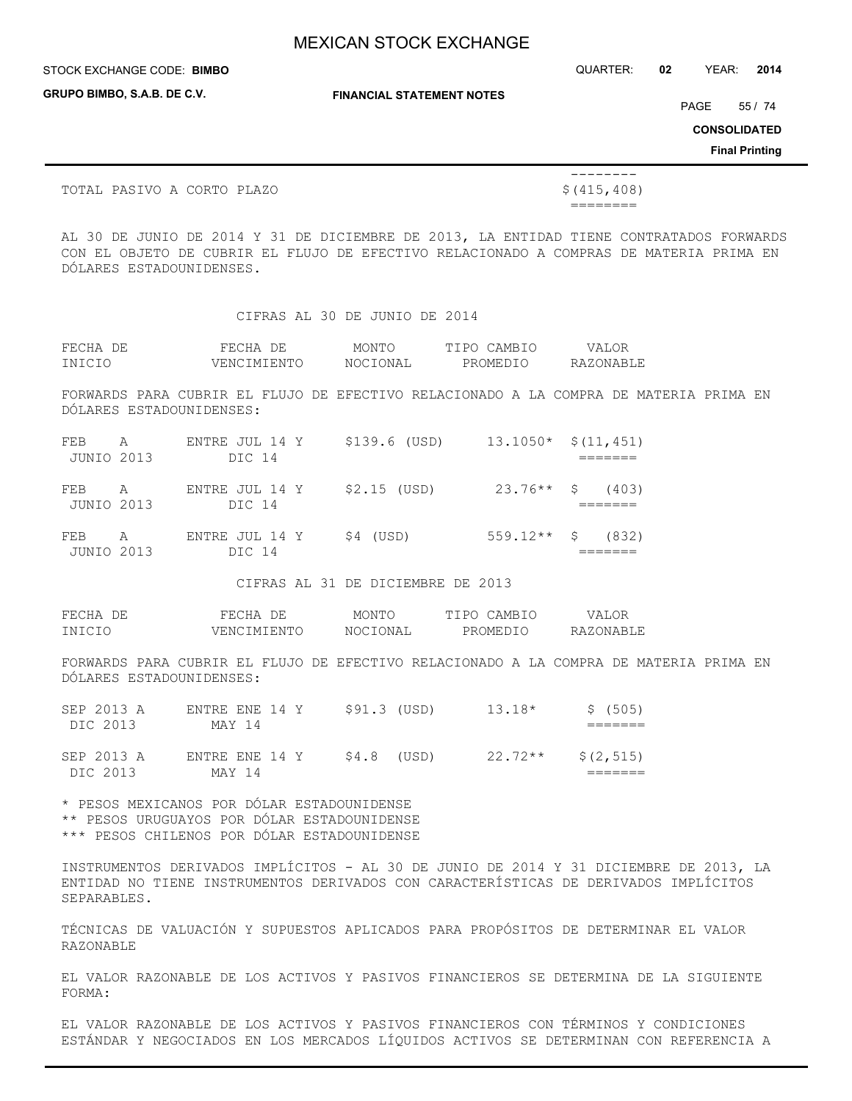**GRUPO BIMBO, S.A.B. DE C.V.**

STOCK EXCHANGE CODE: QUARTER: **02** YEAR: **2014 BIMBO**

**FINANCIAL STATEMENT NOTES**

PAGE 55 / 74

**CONSOLIDATED**

**Final Printing**

TOTAL PASIVO A CORTO PLAZO  $\zeta(415,408)$ 

========

AL 30 DE JUNIO DE 2014 Y 31 DE DICIEMBRE DE 2013, LA ENTIDAD TIENE CONTRATADOS FORWARDS CON EL OBJETO DE CUBRIR EL FLUJO DE EFECTIVO RELACIONADO A COMPRAS DE MATERIA PRIMA EN DÓLARES ESTADOUNIDENSES.

CIFRAS AL 30 DE JUNIO DE 2014

--------

| FECHA DE | FECHA DE    | MONTO    | TIPO CAMBIO | VALOR     |
|----------|-------------|----------|-------------|-----------|
| INICIO   | VENCIMIENTO | NOCIONAL | PROMEDIO    | RAZONABLE |

FORWARDS PARA CUBRIR EL FLUJO DE EFECTIVO RELACIONADO A LA COMPRA DE MATERIA PRIMA EN DÓLARES ESTADOUNIDENSES:

| FEB A<br>JUNIO 2013 | ENTRE JUL 14 Y<br>DIC 14               | \$139.6 (USD) | $13.1050*$ \$(11,451) |  |
|---------------------|----------------------------------------|---------------|-----------------------|--|
| FEB A<br>JUNIO 2013 | ENTRE JUL 14 Y $$2.15$ (USD)<br>DIC 14 |               | $23.76***$ \$ (403)   |  |
| FEB A<br>JUNIO 2013 | ENTRE JUL 14 Y<br>DIC 14               | \$4 (USD)     | $559.12**$ \$ (832)   |  |

CIFRAS AL 31 DE DICIEMBRE DE 2013

| FECHA DE | FECHA DE    | MONTO    | TIPO CAMBIO | VALOR     |
|----------|-------------|----------|-------------|-----------|
| INICIO   | VENCIMIENTO | NOCIONAL | PROMEDIO    | RAZONABLE |

FORWARDS PARA CUBRIR EL FLUJO DE EFECTIVO RELACIONADO A LA COMPRA DE MATERIA PRIMA EN DÓLARES ESTADOUNIDENSES:

| SEP 2013 A<br>DIC 2013 | ENTRE ENE 14 Y<br>MAY 14 | \$91.3 (USD) | $13.18*$  | \$ (505)   |
|------------------------|--------------------------|--------------|-----------|------------|
| SEP 2013 A<br>DIC 2013 | ENTRE ENE 14 Y<br>MAY 14 | $$4.8$ (USD) | $22.72**$ | \$(2, 515) |

\* PESOS MEXICANOS POR DÓLAR ESTADOUNIDENSE \*\* PESOS URUGUAYOS POR DÓLAR ESTADOUNIDENSE \*\*\* PESOS CHILENOS POR DÓLAR ESTADOUNIDENSE

INSTRUMENTOS DERIVADOS IMPLÍCITOS - AL 30 DE JUNIO DE 2014 Y 31 DICIEMBRE DE 2013, LA ENTIDAD NO TIENE INSTRUMENTOS DERIVADOS CON CARACTERÍSTICAS DE DERIVADOS IMPLÍCITOS SEPARABLES.

TÉCNICAS DE VALUACIÓN Y SUPUESTOS APLICADOS PARA PROPÓSITOS DE DETERMINAR EL VALOR RAZONABLE

EL VALOR RAZONABLE DE LOS ACTIVOS Y PASIVOS FINANCIEROS SE DETERMINA DE LA SIGUIENTE FORMA:

EL VALOR RAZONABLE DE LOS ACTIVOS Y PASIVOS FINANCIEROS CON TÉRMINOS Y CONDICIONES ESTÁNDAR Y NEGOCIADOS EN LOS MERCADOS LÍQUIDOS ACTIVOS SE DETERMINAN CON REFERENCIA A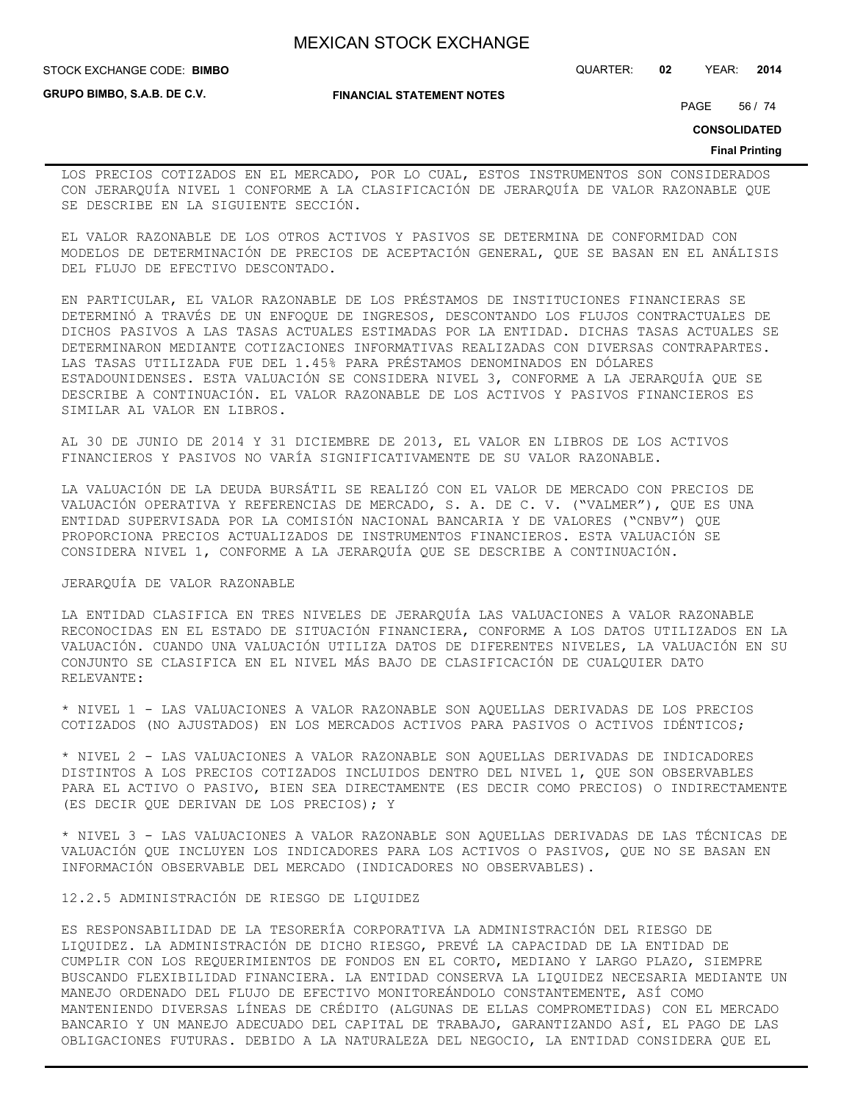**STOCK EXCHANGE CODE: BIMBO** 

**GRUPO BIMBO, S.A.B. DE C.V.**

### **FINANCIAL STATEMENT NOTES**

STOCK EXCHANGE CODE: QUARTER: **02** YEAR: **2014**

PAGE 56 / 74

**CONSOLIDATED**

#### **Final Printing**

LOS PRECIOS COTIZADOS EN EL MERCADO, POR LO CUAL, ESTOS INSTRUMENTOS SON CONSIDERADOS CON JERARQUÍA NIVEL 1 CONFORME A LA CLASIFICACIÓN DE JERARQUÍA DE VALOR RAZONABLE QUE SE DESCRIBE EN LA SIGUIENTE SECCIÓN.

EL VALOR RAZONABLE DE LOS OTROS ACTIVOS Y PASIVOS SE DETERMINA DE CONFORMIDAD CON MODELOS DE DETERMINACIÓN DE PRECIOS DE ACEPTACIÓN GENERAL, QUE SE BASAN EN EL ANÁLISIS DEL FLUJO DE EFECTIVO DESCONTADO.

EN PARTICULAR, EL VALOR RAZONABLE DE LOS PRÉSTAMOS DE INSTITUCIONES FINANCIERAS SE DETERMINÓ A TRAVÉS DE UN ENFOQUE DE INGRESOS, DESCONTANDO LOS FLUJOS CONTRACTUALES DE DICHOS PASIVOS A LAS TASAS ACTUALES ESTIMADAS POR LA ENTIDAD. DICHAS TASAS ACTUALES SE DETERMINARON MEDIANTE COTIZACIONES INFORMATIVAS REALIZADAS CON DIVERSAS CONTRAPARTES. LAS TASAS UTILIZADA FUE DEL 1.45% PARA PRÉSTAMOS DENOMINADOS EN DÓLARES ESTADOUNIDENSES. ESTA VALUACIÓN SE CONSIDERA NIVEL 3, CONFORME A LA JERARQUÍA QUE SE DESCRIBE A CONTINUACIÓN. EL VALOR RAZONABLE DE LOS ACTIVOS Y PASIVOS FINANCIEROS ES SIMILAR AL VALOR EN LIBROS.

AL 30 DE JUNIO DE 2014 Y 31 DICIEMBRE DE 2013, EL VALOR EN LIBROS DE LOS ACTIVOS FINANCIEROS Y PASIVOS NO VARÍA SIGNIFICATIVAMENTE DE SU VALOR RAZONABLE.

LA VALUACIÓN DE LA DEUDA BURSÁTIL SE REALIZÓ CON EL VALOR DE MERCADO CON PRECIOS DE VALUACIÓN OPERATIVA Y REFERENCIAS DE MERCADO, S. A. DE C. V. ("VALMER"), QUE ES UNA ENTIDAD SUPERVISADA POR LA COMISIÓN NACIONAL BANCARIA Y DE VALORES ("CNBV") QUE PROPORCIONA PRECIOS ACTUALIZADOS DE INSTRUMENTOS FINANCIEROS. ESTA VALUACIÓN SE CONSIDERA NIVEL 1, CONFORME A LA JERARQUÍA QUE SE DESCRIBE A CONTINUACIÓN.

## JERARQUÍA DE VALOR RAZONABLE

LA ENTIDAD CLASIFICA EN TRES NIVELES DE JERARQUÍA LAS VALUACIONES A VALOR RAZONABLE RECONOCIDAS EN EL ESTADO DE SITUACIÓN FINANCIERA, CONFORME A LOS DATOS UTILIZADOS EN LA VALUACIÓN. CUANDO UNA VALUACIÓN UTILIZA DATOS DE DIFERENTES NIVELES, LA VALUACIÓN EN SU CONJUNTO SE CLASIFICA EN EL NIVEL MÁS BAJO DE CLASIFICACIÓN DE CUALQUIER DATO RELEVANTE:

\* NIVEL 1 - LAS VALUACIONES A VALOR RAZONABLE SON AQUELLAS DERIVADAS DE LOS PRECIOS COTIZADOS (NO AJUSTADOS) EN LOS MERCADOS ACTIVOS PARA PASIVOS O ACTIVOS IDÉNTICOS;

\* NIVEL 2 - LAS VALUACIONES A VALOR RAZONABLE SON AQUELLAS DERIVADAS DE INDICADORES DISTINTOS A LOS PRECIOS COTIZADOS INCLUIDOS DENTRO DEL NIVEL 1, QUE SON OBSERVABLES PARA EL ACTIVO O PASIVO, BIEN SEA DIRECTAMENTE (ES DECIR COMO PRECIOS) O INDIRECTAMENTE (ES DECIR QUE DERIVAN DE LOS PRECIOS); Y

\* NIVEL 3 - LAS VALUACIONES A VALOR RAZONABLE SON AQUELLAS DERIVADAS DE LAS TÉCNICAS DE VALUACIÓN QUE INCLUYEN LOS INDICADORES PARA LOS ACTIVOS O PASIVOS, QUE NO SE BASAN EN INFORMACIÓN OBSERVABLE DEL MERCADO (INDICADORES NO OBSERVABLES).

## 12.2.5 ADMINISTRACIÓN DE RIESGO DE LIQUIDEZ

ES RESPONSABILIDAD DE LA TESORERÍA CORPORATIVA LA ADMINISTRACIÓN DEL RIESGO DE LIQUIDEZ. LA ADMINISTRACIÓN DE DICHO RIESGO, PREVÉ LA CAPACIDAD DE LA ENTIDAD DE CUMPLIR CON LOS REQUERIMIENTOS DE FONDOS EN EL CORTO, MEDIANO Y LARGO PLAZO, SIEMPRE BUSCANDO FLEXIBILIDAD FINANCIERA. LA ENTIDAD CONSERVA LA LIQUIDEZ NECESARIA MEDIANTE UN MANEJO ORDENADO DEL FLUJO DE EFECTIVO MONITOREÁNDOLO CONSTANTEMENTE, ASÍ COMO MANTENIENDO DIVERSAS LÍNEAS DE CRÉDITO (ALGUNAS DE ELLAS COMPROMETIDAS) CON EL MERCADO BANCARIO Y UN MANEJO ADECUADO DEL CAPITAL DE TRABAJO, GARANTIZANDO ASÍ, EL PAGO DE LAS OBLIGACIONES FUTURAS. DEBIDO A LA NATURALEZA DEL NEGOCIO, LA ENTIDAD CONSIDERA QUE EL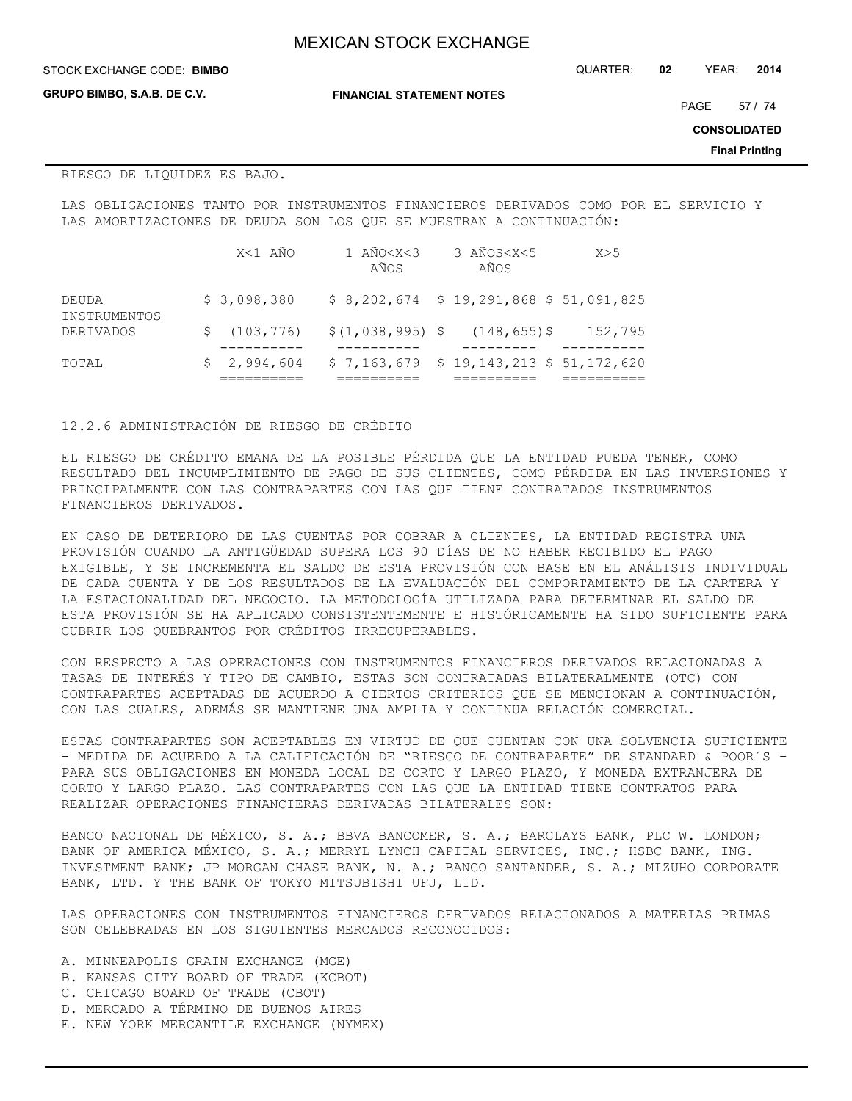**GRUPO BIMBO, S.A.B. DE C.V.**

**FINANCIAL STATEMENT NOTES**

STOCK EXCHANGE CODE: QUARTER: **02** YEAR: **2014 BIMBO**

PAGE 57 / 74

**CONSOLIDATED**

**Final Printing**

## RIESGO DE LIQUIDEZ ES BAJO.

LAS OBLIGACIONES TANTO POR INSTRUMENTOS FINANCIEROS DERIVADOS COMO POR EL SERVICIO Y LAS AMORTIZACIONES DE DEUDA SON LOS QUE SE MUESTRAN A CONTINUACIÓN:

|                                           |    | X<1 AÑO     | 1 $ANO < X < 3$<br>AÑOS                  | 3 AÑOS <x<5<br>AÑOS</x<5<br> | X>5     |
|-------------------------------------------|----|-------------|------------------------------------------|------------------------------|---------|
| DEUDA<br>INSTRUMENTOS<br><b>DERIVADOS</b> |    | \$3,098,380 | $$8,202,674 \$19,291,868 \$51,091,825$   |                              |         |
|                                           | S. | (103, 776)  | $$(1,038,995)$$ \$                       | $(148, 655)$ \$              | 152,795 |
| TOTAL                                     |    | \$2,994,604 | $$7,163,679$ $$19,143,213$ $$51,172,620$ |                              |         |

### 12.2.6 ADMINISTRACIÓN DE RIESGO DE CRÉDITO

EL RIESGO DE CRÉDITO EMANA DE LA POSIBLE PÉRDIDA QUE LA ENTIDAD PUEDA TENER, COMO RESULTADO DEL INCUMPLIMIENTO DE PAGO DE SUS CLIENTES, COMO PÉRDIDA EN LAS INVERSIONES Y PRINCIPALMENTE CON LAS CONTRAPARTES CON LAS QUE TIENE CONTRATADOS INSTRUMENTOS FINANCIEROS DERIVADOS.

EN CASO DE DETERIORO DE LAS CUENTAS POR COBRAR A CLIENTES, LA ENTIDAD REGISTRA UNA PROVISIÓN CUANDO LA ANTIGÜEDAD SUPERA LOS 90 DÍAS DE NO HABER RECIBIDO EL PAGO EXIGIBLE, Y SE INCREMENTA EL SALDO DE ESTA PROVISIÓN CON BASE EN EL ANÁLISIS INDIVIDUAL DE CADA CUENTA Y DE LOS RESULTADOS DE LA EVALUACIÓN DEL COMPORTAMIENTO DE LA CARTERA Y LA ESTACIONALIDAD DEL NEGOCIO. LA METODOLOGÍA UTILIZADA PARA DETERMINAR EL SALDO DE ESTA PROVISIÓN SE HA APLICADO CONSISTENTEMENTE E HISTÓRICAMENTE HA SIDO SUFICIENTE PARA CUBRIR LOS QUEBRANTOS POR CRÉDITOS IRRECUPERABLES.

CON RESPECTO A LAS OPERACIONES CON INSTRUMENTOS FINANCIEROS DERIVADOS RELACIONADAS A TASAS DE INTERÉS Y TIPO DE CAMBIO, ESTAS SON CONTRATADAS BILATERALMENTE (OTC) CON CONTRAPARTES ACEPTADAS DE ACUERDO A CIERTOS CRITERIOS QUE SE MENCIONAN A CONTINUACIÓN, CON LAS CUALES, ADEMÁS SE MANTIENE UNA AMPLIA Y CONTINUA RELACIÓN COMERCIAL.

ESTAS CONTRAPARTES SON ACEPTABLES EN VIRTUD DE QUE CUENTAN CON UNA SOLVENCIA SUFICIENTE - MEDIDA DE ACUERDO A LA CALIFICACIÓN DE "RIESGO DE CONTRAPARTE" DE STANDARD & POOR´S - PARA SUS OBLIGACIONES EN MONEDA LOCAL DE CORTO Y LARGO PLAZO, Y MONEDA EXTRANJERA DE CORTO Y LARGO PLAZO. LAS CONTRAPARTES CON LAS QUE LA ENTIDAD TIENE CONTRATOS PARA REALIZAR OPERACIONES FINANCIERAS DERIVADAS BILATERALES SON:

BANCO NACIONAL DE MÉXICO, S. A.; BBVA BANCOMER, S. A.; BARCLAYS BANK, PLC W. LONDON; BANK OF AMERICA MÉXICO, S. A.; MERRYL LYNCH CAPITAL SERVICES, INC.; HSBC BANK, ING. INVESTMENT BANK; JP MORGAN CHASE BANK, N. A.; BANCO SANTANDER, S. A.; MIZUHO CORPORATE BANK, LTD. Y THE BANK OF TOKYO MITSUBISHI UFJ, LTD.

LAS OPERACIONES CON INSTRUMENTOS FINANCIEROS DERIVADOS RELACIONADOS A MATERIAS PRIMAS SON CELEBRADAS EN LOS SIGUIENTES MERCADOS RECONOCIDOS:

- A. MINNEAPOLIS GRAIN EXCHANGE (MGE)
- B. KANSAS CITY BOARD OF TRADE (KCBOT)
- C. CHICAGO BOARD OF TRADE (CBOT)
- D. MERCADO A TÉRMINO DE BUENOS AIRES
- E. NEW YORK MERCANTILE EXCHANGE (NYMEX)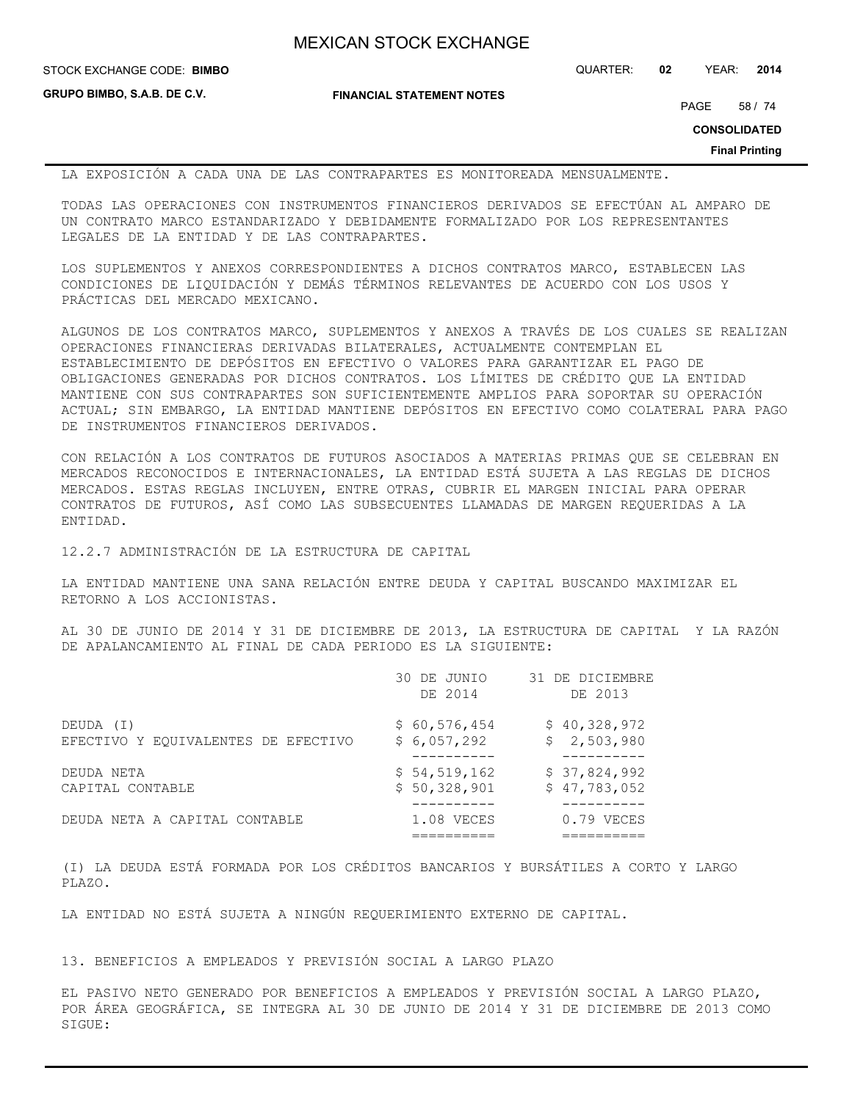**GRUPO BIMBO, S.A.B. DE C.V.**

**FINANCIAL STATEMENT NOTES**

STOCK EXCHANGE CODE: QUARTER: **02** YEAR: **2014 BIMBO**

PAGE 58 / 74

**CONSOLIDATED**

**Final Printing**

LA EXPOSICIÓN A CADA UNA DE LAS CONTRAPARTES ES MONITOREADA MENSUALMENTE.

TODAS LAS OPERACIONES CON INSTRUMENTOS FINANCIEROS DERIVADOS SE EFECTÚAN AL AMPARO DE UN CONTRATO MARCO ESTANDARIZADO Y DEBIDAMENTE FORMALIZADO POR LOS REPRESENTANTES LEGALES DE LA ENTIDAD Y DE LAS CONTRAPARTES.

LOS SUPLEMENTOS Y ANEXOS CORRESPONDIENTES A DICHOS CONTRATOS MARCO, ESTABLECEN LAS CONDICIONES DE LIQUIDACIÓN Y DEMÁS TÉRMINOS RELEVANTES DE ACUERDO CON LOS USOS Y PRÁCTICAS DEL MERCADO MEXICANO.

ALGUNOS DE LOS CONTRATOS MARCO, SUPLEMENTOS Y ANEXOS A TRAVÉS DE LOS CUALES SE REALIZAN OPERACIONES FINANCIERAS DERIVADAS BILATERALES, ACTUALMENTE CONTEMPLAN EL ESTABLECIMIENTO DE DEPÓSITOS EN EFECTIVO O VALORES PARA GARANTIZAR EL PAGO DE OBLIGACIONES GENERADAS POR DICHOS CONTRATOS. LOS LÍMITES DE CRÉDITO QUE LA ENTIDAD MANTIENE CON SUS CONTRAPARTES SON SUFICIENTEMENTE AMPLIOS PARA SOPORTAR SU OPERACIÓN ACTUAL; SIN EMBARGO, LA ENTIDAD MANTIENE DEPÓSITOS EN EFECTIVO COMO COLATERAL PARA PAGO DE INSTRUMENTOS FINANCIEROS DERIVADOS.

CON RELACIÓN A LOS CONTRATOS DE FUTUROS ASOCIADOS A MATERIAS PRIMAS QUE SE CELEBRAN EN MERCADOS RECONOCIDOS E INTERNACIONALES, LA ENTIDAD ESTÁ SUJETA A LAS REGLAS DE DICHOS MERCADOS. ESTAS REGLAS INCLUYEN, ENTRE OTRAS, CUBRIR EL MARGEN INICIAL PARA OPERAR CONTRATOS DE FUTUROS, ASÍ COMO LAS SUBSECUENTES LLAMADAS DE MARGEN REQUERIDAS A LA ENTIDAD.

12.2.7 ADMINISTRACIÓN DE LA ESTRUCTURA DE CAPITAL

LA ENTIDAD MANTIENE UNA SANA RELACIÓN ENTRE DEUDA Y CAPITAL BUSCANDO MAXIMIZAR EL RETORNO A LOS ACCIONISTAS.

AL 30 DE JUNIO DE 2014 Y 31 DE DICIEMBRE DE 2013, LA ESTRUCTURA DE CAPITAL Y LA RAZÓN DE APALANCAMIENTO AL FINAL DE CADA PERIODO ES LA SIGUIENTE:

|                                     | 30 DE JUNIO<br>DE 2014 | 31 DE DICIEMBRE<br>DE 2013 |
|-------------------------------------|------------------------|----------------------------|
| DEUDA (I)                           | \$60,576,454           | \$40,328,972               |
| EFECTIVO Y EQUIVALENTES DE EFECTIVO | \$6,057,292            | \$2,503,980                |
| DEUDA NETA                          | \$54,519,162           | \$37,824,992               |
| CAPITAL CONTABLE                    | \$50,328,901           | \$47,783,052               |
| DEUDA NETA A CAPITAL CONTABLE       | 1.08 VECES             | 0.79 VECES                 |

(I) LA DEUDA ESTÁ FORMADA POR LOS CRÉDITOS BANCARIOS Y BURSÁTILES A CORTO Y LARGO PLAZO.

LA ENTIDAD NO ESTÁ SUJETA A NINGÚN REQUERIMIENTO EXTERNO DE CAPITAL.

13. BENEFICIOS A EMPLEADOS Y PREVISIÓN SOCIAL A LARGO PLAZO

EL PASIVO NETO GENERADO POR BENEFICIOS A EMPLEADOS Y PREVISIÓN SOCIAL A LARGO PLAZO, POR ÁREA GEOGRÁFICA, SE INTEGRA AL 30 DE JUNIO DE 2014 Y 31 DE DICIEMBRE DE 2013 COMO SIGUE: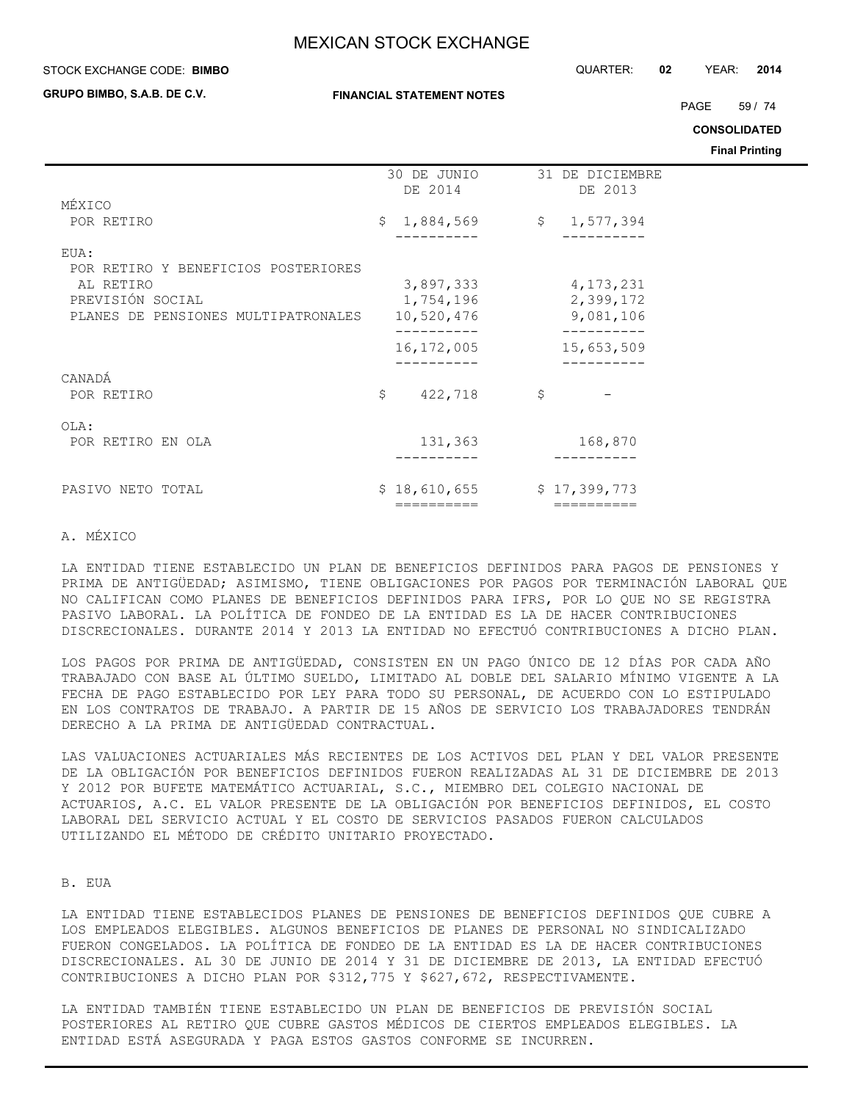#### STOCK EXCHANGE CODE: QUARTER: **02** YEAR: **2014 BIMBO**

**GRUPO BIMBO, S.A.B. DE C.V.**

PAGE 59 / 74

**CONSOLIDATED**

**Final Printing**

|                                             | 30 DE JUNIO<br>DE 2014 | 31 DE DICIEMBRE<br>DE 2013 |  |
|---------------------------------------------|------------------------|----------------------------|--|
| MÉXICO                                      |                        |                            |  |
| POR RETIRO                                  | \$<br>1,884,569        | \$1,577,394                |  |
|                                             |                        |                            |  |
| EUA:<br>POR RETIRO Y BENEFICIOS POSTERIORES |                        |                            |  |
| AL RETIRO                                   | 3,897,333              | 4, 173, 231                |  |
| PREVISIÓN SOCIAL                            | 1,754,196              | 2,399,172                  |  |
| PLANES DE PENSIONES MULTIPATRONALES         | 10,520,476             | 9,081,106                  |  |
|                                             |                        |                            |  |
|                                             | 16,172,005             | 15,653,509                 |  |
| CANADÁ                                      |                        |                            |  |
| POR RETIRO                                  | \$<br>422,718          | \$                         |  |
|                                             |                        |                            |  |
| OLA:                                        |                        |                            |  |
| POR RETIRO EN OLA                           | 131,363                | 168,870                    |  |
|                                             |                        |                            |  |
|                                             |                        |                            |  |
| PASIVO NETO TOTAL                           | \$18,610,655           | \$17,399,773               |  |
|                                             | ==========             | ==========                 |  |

### A. MÉXICO

LA ENTIDAD TIENE ESTABLECIDO UN PLAN DE BENEFICIOS DEFINIDOS PARA PAGOS DE PENSIONES Y PRIMA DE ANTIGÜEDAD; ASIMISMO, TIENE OBLIGACIONES POR PAGOS POR TERMINACIÓN LABORAL QUE NO CALIFICAN COMO PLANES DE BENEFICIOS DEFINIDOS PARA IFRS, POR LO QUE NO SE REGISTRA PASIVO LABORAL. LA POLÍTICA DE FONDEO DE LA ENTIDAD ES LA DE HACER CONTRIBUCIONES DISCRECIONALES. DURANTE 2014 Y 2013 LA ENTIDAD NO EFECTUÓ CONTRIBUCIONES A DICHO PLAN.

LOS PAGOS POR PRIMA DE ANTIGÜEDAD, CONSISTEN EN UN PAGO ÚNICO DE 12 DÍAS POR CADA AÑO TRABAJADO CON BASE AL ÚLTIMO SUELDO, LIMITADO AL DOBLE DEL SALARIO MÍNIMO VIGENTE A LA FECHA DE PAGO ESTABLECIDO POR LEY PARA TODO SU PERSONAL, DE ACUERDO CON LO ESTIPULADO EN LOS CONTRATOS DE TRABAJO. A PARTIR DE 15 AÑOS DE SERVICIO LOS TRABAJADORES TENDRÁN DERECHO A LA PRIMA DE ANTIGÜEDAD CONTRACTUAL.

LAS VALUACIONES ACTUARIALES MÁS RECIENTES DE LOS ACTIVOS DEL PLAN Y DEL VALOR PRESENTE DE LA OBLIGACIÓN POR BENEFICIOS DEFINIDOS FUERON REALIZADAS AL 31 DE DICIEMBRE DE 2013 Y 2012 POR BUFETE MATEMÁTICO ACTUARIAL, S.C., MIEMBRO DEL COLEGIO NACIONAL DE ACTUARIOS, A.C. EL VALOR PRESENTE DE LA OBLIGACIÓN POR BENEFICIOS DEFINIDOS, EL COSTO LABORAL DEL SERVICIO ACTUAL Y EL COSTO DE SERVICIOS PASADOS FUERON CALCULADOS UTILIZANDO EL MÉTODO DE CRÉDITO UNITARIO PROYECTADO.

### B. EUA

LA ENTIDAD TIENE ESTABLECIDOS PLANES DE PENSIONES DE BENEFICIOS DEFINIDOS QUE CUBRE A LOS EMPLEADOS ELEGIBLES. ALGUNOS BENEFICIOS DE PLANES DE PERSONAL NO SINDICALIZADO FUERON CONGELADOS. LA POLÍTICA DE FONDEO DE LA ENTIDAD ES LA DE HACER CONTRIBUCIONES DISCRECIONALES. AL 30 DE JUNIO DE 2014 Y 31 DE DICIEMBRE DE 2013, LA ENTIDAD EFECTUÓ CONTRIBUCIONES A DICHO PLAN POR \$312,775 Y \$627,672, RESPECTIVAMENTE.

LA ENTIDAD TAMBIÉN TIENE ESTABLECIDO UN PLAN DE BENEFICIOS DE PREVISIÓN SOCIAL POSTERIORES AL RETIRO QUE CUBRE GASTOS MÉDICOS DE CIERTOS EMPLEADOS ELEGIBLES. LA ENTIDAD ESTÁ ASEGURADA Y PAGA ESTOS GASTOS CONFORME SE INCURREN.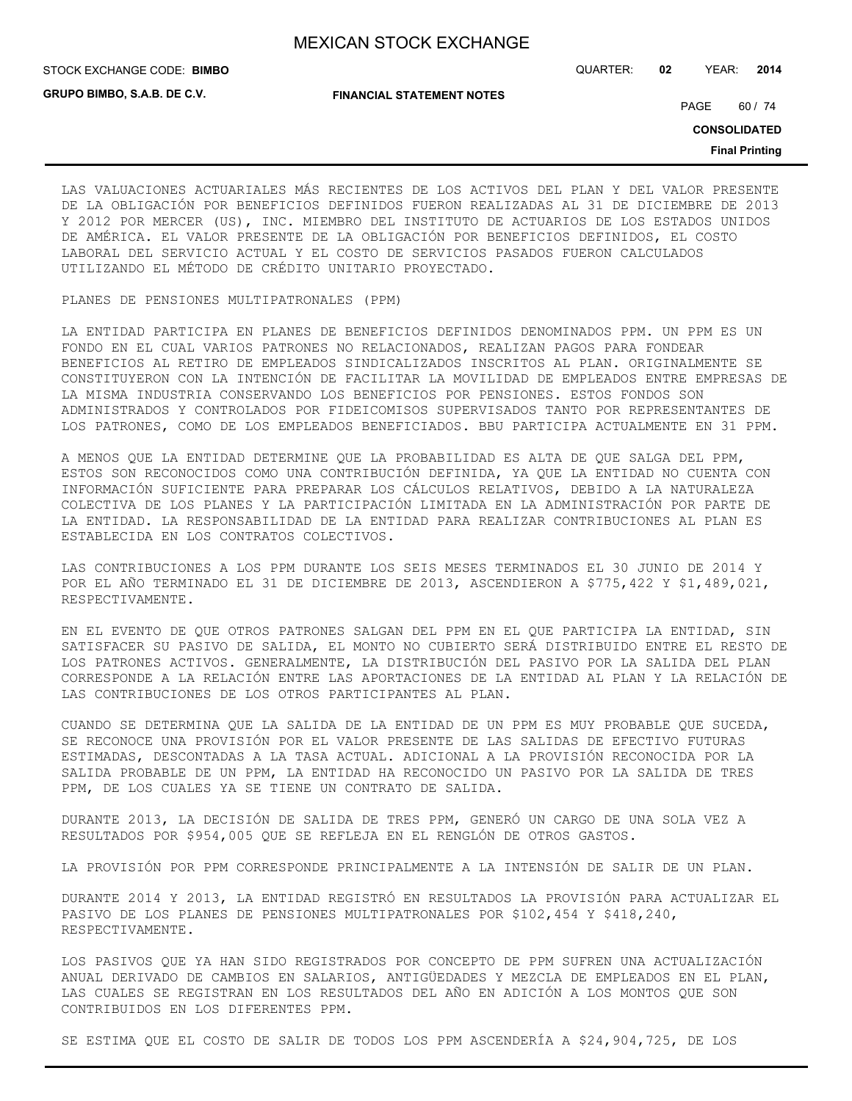**GRUPO BIMBO, S.A.B. DE C.V.**

STOCK EXCHANGE CODE: QUARTER: **02** YEAR: **2014 BIMBO**

**FINANCIAL STATEMENT NOTES**

PAGE 60 / 74

**CONSOLIDATED**

**Final Printing**

LAS VALUACIONES ACTUARIALES MÁS RECIENTES DE LOS ACTIVOS DEL PLAN Y DEL VALOR PRESENTE DE LA OBLIGACIÓN POR BENEFICIOS DEFINIDOS FUERON REALIZADAS AL 31 DE DICIEMBRE DE 2013 Y 2012 POR MERCER (US), INC. MIEMBRO DEL INSTITUTO DE ACTUARIOS DE LOS ESTADOS UNIDOS DE AMÉRICA. EL VALOR PRESENTE DE LA OBLIGACIÓN POR BENEFICIOS DEFINIDOS, EL COSTO LABORAL DEL SERVICIO ACTUAL Y EL COSTO DE SERVICIOS PASADOS FUERON CALCULADOS UTILIZANDO EL MÉTODO DE CRÉDITO UNITARIO PROYECTADO.

#### PLANES DE PENSIONES MULTIPATRONALES (PPM)

LA ENTIDAD PARTICIPA EN PLANES DE BENEFICIOS DEFINIDOS DENOMINADOS PPM. UN PPM ES UN FONDO EN EL CUAL VARIOS PATRONES NO RELACIONADOS, REALIZAN PAGOS PARA FONDEAR BENEFICIOS AL RETIRO DE EMPLEADOS SINDICALIZADOS INSCRITOS AL PLAN. ORIGINALMENTE SE CONSTITUYERON CON LA INTENCIÓN DE FACILITAR LA MOVILIDAD DE EMPLEADOS ENTRE EMPRESAS DE LA MISMA INDUSTRIA CONSERVANDO LOS BENEFICIOS POR PENSIONES. ESTOS FONDOS SON ADMINISTRADOS Y CONTROLADOS POR FIDEICOMISOS SUPERVISADOS TANTO POR REPRESENTANTES DE LOS PATRONES, COMO DE LOS EMPLEADOS BENEFICIADOS. BBU PARTICIPA ACTUALMENTE EN 31 PPM.

A MENOS QUE LA ENTIDAD DETERMINE QUE LA PROBABILIDAD ES ALTA DE QUE SALGA DEL PPM, ESTOS SON RECONOCIDOS COMO UNA CONTRIBUCIÓN DEFINIDA, YA QUE LA ENTIDAD NO CUENTA CON INFORMACIÓN SUFICIENTE PARA PREPARAR LOS CÁLCULOS RELATIVOS, DEBIDO A LA NATURALEZA COLECTIVA DE LOS PLANES Y LA PARTICIPACIÓN LIMITADA EN LA ADMINISTRACIÓN POR PARTE DE LA ENTIDAD. LA RESPONSABILIDAD DE LA ENTIDAD PARA REALIZAR CONTRIBUCIONES AL PLAN ES ESTABLECIDA EN LOS CONTRATOS COLECTIVOS.

LAS CONTRIBUCIONES A LOS PPM DURANTE LOS SEIS MESES TERMINADOS EL 30 JUNIO DE 2014 Y POR EL AÑO TERMINADO EL 31 DE DICIEMBRE DE 2013, ASCENDIERON A \$775,422 Y \$1,489,021, RESPECTIVAMENTE.

EN EL EVENTO DE QUE OTROS PATRONES SALGAN DEL PPM EN EL QUE PARTICIPA LA ENTIDAD, SIN SATISFACER SU PASIVO DE SALIDA, EL MONTO NO CUBIERTO SERÁ DISTRIBUIDO ENTRE EL RESTO DE LOS PATRONES ACTIVOS. GENERALMENTE, LA DISTRIBUCIÓN DEL PASIVO POR LA SALIDA DEL PLAN CORRESPONDE A LA RELACIÓN ENTRE LAS APORTACIONES DE LA ENTIDAD AL PLAN Y LA RELACIÓN DE LAS CONTRIBUCIONES DE LOS OTROS PARTICIPANTES AL PLAN.

CUANDO SE DETERMINA QUE LA SALIDA DE LA ENTIDAD DE UN PPM ES MUY PROBABLE QUE SUCEDA, SE RECONOCE UNA PROVISIÓN POR EL VALOR PRESENTE DE LAS SALIDAS DE EFECTIVO FUTURAS ESTIMADAS, DESCONTADAS A LA TASA ACTUAL. ADICIONAL A LA PROVISIÓN RECONOCIDA POR LA SALIDA PROBABLE DE UN PPM, LA ENTIDAD HA RECONOCIDO UN PASIVO POR LA SALIDA DE TRES PPM, DE LOS CUALES YA SE TIENE UN CONTRATO DE SALIDA.

DURANTE 2013, LA DECISIÓN DE SALIDA DE TRES PPM, GENERÓ UN CARGO DE UNA SOLA VEZ A RESULTADOS POR \$954,005 QUE SE REFLEJA EN EL RENGLÓN DE OTROS GASTOS.

LA PROVISIÓN POR PPM CORRESPONDE PRINCIPALMENTE A LA INTENSIÓN DE SALIR DE UN PLAN.

DURANTE 2014 Y 2013, LA ENTIDAD REGISTRÓ EN RESULTADOS LA PROVISIÓN PARA ACTUALIZAR EL PASIVO DE LOS PLANES DE PENSIONES MULTIPATRONALES POR \$102,454 Y \$418,240, RESPECTIVAMENTE.

LOS PASIVOS QUE YA HAN SIDO REGISTRADOS POR CONCEPTO DE PPM SUFREN UNA ACTUALIZACIÓN ANUAL DERIVADO DE CAMBIOS EN SALARIOS, ANTIGÜEDADES Y MEZCLA DE EMPLEADOS EN EL PLAN, LAS CUALES SE REGISTRAN EN LOS RESULTADOS DEL AÑO EN ADICIÓN A LOS MONTOS QUE SON CONTRIBUIDOS EN LOS DIFERENTES PPM.

SE ESTIMA QUE EL COSTO DE SALIR DE TODOS LOS PPM ASCENDERÍA A \$24,904,725, DE LOS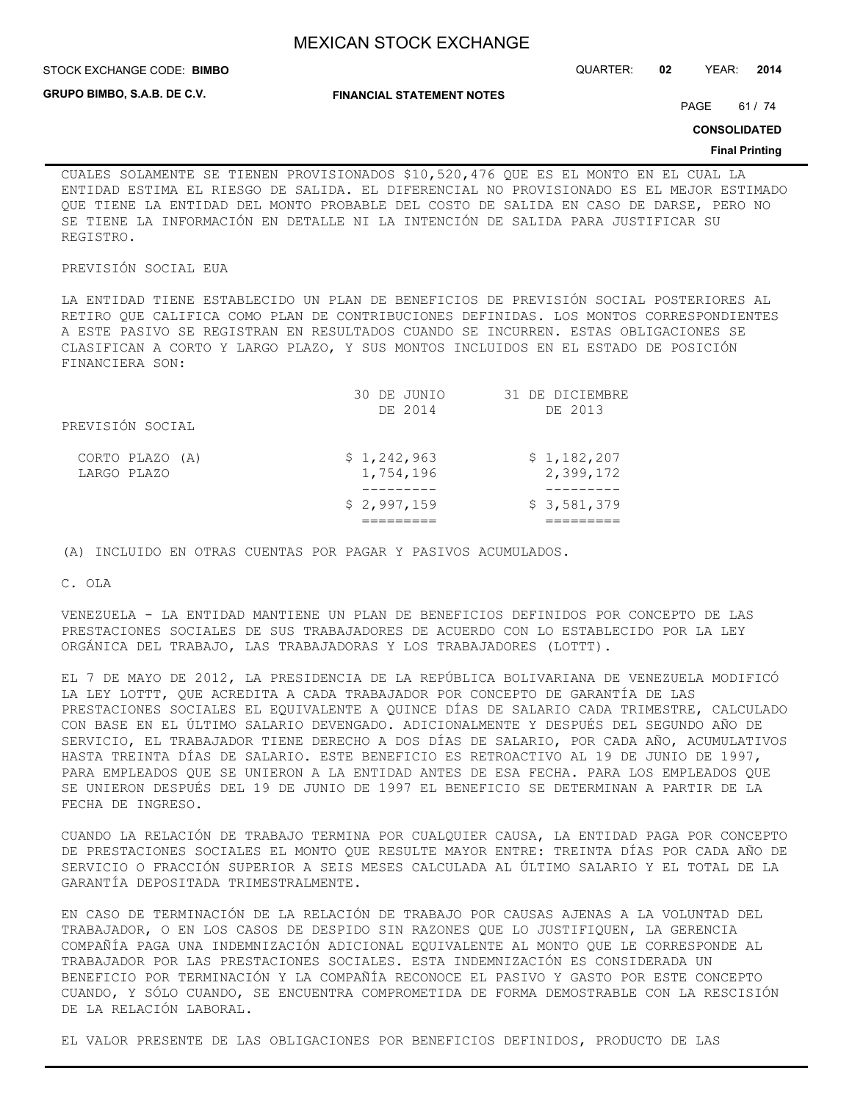STOCK EXCHANGE CODE: QUARTER: **02** YEAR: **2014 BIMBO**

**GRUPO BIMBO, S.A.B. DE C.V.**

**FINANCIAL STATEMENT NOTES**

PAGE 61 / 74

**CONSOLIDATED**

#### **Final Printing**

CUALES SOLAMENTE SE TIENEN PROVISIONADOS \$10,520,476 QUE ES EL MONTO EN EL CUAL LA ENTIDAD ESTIMA EL RIESGO DE SALIDA. EL DIFERENCIAL NO PROVISIONADO ES EL MEJOR ESTIMADO QUE TIENE LA ENTIDAD DEL MONTO PROBABLE DEL COSTO DE SALIDA EN CASO DE DARSE, PERO NO SE TIENE LA INFORMACIÓN EN DETALLE NI LA INTENCIÓN DE SALIDA PARA JUSTIFICAR SU REGISTRO.

### PREVISIÓN SOCIAL EUA

LA ENTIDAD TIENE ESTABLECIDO UN PLAN DE BENEFICIOS DE PREVISIÓN SOCIAL POSTERIORES AL RETIRO QUE CALIFICA COMO PLAN DE CONTRIBUCIONES DEFINIDAS. LOS MONTOS CORRESPONDIENTES A ESTE PASIVO SE REGISTRAN EN RESULTADOS CUANDO SE INCURREN. ESTAS OBLIGACIONES SE CLASIFICAN A CORTO Y LARGO PLAZO, Y SUS MONTOS INCLUIDOS EN EL ESTADO DE POSICIÓN FINANCIERA SON:

|                                | 30 DE JUNIO<br>DE 2014   | 31 DE DICIEMBRE<br>DE 2013 |
|--------------------------------|--------------------------|----------------------------|
| PREVISIÓN SOCIAL               |                          |                            |
| CORTO PLAZO (A)<br>LARGO PLAZO | \$1,242,963<br>1,754,196 | \$1,182,207<br>2,399,172   |
|                                | \$2,997,159              | \$3,581,379                |

(A) INCLUIDO EN OTRAS CUENTAS POR PAGAR Y PASIVOS ACUMULADOS.

C. OLA

VENEZUELA - LA ENTIDAD MANTIENE UN PLAN DE BENEFICIOS DEFINIDOS POR CONCEPTO DE LAS PRESTACIONES SOCIALES DE SUS TRABAJADORES DE ACUERDO CON LO ESTABLECIDO POR LA LEY ORGÁNICA DEL TRABAJO, LAS TRABAJADORAS Y LOS TRABAJADORES (LOTTT).

EL 7 DE MAYO DE 2012, LA PRESIDENCIA DE LA REPÚBLICA BOLIVARIANA DE VENEZUELA MODIFICÓ LA LEY LOTTT, QUE ACREDITA A CADA TRABAJADOR POR CONCEPTO DE GARANTÍA DE LAS PRESTACIONES SOCIALES EL EQUIVALENTE A QUINCE DÍAS DE SALARIO CADA TRIMESTRE, CALCULADO CON BASE EN EL ÚLTIMO SALARIO DEVENGADO. ADICIONALMENTE Y DESPUÉS DEL SEGUNDO AÑO DE SERVICIO, EL TRABAJADOR TIENE DERECHO A DOS DÍAS DE SALARIO, POR CADA AÑO, ACUMULATIVOS HASTA TREINTA DÍAS DE SALARIO. ESTE BENEFICIO ES RETROACTIVO AL 19 DE JUNIO DE 1997, PARA EMPLEADOS QUE SE UNIERON A LA ENTIDAD ANTES DE ESA FECHA. PARA LOS EMPLEADOS QUE SE UNIERON DESPUÉS DEL 19 DE JUNIO DE 1997 EL BENEFICIO SE DETERMINAN A PARTIR DE LA FECHA DE INGRESO.

CUANDO LA RELACIÓN DE TRABAJO TERMINA POR CUALQUIER CAUSA, LA ENTIDAD PAGA POR CONCEPTO DE PRESTACIONES SOCIALES EL MONTO QUE RESULTE MAYOR ENTRE: TREINTA DÍAS POR CADA AÑO DE SERVICIO O FRACCIÓN SUPERIOR A SEIS MESES CALCULADA AL ÚLTIMO SALARIO Y EL TOTAL DE LA GARANTÍA DEPOSITADA TRIMESTRALMENTE.

EN CASO DE TERMINACIÓN DE LA RELACIÓN DE TRABAJO POR CAUSAS AJENAS A LA VOLUNTAD DEL TRABAJADOR, O EN LOS CASOS DE DESPIDO SIN RAZONES QUE LO JUSTIFIQUEN, LA GERENCIA COMPAÑÍA PAGA UNA INDEMNIZACIÓN ADICIONAL EQUIVALENTE AL MONTO QUE LE CORRESPONDE AL TRABAJADOR POR LAS PRESTACIONES SOCIALES. ESTA INDEMNIZACIÓN ES CONSIDERADA UN BENEFICIO POR TERMINACIÓN Y LA COMPAÑÍA RECONOCE EL PASIVO Y GASTO POR ESTE CONCEPTO CUANDO, Y SÓLO CUANDO, SE ENCUENTRA COMPROMETIDA DE FORMA DEMOSTRABLE CON LA RESCISIÓN DE LA RELACIÓN LABORAL.

EL VALOR PRESENTE DE LAS OBLIGACIONES POR BENEFICIOS DEFINIDOS, PRODUCTO DE LAS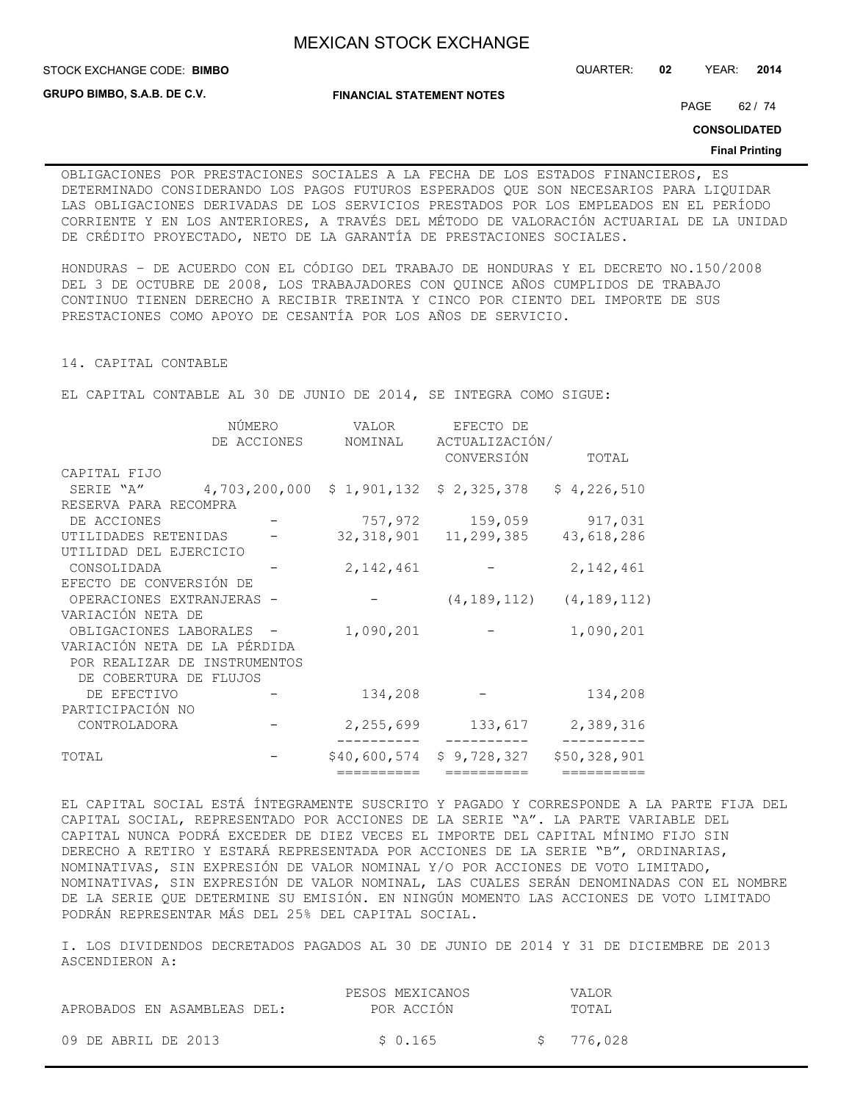STOCK EXCHANGE CODE: QUARTER: **02** YEAR: **2014 BIMBO**

**GRUPO BIMBO, S.A.B. DE C.V.**

**FINANCIAL STATEMENT NOTES**

PAGE 62 / 74

**CONSOLIDATED**

#### **Final Printing**

OBLIGACIONES POR PRESTACIONES SOCIALES A LA FECHA DE LOS ESTADOS FINANCIEROS, ES DETERMINADO CONSIDERANDO LOS PAGOS FUTUROS ESPERADOS QUE SON NECESARIOS PARA LIQUIDAR LAS OBLIGACIONES DERIVADAS DE LOS SERVICIOS PRESTADOS POR LOS EMPLEADOS EN EL PERÍODO CORRIENTE Y EN LOS ANTERIORES, A TRAVÉS DEL MÉTODO DE VALORACIÓN ACTUARIAL DE LA UNIDAD DE CRÉDITO PROYECTADO, NETO DE LA GARANTÍA DE PRESTACIONES SOCIALES.

HONDURAS – DE ACUERDO CON EL CÓDIGO DEL TRABAJO DE HONDURAS Y EL DECRETO NO.150/2008 DEL 3 DE OCTUBRE DE 2008, LOS TRABAJADORES CON QUINCE AÑOS CUMPLIDOS DE TRABAJO CONTINUO TIENEN DERECHO A RECIBIR TREINTA Y CINCO POR CIENTO DEL IMPORTE DE SUS PRESTACIONES COMO APOYO DE CESANTÍA POR LOS AÑOS DE SERVICIO.

#### 14. CAPITAL CONTABLE

EL CAPITAL CONTABLE AL 30 DE JUNIO DE 2014, SE INTEGRA COMO SIGUE:

|                              | NUMERO        | VALOR        | EFECTO DE                 |                                 |
|------------------------------|---------------|--------------|---------------------------|---------------------------------|
|                              | DE ACCIONES   | NOMINAL      | ACTUALIZACIÓN/            |                                 |
|                              |               |              | CONVERSIÓN                | TOTAL                           |
| CAPITAL FIJO                 |               |              |                           |                                 |
| SERIE "A"                    | 4,703,200,000 |              | $$1,901,132$ $$2,325,378$ | \$4,226,510                     |
| RESERVA PARA RECOMPRA        |               |              |                           |                                 |
| DE ACCIONES                  |               |              | 757,972 159,059           | 917,031                         |
| UTILIDADES RETENIDAS         |               |              | 32, 318, 901 11, 299, 385 | 43,618,286                      |
| UTILIDAD DEL EJERCICIO       |               |              |                           |                                 |
| CONSOLIDADA                  |               | 2, 142, 461  |                           | 2, 142, 461                     |
| EFECTO DE CONVERSIÓN DE      |               |              |                           |                                 |
| OPERACIONES EXTRANJERAS -    |               |              |                           | $(4, 189, 112)$ $(4, 189, 112)$ |
| VARIACIÓN NETA DE            |               |              |                           |                                 |
| OBLIGACIONES LABORALES -     |               | 1,090,201    |                           | 1,090,201                       |
| VARIACIÓN NETA DE LA PÉRDIDA |               |              |                           |                                 |
| POR REALIZAR DE INSTRUMENTOS |               |              |                           |                                 |
| DE COBERTURA DE FLUJOS       |               |              |                           |                                 |
| DE EFECTIVO                  |               | 134,208      |                           | 134,208                         |
| PARTICIPACIÓN NO             |               |              |                           |                                 |
| CONTROLADORA                 |               | 2,255,699    | 133,617                   | 2,389,316                       |
| TOTAL                        |               | \$40,600,574 | \$9,728,327               | \$50,328,901                    |
|                              |               | ==========   | ==========                | ==========                      |

EL CAPITAL SOCIAL ESTÁ ÍNTEGRAMENTE SUSCRITO Y PAGADO Y CORRESPONDE A LA PARTE FIJA DEL CAPITAL SOCIAL, REPRESENTADO POR ACCIONES DE LA SERIE "A". LA PARTE VARIABLE DEL CAPITAL NUNCA PODRÁ EXCEDER DE DIEZ VECES EL IMPORTE DEL CAPITAL MÍNIMO FIJO SIN DERECHO A RETIRO Y ESTARÁ REPRESENTADA POR ACCIONES DE LA SERIE "B", ORDINARIAS, NOMINATIVAS, SIN EXPRESIÓN DE VALOR NOMINAL Y/O POR ACCIONES DE VOTO LIMITADO, NOMINATIVAS, SIN EXPRESIÓN DE VALOR NOMINAL, LAS CUALES SERÁN DENOMINADAS CON EL NOMBRE DE LA SERIE QUE DETERMINE SU EMISIÓN. EN NINGÚN MOMENTO LAS ACCIONES DE VOTO LIMITADO PODRÁN REPRESENTAR MÁS DEL 25% DEL CAPITAL SOCIAL.

I. LOS DIVIDENDOS DECRETADOS PAGADOS AL 30 DE JUNIO DE 2014 Y 31 DE DICIEMBRE DE 2013 ASCENDIERON A:

|                             | PESOS MEXICANOS | VALOR     |
|-----------------------------|-----------------|-----------|
| APROBADOS EN ASAMBLEAS DEL: | POR ACCIÓN      | TOTAI.    |
|                             |                 |           |
| 09 DE ABRIL DE 2013         | \$ 0.165        | \$776,028 |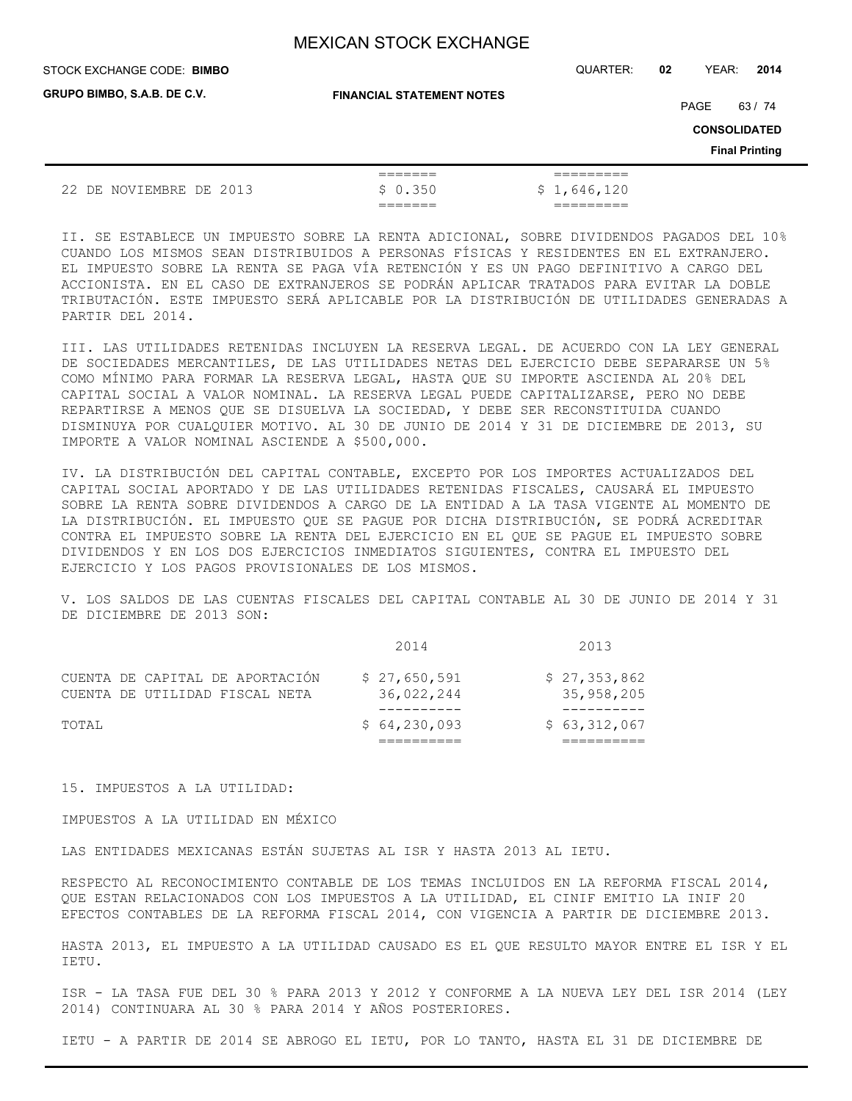STOCK EXCHANGE CODE: QUARTER: **02** YEAR: **2014 BIMBO**

**FINANCIAL STATEMENT NOTES**

PAGE 63 / 74

**CONSOLIDATED**

**Final Printing**

|                          |         | _______<br>_______   | _________<br>_________           |
|--------------------------|---------|----------------------|----------------------------------|
| 22<br>NOVIEMBRE I<br>DЕ. | DE 2013 | 0.350<br>$\sim$<br>╰ | S i<br>646.1<br>120<br><b>TP</b> |
|                          |         | _______<br>_______   | _________<br>_________           |

II. SE ESTABLECE UN IMPUESTO SOBRE LA RENTA ADICIONAL, SOBRE DIVIDENDOS PAGADOS DEL 10% CUANDO LOS MISMOS SEAN DISTRIBUIDOS A PERSONAS FÍSICAS Y RESIDENTES EN EL EXTRANJERO. EL IMPUESTO SOBRE LA RENTA SE PAGA VÍA RETENCIÓN Y ES UN PAGO DEFINITIVO A CARGO DEL ACCIONISTA. EN EL CASO DE EXTRANJEROS SE PODRÁN APLICAR TRATADOS PARA EVITAR LA DOBLE TRIBUTACIÓN. ESTE IMPUESTO SERÁ APLICABLE POR LA DISTRIBUCIÓN DE UTILIDADES GENERADAS A PARTIR DEL 2014.

III. LAS UTILIDADES RETENIDAS INCLUYEN LA RESERVA LEGAL. DE ACUERDO CON LA LEY GENERAL DE SOCIEDADES MERCANTILES, DE LAS UTILIDADES NETAS DEL EJERCICIO DEBE SEPARARSE UN 5% COMO MÍNIMO PARA FORMAR LA RESERVA LEGAL, HASTA QUE SU IMPORTE ASCIENDA AL 20% DEL CAPITAL SOCIAL A VALOR NOMINAL. LA RESERVA LEGAL PUEDE CAPITALIZARSE, PERO NO DEBE REPARTIRSE A MENOS QUE SE DISUELVA LA SOCIEDAD, Y DEBE SER RECONSTITUIDA CUANDO DISMINUYA POR CUALQUIER MOTIVO. AL 30 DE JUNIO DE 2014 Y 31 DE DICIEMBRE DE 2013, SU IMPORTE A VALOR NOMINAL ASCIENDE A \$500,000.

IV. LA DISTRIBUCIÓN DEL CAPITAL CONTABLE, EXCEPTO POR LOS IMPORTES ACTUALIZADOS DEL CAPITAL SOCIAL APORTADO Y DE LAS UTILIDADES RETENIDAS FISCALES, CAUSARÁ EL IMPUESTO SOBRE LA RENTA SOBRE DIVIDENDOS A CARGO DE LA ENTIDAD A LA TASA VIGENTE AL MOMENTO DE LA DISTRIBUCIÓN. EL IMPUESTO QUE SE PAGUE POR DICHA DISTRIBUCIÓN, SE PODRÁ ACREDITAR CONTRA EL IMPUESTO SOBRE LA RENTA DEL EJERCICIO EN EL QUE SE PAGUE EL IMPUESTO SOBRE DIVIDENDOS Y EN LOS DOS EJERCICIOS INMEDIATOS SIGUIENTES, CONTRA EL IMPUESTO DEL EJERCICIO Y LOS PAGOS PROVISIONALES DE LOS MISMOS.

V. LOS SALDOS DE LAS CUENTAS FISCALES DEL CAPITAL CONTABLE AL 30 DE JUNIO DE 2014 Y 31 DE DICIEMBRE DE 2013 SON:

| TOTAL |                                                                   | \$64,230,093               | \$63,312,067               |
|-------|-------------------------------------------------------------------|----------------------------|----------------------------|
|       | CUENTA DE CAPITAL DE APORTACIÓN<br>CUENTA DE UTILIDAD FISCAL NETA | \$27,650,591<br>36,022,244 | \$27,353,862<br>35,958,205 |
|       |                                                                   | 2014                       | 2013                       |

15. IMPUESTOS A LA UTILIDAD:

IMPUESTOS A LA UTILIDAD EN MÉXICO

LAS ENTIDADES MEXICANAS ESTÁN SUJETAS AL ISR Y HASTA 2013 AL IETU.

RESPECTO AL RECONOCIMIENTO CONTABLE DE LOS TEMAS INCLUIDOS EN LA REFORMA FISCAL 2014, QUE ESTAN RELACIONADOS CON LOS IMPUESTOS A LA UTILIDAD, EL CINIF EMITIO LA INIF 20 EFECTOS CONTABLES DE LA REFORMA FISCAL 2014, CON VIGENCIA A PARTIR DE DICIEMBRE 2013.

HASTA 2013, EL IMPUESTO A LA UTILIDAD CAUSADO ES EL QUE RESULTO MAYOR ENTRE EL ISR Y EL IETU.

ISR - LA TASA FUE DEL 30 % PARA 2013 Y 2012 Y CONFORME A LA NUEVA LEY DEL ISR 2014 (LEY 2014) CONTINUARA AL 30 % PARA 2014 Y AÑOS POSTERIORES.

IETU - A PARTIR DE 2014 SE ABROGO EL IETU, POR LO TANTO, HASTA EL 31 DE DICIEMBRE DE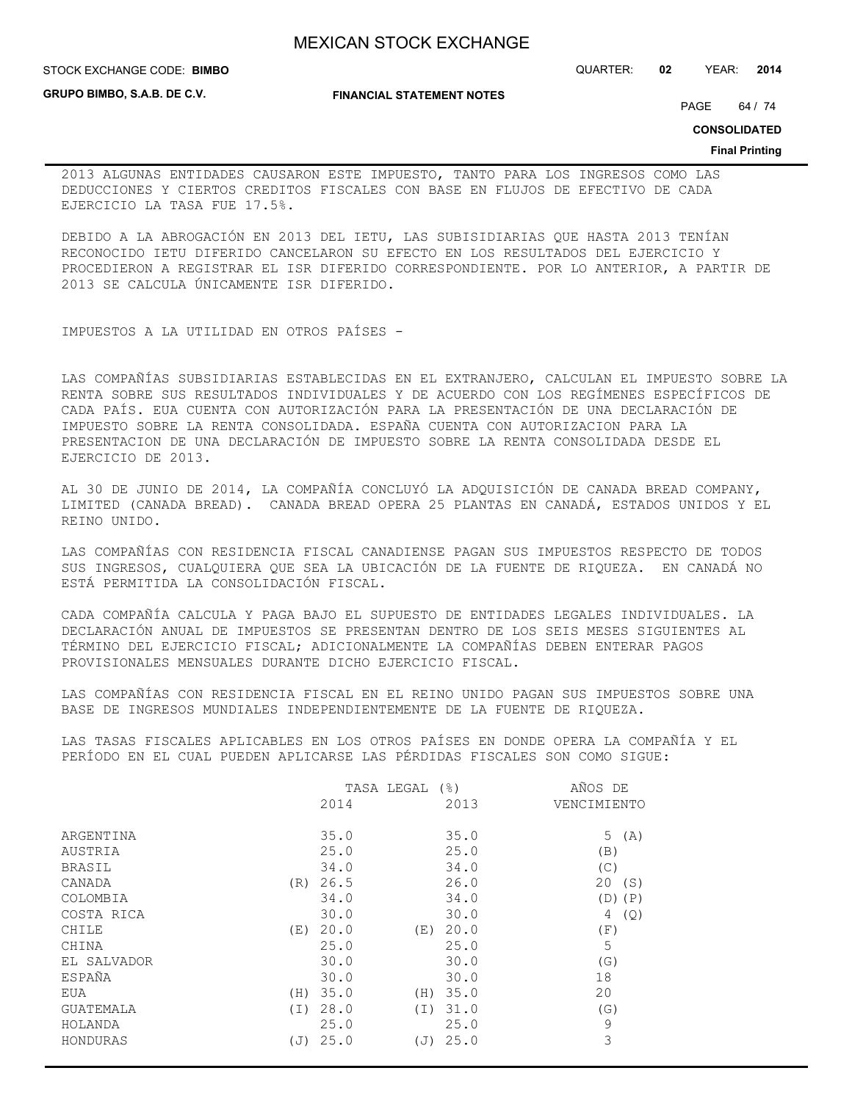**STOCK EXCHANGE CODE: BIMBO** 

**GRUPO BIMBO, S.A.B. DE C.V.**

**FINANCIAL STATEMENT NOTES**

STOCK EXCHANGE CODE: QUARTER: **02** YEAR: **2014**

PAGE 64 / 74

**CONSOLIDATED**

**Final Printing**

2013 ALGUNAS ENTIDADES CAUSARON ESTE IMPUESTO, TANTO PARA LOS INGRESOS COMO LAS DEDUCCIONES Y CIERTOS CREDITOS FISCALES CON BASE EN FLUJOS DE EFECTIVO DE CADA EJERCICIO LA TASA FUE 17.5%.

DEBIDO A LA ABROGACIÓN EN 2013 DEL IETU, LAS SUBISIDIARIAS QUE HASTA 2013 TENÍAN RECONOCIDO IETU DIFERIDO CANCELARON SU EFECTO EN LOS RESULTADOS DEL EJERCICIO Y PROCEDIERON A REGISTRAR EL ISR DIFERIDO CORRESPONDIENTE. POR LO ANTERIOR, A PARTIR DE 2013 SE CALCULA ÚNICAMENTE ISR DIFERIDO.

IMPUESTOS A LA UTILIDAD EN OTROS PAÍSES -

LAS COMPAÑÍAS SUBSIDIARIAS ESTABLECIDAS EN EL EXTRANJERO, CALCULAN EL IMPUESTO SOBRE LA RENTA SOBRE SUS RESULTADOS INDIVIDUALES Y DE ACUERDO CON LOS REGÍMENES ESPECÍFICOS DE CADA PAÍS. EUA CUENTA CON AUTORIZACIÓN PARA LA PRESENTACIÓN DE UNA DECLARACIÓN DE IMPUESTO SOBRE LA RENTA CONSOLIDADA. ESPAÑA CUENTA CON AUTORIZACION PARA LA PRESENTACION DE UNA DECLARACIÓN DE IMPUESTO SOBRE LA RENTA CONSOLIDADA DESDE EL EJERCICIO DE 2013.

AL 30 DE JUNIO DE 2014, LA COMPAÑÍA CONCLUYÓ LA ADQUISICIÓN DE CANADA BREAD COMPANY, LIMITED (CANADA BREAD). CANADA BREAD OPERA 25 PLANTAS EN CANADÁ, ESTADOS UNIDOS Y EL REINO UNIDO.

LAS COMPAÑÍAS CON RESIDENCIA FISCAL CANADIENSE PAGAN SUS IMPUESTOS RESPECTO DE TODOS SUS INGRESOS, CUALQUIERA QUE SEA LA UBICACIÓN DE LA FUENTE DE RIQUEZA. EN CANADÁ NO ESTÁ PERMITIDA LA CONSOLIDACIÓN FISCAL.

CADA COMPAÑÍA CALCULA Y PAGA BAJO EL SUPUESTO DE ENTIDADES LEGALES INDIVIDUALES. LA DECLARACIÓN ANUAL DE IMPUESTOS SE PRESENTAN DENTRO DE LOS SEIS MESES SIGUIENTES AL TÉRMINO DEL EJERCICIO FISCAL; ADICIONALMENTE LA COMPAÑÍAS DEBEN ENTERAR PAGOS PROVISIONALES MENSUALES DURANTE DICHO EJERCICIO FISCAL.

LAS COMPAÑÍAS CON RESIDENCIA FISCAL EN EL REINO UNIDO PAGAN SUS IMPUESTOS SOBRE UNA BASE DE INGRESOS MUNDIALES INDEPENDIENTEMENTE DE LA FUENTE DE RIQUEZA.

LAS TASAS FISCALES APLICABLES EN LOS OTROS PAÍSES EN DONDE OPERA LA COMPAÑÍA Y EL PERÍODO EN EL CUAL PUEDEN APLICARSE LAS PÉRDIDAS FISCALES SON COMO SIGUE:

|                  |      | TASA LEGAL | $($ $\frac{6}{6}$ $)$ | AÑOS DE     |
|------------------|------|------------|-----------------------|-------------|
|                  | 2014 |            | 2013                  | VENCIMIENTO |
| ARGENTINA        | 35.0 |            | 35.0                  | 5<br>(A)    |
| AUSTRIA          | 25.0 |            | 25.0                  | (B)         |
| BRASIL           | 34.0 |            | 34.0                  | (C)         |
| CANADA<br>(R)    | 26.5 |            | 26.0                  | 20<br>(S)   |
| COLOMBIA         | 34.0 |            | 34.0                  | $(D)$ $(P)$ |
| COSTA RICA       | 30.0 |            | 30.0                  | (Q)<br>4    |
| CHILE<br>(E)     | 20.0 | (E)        | 20.0                  | (F)         |
| CHINA            | 25.0 |            | 25.0                  | 5           |
| EL SALVADOR      | 30.0 |            | 30.0                  | (G)         |
| ESPAÑA           | 30.0 |            | 30.0                  | 18          |
| EUA<br>(H)       | 35.0 | (H)        | 35.0                  | 20          |
| GUATEMALA<br>(I) | 28.0 | (T)        | 31.0                  | (G)         |
| HOLANDA          | 25.0 |            | 25.0                  | 9           |
| HONDURAS<br>(J)  | 25.0 | (J)        | 25.0                  | 3           |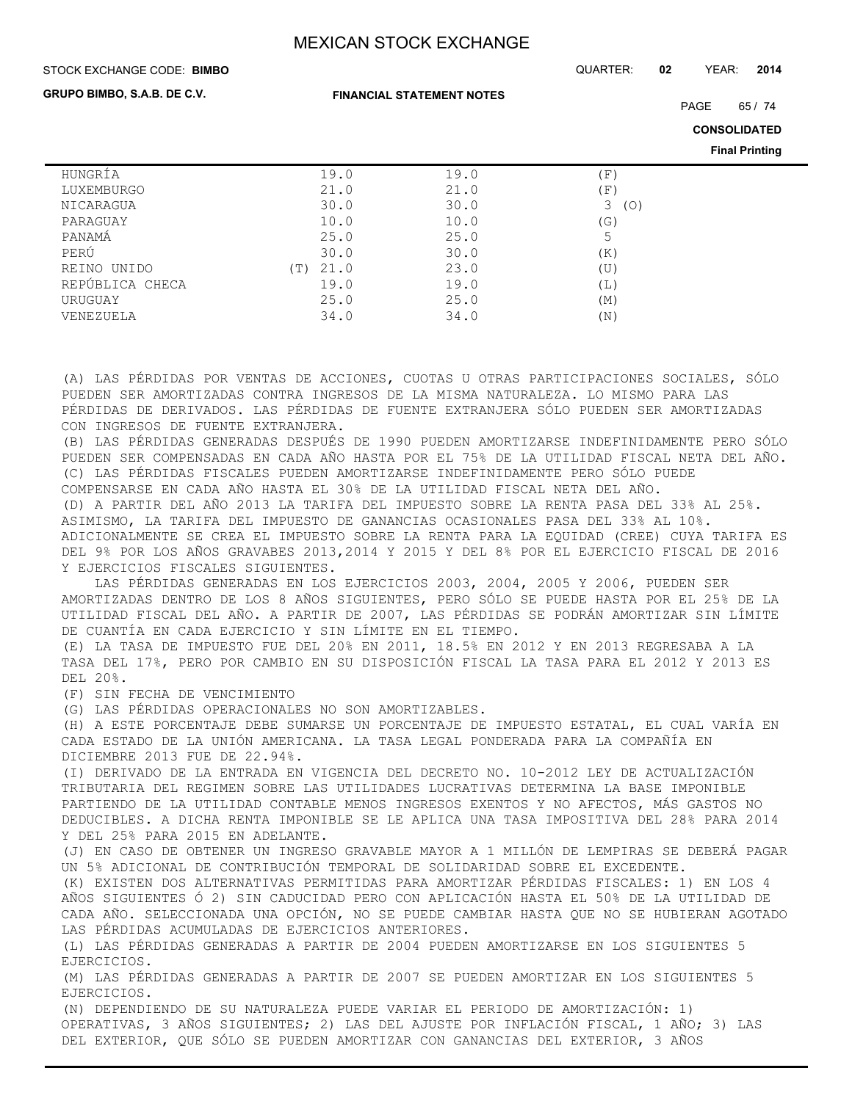STOCK EXCHANGE CODE: QUARTER: **02** YEAR: **2014 BIMBO**

**GRUPO BIMBO, S.A.B. DE C.V.**

**FINANCIAL STATEMENT NOTES**

PAGE 65 / 74

**CONSOLIDATED**

**Final Printing**

|                 |     |      |      |                                   | <b>Filldi</b> Filliting |
|-----------------|-----|------|------|-----------------------------------|-------------------------|
| HUNGRÍA         |     | 19.0 | 19.0 | $\left( \, \mathrm{F} \, \right)$ |                         |
| LUXEMBURGO      |     | 21.0 | 21.0 | 'F)                               |                         |
| NICARAGUA       |     | 30.0 | 30.0 | 3<br>(O)                          |                         |
| PARAGUAY        |     | 10.0 | 10.0 | (G)                               |                         |
| PANAMÁ          |     | 25.0 | 25.0 | 5                                 |                         |
| PERÚ            |     | 30.0 | 30.0 | (K)                               |                         |
| REINO UNIDO     | (T) | 21.0 | 23.0 | (U)                               |                         |
| REPÚBLICA CHECA |     | 19.0 | 19.0 | (L)                               |                         |
| URUGUAY         |     | 25.0 | 25.0 | (M)                               |                         |
| VENEZUELA       |     | 34.0 | 34.0 | $(\mathbb{N})$                    |                         |

(A) LAS PÉRDIDAS POR VENTAS DE ACCIONES, CUOTAS U OTRAS PARTICIPACIONES SOCIALES, SÓLO PUEDEN SER AMORTIZADAS CONTRA INGRESOS DE LA MISMA NATURALEZA. LO MISMO PARA LAS PÉRDIDAS DE DERIVADOS. LAS PÉRDIDAS DE FUENTE EXTRANJERA SÓLO PUEDEN SER AMORTIZADAS CON INGRESOS DE FUENTE EXTRANJERA.

(B) LAS PÉRDIDAS GENERADAS DESPUÉS DE 1990 PUEDEN AMORTIZARSE INDEFINIDAMENTE PERO SÓLO PUEDEN SER COMPENSADAS EN CADA AÑO HASTA POR EL 75% DE LA UTILIDAD FISCAL NETA DEL AÑO. (C) LAS PÉRDIDAS FISCALES PUEDEN AMORTIZARSE INDEFINIDAMENTE PERO SÓLO PUEDE COMPENSARSE EN CADA AÑO HASTA EL 30% DE LA UTILIDAD FISCAL NETA DEL AÑO. (D) A PARTIR DEL AÑO 2013 LA TARIFA DEL IMPUESTO SOBRE LA RENTA PASA DEL 33% AL 25%. ASIMISMO, LA TARIFA DEL IMPUESTO DE GANANCIAS OCASIONALES PASA DEL 33% AL 10%. ADICIONALMENTE SE CREA EL IMPUESTO SOBRE LA RENTA PARA LA EQUIDAD (CREE) CUYA TARIFA ES DEL 9% POR LOS AÑOS GRAVABES 2013,2014 Y 2015 Y DEL 8% POR EL EJERCICIO FISCAL DE 2016 Y EJERCICIOS FISCALES SIGUIENTES.

 LAS PÉRDIDAS GENERADAS EN LOS EJERCICIOS 2003, 2004, 2005 Y 2006, PUEDEN SER AMORTIZADAS DENTRO DE LOS 8 AÑOS SIGUIENTES, PERO SÓLO SE PUEDE HASTA POR EL 25% DE LA UTILIDAD FISCAL DEL AÑO. A PARTIR DE 2007, LAS PÉRDIDAS SE PODRÁN AMORTIZAR SIN LÍMITE DE CUANTÍA EN CADA EJERCICIO Y SIN LÍMITE EN EL TIEMPO.

(E) LA TASA DE IMPUESTO FUE DEL 20% EN 2011, 18.5% EN 2012 Y EN 2013 REGRESABA A LA TASA DEL 17%, PERO POR CAMBIO EN SU DISPOSICIÓN FISCAL LA TASA PARA EL 2012 Y 2013 ES DEL 20%.

(F) SIN FECHA DE VENCIMIENTO

(G) LAS PÉRDIDAS OPERACIONALES NO SON AMORTIZABLES.

(H) A ESTE PORCENTAJE DEBE SUMARSE UN PORCENTAJE DE IMPUESTO ESTATAL, EL CUAL VARÍA EN CADA ESTADO DE LA UNIÓN AMERICANA. LA TASA LEGAL PONDERADA PARA LA COMPAÑÍA EN DICIEMBRE 2013 FUE DE 22.94%.

(I) DERIVADO DE LA ENTRADA EN VIGENCIA DEL DECRETO NO. 10-2012 LEY DE ACTUALIZACIÓN TRIBUTARIA DEL REGIMEN SOBRE LAS UTILIDADES LUCRATIVAS DETERMINA LA BASE IMPONIBLE PARTIENDO DE LA UTILIDAD CONTABLE MENOS INGRESOS EXENTOS Y NO AFECTOS, MÁS GASTOS NO DEDUCIBLES. A DICHA RENTA IMPONIBLE SE LE APLICA UNA TASA IMPOSITIVA DEL 28% PARA 2014 Y DEL 25% PARA 2015 EN ADELANTE.

(J) EN CASO DE OBTENER UN INGRESO GRAVABLE MAYOR A 1 MILLÓN DE LEMPIRAS SE DEBERÁ PAGAR UN 5% ADICIONAL DE CONTRIBUCIÓN TEMPORAL DE SOLIDARIDAD SOBRE EL EXCEDENTE.

(K) EXISTEN DOS ALTERNATIVAS PERMITIDAS PARA AMORTIZAR PÉRDIDAS FISCALES: 1) EN LOS 4 AÑOS SIGUIENTES Ó 2) SIN CADUCIDAD PERO CON APLICACIÓN HASTA EL 50% DE LA UTILIDAD DE CADA AÑO. SELECCIONADA UNA OPCIÓN, NO SE PUEDE CAMBIAR HASTA QUE NO SE HUBIERAN AGOTADO LAS PÉRDIDAS ACUMULADAS DE EJERCICIOS ANTERIORES.

(L) LAS PÉRDIDAS GENERADAS A PARTIR DE 2004 PUEDEN AMORTIZARSE EN LOS SIGUIENTES 5 EJERCICIOS.

(M) LAS PÉRDIDAS GENERADAS A PARTIR DE 2007 SE PUEDEN AMORTIZAR EN LOS SIGUIENTES 5 EJERCICIOS.

(N) DEPENDIENDO DE SU NATURALEZA PUEDE VARIAR EL PERIODO DE AMORTIZACIÓN: 1) OPERATIVAS, 3 AÑOS SIGUIENTES; 2) LAS DEL AJUSTE POR INFLACIÓN FISCAL, 1 AÑO; 3) LAS DEL EXTERIOR, QUE SÓLO SE PUEDEN AMORTIZAR CON GANANCIAS DEL EXTERIOR, 3 AÑOS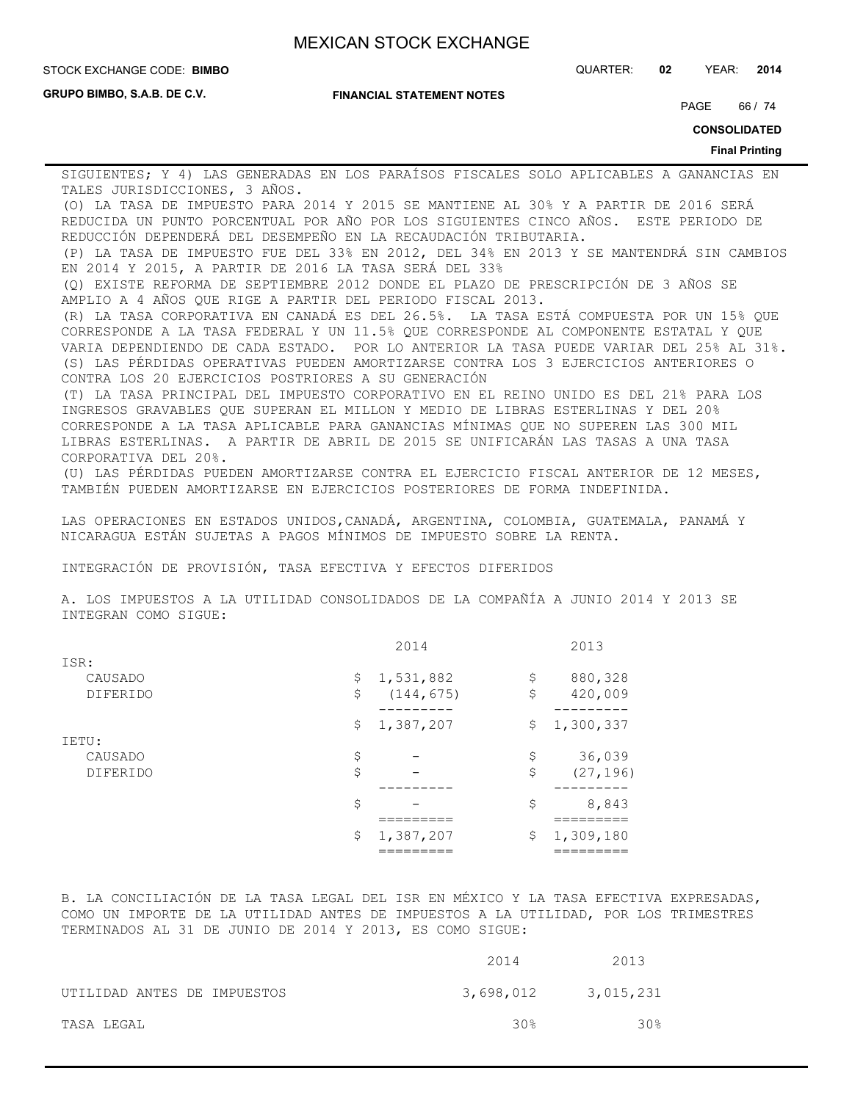STOCK EXCHANGE CODE: QUARTER: **02** YEAR: **2014 BIMBO**

**GRUPO BIMBO, S.A.B. DE C.V.**

**FINANCIAL STATEMENT NOTES**

PAGE 66 / 74

**CONSOLIDATED**

#### **Final Printing**

SIGUIENTES; Y 4) LAS GENERADAS EN LOS PARAÍSOS FISCALES SOLO APLICABLES A GANANCIAS EN TALES JURISDICCIONES, 3 AÑOS.

(O) LA TASA DE IMPUESTO PARA 2014 Y 2015 SE MANTIENE AL 30% Y A PARTIR DE 2016 SERÁ REDUCIDA UN PUNTO PORCENTUAL POR AÑO POR LOS SIGUIENTES CINCO AÑOS. ESTE PERIODO DE REDUCCIÓN DEPENDERÁ DEL DESEMPEÑO EN LA RECAUDACIÓN TRIBUTARIA.

(P) LA TASA DE IMPUESTO FUE DEL 33% EN 2012, DEL 34% EN 2013 Y SE MANTENDRÁ SIN CAMBIOS EN 2014 Y 2015, A PARTIR DE 2016 LA TASA SERÁ DEL 33%

(Q) EXISTE REFORMA DE SEPTIEMBRE 2012 DONDE EL PLAZO DE PRESCRIPCIÓN DE 3 AÑOS SE AMPLIO A 4 AÑOS QUE RIGE A PARTIR DEL PERIODO FISCAL 2013.

(R) LA TASA CORPORATIVA EN CANADÁ ES DEL 26.5%. LA TASA ESTÁ COMPUESTA POR UN 15% QUE CORRESPONDE A LA TASA FEDERAL Y UN 11.5% QUE CORRESPONDE AL COMPONENTE ESTATAL Y QUE VARIA DEPENDIENDO DE CADA ESTADO. POR LO ANTERIOR LA TASA PUEDE VARIAR DEL 25% AL 31%. (S) LAS PÉRDIDAS OPERATIVAS PUEDEN AMORTIZARSE CONTRA LOS 3 EJERCICIOS ANTERIORES O CONTRA LOS 20 EJERCICIOS POSTRIORES A SU GENERACIÓN

(T) LA TASA PRINCIPAL DEL IMPUESTO CORPORATIVO EN EL REINO UNIDO ES DEL 21% PARA LOS INGRESOS GRAVABLES QUE SUPERAN EL MILLON Y MEDIO DE LIBRAS ESTERLINAS Y DEL 20% CORRESPONDE A LA TASA APLICABLE PARA GANANCIAS MÍNIMAS QUE NO SUPEREN LAS 300 MIL LIBRAS ESTERLINAS. A PARTIR DE ABRIL DE 2015 SE UNIFICARÁN LAS TASAS A UNA TASA CORPORATIVA DEL 20%.

(U) LAS PÉRDIDAS PUEDEN AMORTIZARSE CONTRA EL EJERCICIO FISCAL ANTERIOR DE 12 MESES, TAMBIÉN PUEDEN AMORTIZARSE EN EJERCICIOS POSTERIORES DE FORMA INDEFINIDA.

LAS OPERACIONES EN ESTADOS UNIDOS,CANADÁ, ARGENTINA, COLOMBIA, GUATEMALA, PANAMÁ Y NICARAGUA ESTÁN SUJETAS A PAGOS MÍNIMOS DE IMPUESTO SOBRE LA RENTA.

INTEGRACIÓN DE PROVISIÓN, TASA EFECTIVA Y EFECTOS DIFERIDOS

A. LOS IMPUESTOS A LA UTILIDAD CONSOLIDADOS DE LA COMPAÑÍA A JUNIO 2014 Y 2013 SE INTEGRAN COMO SIGUE:

|                 | 2014             | 2013            |
|-----------------|------------------|-----------------|
| ISR:            |                  |                 |
| CAUSADO         | \$<br>1,531,882  | \$<br>880,328   |
| <b>DIFERIDO</b> | \$<br>(144, 675) | \$<br>420,009   |
|                 |                  |                 |
|                 | \$<br>1,387,207  | \$<br>1,300,337 |
| IETU:           |                  |                 |
| CAUSADO         | \$               | \$<br>36,039    |
| <b>DIFERIDO</b> | \$               | \$<br>(27, 196) |
|                 |                  | -------         |
|                 | \$               | \$<br>8,843     |
|                 |                  |                 |
|                 | \$<br>1,387,207  | \$<br>1,309,180 |
|                 |                  |                 |

B. LA CONCILIACIÓN DE LA TASA LEGAL DEL ISR EN MÉXICO Y LA TASA EFECTIVA EXPRESADAS, COMO UN IMPORTE DE LA UTILIDAD ANTES DE IMPUESTOS A LA UTILIDAD, POR LOS TRIMESTRES TERMINADOS AL 31 DE JUNIO DE 2014 Y 2013, ES COMO SIGUE:

|                             | 2014      | 2013            |
|-----------------------------|-----------|-----------------|
| UTILIDAD ANTES DE IMPUESTOS | 3,698,012 | 3,015,231       |
| TASA LEGAL                  | 30%       | 30 <sup>g</sup> |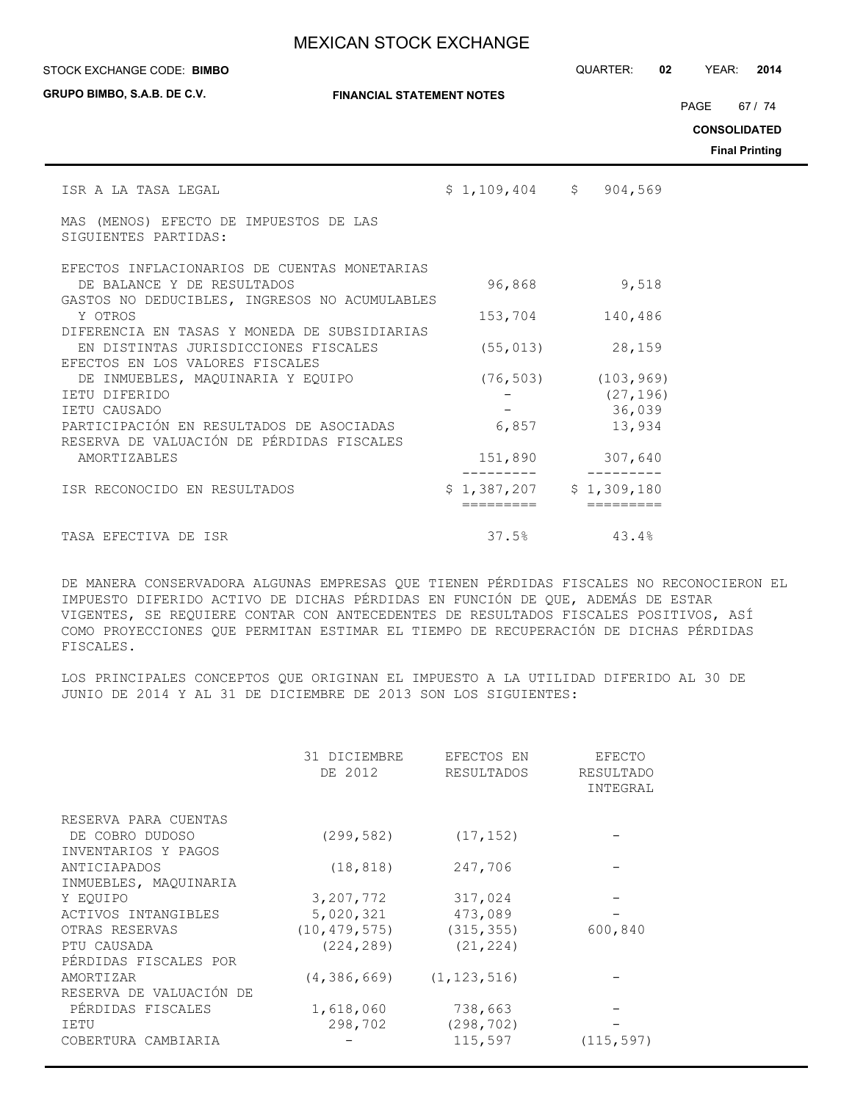| STOCK EXCHANGE CODE: BIMBO |  |
|----------------------------|--|
|----------------------------|--|

**GRUPO BIMBO, S.A.B. DE C.V.**

**FINANCIAL STATEMENT NOTES**

STOCK EXCHANGE CODE: QUARTER: **02** YEAR: **2014**

PAGE 67 / 74

**CONSOLIDATED**

**Final Printing**

| ISR A LA TASA LEGAL                                                         | $$1,109,404$ $$904,569$   |                          |
|-----------------------------------------------------------------------------|---------------------------|--------------------------|
| MAS (MENOS) EFECTO DE IMPUESTOS DE LAS<br>SIGUIENTES PARTIDAS:              |                           |                          |
| EFECTOS INFLACIONARIOS DE CUENTAS MONETARIAS                                |                           |                          |
| DE BALANCE Y DE RESULTADOS<br>GASTOS NO DEDUCIBLES, INGRESOS NO ACUMULABLES | 96,868                    | 9,518                    |
| Y OTROS                                                                     | 153,704                   | 140,486                  |
| DIFERENCIA EN TASAS Y MONEDA DE SUBSIDIARIAS                                |                           |                          |
| EN DISTINTAS JURISDICCIONES FISCALES                                        | (55, 013)                 | 28,159                   |
| EFECTOS EN LOS VALORES FISCALES                                             |                           |                          |
| DE INMUEBLES, MAQUINARIA Y EQUIPO                                           |                           | $(76, 503)$ $(103, 969)$ |
| TETU DIFERIDO                                                               |                           | (27, 196)                |
| IETU CAUSADO                                                                |                           | 36,039                   |
| PARTICIPACIÓN EN RESULTADOS DE ASOCIADAS                                    | 6,857                     | 13,934                   |
| RESERVA DE VALUACIÓN DE PÉRDIDAS FISCALES                                   |                           |                          |
| AMORTIZABLES                                                                | 151,890                   | 307,640                  |
| ISR RECONOCIDO EN RESULTADOS                                                | $$1,387,207$ $$1,309,180$ |                          |
|                                                                             |                           |                          |
| TASA EFECTIVA DE ISR                                                        | 37.5%                     | 43.4%                    |

DE MANERA CONSERVADORA ALGUNAS EMPRESAS QUE TIENEN PÉRDIDAS FISCALES NO RECONOCIERON EL IMPUESTO DIFERIDO ACTIVO DE DICHAS PÉRDIDAS EN FUNCIÓN DE QUE, ADEMÁS DE ESTAR VIGENTES, SE REQUIERE CONTAR CON ANTECEDENTES DE RESULTADOS FISCALES POSITIVOS, ASÍ COMO PROYECCIONES QUE PERMITAN ESTIMAR EL TIEMPO DE RECUPERACIÓN DE DICHAS PÉRDIDAS FISCALES.

LOS PRINCIPALES CONCEPTOS QUE ORIGINAN EL IMPUESTO A LA UTILIDAD DIFERIDO AL 30 DE JUNIO DE 2014 Y AL 31 DE DICIEMBRE DE 2013 SON LOS SIGUIENTES:

|                                        | 31 DICIEMBRE<br>DE 2012 | EFECTOS EN<br>RESULTADOS | EFECTO<br><b>RESULTADO</b><br>INTEGRAL |
|----------------------------------------|-------------------------|--------------------------|----------------------------------------|
| RESERVA PARA CUENTAS                   |                         |                          |                                        |
| DE COBRO DUDOSO<br>INVENTARIOS Y PAGOS | (299, 582)              | (17, 152)                |                                        |
| ANTICIAPADOS                           | (18, 818)               | 247,706                  |                                        |
| INMUEBLES, MAQUINARIA                  |                         |                          |                                        |
| Y EOUIPO                               | 3,207,772               | 317,024                  |                                        |
| ACTIVOS INTANGIBLES                    | 5,020,321               | 473,089                  |                                        |
| OTRAS RESERVAS                         | (10, 479, 575)          | (315, 355)               | 600,840                                |
| PTU CAUSADA                            | (224, 289)              | (21, 224)                |                                        |
| PÉRDIDAS FISCALES POR                  |                         |                          |                                        |
| AMORTIZAR                              | (4, 386, 669)           | (1, 123, 516)            |                                        |
| RESERVA DE VALUACIÓN DE                |                         |                          |                                        |
| PÉRDIDAS FISCALES                      | 1,618,060               | 738,663                  |                                        |
| IETU                                   | 298,702                 | (298, 702)               |                                        |
| COBERTURA CAMBIARIA                    |                         | 115,597                  | (115, 597)                             |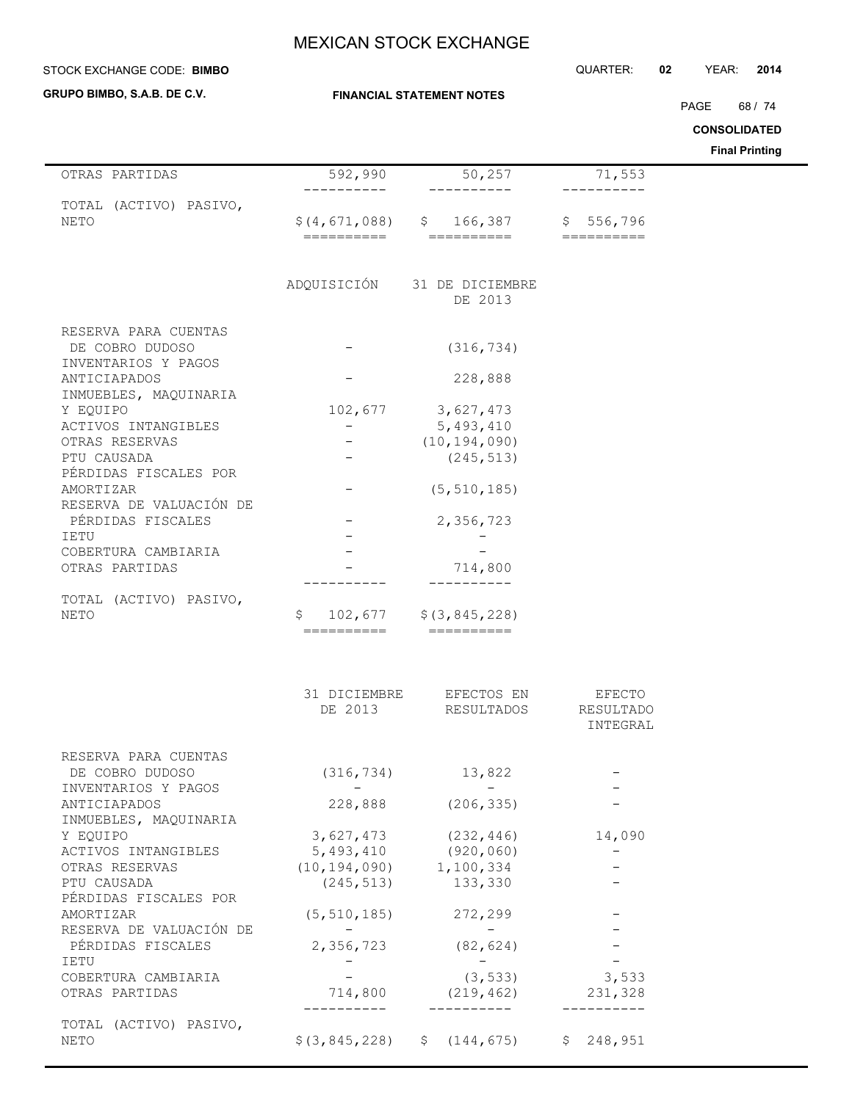#### STOCK EXCHANGE CODE: QUARTER: **02** YEAR: **2014 BIMBO**

**GRUPO BIMBO, S.A.B. DE C.V.**

PAGE 68 / 74

**CONSOLIDATED**

| OTRAS PARTIDAS                               | 592,990                                         | 50,257                                                                                                                                                                                                                                                                                                                                                                                                                                                           | 71,553              |  |
|----------------------------------------------|-------------------------------------------------|------------------------------------------------------------------------------------------------------------------------------------------------------------------------------------------------------------------------------------------------------------------------------------------------------------------------------------------------------------------------------------------------------------------------------------------------------------------|---------------------|--|
| TOTAL (ACTIVO) PASIVO,                       |                                                 |                                                                                                                                                                                                                                                                                                                                                                                                                                                                  |                     |  |
| <b>NETO</b>                                  |                                                 | $$(4, 671, 088)$ $$166, 387$                                                                                                                                                                                                                                                                                                                                                                                                                                     | \$556,796           |  |
|                                              |                                                 |                                                                                                                                                                                                                                                                                                                                                                                                                                                                  |                     |  |
|                                              |                                                 | ADQUISICIÓN 31 DE DICIEMBRE                                                                                                                                                                                                                                                                                                                                                                                                                                      |                     |  |
|                                              |                                                 | DE 2013                                                                                                                                                                                                                                                                                                                                                                                                                                                          |                     |  |
| RESERVA PARA CUENTAS                         |                                                 |                                                                                                                                                                                                                                                                                                                                                                                                                                                                  |                     |  |
| DE COBRO DUDOSO                              |                                                 | (316, 734)                                                                                                                                                                                                                                                                                                                                                                                                                                                       |                     |  |
| INVENTARIOS Y PAGOS<br>ANTICIAPADOS          |                                                 | 228,888                                                                                                                                                                                                                                                                                                                                                                                                                                                          |                     |  |
| INMUEBLES, MAQUINARIA                        |                                                 |                                                                                                                                                                                                                                                                                                                                                                                                                                                                  |                     |  |
| Y EQUIPO                                     | 102,677                                         | 3,627,473                                                                                                                                                                                                                                                                                                                                                                                                                                                        |                     |  |
| ACTIVOS INTANGIBLES<br>OTRAS RESERVAS        | $-$                                             | 5,493,410<br>(10, 194, 090)                                                                                                                                                                                                                                                                                                                                                                                                                                      |                     |  |
| PTU CAUSADA                                  |                                                 | (245, 513)                                                                                                                                                                                                                                                                                                                                                                                                                                                       |                     |  |
| PÉRDIDAS FISCALES POR                        |                                                 |                                                                                                                                                                                                                                                                                                                                                                                                                                                                  |                     |  |
| AMORTIZAR                                    |                                                 | (5, 510, 185)                                                                                                                                                                                                                                                                                                                                                                                                                                                    |                     |  |
| RESERVA DE VALUACIÓN DE                      |                                                 |                                                                                                                                                                                                                                                                                                                                                                                                                                                                  |                     |  |
| PÉRDIDAS FISCALES                            |                                                 | 2,356,723                                                                                                                                                                                                                                                                                                                                                                                                                                                        |                     |  |
| IETU<br>COBERTURA CAMBIARIA                  |                                                 |                                                                                                                                                                                                                                                                                                                                                                                                                                                                  |                     |  |
| OTRAS PARTIDAS                               |                                                 | 714,800                                                                                                                                                                                                                                                                                                                                                                                                                                                          |                     |  |
|                                              |                                                 |                                                                                                                                                                                                                                                                                                                                                                                                                                                                  |                     |  |
| TOTAL (ACTIVO) PASIVO,                       |                                                 |                                                                                                                                                                                                                                                                                                                                                                                                                                                                  |                     |  |
| NETO                                         | S.<br>==========                                | $102,677$ $\frac{228}{ }$<br>$\begin{array}{cccccccccc} \texttt{m} & \texttt{m} & \texttt{m} & \texttt{m} & \texttt{m} & \texttt{m} & \texttt{m} & \texttt{m} & \texttt{m} & \texttt{m} & \texttt{m} & \texttt{m} & \texttt{m} & \texttt{m} & \texttt{m} & \texttt{m} & \texttt{m} & \texttt{m} & \texttt{m} & \texttt{m} & \texttt{m} & \texttt{m} & \texttt{m} & \texttt{m} & \texttt{m} & \texttt{m} & \texttt{m} & \texttt{m} & \texttt{m} & \texttt{m} & \$ |                     |  |
|                                              |                                                 |                                                                                                                                                                                                                                                                                                                                                                                                                                                                  |                     |  |
|                                              | DE 2013                                         | 31 DICIEMBRE EFECTOS EN<br>RESULTADOS                                                                                                                                                                                                                                                                                                                                                                                                                            | EFECTO<br>RESULTADO |  |
|                                              |                                                 |                                                                                                                                                                                                                                                                                                                                                                                                                                                                  | INTEGRAL            |  |
| RESERVA PARA CUENTAS                         |                                                 |                                                                                                                                                                                                                                                                                                                                                                                                                                                                  |                     |  |
| DE COBRO DUDOSO                              |                                                 | $(316, 734)$ 13,822                                                                                                                                                                                                                                                                                                                                                                                                                                              |                     |  |
| INVENTARIOS Y PAGOS                          | $ -$                                            | $\mathcal{L}_{\text{max}}$ and $\mathcal{L}_{\text{max}}$                                                                                                                                                                                                                                                                                                                                                                                                        |                     |  |
| ANTICIAPADOS                                 |                                                 | 228,888 (206,335)                                                                                                                                                                                                                                                                                                                                                                                                                                                |                     |  |
| INMUEBLES, MAQUINARIA<br>Y EQUIPO            | 3,627,473                                       | (232, 446)                                                                                                                                                                                                                                                                                                                                                                                                                                                       | 14,090              |  |
| ACTIVOS INTANGIBLES                          |                                                 |                                                                                                                                                                                                                                                                                                                                                                                                                                                                  |                     |  |
| OTRAS RESERVAS                               | $5,493,410$ (920,060)<br>(10,194,090) 1,100,334 |                                                                                                                                                                                                                                                                                                                                                                                                                                                                  |                     |  |
| PTU CAUSADA                                  | (245, 513)                                      | 133,330                                                                                                                                                                                                                                                                                                                                                                                                                                                          |                     |  |
| PÉRDIDAS FISCALES POR                        |                                                 |                                                                                                                                                                                                                                                                                                                                                                                                                                                                  |                     |  |
| AMORTIZAR                                    | (5, 510, 185)                                   | 272,299                                                                                                                                                                                                                                                                                                                                                                                                                                                          |                     |  |
| RESERVA DE VALUACIÓN DE<br>PÉRDIDAS FISCALES | 2,356,723                                       | $\overline{\phantom{a}}$<br>(82, 624)                                                                                                                                                                                                                                                                                                                                                                                                                            |                     |  |
| <b>IETU</b>                                  |                                                 | $\sim$ $-$                                                                                                                                                                                                                                                                                                                                                                                                                                                       |                     |  |
| COBERTURA CAMBIARIA                          |                                                 | (3, 533)                                                                                                                                                                                                                                                                                                                                                                                                                                                         | 3,533               |  |
| OTRAS PARTIDAS                               | 714,800                                         | (219, 462)                                                                                                                                                                                                                                                                                                                                                                                                                                                       | 231,328             |  |
|                                              | ----------                                      | __________                                                                                                                                                                                                                                                                                                                                                                                                                                                       |                     |  |
| TOTAL (ACTIVO) PASIVO,<br>NETO               |                                                 | $$(3, 845, 228)$ $$(144, 675)$ $$248, 951$                                                                                                                                                                                                                                                                                                                                                                                                                       |                     |  |
|                                              |                                                 |                                                                                                                                                                                                                                                                                                                                                                                                                                                                  |                     |  |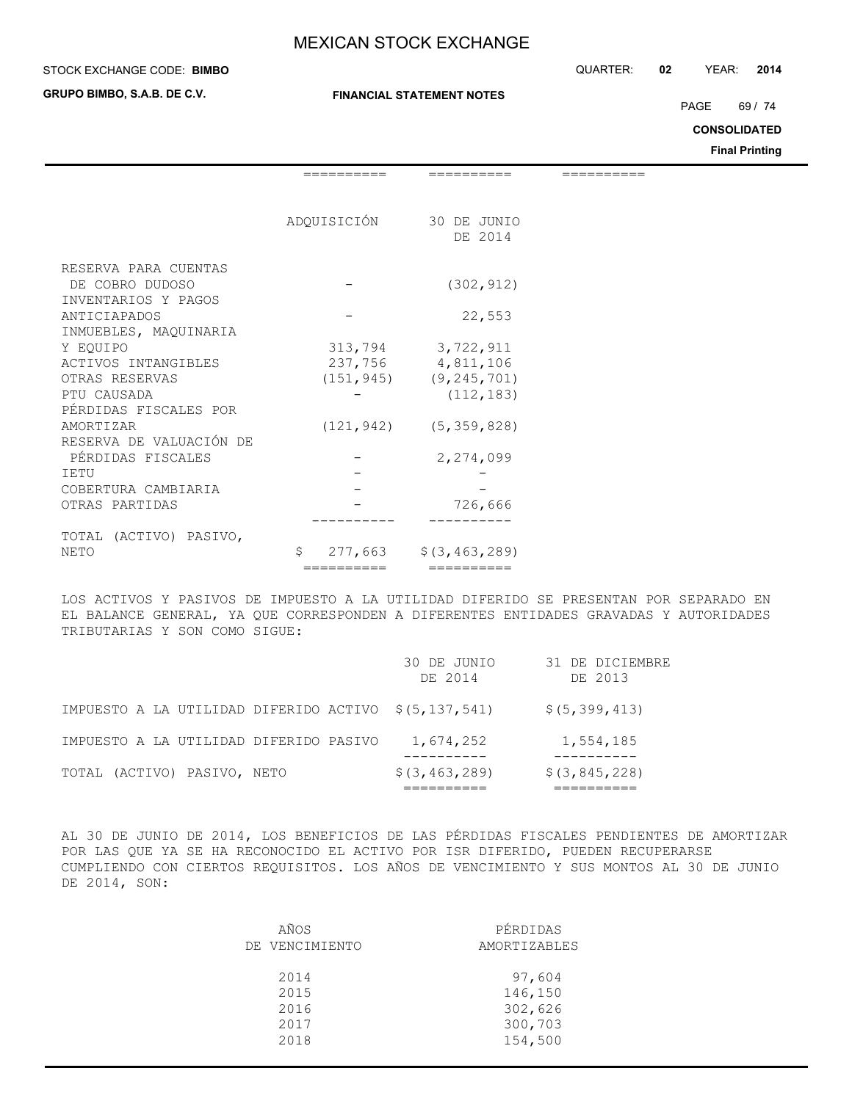### **STOCK EXCHANGE CODE: BIMBO**

**GRUPO BIMBO, S.A.B. DE C.V.**

### **FINANCIAL STATEMENT NOTES**

STOCK EXCHANGE CODE: QUARTER: **02** YEAR: **2014**

PAGE 69 / 74

**CONSOLIDATED**

**Final Printing**

|                         | ---------   | --------                     |  |
|-------------------------|-------------|------------------------------|--|
|                         |             |                              |  |
|                         | ADQUISICIÓN | 30 DE JUNIO                  |  |
|                         |             | DE 2014                      |  |
| RESERVA PARA CUENTAS    |             |                              |  |
| DE COBRO DUDOSO         |             | (302, 912)                   |  |
| INVENTARIOS Y PAGOS     |             |                              |  |
| ANTICIAPADOS            |             | 22,553                       |  |
| INMUEBLES, MAQUINARIA   |             |                              |  |
| Y EOUIPO                |             | 313,794 3,722,911            |  |
| ACTIVOS INTANGIBLES     |             | 237,756 4,811,106            |  |
| OTRAS RESERVAS          |             | $(151, 945)$ $(9, 245, 701)$ |  |
| PTU CAUSADA             |             | (112, 183)                   |  |
| PÉRDIDAS FISCALES POR   |             |                              |  |
| AMORTIZAR               |             | $(121, 942)$ $(5, 359, 828)$ |  |
| RESERVA DE VALUACIÓN DE |             |                              |  |
| PÉRDIDAS FISCALES       |             | 2,274,099                    |  |
| TETU                    |             |                              |  |
| COBERTURA CAMBIARIA     |             |                              |  |
| OTRAS PARTIDAS          |             | 726,666                      |  |
|                         |             |                              |  |
| TOTAL (ACTIVO) PASIVO,  |             |                              |  |
| NETO                    | Ŝ           | $277,663$ $$(3,463,289)$     |  |
|                         | ==========  | ==========                   |  |

LOS ACTIVOS Y PASIVOS DE IMPUESTO A LA UTILIDAD DIFERIDO SE PRESENTAN POR SEPARADO EN EL BALANCE GENERAL, YA QUE CORRESPONDEN A DIFERENTES ENTIDADES GRAVADAS Y AUTORIDADES TRIBUTARIAS Y SON COMO SIGUE:

| IMPUESTO A LA UTILIDAD DIFERIDO PASIVO<br>TOTAL (ACTIVO) PASIVO, NETO | 1,674,252<br>\$ (3, 463, 289) | 1,554,185<br>\$(3, 845, 228) |
|-----------------------------------------------------------------------|-------------------------------|------------------------------|
| IMPUESTO A LA UTILIDAD DIFERIDO ACTIVO \$(5,137,541)                  |                               | \$ (5, 399, 413)             |
|                                                                       | 30 DE JUNIO<br>DE 2014        | 31 DE DICIEMBRE<br>DE 2013   |

AL 30 DE JUNIO DE 2014, LOS BENEFICIOS DE LAS PÉRDIDAS FISCALES PENDIENTES DE AMORTIZAR POR LAS QUE YA SE HA RECONOCIDO EL ACTIVO POR ISR DIFERIDO, PUEDEN RECUPERARSE CUMPLIENDO CON CIERTOS REQUISITOS. LOS AÑOS DE VENCIMIENTO Y SUS MONTOS AL 30 DE JUNIO DE 2014, SON:

| AÑOS           | PÉRDIDAS     |
|----------------|--------------|
| DE VENCIMIENTO | AMORTIZABLES |
| 2014           | 97,604       |
| 2015           | 146,150      |
| 2016           | 302,626      |
| 2017           | 300,703      |
| 2018           | 154,500      |
|                |              |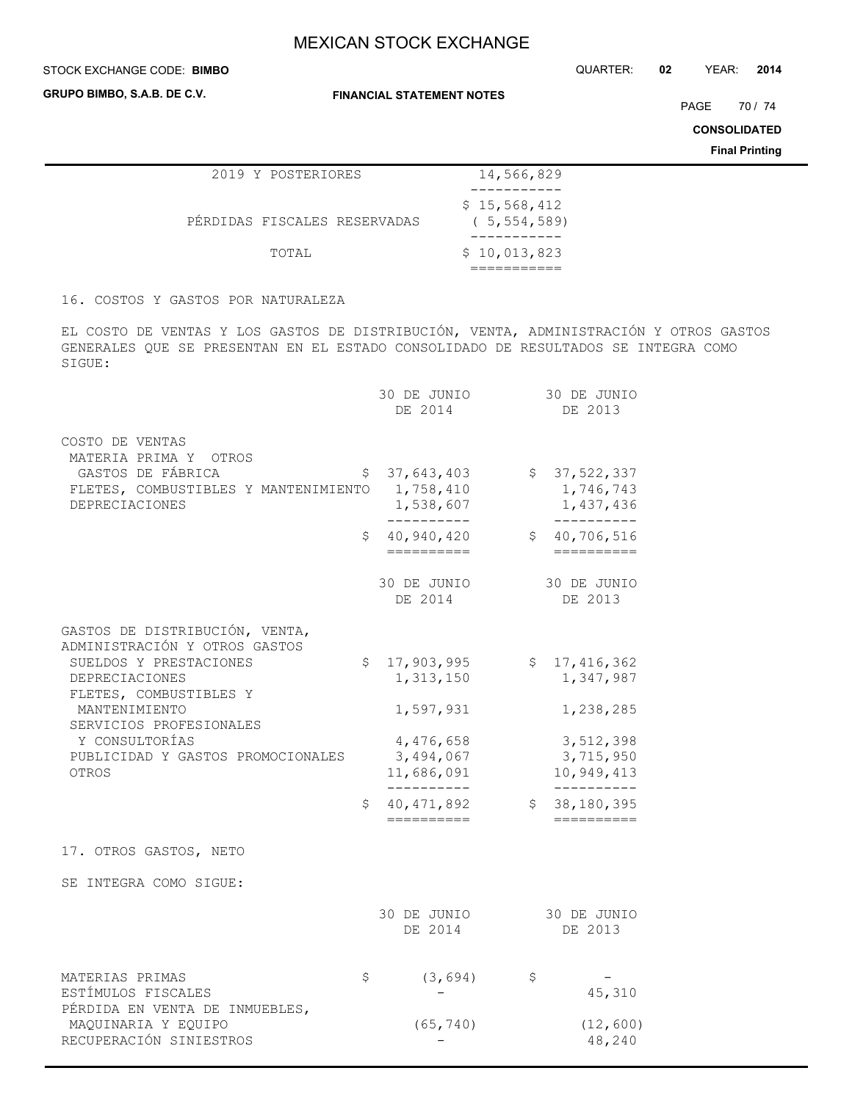### **STOCK EXCHANGE CODE: BIMBO**

**GRUPO BIMBO, S.A.B. DE C.V.**

**FINANCIAL STATEMENT NOTES**

STOCK EXCHANGE CODE: QUARTER: **02** YEAR: **2014**

PAGE 70 / 74

**CONSOLIDATED**

**Final Printing**

|                              | 2019 Y POSTERIORES | 14,566,829                    |  |
|------------------------------|--------------------|-------------------------------|--|
|                              |                    |                               |  |
| PÉRDIDAS FISCALES RESERVADAS |                    | \$15,568,412<br>(5, 554, 589) |  |
|                              |                    |                               |  |
|                              | TOTAL              | \$10,013,823                  |  |
|                              |                    |                               |  |

16. COSTOS Y GASTOS POR NATURALEZA

EL COSTO DE VENTAS Y LOS GASTOS DE DISTRIBUCIÓN, VENTA, ADMINISTRACIÓN Y OTROS GASTOS GENERALES QUE SE PRESENTAN EN EL ESTADO CONSOLIDADO DE RESULTADOS SE INTEGRA COMO SIGUE:

|                                                                             | 30 DE JUNIO<br>DE 2014                                    |              | 30 DE JUNIO<br>DE 2013                               |
|-----------------------------------------------------------------------------|-----------------------------------------------------------|--------------|------------------------------------------------------|
| COSTO DE VENTAS<br>MATERIA PRIMA Y OTROS                                    |                                                           |              |                                                      |
| GASTOS DE FÁBRICA<br>FLETES, COMBUSTIBLES Y MANTENIMIENTO<br>DEPRECIACIONES | \$<br>37,643,403<br>1,758,410<br>1,538,607<br>__________  |              | \$37,522,337<br>1,746,743<br>1,437,436<br>__________ |
|                                                                             | \$<br>40,940,420<br>__________                            |              | \$40,706,516<br>$=$ $=$ $=$ $=$ $=$ $=$ $=$          |
|                                                                             | 30 DE JUNIO<br>DE 2014                                    |              | 30 DE JUNIO<br>DE 2013                               |
| GASTOS DE DISTRIBUCIÓN, VENTA,<br>ADMINISTRACIÓN Y OTROS GASTOS             |                                                           |              |                                                      |
| SUELDOS Y PRESTACIONES<br>DEPRECIACIONES<br>FLETES, COMBUSTIBLES Y          | \$<br>17,903,995<br>1,313,150                             | $\mathsf{S}$ | 17, 416, 362<br>1,347,987                            |
| MANTENIMIENTO<br>SERVICIOS PROFESIONALES                                    | 1,597,931                                                 |              | 1,238,285                                            |
| Y CONSULTORÍAS<br>PUBLICIDAD Y GASTOS PROMOCIONALES<br>OTROS                | 4,476,658<br>3,494,067<br>11,686,091<br>-----------       |              | 3,512,398<br>3,715,950<br>10,949,413<br>-----------  |
|                                                                             | \$<br>40, 471, 892<br>$=$ $=$ $=$ $=$ $=$ $=$ $=$ $=$ $=$ | $\mathsf{S}$ | 38,180,395<br>==========                             |
| 17. OTROS GASTOS, NETO                                                      |                                                           |              |                                                      |
| SE INTEGRA COMO SIGUE:                                                      |                                                           |              |                                                      |
|                                                                             | 30 DE JUNIO<br>DE 2014                                    |              | 30 DE JUNIO<br>DE 2013                               |
| MATERIAS PRIMAS<br>ESTÍMULOS FISCALES<br>PÉRDIDA EN VENTA DE INMUEBLES,     | \$<br>(3, 694)                                            | \$           | 45,310                                               |
| MAQUINARIA Y EQUIPO<br>RECUPERACIÓN SINIESTROS                              | (65, 740)                                                 |              | (12, 600)<br>48,240                                  |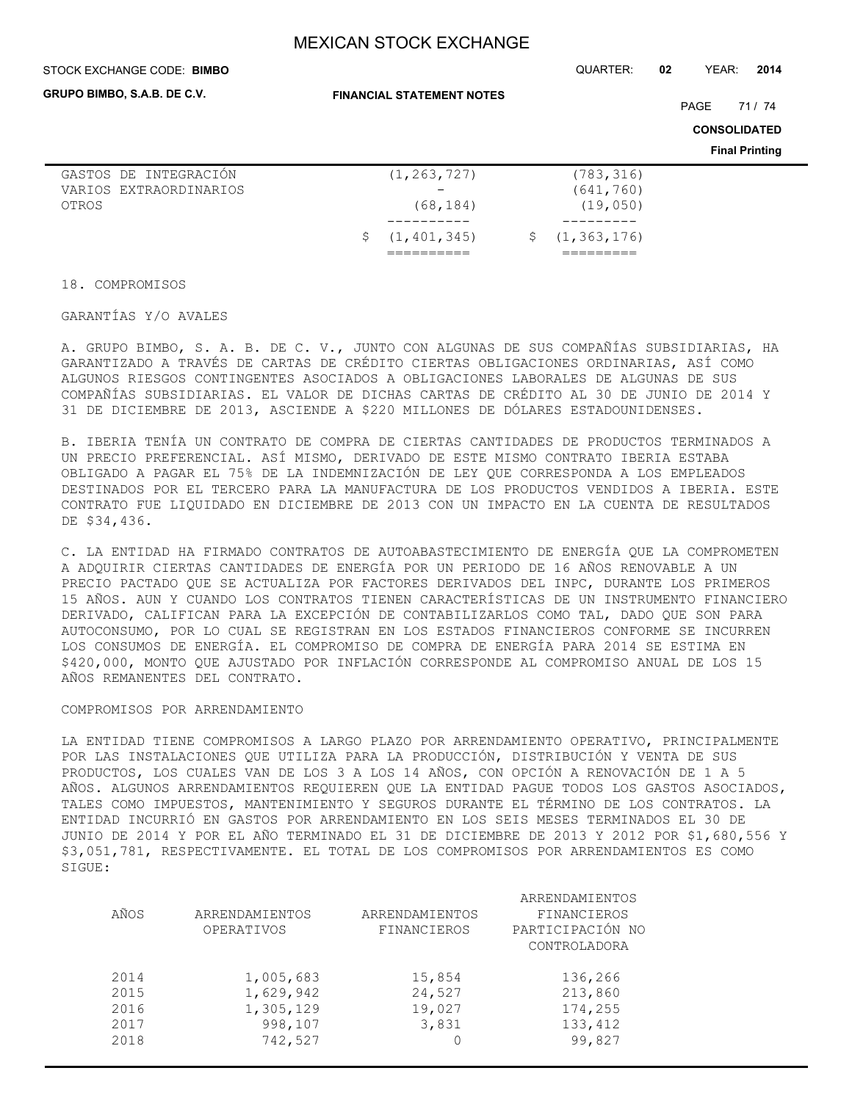#### STOCK EXCHANGE CODE: QUARTER: **02** YEAR: **2014 BIMBO**

**GRUPO BIMBO, S.A.B. DE C.V.**

**FINANCIAL STATEMENT NOTES**

PAGE 71 / 74

**CONSOLIDATED**

**Final Printing**

| GASTOS DE INTEGRACIÓN  | (1, 263, 727)   | (783, 316)      |
|------------------------|-----------------|-----------------|
| VARIOS EXTRAORDINARIOS |                 | (641, 760)      |
| OTROS                  | (68, 184)       | (19, 050)       |
|                        |                 |                 |
|                        | \$(1, 401, 345) | \$(1, 363, 176) |
|                        |                 |                 |

18. COMPROMISOS

GARANTÍAS Y/O AVALES

A. GRUPO BIMBO, S. A. B. DE C. V., JUNTO CON ALGUNAS DE SUS COMPAÑÍAS SUBSIDIARIAS, HA GARANTIZADO A TRAVÉS DE CARTAS DE CRÉDITO CIERTAS OBLIGACIONES ORDINARIAS, ASÍ COMO ALGUNOS RIESGOS CONTINGENTES ASOCIADOS A OBLIGACIONES LABORALES DE ALGUNAS DE SUS COMPAÑÍAS SUBSIDIARIAS. EL VALOR DE DICHAS CARTAS DE CRÉDITO AL 30 DE JUNIO DE 2014 Y 31 DE DICIEMBRE DE 2013, ASCIENDE A \$220 MILLONES DE DÓLARES ESTADOUNIDENSES.

B. IBERIA TENÍA UN CONTRATO DE COMPRA DE CIERTAS CANTIDADES DE PRODUCTOS TERMINADOS A UN PRECIO PREFERENCIAL. ASÍ MISMO, DERIVADO DE ESTE MISMO CONTRATO IBERIA ESTABA OBLIGADO A PAGAR EL 75% DE LA INDEMNIZACIÓN DE LEY QUE CORRESPONDA A LOS EMPLEADOS DESTINADOS POR EL TERCERO PARA LA MANUFACTURA DE LOS PRODUCTOS VENDIDOS A IBERIA. ESTE CONTRATO FUE LIQUIDADO EN DICIEMBRE DE 2013 CON UN IMPACTO EN LA CUENTA DE RESULTADOS DE \$34,436.

C. LA ENTIDAD HA FIRMADO CONTRATOS DE AUTOABASTECIMIENTO DE ENERGÍA QUE LA COMPROMETEN A ADQUIRIR CIERTAS CANTIDADES DE ENERGÍA POR UN PERIODO DE 16 AÑOS RENOVABLE A UN PRECIO PACTADO QUE SE ACTUALIZA POR FACTORES DERIVADOS DEL INPC, DURANTE LOS PRIMEROS 15 AÑOS. AUN Y CUANDO LOS CONTRATOS TIENEN CARACTERÍSTICAS DE UN INSTRUMENTO FINANCIERO DERIVADO, CALIFICAN PARA LA EXCEPCIÓN DE CONTABILIZARLOS COMO TAL, DADO QUE SON PARA AUTOCONSUMO, POR LO CUAL SE REGISTRAN EN LOS ESTADOS FINANCIEROS CONFORME SE INCURREN LOS CONSUMOS DE ENERGÍA. EL COMPROMISO DE COMPRA DE ENERGÍA PARA 2014 SE ESTIMA EN \$420,000, MONTO QUE AJUSTADO POR INFLACIÓN CORRESPONDE AL COMPROMISO ANUAL DE LOS 15 AÑOS REMANENTES DEL CONTRATO.

### COMPROMISOS POR ARRENDAMIENTO

LA ENTIDAD TIENE COMPROMISOS A LARGO PLAZO POR ARRENDAMIENTO OPERATIVO, PRINCIPALMENTE POR LAS INSTALACIONES QUE UTILIZA PARA LA PRODUCCIÓN, DISTRIBUCIÓN Y VENTA DE SUS PRODUCTOS, LOS CUALES VAN DE LOS 3 A LOS 14 AÑOS, CON OPCIÓN A RENOVACIÓN DE 1 A 5 AÑOS. ALGUNOS ARRENDAMIENTOS REQUIEREN QUE LA ENTIDAD PAGUE TODOS LOS GASTOS ASOCIADOS, TALES COMO IMPUESTOS, MANTENIMIENTO Y SEGUROS DURANTE EL TÉRMINO DE LOS CONTRATOS. LA ENTIDAD INCURRIÓ EN GASTOS POR ARRENDAMIENTO EN LOS SEIS MESES TERMINADOS EL 30 DE JUNIO DE 2014 Y POR EL AÑO TERMINADO EL 31 DE DICIEMBRE DE 2013 Y 2012 POR \$1,680,556 Y \$3,051,781, RESPECTIVAMENTE. EL TOTAL DE LOS COMPROMISOS POR ARRENDAMIENTOS ES COMO SIGUE:

| AÑOS | ARRENDAMIENTOS<br>OPERATIVOS | ARRENDAMIENTOS<br>FINANCIEROS | ARRENDAMIENTOS<br>FINANCIEROS<br>PARTICIPACIÓN NO<br>CONTROLADORA |
|------|------------------------------|-------------------------------|-------------------------------------------------------------------|
| 2014 | 1,005,683                    | 15,854                        | 136,266                                                           |
| 2015 | 1,629,942                    | 24,527                        | 213,860                                                           |
| 2016 | 1,305,129                    | 19,027                        | 174,255                                                           |
| 2017 | 998,107                      | 3,831                         | 133, 412                                                          |
| 2018 | 742,527                      |                               | 99,827                                                            |
|      |                              |                               |                                                                   |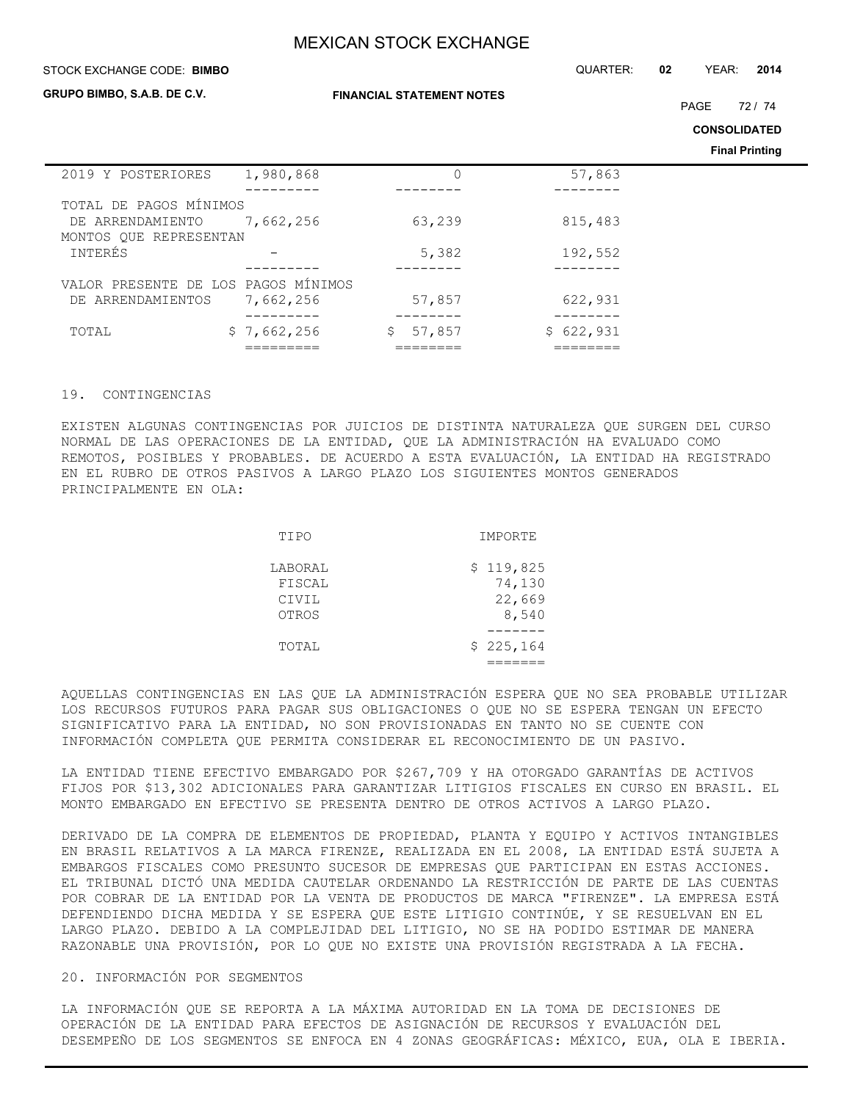| STOCK EXCHANGE CODE: BIMBO                                           |                            | QUARTER:                         | 02        | YEAR:<br>2014 |                                              |
|----------------------------------------------------------------------|----------------------------|----------------------------------|-----------|---------------|----------------------------------------------|
| <b>GRUPO BIMBO, S.A.B. DE C.V.</b>                                   |                            | <b>FINANCIAL STATEMENT NOTES</b> |           | <b>PAGE</b>   | 72/74                                        |
|                                                                      |                            |                                  |           |               | <b>CONSOLIDATED</b><br><b>Final Printing</b> |
| 2019 Y POSTERIORES                                                   | 1,980,868                  | 0                                | 57,863    |               |                                              |
| TOTAL DE PAGOS MÍNIMOS<br>DE ARRENDAMIENTO<br>MONTOS QUE REPRESENTAN | 7,662,256                  | 63,239                           | 815,483   |               |                                              |
| INTERÉS                                                              |                            | 5,382                            | 192,552   |               |                                              |
| VALOR PRESENTE DE LOS<br>ARRENDAMIENTOS<br>DE                        | PAGOS MÍNIMOS<br>7,662,256 | 57,857                           | 622,931   |               |                                              |
| TOTAL                                                                | \$7,662,256                | \$<br>57,857                     | \$622,931 |               |                                              |

### 19. CONTINGENCIAS

EXISTEN ALGUNAS CONTINGENCIAS POR JUICIOS DE DISTINTA NATURALEZA QUE SURGEN DEL CURSO NORMAL DE LAS OPERACIONES DE LA ENTIDAD, QUE LA ADMINISTRACIÓN HA EVALUADO COMO REMOTOS, POSIBLES Y PROBABLES. DE ACUERDO A ESTA EVALUACIÓN, LA ENTIDAD HA REGISTRADO EN EL RUBRO DE OTROS PASIVOS A LARGO PLAZO LOS SIGUIENTES MONTOS GENERADOS PRINCIPALMENTE EN OLA:

| TIPO    | IMPORTE   |
|---------|-----------|
| LABORAL | \$119,825 |
| FISCAL  | 74,130    |
| CIVIL   | 22,669    |
| OTROS   | 8,540     |
|         |           |
| TOTAL   | \$225,164 |
|         |           |

AQUELLAS CONTINGENCIAS EN LAS QUE LA ADMINISTRACIÓN ESPERA QUE NO SEA PROBABLE UTILIZAR LOS RECURSOS FUTUROS PARA PAGAR SUS OBLIGACIONES O QUE NO SE ESPERA TENGAN UN EFECTO SIGNIFICATIVO PARA LA ENTIDAD, NO SON PROVISIONADAS EN TANTO NO SE CUENTE CON INFORMACIÓN COMPLETA QUE PERMITA CONSIDERAR EL RECONOCIMIENTO DE UN PASIVO.

LA ENTIDAD TIENE EFECTIVO EMBARGADO POR \$267,709 Y HA OTORGADO GARANTÍAS DE ACTIVOS FIJOS POR \$13,302 ADICIONALES PARA GARANTIZAR LITIGIOS FISCALES EN CURSO EN BRASIL. EL MONTO EMBARGADO EN EFECTIVO SE PRESENTA DENTRO DE OTROS ACTIVOS A LARGO PLAZO.

DERIVADO DE LA COMPRA DE ELEMENTOS DE PROPIEDAD, PLANTA Y EQUIPO Y ACTIVOS INTANGIBLES EN BRASIL RELATIVOS A LA MARCA FIRENZE, REALIZADA EN EL 2008, LA ENTIDAD ESTÁ SUJETA A EMBARGOS FISCALES COMO PRESUNTO SUCESOR DE EMPRESAS QUE PARTICIPAN EN ESTAS ACCIONES. EL TRIBUNAL DICTÓ UNA MEDIDA CAUTELAR ORDENANDO LA RESTRICCIÓN DE PARTE DE LAS CUENTAS POR COBRAR DE LA ENTIDAD POR LA VENTA DE PRODUCTOS DE MARCA "FIRENZE". LA EMPRESA ESTÁ DEFENDIENDO DICHA MEDIDA Y SE ESPERA QUE ESTE LITIGIO CONTINÚE, Y SE RESUELVAN EN EL LARGO PLAZO. DEBIDO A LA COMPLEJIDAD DEL LITIGIO, NO SE HA PODIDO ESTIMAR DE MANERA RAZONABLE UNA PROVISIÓN, POR LO QUE NO EXISTE UNA PROVISIÓN REGISTRADA A LA FECHA.

### 20. INFORMACIÓN POR SEGMENTOS

LA INFORMACIÓN QUE SE REPORTA A LA MÁXIMA AUTORIDAD EN LA TOMA DE DECISIONES DE OPERACIÓN DE LA ENTIDAD PARA EFECTOS DE ASIGNACIÓN DE RECURSOS Y EVALUACIÓN DEL DESEMPEÑO DE LOS SEGMENTOS SE ENFOCA EN 4 ZONAS GEOGRÁFICAS: MÉXICO, EUA, OLA E IBERIA.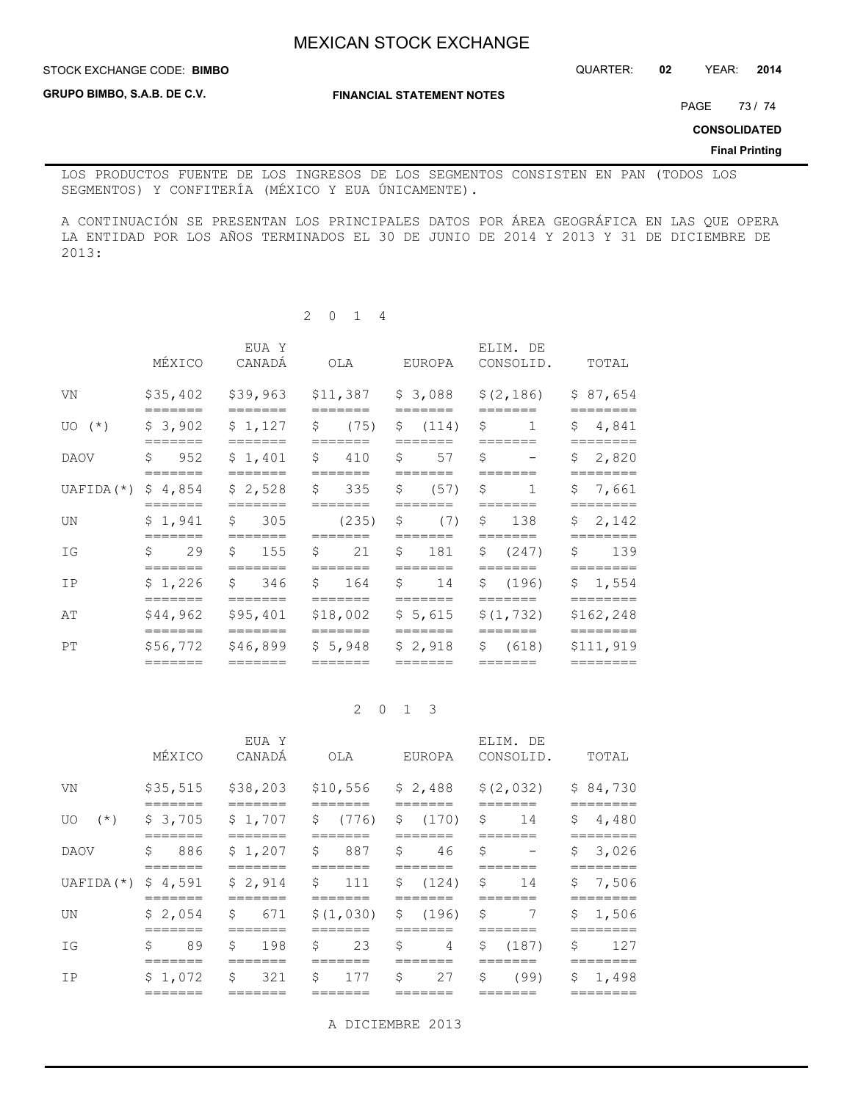**STOCK EXCHANGE CODE: BIMBO** 

STOCK EXCHANGE CODE: QUARTER: **02** YEAR: **2014**

**GRUPO BIMBO, S.A.B. DE C.V.**

**FINANCIAL STATEMENT NOTES**

PAGE 73/74

**CONSOLIDATED**

### **Final Printing**

LOS PRODUCTOS FUENTE DE LOS INGRESOS DE LOS SEGMENTOS CONSISTEN EN PAN (TODOS LOS SEGMENTOS) Y CONFITERÍA (MÉXICO Y EUA ÚNICAMENTE).

A CONTINUACIÓN SE PRESENTAN LOS PRINCIPALES DATOS POR ÁREA GEOGRÁFICA EN LAS QUE OPERA LA ENTIDAD POR LOS AÑOS TERMINADOS EL 30 DE JUNIO DE 2014 Y 2013 Y 31 DE DICIEMBRE DE 2013:

|             | MÉXICO                         | EUA Y<br>CANADA                | OLA                             | EUROPA                        | ELIM. DE<br>CONSOLID.                          | TOTAL                             |
|-------------|--------------------------------|--------------------------------|---------------------------------|-------------------------------|------------------------------------------------|-----------------------------------|
| VN          | \$35,402                       | \$39,963                       |                                 | $$11,387$ $$3,088$            | \$(2, 186)                                     | \$87,654                          |
| $UO(*)$     | =======<br>\$3,902             | =======<br>\$1,127             | =======<br>$\mathsf{S}$<br>(75) | =======<br>\$ (114)           | =======<br>\$<br>$\mathbf{1}$                  | \$4,841                           |
| <b>DAOV</b> | Ŝ.<br>952                      | \$1,401                        | \$ 410                          | S<br>57                       | Ŝ.<br>$\overline{\phantom{m}}$                 | \$2,820                           |
| UAFIDA (*)  | =======<br>\$4,854             | =======<br>\$2,528             | =======<br>\$335                | =======<br>\$<br>(57)         | =======<br>S.<br>1                             | ========<br>\$7,661               |
| UN          | =======<br>\$1,941             | _______<br>\$305               | =======<br>(235)                | =======<br>\$<br>(7)          | =======<br>$5 \t 138$                          | \$2,142                           |
| ΙG          | =======<br>29<br>Ŝ.            | =======<br>\$<br>155           | =======<br>Ŝ.<br>21             | Ŝ.<br>181                     | =======<br>\$ (247)                            | ========<br>Ŝ.<br>139             |
| ΙP          | _______<br>\$1,226             | _______<br>\$346               | =======<br>\$164                | _______<br>Ŝ.<br>14           | _______<br>\$(196)                             | ========<br>\$1,554               |
| AΤ          | =======<br>\$44,962            | =======<br>\$95,401            | =======<br>\$18,002             | =======<br>\$5,615            | =======<br>\$(1, 732)                          | ========<br>\$162,248             |
| PT          | =======<br>\$56,772<br>======= | =======<br>\$46,899<br>======= | =======<br>\$5,948<br>=======   | =======<br>\$2,918<br>======= | =======<br>\$ (618)<br>$=$ $=$ $=$ $=$ $=$ $=$ | ========<br>\$111,919<br>======== |

2 0 1 4

### 2 0 1 3

|                       | MÉXICO                                          | EUA Y<br>CANADÁ     | OLA                                                | EUROPA                | ELIM. DE<br>CONSOLID.                                 | TOTAL                   |
|-----------------------|-------------------------------------------------|---------------------|----------------------------------------------------|-----------------------|-------------------------------------------------------|-------------------------|
| VN                    |                                                 |                     |                                                    |                       | \$35,515 \$38,203 \$10,556 \$2,488 \$(2,032) \$84,730 |                         |
| UO                    | -------<br>$(*)$ $\frac{1}{2}$ 3,705<br>------- |                     | _______<br>$$1,707$ $$$ (776) $$$ (170)<br>_______ | =======               | \$<br>14                                              | 4,480<br>\$<br>-------  |
| DAOV                  | 886<br>\$                                       | \$1,207             | $\mathcal{S}$<br>887                               | \$<br>46              | \$<br>$\overline{\phantom{m}}$                        | 3,026<br>\$             |
| UAFIDA $(*)$ \$ 4,591 | =======                                         | \$2,914             | $\mathsf{S}$<br>111<br>=======                     | $$(124)$ \$           | 14<br>_______                                         | \$<br>7,506<br>======== |
| UN                    | \$2,054                                         | $\mathsf{S}$        | $671 \t S(1,030) \t S(196)$                        |                       | \$<br>7                                               | \$<br>1,506             |
| ΙG                    | \$<br>89                                        | \$ 198              | $\mathsf{S}$<br>23                                 | \$<br>$4\overline{ }$ | \$ (187)                                              | \$<br>127               |
| IP                    | \$1,072<br>------                               | $\mathsf{S}$<br>321 | \$177\$                                            | 27                    | \$<br>(99)                                            | \$1,498<br>______       |

A DICIEMBRE 2013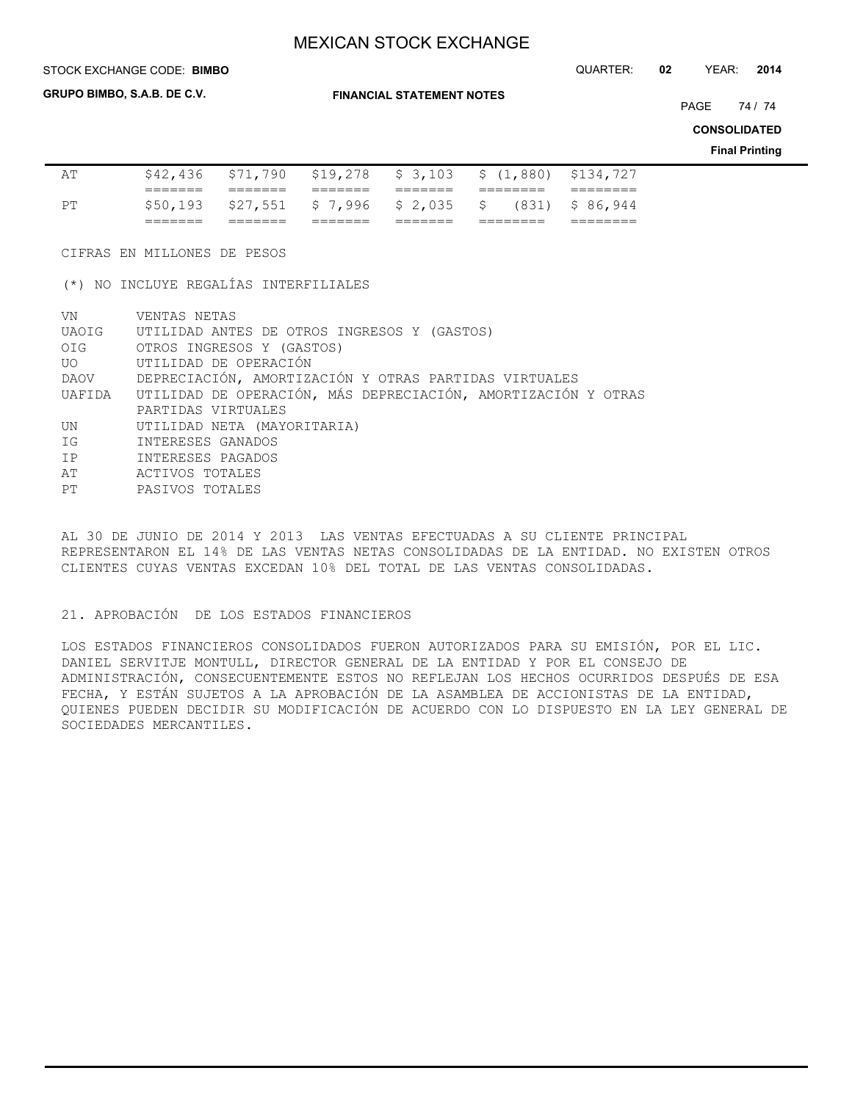STOCK EXCHANGE CODE: QUARTER: **02** YEAR: **2014 BIMBO**

**GRUPO BIMBO, S.A.B. DE C.V.**

**FINANCIAL STATEMENT NOTES**

PAGE 74 / 74

**CONSOLIDATED**

**Final Printing**

|    | _______             |                                      |         |                                               |
|----|---------------------|--------------------------------------|---------|-----------------------------------------------|
| PТ |                     | \$50,193 \$27,551 \$7,996 \$2,035 \$ |         | $(831)$ \$ 86,944                             |
|    | ________<br>_______ |                                      | _______ |                                               |
| AΤ | \$42,436            |                                      |         | \$71,790 \$19,278 \$3,103 \$(1,880) \$134,727 |

CIFRAS EN MILLONES DE PESOS

(\*) NO INCLUYE REGALÍAS INTERFILIALES

| VN | VENTAS NETAS                                                         |
|----|----------------------------------------------------------------------|
|    | UAOIG UTILIDAD ANTES DE OTROS INGRESOS Y (GASTOS)                    |
|    | OIG OTROS INGRESOS Y (GASTOS)                                        |
|    | UO UTILIDAD DE OPERACIÓN                                             |
|    | DAOV DEPRECIACIÓN, AMORTIZACIÓN Y OTRAS PARTIDAS VIRTUALES           |
|    | UAFIDA UTILIDAD DE OPERACIÓN, MÁS DEPRECIACIÓN, AMORTIZACIÓN Y OTRAS |
|    | PARTIDAS VIRTUALES                                                   |
| UN | UTILIDAD NETA (MAYORITARIA)                                          |
| IG | INTERESES GANADOS                                                    |
| IP | INTERESES PAGADOS                                                    |
| AT | ACTIVOS TOTALES                                                      |
| PT | PASIVOS TOTALES                                                      |

AL 30 DE JUNIO DE 2014 Y 2013 LAS VENTAS EFECTUADAS A SU CLIENTE PRINCIPAL REPRESENTARON EL 14% DE LAS VENTAS NETAS CONSOLIDADAS DE LA ENTIDAD. NO EXISTEN OTROS CLIENTES CUYAS VENTAS EXCEDAN 10% DEL TOTAL DE LAS VENTAS CONSOLIDADAS.

21. APROBACIÓN DE LOS ESTADOS FINANCIEROS

LOS ESTADOS FINANCIEROS CONSOLIDADOS FUERON AUTORIZADOS PARA SU EMISIÓN, POR EL LIC. DANIEL SERVITJE MONTULL, DIRECTOR GENERAL DE LA ENTIDAD Y POR EL CONSEJO DE ADMINISTRACIÓN, CONSECUENTEMENTE ESTOS NO REFLEJAN LOS HECHOS OCURRIDOS DESPUÉS DE ESA FECHA, Y ESTÁN SUJETOS A LA APROBACIÓN DE LA ASAMBLEA DE ACCIONISTAS DE LA ENTIDAD, QUIENES PUEDEN DECIDIR SU MODIFICACIÓN DE ACUERDO CON LO DISPUESTO EN LA LEY GENERAL DE SOCIEDADES MERCANTILES.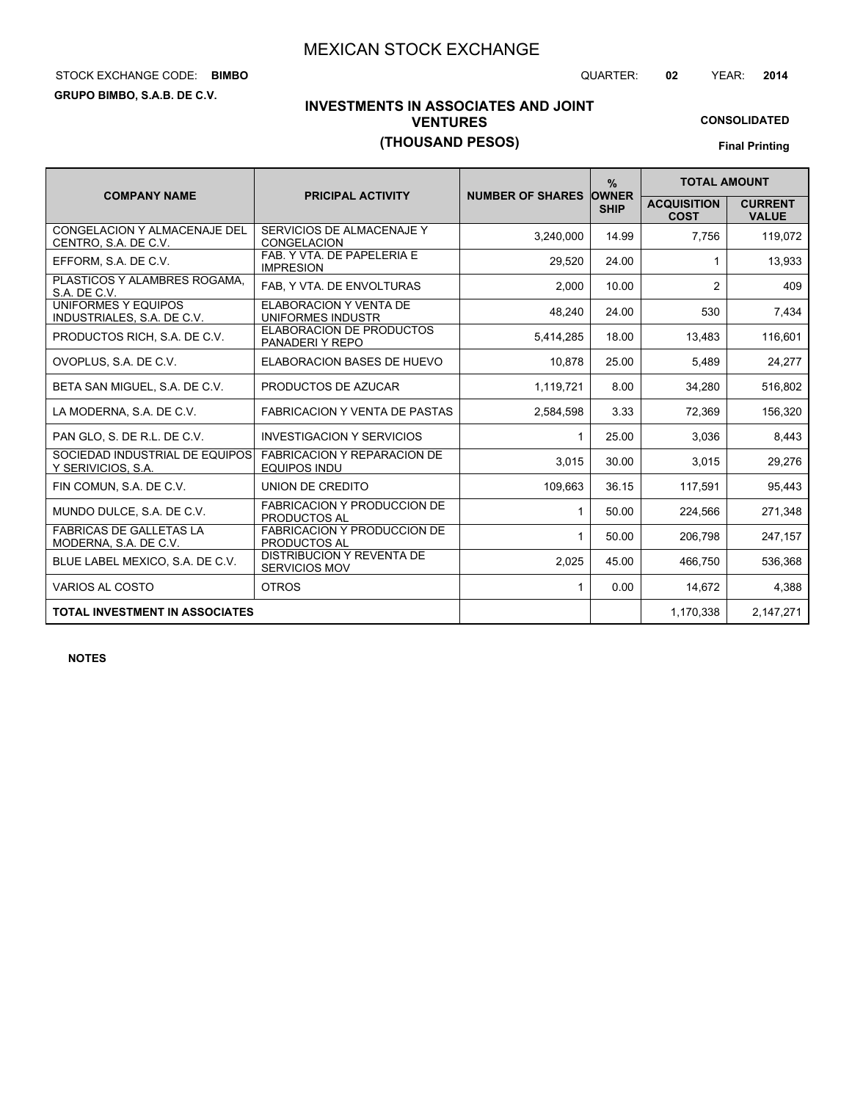# STOCK EXCHANGE CODE: QUARTER: **02** YEAR: **2014 BIMBO**

**GRUPO BIMBO, S.A.B. DE C.V.**

# **INVESTMENTS IN ASSOCIATES AND JOINT VENTURES (THOUSAND PESOS)**

**CONSOLIDATED Final Printing**

|                                                         |                                                           |                               | $\%$        | <b>TOTAL AMOUNT</b>               |                                |
|---------------------------------------------------------|-----------------------------------------------------------|-------------------------------|-------------|-----------------------------------|--------------------------------|
| <b>COMPANY NAME</b>                                     | <b>PRICIPAL ACTIVITY</b>                                  | <b>NUMBER OF SHARES OWNER</b> | <b>SHIP</b> | <b>ACQUISITION</b><br><b>COST</b> | <b>CURRENT</b><br><b>VALUE</b> |
| CONGELACION Y ALMACENAJE DEL<br>CENTRO, S.A. DE C.V.    | SERVICIOS DE ALMACENAJE Y<br><b>CONGELACION</b>           | 3,240,000                     | 14.99       | 7.756                             | 119,072                        |
| EFFORM, S.A. DE C.V.                                    | FAB. Y VTA. DE PAPELERIA E<br><b>IMPRESION</b>            | 29,520                        | 24.00       |                                   | 13,933                         |
| PLASTICOS Y ALAMBRES ROGAMA,<br>S.A. DE C.V.            | FAB, Y VTA. DE ENVOLTURAS                                 | 2,000                         | 10.00       | $\overline{2}$                    | 409                            |
| UNIFORMES Y EQUIPOS<br>INDUSTRIALES, S.A. DE C.V.       | <b>ELABORACION Y VENTA DE</b><br>UNIFORMES INDUSTR        | 48,240                        | 24.00       | 530                               | 7,434                          |
| PRODUCTOS RICH, S.A. DE C.V.                            | <b>ELABORACION DE PRODUCTOS</b><br>PANADERIY REPO         | 5.414.285                     | 18.00       | 13,483                            | 116,601                        |
| OVOPLUS, S.A. DE C.V.                                   | ELABORACION BASES DE HUEVO                                | 10,878                        | 25.00       | 5,489                             | 24,277                         |
| BETA SAN MIGUEL, S.A. DE C.V.                           | PRODUCTOS DE AZUCAR                                       | 1,119,721                     | 8.00        | 34,280                            | 516,802                        |
| LA MODERNA, S.A. DE C.V.                                | <b>FABRICACION Y VENTA DE PASTAS</b>                      | 2,584,598                     | 3.33        | 72,369                            | 156,320                        |
| PAN GLO, S. DE R.L. DE C.V.                             | <b>INVESTIGACION Y SERVICIOS</b>                          | 1                             | 25.00       | 3,036                             | 8,443                          |
| SOCIEDAD INDUSTRIAL DE EQUIPOS<br>Y SERIVICIOS, S.A.    | <b>FABRICACION Y REPARACION DE</b><br>EQUIPOS INDU        | 3,015                         | 30.00       | 3,015                             | 29,276                         |
| FIN COMUN, S.A. DE C.V.                                 | UNION DE CREDITO                                          | 109,663                       | 36.15       | 117,591                           | 95,443                         |
| MUNDO DULCE, S.A. DE C.V.                               | <b>FABRICACION Y PRODUCCION DE</b><br><b>PRODUCTOS AL</b> | 1                             | 50.00       | 224,566                           | 271,348                        |
| <b>FABRICAS DE GALLETAS LA</b><br>MODERNA, S.A. DE C.V. | <b>FABRICACION Y PRODUCCION DE</b><br>PRODUCTOS AL        | 1                             | 50.00       | 206,798                           | 247,157                        |
| BLUE LABEL MEXICO, S.A. DE C.V.                         | <b>DISTRIBUCION Y REVENTA DE</b><br>SERVICIOS MOV         | 2,025                         | 45.00       | 466.750                           | 536.368                        |
| VARIOS AL COSTO                                         | <b>OTROS</b>                                              | 1                             | 0.00        | 14,672                            | 4,388                          |
| <b>TOTAL INVESTMENT IN ASSOCIATES</b>                   |                                                           |                               |             | 1,170,338                         | 2,147,271                      |

**NOTES**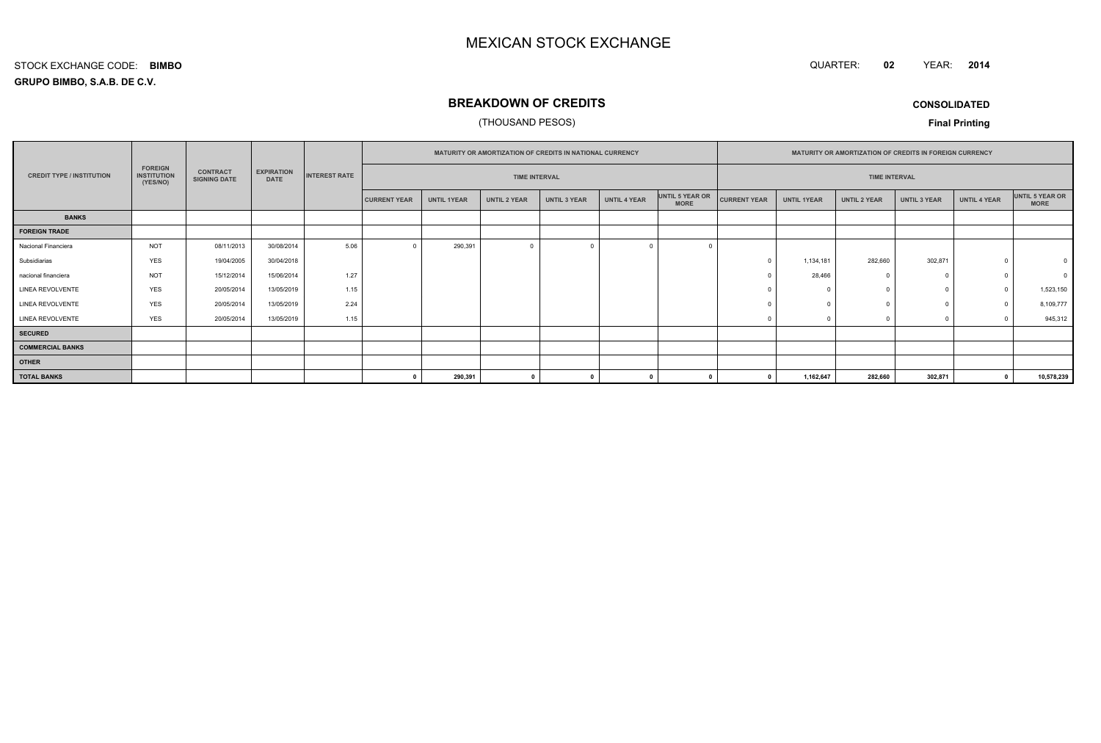QUARTER: **02**YEAR: **<sup>2014</sup>**

### **GRUPO BIMBO, S.A.B. DE C.V.**STOCK EXCHANGE CODE:**BIMBO**

# **BREAKDOWN OF CREDITS**

### (THOUSAND PESOS)

**CONSOLIDATED**

|                                  |                                                  |                                        |                                  |                      |                      |                    | <b>MATURITY OR AMORTIZATION OF CREDITS IN NATIONAL CURRENCY</b> |                     |                     |                                |                     | <b>MATURITY OR AMORTIZATION OF CREDITS IN FOREIGN CURRENCY</b> |                     |                     |                     |                                |
|----------------------------------|--------------------------------------------------|----------------------------------------|----------------------------------|----------------------|----------------------|--------------------|-----------------------------------------------------------------|---------------------|---------------------|--------------------------------|---------------------|----------------------------------------------------------------|---------------------|---------------------|---------------------|--------------------------------|
| <b>CREDIT TYPE / INSTITUTION</b> | <b>FOREIGN</b><br><b>INSTITUTION</b><br>(YES/NO) | <b>CONTRACT</b><br><b>SIGNING DATE</b> | <b>EXPIRATION</b><br><b>DATE</b> | <b>INTEREST RATE</b> | <b>TIME INTERVAL</b> |                    |                                                                 |                     |                     |                                |                     | <b>TIME INTERVAL</b>                                           |                     |                     |                     |                                |
|                                  |                                                  |                                        |                                  |                      | <b>CURRENT YEAR</b>  | <b>UNTIL 1YEAR</b> | <b>UNTIL 2 YEAR</b>                                             | <b>UNTIL 3 YEAR</b> | <b>UNTIL 4 YEAR</b> | UNTIL 5 YEAR OR<br><b>MORE</b> | <b>CURRENT YEAR</b> | <b>UNTIL 1YEAR</b>                                             | <b>UNTIL 2 YEAR</b> | <b>UNTIL 3 YEAR</b> | <b>UNTIL 4 YEAR</b> | UNTIL 5 YEAR OR<br><b>MORE</b> |
| <b>BANKS</b>                     |                                                  |                                        |                                  |                      |                      |                    |                                                                 |                     |                     |                                |                     |                                                                |                     |                     |                     |                                |
| <b>FOREIGN TRADE</b>             |                                                  |                                        |                                  |                      |                      |                    |                                                                 |                     |                     |                                |                     |                                                                |                     |                     |                     |                                |
| Nacional Financiera              | <b>NOT</b>                                       | 08/11/2013                             | 30/08/2014                       | 5.06                 |                      | 290,391            | $\Omega$                                                        |                     |                     |                                |                     |                                                                |                     |                     |                     |                                |
| Subsidiarias                     | <b>YES</b>                                       | 19/04/2005                             | 30/04/2018                       |                      |                      |                    |                                                                 |                     |                     |                                |                     | 1,134,181                                                      | 282,660             | 302,871             | $\Omega$            | $\mathbf 0$                    |
| nacional financiera              | <b>NOT</b>                                       | 15/12/2014                             | 15/06/2014                       | 1.27                 |                      |                    |                                                                 |                     |                     |                                |                     | 28,466                                                         |                     | $\Omega$            | $\Omega$            | $\Omega$                       |
| <b>LINEA REVOLVENTE</b>          | <b>YES</b>                                       | 20/05/2014                             | 13/05/2019                       | 1.15                 |                      |                    |                                                                 |                     |                     |                                |                     |                                                                |                     | $\Omega$            |                     | 1,523,150                      |
| LINEA REVOLVENTE                 | <b>YES</b>                                       | 20/05/2014                             | 13/05/2019                       | 2.24                 |                      |                    |                                                                 |                     |                     |                                |                     |                                                                |                     | $\Omega$            |                     | 8,109,777                      |
| <b>LINEA REVOLVENTE</b>          | <b>YES</b>                                       | 20/05/2014                             | 13/05/2019                       | 1.15                 |                      |                    |                                                                 |                     |                     |                                |                     |                                                                |                     |                     |                     | 945,312                        |
| <b>SECURED</b>                   |                                                  |                                        |                                  |                      |                      |                    |                                                                 |                     |                     |                                |                     |                                                                |                     |                     |                     |                                |
| <b>COMMERCIAL BANKS</b>          |                                                  |                                        |                                  |                      |                      |                    |                                                                 |                     |                     |                                |                     |                                                                |                     |                     |                     |                                |
| <b>OTHER</b>                     |                                                  |                                        |                                  |                      |                      |                    |                                                                 |                     |                     |                                |                     |                                                                |                     |                     |                     |                                |
| <b>TOTAL BANKS</b>               |                                                  |                                        |                                  |                      |                      | 290,391            | $\mathbf{a}$                                                    |                     |                     |                                |                     | 1,162,647                                                      | 282,660             | 302,871             |                     | 10,578,239                     |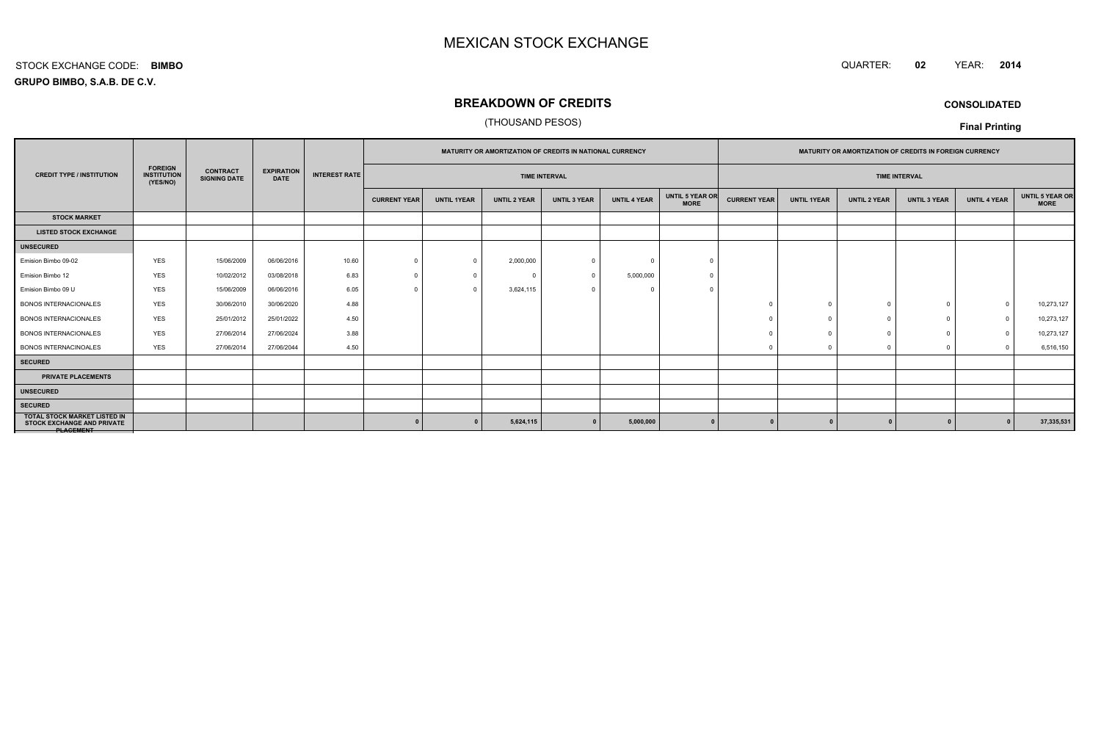#### QUARTER: **<sup>02</sup>**QUARTER: 02 YEAR: 2014

**GRUPO BIMBO, S.A.B. DE C.V.**STOCK EXCHANGE CODE:**BIMBO**

# **BREAKDOWN OF CREDITS**

### (THOUSAND PESOS)

**CONSOLIDATED**

|                                                                                             |                                                  |                                        |                                  |                      |                      |                    | MATURITY OR AMORTIZATION OF CREDITS IN NATIONAL CURRENCY |                     |                     |                                | MATURITY OR AMORTIZATION OF CREDITS IN FOREIGN CURRENCY |                    |                     |                     |                     |                                |
|---------------------------------------------------------------------------------------------|--------------------------------------------------|----------------------------------------|----------------------------------|----------------------|----------------------|--------------------|----------------------------------------------------------|---------------------|---------------------|--------------------------------|---------------------------------------------------------|--------------------|---------------------|---------------------|---------------------|--------------------------------|
| <b>CREDIT TYPE / INSTITUTION</b>                                                            | <b>FOREIGN</b><br><b>INSTITUTION</b><br>(YES/NO) | <b>CONTRACT</b><br><b>SIGNING DATE</b> | <b>EXPIRATION</b><br><b>DATE</b> | <b>INTEREST RATE</b> | <b>TIME INTERVAL</b> |                    |                                                          |                     |                     |                                | <b>TIME INTERVAL</b>                                    |                    |                     |                     |                     |                                |
|                                                                                             |                                                  |                                        |                                  |                      | <b>CURRENT YEAR</b>  | <b>UNTIL 1YEAR</b> | <b>UNTIL 2 YEAR</b>                                      | <b>UNTIL 3 YEAR</b> | <b>UNTIL 4 YEAR</b> | UNTIL 5 YEAR OR<br><b>MORE</b> | <b>CURRENT YEAR</b>                                     | <b>UNTIL 1YEAR</b> | <b>UNTIL 2 YEAR</b> | <b>UNTIL 3 YEAR</b> | <b>UNTIL 4 YEAR</b> | UNTIL 5 YEAR OR<br><b>MORE</b> |
| <b>STOCK MARKET</b>                                                                         |                                                  |                                        |                                  |                      |                      |                    |                                                          |                     |                     |                                |                                                         |                    |                     |                     |                     |                                |
| <b>LISTED STOCK EXCHANGE</b>                                                                |                                                  |                                        |                                  |                      |                      |                    |                                                          |                     |                     |                                |                                                         |                    |                     |                     |                     |                                |
| <b>UNSECURED</b>                                                                            |                                                  |                                        |                                  |                      |                      |                    |                                                          |                     |                     |                                |                                                         |                    |                     |                     |                     |                                |
| Emision Bimbo 09-02                                                                         | <b>YES</b>                                       | 15/06/2009                             | 06/06/2016                       | 10.60                | $\Omega$             |                    | 2,000,000                                                | -0                  | $\Omega$            |                                |                                                         |                    |                     |                     |                     |                                |
| Emision Bimbo 12                                                                            | <b>YES</b>                                       | 10/02/2012                             | 03/08/2018                       | 6.83                 | $\Omega$             | $\Omega$           | $\Omega$                                                 | $\Omega$            | 5,000,000           |                                |                                                         |                    |                     |                     |                     |                                |
| Emision Bimbo 09 U                                                                          | <b>YES</b>                                       | 15/06/2009                             | 06/06/2016                       | 6.05                 | $\Omega$             |                    | 3,624,115                                                |                     |                     |                                |                                                         |                    |                     |                     |                     |                                |
| <b>BONOS INTERNACIONALES</b>                                                                | <b>YES</b>                                       | 30/06/2010                             | 30/06/2020                       | 4.88                 |                      |                    |                                                          |                     |                     |                                |                                                         | $\Omega$           | $\Omega$            |                     | $\bigcap$           | 10,273,127                     |
| <b>BONOS INTERNACIONALES</b>                                                                | YES                                              | 25/01/2012                             | 25/01/2022                       | 4.50                 |                      |                    |                                                          |                     |                     |                                |                                                         |                    |                     |                     | $\Omega$            | 10,273,127                     |
| <b>BONOS INTERNACIONALES</b>                                                                | <b>YES</b>                                       | 27/06/2014                             | 27/06/2024                       | 3.88                 |                      |                    |                                                          |                     |                     |                                |                                                         |                    |                     |                     | $\Omega$            | 10,273,127                     |
| <b>BONOS INTERNACINOALES</b>                                                                | <b>YES</b>                                       | 27/06/2014                             | 27/06/2044                       | 4.50                 |                      |                    |                                                          |                     |                     |                                |                                                         |                    |                     | $\Omega$            | $\Omega$            | 6,516,150                      |
| <b>SECURED</b>                                                                              |                                                  |                                        |                                  |                      |                      |                    |                                                          |                     |                     |                                |                                                         |                    |                     |                     |                     |                                |
| <b>PRIVATE PLACEMENTS</b>                                                                   |                                                  |                                        |                                  |                      |                      |                    |                                                          |                     |                     |                                |                                                         |                    |                     |                     |                     |                                |
| <b>UNSECURED</b>                                                                            |                                                  |                                        |                                  |                      |                      |                    |                                                          |                     |                     |                                |                                                         |                    |                     |                     |                     |                                |
| <b>SECURED</b>                                                                              |                                                  |                                        |                                  |                      |                      |                    |                                                          |                     |                     |                                |                                                         |                    |                     |                     |                     |                                |
| <b>TOTAL STOCK MARKET LISTED IN</b><br><b>STOCK EXCHANGE AND PRIVATE</b><br><b>NACCMENT</b> |                                                  |                                        |                                  |                      |                      |                    | 5,624,115                                                |                     | 5,000,000           |                                |                                                         |                    |                     |                     |                     | 37,335,531                     |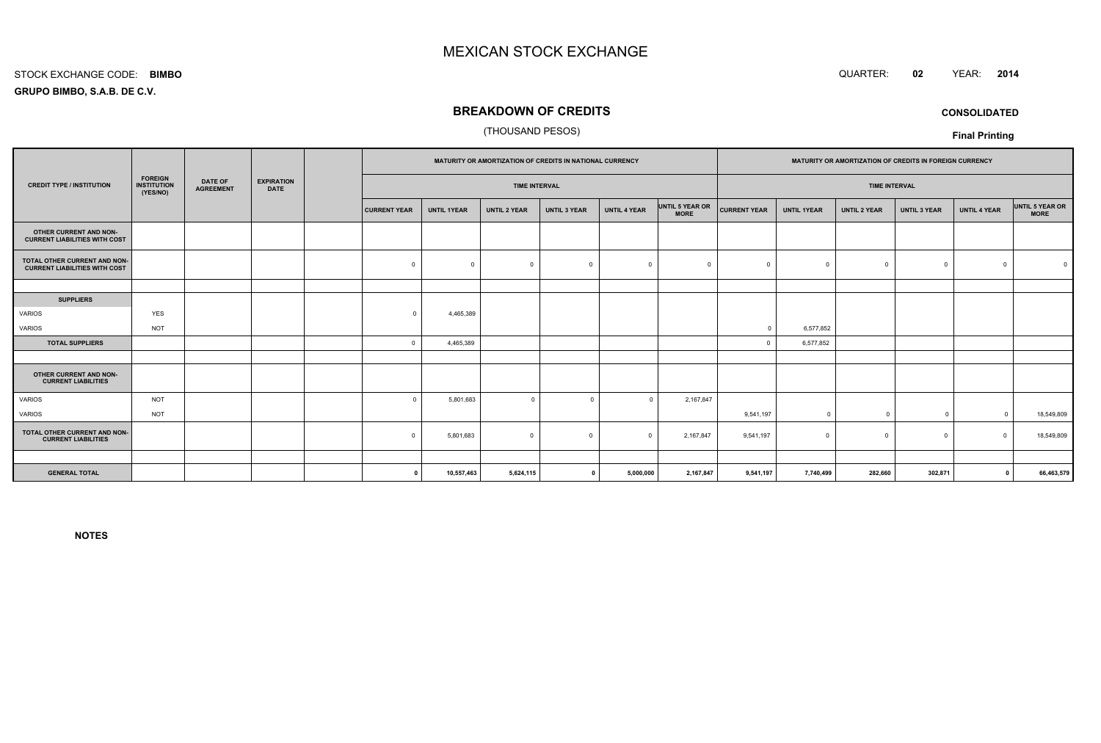#### STOCK EXCHANGE CODE:**BIMBO**

**GRUPO BIMBO, S.A.B. DE C.V.**

## **BREAKDOWN OF CREDITS**

### (THOUSAND PESOS)

|                                                                      |                                                  |                                    |                                  |                     |                    | MATURITY OR AMORTIZATION OF CREDITS IN NATIONAL CURRENCY |                     |                     |                                |                     |                    | MATURITY OR AMORTIZATION OF CREDITS IN FOREIGN CURRENCY |                     |                     |                                |
|----------------------------------------------------------------------|--------------------------------------------------|------------------------------------|----------------------------------|---------------------|--------------------|----------------------------------------------------------|---------------------|---------------------|--------------------------------|---------------------|--------------------|---------------------------------------------------------|---------------------|---------------------|--------------------------------|
| <b>CREDIT TYPE / INSTITUTION</b>                                     | <b>FOREIGN</b><br><b>INSTITUTION</b><br>(YES/NO) | <b>DATE OF</b><br><b>AGREEMENT</b> | <b>EXPIRATION</b><br><b>DATE</b> |                     |                    | <b>TIME INTERVAL</b>                                     |                     |                     |                                |                     |                    | <b>TIME INTERVAL</b>                                    |                     |                     |                                |
|                                                                      |                                                  |                                    |                                  | <b>CURRENT YEAR</b> | <b>UNTIL 1YEAR</b> | <b>UNTIL 2 YEAR</b>                                      | <b>UNTIL 3 YEAR</b> | <b>UNTIL 4 YEAR</b> | UNTIL 5 YEAR OR<br><b>MORE</b> | <b>CURRENT YEAR</b> | <b>UNTIL 1YEAR</b> | <b>UNTIL 2 YEAR</b>                                     | <b>UNTIL 3 YEAR</b> | <b>UNTIL 4 YEAR</b> | UNTIL 5 YEAR OR<br><b>MORE</b> |
| OTHER CURRENT AND NON-<br><b>CURRENT LIABILITIES WITH COST</b>       |                                                  |                                    |                                  |                     |                    |                                                          |                     |                     |                                |                     |                    |                                                         |                     |                     |                                |
| TOTAL OTHER CURRENT AND NON-<br><b>CURRENT LIABILITIES WITH COST</b> |                                                  |                                    |                                  | $\mathbf 0$         | $\Omega$           | $\mathbf 0$                                              | $\Omega$            | $\Omega$            | $\Omega$                       |                     | $\Omega$           | $\Omega$                                                | $\mathbf 0$         | $\Omega$            |                                |
|                                                                      |                                                  |                                    |                                  |                     |                    |                                                          |                     |                     |                                |                     |                    |                                                         |                     |                     |                                |
| <b>SUPPLIERS</b>                                                     |                                                  |                                    |                                  |                     |                    |                                                          |                     |                     |                                |                     |                    |                                                         |                     |                     |                                |
| VARIOS                                                               | YES                                              |                                    |                                  | $\Omega$            | 4,465,389          |                                                          |                     |                     |                                |                     |                    |                                                         |                     |                     |                                |
| VARIOS                                                               | <b>NOT</b>                                       |                                    |                                  |                     |                    |                                                          |                     |                     |                                | $\Omega$            | 6,577,852          |                                                         |                     |                     |                                |
| <b>TOTAL SUPPLIERS</b>                                               |                                                  |                                    |                                  | $\Omega$            | 4,465,389          |                                                          |                     |                     |                                |                     | 6,577,852          |                                                         |                     |                     |                                |
|                                                                      |                                                  |                                    |                                  |                     |                    |                                                          |                     |                     |                                |                     |                    |                                                         |                     |                     |                                |
| OTHER CURRENT AND NON-<br><b>CURRENT LIABILITIES</b>                 |                                                  |                                    |                                  |                     |                    |                                                          |                     |                     |                                |                     |                    |                                                         |                     |                     |                                |
| <b>VARIOS</b>                                                        | <b>NOT</b>                                       |                                    |                                  | $\Omega$            | 5,801,683          | $\mathbf 0$                                              | $\Omega$            | $\Omega$            | 2,167,847                      |                     |                    |                                                         |                     |                     |                                |
| VARIOS                                                               | <b>NOT</b>                                       |                                    |                                  |                     |                    |                                                          |                     |                     |                                | 9,541,197           | $\overline{0}$     | $\Omega$                                                | $\overline{0}$      | $\Omega$            | 18,549,809                     |
| TOTAL OTHER CURRENT AND NON-<br><b>CURRENT LIABILITIES</b>           |                                                  |                                    |                                  | $\mathbf 0$         | 5,801,683          | $\mathbf 0$                                              | $\overline{0}$      | $\Omega$            | 2,167,847                      | 9,541,197           | $^{\circ}$         | $\Omega$                                                | $^{\circ}$          | $\Omega$            | 18,549,809                     |
|                                                                      |                                                  |                                    |                                  |                     |                    |                                                          |                     |                     |                                |                     |                    |                                                         |                     |                     |                                |
| <b>GENERAL TOTAL</b>                                                 |                                                  |                                    |                                  | $\Omega$            | 10,557,463         | 5,624,115                                                |                     | 5,000,000           | 2,167,847                      | 9,541,197           | 7,740,499          | 282,660                                                 | 302,871             | $\Omega$            | 66,463,579                     |
|                                                                      |                                                  |                                    |                                  |                     |                    |                                                          |                     |                     |                                |                     |                    |                                                         |                     |                     |                                |

**NOTES**



**CONSOLIDATED**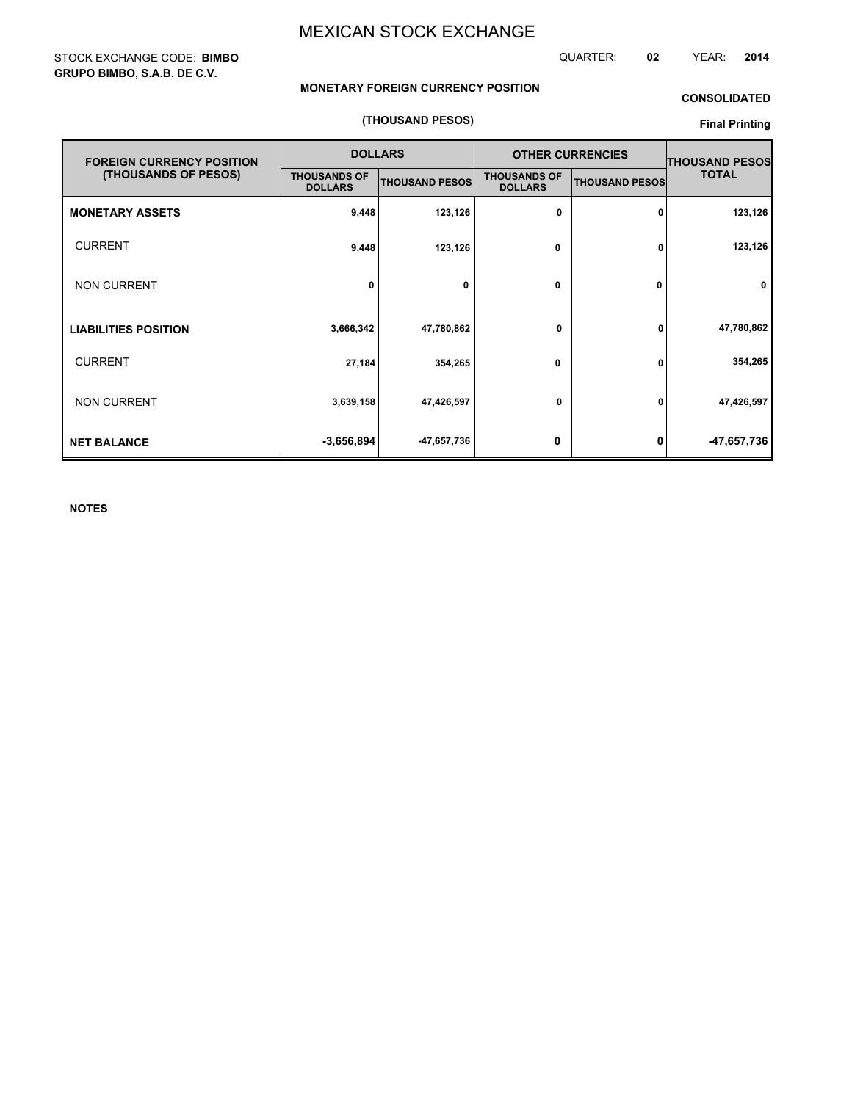### STOCK EXCHANGE CODE: **BIMBO GRUPO BIMBO, S.A.B. DE C.V.**

QUARTER: **02** YEAR: **2014**

### **MONETARY FOREIGN CURRENCY POSITION**

### **CONSOLIDATED**

### **(THOUSAND PESOS)**

### **Final Printing**

| <b>FOREIGN CURRENCY POSITION</b> |                                       | <b>DOLLARS</b>        |                                       | <b>OTHER CURRENCIES</b> | <b>THOUSAND PESOS</b> |  |
|----------------------------------|---------------------------------------|-----------------------|---------------------------------------|-------------------------|-----------------------|--|
| (THOUSANDS OF PESOS)             | <b>THOUSANDS OF</b><br><b>DOLLARS</b> | <b>THOUSAND PESOS</b> | <b>THOUSANDS OF</b><br><b>DOLLARS</b> | <b>THOUSAND PESOS</b>   | <b>TOTAL</b>          |  |
| <b>MONETARY ASSETS</b>           | 9,448                                 | 123,126               | 0                                     | 0                       | 123,126               |  |
| <b>CURRENT</b>                   | 9,448                                 | 123,126               | 0                                     | 0                       | 123,126               |  |
| <b>NON CURRENT</b>               | 0                                     | 0                     | $\mathbf{0}$                          | 0                       | $\mathbf 0$           |  |
| <b>LIABILITIES POSITION</b>      | 3,666,342                             | 47,780,862            | 0                                     | 0                       | 47,780,862            |  |
| <b>CURRENT</b>                   | 27,184                                | 354,265               | 0                                     | 0                       | 354,265               |  |
| <b>NON CURRENT</b>               | 3,639,158                             | 47,426,597            | 0                                     | 0                       | 47,426,597            |  |
| <b>NET BALANCE</b>               | $-3,656,894$                          | -47,657,736           | 0                                     | 0                       | -47,657,736           |  |

**NOTES**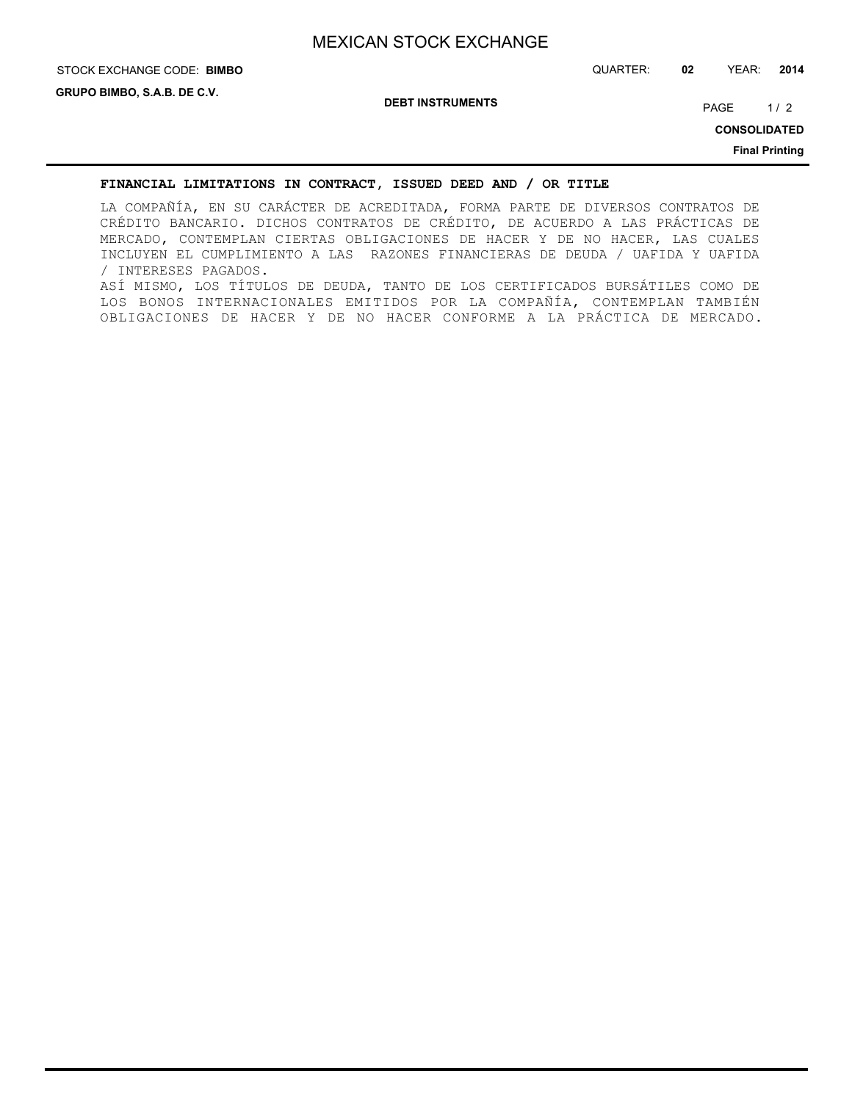# STOCK EXCHANGE CODE: QUARTER: **02** YEAR: **2014 BIMBO**

**DEBT INSTRUMENTS**

PAGE 1/2

**CONSOLIDATED**

**Final Printing**

### **FINANCIAL LIMITATIONS IN CONTRACT, ISSUED DEED AND / OR TITLE**

LA COMPAÑÍA, EN SU CARÁCTER DE ACREDITADA, FORMA PARTE DE DIVERSOS CONTRATOS DE CRÉDITO BANCARIO. DICHOS CONTRATOS DE CRÉDITO, DE ACUERDO A LAS PRÁCTICAS DE MERCADO, CONTEMPLAN CIERTAS OBLIGACIONES DE HACER Y DE NO HACER, LAS CUALES INCLUYEN EL CUMPLIMIENTO A LAS RAZONES FINANCIERAS DE DEUDA / UAFIDA Y UAFIDA / INTERESES PAGADOS. ASÍ MISMO, LOS TÍTULOS DE DEUDA, TANTO DE LOS CERTIFICADOS BURSÁTILES COMO DE LOS BONOS INTERNACIONALES EMITIDOS POR LA COMPAÑÍA, CONTEMPLAN TAMBIÉN OBLIGACIONES DE HACER Y DE NO HACER CONFORME A LA PRÁCTICA DE MERCADO.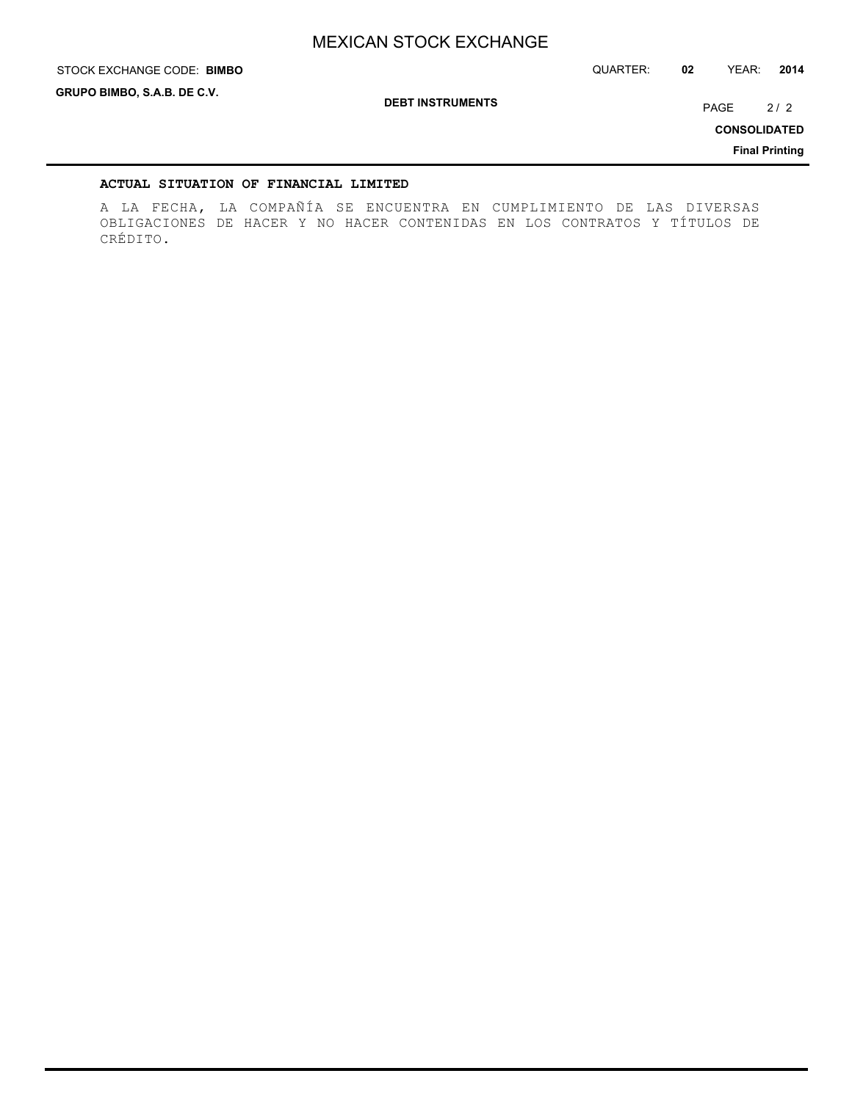STOCK EXCHANGE CODE: QUARTER: **02** YEAR: **2014 BIMBO**

**GRUPO BIMBO, S.A.B. DE C.V.**

**DEBT INSTRUMENTS**

PAGE 2/2

**CONSOLIDATED**

**Final Printing**

### **ACTUAL SITUATION OF FINANCIAL LIMITED**

A LA FECHA, LA COMPAÑÍA SE ENCUENTRA EN CUMPLIMIENTO DE LAS DIVERSAS OBLIGACIONES DE HACER Y NO HACER CONTENIDAS EN LOS CONTRATOS Y TÍTULOS DE CRÉDITO.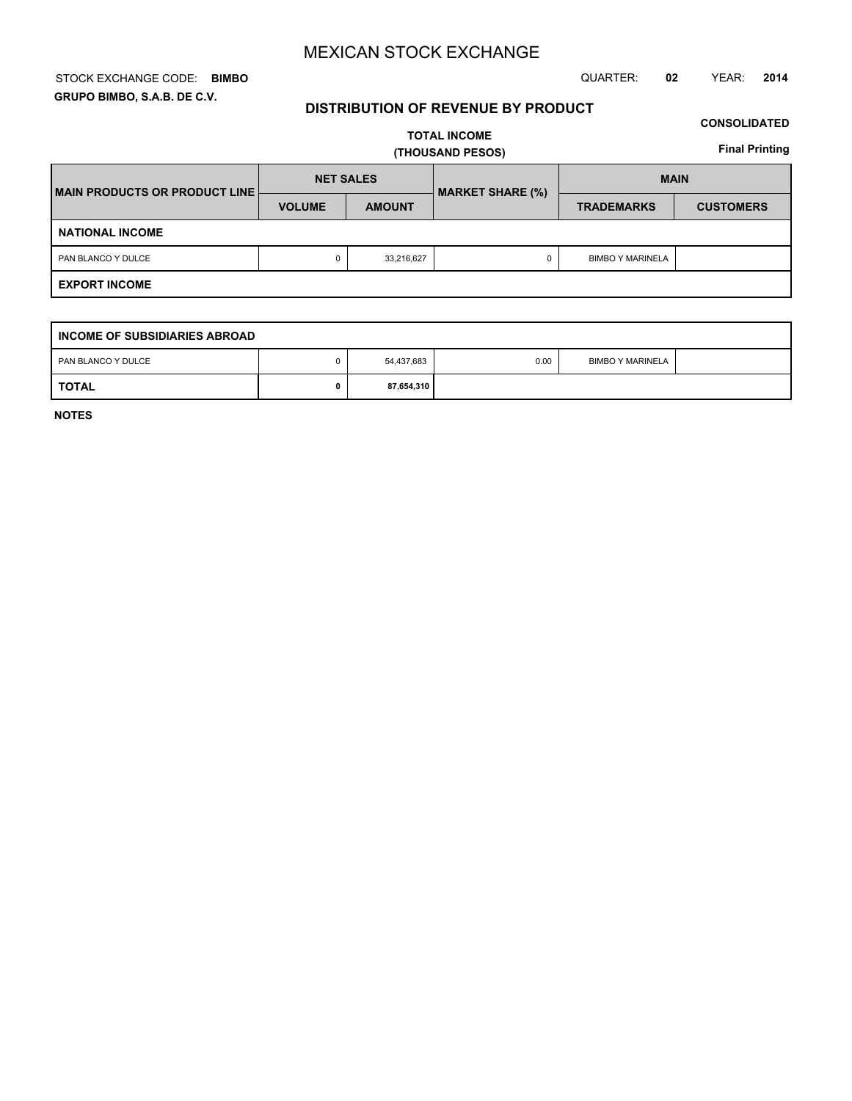### STOCK EXCHANGE CODE: QUARTER: **02** YEAR: **2014 BIMBO GRUPO BIMBO, S.A.B. DE C.V.**

## **DISTRIBUTION OF REVENUE BY PRODUCT**

## **CONSOLIDATED**

**TOTAL INCOME (THOUSAND PESOS)**

**Final Printing**

| <b>IMAIN PRODUCTS OR PRODUCT LINE!</b> | <b>NET SALES</b> |               | <b>MARKET SHARE (%)</b> | <b>MAIN</b>             |                  |  |  |
|----------------------------------------|------------------|---------------|-------------------------|-------------------------|------------------|--|--|
|                                        | <b>VOLUME</b>    | <b>AMOUNT</b> |                         | <b>TRADEMARKS</b>       | <b>CUSTOMERS</b> |  |  |
| <b>NATIONAL INCOME</b>                 |                  |               |                         |                         |                  |  |  |
| PAN BLANCO Y DULCE                     | 0                | 33,216,627    |                         | <b>BIMBO Y MARINELA</b> |                  |  |  |
| <b>EXPORT INCOME</b>                   |                  |               |                         |                         |                  |  |  |

| INCOME OF SUBSIDIARIES ABROAD |  |            |      |                         |  |  |  |  |  |  |
|-------------------------------|--|------------|------|-------------------------|--|--|--|--|--|--|
| PAN BLANCO Y DULCE            |  | 54,437,683 | 0.00 | <b>BIMBO Y MARINELA</b> |  |  |  |  |  |  |
| <b>TOTAL</b>                  |  | 87,654,310 |      |                         |  |  |  |  |  |  |

**NOTES**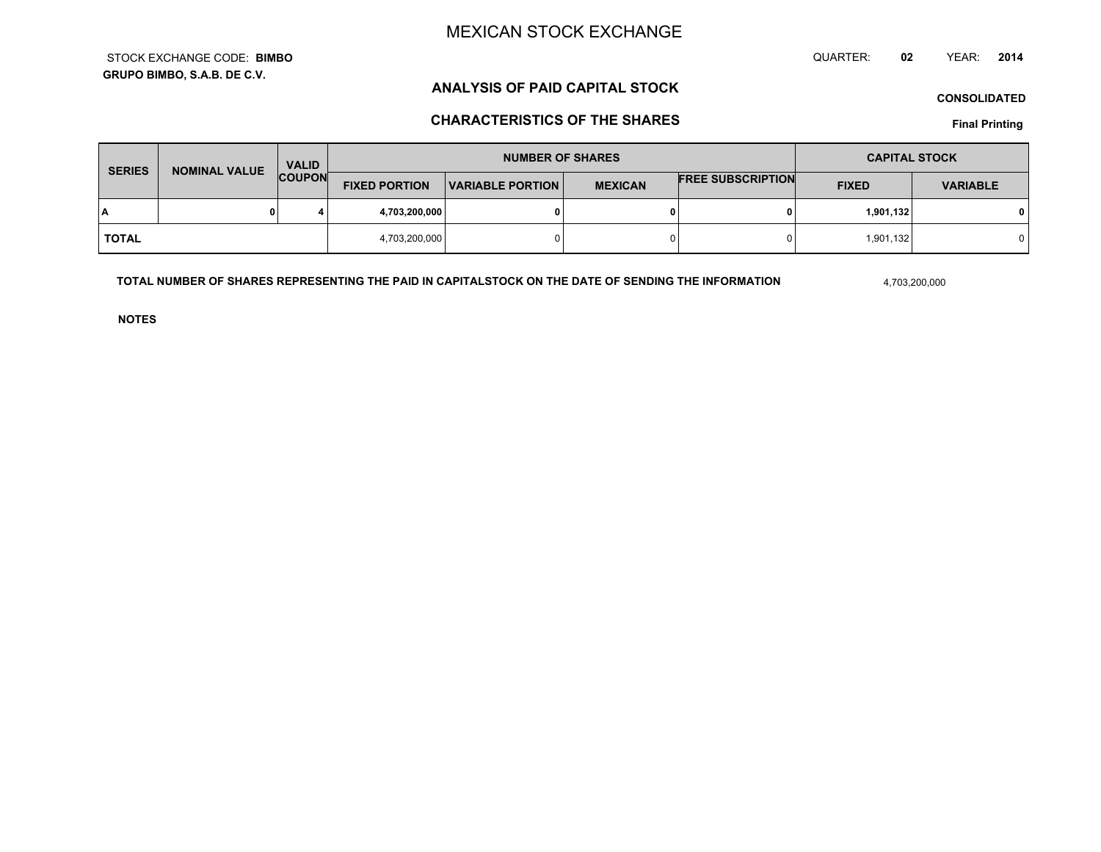**GRUPO BIMBO, S.A.B. DE C.V.**STOCK EXCHANGE CODE:**BIMBO** QUARTER: **02**YEAR: **<sup>2014</sup>**

# **ANALYSIS OF PAID CAPITAL STOCK**

**CONSOLIDATED**

# **CHARACTERISTICS OF THE SHARES**

**Final Printing**

| <b>SERIES</b> | NOMINAL VALUE | <b>VALID</b>  | <b>NUMBER OF SHARES</b> |                         |                | <b>CAPITAL STOCK</b>     |              |                 |
|---------------|---------------|---------------|-------------------------|-------------------------|----------------|--------------------------|--------------|-----------------|
|               |               | <b>COUPON</b> | <b>FIXED PORTION</b>    | <b>VARIABLE PORTION</b> | <b>MEXICAN</b> | <b>FREE SUBSCRIPTION</b> | <b>FIXED</b> | <b>VARIABLE</b> |
| I٨            |               | 4             | 4,703,200,000           |                         | 0              |                          | 1,901,132    |                 |
| <b>TOTAL</b>  |               |               | 4,703,200,000           |                         | $\Omega$       |                          | 1,901,132    |                 |

**TOTAL NUMBER OF SHARES REPRESENTING THE PAID IN CAPITALSTOCK ON THE DATE OF SENDING THE INFORMATION**

4,703,200,000

**NOTES**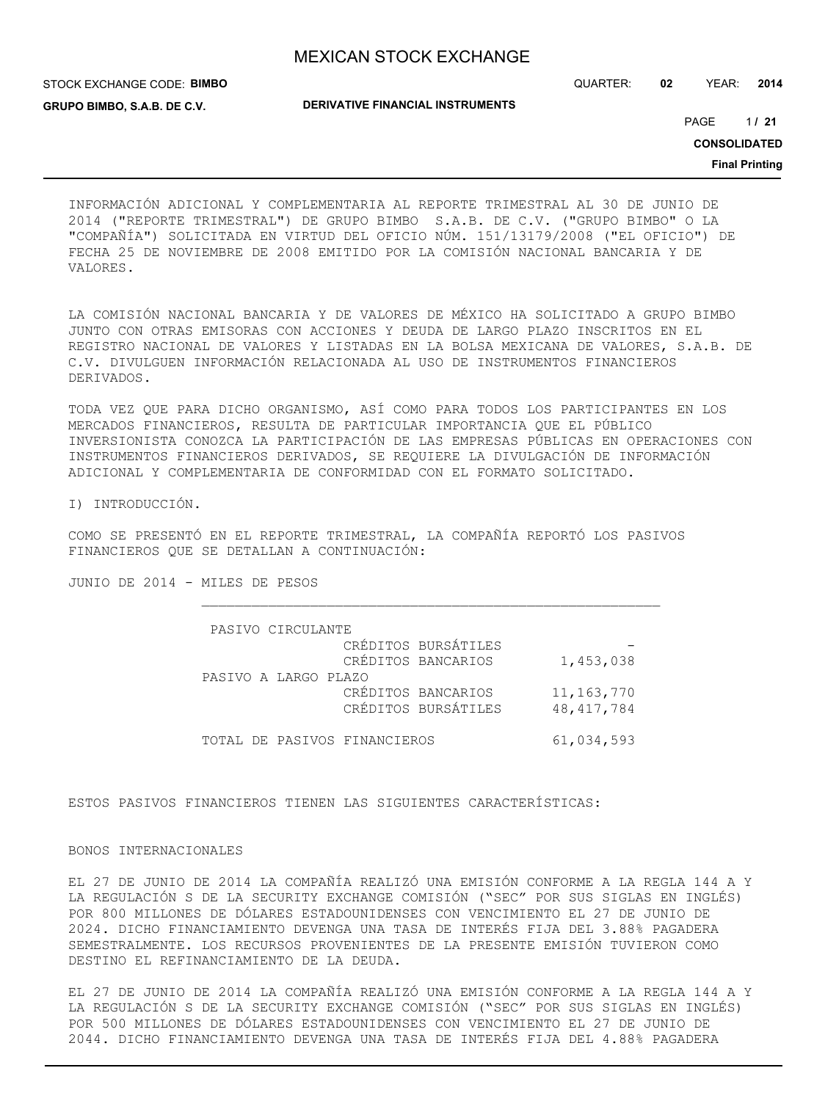STOCK EXCHANGE CODE: **BIMBO GRUPO BIMBO, S.A.B. DE C.V.**

QUARTER: **02** YEAR: **2014**

**DERIVATIVE FINANCIAL INSTRUMENTS**

1 PAGE **/ 21**

**CONSOLIDATED**

**Final Printing**

INFORMACIÓN ADICIONAL Y COMPLEMENTARIA AL REPORTE TRIMESTRAL AL 30 DE JUNIO DE 2014 ("REPORTE TRIMESTRAL") DE GRUPO BIMBO S.A.B. DE C.V. ("GRUPO BIMBO" O LA "COMPAÑÍA") SOLICITADA EN VIRTUD DEL OFICIO NÚM. 151/13179/2008 ("EL OFICIO") DE FECHA 25 DE NOVIEMBRE DE 2008 EMITIDO POR LA COMISIÓN NACIONAL BANCARIA Y DE VALORES.

LA COMISIÓN NACIONAL BANCARIA Y DE VALORES DE MÉXICO HA SOLICITADO A GRUPO BIMBO JUNTO CON OTRAS EMISORAS CON ACCIONES Y DEUDA DE LARGO PLAZO INSCRITOS EN EL REGISTRO NACIONAL DE VALORES Y LISTADAS EN LA BOLSA MEXICANA DE VALORES, S.A.B. DE C.V. DIVULGUEN INFORMACIÓN RELACIONADA AL USO DE INSTRUMENTOS FINANCIEROS DERIVADOS.

TODA VEZ QUE PARA DICHO ORGANISMO, ASÍ COMO PARA TODOS LOS PARTICIPANTES EN LOS MERCADOS FINANCIEROS, RESULTA DE PARTICULAR IMPORTANCIA QUE EL PÚBLICO INVERSIONISTA CONOZCA LA PARTICIPACIÓN DE LAS EMPRESAS PÚBLICAS EN OPERACIONES CON INSTRUMENTOS FINANCIEROS DERIVADOS, SE REQUIERE LA DIVULGACIÓN DE INFORMACIÓN ADICIONAL Y COMPLEMENTARIA DE CONFORMIDAD CON EL FORMATO SOLICITADO.

I) INTRODUCCIÓN.

COMO SE PRESENTÓ EN EL REPORTE TRIMESTRAL, LA COMPAÑÍA REPORTÓ LOS PASIVOS FINANCIEROS QUE SE DETALLAN A CONTINUACIÓN:

JUNIO DE 2014 - MILES DE PESOS

| PASIVO CIRCULANTE            |                     |              |
|------------------------------|---------------------|--------------|
|                              | CRÉDITOS BURSÁTILES |              |
|                              | CRÉDITOS BANCARIOS  | 1,453,038    |
| PASIVO A LARGO PLAZO         |                     |              |
|                              | CRÉDITOS BANCARIOS  | 11, 163, 770 |
|                              | CRÉDITOS BURSÁTILES | 48, 417, 784 |
|                              |                     |              |
| TOTAL DE PASIVOS FINANCIEROS |                     | 61,034,593   |

ESTOS PASIVOS FINANCIEROS TIENEN LAS SIGUIENTES CARACTERÍSTICAS:

### BONOS INTERNACIONALES

EL 27 DE JUNIO DE 2014 LA COMPAÑÍA REALIZÓ UNA EMISIÓN CONFORME A LA REGLA 144 A Y LA REGULACIÓN S DE LA SECURITY EXCHANGE COMISIÓN ("SEC" POR SUS SIGLAS EN INGLÉS) POR 800 MILLONES DE DÓLARES ESTADOUNIDENSES CON VENCIMIENTO EL 27 DE JUNIO DE 2024. DICHO FINANCIAMIENTO DEVENGA UNA TASA DE INTERÉS FIJA DEL 3.88% PAGADERA SEMESTRALMENTE. LOS RECURSOS PROVENIENTES DE LA PRESENTE EMISIÓN TUVIERON COMO DESTINO EL REFINANCIAMIENTO DE LA DEUDA.

EL 27 DE JUNIO DE 2014 LA COMPAÑÍA REALIZÓ UNA EMISIÓN CONFORME A LA REGLA 144 A Y LA REGULACIÓN S DE LA SECURITY EXCHANGE COMISIÓN ("SEC" POR SUS SIGLAS EN INGLÉS) POR 500 MILLONES DE DÓLARES ESTADOUNIDENSES CON VENCIMIENTO EL 27 DE JUNIO DE 2044. DICHO FINANCIAMIENTO DEVENGA UNA TASA DE INTERÉS FIJA DEL 4.88% PAGADERA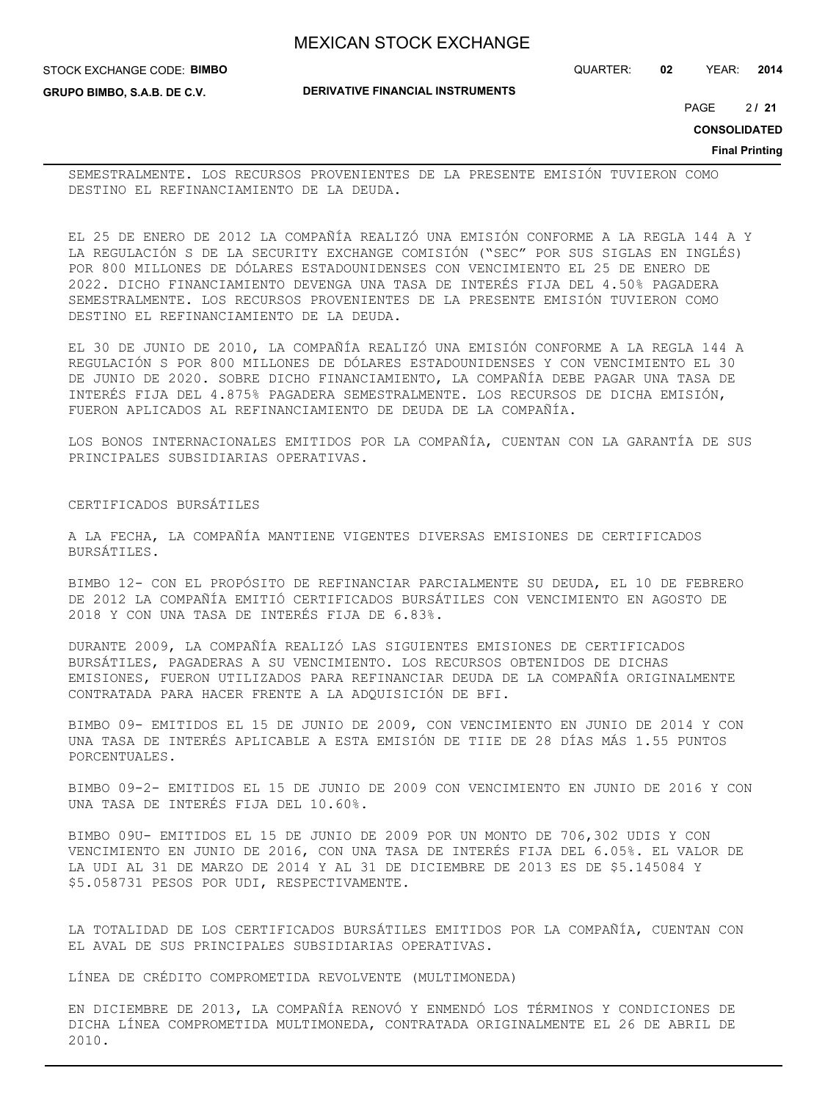QUARTER: **02** YEAR: **2014**

**GRUPO BIMBO, S.A.B. DE C.V.**

STOCK EXCHANGE CODE: **BIMBO**

**DERIVATIVE FINANCIAL INSTRUMENTS**

2 PAGE **/ 21**

**CONSOLIDATED**

**Final Printing**

SEMESTRALMENTE. LOS RECURSOS PROVENIENTES DE LA PRESENTE EMISIÓN TUVIERON COMO DESTINO EL REFINANCIAMIENTO DE LA DEUDA.

EL 25 DE ENERO DE 2012 LA COMPAÑÍA REALIZÓ UNA EMISIÓN CONFORME A LA REGLA 144 A Y LA REGULACIÓN S DE LA SECURITY EXCHANGE COMISIÓN ("SEC" POR SUS SIGLAS EN INGLÉS) POR 800 MILLONES DE DÓLARES ESTADOUNIDENSES CON VENCIMIENTO EL 25 DE ENERO DE 2022. DICHO FINANCIAMIENTO DEVENGA UNA TASA DE INTERÉS FIJA DEL 4.50% PAGADERA SEMESTRALMENTE. LOS RECURSOS PROVENIENTES DE LA PRESENTE EMISIÓN TUVIERON COMO DESTINO EL REFINANCIAMIENTO DE LA DEUDA.

EL 30 DE JUNIO DE 2010, LA COMPAÑÍA REALIZÓ UNA EMISIÓN CONFORME A LA REGLA 144 A REGULACIÓN S POR 800 MILLONES DE DÓLARES ESTADOUNIDENSES Y CON VENCIMIENTO EL 30 DE JUNIO DE 2020. SOBRE DICHO FINANCIAMIENTO, LA COMPAÑÍA DEBE PAGAR UNA TASA DE INTERÉS FIJA DEL 4.875% PAGADERA SEMESTRALMENTE. LOS RECURSOS DE DICHA EMISIÓN, FUERON APLICADOS AL REFINANCIAMIENTO DE DEUDA DE LA COMPAÑÍA.

LOS BONOS INTERNACIONALES EMITIDOS POR LA COMPAÑÍA, CUENTAN CON LA GARANTÍA DE SUS PRINCIPALES SUBSIDIARIAS OPERATIVAS.

CERTIFICADOS BURSÁTILES

A LA FECHA, LA COMPAÑÍA MANTIENE VIGENTES DIVERSAS EMISIONES DE CERTIFICADOS BURSÁTILES.

BIMBO 12- CON EL PROPÓSITO DE REFINANCIAR PARCIALMENTE SU DEUDA, EL 10 DE FEBRERO DE 2012 LA COMPAÑÍA EMITIÓ CERTIFICADOS BURSÁTILES CON VENCIMIENTO EN AGOSTO DE 2018 Y CON UNA TASA DE INTERÉS FIJA DE 6.83%.

DURANTE 2009, LA COMPAÑÍA REALIZÓ LAS SIGUIENTES EMISIONES DE CERTIFICADOS BURSÁTILES, PAGADERAS A SU VENCIMIENTO. LOS RECURSOS OBTENIDOS DE DICHAS EMISIONES, FUERON UTILIZADOS PARA REFINANCIAR DEUDA DE LA COMPAÑÍA ORIGINALMENTE CONTRATADA PARA HACER FRENTE A LA ADQUISICIÓN DE BFI.

BIMBO 09- EMITIDOS EL 15 DE JUNIO DE 2009, CON VENCIMIENTO EN JUNIO DE 2014 Y CON UNA TASA DE INTERÉS APLICABLE A ESTA EMISIÓN DE TIIE DE 28 DÍAS MÁS 1.55 PUNTOS PORCENTUALES.

BIMBO 09-2- EMITIDOS EL 15 DE JUNIO DE 2009 CON VENCIMIENTO EN JUNIO DE 2016 Y CON UNA TASA DE INTERÉS FIJA DEL 10.60%.

BIMBO 09U- EMITIDOS EL 15 DE JUNIO DE 2009 POR UN MONTO DE 706,302 UDIS Y CON VENCIMIENTO EN JUNIO DE 2016, CON UNA TASA DE INTERÉS FIJA DEL 6.05%. EL VALOR DE LA UDI AL 31 DE MARZO DE 2014 Y AL 31 DE DICIEMBRE DE 2013 ES DE \$5.145084 Y \$5.058731 PESOS POR UDI, RESPECTIVAMENTE.

LA TOTALIDAD DE LOS CERTIFICADOS BURSÁTILES EMITIDOS POR LA COMPAÑÍA, CUENTAN CON EL AVAL DE SUS PRINCIPALES SUBSIDIARIAS OPERATIVAS.

LÍNEA DE CRÉDITO COMPROMETIDA REVOLVENTE (MULTIMONEDA)

EN DICIEMBRE DE 2013, LA COMPAÑÍA RENOVÓ Y ENMENDÓ LOS TÉRMINOS Y CONDICIONES DE DICHA LÍNEA COMPROMETIDA MULTIMONEDA, CONTRATADA ORIGINALMENTE EL 26 DE ABRIL DE 2010.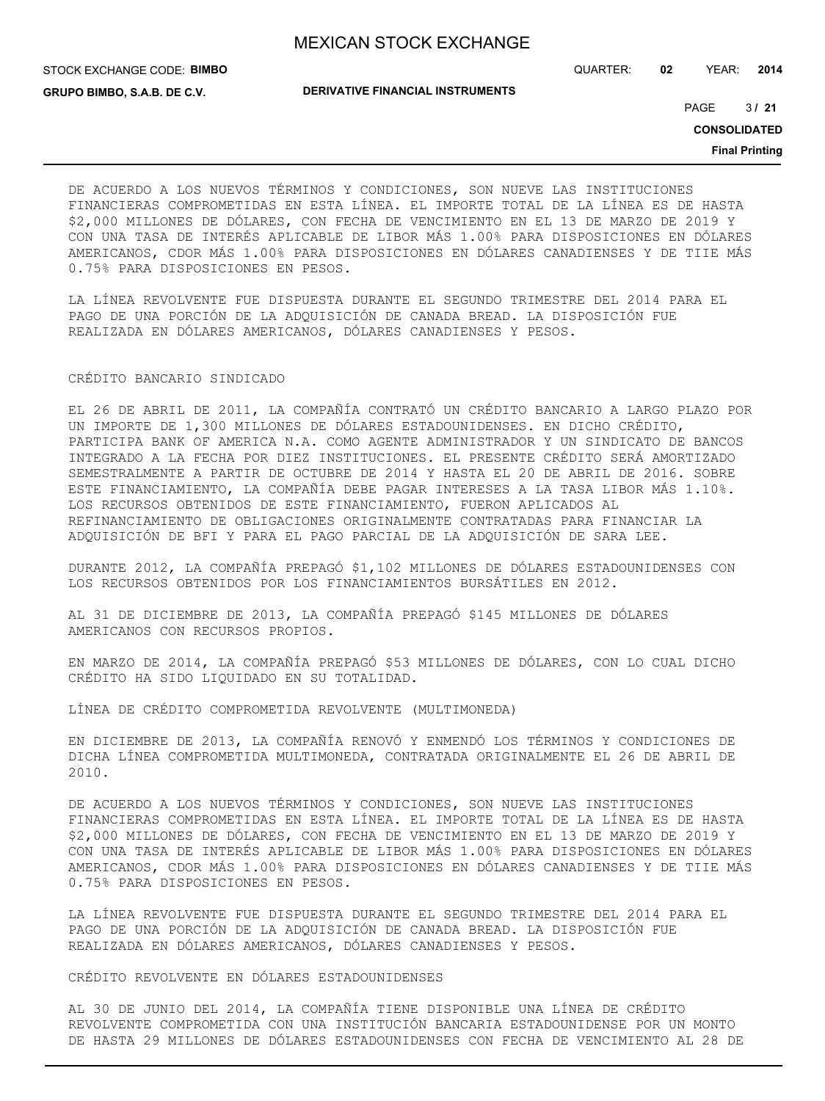STOCK EXCHANGE CODE: **BIMBO**

**GRUPO BIMBO, S.A.B. DE C.V.**

**DERIVATIVE FINANCIAL INSTRUMENTS**

QUARTER: **02** YEAR: **2014**

 $3/21$ PAGE **/ 21**

**CONSOLIDATED**

**Final Printing**

DE ACUERDO A LOS NUEVOS TÉRMINOS Y CONDICIONES, SON NUEVE LAS INSTITUCIONES FINANCIERAS COMPROMETIDAS EN ESTA LÍNEA. EL IMPORTE TOTAL DE LA LÍNEA ES DE HASTA \$2,000 MILLONES DE DÓLARES, CON FECHA DE VENCIMIENTO EN EL 13 DE MARZO DE 2019 Y CON UNA TASA DE INTERÉS APLICABLE DE LIBOR MÁS 1.00% PARA DISPOSICIONES EN DÓLARES AMERICANOS, CDOR MÁS 1.00% PARA DISPOSICIONES EN DÓLARES CANADIENSES Y DE TIIE MÁS 0.75% PARA DISPOSICIONES EN PESOS.

LA LÍNEA REVOLVENTE FUE DISPUESTA DURANTE EL SEGUNDO TRIMESTRE DEL 2014 PARA EL PAGO DE UNA PORCIÓN DE LA ADQUISICIÓN DE CANADA BREAD. LA DISPOSICIÓN FUE REALIZADA EN DÓLARES AMERICANOS, DÓLARES CANADIENSES Y PESOS.

### CRÉDITO BANCARIO SINDICADO

EL 26 DE ABRIL DE 2011, LA COMPAÑÍA CONTRATÓ UN CRÉDITO BANCARIO A LARGO PLAZO POR UN IMPORTE DE 1,300 MILLONES DE DÓLARES ESTADOUNIDENSES. EN DICHO CRÉDITO, PARTICIPA BANK OF AMERICA N.A. COMO AGENTE ADMINISTRADOR Y UN SINDICATO DE BANCOS INTEGRADO A LA FECHA POR DIEZ INSTITUCIONES. EL PRESENTE CRÉDITO SERÁ AMORTIZADO SEMESTRALMENTE A PARTIR DE OCTUBRE DE 2014 Y HASTA EL 20 DE ABRIL DE 2016. SOBRE ESTE FINANCIAMIENTO, LA COMPAÑÍA DEBE PAGAR INTERESES A LA TASA LIBOR MÁS 1.10%. LOS RECURSOS OBTENIDOS DE ESTE FINANCIAMIENTO, FUERON APLICADOS AL REFINANCIAMIENTO DE OBLIGACIONES ORIGINALMENTE CONTRATADAS PARA FINANCIAR LA ADQUISICIÓN DE BFI Y PARA EL PAGO PARCIAL DE LA ADQUISICIÓN DE SARA LEE.

DURANTE 2012, LA COMPAÑÍA PREPAGÓ \$1,102 MILLONES DE DÓLARES ESTADOUNIDENSES CON LOS RECURSOS OBTENIDOS POR LOS FINANCIAMIENTOS BURSÁTILES EN 2012.

AL 31 DE DICIEMBRE DE 2013, LA COMPAÑÍA PREPAGÓ \$145 MILLONES DE DÓLARES AMERICANOS CON RECURSOS PROPIOS.

EN MARZO DE 2014, LA COMPAÑÍA PREPAGÓ \$53 MILLONES DE DÓLARES, CON LO CUAL DICHO CRÉDITO HA SIDO LIQUIDADO EN SU TOTALIDAD.

LÍNEA DE CRÉDITO COMPROMETIDA REVOLVENTE (MULTIMONEDA)

EN DICIEMBRE DE 2013, LA COMPAÑÍA RENOVÓ Y ENMENDÓ LOS TÉRMINOS Y CONDICIONES DE DICHA LÍNEA COMPROMETIDA MULTIMONEDA, CONTRATADA ORIGINALMENTE EL 26 DE ABRIL DE 2010.

DE ACUERDO A LOS NUEVOS TÉRMINOS Y CONDICIONES, SON NUEVE LAS INSTITUCIONES FINANCIERAS COMPROMETIDAS EN ESTA LÍNEA. EL IMPORTE TOTAL DE LA LÍNEA ES DE HASTA \$2,000 MILLONES DE DÓLARES, CON FECHA DE VENCIMIENTO EN EL 13 DE MARZO DE 2019 Y CON UNA TASA DE INTERÉS APLICABLE DE LIBOR MÁS 1.00% PARA DISPOSICIONES EN DÓLARES AMERICANOS, CDOR MÁS 1.00% PARA DISPOSICIONES EN DÓLARES CANADIENSES Y DE TIIE MÁS 0.75% PARA DISPOSICIONES EN PESOS.

LA LÍNEA REVOLVENTE FUE DISPUESTA DURANTE EL SEGUNDO TRIMESTRE DEL 2014 PARA EL PAGO DE UNA PORCIÓN DE LA ADQUISICIÓN DE CANADA BREAD. LA DISPOSICIÓN FUE REALIZADA EN DÓLARES AMERICANOS, DÓLARES CANADIENSES Y PESOS.

CRÉDITO REVOLVENTE EN DÓLARES ESTADOUNIDENSES

AL 30 DE JUNIO DEL 2014, LA COMPAÑÍA TIENE DISPONIBLE UNA LÍNEA DE CRÉDITO REVOLVENTE COMPROMETIDA CON UNA INSTITUCIÓN BANCARIA ESTADOUNIDENSE POR UN MONTO DE HASTA 29 MILLONES DE DÓLARES ESTADOUNIDENSES CON FECHA DE VENCIMIENTO AL 28 DE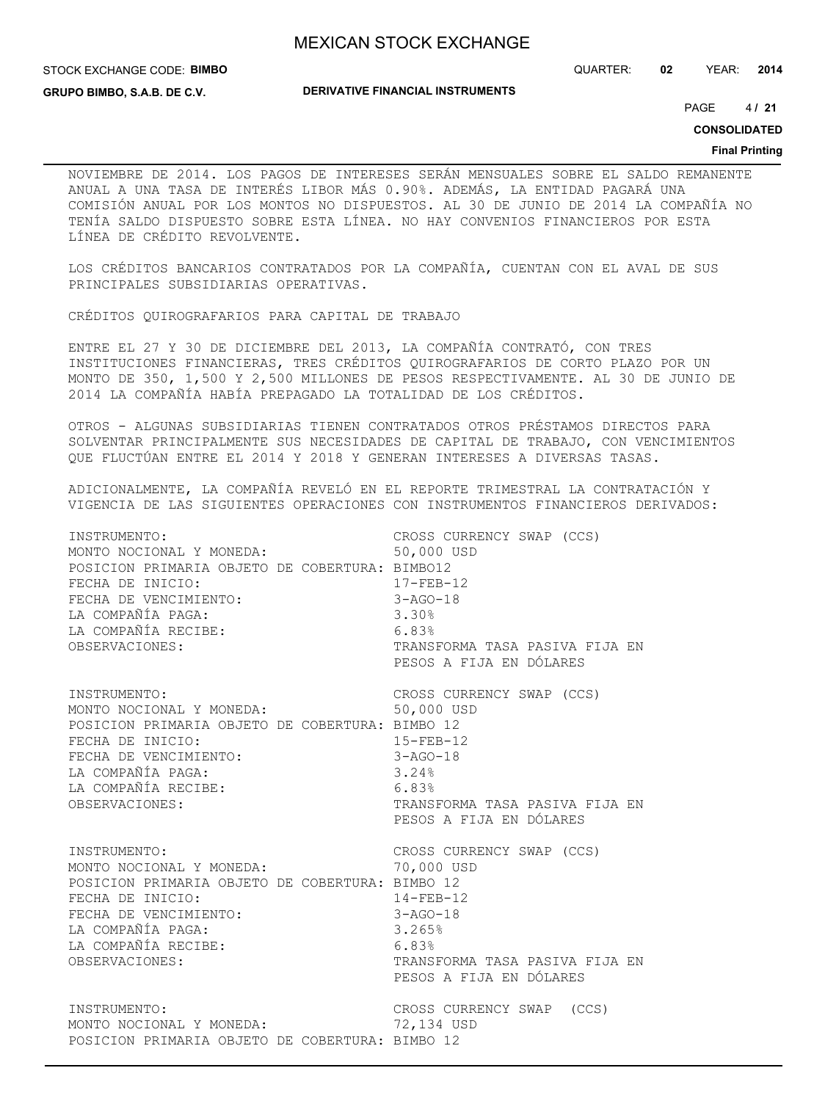STOCK EXCHANGE CODE: **BIMBO**

QUARTER: **02** YEAR: **2014**

**GRUPO BIMBO, S.A.B. DE C.V.**

**DERIVATIVE FINANCIAL INSTRUMENTS**

 $4/21$ PAGE **/ 21**

**CONSOLIDATED**

#### **Final Printing**

NOVIEMBRE DE 2014. LOS PAGOS DE INTERESES SERÁN MENSUALES SOBRE EL SALDO REMANENTE ANUAL A UNA TASA DE INTERÉS LIBOR MÁS 0.90%. ADEMÁS, LA ENTIDAD PAGARÁ UNA COMISIÓN ANUAL POR LOS MONTOS NO DISPUESTOS. AL 30 DE JUNIO DE 2014 LA COMPAÑÍA NO TENÍA SALDO DISPUESTO SOBRE ESTA LÍNEA. NO HAY CONVENIOS FINANCIEROS POR ESTA LÍNEA DE CRÉDITO REVOLVENTE.

LOS CRÉDITOS BANCARIOS CONTRATADOS POR LA COMPAÑÍA, CUENTAN CON EL AVAL DE SUS PRINCIPALES SUBSIDIARIAS OPERATIVAS.

CRÉDITOS QUIROGRAFARIOS PARA CAPITAL DE TRABAJO

ENTRE EL 27 Y 30 DE DICIEMBRE DEL 2013, LA COMPAÑÍA CONTRATÓ, CON TRES INSTITUCIONES FINANCIERAS, TRES CRÉDITOS QUIROGRAFARIOS DE CORTO PLAZO POR UN MONTO DE 350, 1,500 Y 2,500 MILLONES DE PESOS RESPECTIVAMENTE. AL 30 DE JUNIO DE 2014 LA COMPAÑÍA HABÍA PREPAGADO LA TOTALIDAD DE LOS CRÉDITOS.

OTROS - ALGUNAS SUBSIDIARIAS TIENEN CONTRATADOS OTROS PRÉSTAMOS DIRECTOS PARA SOLVENTAR PRINCIPALMENTE SUS NECESIDADES DE CAPITAL DE TRABAJO, CON VENCIMIENTOS QUE FLUCTÚAN ENTRE EL 2014 Y 2018 Y GENERAN INTERESES A DIVERSAS TASAS.

ADICIONALMENTE, LA COMPAÑÍA REVELÓ EN EL REPORTE TRIMESTRAL LA CONTRATACIÓN Y VIGENCIA DE LAS SIGUIENTES OPERACIONES CON INSTRUMENTOS FINANCIEROS DERIVADOS:

| INSTRUMENTO:<br>MONTO NOCIONAL Y MONEDA:<br>POSICION PRIMARIA OBJETO DE COBERTURA: BIMBO12<br>FECHA DE INICIO:<br>FECHA DE VENCIMIENTO:<br>LA COMPAÑÍA PAGA:<br>LA COMPAÑÍA RECIBE:<br>OBSERVACIONES:  | 6.83% | CROSS CURRENCY SWAP (CCS)<br>50,000 USD<br>$17 - FEB - 12$<br>$3 - AGO - 18$<br>3.30%<br>TRANSFORMA TASA PASIVA FIJA EN<br>PESOS A FIJA EN DÓLARES           |
|--------------------------------------------------------------------------------------------------------------------------------------------------------------------------------------------------------|-------|--------------------------------------------------------------------------------------------------------------------------------------------------------------|
| INSTRUMENTO:<br>MONTO NOCIONAL Y MONEDA:<br>POSICION PRIMARIA OBJETO DE COBERTURA: BIMBO 12<br>FECHA DE INICIO:<br>FECHA DE VENCIMIENTO:<br>LA COMPAÑÍA PAGA:<br>LA COMPAÑÍA RECIBE:<br>OBSERVACIONES: |       | CROSS CURRENCY SWAP (CCS)<br>50,000 USD<br>$15 - FEB - 12$<br>$3 - AGO - 18$<br>3.24%<br>6.83%<br>TRANSFORMA TASA PASIVA FIJA EN<br>PESOS A FIJA EN DÓLARES  |
| INSTRUMENTO:<br>MONTO NOCIONAL Y MONEDA:<br>POSICION PRIMARIA OBJETO DE COBERTURA: BIMBO 12<br>FECHA DE INICIO:<br>FECHA DE VENCIMIENTO:<br>LA COMPAÑÍA PAGA:<br>LA COMPAÑÍA RECIBE:<br>OBSERVACIONES: |       | CROSS CURRENCY SWAP (CCS)<br>70,000 USD<br>$14 - FEB - 12$<br>$3 - AGO - 18$<br>3.265%<br>6.83%<br>TRANSFORMA TASA PASIVA FIJA EN<br>PESOS A FIJA EN DÓLARES |
| INSTRUMENTO:<br>MONTO NOCIONAL Y MONEDA:<br>POSICION PRIMARIA OBJETO DE COBERTURA: BIMBO 12                                                                                                            |       | CROSS CURRENCY SWAP (CCS)<br>72,134 USD                                                                                                                      |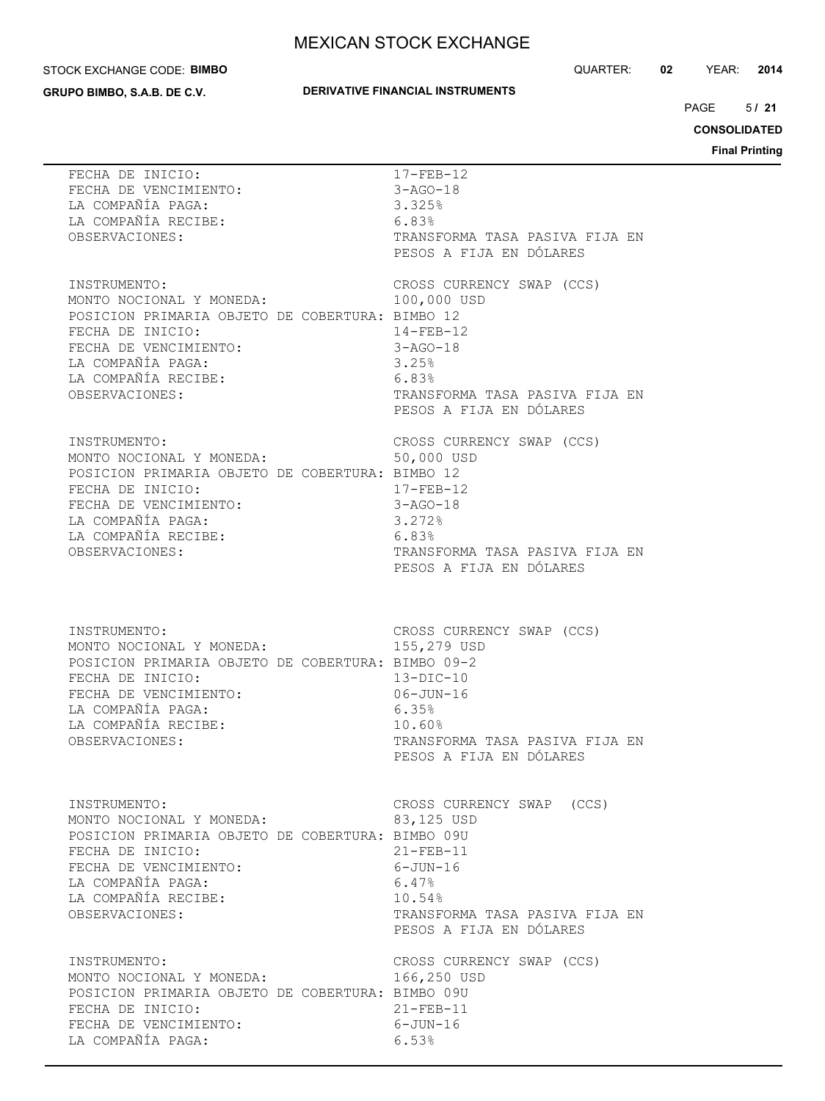#### STOCK EXCHANGE CODE: **BIMBO**

**GRUPO BIMBO, S.A.B. DE C.V.**

### **DERIVATIVE FINANCIAL INSTRUMENTS**

QUARTER: **02** YEAR: **2014**

 $5/21$ PAGE **/ 21**

**CONSOLIDATED**

| FECHA DE INICIO:<br>FECHA DE VENCIMIENTO:<br>LA COMPAÑÍA PAGA:<br>LA COMPAÑÍA RECIBE:<br>OBSERVACIONES:                                                                                                                                           | 17-FEB-12<br>$3 - AGO - 18$<br>3.325%<br>6.83%<br>TRANSFORMA TASA PASIVA FIJA EN<br>PESOS A FIJA EN DÓLARES                                            |
|---------------------------------------------------------------------------------------------------------------------------------------------------------------------------------------------------------------------------------------------------|--------------------------------------------------------------------------------------------------------------------------------------------------------|
| INSTRUMENTO:<br>MONTO NOCIONAL Y MONEDA:<br>POSICION PRIMARIA OBJETO DE COBERTURA: BIMBO 12<br>FECHA DE INICIO:<br>FECHA DE VENCIMIENTO:<br>LA COMPAÑÍA PAGA:<br>LA COMPAÑÍA RECIBE:<br>OBSERVACIONES:                                            | CROSS CURRENCY SWAP (CCS)<br>100,000 USD<br>$14 - FEB - 12$<br>3-AGO-18<br>3.25%<br>6.83%<br>TRANSFORMA TASA PASIVA FIJA EN<br>PESOS A FIJA EN DÓLARES |
| INSTRUMENTO:<br>MONTO NOCIONAL Y MONEDA: 50,000 USD<br>POSICION PRIMARIA OBJETO DE COBERTURA: BIMBO 12<br>FECHA DE INICIO: 17-FEB-12<br>FECHA DE VENCIMIENTO: 3-AGO-18<br>LA COMPAÑÍA PAGA: 3.272%<br>LA COMPAÑÍA RECIBE: 6.83%<br>OBSERVACIONES: | CROSS CURRENCY SWAP (CCS)<br>$17 - FEB - 12$<br>TRANSFORMA TASA PASIVA FIJA EN<br>PESOS A FIJA EN DÓLARES                                              |
| INSTRUMENTO:<br>MONTO NOCIONAL Y MONEDA:<br>POSICION PRIMARIA OBJETO DE COBERTURA: BIMBO 09-2<br>FECHA DE INICIO:<br>FECHA DE VENCIMIENTO:<br>LA COMPAÑÍA PAGA:<br>6.35%<br>LA COMPAÑÍA RECIBE:<br>OBSERVACIONES:                                 | CROSS CURRENCY SWAP (CCS)<br>155,279 USD<br>$13-DIC-10$<br>$06 - JUN - 16$<br>10.60%<br>TRANSFORMA TASA PASIVA FIJA EN<br>PESOS A FIJA EN DÓLARES      |
| INSTRUMENTO:<br>MONTO NOCIONAL Y MONEDA:<br>POSICION PRIMARIA OBJETO DE COBERTURA: BIMBO 09U<br>FECHA DE INICIO:<br>FECHA DE VENCIMIENTO:<br>LA COMPAÑÍA PAGA:<br>LA COMPAÑÍA RECIBE:<br>OBSERVACIONES:                                           | CROSS CURRENCY SWAP (CCS)<br>83,125 USD<br>$21 - FEB - 11$<br>6-JUN-16<br>6.47%<br>10.54%<br>TRANSFORMA TASA PASIVA FIJA EN<br>PESOS A FIJA EN DÓLARES |
| INSTRUMENTO:<br>MONTO NOCIONAL Y MONEDA:<br>POSICION PRIMARIA OBJETO DE COBERTURA: BIMBO 09U<br>FECHA DE INICIO:<br>FECHA DE VENCIMIENTO:<br>LA COMPAÑÍA PAGA:                                                                                    | CROSS CURRENCY SWAP (CCS)<br>166,250 USD<br>$21 - FEB - 11$<br>$6 - JUN - 16$<br>6.53%                                                                 |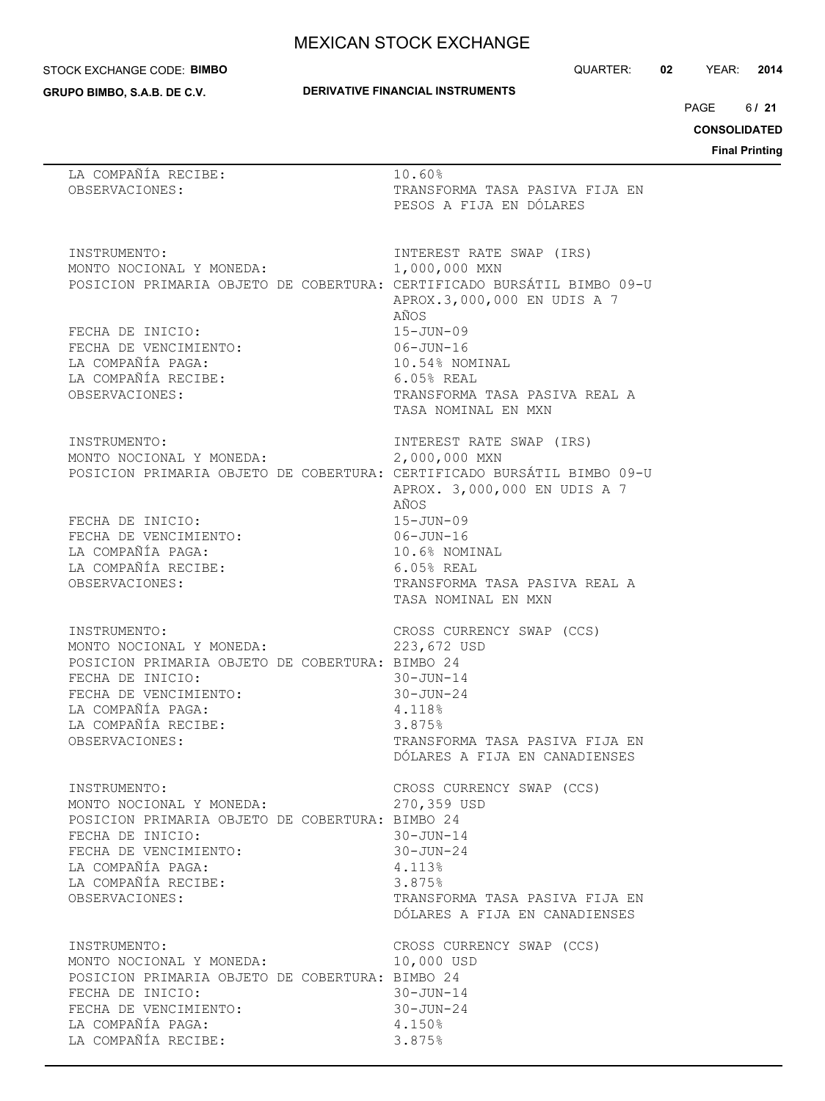#### STOCK EXCHANGE CODE: **BIMBO**

**GRUPO BIMBO, S.A.B. DE C.V.**

QUARTER: **02** YEAR: **2014**

 $6/21$ PAGE **/ 21**

**CONSOLIDATED**

| LA COMPAÑÍA RECIBE:<br>OBSERVACIONES:                                                                                                                                                                  | 10.60%<br>TRANSFORMA TASA PASIVA FIJA EN<br>PESOS A FIJA EN DÓLARES                                                                                                   |
|--------------------------------------------------------------------------------------------------------------------------------------------------------------------------------------------------------|-----------------------------------------------------------------------------------------------------------------------------------------------------------------------|
| INSTRUMENTO:<br>MONTO NOCIONAL Y MONEDA:<br>POSICION PRIMARIA OBJETO DE COBERTURA: CERTIFICADO BURSÁTIL BIMBO 09-U                                                                                     | INTEREST RATE SWAP (IRS)<br>1,000,000 MXN<br>APROX.3,000,000 EN UDIS A 7<br>AÑOS                                                                                      |
| FECHA DE INICIO:<br>FECHA DE VENCIMIENTO:<br>LA COMPAÑÍA PAGA:<br>LA COMPAÑÍA RECIBE:<br>OBSERVACIONES:                                                                                                | $15 - JUN - 09$<br>$06 - JUN - 16$<br>10.54% NOMINAL<br>$6.05%$ REAL<br>TRANSFORMA TASA PASIVA REAL A<br>TASA NOMINAL EN MXN                                          |
| INSTRUMENTO:<br>MONTO NOCIONAL Y MONEDA:<br>POSICION PRIMARIA OBJETO DE COBERTURA: CERTIFICADO BURSÁTIL BIMBO 09-U                                                                                     | INTEREST RATE SWAP (IRS)<br>2,000,000 MXN<br>APROX. 3,000,000 EN UDIS A 7                                                                                             |
| FECHA DE INICIO:<br>FECHA DE VENCIMIENTO:<br>LA COMPAÑÍA PAGA:<br>LA COMPAÑÍA RECIBE:<br>OBSERVACIONES:                                                                                                | AÑOS<br>$15 - JUN - 09$<br>$06 - JUN - 16$<br>10.6% NOMINAL<br>$6.05%$ REAL<br>TRANSFORMA TASA PASIVA REAL A<br>TASA NOMINAL EN MXN                                   |
| INSTRUMENTO:<br>MONTO NOCIONAL Y MONEDA:<br>POSICION PRIMARIA OBJETO DE COBERTURA: BIMBO 24<br>FECHA DE INICIO:<br>FECHA DE VENCIMIENTO:<br>LA COMPAÑÍA PAGA:<br>LA COMPAÑÍA RECIBE:<br>OBSERVACIONES: | CROSS CURRENCY SWAP (CCS)<br>223,672 USD<br>$30 - JUN - 14$<br>$30 - JUN - 24$<br>4.118%<br>3.875%<br>TRANSFORMA TASA PASIVA FIJA EN<br>DÓLARES A FIJA EN CANADIENSES |
| INSTRUMENTO:<br>MONTO NOCIONAL Y MONEDA:<br>POSICION PRIMARIA OBJETO DE COBERTURA: BIMBO 24<br>FECHA DE INICIO:<br>FECHA DE VENCIMIENTO:<br>LA COMPAÑÍA PAGA:<br>LA COMPAÑÍA RECIBE:<br>OBSERVACIONES: | CROSS CURRENCY SWAP (CCS)<br>270,359 USD<br>$30 - JUN - 14$<br>$30 - JUN - 24$<br>4.113%<br>3.875%<br>TRANSFORMA TASA PASIVA FIJA EN<br>DÓLARES A FIJA EN CANADIENSES |
| INSTRUMENTO:<br>MONTO NOCIONAL Y MONEDA:<br>POSICION PRIMARIA OBJETO DE COBERTURA: BIMBO 24<br>FECHA DE INICIO:<br>FECHA DE VENCIMIENTO:<br>LA COMPAÑÍA PAGA:<br>LA COMPAÑÍA RECIBE:                   | CROSS CURRENCY SWAP (CCS)<br>10,000 USD<br>$30 - JUN - 14$<br>$30 - JUN - 24$<br>4.150%<br>3.875%                                                                     |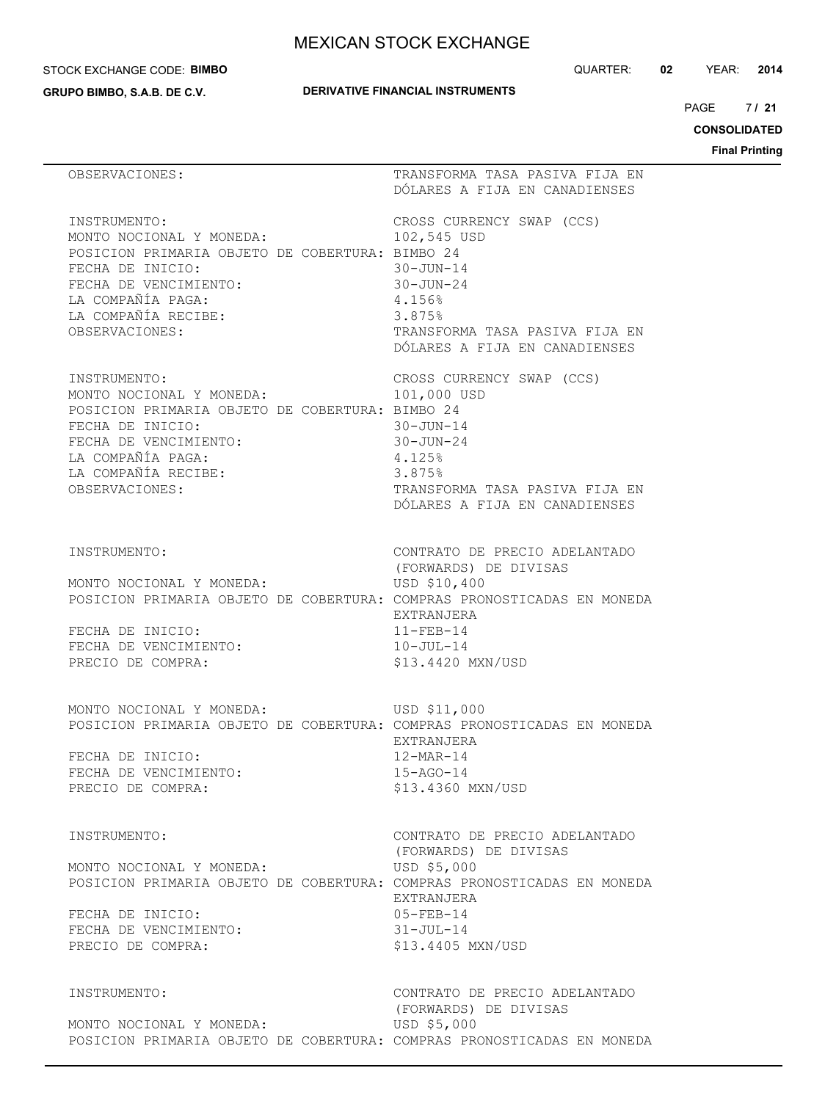#### STOCK EXCHANGE CODE: **BIMBO**

**GRUPO BIMBO, S.A.B. DE C.V.**

QUARTER: **02** YEAR: **2014**

 $7/21$ PAGE **/ 21**

**CONSOLIDATED**

|                                                                                                                                                                                      | <b>Final Print</b>                                                                                                                             |
|--------------------------------------------------------------------------------------------------------------------------------------------------------------------------------------|------------------------------------------------------------------------------------------------------------------------------------------------|
| OBSERVACIONES:                                                                                                                                                                       | TRANSFORMA TASA PASIVA FIJA EN<br>DÓLARES A FIJA EN CANADIENSES                                                                                |
| INSTRUMENTO:                                                                                                                                                                         | CROSS CURRENCY SWAP (CCS)                                                                                                                      |
| MONTO NOCIONAL Y MONEDA:                                                                                                                                                             | 102,545 USD                                                                                                                                    |
| POSICION PRIMARIA OBJETO DE COBERTURA: BIMBO 24                                                                                                                                      | $30 - JUN - 14$                                                                                                                                |
| FECHA DE INICIO:                                                                                                                                                                     | $30 - JUN - 24$                                                                                                                                |
| FECHA DE VENCIMIENTO:                                                                                                                                                                | 4.156%                                                                                                                                         |
| LA COMPAÑÍA PAGA:                                                                                                                                                                    | 3.875%                                                                                                                                         |
| LA COMPAÑÍA RECIBE:                                                                                                                                                                  | TRANSFORMA TASA PASIVA FIJA EN                                                                                                                 |
| OBSERVACIONES:                                                                                                                                                                       | DÓLARES A FIJA EN CANADIENSES                                                                                                                  |
| INSTRUMENTO:                                                                                                                                                                         | CROSS CURRENCY SWAP (CCS)                                                                                                                      |
| MONTO NOCIONAL Y MONEDA:                                                                                                                                                             | 101,000 USD                                                                                                                                    |
| POSICION PRIMARIA OBJETO DE COBERTURA: BIMBO 24                                                                                                                                      | $30 - JUN - 14$                                                                                                                                |
| FECHA DE INICIO:                                                                                                                                                                     | $30 - JUN - 24$                                                                                                                                |
| FECHA DE VENCIMIENTO:                                                                                                                                                                | 4.125%                                                                                                                                         |
| LA COMPAÑÍA PAGA:                                                                                                                                                                    | 3.875%                                                                                                                                         |
| LA COMPAÑÍA RECIBE:                                                                                                                                                                  | TRANSFORMA TASA PASIVA FIJA EN                                                                                                                 |
| OBSERVACIONES:                                                                                                                                                                       | DÓLARES A FIJA EN CANADIENSES                                                                                                                  |
| INSTRUMENTO:<br>MONTO NOCIONAL Y MONEDA:<br>POSICION PRIMARIA OBJETO DE COBERTURA: COMPRAS PRONOSTICADAS EN MONEDA<br>FECHA DE INICIO:<br>FECHA DE VENCIMIENTO:<br>PRECIO DE COMPRA: | CONTRATO DE PRECIO ADELANTADO<br>(FORWARDS) DE DIVISAS<br>USD \$10,400<br>EXTRANJERA<br>$11 - FEB - 14$<br>10-JUL-14<br>\$13.4420 MXN/USD      |
| MONTO NOCIONAL Y MONEDA:                                                                                                                                                             | USD \$11,000                                                                                                                                   |
| POSICION PRIMARIA OBJETO DE COBERTURA: COMPRAS PRONOSTICADAS EN MONEDA                                                                                                               | EXTRANJERA                                                                                                                                     |
| FECHA DE INICIO:                                                                                                                                                                     | $12-MAR-14$                                                                                                                                    |
| FECHA DE VENCIMIENTO:                                                                                                                                                                | 15-AGO-14                                                                                                                                      |
| PRECIO DE COMPRA:                                                                                                                                                                    | \$13.4360 MXN/USD                                                                                                                              |
| INSTRUMENTO:<br>MONTO NOCIONAL Y MONEDA:<br>POSICION PRIMARIA OBJETO DE COBERTURA: COMPRAS PRONOSTICADAS EN MONEDA<br>FECHA DE INICIO:<br>FECHA DE VENCIMIENTO:<br>PRECIO DE COMPRA: | CONTRATO DE PRECIO ADELANTADO<br>(FORWARDS) DE DIVISAS<br>USD \$5,000<br>EXTRANJERA<br>$05 - FEB - 14$<br>$31 - JUL - 14$<br>\$13.4405 MXN/USD |
| INSTRUMENTO:                                                                                                                                                                         | CONTRATO DE PRECIO ADELANTADO                                                                                                                  |
| MONTO NOCIONAL Y MONEDA:                                                                                                                                                             | (FORWARDS) DE DIVISAS                                                                                                                          |
| POSICION PRIMARIA OBJETO DE COBERTURA: COMPRAS PRONOSTICADAS EN MONEDA                                                                                                               | USD \$5,000                                                                                                                                    |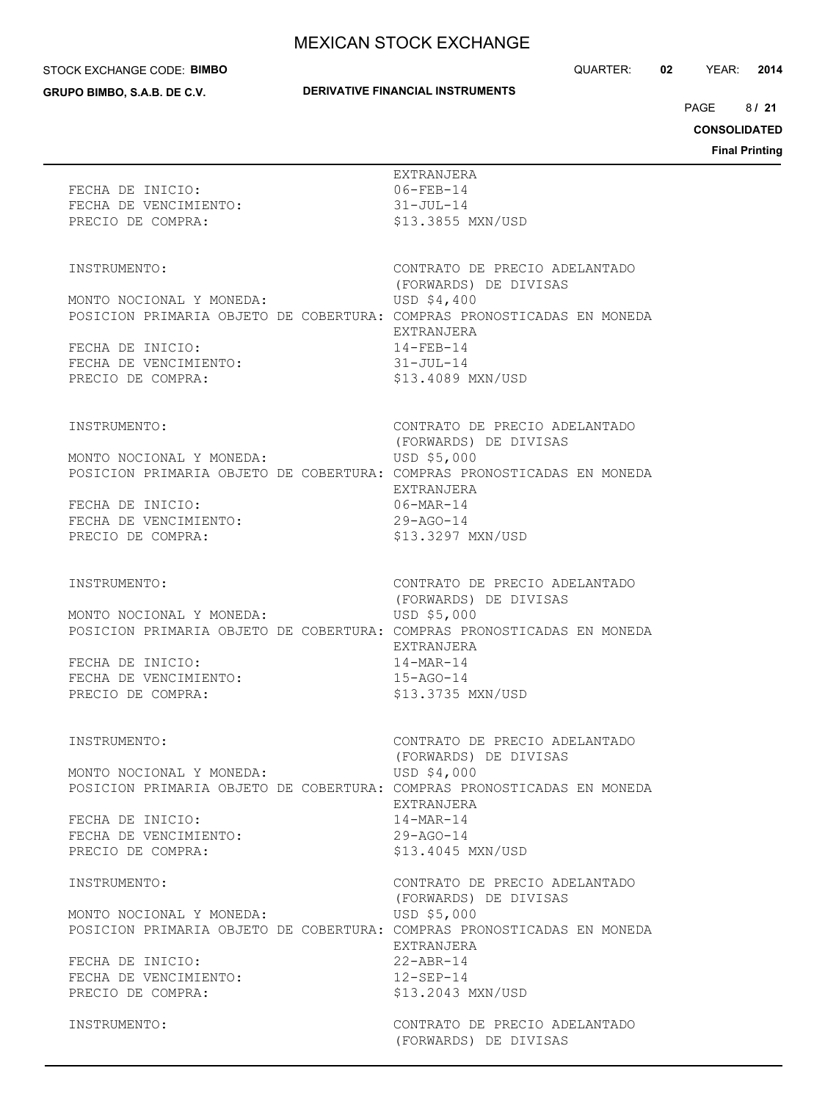#### STOCK EXCHANGE CODE: **BIMBO**

**GRUPO BIMBO, S.A.B. DE C.V.**

### **DERIVATIVE FINANCIAL INSTRUMENTS**

QUARTER: **02** YEAR: **2014**

 $8/21$ PAGE **/ 21**

**CONSOLIDATED**

|                                                                                                            |                                                                                                                                                                                                                          | Fina |
|------------------------------------------------------------------------------------------------------------|--------------------------------------------------------------------------------------------------------------------------------------------------------------------------------------------------------------------------|------|
| FECHA DE INICIO:<br>FECHA DE VENCIMIENTO:<br>PRECIO DE COMPRA:                                             | EXTRANJERA<br>06-FEB-14<br>31-JUL-14<br>\$13.3855 MXN/USD                                                                                                                                                                |      |
| INSTRUMENTO:<br>MONTO NOCIONAL Y MONEDA:<br>FECHA DE INICIO:<br>FECHA DE VENCIMIENTO:<br>PRECIO DE COMPRA: | CONTRATO DE PRECIO ADELANTADO<br>(FORWARDS) DE DIVISAS<br>USD \$4,400<br>POSICION PRIMARIA OBJETO DE COBERTURA: COMPRAS PRONOSTICADAS EN MONEDA<br>EXTRANJERA<br>$14 - FEB - 14$<br>31-JUL-14<br>\$13.4089 MXN/USD       |      |
| INSTRUMENTO:<br>MONTO NOCIONAL Y MONEDA:<br>FECHA DE INICIO:<br>FECHA DE VENCIMIENTO:<br>PRECIO DE COMPRA: | CONTRATO DE PRECIO ADELANTADO<br>(FORWARDS) DE DIVISAS<br>USD \$5,000<br>POSICION PRIMARIA OBJETO DE COBERTURA: COMPRAS PRONOSTICADAS EN MONEDA<br>EXTRANJERA<br>06-MAR-14<br>$29 - AGO - 14$<br>\$13.3297 MXN/USD       |      |
| INSTRUMENTO:<br>MONTO NOCIONAL Y MONEDA:<br>FECHA DE INICIO:<br>FECHA DE VENCIMIENTO:<br>PRECIO DE COMPRA: | CONTRATO DE PRECIO ADELANTADO<br>(FORWARDS) DE DIVISAS<br>USD \$5,000<br>POSICION PRIMARIA OBJETO DE COBERTURA: COMPRAS PRONOSTICADAS EN MONEDA<br>EXTRANJERA<br>14-MAR-14<br>15-AGO-14<br>\$13.3735 MXN/USD             |      |
| INSTRUMENTO:<br>MONTO NOCIONAL Y MONEDA:<br>FECHA DE INICIO:<br>FECHA DE VENCIMIENTO:<br>PRECIO DE COMPRA: | CONTRATO DE PRECIO ADELANTADO<br>(FORWARDS) DE DIVISAS<br>USD \$4,000<br>POSICION PRIMARIA OBJETO DE COBERTURA: COMPRAS PRONOSTICADAS EN MONEDA<br>EXTRANJERA<br>14-MAR-14<br>$29 - AGO - 14$<br>\$13.4045 MXN/USD       |      |
| INSTRUMENTO:<br>MONTO NOCIONAL Y MONEDA:<br>FECHA DE INICIO:<br>FECHA DE VENCIMIENTO:<br>PRECIO DE COMPRA: | CONTRATO DE PRECIO ADELANTADO<br>(FORWARDS) DE DIVISAS<br>USD \$5,000<br>POSICION PRIMARIA OBJETO DE COBERTURA: COMPRAS PRONOSTICADAS EN MONEDA<br>EXTRANJERA<br>$22 - ABR - 14$<br>$12 - SEP - 14$<br>\$13.2043 MXN/USD |      |
| INSTRUMENTO:                                                                                               | CONTRATO DE PRECIO ADELANTADO<br>(FORWARDS) DE DIVISAS                                                                                                                                                                   |      |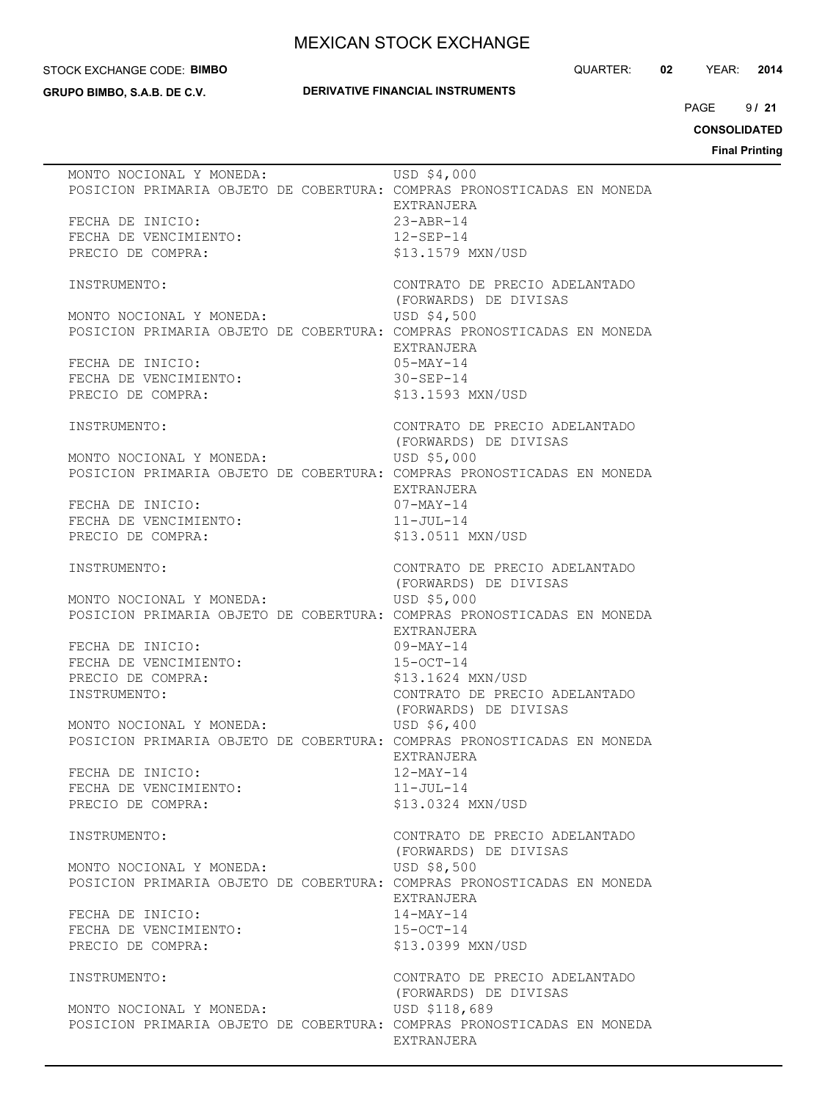#### STOCK EXCHANGE CODE: **BIMBO**

**GRUPO BIMBO, S.A.B. DE C.V.**

### **DERIVATIVE FINANCIAL INSTRUMENTS**

QUARTER: **02** YEAR: **2014**

 $9121$ PAGE **/ 21**

**CONSOLIDATED**

| MONTO NOCIONAL Y MONEDA:<br>POSICION PRIMARIA OBJETO DE COBERTURA: COMPRAS PRONOSTICADAS EN MONEDA | USD \$4,000<br>EXTRANJERA              |
|----------------------------------------------------------------------------------------------------|----------------------------------------|
| FECHA DE INICIO:                                                                                   | $23 - ABR - 14$                        |
| FECHA DE VENCIMIENTO:                                                                              | $12 - SEP - 14$                        |
|                                                                                                    |                                        |
| PRECIO DE COMPRA:                                                                                  | \$13.1579 MXN/USD                      |
| INSTRUMENTO:                                                                                       | CONTRATO DE PRECIO ADELANTADO          |
|                                                                                                    | (FORWARDS) DE DIVISAS                  |
| MONTO NOCIONAL Y MONEDA:                                                                           | USD \$4,500                            |
| POSICION PRIMARIA OBJETO DE COBERTURA: COMPRAS PRONOSTICADAS EN MONEDA                             |                                        |
|                                                                                                    | EXTRANJERA                             |
| FECHA DE INICIO:                                                                                   | $05-MAY-14$                            |
| FECHA DE VENCIMIENTO:                                                                              | $30 - SEP - 14$                        |
| PRECIO DE COMPRA:                                                                                  | \$13.1593 MXN/USD                      |
|                                                                                                    |                                        |
| INSTRUMENTO:                                                                                       | CONTRATO DE PRECIO ADELANTADO          |
|                                                                                                    | (FORWARDS) DE DIVISAS                  |
| MONTO NOCIONAL Y MONEDA:                                                                           | USD \$5,000                            |
| POSICION PRIMARIA OBJETO DE COBERTURA: COMPRAS PRONOSTICADAS EN MONEDA                             |                                        |
|                                                                                                    | EXTRANJERA<br>07-MAY-14                |
| FECHA DE INICIO:                                                                                   |                                        |
| FECHA DE VENCIMIENTO:                                                                              | $11 - JUL-14$                          |
| PRECIO DE COMPRA:                                                                                  | \$13.0511 MXN/USD                      |
| INSTRUMENTO:                                                                                       | CONTRATO DE PRECIO ADELANTADO          |
|                                                                                                    | (FORWARDS) DE DIVISAS                  |
| MONTO NOCIONAL Y MONEDA:                                                                           | USD \$5,000                            |
| POSICION PRIMARIA OBJETO DE COBERTURA: COMPRAS PRONOSTICADAS EN MONEDA                             |                                        |
|                                                                                                    | EXTRANJERA                             |
| FECHA DE INICIO:                                                                                   | 09-MAY-14                              |
| FECHA DE VENCIMIENTO:                                                                              | $15 - OCT - 14$                        |
| PRECIO DE COMPRA:                                                                                  | \$13.1624 MXN/USD                      |
| INSTRUMENTO:                                                                                       | CONTRATO DE PRECIO ADELANTADO          |
|                                                                                                    | (FORWARDS) DE DIVISAS                  |
| MONTO NOCIONAL Y MONEDA:                                                                           | USD \$6,400                            |
| POSICION PRIMARIA OBJETO DE COBERTURA: COMPRAS PRONOSTICADAS EN MONEDA                             |                                        |
|                                                                                                    | EXTRANJERA                             |
| FECHA DE INICIO:                                                                                   | $12$ -MAY-14                           |
| FECHA DE VENCIMIENTO:                                                                              | $11 - JUL-14$                          |
| PRECIO DE COMPRA:                                                                                  | \$13.0324 MXN/USD                      |
| INSTRUMENTO:                                                                                       | CONTRATO DE PRECIO ADELANTADO          |
|                                                                                                    | (FORWARDS) DE DIVISAS                  |
| MONTO NOCIONAL Y MONEDA:                                                                           | USD \$8,500                            |
| POSICION PRIMARIA OBJETO DE COBERTURA: COMPRAS PRONOSTICADAS EN MONEDA                             |                                        |
|                                                                                                    | EXTRANJERA                             |
| FECHA DE INICIO:                                                                                   | 14-MAY-14                              |
| FECHA DE VENCIMIENTO:                                                                              | $15-0CT-14$                            |
| PRECIO DE COMPRA:                                                                                  | \$13,0399 MXN/USD                      |
|                                                                                                    |                                        |
| INSTRUMENTO:                                                                                       | CONTRATO DE PRECIO ADELANTADO          |
| MONTO NOCIONAL Y MONEDA:                                                                           | (FORWARDS) DE DIVISAS<br>USD \$118,689 |
| POSICION PRIMARIA OBJETO DE COBERTURA: COMPRAS PRONOSTICADAS EN MONEDA                             |                                        |
|                                                                                                    | EXTRANJERA                             |
|                                                                                                    |                                        |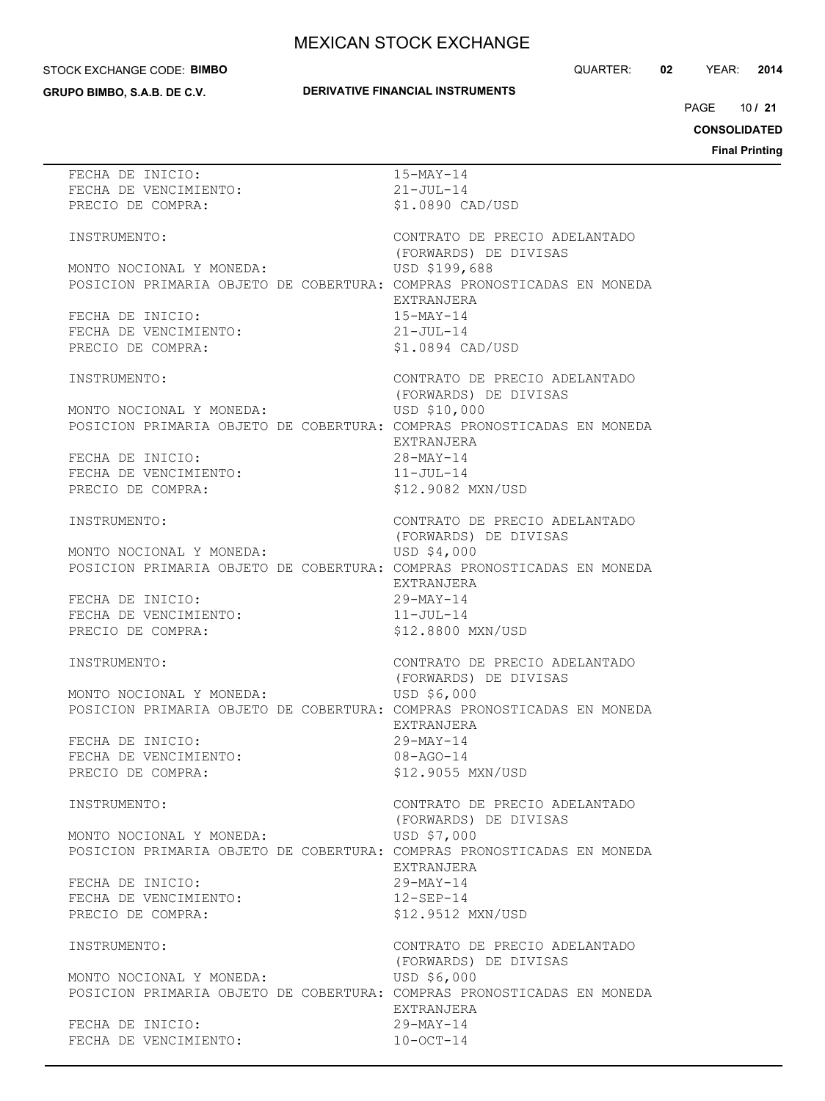#### STOCK EXCHANGE CODE: **BIMBO**

**GRUPO BIMBO, S.A.B. DE C.V.**

### **DERIVATIVE FINANCIAL INSTRUMENTS**

QUARTER: **02** YEAR: **2014**

10 PAGE **/ 21**

**CONSOLIDATED**

| FECHA DE INICIO:                                                       | $15-MAY-14$                   |
|------------------------------------------------------------------------|-------------------------------|
| FECHA DE VENCIMIENTO:                                                  | $21 - JUL-14$                 |
| PRECIO DE COMPRA:                                                      | \$1.0890 CAD/USD              |
|                                                                        |                               |
|                                                                        |                               |
| INSTRUMENTO:                                                           | CONTRATO DE PRECIO ADELANTADO |
|                                                                        | (FORWARDS) DE DIVISAS         |
| MONTO NOCIONAL Y MONEDA:                                               | USD \$199,688                 |
|                                                                        |                               |
| POSICION PRIMARIA OBJETO DE COBERTURA: COMPRAS PRONOSTICADAS EN MONEDA |                               |
|                                                                        | EXTRANJERA                    |
| FECHA DE INICIO:                                                       | 15-MAY-14                     |
| FECHA DE VENCIMIENTO:                                                  | 21-JUL-14                     |
|                                                                        |                               |
| PRECIO DE COMPRA:                                                      | \$1.0894 CAD/USD              |
|                                                                        |                               |
| INSTRUMENTO:                                                           | CONTRATO DE PRECIO ADELANTADO |
|                                                                        |                               |
|                                                                        | (FORWARDS) DE DIVISAS         |
| MONTO NOCIONAL Y MONEDA:                                               | USD \$10,000                  |
| POSICION PRIMARIA OBJETO DE COBERTURA: COMPRAS PRONOSTICADAS EN MONEDA |                               |
|                                                                        | EXTRANJERA                    |
|                                                                        |                               |
| FECHA DE INICIO:                                                       | $28 - MAX - 14$               |
| FECHA DE VENCIMIENTO:                                                  | $11 - JUL-14$                 |
| PRECIO DE COMPRA:                                                      | \$12,9082 MXN/USD             |
|                                                                        |                               |
|                                                                        |                               |
| INSTRUMENTO:                                                           | CONTRATO DE PRECIO ADELANTADO |
|                                                                        | (FORWARDS) DE DIVISAS         |
| MONTO NOCIONAL Y MONEDA:                                               | USD \$4,000                   |
|                                                                        |                               |
| POSICION PRIMARIA OBJETO DE COBERTURA: COMPRAS PRONOSTICADAS EN MONEDA |                               |
|                                                                        | EXTRANJERA                    |
| FECHA DE INICIO:                                                       | $29-MAY-14$                   |
|                                                                        |                               |
| FECHA DE VENCIMIENTO:                                                  | 11-JUL-14                     |
| PRECIO DE COMPRA:                                                      | \$12.8800 MXN/USD             |
|                                                                        |                               |
| INSTRUMENTO:                                                           | CONTRATO DE PRECIO ADELANTADO |
|                                                                        |                               |
|                                                                        | (FORWARDS) DE DIVISAS         |
| MONTO NOCIONAL Y MONEDA:                                               | USD \$6,000                   |
| POSICION PRIMARIA OBJETO DE COBERTURA: COMPRAS PRONOSTICADAS EN MONEDA |                               |
|                                                                        | EXTRANJERA                    |
|                                                                        |                               |
| FECHA DE INICIO:                                                       | $29-MAY-14$                   |
| FECHA DE VENCIMIENTO:                                                  | $08 - AGO - 14$               |
| PRECIO DE COMPRA:                                                      | \$12.9055 MXN/USD             |
|                                                                        |                               |
|                                                                        |                               |
| INSTRUMENTO:                                                           | CONTRATO DE PRECIO ADELANTADO |
|                                                                        | (FORWARDS) DE DIVISAS         |
| MONTO NOCIONAL Y MONEDA:                                               | USD \$7,000                   |
|                                                                        |                               |
| POSICION PRIMARIA OBJETO DE COBERTURA: COMPRAS PRONOSTICADAS EN MONEDA |                               |
|                                                                        | <b>EXTRANJERA</b>             |
| FECHA DE INICIO:                                                       | $29 - \text{MAX} - 14$        |
| FECHA DE VENCIMIENTO:                                                  | $12 - SEP - 14$               |
|                                                                        |                               |
| PRECIO DE COMPRA:                                                      | \$12.9512 MXN/USD             |
|                                                                        |                               |
| INSTRUMENTO:                                                           | CONTRATO DE PRECIO ADELANTADO |
|                                                                        | (FORWARDS) DE DIVISAS         |
|                                                                        |                               |
| MONTO NOCIONAL Y MONEDA:                                               | USD \$6,000                   |
| POSICION PRIMARIA OBJETO DE COBERTURA: COMPRAS PRONOSTICADAS EN MONEDA |                               |
|                                                                        | EXTRANJERA                    |
| FECHA DE INICIO:                                                       | $29 - \text{MAX} - 14$        |
|                                                                        |                               |
| FECHA DE VENCIMIENTO:                                                  | $10-0CT-14$                   |
|                                                                        |                               |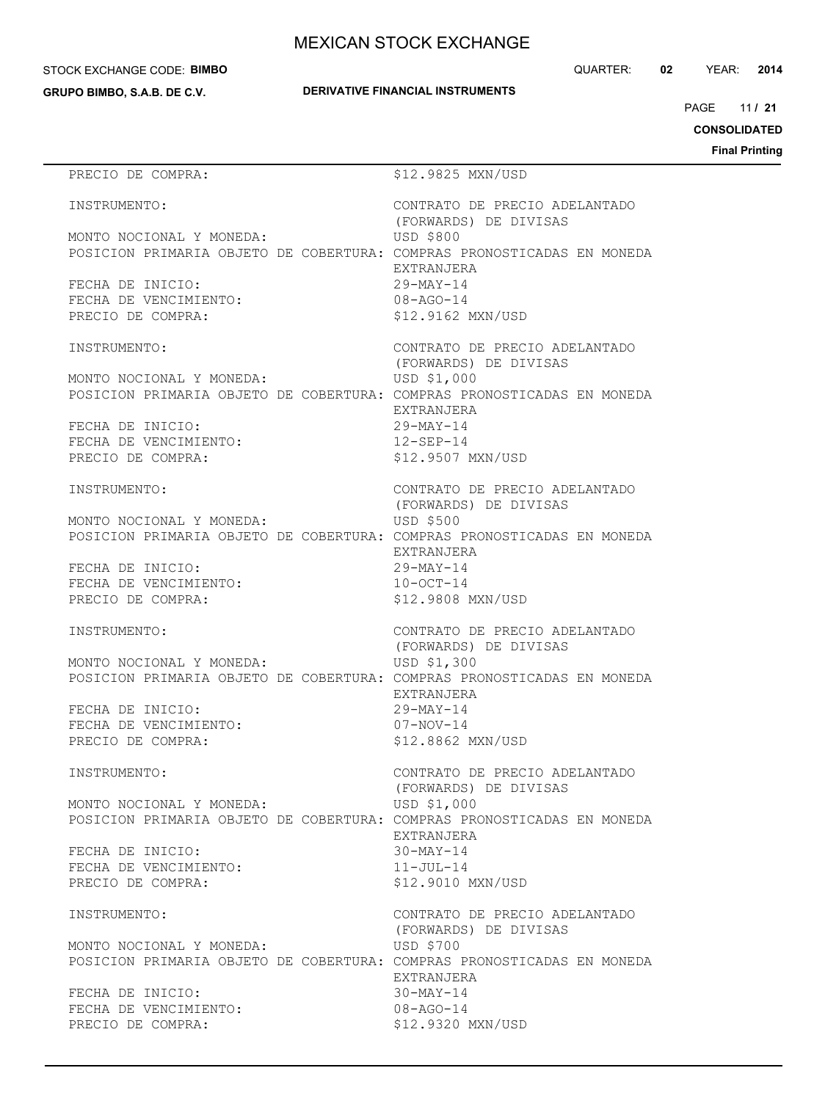#### STOCK EXCHANGE CODE: **BIMBO**

**GRUPO BIMBO, S.A.B. DE C.V.**

QUARTER: **02** YEAR: **2014**

11 PAGE **/ 21**

**CONSOLIDATED**

**Final Printing**

# PRECIO DE COMPRA:  $$12.9825$  MXN/USD INSTRUMENTO: CONTRATO DE PRECIO ADELANTADO (FORWARDS) DE DIVISAS MONTO NOCIONAL Y MONEDA: USD \$800 POSICION PRIMARIA OBJETO DE COBERTURA: COMPRAS PRONOSTICADAS EN MONEDA EXTRANJERA FECHA DE INICIO: 29-MAY-14 FECHA DE VENCIMIENTO: 08-AGO-14 PRECIO DE COMPRA:  $$12.9162$  MXN/USD INSTRUMENTO: CONTRATO DE PRECIO ADELANTADO (FORWARDS) DE DIVISAS MONTO NOCIONAL Y MONEDA: USD \$1,000 POSICION PRIMARIA OBJETO DE COBERTURA: COMPRAS PRONOSTICADAS EN MONEDA EXTRANJERA FECHA DE INICIO: 29-MAY-14 FECHA DE VENCIMIENTO: 12-SEP-14 PRECIO DE COMPRA:  $$12.9507$  MXN/USD INSTRUMENTO: CONTRATO DE PRECIO ADELANTADO (FORWARDS) DE DIVISAS MONTO NOCIONAL Y MONEDA: USD \$500 POSICION PRIMARIA OBJETO DE COBERTURA: COMPRAS PRONOSTICADAS EN MONEDA EXTRANJERA FECHA DE INICIO: 29-MAY-14 FECHA DE VENCIMIENTO:  $10-9CT-14$ PRECIO DE COMPRA:  $$12.9808$  MXN/USD INSTRUMENTO: CONTRATO DE PRECIO ADELANTADO (FORWARDS) DE DIVISAS MONTO NOCIONAL Y MONEDA: USD \$1,300 POSICION PRIMARIA OBJETO DE COBERTURA: COMPRAS PRONOSTICADAS EN MONEDA EXTRANJERA FECHA DE INICIO: 29-MAY-14 FECHA DE VENCIMIENTO: 07-NOV-14 PRECIO DE COMPRA:  $$12.8862$  MXN/USD INSTRUMENTO: CONTRATO DE PRECIO ADELANTADO (FORWARDS) DE DIVISAS MONTO NOCIONAL Y MONEDA: USD \$1,000 POSICION PRIMARIA OBJETO DE COBERTURA: COMPRAS PRONOSTICADAS EN MONEDA EXTRANJERA FECHA DE INICIO: 30-MAY-14 FECHA DE VENCIMIENTO: 11-JUL-14 PRECIO DE COMPRA:  $$12.9010$  MXN/USD INSTRUMENTO: CONTRATO DE PRECIO ADELANTADO (FORWARDS) DE DIVISAS MONTO NOCIONAL Y MONEDA: USD \$700 POSICION PRIMARIA OBJETO DE COBERTURA: COMPRAS PRONOSTICADAS EN MONEDA EXTRANJERA FECHA DE INICIO: 30-MAY-14 FECHA DE VENCIMIENTO: 08-AGO-14 PRECIO DE COMPRA:  $$12.9320$  MXN/USD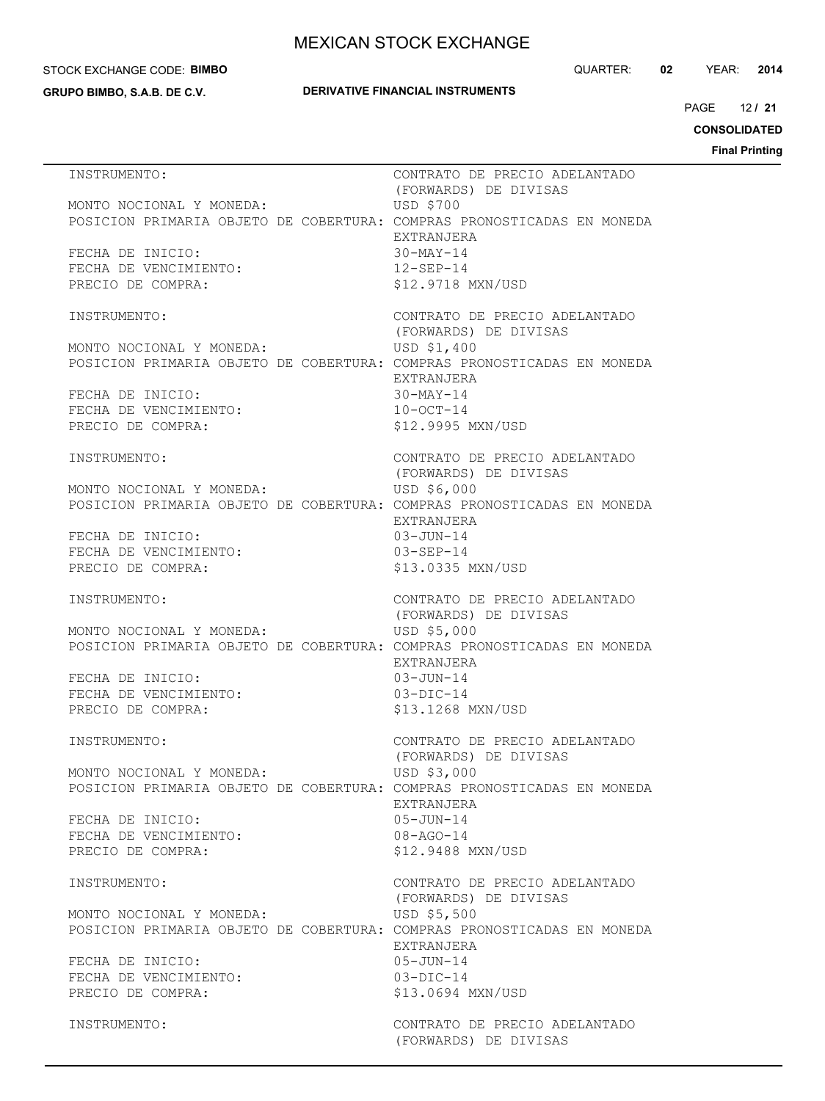#### STOCK EXCHANGE CODE: **BIMBO**

**GRUPO BIMBO, S.A.B. DE C.V.**

## **DERIVATIVE FINANCIAL INSTRUMENTS**

QUARTER: **02** YEAR: **2014**

12 PAGE **/ 21**

**CONSOLIDATED**

**Final Printing**

| INSTRUMENTO:                                                   | CONTRATO DE PRECIO ADELANTADO<br>(FORWARDS) DE DIVISAS                                              |
|----------------------------------------------------------------|-----------------------------------------------------------------------------------------------------|
| MONTO NOCIONAL Y MONEDA:                                       | USD \$700<br>POSICION PRIMARIA OBJETO DE COBERTURA: COMPRAS PRONOSTICADAS EN MONEDA<br>EXTRANJERA   |
| FECHA DE INICIO:<br>FECHA DE VENCIMIENTO:<br>PRECIO DE COMPRA: | 30-MAY-14<br>$12 - SEP - 14$<br>\$12.9718 MXN/USD                                                   |
| INSTRUMENTO:                                                   | CONTRATO DE PRECIO ADELANTADO<br>(FORWARDS) DE DIVISAS                                              |
| MONTO NOCIONAL Y MONEDA:                                       | USD \$1,400<br>POSICION PRIMARIA OBJETO DE COBERTURA: COMPRAS PRONOSTICADAS EN MONEDA               |
| FECHA DE INICIO:<br>FECHA DE VENCIMIENTO:<br>PRECIO DE COMPRA: | EXTRANJERA<br>$30-MAY-14$<br>$10-0CT-14$<br>\$12.9995 MXN/USD                                       |
| INSTRUMENTO:                                                   | CONTRATO DE PRECIO ADELANTADO<br>(FORWARDS) DE DIVISAS                                              |
| MONTO NOCIONAL Y MONEDA:                                       | USD \$6,000<br>POSICION PRIMARIA OBJETO DE COBERTURA: COMPRAS PRONOSTICADAS EN MONEDA<br>EXTRANJERA |
| FECHA DE INICIO:<br>FECHA DE VENCIMIENTO:<br>PRECIO DE COMPRA: | 03-JUN-14<br>$03 - SEP - 14$<br>\$13.0335 MXN/USD                                                   |
| INSTRUMENTO:                                                   | CONTRATO DE PRECIO ADELANTADO<br>(FORWARDS) DE DIVISAS                                              |
| MONTO NOCIONAL Y MONEDA:                                       | USD \$5,000<br>POSICION PRIMARIA OBJETO DE COBERTURA: COMPRAS PRONOSTICADAS EN MONEDA               |
| FECHA DE INICIO:<br>FECHA DE VENCIMIENTO:<br>PRECIO DE COMPRA: | EXTRANJERA<br>$03 - JUN - 14$<br>$03-DIC-14$<br>\$13.1268 MXN/USD                                   |
| INSTRUMENTO:                                                   | CONTRATO DE PRECIO ADELANTADO<br>(FORWARDS) DE DIVISAS                                              |
| MONTO NOCIONAL Y MONEDA:                                       | USD \$3,000<br>POSICION PRIMARIA OBJETO DE COBERTURA: COMPRAS PRONOSTICADAS EN MONEDA<br>EXTRANJERA |
| FECHA DE INICIO:<br>FECHA DE VENCIMIENTO:<br>PRECIO DE COMPRA: | $05 - JUN - 14$<br>$08 - AGO - 14$<br>\$12.9488 MXN/USD                                             |
| INSTRUMENTO:                                                   | CONTRATO DE PRECIO ADELANTADO<br>(FORWARDS) DE DIVISAS                                              |
| MONTO NOCIONAL Y MONEDA:                                       | USD \$5,500<br>POSICION PRIMARIA OBJETO DE COBERTURA: COMPRAS PRONOSTICADAS EN MONEDA<br>EXTRANJERA |
| FECHA DE INICIO:<br>FECHA DE VENCIMIENTO:<br>PRECIO DE COMPRA: | $05 - JUN - 14$<br>$03-DIC-14$<br>\$13.0694 MXN/USD                                                 |
| INSTRUMENTO:                                                   | CONTRATO DE PRECIO ADELANTADO<br>(FORWARDS) DE DIVISAS                                              |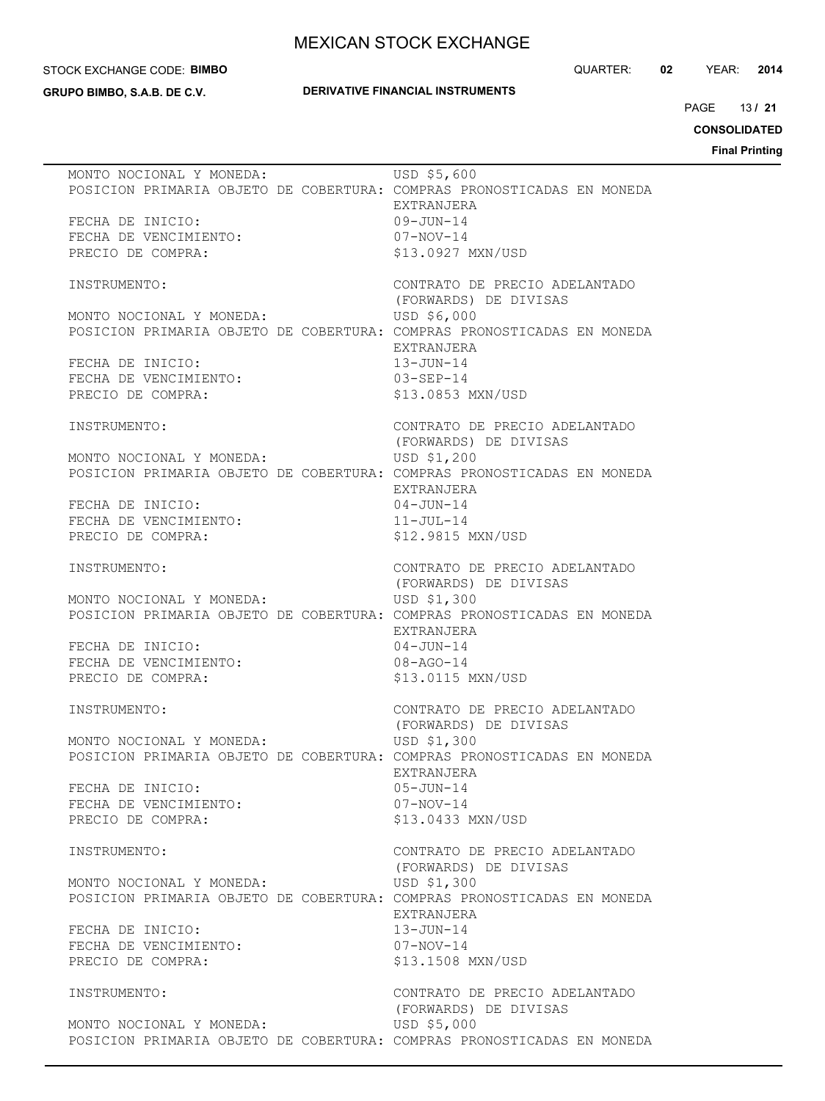#### STOCK EXCHANGE CODE: **BIMBO**

**GRUPO BIMBO, S.A.B. DE C.V.**

## **DERIVATIVE FINANCIAL INSTRUMENTS**

QUARTER: **02** YEAR: **2014**

13 PAGE **/ 21**

**CONSOLIDATED Final Printing**

| MONTO NOCIONAL Y MONEDA:                                               | USD \$5,600                                            |
|------------------------------------------------------------------------|--------------------------------------------------------|
| POSICION PRIMARIA OBJETO DE COBERTURA: COMPRAS PRONOSTICADAS EN MONEDA | <b>EXTRANJERA</b>                                      |
| FECHA DE INICIO:                                                       | $09 - JUN - 14$                                        |
| FECHA DE VENCIMIENTO:                                                  | $07 - NOV - 14$                                        |
| PRECIO DE COMPRA:                                                      | \$13.0927 MXN/USD                                      |
| INSTRUMENTO:                                                           | CONTRATO DE PRECIO ADELANTADO<br>(FORWARDS) DE DIVISAS |
| MONTO NOCIONAL Y MONEDA:                                               | USD \$6,000                                            |
| POSICION PRIMARIA OBJETO DE COBERTURA: COMPRAS PRONOSTICADAS EN MONEDA | EXTRANJERA                                             |
| FECHA DE INICIO:                                                       | $13 - JUN-14$                                          |
| FECHA DE VENCIMIENTO:                                                  | $03 - SEP - 14$                                        |
| PRECIO DE COMPRA:                                                      | \$13.0853 MXN/USD                                      |
| INSTRUMENTO:                                                           | CONTRATO DE PRECIO ADELANTADO                          |
| MONTO NOCIONAL Y MONEDA:                                               | (FORWARDS) DE DIVISAS<br>USD \$1,200                   |
| POSICION PRIMARIA OBJETO DE COBERTURA: COMPRAS PRONOSTICADAS EN MONEDA |                                                        |
|                                                                        | EXTRANJERA                                             |
| FECHA DE INICIO:                                                       | $04 - JUN - 14$                                        |
| FECHA DE VENCIMIENTO:                                                  | $11 - JUL-14$                                          |
| PRECIO DE COMPRA:                                                      | \$12.9815 MXN/USD                                      |
| INSTRUMENTO:                                                           | CONTRATO DE PRECIO ADELANTADO                          |
|                                                                        | (FORWARDS) DE DIVISAS                                  |
| MONTO NOCIONAL Y MONEDA:                                               | USD \$1,300                                            |
| POSICION PRIMARIA OBJETO DE COBERTURA: COMPRAS PRONOSTICADAS EN MONEDA | EXTRANJERA                                             |
| FECHA DE INICIO:                                                       | $04 - JUN - 14$                                        |
| FECHA DE VENCIMIENTO:                                                  | $08 - AGO - 14$                                        |
| PRECIO DE COMPRA:                                                      | \$13.0115 MXN/USD                                      |
| INSTRUMENTO:                                                           | CONTRATO DE PRECIO ADELANTADO                          |
|                                                                        | (FORWARDS) DE DIVISAS                                  |
| MONTO NOCIONAL Y MONEDA:                                               | USD \$1,300                                            |
| POSICION PRIMARIA OBJETO DE COBERTURA: COMPRAS PRONOSTICADAS EN MONEDA |                                                        |
| FECHA DE INICIO:                                                       | EXTRANJERA<br>05-JUN-14                                |
| FECHA DE VENCIMIENTO:                                                  | $07 - NOV - 14$                                        |
| PRECIO DE COMPRA:                                                      | \$13.0433 MXN/USD                                      |
| INSTRUMENTO:                                                           | CONTRATO DE PRECIO ADELANTADO                          |
|                                                                        | (FORWARDS) DE DIVISAS                                  |
| MONTO NOCIONAL Y MONEDA:                                               | USD \$1,300                                            |
| POSICION PRIMARIA OBJETO DE COBERTURA: COMPRAS PRONOSTICADAS EN MONEDA |                                                        |
|                                                                        | EXTRANJERA                                             |
| FECHA DE INICIO:                                                       | 13-JUN-14                                              |
| FECHA DE VENCIMIENTO:                                                  | $07 - NOV - 14$                                        |
| PRECIO DE COMPRA:                                                      | \$13,1508 MXN/USD                                      |
| INSTRUMENTO:                                                           | CONTRATO DE PRECIO ADELANTADO<br>(FORWARDS) DE DIVISAS |
| MONTO NOCIONAL Y MONEDA:                                               | USD \$5,000                                            |
| POSICION PRIMARIA OBJETO DE COBERTURA: COMPRAS PRONOSTICADAS EN MONEDA |                                                        |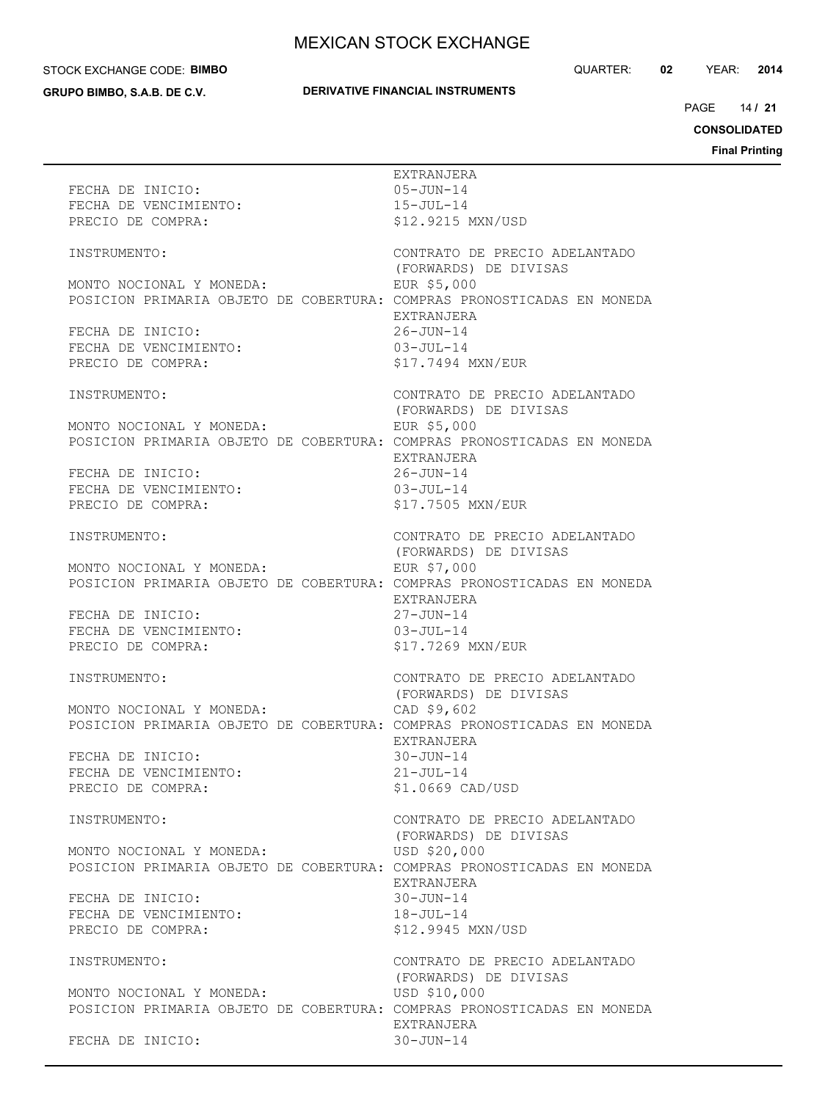#### STOCK EXCHANGE CODE: **BIMBO**

**GRUPO BIMBO, S.A.B. DE C.V.**

## **DERIVATIVE FINANCIAL INSTRUMENTS**

QUARTER: **02** YEAR: **2014**

14 PAGE **/ 21**

# **CONSOLIDATED**

**Final Printing**

| FECHA DE INICIO:<br>FECHA DE VENCIMIENTO:<br>PRECIO DE COMPRA:                                     | EXTRANJERA<br>$05 - JUN - 14$<br>$15 - JUL - 14$<br>\$12.9215 MXN/USD |  |
|----------------------------------------------------------------------------------------------------|-----------------------------------------------------------------------|--|
| INSTRUMENTO:                                                                                       | CONTRATO DE PRECIO ADELANTADO                                         |  |
| MONTO NOCIONAL Y MONEDA:<br>POSICION PRIMARIA OBJETO DE COBERTURA: COMPRAS PRONOSTICADAS EN MONEDA | (FORWARDS) DE DIVISAS<br>EUR \$5,000<br>EXTRANJERA                    |  |
| FECHA DE INICIO:<br>FECHA DE VENCIMIENTO:<br>PRECIO DE COMPRA:                                     | $26 - JUN - 14$<br>$03 - JUL-14$<br>\$17.7494 MXN/EUR                 |  |
| INSTRUMENTO:                                                                                       | CONTRATO DE PRECIO ADELANTADO<br>(FORWARDS) DE DIVISAS                |  |
| MONTO NOCIONAL Y MONEDA:<br>POSICION PRIMARIA OBJETO DE COBERTURA: COMPRAS PRONOSTICADAS EN MONEDA | EUR \$5,000<br>EXTRANJERA                                             |  |
| FECHA DE INICIO:<br>FECHA DE VENCIMIENTO:<br>PRECIO DE COMPRA:                                     | $26 - JUN - 14$<br>$03 - JUL - 14$<br>\$17.7505 MXN/EUR               |  |
| INSTRUMENTO:                                                                                       | CONTRATO DE PRECIO ADELANTADO                                         |  |
| MONTO NOCIONAL Y MONEDA:<br>POSICION PRIMARIA OBJETO DE COBERTURA: COMPRAS PRONOSTICADAS EN MONEDA | (FORWARDS) DE DIVISAS<br>EUR \$7,000<br>EXTRANJERA                    |  |
| FECHA DE INICIO:<br>FECHA DE VENCIMIENTO:<br>PRECIO DE COMPRA:                                     | $27 - JUN - 14$<br>$03 - JUL-14$<br>\$17.7269 MXN/EUR                 |  |
| INSTRUMENTO:                                                                                       | CONTRATO DE PRECIO ADELANTADO<br>(FORWARDS) DE DIVISAS                |  |
| MONTO NOCIONAL Y MONEDA:<br>POSICION PRIMARIA OBJETO DE COBERTURA: COMPRAS PRONOSTICADAS EN MONEDA | CAD \$9,602<br>EXTRANJERA                                             |  |
| FECHA DE INICIO:<br>FECHA DE VENCIMIENTO:<br>PRECIO DE COMPRA:                                     | $30 - JUN - 14$<br>$21 - JUL - 14$<br>\$1.0669 CAD/USD                |  |
| INSTRUMENTO:                                                                                       | CONTRATO DE PRECIO ADELANTADO                                         |  |
| MONTO NOCIONAL Y MONEDA:<br>POSICION PRIMARIA OBJETO DE COBERTURA: COMPRAS PRONOSTICADAS EN MONEDA | (FORWARDS) DE DIVISAS<br>USD \$20,000<br>EXTRANJERA                   |  |
| FECHA DE INICIO:<br>FECHA DE VENCIMIENTO:<br>PRECIO DE COMPRA:                                     | $30 - JUN - 14$<br>$18 - JUL-14$<br>\$12,9945 MXN/USD                 |  |
| INSTRUMENTO:                                                                                       | CONTRATO DE PRECIO ADELANTADO<br>(FORWARDS) DE DIVISAS                |  |
| MONTO NOCIONAL Y MONEDA:<br>POSICION PRIMARIA OBJETO DE COBERTURA: COMPRAS PRONOSTICADAS EN MONEDA | USD \$10,000<br>EXTRANJERA                                            |  |
| FECHA DE INICIO:                                                                                   | $30 - JUN - 14$                                                       |  |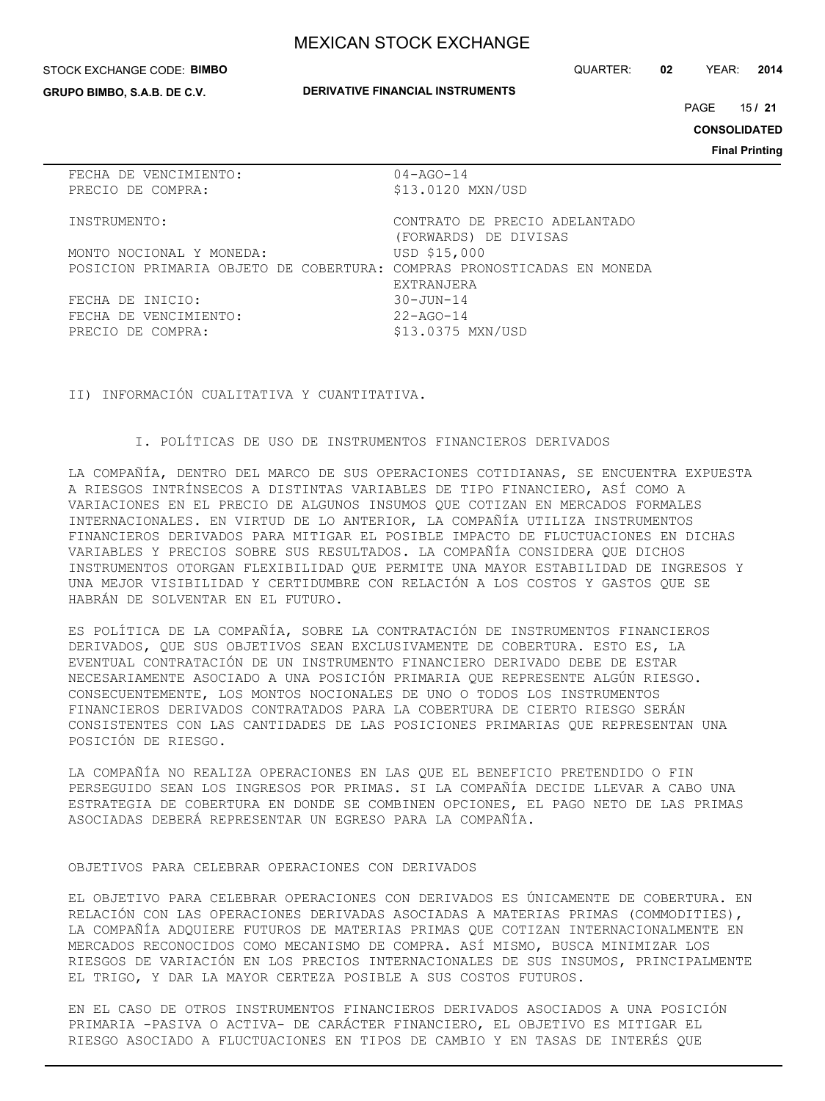#### STOCK EXCHANGE CODE: **BIMBO**

**GRUPO BIMBO, S.A.B. DE C.V.**

**DERIVATIVE FINANCIAL INSTRUMENTS**

QUARTER: **02** YEAR: **2014**

15 PAGE **/ 21**

**CONSOLIDATED**

**Final Printing**

| FECHA DE VENCIMIENTO:                                                  | $04 - AGO - 14$               |
|------------------------------------------------------------------------|-------------------------------|
| PRECIO DE COMPRA:                                                      | \$13,0120 MXN/USD             |
|                                                                        |                               |
| INSTRUMENTO:                                                           | CONTRATO DE PRECIO ADELANTADO |
|                                                                        | (FORWARDS) DE DIVISAS         |
| MONTO NOCIONAL Y MONEDA:                                               | USD \$15,000                  |
| POSICION PRIMARIA OBJETO DE COBERTURA: COMPRAS PRONOSTICADAS EN MONEDA |                               |
|                                                                        | <b>EXTRANJERA</b>             |
| FECHA DE INICIO:                                                       | $30 - JUN - 14$               |
| FECHA DE VENCIMIENTO:                                                  | $22 - AGO - 14$               |
| PRECIO DE COMPRA:                                                      | \$13.0375 MXN/USD             |
|                                                                        |                               |

II) INFORMACIÓN CUALITATIVA Y CUANTITATIVA.

I. POLÍTICAS DE USO DE INSTRUMENTOS FINANCIEROS DERIVADOS

LA COMPAÑÍA, DENTRO DEL MARCO DE SUS OPERACIONES COTIDIANAS, SE ENCUENTRA EXPUESTA A RIESGOS INTRÍNSECOS A DISTINTAS VARIABLES DE TIPO FINANCIERO, ASÍ COMO A VARIACIONES EN EL PRECIO DE ALGUNOS INSUMOS QUE COTIZAN EN MERCADOS FORMALES INTERNACIONALES. EN VIRTUD DE LO ANTERIOR, LA COMPAÑÍA UTILIZA INSTRUMENTOS FINANCIEROS DERIVADOS PARA MITIGAR EL POSIBLE IMPACTO DE FLUCTUACIONES EN DICHAS VARIABLES Y PRECIOS SOBRE SUS RESULTADOS. LA COMPAÑÍA CONSIDERA QUE DICHOS INSTRUMENTOS OTORGAN FLEXIBILIDAD QUE PERMITE UNA MAYOR ESTABILIDAD DE INGRESOS Y UNA MEJOR VISIBILIDAD Y CERTIDUMBRE CON RELACIÓN A LOS COSTOS Y GASTOS QUE SE HABRÁN DE SOLVENTAR EN EL FUTURO.

ES POLÍTICA DE LA COMPAÑÍA, SOBRE LA CONTRATACIÓN DE INSTRUMENTOS FINANCIEROS DERIVADOS, QUE SUS OBJETIVOS SEAN EXCLUSIVAMENTE DE COBERTURA. ESTO ES, LA EVENTUAL CONTRATACIÓN DE UN INSTRUMENTO FINANCIERO DERIVADO DEBE DE ESTAR NECESARIAMENTE ASOCIADO A UNA POSICIÓN PRIMARIA QUE REPRESENTE ALGÚN RIESGO. CONSECUENTEMENTE, LOS MONTOS NOCIONALES DE UNO O TODOS LOS INSTRUMENTOS FINANCIEROS DERIVADOS CONTRATADOS PARA LA COBERTURA DE CIERTO RIESGO SERÁN CONSISTENTES CON LAS CANTIDADES DE LAS POSICIONES PRIMARIAS QUE REPRESENTAN UNA POSICIÓN DE RIESGO.

LA COMPAÑÍA NO REALIZA OPERACIONES EN LAS QUE EL BENEFICIO PRETENDIDO O FIN PERSEGUIDO SEAN LOS INGRESOS POR PRIMAS. SI LA COMPAÑÍA DECIDE LLEVAR A CABO UNA ESTRATEGIA DE COBERTURA EN DONDE SE COMBINEN OPCIONES, EL PAGO NETO DE LAS PRIMAS ASOCIADAS DEBERÁ REPRESENTAR UN EGRESO PARA LA COMPAÑÍA.

### OBJETIVOS PARA CELEBRAR OPERACIONES CON DERIVADOS

EL OBJETIVO PARA CELEBRAR OPERACIONES CON DERIVADOS ES ÚNICAMENTE DE COBERTURA. EN RELACIÓN CON LAS OPERACIONES DERIVADAS ASOCIADAS A MATERIAS PRIMAS (COMMODITIES), LA COMPAÑÍA ADQUIERE FUTUROS DE MATERIAS PRIMAS QUE COTIZAN INTERNACIONALMENTE EN MERCADOS RECONOCIDOS COMO MECANISMO DE COMPRA. ASÍ MISMO, BUSCA MINIMIZAR LOS RIESGOS DE VARIACIÓN EN LOS PRECIOS INTERNACIONALES DE SUS INSUMOS, PRINCIPALMENTE EL TRIGO, Y DAR LA MAYOR CERTEZA POSIBLE A SUS COSTOS FUTUROS.

EN EL CASO DE OTROS INSTRUMENTOS FINANCIEROS DERIVADOS ASOCIADOS A UNA POSICIÓN PRIMARIA -PASIVA O ACTIVA- DE CARÁCTER FINANCIERO, EL OBJETIVO ES MITIGAR EL RIESGO ASOCIADO A FLUCTUACIONES EN TIPOS DE CAMBIO Y EN TASAS DE INTERÉS QUE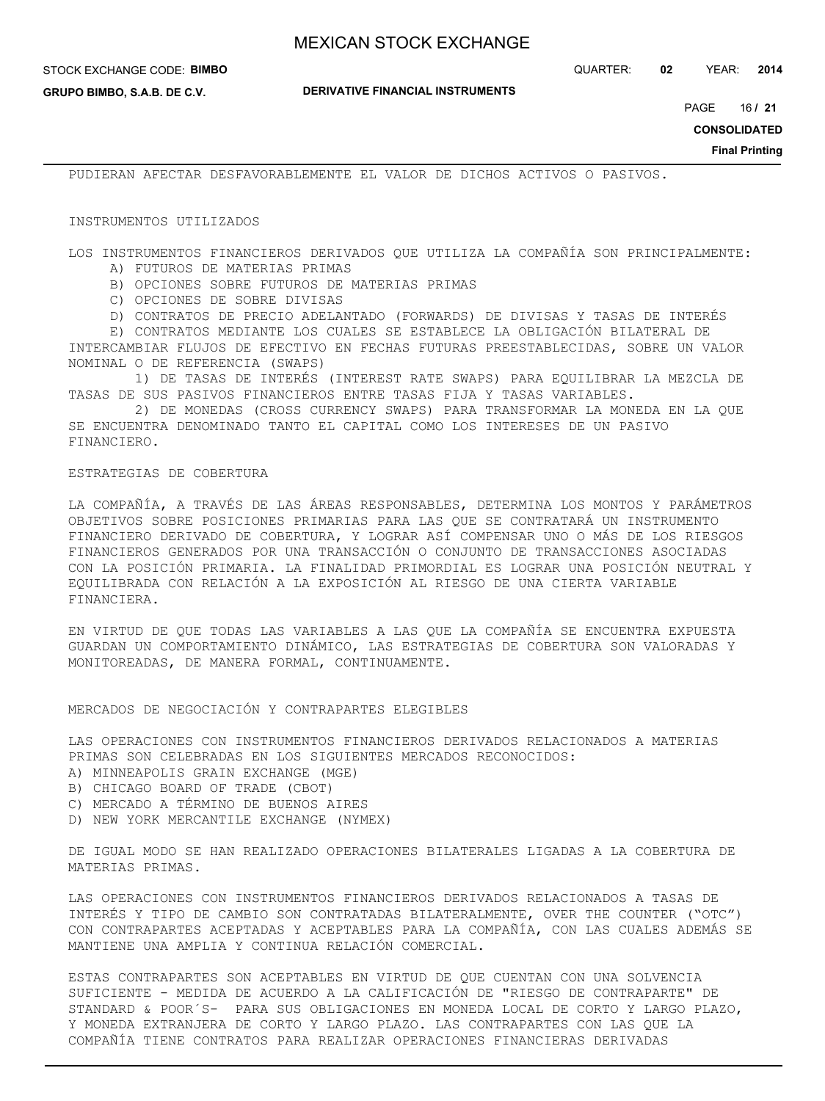**DERIVATIVE FINANCIAL INSTRUMENTS**

**GRUPO BIMBO, S.A.B. DE C.V.**

16 PAGE **/ 21**

**CONSOLIDATED**

**Final Printing**

PUDIERAN AFECTAR DESFAVORABLEMENTE EL VALOR DE DICHOS ACTIVOS O PASIVOS.

#### INSTRUMENTOS UTILIZADOS

LOS INSTRUMENTOS FINANCIEROS DERIVADOS QUE UTILIZA LA COMPAÑÍA SON PRINCIPALMENTE: A) FUTUROS DE MATERIAS PRIMAS

- B) OPCIONES SOBRE FUTUROS DE MATERIAS PRIMAS
- C) OPCIONES DE SOBRE DIVISAS
- D) CONTRATOS DE PRECIO ADELANTADO (FORWARDS) DE DIVISAS Y TASAS DE INTERÉS

 E) CONTRATOS MEDIANTE LOS CUALES SE ESTABLECE LA OBLIGACIÓN BILATERAL DE INTERCAMBIAR FLUJOS DE EFECTIVO EN FECHAS FUTURAS PREESTABLECIDAS, SOBRE UN VALOR NOMINAL O DE REFERENCIA (SWAPS)

 1) DE TASAS DE INTERÉS (INTEREST RATE SWAPS) PARA EQUILIBRAR LA MEZCLA DE TASAS DE SUS PASIVOS FINANCIEROS ENTRE TASAS FIJA Y TASAS VARIABLES.

 2) DE MONEDAS (CROSS CURRENCY SWAPS) PARA TRANSFORMAR LA MONEDA EN LA QUE SE ENCUENTRA DENOMINADO TANTO EL CAPITAL COMO LOS INTERESES DE UN PASIVO FINANCIERO.

### ESTRATEGIAS DE COBERTURA

LA COMPAÑÍA, A TRAVÉS DE LAS ÁREAS RESPONSABLES, DETERMINA LOS MONTOS Y PARÁMETROS OBJETIVOS SOBRE POSICIONES PRIMARIAS PARA LAS QUE SE CONTRATARÁ UN INSTRUMENTO FINANCIERO DERIVADO DE COBERTURA, Y LOGRAR ASÍ COMPENSAR UNO O MÁS DE LOS RIESGOS FINANCIEROS GENERADOS POR UNA TRANSACCIÓN O CONJUNTO DE TRANSACCIONES ASOCIADAS CON LA POSICIÓN PRIMARIA. LA FINALIDAD PRIMORDIAL ES LOGRAR UNA POSICIÓN NEUTRAL Y EQUILIBRADA CON RELACIÓN A LA EXPOSICIÓN AL RIESGO DE UNA CIERTA VARIABLE FINANCIERA.

EN VIRTUD DE QUE TODAS LAS VARIABLES A LAS QUE LA COMPAÑÍA SE ENCUENTRA EXPUESTA GUARDAN UN COMPORTAMIENTO DINÁMICO, LAS ESTRATEGIAS DE COBERTURA SON VALORADAS Y MONITOREADAS, DE MANERA FORMAL, CONTINUAMENTE.

MERCADOS DE NEGOCIACIÓN Y CONTRAPARTES ELEGIBLES

LAS OPERACIONES CON INSTRUMENTOS FINANCIEROS DERIVADOS RELACIONADOS A MATERIAS PRIMAS SON CELEBRADAS EN LOS SIGUIENTES MERCADOS RECONOCIDOS:

- A) MINNEAPOLIS GRAIN EXCHANGE (MGE)
- B) CHICAGO BOARD OF TRADE (CBOT)
- C) MERCADO A TÉRMINO DE BUENOS AIRES
- D) NEW YORK MERCANTILE EXCHANGE (NYMEX)

DE IGUAL MODO SE HAN REALIZADO OPERACIONES BILATERALES LIGADAS A LA COBERTURA DE MATERIAS PRIMAS.

LAS OPERACIONES CON INSTRUMENTOS FINANCIEROS DERIVADOS RELACIONADOS A TASAS DE INTERÉS Y TIPO DE CAMBIO SON CONTRATADAS BILATERALMENTE, OVER THE COUNTER ("OTC") CON CONTRAPARTES ACEPTADAS Y ACEPTABLES PARA LA COMPAÑÍA, CON LAS CUALES ADEMÁS SE MANTIENE UNA AMPLIA Y CONTINUA RELACIÓN COMERCIAL.

ESTAS CONTRAPARTES SON ACEPTABLES EN VIRTUD DE QUE CUENTAN CON UNA SOLVENCIA SUFICIENTE - MEDIDA DE ACUERDO A LA CALIFICACIÓN DE "RIESGO DE CONTRAPARTE" DE STANDARD & POOR´S- PARA SUS OBLIGACIONES EN MONEDA LOCAL DE CORTO Y LARGO PLAZO, Y MONEDA EXTRANJERA DE CORTO Y LARGO PLAZO. LAS CONTRAPARTES CON LAS QUE LA COMPAÑÍA TIENE CONTRATOS PARA REALIZAR OPERACIONES FINANCIERAS DERIVADAS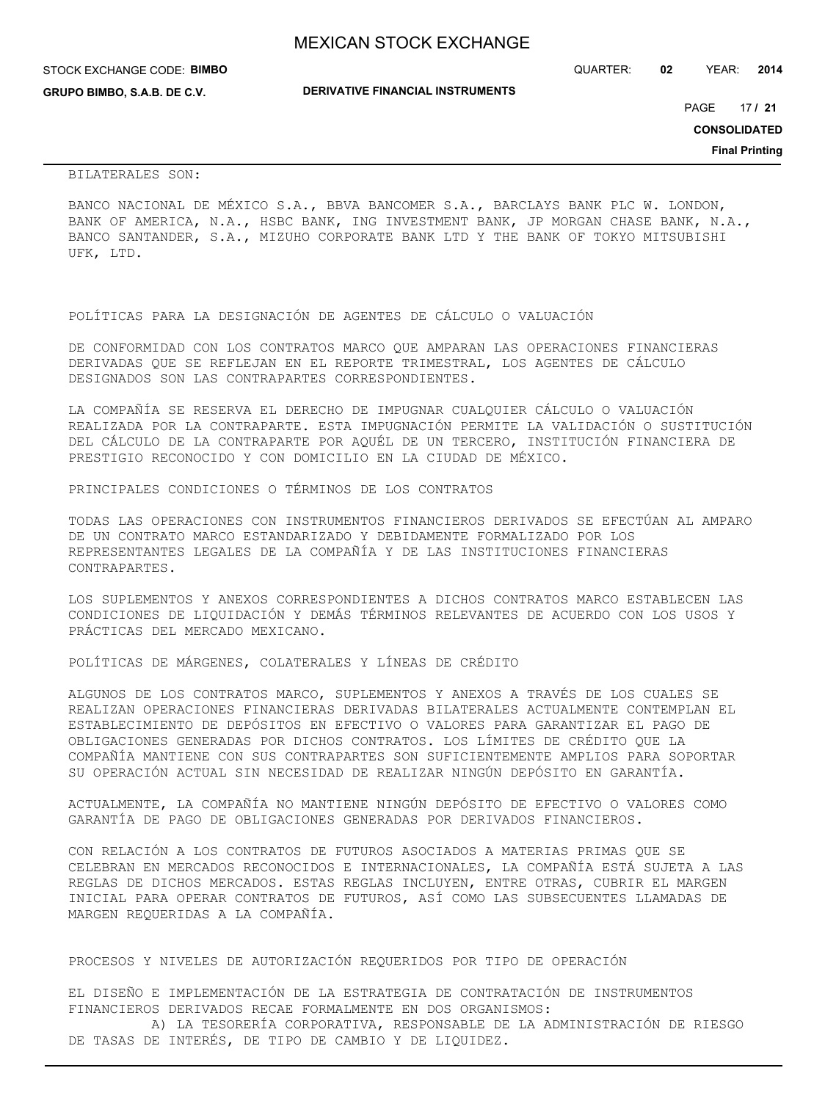|  | <b>MEXICAN STOCK EXCHANGE</b> |  |  |  |
|--|-------------------------------|--|--|--|
|--|-------------------------------|--|--|--|

STOCK EXCHANGE CODE: **BIMBO**

**GRUPO BIMBO, S.A.B. DE C.V.**

QUARTER: **02** YEAR: **2014**

**DERIVATIVE FINANCIAL INSTRUMENTS**

17 PAGE **/ 21**

**CONSOLIDATED**

**Final Printing**

BILATERALES SON:

BANCO NACIONAL DE MÉXICO S.A., BBVA BANCOMER S.A., BARCLAYS BANK PLC W. LONDON, BANK OF AMERICA, N.A., HSBC BANK, ING INVESTMENT BANK, JP MORGAN CHASE BANK, N.A., BANCO SANTANDER, S.A., MIZUHO CORPORATE BANK LTD Y THE BANK OF TOKYO MITSUBISHI UFK, LTD.

POLÍTICAS PARA LA DESIGNACIÓN DE AGENTES DE CÁLCULO O VALUACIÓN

DE CONFORMIDAD CON LOS CONTRATOS MARCO QUE AMPARAN LAS OPERACIONES FINANCIERAS DERIVADAS QUE SE REFLEJAN EN EL REPORTE TRIMESTRAL, LOS AGENTES DE CÁLCULO DESIGNADOS SON LAS CONTRAPARTES CORRESPONDIENTES.

LA COMPAÑÍA SE RESERVA EL DERECHO DE IMPUGNAR CUALQUIER CÁLCULO O VALUACIÓN REALIZADA POR LA CONTRAPARTE. ESTA IMPUGNACIÓN PERMITE LA VALIDACIÓN O SUSTITUCIÓN DEL CÁLCULO DE LA CONTRAPARTE POR AQUÉL DE UN TERCERO, INSTITUCIÓN FINANCIERA DE PRESTIGIO RECONOCIDO Y CON DOMICILIO EN LA CIUDAD DE MÉXICO.

PRINCIPALES CONDICIONES O TÉRMINOS DE LOS CONTRATOS

TODAS LAS OPERACIONES CON INSTRUMENTOS FINANCIEROS DERIVADOS SE EFECTÚAN AL AMPARO DE UN CONTRATO MARCO ESTANDARIZADO Y DEBIDAMENTE FORMALIZADO POR LOS REPRESENTANTES LEGALES DE LA COMPAÑÍA Y DE LAS INSTITUCIONES FINANCIERAS CONTRAPARTES.

LOS SUPLEMENTOS Y ANEXOS CORRESPONDIENTES A DICHOS CONTRATOS MARCO ESTABLECEN LAS CONDICIONES DE LIQUIDACIÓN Y DEMÁS TÉRMINOS RELEVANTES DE ACUERDO CON LOS USOS Y PRÁCTICAS DEL MERCADO MEXICANO.

POLÍTICAS DE MÁRGENES, COLATERALES Y LÍNEAS DE CRÉDITO

ALGUNOS DE LOS CONTRATOS MARCO, SUPLEMENTOS Y ANEXOS A TRAVÉS DE LOS CUALES SE REALIZAN OPERACIONES FINANCIERAS DERIVADAS BILATERALES ACTUALMENTE CONTEMPLAN EL ESTABLECIMIENTO DE DEPÓSITOS EN EFECTIVO O VALORES PARA GARANTIZAR EL PAGO DE OBLIGACIONES GENERADAS POR DICHOS CONTRATOS. LOS LÍMITES DE CRÉDITO QUE LA COMPAÑÍA MANTIENE CON SUS CONTRAPARTES SON SUFICIENTEMENTE AMPLIOS PARA SOPORTAR SU OPERACIÓN ACTUAL SIN NECESIDAD DE REALIZAR NINGÚN DEPÓSITO EN GARANTÍA.

ACTUALMENTE, LA COMPAÑÍA NO MANTIENE NINGÚN DEPÓSITO DE EFECTIVO O VALORES COMO GARANTÍA DE PAGO DE OBLIGACIONES GENERADAS POR DERIVADOS FINANCIEROS.

CON RELACIÓN A LOS CONTRATOS DE FUTUROS ASOCIADOS A MATERIAS PRIMAS QUE SE CELEBRAN EN MERCADOS RECONOCIDOS E INTERNACIONALES, LA COMPAÑÍA ESTÁ SUJETA A LAS REGLAS DE DICHOS MERCADOS. ESTAS REGLAS INCLUYEN, ENTRE OTRAS, CUBRIR EL MARGEN INICIAL PARA OPERAR CONTRATOS DE FUTUROS, ASÍ COMO LAS SUBSECUENTES LLAMADAS DE MARGEN REQUERIDAS A LA COMPAÑÍA.

PROCESOS Y NIVELES DE AUTORIZACIÓN REQUERIDOS POR TIPO DE OPERACIÓN

EL DISEÑO E IMPLEMENTACIÓN DE LA ESTRATEGIA DE CONTRATACIÓN DE INSTRUMENTOS FINANCIEROS DERIVADOS RECAE FORMALMENTE EN DOS ORGANISMOS: A) LA TESORERÍA CORPORATIVA, RESPONSABLE DE LA ADMINISTRACIÓN DE RIESGO

DE TASAS DE INTERÉS, DE TIPO DE CAMBIO Y DE LIQUIDEZ.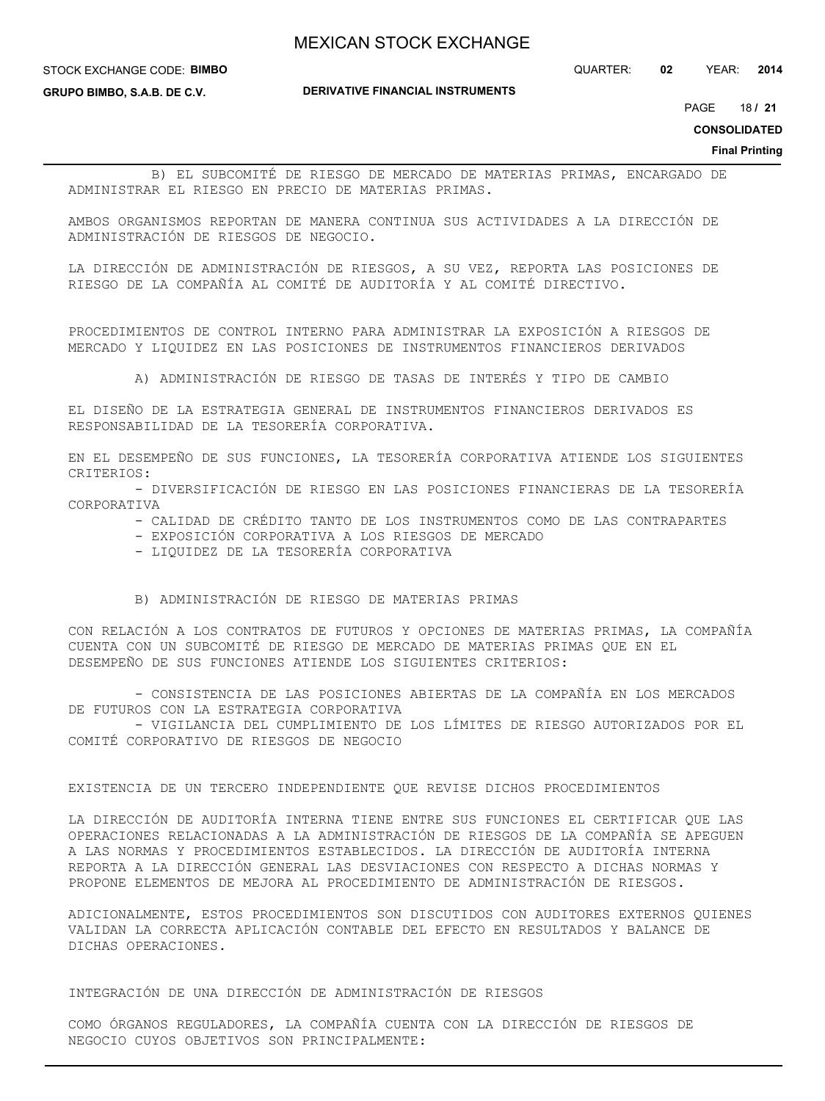STOCK EXCHANGE CODE: **BIMBO**

**GRUPO BIMBO, S.A.B. DE C.V.**

**DERIVATIVE FINANCIAL INSTRUMENTS**

QUARTER: **02** YEAR: **2014**

18 PAGE **/ 21**

**CONSOLIDATED**

**Final Printing**

 B) EL SUBCOMITÉ DE RIESGO DE MERCADO DE MATERIAS PRIMAS, ENCARGADO DE ADMINISTRAR EL RIESGO EN PRECIO DE MATERIAS PRIMAS.

AMBOS ORGANISMOS REPORTAN DE MANERA CONTINUA SUS ACTIVIDADES A LA DIRECCIÓN DE ADMINISTRACIÓN DE RIESGOS DE NEGOCIO.

LA DIRECCIÓN DE ADMINISTRACIÓN DE RIESGOS, A SU VEZ, REPORTA LAS POSICIONES DE RIESGO DE LA COMPAÑÍA AL COMITÉ DE AUDITORÍA Y AL COMITÉ DIRECTIVO.

PROCEDIMIENTOS DE CONTROL INTERNO PARA ADMINISTRAR LA EXPOSICIÓN A RIESGOS DE MERCADO Y LIQUIDEZ EN LAS POSICIONES DE INSTRUMENTOS FINANCIEROS DERIVADOS

A) ADMINISTRACIÓN DE RIESGO DE TASAS DE INTERÉS Y TIPO DE CAMBIO

EL DISEÑO DE LA ESTRATEGIA GENERAL DE INSTRUMENTOS FINANCIEROS DERIVADOS ES RESPONSABILIDAD DE LA TESORERÍA CORPORATIVA.

EN EL DESEMPEÑO DE SUS FUNCIONES, LA TESORERÍA CORPORATIVA ATIENDE LOS SIGUIENTES CRITERIOS:

 - DIVERSIFICACIÓN DE RIESGO EN LAS POSICIONES FINANCIERAS DE LA TESORERÍA CORPORATIVA

- CALIDAD DE CRÉDITO TANTO DE LOS INSTRUMENTOS COMO DE LAS CONTRAPARTES
- EXPOSICIÓN CORPORATIVA A LOS RIESGOS DE MERCADO
- LIQUIDEZ DE LA TESORERÍA CORPORATIVA
- B) ADMINISTRACIÓN DE RIESGO DE MATERIAS PRIMAS

CON RELACIÓN A LOS CONTRATOS DE FUTUROS Y OPCIONES DE MATERIAS PRIMAS, LA COMPAÑÍA CUENTA CON UN SUBCOMITÉ DE RIESGO DE MERCADO DE MATERIAS PRIMAS QUE EN EL DESEMPEÑO DE SUS FUNCIONES ATIENDE LOS SIGUIENTES CRITERIOS:

 - CONSISTENCIA DE LAS POSICIONES ABIERTAS DE LA COMPAÑÍA EN LOS MERCADOS DE FUTUROS CON LA ESTRATEGIA CORPORATIVA

 - VIGILANCIA DEL CUMPLIMIENTO DE LOS LÍMITES DE RIESGO AUTORIZADOS POR EL COMITÉ CORPORATIVO DE RIESGOS DE NEGOCIO

### EXISTENCIA DE UN TERCERO INDEPENDIENTE QUE REVISE DICHOS PROCEDIMIENTOS

LA DIRECCIÓN DE AUDITORÍA INTERNA TIENE ENTRE SUS FUNCIONES EL CERTIFICAR QUE LAS OPERACIONES RELACIONADAS A LA ADMINISTRACIÓN DE RIESGOS DE LA COMPAÑÍA SE APEGUEN A LAS NORMAS Y PROCEDIMIENTOS ESTABLECIDOS. LA DIRECCIÓN DE AUDITORÍA INTERNA REPORTA A LA DIRECCIÓN GENERAL LAS DESVIACIONES CON RESPECTO A DICHAS NORMAS Y PROPONE ELEMENTOS DE MEJORA AL PROCEDIMIENTO DE ADMINISTRACIÓN DE RIESGOS.

ADICIONALMENTE, ESTOS PROCEDIMIENTOS SON DISCUTIDOS CON AUDITORES EXTERNOS QUIENES VALIDAN LA CORRECTA APLICACIÓN CONTABLE DEL EFECTO EN RESULTADOS Y BALANCE DE DICHAS OPERACIONES.

INTEGRACIÓN DE UNA DIRECCIÓN DE ADMINISTRACIÓN DE RIESGOS

COMO ÓRGANOS REGULADORES, LA COMPAÑÍA CUENTA CON LA DIRECCIÓN DE RIESGOS DE NEGOCIO CUYOS OBJETIVOS SON PRINCIPALMENTE: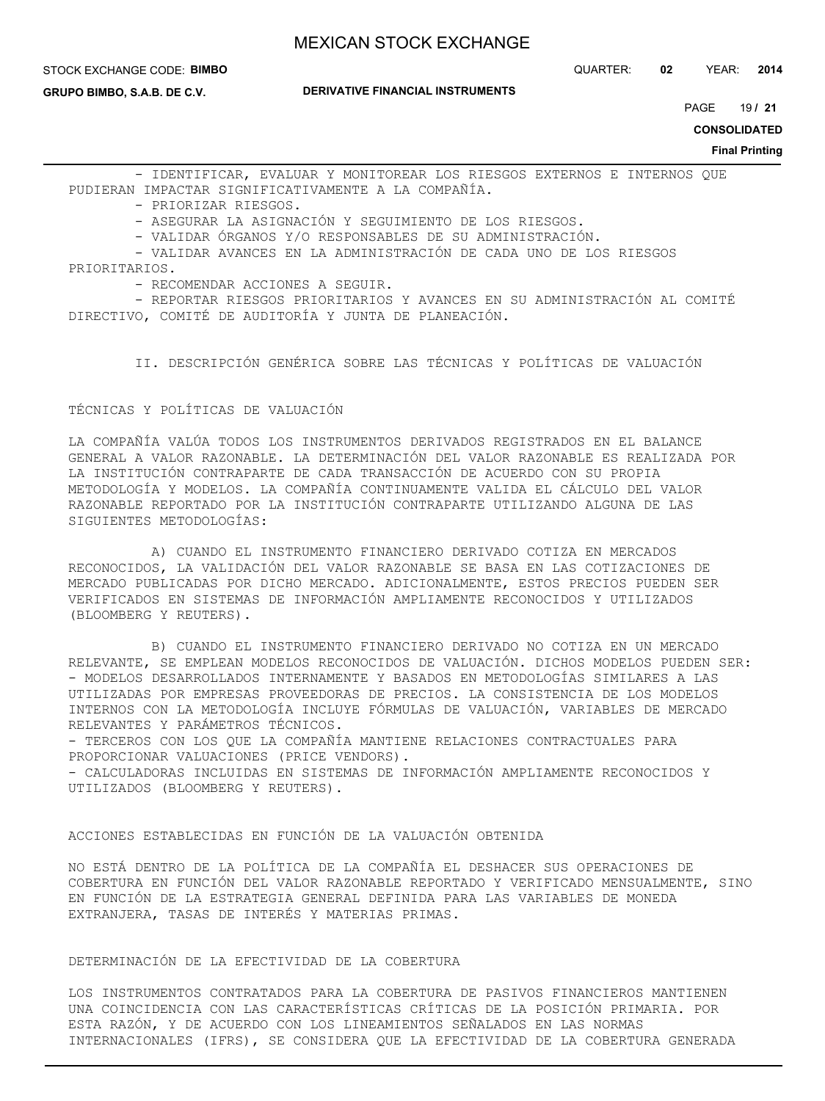#### STOCK EXCHANGE CODE: **BIMBO**

**GRUPO BIMBO, S.A.B. DE C.V.**

**DERIVATIVE FINANCIAL INSTRUMENTS**

19 PAGE **/ 21**

**CONSOLIDATED**

**Final Printing**

 - IDENTIFICAR, EVALUAR Y MONITOREAR LOS RIESGOS EXTERNOS E INTERNOS QUE PUDIERAN IMPACTAR SIGNIFICATIVAMENTE A LA COMPAÑÍA.

- PRIORIZAR RIESGOS.

- ASEGURAR LA ASIGNACIÓN Y SEGUIMIENTO DE LOS RIESGOS.

- VALIDAR ÓRGANOS Y/O RESPONSABLES DE SU ADMINISTRACIÓN.

- VALIDAR AVANCES EN LA ADMINISTRACIÓN DE CADA UNO DE LOS RIESGOS

- PRIORITARIOS.
	- RECOMENDAR ACCIONES A SEGUIR.

 - REPORTAR RIESGOS PRIORITARIOS Y AVANCES EN SU ADMINISTRACIÓN AL COMITÉ DIRECTIVO, COMITÉ DE AUDITORÍA Y JUNTA DE PLANEACIÓN.

II. DESCRIPCIÓN GENÉRICA SOBRE LAS TÉCNICAS Y POLÍTICAS DE VALUACIÓN

TÉCNICAS Y POLÍTICAS DE VALUACIÓN

LA COMPAÑÍA VALÚA TODOS LOS INSTRUMENTOS DERIVADOS REGISTRADOS EN EL BALANCE GENERAL A VALOR RAZONABLE. LA DETERMINACIÓN DEL VALOR RAZONABLE ES REALIZADA POR LA INSTITUCIÓN CONTRAPARTE DE CADA TRANSACCIÓN DE ACUERDO CON SU PROPIA METODOLOGÍA Y MODELOS. LA COMPAÑÍA CONTINUAMENTE VALIDA EL CÁLCULO DEL VALOR RAZONABLE REPORTADO POR LA INSTITUCIÓN CONTRAPARTE UTILIZANDO ALGUNA DE LAS SIGUIENTES METODOLOGÍAS:

 A) CUANDO EL INSTRUMENTO FINANCIERO DERIVADO COTIZA EN MERCADOS RECONOCIDOS, LA VALIDACIÓN DEL VALOR RAZONABLE SE BASA EN LAS COTIZACIONES DE MERCADO PUBLICADAS POR DICHO MERCADO. ADICIONALMENTE, ESTOS PRECIOS PUEDEN SER VERIFICADOS EN SISTEMAS DE INFORMACIÓN AMPLIAMENTE RECONOCIDOS Y UTILIZADOS (BLOOMBERG Y REUTERS).

 B) CUANDO EL INSTRUMENTO FINANCIERO DERIVADO NO COTIZA EN UN MERCADO RELEVANTE, SE EMPLEAN MODELOS RECONOCIDOS DE VALUACIÓN. DICHOS MODELOS PUEDEN SER: - MODELOS DESARROLLADOS INTERNAMENTE Y BASADOS EN METODOLOGÍAS SIMILARES A LAS UTILIZADAS POR EMPRESAS PROVEEDORAS DE PRECIOS. LA CONSISTENCIA DE LOS MODELOS INTERNOS CON LA METODOLOGÍA INCLUYE FÓRMULAS DE VALUACIÓN, VARIABLES DE MERCADO RELEVANTES Y PARÁMETROS TÉCNICOS.

- TERCEROS CON LOS QUE LA COMPAÑÍA MANTIENE RELACIONES CONTRACTUALES PARA PROPORCIONAR VALUACIONES (PRICE VENDORS).

- CALCULADORAS INCLUIDAS EN SISTEMAS DE INFORMACIÓN AMPLIAMENTE RECONOCIDOS Y UTILIZADOS (BLOOMBERG Y REUTERS).

ACCIONES ESTABLECIDAS EN FUNCIÓN DE LA VALUACIÓN OBTENIDA

NO ESTÁ DENTRO DE LA POLÍTICA DE LA COMPAÑÍA EL DESHACER SUS OPERACIONES DE COBERTURA EN FUNCIÓN DEL VALOR RAZONABLE REPORTADO Y VERIFICADO MENSUALMENTE, SINO EN FUNCIÓN DE LA ESTRATEGIA GENERAL DEFINIDA PARA LAS VARIABLES DE MONEDA EXTRANJERA, TASAS DE INTERÉS Y MATERIAS PRIMAS.

DETERMINACIÓN DE LA EFECTIVIDAD DE LA COBERTURA

LOS INSTRUMENTOS CONTRATADOS PARA LA COBERTURA DE PASIVOS FINANCIEROS MANTIENEN UNA COINCIDENCIA CON LAS CARACTERÍSTICAS CRÍTICAS DE LA POSICIÓN PRIMARIA. POR ESTA RAZÓN, Y DE ACUERDO CON LOS LINEAMIENTOS SEÑALADOS EN LAS NORMAS INTERNACIONALES (IFRS), SE CONSIDERA QUE LA EFECTIVIDAD DE LA COBERTURA GENERADA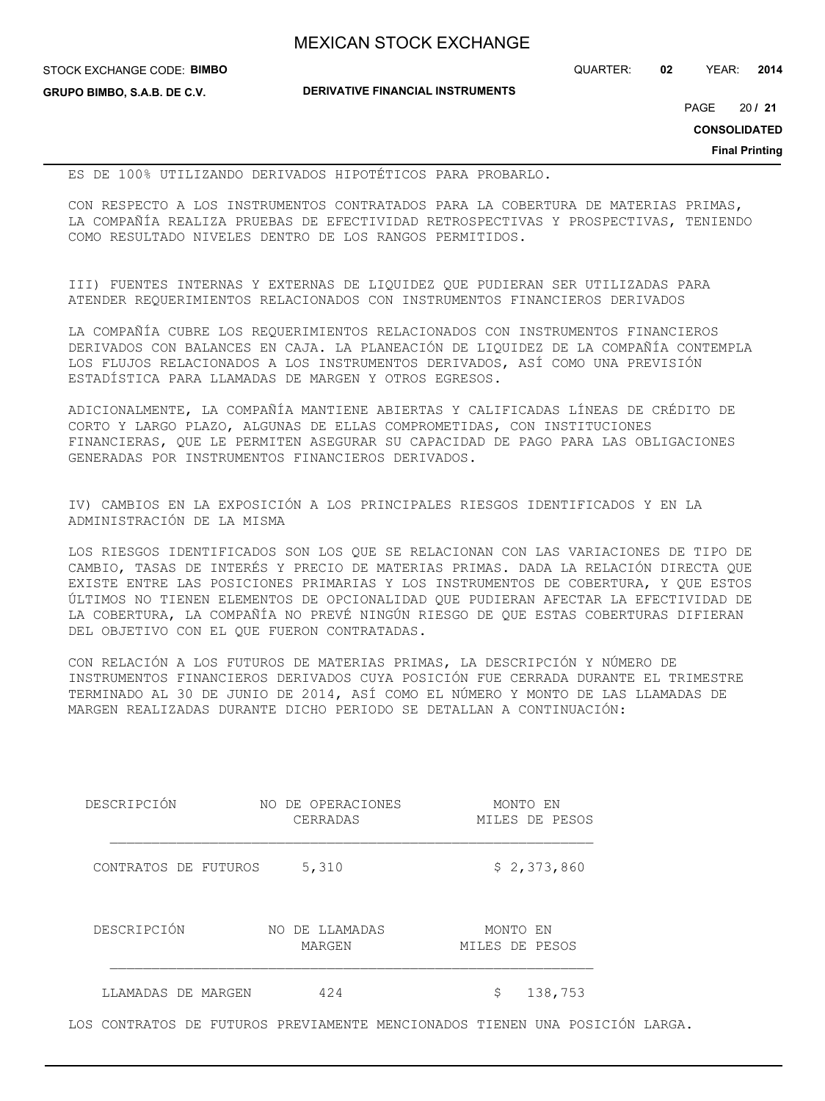STOCK EXCHANGE CODE: **BIMBO**

**GRUPO BIMBO, S.A.B. DE C.V.**

**DERIVATIVE FINANCIAL INSTRUMENTS**

QUARTER: **02** YEAR: **2014**

20 PAGE **/ 21**

**CONSOLIDATED**

**Final Printing**

ES DE 100% UTILIZANDO DERIVADOS HIPOTÉTICOS PARA PROBARLO.

CON RESPECTO A LOS INSTRUMENTOS CONTRATADOS PARA LA COBERTURA DE MATERIAS PRIMAS, LA COMPAÑÍA REALIZA PRUEBAS DE EFECTIVIDAD RETROSPECTIVAS Y PROSPECTIVAS, TENIENDO COMO RESULTADO NIVELES DENTRO DE LOS RANGOS PERMITIDOS.

III) FUENTES INTERNAS Y EXTERNAS DE LIQUIDEZ QUE PUDIERAN SER UTILIZADAS PARA ATENDER REQUERIMIENTOS RELACIONADOS CON INSTRUMENTOS FINANCIEROS DERIVADOS

LA COMPAÑÍA CUBRE LOS REQUERIMIENTOS RELACIONADOS CON INSTRUMENTOS FINANCIEROS DERIVADOS CON BALANCES EN CAJA. LA PLANEACIÓN DE LIQUIDEZ DE LA COMPAÑÍA CONTEMPLA LOS FLUJOS RELACIONADOS A LOS INSTRUMENTOS DERIVADOS, ASÍ COMO UNA PREVISIÓN ESTADÍSTICA PARA LLAMADAS DE MARGEN Y OTROS EGRESOS.

ADICIONALMENTE, LA COMPAÑÍA MANTIENE ABIERTAS Y CALIFICADAS LÍNEAS DE CRÉDITO DE CORTO Y LARGO PLAZO, ALGUNAS DE ELLAS COMPROMETIDAS, CON INSTITUCIONES FINANCIERAS, QUE LE PERMITEN ASEGURAR SU CAPACIDAD DE PAGO PARA LAS OBLIGACIONES GENERADAS POR INSTRUMENTOS FINANCIEROS DERIVADOS.

IV) CAMBIOS EN LA EXPOSICIÓN A LOS PRINCIPALES RIESGOS IDENTIFICADOS Y EN LA ADMINISTRACIÓN DE LA MISMA

LOS RIESGOS IDENTIFICADOS SON LOS QUE SE RELACIONAN CON LAS VARIACIONES DE TIPO DE CAMBIO, TASAS DE INTERÉS Y PRECIO DE MATERIAS PRIMAS. DADA LA RELACIÓN DIRECTA QUE EXISTE ENTRE LAS POSICIONES PRIMARIAS Y LOS INSTRUMENTOS DE COBERTURA, Y QUE ESTOS ÚLTIMOS NO TIENEN ELEMENTOS DE OPCIONALIDAD QUE PUDIERAN AFECTAR LA EFECTIVIDAD DE LA COBERTURA, LA COMPAÑÍA NO PREVÉ NINGÚN RIESGO DE QUE ESTAS COBERTURAS DIFIERAN DEL OBJETIVO CON EL QUE FUERON CONTRATADAS.

CON RELACIÓN A LOS FUTUROS DE MATERIAS PRIMAS, LA DESCRIPCIÓN Y NÚMERO DE INSTRUMENTOS FINANCIEROS DERIVADOS CUYA POSICIÓN FUE CERRADA DURANTE EL TRIMESTRE TERMINADO AL 30 DE JUNIO DE 2014, ASÍ COMO EL NÚMERO Y MONTO DE LAS LLAMADAS DE MARGEN REALIZADAS DURANTE DICHO PERIODO SE DETALLAN A CONTINUACIÓN:

| DESCRIPCIÓN          | NO DE OPERACIONES<br>CERRADAS | MONTO EN<br>MILES DE PESOS |
|----------------------|-------------------------------|----------------------------|
| CONTRATOS DE FUTUROS | 5,310                         | \$2,373,860                |
| DESCRIPCIÓN          | DE LLAMADAS<br>NO<br>MARGEN   | MONTO EN<br>MILES DE PESOS |
| LLAMADAS DE MARGEN   | 424                           | \$<br>138,753              |

LOS CONTRATOS DE FUTUROS PREVIAMENTE MENCIONADOS TIENEN UNA POSICIÓN LARGA.